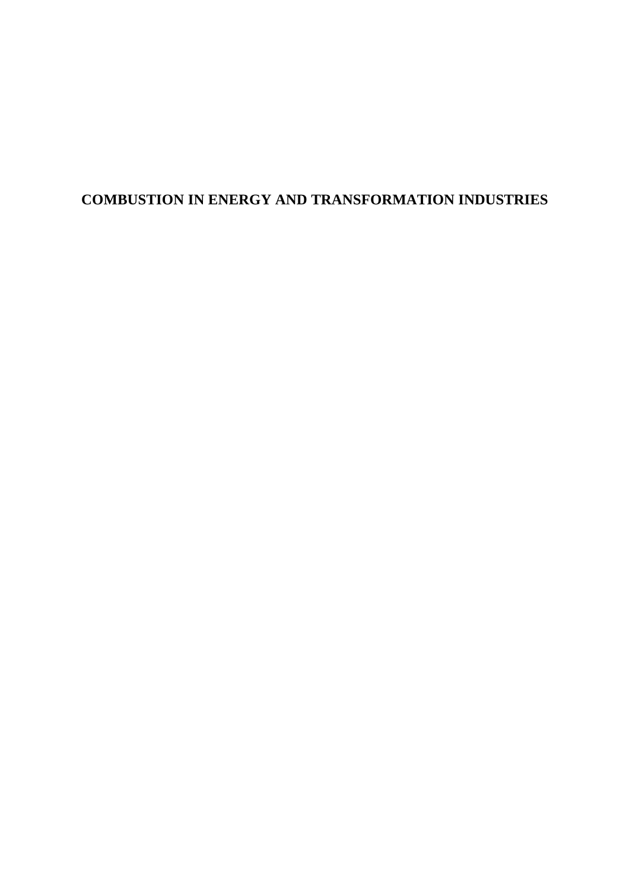# **COMBUSTION IN ENERGY AND TRANSFORMATION INDUSTRIES**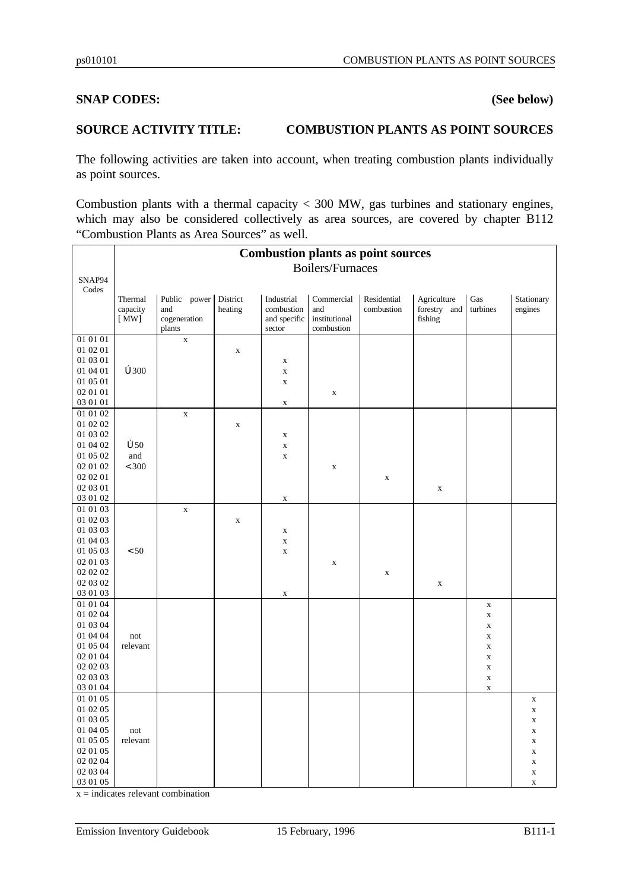#### **SNAP CODES: (See below)**

#### **SOURCE ACTIVITY TITLE: COMBUSTION PLANTS AS POINT SOURCES**

The following activities are taken into account, when treating combustion plants individually as point sources.

Combustion plants with a thermal capacity < 300 MW, gas turbines and stationary engines, which may also be considered collectively as area sources, are covered by chapter B112 "Combustion Plants as Area Sources" as well.

|                      | <b>Combustion plants as point sources</b> |                        |                     |                          |                             |                           |                             |                            |                       |  |
|----------------------|-------------------------------------------|------------------------|---------------------|--------------------------|-----------------------------|---------------------------|-----------------------------|----------------------------|-----------------------|--|
|                      | <b>Boilers/Furnaces</b>                   |                        |                     |                          |                             |                           |                             |                            |                       |  |
| SNAP94               |                                           |                        |                     |                          |                             |                           |                             |                            |                       |  |
| Codes                | Thermal<br>capacity                       | Public power<br>and    | District<br>heating | Industrial<br>combustion | Commercial<br>and           | Residential<br>combustion | Agriculture<br>forestry and | Gas<br>turbines            | Stationary<br>engines |  |
|                      | [MW]                                      | cogeneration<br>plants |                     | and specific<br>sector   | institutional<br>combustion |                           | fishing                     |                            |                       |  |
| 01 01 01             |                                           | $\mathbf X$            |                     |                          |                             |                           |                             |                            |                       |  |
| 01 02 01             |                                           |                        | $\mathbf X$         |                          |                             |                           |                             |                            |                       |  |
| 01 03 01             |                                           |                        |                     | $\mathbf X$              |                             |                           |                             |                            |                       |  |
| 01 04 01             | $\mathbf{\dot{o}}$ 300                    |                        |                     | $\mathbf X$              |                             |                           |                             |                            |                       |  |
| 01 05 01             |                                           |                        |                     | $\mathbf X$              |                             |                           |                             |                            |                       |  |
| 02 01 01             |                                           |                        |                     |                          | $\mathbf X$                 |                           |                             |                            |                       |  |
| 03 01 01             |                                           |                        |                     | $\mathbf X$              |                             |                           |                             |                            |                       |  |
| 01 01 02             |                                           | $\mathbf X$            |                     |                          |                             |                           |                             |                            |                       |  |
| 01 02 02             |                                           |                        | $\mathbf X$         |                          |                             |                           |                             |                            |                       |  |
| 01 03 02             |                                           |                        |                     | $\mathbf X$              |                             |                           |                             |                            |                       |  |
| 01 04 02             | $\dot{\mathbf{o}}$ 50                     |                        |                     | $\mathbf X$              |                             |                           |                             |                            |                       |  |
| 01 05 02             | and                                       |                        |                     | $\mathbf X$              |                             |                           |                             |                            |                       |  |
| 02 01 02             | < 300                                     |                        |                     |                          | $\mathbf X$                 |                           |                             |                            |                       |  |
| 02 02 01             |                                           |                        |                     |                          |                             | $\mathbf X$               |                             |                            |                       |  |
| 02 03 01             |                                           |                        |                     |                          |                             |                           | $\mathbf X$                 |                            |                       |  |
| 03 01 02             |                                           |                        |                     | $\mathbf X$              |                             |                           |                             |                            |                       |  |
| 01 01 03             |                                           | $\mathbf x$            |                     |                          |                             |                           |                             |                            |                       |  |
| 01 02 03             |                                           |                        | $\mathbf X$         |                          |                             |                           |                             |                            |                       |  |
| 01 03 03             |                                           |                        |                     | X                        |                             |                           |                             |                            |                       |  |
| 01 04 03             |                                           |                        |                     | $\mathbf X$              |                             |                           |                             |                            |                       |  |
| 01 05 03             | $< 50$                                    |                        |                     | $\mathbf X$              |                             |                           |                             |                            |                       |  |
| 02 01 03             |                                           |                        |                     |                          | $\mathbf X$                 |                           |                             |                            |                       |  |
| 02 02 02             |                                           |                        |                     |                          |                             | $\mathbf X$               |                             |                            |                       |  |
| 02 03 02             |                                           |                        |                     |                          |                             |                           | $\mathbf X$                 |                            |                       |  |
| 03 01 03             |                                           |                        |                     | $\mathbf X$              |                             |                           |                             |                            |                       |  |
| 01 01 04<br>01 02 04 |                                           |                        |                     |                          |                             |                           |                             | $\mathbf X$                |                       |  |
| 01 03 04             |                                           |                        |                     |                          |                             |                           |                             | $\mathbf X$<br>$\mathbf X$ |                       |  |
| 01 04 04             | not                                       |                        |                     |                          |                             |                           |                             | $\mathbf X$                |                       |  |
| 01 05 04             | relevant                                  |                        |                     |                          |                             |                           |                             | $\mathbf X$                |                       |  |
| 02 01 04             |                                           |                        |                     |                          |                             |                           |                             | $\mathbf X$                |                       |  |
| 02 02 03             |                                           |                        |                     |                          |                             |                           |                             | $\mathbf X$                |                       |  |
| 02 03 03             |                                           |                        |                     |                          |                             |                           |                             | $\mathbf X$                |                       |  |
| 03 01 04             |                                           |                        |                     |                          |                             |                           |                             | $\mathbf X$                |                       |  |
| 01 01 05             |                                           |                        |                     |                          |                             |                           |                             |                            | $\mathbf X$           |  |
| 01 02 05             |                                           |                        |                     |                          |                             |                           |                             |                            | $\mathbf x$           |  |
| 01 03 05             |                                           |                        |                     |                          |                             |                           |                             |                            | $\mathbf X$           |  |
| 01 04 05             | not                                       |                        |                     |                          |                             |                           |                             |                            | $\mathbf X$           |  |
| 01 05 05             | relevant                                  |                        |                     |                          |                             |                           |                             |                            | $\mathbf X$           |  |
| 02 01 05             |                                           |                        |                     |                          |                             |                           |                             |                            | $\mathbf X$           |  |
| 02 02 04             |                                           |                        |                     |                          |                             |                           |                             |                            | $\mathbf X$           |  |
| 02 03 04             |                                           |                        |                     |                          |                             |                           |                             |                            | $\mathbf X$           |  |
| 03 01 05             |                                           |                        |                     |                          |                             |                           |                             |                            | $\mathbf X$           |  |

 $x =$  indicates relevant combination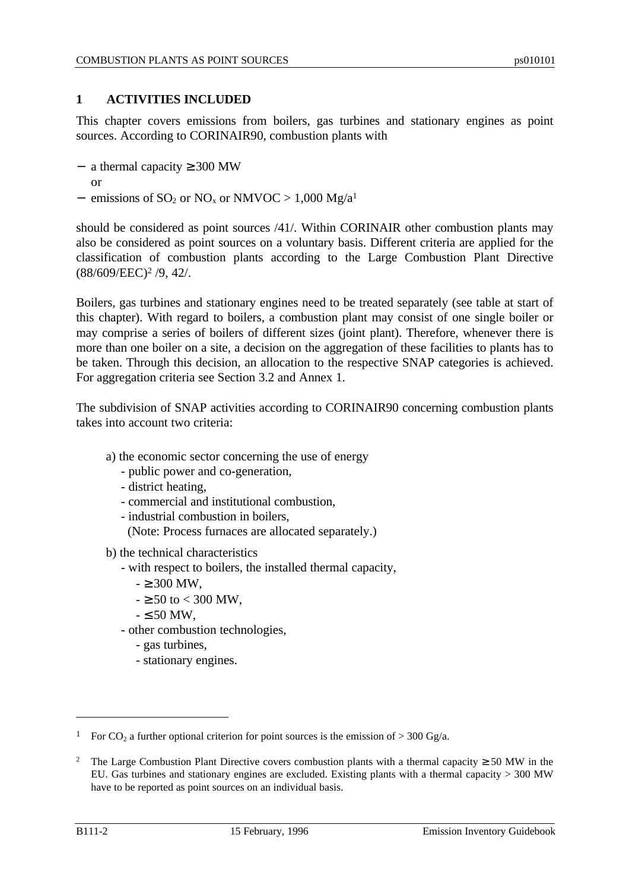# **1 ACTIVITIES INCLUDED**

This chapter covers emissions from boilers, gas turbines and stationary engines as point sources. According to CORINAIR90, combustion plants with

- − a thermal capacity ≥ 300 MW
- or
- $-$  emissions of SO<sub>2</sub> or NO<sub>x</sub> or NMVOC > 1,000 Mg/a<sup>1</sup>

should be considered as point sources /41/. Within CORINAIR other combustion plants may also be considered as point sources on a voluntary basis. Different criteria are applied for the classification of combustion plants according to the Large Combustion Plant Directive (88/609/EEC)<sup>2</sup> /9, 42/.

Boilers, gas turbines and stationary engines need to be treated separately (see table at start of this chapter). With regard to boilers, a combustion plant may consist of one single boiler or may comprise a series of boilers of different sizes (joint plant). Therefore, whenever there is more than one boiler on a site, a decision on the aggregation of these facilities to plants has to be taken. Through this decision, an allocation to the respective SNAP categories is achieved. For aggregation criteria see Section 3.2 and Annex 1.

The subdivision of SNAP activities according to CORINAIR90 concerning combustion plants takes into account two criteria:

- a) the economic sector concerning the use of energy
	- public power and co-generation,
	- district heating,
	- commercial and institutional combustion,
	- industrial combustion in boilers,
		- (Note: Process furnaces are allocated separately.)

b) the technical characteristics

- with respect to boilers, the installed thermal capacity,
	- $\geq 300$  MW,
	- $\ge 50$  to  $< 300$  MW.
	- $-50$  MW.
- other combustion technologies,
	- gas turbines,
	- stationary engines.

 $\overline{a}$ 

<sup>&</sup>lt;sup>1</sup> For CO<sub>2</sub> a further optional criterion for point sources is the emission of  $>$  300 Gg/a.

<sup>&</sup>lt;sup>2</sup> The Large Combustion Plant Directive covers combustion plants with a thermal capacity  $\geq 50$  MW in the EU. Gas turbines and stationary engines are excluded. Existing plants with a thermal capacity > 300 MW have to be reported as point sources on an individual basis.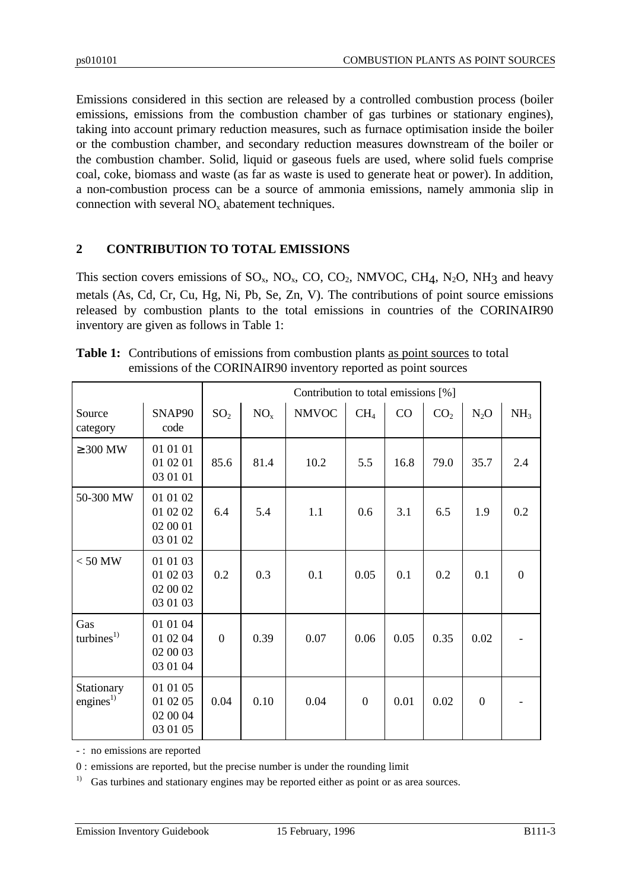Emissions considered in this section are released by a controlled combustion process (boiler emissions, emissions from the combustion chamber of gas turbines or stationary engines), taking into account primary reduction measures, such as furnace optimisation inside the boiler or the combustion chamber, and secondary reduction measures downstream of the boiler or the combustion chamber. Solid, liquid or gaseous fuels are used, where solid fuels comprise coal, coke, biomass and waste (as far as waste is used to generate heat or power). In addition, a non-combustion process can be a source of ammonia emissions, namely ammonia slip in connection with several  $NO<sub>x</sub>$  abatement techniques.

# **2 CONTRIBUTION TO TOTAL EMISSIONS**

This section covers emissions of  $SO_x$ ,  $NO_x$ ,  $CO$ ,  $CO_2$ ,  $NMVOC$ ,  $CH_4$ ,  $N_2O$ ,  $NH_3$  and heavy metals (As, Cd, Cr, Cu, Hg, Ni, Pb, Se, Zn, V). The contributions of point source emissions released by combustion plants to the total emissions in countries of the CORINAIR90 inventory are given as follows in Table 1:

|                               |                                              |                 | Contribution to total emissions [%] |              |                 |      |                 |                  |                 |
|-------------------------------|----------------------------------------------|-----------------|-------------------------------------|--------------|-----------------|------|-----------------|------------------|-----------------|
| Source<br>category            | SNAP90<br>code                               | SO <sub>2</sub> | NO <sub>x</sub>                     | <b>NMVOC</b> | CH <sub>4</sub> | CO   | CO <sub>2</sub> | $N_2O$           | NH <sub>3</sub> |
| $\geq 300$ MW                 | 01 01 01<br>01 02 01<br>03 01 01             | 85.6            | 81.4                                | 10.2         | 5.5             | 16.8 | 79.0            | 35.7             | 2.4             |
| 50-300 MW                     | 01 01 02<br>01 02 02<br>02 00 01<br>03 01 02 | 6.4             | 5.4                                 | 1.1          | 0.6             | 3.1  | 6.5             | 1.9              | 0.2             |
| $< 50$ MW                     | 01 01 03<br>01 02 03<br>02 00 02<br>03 01 03 | 0.2             | 0.3                                 | 0.1          | 0.05            | 0.1  | 0.2             | 0.1              | $\overline{0}$  |
| Gas<br>turbines <sup>1)</sup> | 01 01 04<br>01 02 04<br>02 00 03<br>03 01 04 | $\overline{0}$  | 0.39                                | 0.07         | 0.06            | 0.05 | 0.35            | 0.02             |                 |
| Stationary<br>engines $^{1)}$ | 01 01 05<br>01 02 05<br>02 00 04<br>03 01 05 | 0.04            | 0.10                                | 0.04         | $\mathbf{0}$    | 0.01 | 0.02            | $\boldsymbol{0}$ |                 |

| <b>Table 1:</b> Contributions of emissions from combustion plants as point sources to total |
|---------------------------------------------------------------------------------------------|
| emissions of the CORINAIR90 inventory reported as point sources                             |

- : no emissions are reported

0 : emissions are reported, but the precise number is under the rounding limit

 $1)$  Gas turbines and stationary engines may be reported either as point or as area sources.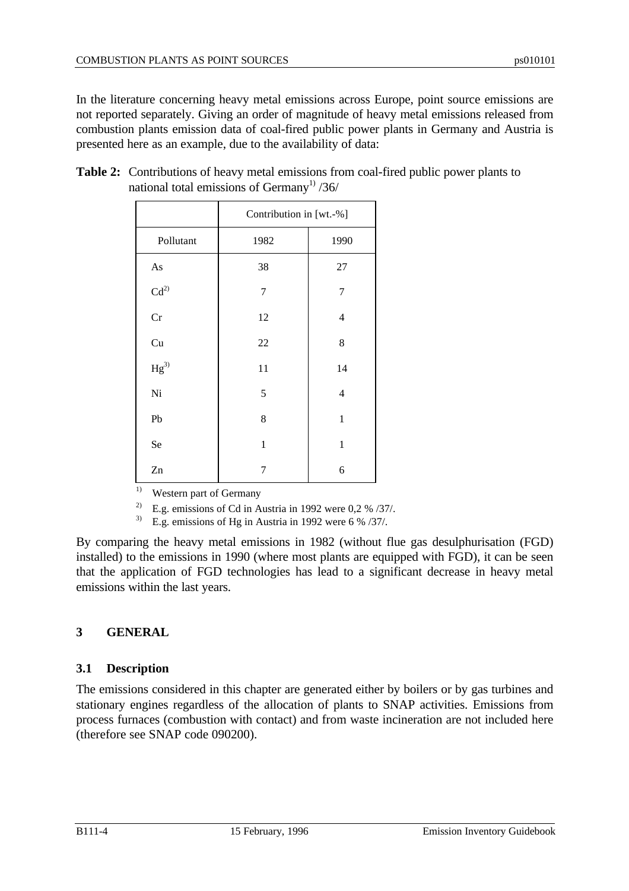In the literature concerning heavy metal emissions across Europe, point source emissions are not reported separately. Giving an order of magnitude of heavy metal emissions released from combustion plants emission data of coal-fired public power plants in Germany and Austria is presented here as an example, due to the availability of data:

|                            | Contribution in [wt.-%] |                         |  |  |
|----------------------------|-------------------------|-------------------------|--|--|
| Pollutant                  | 1982                    | 1990                    |  |  |
| $\mathbf{A}\mathbf{s}$     | 38                      | $27\,$                  |  |  |
| Cd <sup>2</sup>            | 7                       | 7                       |  |  |
| Cr                         | 12                      | $\overline{\mathbf{4}}$ |  |  |
| $\ensuremath{\mathrm{Cu}}$ | 22                      | 8                       |  |  |
| $\mathrm{Hg}^{3)}$         | 11                      | 14                      |  |  |
| Ni                         | 5                       | $\overline{\mathbf{4}}$ |  |  |
| Pb                         | 8                       | $\mathbf{1}$            |  |  |
| Se                         | $\mathbf{1}$            | $\mathbf{1}$            |  |  |
| Zn                         | 7                       | 6                       |  |  |

**Table 2:** Contributions of heavy metal emissions from coal-fired public power plants to national total emissions of Germany<sup>1)</sup>  $/36/$ 

<sup>1)</sup> Western part of Germany

<sup>2)</sup> E.g. emissions of Cd in Austria in 1992 were 0,2 %  $/37/$ .

<sup>3)</sup> E.g. emissions of Hg in Austria in 1992 were 6 %  $/37/$ .

By comparing the heavy metal emissions in 1982 (without flue gas desulphurisation (FGD) installed) to the emissions in 1990 (where most plants are equipped with FGD), it can be seen that the application of FGD technologies has lead to a significant decrease in heavy metal emissions within the last years.

# **3 GENERAL**

# **3.1 Description**

The emissions considered in this chapter are generated either by boilers or by gas turbines and stationary engines regardless of the allocation of plants to SNAP activities. Emissions from process furnaces (combustion with contact) and from waste incineration are not included here (therefore see SNAP code 090200).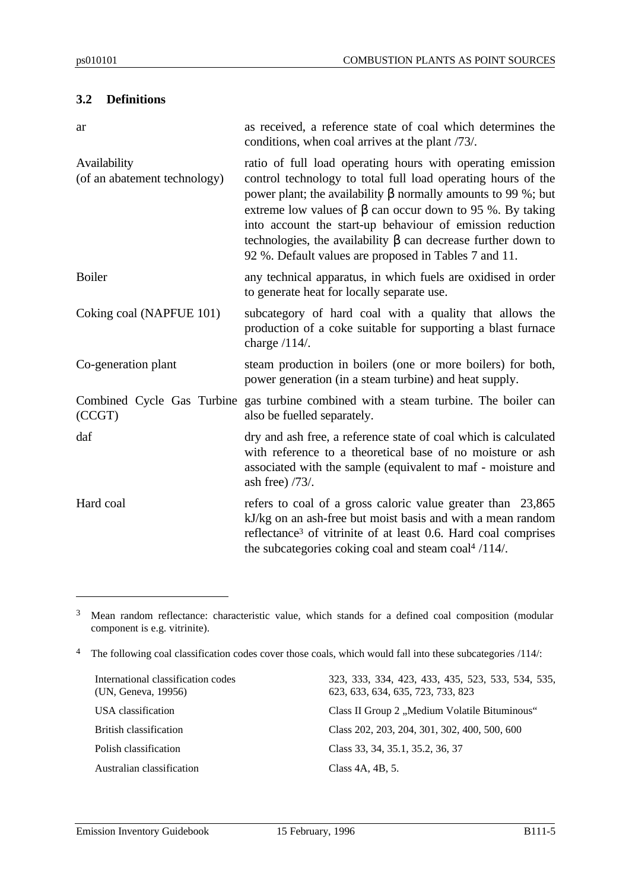#### **3.2 Definitions**

| ar                                           | as received, a reference state of coal which determines the<br>conditions, when coal arrives at the plant /73/.                                                                                                                                                                                                                                                                                                                                             |
|----------------------------------------------|-------------------------------------------------------------------------------------------------------------------------------------------------------------------------------------------------------------------------------------------------------------------------------------------------------------------------------------------------------------------------------------------------------------------------------------------------------------|
| Availability<br>(of an abatement technology) | ratio of full load operating hours with operating emission<br>control technology to total full load operating hours of the<br>power plant; the availability β normally amounts to 99 %; but<br>extreme low values of $\beta$ can occur down to 95 %. By taking<br>into account the start-up behaviour of emission reduction<br>technologies, the availability $\beta$ can decrease further down to<br>92 %. Default values are proposed in Tables 7 and 11. |
| <b>Boiler</b>                                | any technical apparatus, in which fuels are oxidised in order<br>to generate heat for locally separate use.                                                                                                                                                                                                                                                                                                                                                 |
| Coking coal (NAPFUE 101)                     | subcategory of hard coal with a quality that allows the<br>production of a coke suitable for supporting a blast furnace<br>charge $/114/$ .                                                                                                                                                                                                                                                                                                                 |
| Co-generation plant                          | steam production in boilers (one or more boilers) for both,<br>power generation (in a steam turbine) and heat supply.                                                                                                                                                                                                                                                                                                                                       |
| (CCGT)                                       | Combined Cycle Gas Turbine gas turbine combined with a steam turbine. The boiler can<br>also be fuelled separately.                                                                                                                                                                                                                                                                                                                                         |
| daf                                          | dry and ash free, a reference state of coal which is calculated<br>with reference to a theoretical base of no moisture or ash<br>associated with the sample (equivalent to maf - moisture and<br>ash free) $/73/$ .                                                                                                                                                                                                                                         |
| Hard coal                                    | refers to coal of a gross caloric value greater than 23,865<br>kJ/kg on an ash-free but moist basis and with a mean random<br>reflectance <sup>3</sup> of vitrinite of at least 0.6. Hard coal comprises<br>the subcategories coking coal and steam coal <sup>4</sup> /114/.                                                                                                                                                                                |

<sup>3</sup> Mean random reflectance: characteristic value, which stands for a defined coal composition (modular component is e.g. vitrinite).

<sup>4</sup> The following coal classification codes cover those coals, which would fall into these subcategories /114/:

International classification codes (UN, Geneva, 19956) Polish classification Class 33, 34, 35.1, 35.2, 36, 37 Australian classification Class 4A, 4B, 5.

323, 333, 334, 423, 433, 435, 523, 533, 534, 535, 623, 633, 634, 635, 723, 733, 823 USA classification Class II Group 2 "Medium Volatile Bituminous" British classification Class 202, 203, 204, 301, 302, 400, 500, 600

 $\overline{a}$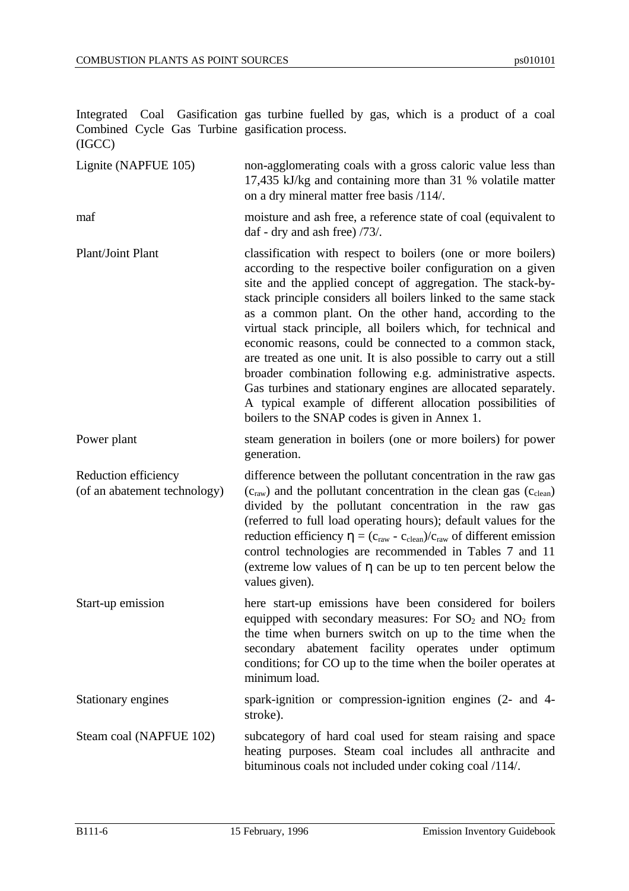Integrated Coal Gasification gas turbine fuelled by gas, which is a product of a coal Combined Cycle Gas Turbine gasification process. (IGCC)

Lignite (NAPFUE 105) non-agglomerating coals with a gross caloric value less than 17,435 kJ/kg and containing more than 31 % volatile matter on a dry mineral matter free basis /114/.

maf moisture and ash free, a reference state of coal (equivalent to daf - dry and ash free) /73/.

Plant/Joint Plant classification with respect to boilers (one or more boilers) according to the respective boiler configuration on a given site and the applied concept of aggregation. The stack-bystack principle considers all boilers linked to the same stack as a common plant. On the other hand, according to the virtual stack principle, all boilers which, for technical and economic reasons, could be connected to a common stack, are treated as one unit. It is also possible to carry out a still broader combination following e.g. administrative aspects. Gas turbines and stationary engines are allocated separately. A typical example of different allocation possibilities of boilers to the SNAP codes is given in Annex 1.

Power plant steam generation in boilers (one or more boilers) for power generation.

Reduction efficiency (of an abatement technology) difference between the pollutant concentration in the raw gas  $(c<sub>raw</sub>)$  and the pollutant concentration in the clean gas  $(c<sub>clean</sub>)$ divided by the pollutant concentration in the raw gas (referred to full load operating hours); default values for the reduction efficiency  $\eta = (c_{raw} - c_{clean})/c_{raw}$  of different emission control technologies are recommended in Tables 7 and 11 (extreme low values of η can be up to ten percent below the values given).

Start-up emission here start-up emissions have been considered for boilers equipped with secondary measures: For  $SO_2$  and  $NO_2$  from the time when burners switch on up to the time when the secondary abatement facility operates under optimum conditions; for CO up to the time when the boiler operates at minimum load.

Stationary engines spark-ignition or compression-ignition engines (2- and 4stroke).

Steam coal (NAPFUE 102) subcategory of hard coal used for steam raising and space heating purposes. Steam coal includes all anthracite and bituminous coals not included under coking coal /114/.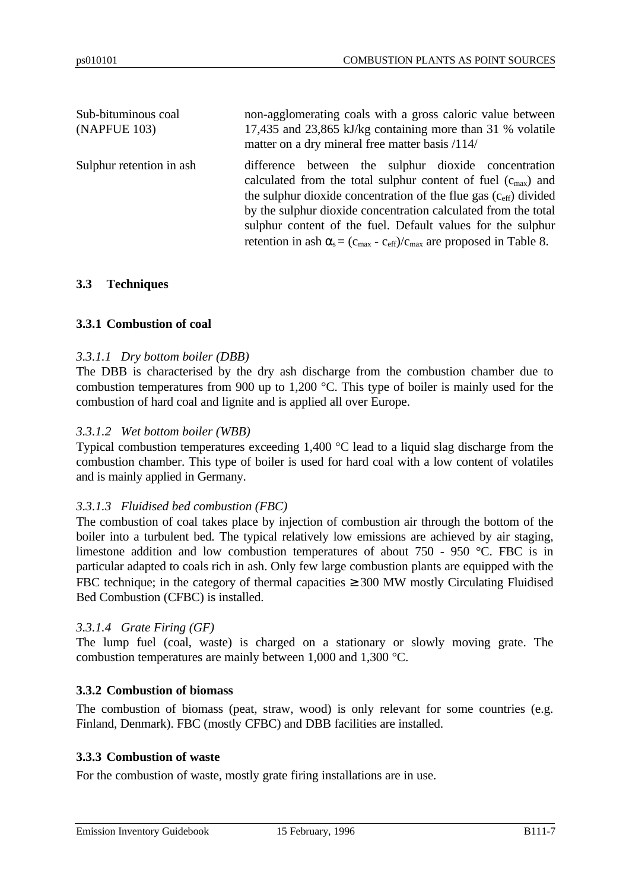| Sub-bituminous coal<br>(NAPFUE 103) | non-agglomerating coals with a gross caloric value between<br>17,435 and 23,865 kJ/kg containing more than 31 % volatile<br>matter on a dry mineral free matter basis /114/                                                                                                                                                                                                                                                                                  |
|-------------------------------------|--------------------------------------------------------------------------------------------------------------------------------------------------------------------------------------------------------------------------------------------------------------------------------------------------------------------------------------------------------------------------------------------------------------------------------------------------------------|
| Sulphur retention in ash            | difference between the sulphur dioxide concentration<br>calculated from the total sulphur content of fuel $(c_{\text{max}})$ and<br>the sulphur dioxide concentration of the flue gas $(c_{\text{eff}})$ divided<br>by the sulphur dioxide concentration calculated from the total<br>sulphur content of the fuel. Default values for the sulphur<br>retention in ash $\alpha_s = (c_{\text{max}} - c_{\text{eff}})/c_{\text{max}}$ are proposed in Table 8. |

#### **3.3 Techniques**

#### **3.3.1 Combustion of coal**

#### *3.3.1.1 Dry bottom boiler (DBB)*

The DBB is characterised by the dry ash discharge from the combustion chamber due to combustion temperatures from 900 up to 1,200 °C. This type of boiler is mainly used for the combustion of hard coal and lignite and is applied all over Europe.

#### *3.3.1.2 Wet bottom boiler (WBB)*

Typical combustion temperatures exceeding 1,400 °C lead to a liquid slag discharge from the combustion chamber. This type of boiler is used for hard coal with a low content of volatiles and is mainly applied in Germany.

#### *3.3.1.3 Fluidised bed combustion (FBC)*

The combustion of coal takes place by injection of combustion air through the bottom of the boiler into a turbulent bed. The typical relatively low emissions are achieved by air staging, limestone addition and low combustion temperatures of about 750 - 950 °C. FBC is in particular adapted to coals rich in ash. Only few large combustion plants are equipped with the FBC technique; in the category of thermal capacities  $\geq 300$  MW mostly Circulating Fluidised Bed Combustion (CFBC) is installed.

#### *3.3.1.4 Grate Firing (GF)*

The lump fuel (coal, waste) is charged on a stationary or slowly moving grate. The combustion temperatures are mainly between 1,000 and 1,300 °C.

#### **3.3.2 Combustion of biomass**

The combustion of biomass (peat, straw, wood) is only relevant for some countries (e.g. Finland, Denmark). FBC (mostly CFBC) and DBB facilities are installed.

#### **3.3.3 Combustion of waste**

For the combustion of waste, mostly grate firing installations are in use.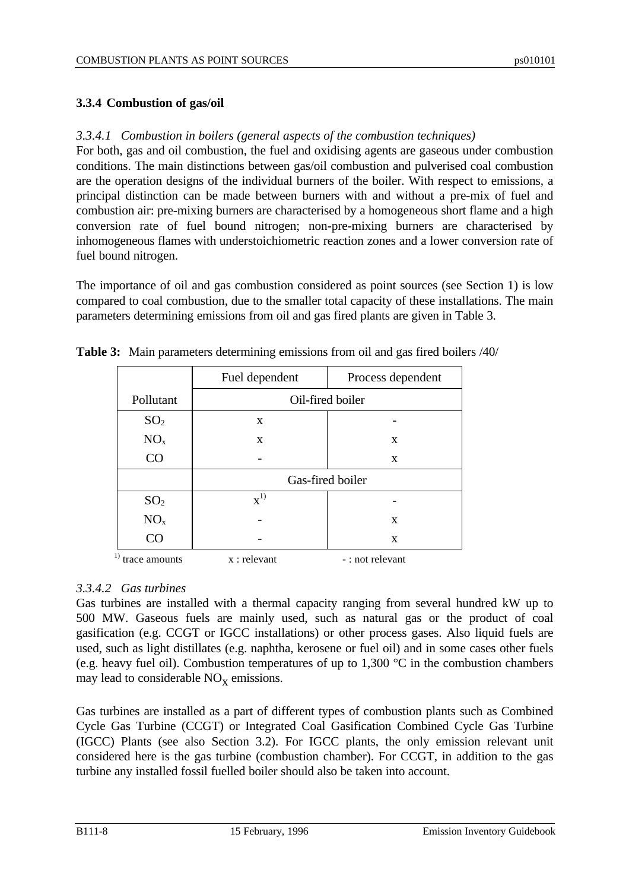# **3.3.4 Combustion of gas/oil**

# *3.3.4.1 Combustion in boilers (general aspects of the combustion techniques)*

For both, gas and oil combustion, the fuel and oxidising agents are gaseous under combustion conditions. The main distinctions between gas/oil combustion and pulverised coal combustion are the operation designs of the individual burners of the boiler. With respect to emissions, a principal distinction can be made between burners with and without a pre-mix of fuel and combustion air: pre-mixing burners are characterised by a homogeneous short flame and a high conversion rate of fuel bound nitrogen; non-pre-mixing burners are characterised by inhomogeneous flames with understoichiometric reaction zones and a lower conversion rate of fuel bound nitrogen.

The importance of oil and gas combustion considered as point sources (see Section 1) is low compared to coal combustion, due to the smaller total capacity of these installations. The main parameters determining emissions from oil and gas fired plants are given in Table 3.

|                   | Fuel dependent   | Process dependent |
|-------------------|------------------|-------------------|
| Pollutant         |                  | Oil-fired boiler  |
| SO <sub>2</sub>   | X                |                   |
| NO <sub>x</sub>   | X                | X                 |
| CO                |                  | X                 |
|                   |                  | Gas-fired boiler  |
| SO <sub>2</sub>   | $\mathbf{x}^{1}$ |                   |
| NO <sub>x</sub>   |                  | X                 |
| CO                |                  | X                 |
| $1$ trace amounts | $x:$ relevant    | - : not relevant  |

|  |  |  | <b>Table 3:</b> Main parameters determining emissions from oil and gas fired boilers /40/ |  |
|--|--|--|-------------------------------------------------------------------------------------------|--|
|--|--|--|-------------------------------------------------------------------------------------------|--|

# *3.3.4.2 Gas turbines*

Gas turbines are installed with a thermal capacity ranging from several hundred kW up to 500 MW. Gaseous fuels are mainly used, such as natural gas or the product of coal gasification (e.g. CCGT or IGCC installations) or other process gases. Also liquid fuels are used, such as light distillates (e.g. naphtha, kerosene or fuel oil) and in some cases other fuels (e.g. heavy fuel oil). Combustion temperatures of up to 1,300 °C in the combustion chambers may lead to considerable  $NO<sub>x</sub>$  emissions.

Gas turbines are installed as a part of different types of combustion plants such as Combined Cycle Gas Turbine (CCGT) or Integrated Coal Gasification Combined Cycle Gas Turbine (IGCC) Plants (see also Section 3.2). For IGCC plants, the only emission relevant unit considered here is the gas turbine (combustion chamber). For CCGT, in addition to the gas turbine any installed fossil fuelled boiler should also be taken into account.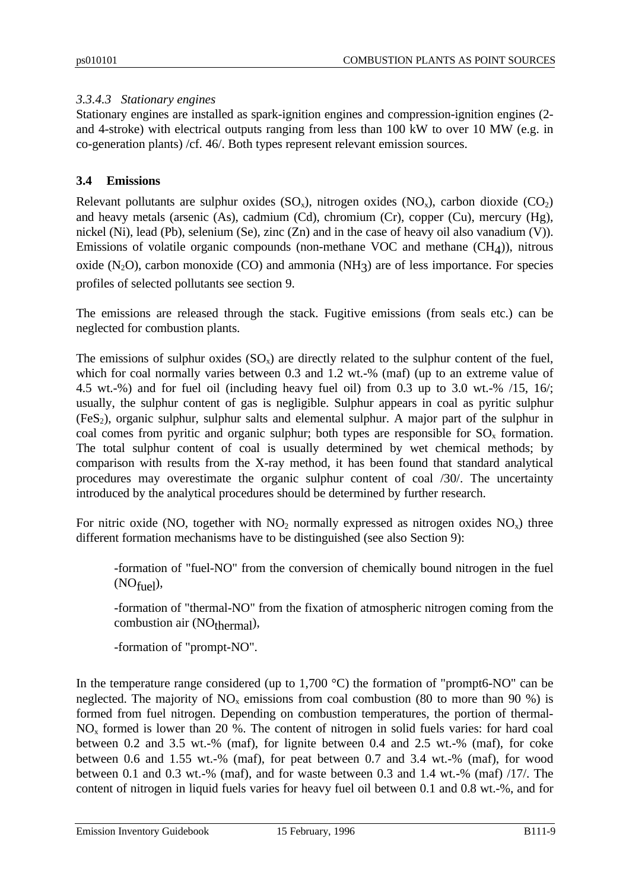# *3.3.4.3 Stationary engines*

Stationary engines are installed as spark-ignition engines and compression-ignition engines (2 and 4-stroke) with electrical outputs ranging from less than 100 kW to over 10 MW (e.g. in co-generation plants) /cf. 46/. Both types represent relevant emission sources.

#### **3.4 Emissions**

Relevant pollutants are sulphur oxides  $(SO_x)$ , nitrogen oxides  $(NO_x)$ , carbon dioxide  $(CO_2)$ and heavy metals (arsenic (As), cadmium (Cd), chromium (Cr), copper (Cu), mercury (Hg), nickel (Ni), lead (Pb), selenium (Se), zinc (Zn) and in the case of heavy oil also vanadium (V)). Emissions of volatile organic compounds (non-methane VOC and methane (CH4 )), nitrous oxide  $(N_2O)$ , carbon monoxide  $(CO)$  and ammonia  $(NH_3)$  are of less importance. For species profiles of selected pollutants see section 9.

The emissions are released through the stack. Fugitive emissions (from seals etc.) can be neglected for combustion plants.

The emissions of sulphur oxides  $(SO<sub>x</sub>)$  are directly related to the sulphur content of the fuel, which for coal normally varies between 0.3 and 1.2 wt.-% (maf) (up to an extreme value of 4.5 wt.-%) and for fuel oil (including heavy fuel oil) from 0.3 up to 3.0 wt.-% /15, 16/; usually, the sulphur content of gas is negligible. Sulphur appears in coal as pyritic sulphur  $(F \in S_2)$ , organic sulphur, sulphur salts and elemental sulphur. A major part of the sulphur in coal comes from pyritic and organic sulphur; both types are responsible for  $SO_x$  formation. The total sulphur content of coal is usually determined by wet chemical methods; by comparison with results from the X-ray method, it has been found that standard analytical procedures may overestimate the organic sulphur content of coal /30/. The uncertainty introduced by the analytical procedures should be determined by further research.

For nitric oxide (NO, together with  $NO<sub>2</sub>$  normally expressed as nitrogen oxides  $NO<sub>x</sub>$ ) three different formation mechanisms have to be distinguished (see also Section 9):

-formation of "fuel-NO" from the conversion of chemically bound nitrogen in the fuel  $(NO_{\text{fuel}}),$ 

-formation of "thermal-NO" from the fixation of atmospheric nitrogen coming from the combustion air (NO<sub>thermal</sub>),

-formation of "prompt-NO".

In the temperature range considered (up to  $1,700\text{ °C}$ ) the formation of "prompt6-NO" can be neglected. The majority of  $NO<sub>x</sub>$  emissions from coal combustion (80 to more than 90 %) is formed from fuel nitrogen. Depending on combustion temperatures, the portion of thermal- $NO<sub>x</sub>$  formed is lower than 20 %. The content of nitrogen in solid fuels varies: for hard coal between 0.2 and 3.5 wt.-% (maf), for lignite between 0.4 and 2.5 wt.-% (maf), for coke between 0.6 and 1.55 wt.-% (maf), for peat between 0.7 and 3.4 wt.-% (maf), for wood between 0.1 and 0.3 wt.-% (maf), and for waste between 0.3 and 1.4 wt.-% (maf) /17/. The content of nitrogen in liquid fuels varies for heavy fuel oil between 0.1 and 0.8 wt.-%, and for

Emission Inventory Guidebook 15 February, 1996 B111-9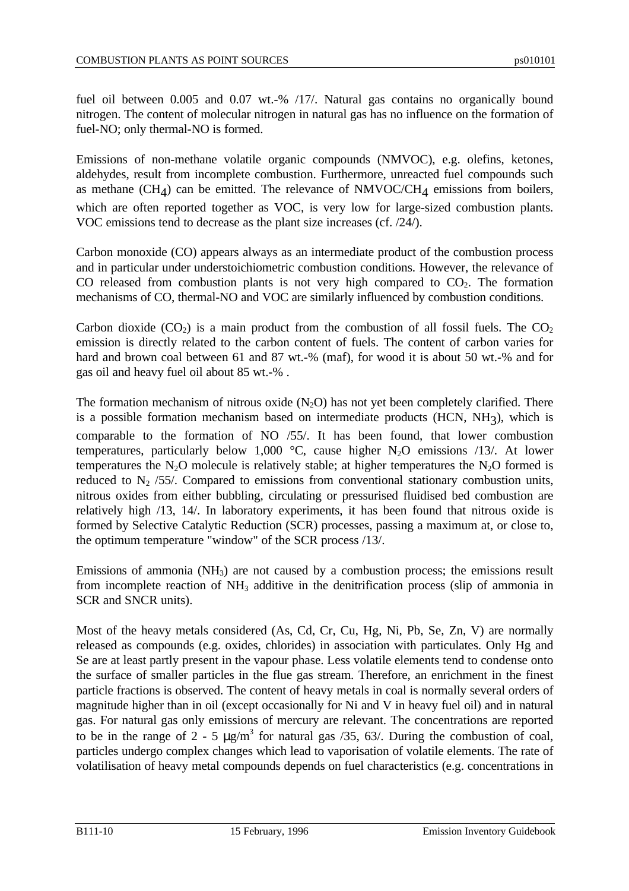fuel oil between 0.005 and 0.07 wt.-% /17/. Natural gas contains no organically bound nitrogen. The content of molecular nitrogen in natural gas has no influence on the formation of fuel-NO; only thermal-NO is formed.

Emissions of non-methane volatile organic compounds (NMVOC), e.g. olefins, ketones, aldehydes, result from incomplete combustion. Furthermore, unreacted fuel compounds such as methane  $(CH_4)$  can be emitted. The relevance of NMVOC/CH<sub>4</sub> emissions from boilers, which are often reported together as VOC, is very low for large-sized combustion plants. VOC emissions tend to decrease as the plant size increases (cf. /24/).

Carbon monoxide (CO) appears always as an intermediate product of the combustion process and in particular under understoichiometric combustion conditions. However, the relevance of CO released from combustion plants is not very high compared to  $CO<sub>2</sub>$ . The formation mechanisms of CO, thermal-NO and VOC are similarly influenced by combustion conditions.

Carbon dioxide  $(CO_2)$  is a main product from the combustion of all fossil fuels. The  $CO_2$ emission is directly related to the carbon content of fuels. The content of carbon varies for hard and brown coal between 61 and 87 wt.-% (maf), for wood it is about 50 wt.-% and for gas oil and heavy fuel oil about 85 wt.-% .

The formation mechanism of nitrous oxide  $(N_2O)$  has not yet been completely clarified. There is a possible formation mechanism based on intermediate products (HCN, NH<sub>3</sub>), which is comparable to the formation of NO /55/. It has been found, that lower combustion temperatures, particularly below 1,000  $^{\circ}$ C, cause higher N<sub>2</sub>O emissions /13/. At lower temperatures the  $N_2O$  molecule is relatively stable; at higher temperatures the  $N_2O$  formed is reduced to  $N_2$  /55/. Compared to emissions from conventional stationary combustion units, nitrous oxides from either bubbling, circulating or pressurised fluidised bed combustion are relatively high /13, 14/. In laboratory experiments, it has been found that nitrous oxide is formed by Selective Catalytic Reduction (SCR) processes, passing a maximum at, or close to, the optimum temperature "window" of the SCR process /13/.

Emissions of ammonia (NH3) are not caused by a combustion process; the emissions result from incomplete reaction of  $NH<sub>3</sub>$  additive in the denitrification process (slip of ammonia in SCR and SNCR units).

Most of the heavy metals considered (As, Cd, Cr, Cu, Hg, Ni, Pb, Se, Zn, V) are normally released as compounds (e.g. oxides, chlorides) in association with particulates. Only Hg and Se are at least partly present in the vapour phase. Less volatile elements tend to condense onto the surface of smaller particles in the flue gas stream. Therefore, an enrichment in the finest particle fractions is observed. The content of heavy metals in coal is normally several orders of magnitude higher than in oil (except occasionally for Ni and V in heavy fuel oil) and in natural gas. For natural gas only emissions of mercury are relevant. The concentrations are reported to be in the range of 2 - 5  $\mu$ g/m<sup>3</sup> for natural gas /35, 63/. During the combustion of coal, particles undergo complex changes which lead to vaporisation of volatile elements. The rate of volatilisation of heavy metal compounds depends on fuel characteristics (e.g. concentrations in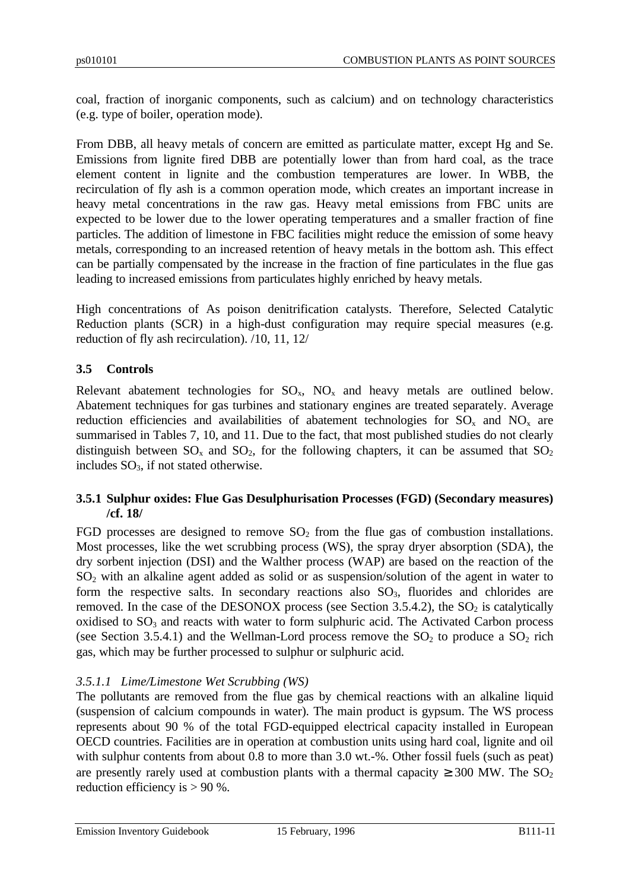coal, fraction of inorganic components, such as calcium) and on technology characteristics (e.g. type of boiler, operation mode).

From DBB, all heavy metals of concern are emitted as particulate matter, except Hg and Se. Emissions from lignite fired DBB are potentially lower than from hard coal, as the trace element content in lignite and the combustion temperatures are lower. In WBB, the recirculation of fly ash is a common operation mode, which creates an important increase in heavy metal concentrations in the raw gas. Heavy metal emissions from FBC units are expected to be lower due to the lower operating temperatures and a smaller fraction of fine particles. The addition of limestone in FBC facilities might reduce the emission of some heavy metals, corresponding to an increased retention of heavy metals in the bottom ash. This effect can be partially compensated by the increase in the fraction of fine particulates in the flue gas leading to increased emissions from particulates highly enriched by heavy metals.

High concentrations of As poison denitrification catalysts. Therefore, Selected Catalytic Reduction plants (SCR) in a high-dust configuration may require special measures (e.g. reduction of fly ash recirculation). /10, 11, 12/

# **3.5 Controls**

Relevant abatement technologies for  $SO_x$ ,  $NO_x$  and heavy metals are outlined below. Abatement techniques for gas turbines and stationary engines are treated separately. Average reduction efficiencies and availabilities of abatement technologies for  $SO_x$  and  $NO_x$  are summarised in Tables 7, 10, and 11. Due to the fact, that most published studies do not clearly distinguish between  $SO_x$  and  $SO_2$ , for the following chapters, it can be assumed that  $SO_2$ includes  $SO<sub>3</sub>$ , if not stated otherwise.

# **3.5.1 Sulphur oxides: Flue Gas Desulphurisation Processes (FGD) (Secondary measures) /cf. 18/**

FGD processes are designed to remove  $SO_2$  from the flue gas of combustion installations. Most processes, like the wet scrubbing process (WS), the spray dryer absorption (SDA), the dry sorbent injection (DSI) and the Walther process (WAP) are based on the reaction of the SO2 with an alkaline agent added as solid or as suspension/solution of the agent in water to form the respective salts. In secondary reactions also  $SO<sub>3</sub>$ , fluorides and chlorides are removed. In the case of the DESONOX process (see Section 3.5.4.2), the  $SO_2$  is catalytically oxidised to  $SO_3$  and reacts with water to form sulphuric acid. The Activated Carbon process (see Section 3.5.4.1) and the Wellman-Lord process remove the  $SO_2$  to produce a  $SO_2$  rich gas, which may be further processed to sulphur or sulphuric acid.

# *3.5.1.1 Lime/Limestone Wet Scrubbing (WS)*

The pollutants are removed from the flue gas by chemical reactions with an alkaline liquid (suspension of calcium compounds in water). The main product is gypsum. The WS process represents about 90 % of the total FGD-equipped electrical capacity installed in European OECD countries. Facilities are in operation at combustion units using hard coal, lignite and oil with sulphur contents from about 0.8 to more than 3.0 wt.-%. Other fossil fuels (such as peat) are presently rarely used at combustion plants with a thermal capacity  $\geq 300$  MW. The SO<sub>2</sub> reduction efficiency is > 90 %.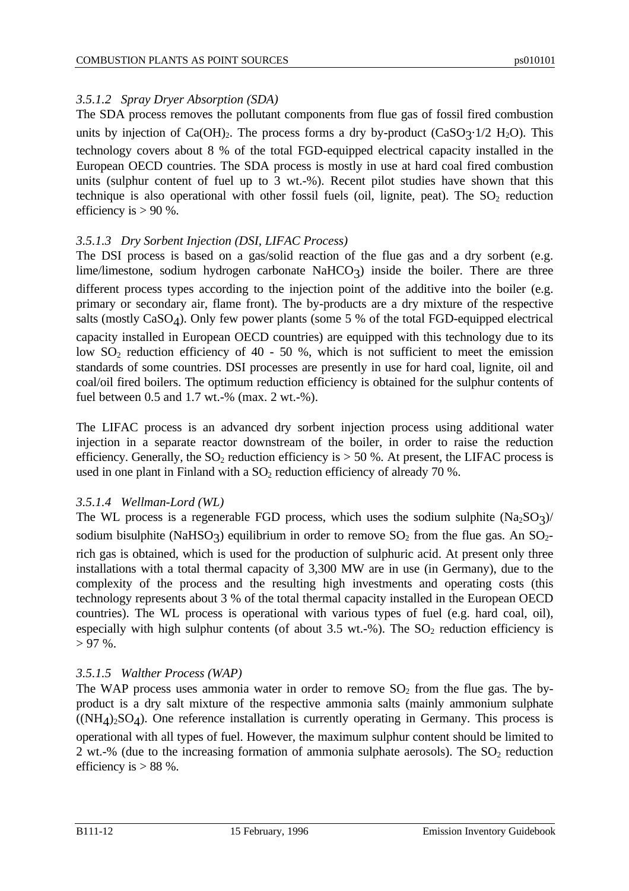# *3.5.1.2 Spray Dryer Absorption (SDA)*

The SDA process removes the pollutant components from flue gas of fossil fired combustion units by injection of  $Ca(OH)_2$ . The process forms a dry by-product  $(CaSO_3 \cdot 1/2$  H<sub>2</sub>O). This technology covers about 8 % of the total FGD-equipped electrical capacity installed in the European OECD countries. The SDA process is mostly in use at hard coal fired combustion units (sulphur content of fuel up to 3 wt.-%). Recent pilot studies have shown that this technique is also operational with other fossil fuels (oil, lignite, peat). The  $SO_2$  reduction efficiency is  $> 90 %$ .

# *3.5.1.3 Dry Sorbent Injection (DSI, LIFAC Process)*

The DSI process is based on a gas/solid reaction of the flue gas and a dry sorbent (e.g. lime/limestone, sodium hydrogen carbonate NaHCO3) inside the boiler. There are three different process types according to the injection point of the additive into the boiler (e.g. primary or secondary air, flame front). The by-products are a dry mixture of the respective salts (mostly CaSO<sub>4</sub>). Only few power plants (some 5 % of the total FGD-equipped electrical capacity installed in European OECD countries) are equipped with this technology due to its low  $SO_2$  reduction efficiency of 40 - 50 %, which is not sufficient to meet the emission standards of some countries. DSI processes are presently in use for hard coal, lignite, oil and coal/oil fired boilers. The optimum reduction efficiency is obtained for the sulphur contents of fuel between 0.5 and 1.7 wt.-% (max. 2 wt.-%).

The LIFAC process is an advanced dry sorbent injection process using additional water injection in a separate reactor downstream of the boiler, in order to raise the reduction efficiency. Generally, the  $SO_2$  reduction efficiency is  $> 50$  %. At present, the LIFAC process is used in one plant in Finland with a  $SO<sub>2</sub>$  reduction efficiency of already 70 %.

#### *3.5.1.4 Wellman-Lord (WL)*

The WL process is a regenerable FGD process, which uses the sodium sulphite  $(Na_2SO_3)/$ sodium bisulphite (NaHSO3) equilibrium in order to remove  $SO_2$  from the flue gas. An  $SO_2$ rich gas is obtained, which is used for the production of sulphuric acid. At present only three installations with a total thermal capacity of 3,300 MW are in use (in Germany), due to the complexity of the process and the resulting high investments and operating costs (this technology represents about 3 % of the total thermal capacity installed in the European OECD countries). The WL process is operational with various types of fuel (e.g. hard coal, oil), especially with high sulphur contents (of about 3.5 wt.-%). The  $SO_2$  reduction efficiency is  $> 97\%$ .

# *3.5.1.5 Walther Process (WAP)*

The WAP process uses ammonia water in order to remove  $SO_2$  from the flue gas. The byproduct is a dry salt mixture of the respective ammonia salts (mainly ammonium sulphate  $((NH<sub>4</sub>)<sub>2</sub>SO<sub>4</sub>)$ . One reference installation is currently operating in Germany. This process is operational with all types of fuel. However, the maximum sulphur content should be limited to 2 wt.-% (due to the increasing formation of ammonia sulphate aerosols). The  $SO_2$  reduction efficiency is  $> 88$  %.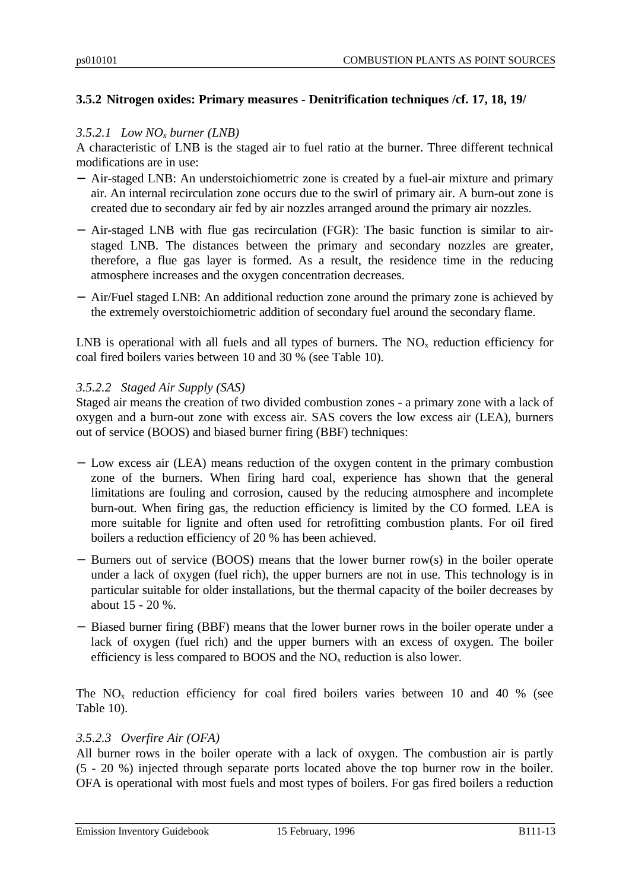# **3.5.2 Nitrogen oxides: Primary measures - Denitrification techniques /cf. 17, 18, 19/**

#### *3.5.2.1 Low NOx burner (LNB)*

A characteristic of LNB is the staged air to fuel ratio at the burner. Three different technical modifications are in use:

- − Air-staged LNB: An understoichiometric zone is created by a fuel-air mixture and primary air. An internal recirculation zone occurs due to the swirl of primary air. A burn-out zone is created due to secondary air fed by air nozzles arranged around the primary air nozzles.
- − Air-staged LNB with flue gas recirculation (FGR): The basic function is similar to airstaged LNB. The distances between the primary and secondary nozzles are greater, therefore, a flue gas layer is formed. As a result, the residence time in the reducing atmosphere increases and the oxygen concentration decreases.
- − Air/Fuel staged LNB: An additional reduction zone around the primary zone is achieved by the extremely overstoichiometric addition of secondary fuel around the secondary flame.

LNB is operational with all fuels and all types of burners. The  $NO<sub>x</sub>$  reduction efficiency for coal fired boilers varies between 10 and 30 % (see Table 10).

#### *3.5.2.2 Staged Air Supply (SAS)*

Staged air means the creation of two divided combustion zones - a primary zone with a lack of oxygen and a burn-out zone with excess air. SAS covers the low excess air (LEA), burners out of service (BOOS) and biased burner firing (BBF) techniques:

- − Low excess air (LEA) means reduction of the oxygen content in the primary combustion zone of the burners. When firing hard coal, experience has shown that the general limitations are fouling and corrosion, caused by the reducing atmosphere and incomplete burn-out. When firing gas, the reduction efficiency is limited by the CO formed. LEA is more suitable for lignite and often used for retrofitting combustion plants. For oil fired boilers a reduction efficiency of 20 % has been achieved.
- − Burners out of service (BOOS) means that the lower burner row(s) in the boiler operate under a lack of oxygen (fuel rich), the upper burners are not in use. This technology is in particular suitable for older installations, but the thermal capacity of the boiler decreases by about 15 - 20 %.
- − Biased burner firing (BBF) means that the lower burner rows in the boiler operate under a lack of oxygen (fuel rich) and the upper burners with an excess of oxygen. The boiler efficiency is less compared to BOOS and the  $NO<sub>x</sub>$  reduction is also lower.

The  $NO<sub>x</sub>$  reduction efficiency for coal fired boilers varies between 10 and 40 % (see Table 10).

#### *3.5.2.3 Overfire Air (OFA)*

All burner rows in the boiler operate with a lack of oxygen. The combustion air is partly (5 - 20 %) injected through separate ports located above the top burner row in the boiler. OFA is operational with most fuels and most types of boilers. For gas fired boilers a reduction

Emission Inventory Guidebook 15 February, 1996 B111-13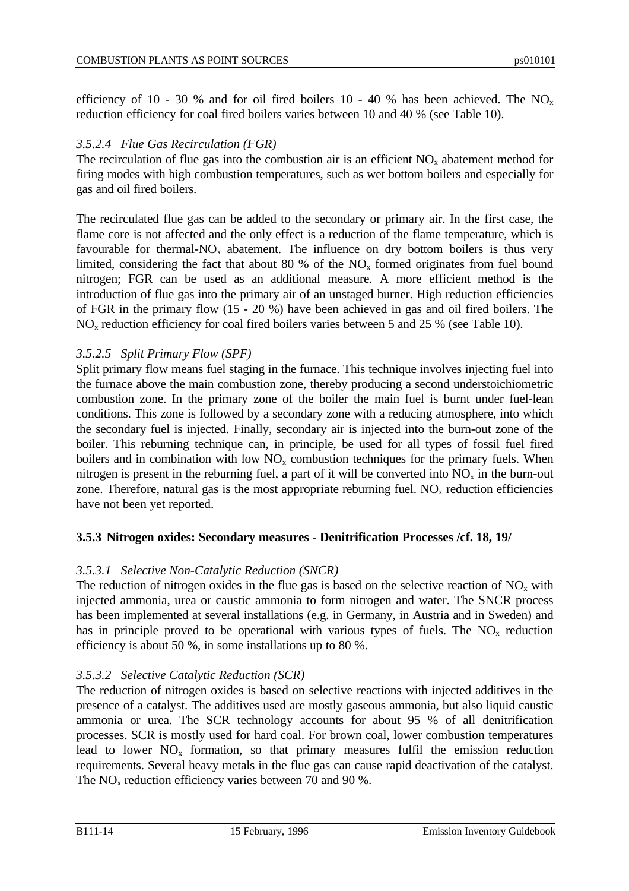efficiency of 10 - 30 % and for oil fired boilers 10 - 40 % has been achieved. The NO<sub>x</sub> reduction efficiency for coal fired boilers varies between 10 and 40 % (see Table 10).

#### *3.5.2.4 Flue Gas Recirculation (FGR)*

The recirculation of flue gas into the combustion air is an efficient  $NO<sub>x</sub>$  abatement method for firing modes with high combustion temperatures, such as wet bottom boilers and especially for gas and oil fired boilers.

The recirculated flue gas can be added to the secondary or primary air. In the first case, the flame core is not affected and the only effect is a reduction of the flame temperature, which is favourable for thermal- $NO<sub>x</sub>$  abatement. The influence on dry bottom boilers is thus very limited, considering the fact that about 80 % of the  $NO<sub>x</sub>$  formed originates from fuel bound nitrogen; FGR can be used as an additional measure. A more efficient method is the introduction of flue gas into the primary air of an unstaged burner. High reduction efficiencies of FGR in the primary flow (15 - 20 %) have been achieved in gas and oil fired boilers. The  $NO<sub>x</sub>$  reduction efficiency for coal fired boilers varies between 5 and 25 % (see Table 10).

#### *3.5.2.5 Split Primary Flow (SPF)*

Split primary flow means fuel staging in the furnace. This technique involves injecting fuel into the furnace above the main combustion zone, thereby producing a second understoichiometric combustion zone. In the primary zone of the boiler the main fuel is burnt under fuel-lean conditions. This zone is followed by a secondary zone with a reducing atmosphere, into which the secondary fuel is injected. Finally, secondary air is injected into the burn-out zone of the boiler. This reburning technique can, in principle, be used for all types of fossil fuel fired boilers and in combination with low  $NO<sub>x</sub>$  combustion techniques for the primary fuels. When nitrogen is present in the reburning fuel, a part of it will be converted into  $NO<sub>x</sub>$  in the burn-out zone. Therefore, natural gas is the most appropriate reburning fuel.  $NO<sub>x</sub>$  reduction efficiencies have not been yet reported.

#### **3.5.3 Nitrogen oxides: Secondary measures - Denitrification Processes /cf. 18, 19/**

#### *3.5.3.1 Selective Non-Catalytic Reduction (SNCR)*

The reduction of nitrogen oxides in the flue gas is based on the selective reaction of  $NO<sub>x</sub>$  with injected ammonia, urea or caustic ammonia to form nitrogen and water. The SNCR process has been implemented at several installations (e.g. in Germany, in Austria and in Sweden) and has in principle proved to be operational with various types of fuels. The  $NO<sub>x</sub>$  reduction efficiency is about 50 %, in some installations up to 80 %.

#### *3.5.3.2 Selective Catalytic Reduction (SCR)*

The reduction of nitrogen oxides is based on selective reactions with injected additives in the presence of a catalyst. The additives used are mostly gaseous ammonia, but also liquid caustic ammonia or urea. The SCR technology accounts for about 95 % of all denitrification processes. SCR is mostly used for hard coal. For brown coal, lower combustion temperatures lead to lower  $NO<sub>x</sub>$  formation, so that primary measures fulfil the emission reduction requirements. Several heavy metals in the flue gas can cause rapid deactivation of the catalyst. The  $NO<sub>x</sub>$  reduction efficiency varies between 70 and 90 %.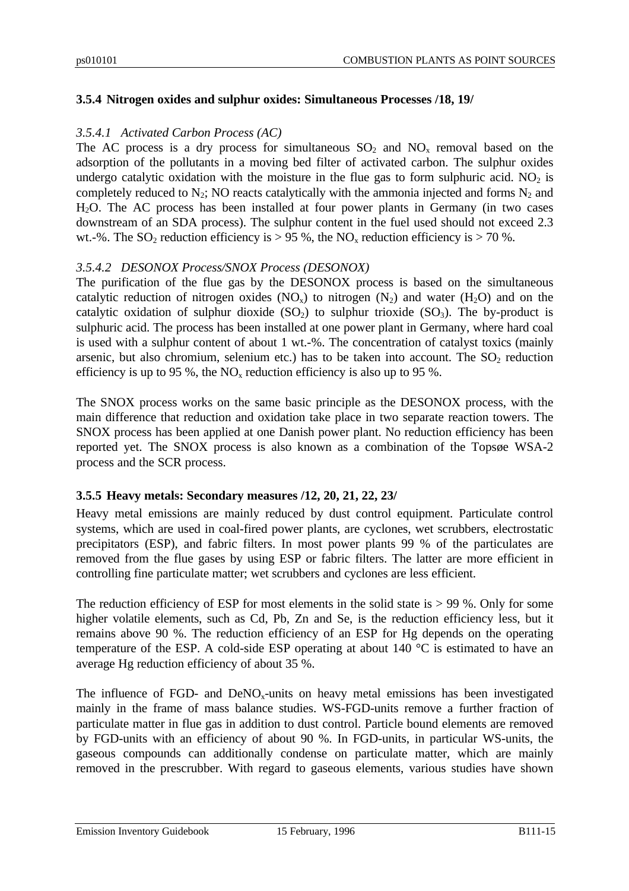#### **3.5.4 Nitrogen oxides and sulphur oxides: Simultaneous Processes /18, 19/**

#### *3.5.4.1 Activated Carbon Process (AC)*

The AC process is a dry process for simultaneous  $SO_2$  and  $NO<sub>x</sub>$  removal based on the adsorption of the pollutants in a moving bed filter of activated carbon. The sulphur oxides undergo catalytic oxidation with the moisture in the flue gas to form sulphuric acid.  $NO<sub>2</sub>$  is completely reduced to  $N_2$ ; NO reacts catalytically with the ammonia injected and forms  $N_2$  and H2O. The AC process has been installed at four power plants in Germany (in two cases downstream of an SDA process). The sulphur content in the fuel used should not exceed 2.3 wt.-%. The SO<sub>2</sub> reduction efficiency is > 95 %, the NO<sub>x</sub> reduction efficiency is > 70 %.

#### *3.5.4.2 DESONOX Process/SNOX Process (DESONOX)*

The purification of the flue gas by the DESONOX process is based on the simultaneous catalytic reduction of nitrogen oxides  $(NO_x)$  to nitrogen  $(N_2)$  and water  $(H_2O)$  and on the catalytic oxidation of sulphur dioxide  $(SO_2)$  to sulphur trioxide  $(SO_3)$ . The by-product is sulphuric acid. The process has been installed at one power plant in Germany, where hard coal is used with a sulphur content of about 1 wt.-%. The concentration of catalyst toxics (mainly arsenic, but also chromium, selenium etc.) has to be taken into account. The  $SO<sub>2</sub>$  reduction efficiency is up to 95 %, the  $NO<sub>x</sub>$  reduction efficiency is also up to 95 %.

The SNOX process works on the same basic principle as the DESONOX process, with the main difference that reduction and oxidation take place in two separate reaction towers. The SNOX process has been applied at one Danish power plant. No reduction efficiency has been reported yet. The SNOX process is also known as a combination of the Topsøe WSA-2 process and the SCR process.

#### **3.5.5 Heavy metals: Secondary measures /12, 20, 21, 22, 23/**

Heavy metal emissions are mainly reduced by dust control equipment. Particulate control systems, which are used in coal-fired power plants, are cyclones, wet scrubbers, electrostatic precipitators (ESP), and fabric filters. In most power plants 99 % of the particulates are removed from the flue gases by using ESP or fabric filters. The latter are more efficient in controlling fine particulate matter; wet scrubbers and cyclones are less efficient.

The reduction efficiency of ESP for most elements in the solid state is  $> 99$  %. Only for some higher volatile elements, such as Cd, Pb, Zn and Se, is the reduction efficiency less, but it remains above 90 %. The reduction efficiency of an ESP for Hg depends on the operating temperature of the ESP. A cold-side ESP operating at about 140 °C is estimated to have an average Hg reduction efficiency of about 35 %.

The influence of FGD- and  $DeNO<sub>x</sub>$ -units on heavy metal emissions has been investigated mainly in the frame of mass balance studies. WS-FGD-units remove a further fraction of particulate matter in flue gas in addition to dust control. Particle bound elements are removed by FGD-units with an efficiency of about 90 %. In FGD-units, in particular WS-units, the gaseous compounds can additionally condense on particulate matter, which are mainly removed in the prescrubber. With regard to gaseous elements, various studies have shown

Emission Inventory Guidebook 15 February, 1996 B111-15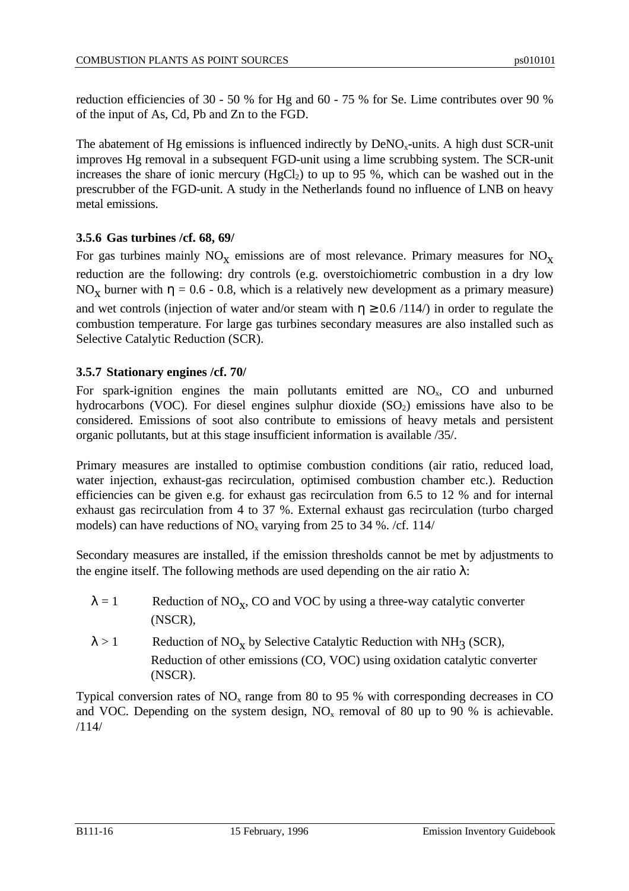reduction efficiencies of 30 - 50 % for Hg and 60 - 75 % for Se. Lime contributes over 90 % of the input of As, Cd, Pb and Zn to the FGD.

The abatement of Hg emissions is influenced indirectly by  $DeNO<sub>x</sub>$ -units. A high dust SCR-unit improves Hg removal in a subsequent FGD-unit using a lime scrubbing system. The SCR-unit increases the share of ionic mercury  $(HgCl<sub>2</sub>)$  to up to 95 %, which can be washed out in the prescrubber of the FGD-unit. A study in the Netherlands found no influence of LNB on heavy metal emissions.

# **3.5.6 Gas turbines /cf. 68, 69/**

For gas turbines mainly  $NO_X$  emissions are of most relevance. Primary measures for  $NO_X$ reduction are the following: dry controls (e.g. overstoichiometric combustion in a dry low NO<sub>x</sub> burner with  $\eta = 0.6$  - 0.8, which is a relatively new development as a primary measure) and wet controls (injection of water and/or steam with  $n \ge 0.6 / 114$ ) in order to regulate the combustion temperature. For large gas turbines secondary measures are also installed such as Selective Catalytic Reduction (SCR).

#### **3.5.7 Stationary engines /cf. 70/**

For spark-ignition engines the main pollutants emitted are  $NO<sub>x</sub>$ , CO and unburned hydrocarbons (VOC). For diesel engines sulphur dioxide  $(SO<sub>2</sub>)$  emissions have also to be considered. Emissions of soot also contribute to emissions of heavy metals and persistent organic pollutants, but at this stage insufficient information is available /35/.

Primary measures are installed to optimise combustion conditions (air ratio, reduced load, water injection, exhaust-gas recirculation, optimised combustion chamber etc.). Reduction efficiencies can be given e.g. for exhaust gas recirculation from 6.5 to 12 % and for internal exhaust gas recirculation from 4 to 37 %. External exhaust gas recirculation (turbo charged models) can have reductions of  $NO<sub>x</sub>$  varying from 25 to 34 %. /cf. 114/

Secondary measures are installed, if the emission thresholds cannot be met by adjustments to the engine itself. The following methods are used depending on the air ratio  $\lambda$ :

- $\lambda = 1$  Reduction of NO<sub>X</sub>, CO and VOC by using a three-way catalytic converter (NSCR),
- $\lambda > 1$  Reduction of NO<sub>X</sub> by Selective Catalytic Reduction with NH<sub>3</sub> (SCR), Reduction of other emissions (CO, VOC) using oxidation catalytic converter (NSCR).

Typical conversion rates of  $NO<sub>x</sub>$  range from 80 to 95 % with corresponding decreases in CO and VOC. Depending on the system design,  $NO<sub>x</sub>$  removal of 80 up to 90 % is achievable. /114/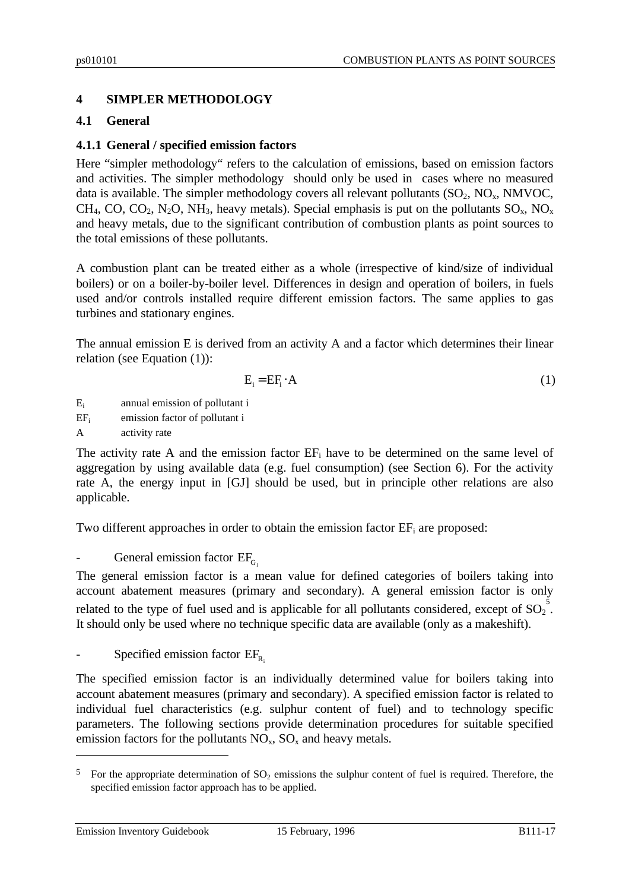# **4 SIMPLER METHODOLOGY**

#### **4.1 General**

#### **4.1.1 General / specified emission factors**

Here "simpler methodology" refers to the calculation of emissions, based on emission factors and activities. The simpler methodology should only be used in cases where no measured data is available. The simpler methodology covers all relevant pollutants  $(SO_2, NO_x, NMVOC,$ CH<sub>4</sub>, CO, CO<sub>2</sub>, N<sub>2</sub>O, NH<sub>3</sub>, heavy metals). Special emphasis is put on the pollutants  $SO_x$ , NO<sub>x</sub> and heavy metals, due to the significant contribution of combustion plants as point sources to the total emissions of these pollutants.

A combustion plant can be treated either as a whole (irrespective of kind/size of individual boilers) or on a boiler-by-boiler level. Differences in design and operation of boilers, in fuels used and/or controls installed require different emission factors. The same applies to gas turbines and stationary engines.

The annual emission E is derived from an activity A and a factor which determines their linear relation (see Equation (1)):

$$
E_i = EF_i \cdot A \tag{1}
$$

E<sup>i</sup> annual emission of pollutant i

EF<sub>i</sub> emission factor of pollutant i

A activity rate

The activity rate A and the emission factor  $EF_i$  have to be determined on the same level of aggregation by using available data (e.g. fuel consumption) (see Section 6). For the activity rate A, the energy input in [GJ] should be used, but in principle other relations are also applicable.

Two different approaches in order to obtain the emission factor  $E\mathbf{F}_i$  are proposed:

General emission factor  $EF<sub>G</sub>$ .

The general emission factor is a mean value for defined categories of boilers taking into account abatement measures (primary and secondary). A general emission factor is only related to the type of fuel used and is applicable for all pollutants considered, except of  ${SO_2}^5$ . It should only be used where no technique specific data are available (only as a makeshift).

Specified emission factor  $EF_{R}$ 

The specified emission factor is an individually determined value for boilers taking into account abatement measures (primary and secondary). A specified emission factor is related to individual fuel characteristics (e.g. sulphur content of fuel) and to technology specific parameters. The following sections provide determination procedures for suitable specified emission factors for the pollutants  $NO<sub>x</sub>$ ,  $SO<sub>x</sub>$  and heavy metals.

Emission Inventory Guidebook 15 February, 1996 B111-17

 $\overline{a}$ 

<sup>&</sup>lt;sup>5</sup> For the appropriate determination of  $SO_2$  emissions the sulphur content of fuel is required. Therefore, the specified emission factor approach has to be applied.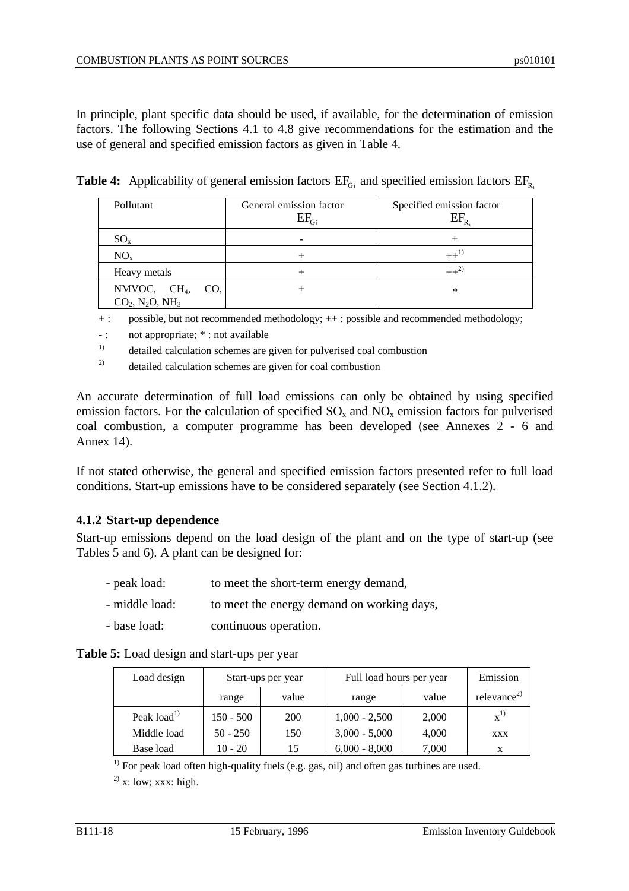In principle, plant specific data should be used, if available, for the determination of emission factors. The following Sections 4.1 to 4.8 give recommendations for the estimation and the use of general and specified emission factors as given in Table 4.

| Pollutant                                                            | General emission factor<br>$\mathrm{EF}_{\mathrm{G}_{\mathrm{i}}}$ | Specified emission factor |
|----------------------------------------------------------------------|--------------------------------------------------------------------|---------------------------|
| $SO_{x}$                                                             |                                                                    |                           |
| NO <sub>x</sub>                                                      |                                                                    | $++^{1)}$                 |
| Heavy metals                                                         |                                                                    | $++^{2)}$                 |
| NMVOC, $CH_4$ ,<br>CO.<br>$CO_2$ , N <sub>2</sub> O, NH <sub>3</sub> |                                                                    | $\ast$                    |

**Table 4:** Applicability of general emission factors  $EF_{G_i}$  and specified emission factors  $EF_{R_i}$ 

+ : possible, but not recommended methodology; ++ : possible and recommended methodology;

-: not appropriate;  $*$ : not available

<sup>1)</sup> detailed calculation schemes are given for pulverised coal combustion

<sup>2)</sup> detailed calculation schemes are given for coal combustion

An accurate determination of full load emissions can only be obtained by using specified emission factors. For the calculation of specified  $SO_x$  and  $NO_x$  emission factors for pulverised coal combustion, a computer programme has been developed (see Annexes 2 - 6 and Annex 14).

If not stated otherwise, the general and specified emission factors presented refer to full load conditions. Start-up emissions have to be considered separately (see Section 4.1.2).

#### **4.1.2 Start-up dependence**

Start-up emissions depend on the load design of the plant and on the type of start-up (see Tables 5 and 6). A plant can be designed for:

- peak load: to meet the short-term energy demand,
- middle load: to meet the energy demand on working days,
- base load: continuous operation.

| Table 5: Load design and start-ups per year |  |  |
|---------------------------------------------|--|--|
|---------------------------------------------|--|--|

| Load design             | Start-ups per year |       | Full load hours per year | Emission |                         |
|-------------------------|--------------------|-------|--------------------------|----------|-------------------------|
|                         | range              | value | range                    | value    | relevance <sup>2)</sup> |
| Peak load <sup>1)</sup> | $150 - 500$        | 200   | $1,000 - 2,500$          | 2,000    | $\mathbf{x}^{(1)}$      |
| Middle load             | $50 - 250$         | 150   | $3,000 - 5,000$          | 4,000    | XXX                     |
| Base load               | $10 - 20$          | 15    | $6,000 - 8,000$          | 7,000    |                         |

<sup>1)</sup> For peak load often high-quality fuels (e.g. gas, oil) and often gas turbines are used.

 $^{2)}$  x: low; xxx: high.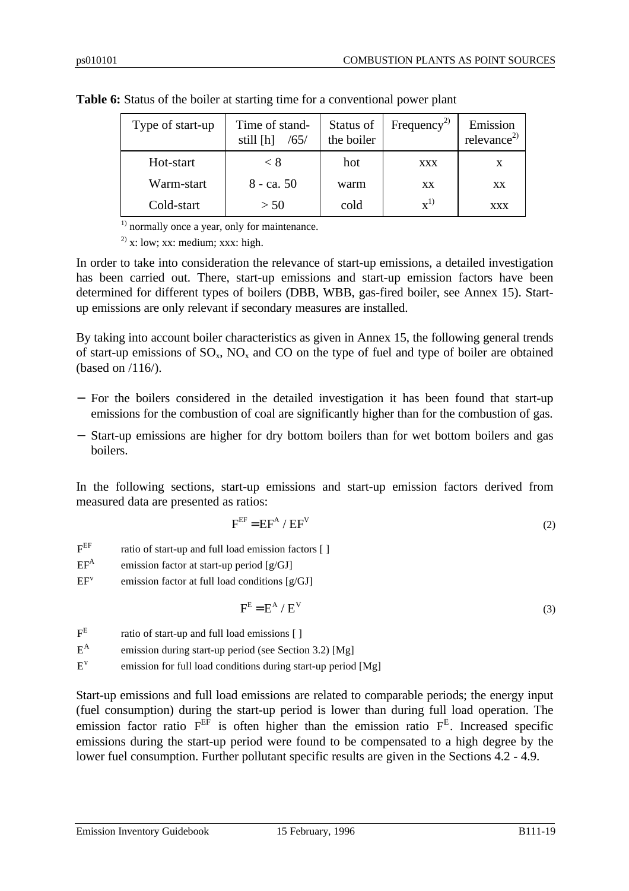| Type of start-up | Time of stand-<br>still [h]<br>/65/ | Status of<br>the boiler | Frequency <sup>2)</sup> | Emission<br>relevance <sup>2)</sup> |
|------------------|-------------------------------------|-------------------------|-------------------------|-------------------------------------|
| Hot-start        | < 8                                 | hot                     | <b>XXX</b>              | X                                   |
| Warm-start       | $8 - ca. 50$                        | warm                    | XX                      | <b>XX</b>                           |
| Cold-start       | > 50                                | cold                    | $\mathbf{x}^{1}$        | <b>XXX</b>                          |

**Table 6:** Status of the boiler at starting time for a conventional power plant

 $<sup>1)</sup>$  normally once a year, only for maintenance.</sup>

<sup>2)</sup> x: low; xx: medium; xxx: high.

In order to take into consideration the relevance of start-up emissions, a detailed investigation has been carried out. There, start-up emissions and start-up emission factors have been determined for different types of boilers (DBB, WBB, gas-fired boiler, see Annex 15). Startup emissions are only relevant if secondary measures are installed.

By taking into account boiler characteristics as given in Annex 15, the following general trends of start-up emissions of  $SO_x$ ,  $NO_x$  and  $CO$  on the type of fuel and type of boiler are obtained (based on /116/).

- − For the boilers considered in the detailed investigation it has been found that start-up emissions for the combustion of coal are significantly higher than for the combustion of gas.
- − Start-up emissions are higher for dry bottom boilers than for wet bottom boilers and gas boilers.

In the following sections, start-up emissions and start-up emission factors derived from measured data are presented as ratios:

$$
F^{EF} = EF^A / EF^V
$$
 (2)

- $E^{EF}$ ratio of start-up and full load emission factors  $[ ]$
- $EF^A$ emission factor at start-up period [g/GJ]
- $EF<sup>v</sup>$ emission factor at full load conditions [g/GJ]

$$
F^{E} = E^{A} / E^{V}
$$
 (3)

 $F^E$ ratio of start-up and full load emissions [ ]

E A emission during start-up period (see Section 3.2) [Mg]

E v emission for full load conditions during start-up period [Mg]

Start-up emissions and full load emissions are related to comparable periods; the energy input (fuel consumption) during the start-up period is lower than during full load operation. The emission factor ratio F<sup>EF</sup> is often higher than the emission ratio F<sup>E</sup>. Increased specific emissions during the start-up period were found to be compensated to a high degree by the lower fuel consumption. Further pollutant specific results are given in the Sections 4.2 - 4.9.

Emission Inventory Guidebook 15 February, 1996 B111-19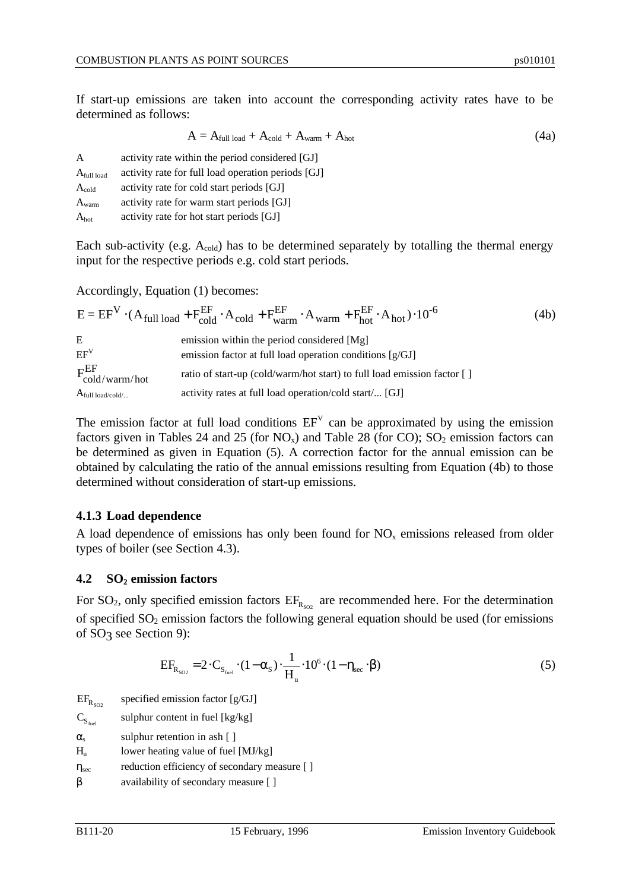If start-up emissions are taken into account the corresponding activity rates have to be determined as follows:

$$
A = A_{\text{full load}} + A_{\text{cold}} + A_{\text{warm}} + A_{\text{hot}}
$$
 (4a)

| A                 | activity rate within the period considered [GJ]    |
|-------------------|----------------------------------------------------|
| $A_{full load}$   | activity rate for full load operation periods [GJ] |
| $A_{\text{cold}}$ | activity rate for cold start periods [GJ]          |
| $A_{warm}$        | activity rate for warm start periods [GJ]          |
| $A_{hot}$         | activity rate for hot start periods [GJ]           |

Each sub-activity (e.g. A<sub>cold</sub>) has to be determined separately by totalling the thermal energy input for the respective periods e.g. cold start periods.

Accordingly, Equation (1) becomes:

|                          | $E = EF^{V} \cdot (A_{full load} + F_{cold}^{EF} \cdot A_{cold} + F_{warm}^{EF} \cdot A_{warm} + F_{hot}^{EF} \cdot A_{hot}) \cdot 10^{-6}$ | (4b) |
|--------------------------|---------------------------------------------------------------------------------------------------------------------------------------------|------|
| E                        | emission within the period considered [Mg]                                                                                                  |      |
| $EF^V$                   | emission factor at full load operation conditions $[g/GJ]$                                                                                  |      |
| $F_{cold/warm/hot}^{EF}$ | ratio of start-up (cold/warm/hot start) to full load emission factor []                                                                     |      |
| $A_{full load/cold/}$    | activity rates at full load operation/cold start/ [GJ]                                                                                      |      |

The emission factor at full load conditions  $EF<sup>V</sup>$  can be approximated by using the emission factors given in Tables 24 and 25 (for  $NO_x$ ) and Table 28 (for CO);  $SO_2$  emission factors can be determined as given in Equation (5). A correction factor for the annual emission can be obtained by calculating the ratio of the annual emissions resulting from Equation (4b) to those determined without consideration of start-up emissions.

#### **4.1.3 Load dependence**

A load dependence of emissions has only been found for  $NO<sub>x</sub>$  emissions released from older types of boiler (see Section 4.3).

#### **4.2 SO2 emission factors**

For SO<sub>2</sub>, only specified emission factors  $EF_{R_{SO2}}$  are recommended here. For the determination of specified  $SO_2$  emission factors the following general equation should be used (for emissions of SO<sub>3</sub> see Section 9):

$$
EF_{R_{SO2}} = 2 \cdot C_{S_{\text{fuel}}} \cdot (1 - \alpha_{\text{s}}) \cdot \frac{1}{H_{\text{u}}} \cdot 10^{6} \cdot (1 - \eta_{\text{sec}} \cdot \beta)
$$
 (5)

 $EF_{R_{SO}}$ specified emission factor [g/GJ]

 $C_{S_{\text{fuel}}}$ sulphur content in fuel [kg/kg]

 $\alpha_s$  sulphur retention in ash [ ]

 $H<sub>u</sub>$  lower heating value of fuel [MJ/kg]

 $η<sub>sec</sub>$  reduction efficiency of secondary measure [ ]

β availability of secondary measure [ ]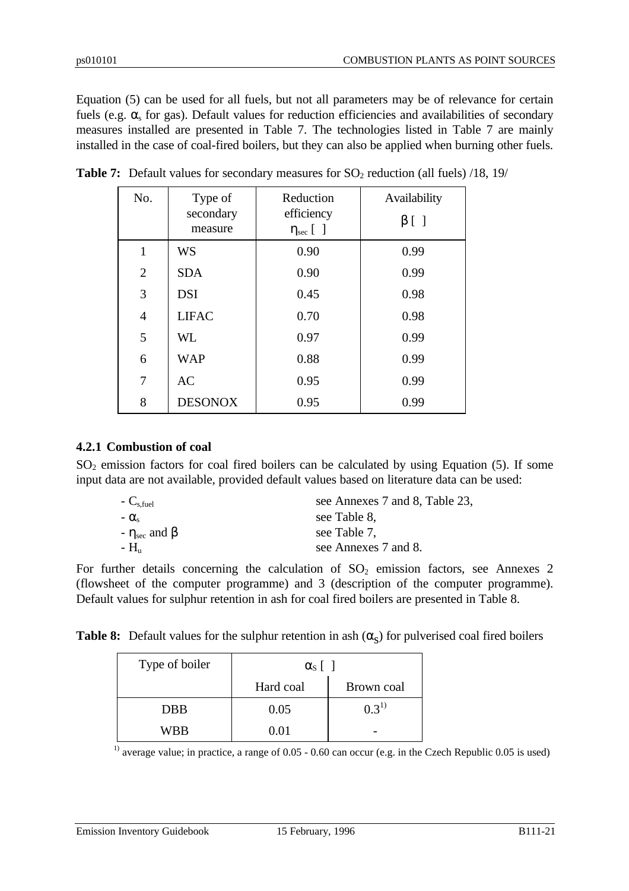Equation (5) can be used for all fuels, but not all parameters may be of relevance for certain fuels (e.g.  $\alpha_s$  for gas). Default values for reduction efficiencies and availabilities of secondary measures installed are presented in Table 7. The technologies listed in Table 7 are mainly installed in the case of coal-fired boilers, but they can also be applied when burning other fuels.

| No.            | Type of<br>secondary<br>measure | Reduction<br>efficiency<br>$\eta_{\rm sec}$ [ ] | Availability<br>$\beta$ [ ] |
|----------------|---------------------------------|-------------------------------------------------|-----------------------------|
| 1              | <b>WS</b>                       | 0.90                                            | 0.99                        |
| $\overline{2}$ | <b>SDA</b>                      | 0.90                                            | 0.99                        |
| 3              | <b>DSI</b>                      | 0.45                                            | 0.98                        |
| $\overline{4}$ | <b>LIFAC</b>                    | 0.70                                            | 0.98                        |
| 5              | <b>WL</b>                       | 0.97                                            | 0.99                        |
| 6              | <b>WAP</b>                      | 0.88                                            | 0.99                        |
| 7              | <b>AC</b>                       | 0.95                                            | 0.99                        |
| 8              | <b>DESONOX</b>                  | 0.95                                            | 0.99                        |

|  | <b>Table 7:</b> Default values for secondary measures for $SO_2$ reduction (all fuels) /18, 19/ |  |
|--|-------------------------------------------------------------------------------------------------|--|
|  |                                                                                                 |  |

# **4.2.1 Combustion of coal**

 $SO<sub>2</sub>$  emission factors for coal fired boilers can be calculated by using Equation (5). If some input data are not available, provided default values based on literature data can be used:

| see Annexes 7 and 8, Table 23, |
|--------------------------------|
| see Table 8,                   |
| see Table 7,                   |
| see Annexes 7 and 8.           |
|                                |

For further details concerning the calculation of  $SO_2$  emission factors, see Annexes 2 (flowsheet of the computer programme) and 3 (description of the computer programme). Default values for sulphur retention in ash for coal fired boilers are presented in Table 8.

**Table 8:** Default values for the sulphur retention in ash  $(\alpha_s)$  for pulverised coal fired boilers

| Type of boiler | $\alpha_{s}$ |            |
|----------------|--------------|------------|
|                | Hard coal    | Brown coal |
| <b>DBB</b>     | 0.05         | $0.3^{1}$  |
| WBB            | 0.01         |            |

<sup>1)</sup> average value; in practice, a range of 0.05 - 0.60 can occur (e.g. in the Czech Republic 0.05 is used)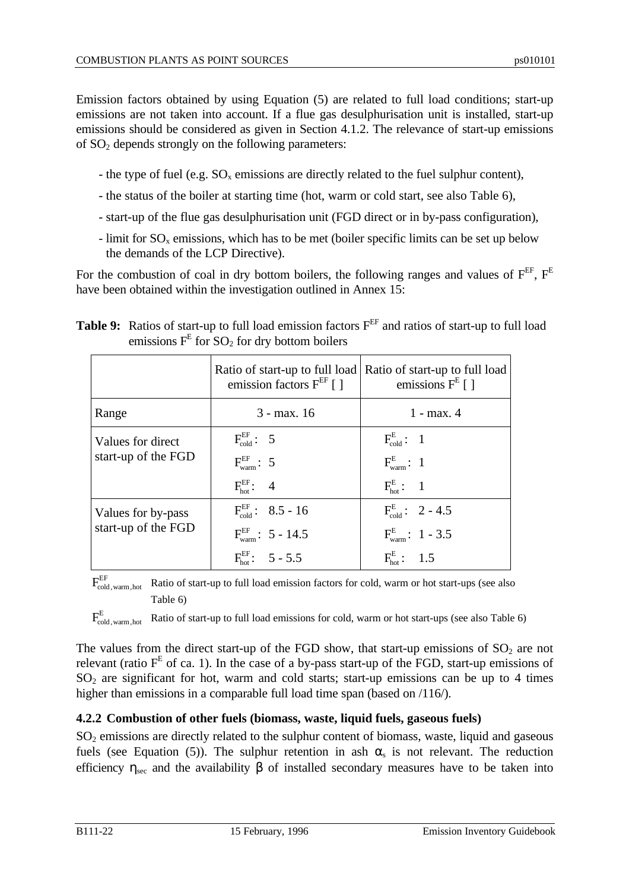Emission factors obtained by using Equation (5) are related to full load conditions; start-up emissions are not taken into account. If a flue gas desulphurisation unit is installed, start-up emissions should be considered as given in Section 4.1.2. The relevance of start-up emissions of  $SO<sub>2</sub>$  depends strongly on the following parameters:

- the type of fuel (e.g.  $SO_x$  emissions are directly related to the fuel sulphur content),
- the status of the boiler at starting time (hot, warm or cold start, see also Table 6),
- start-up of the flue gas desulphurisation unit (FGD direct or in by-pass configuration),
- limit for  $SO_x$  emissions, which has to be met (boiler specific limits can be set up below the demands of the LCP Directive).

For the combustion of coal in dry bottom boilers, the following ranges and values of  $F^{EF}$ .  $F^{E}$ have been obtained within the investigation outlined in Annex 15:

|                                           | emission factors $F^{EF}$ [ ]                                                                                    | Ratio of start-up to full load Ratio of start-up to full load<br>emissions $F^E$ [ ]                     |
|-------------------------------------------|------------------------------------------------------------------------------------------------------------------|----------------------------------------------------------------------------------------------------------|
| Range                                     | $3 - max. 16$                                                                                                    | $1 - max. 4$                                                                                             |
| Values for direct<br>start-up of the FGD  | $F_{cold}^{EF}$ : 5<br>$F_{warm}^{EF}$ : 5<br>$F_{\text{bot}}^{\text{EF}}$ : 4                                   | $F_{\rm cold}^{\rm E}$ : 1<br>$F_{\text{warm}}^{\text{E}}$ : 1<br>$F_{\text{hot}}^{\text{E}}$ : 1        |
| Values for by-pass<br>start-up of the FGD | $F_{\text{cold}}^{\text{EF}}$ : 8.5 - 16<br>$F_{\text{warm}}^{\text{EF}}$ : 5 - 14.5<br>$F_{hot}^{EF}$ : 5 - 5.5 | $F_{\rm cold}^{\rm E}$ : 2 - 4.5<br>$F_{\text{warm}}^{\text{E}}$ : 1 - 3.5<br>$F_{\text{hot}}^{E}$ : 1.5 |

**Table 9:** Ratios of start-up to full load emission factors  $F^{EF}$  and ratios of start-up to full load emissions  $F^E$  for  $SO_2$  for dry bottom boilers

 $F_{\rm cold\,, warm\,,hot}^{\rm EF}$ Ratio of start-up to full load emission factors for cold, warm or hot start-ups (see also Table 6)

 $\mathrm{F_{cold,\, warm, hot}^{E}}$ Ratio of start-up to full load emissions for cold, warm or hot start-ups (see also Table 6)

The values from the direct start-up of the FGD show, that start-up emissions of  $SO_2$  are not relevant (ratio  $F<sup>E</sup>$  of ca. 1). In the case of a by-pass start-up of the FGD, start-up emissions of  $SO<sub>2</sub>$  are significant for hot, warm and cold starts; start-up emissions can be up to 4 times higher than emissions in a comparable full load time span (based on /116/).

# **4.2.2 Combustion of other fuels (biomass, waste, liquid fuels, gaseous fuels)**

SO<sub>2</sub> emissions are directly related to the sulphur content of biomass, waste, liquid and gaseous fuels (see Equation (5)). The sulphur retention in ash  $\alpha_s$  is not relevant. The reduction efficiency  $\eta_{\text{sec}}$  and the availability  $\beta$  of installed secondary measures have to be taken into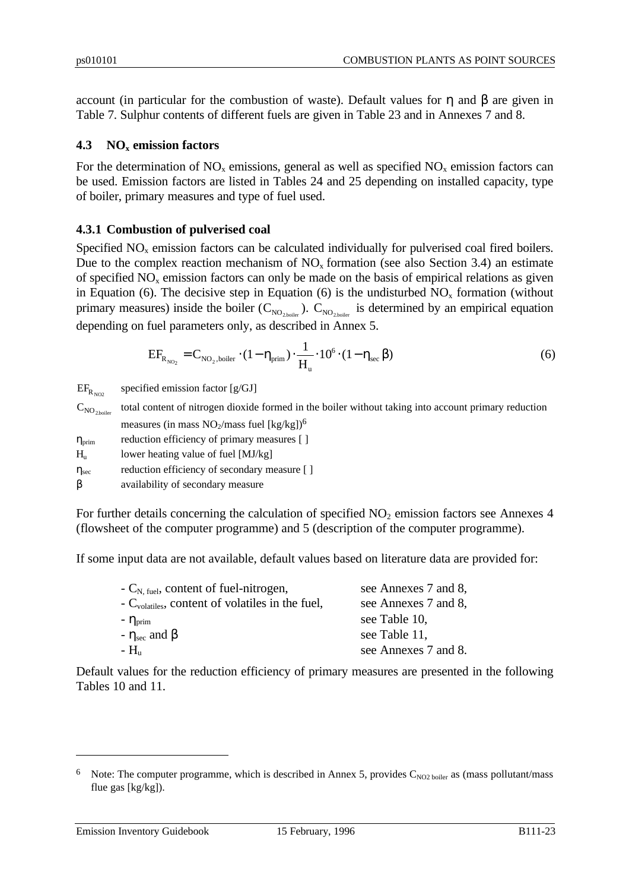account (in particular for the combustion of waste). Default values for η and β are given in Table 7. Sulphur contents of different fuels are given in Table 23 and in Annexes 7 and 8.

# **4.3 NOx emission factors**

For the determination of  $NO<sub>x</sub>$  emissions, general as well as specified  $NO<sub>x</sub>$  emission factors can be used. Emission factors are listed in Tables 24 and 25 depending on installed capacity, type of boiler, primary measures and type of fuel used.

# **4.3.1 Combustion of pulverised coal**

Specified  $NO<sub>x</sub>$  emission factors can be calculated individually for pulverised coal fired boilers. Due to the complex reaction mechanism of  $NO<sub>x</sub>$  formation (see also Section 3.4) an estimate of specified  $NO<sub>x</sub>$  emission factors can only be made on the basis of empirical relations as given in Equation (6). The decisive step in Equation (6) is the undisturbed  $NO<sub>x</sub>$  formation (without primary measures) inside the boiler ( $C_{NO_{2,boiler}}$ ).  $C_{NO_{2,boiler}}$  is determined by an empirical equation depending on fuel parameters only, as described in Annex 5.

$$
EF_{R_{NO_2}} = C_{NO_2, \text{boiler}} \cdot (1 - \eta_{\text{prim}}) \cdot \frac{1}{H_u} \cdot 10^6 \cdot (1 - \eta_{\text{sec}} \beta)
$$
 (6)

 $\mathrm{EF}_{\mathrm{R}_{\mathrm{NO2}}}$ specified emission factor [g/GJ]

 $C_{NO<sub>2</sub>boiler}$ total content of nitrogen dioxide formed in the boiler without taking into account primary reduction measures (in mass  $NO<sub>2</sub>/mass$  fuel [kg/kg])<sup>6</sup>

 $\eta_{\text{prim}}$  reduction efficiency of primary measures [ ]  $H<sub>u</sub>$  lower heating value of fuel [MJ/kg]

 $\eta_{\text{sec}}$  reduction efficiency of secondary measure [ ]

β availability of secondary measure

For further details concerning the calculation of specified  $NO<sub>2</sub>$  emission factors see Annexes 4 (flowsheet of the computer programme) and 5 (description of the computer programme).

If some input data are not available, default values based on literature data are provided for:

| $-C_{N, fuel}$ , content of fuel-nitrogen,                   | see Annexes 7 and 8, |
|--------------------------------------------------------------|----------------------|
| - C <sub>volatiles</sub> , content of volatiles in the fuel, | see Annexes 7 and 8, |
| $ \eta_{\text{prim}}$                                        | see Table 10,        |
| $-\eta_{\text{sec}}$ and $\beta$                             | see Table 11,        |
| $- H_{\rm m}$                                                | see Annexes 7 and 8. |

Default values for the reduction efficiency of primary measures are presented in the following Tables 10 and 11.

 $\overline{a}$ 

<sup>&</sup>lt;sup>6</sup> Note: The computer programme, which is described in Annex 5, provides  $C_{NO2 \, 100}$  boiler as (mass pollutant/mass flue gas [kg/kg]).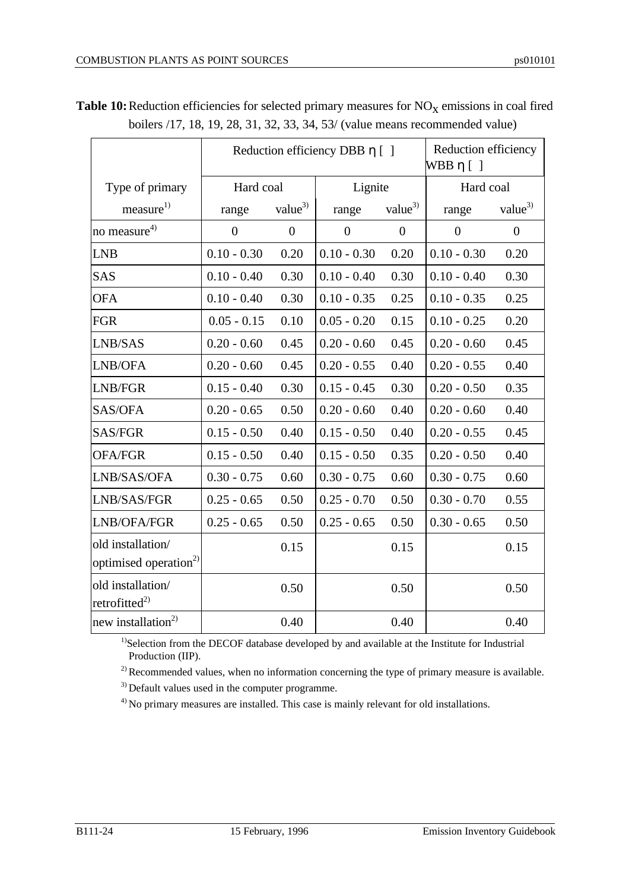|                                                        |                |                    | Reduction efficiency DBB $\eta$ [ ] |                | Reduction efficiency<br>$WBB \eta [ ]$ |                |
|--------------------------------------------------------|----------------|--------------------|-------------------------------------|----------------|----------------------------------------|----------------|
| Type of primary                                        | Hard coal      |                    | Lignite                             |                | Hard coal                              |                |
| measure <sup>1)</sup>                                  | range          | value <sup>3</sup> | range                               | value $3$      | range                                  | $value^{3}$    |
| no measure <sup>4)</sup>                               | $\overline{0}$ | $\boldsymbol{0}$   | $\overline{0}$                      | $\overline{0}$ | $\overline{0}$                         | $\overline{0}$ |
| <b>LNB</b>                                             | $0.10 - 0.30$  | 0.20               | $0.10 - 0.30$                       | 0.20           | $0.10 - 0.30$                          | 0.20           |
| <b>SAS</b>                                             | $0.10 - 0.40$  | 0.30               | $0.10 - 0.40$                       | 0.30           | $0.10 - 0.40$                          | 0.30           |
| <b>OFA</b>                                             | $0.10 - 0.40$  | 0.30               | $0.10 - 0.35$                       | 0.25           | $0.10 - 0.35$                          | 0.25           |
| <b>FGR</b>                                             | $0.05 - 0.15$  | 0.10               | $0.05 - 0.20$                       | 0.15           | $0.10 - 0.25$                          | 0.20           |
| LNB/SAS                                                | $0.20 - 0.60$  | 0.45               | $0.20 - 0.60$                       | 0.45           | $0.20 - 0.60$                          | 0.45           |
| LNB/OFA                                                | $0.20 - 0.60$  | 0.45               | $0.20 - 0.55$                       | 0.40           | $0.20 - 0.55$                          | 0.40           |
| LNB/FGR                                                | $0.15 - 0.40$  | 0.30               | $0.15 - 0.45$                       | 0.30           | $0.20 - 0.50$                          | 0.35           |
| SAS/OFA                                                | $0.20 - 0.65$  | 0.50               | $0.20 - 0.60$                       | 0.40           | $0.20 - 0.60$                          | 0.40           |
| SAS/FGR                                                | $0.15 - 0.50$  | 0.40               | $0.15 - 0.50$                       | 0.40           | $0.20 - 0.55$                          | 0.45           |
| <b>OFA/FGR</b>                                         | $0.15 - 0.50$  | 0.40               | $0.15 - 0.50$                       | 0.35           | $0.20 - 0.50$                          | 0.40           |
| LNB/SAS/OFA                                            | $0.30 - 0.75$  | 0.60               | $0.30 - 0.75$                       | 0.60           | $0.30 - 0.75$                          | 0.60           |
| LNB/SAS/FGR                                            | $0.25 - 0.65$  | 0.50               | $0.25 - 0.70$                       | 0.50           | $0.30 - 0.70$                          | 0.55           |
| LNB/OFA/FGR                                            | $0.25 - 0.65$  | 0.50               | $0.25 - 0.65$                       | 0.50           | $0.30 - 0.65$                          | 0.50           |
| old installation/<br>optimised operation <sup>2)</sup> |                | 0.15               |                                     | 0.15           |                                        | 0.15           |
| old installation/<br>retrofitted $^{2)}$               |                | 0.50               |                                     | 0.50           |                                        | 0.50           |
| new installation <sup>2)</sup>                         |                | 0.40               |                                     | 0.40           |                                        | 0.40           |

**Table 10:** Reduction efficiencies for selected primary measures for  $NO_\text{X}$  emissions in coal fired boilers /17, 18, 19, 28, 31, 32, 33, 34, 53/ (value means recommended value)

<sup>1)</sup>Selection from the DECOF database developed by and available at the Institute for Industrial Production (IIP).

 $2)$  Recommended values, when no information concerning the type of primary measure is available.

<sup>3)</sup> Default values used in the computer programme.

<sup>4)</sup> No primary measures are installed. This case is mainly relevant for old installations.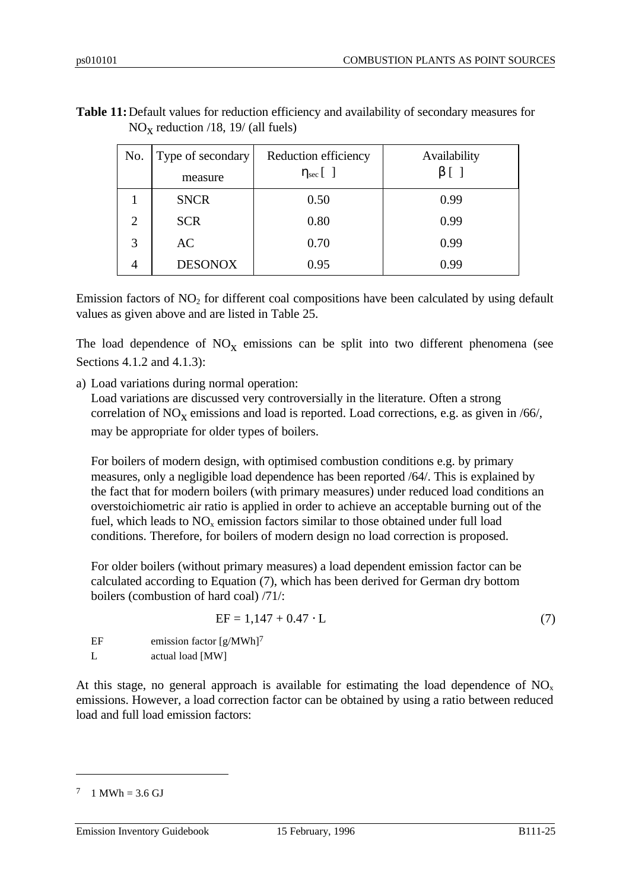| No.            | Type of secondary<br>measure | Reduction efficiency<br>$\eta_{\rm sec}$ [ ] | Availability<br>$\beta$ [ |
|----------------|------------------------------|----------------------------------------------|---------------------------|
|                | <b>SNCR</b>                  | 0.50                                         | 0.99                      |
| $\overline{2}$ | <b>SCR</b>                   | 0.80                                         | 0.99                      |
| 3              | AC                           | 0.70                                         | 0.99                      |
| 4              | <b>DESONOX</b>               | 0.95                                         | 0.99                      |

**Table 11:**Default values for reduction efficiency and availability of secondary measures for  $NO<sub>x</sub>$  reduction /18, 19/ (all fuels)

Emission factors of  $NO<sub>2</sub>$  for different coal compositions have been calculated by using default values as given above and are listed in Table 25.

The load dependence of  $NO<sub>x</sub>$  emissions can be split into two different phenomena (see Sections 4.1.2 and 4.1.3):

a) Load variations during normal operation:

Load variations are discussed very controversially in the literature. Often a strong correlation of  $NO<sub>x</sub>$  emissions and load is reported. Load corrections, e.g. as given in /66/, may be appropriate for older types of boilers.

For boilers of modern design, with optimised combustion conditions e.g. by primary measures, only a negligible load dependence has been reported /64/. This is explained by the fact that for modern boilers (with primary measures) under reduced load conditions an overstoichiometric air ratio is applied in order to achieve an acceptable burning out of the fuel, which leads to  $NO<sub>x</sub>$  emission factors similar to those obtained under full load conditions. Therefore, for boilers of modern design no load correction is proposed.

For older boilers (without primary measures) a load dependent emission factor can be calculated according to Equation (7), which has been derived for German dry bottom boilers (combustion of hard coal) /71/:

$$
EF = 1,147 + 0.47 \cdot L \tag{7}
$$

EF emission factor  $[g/MWh]^7$ L actual load [MW]

At this stage, no general approach is available for estimating the load dependence of  $NO<sub>x</sub>$ emissions. However, a load correction factor can be obtained by using a ratio between reduced load and full load emission factors:

 $\overline{a}$ 

Emission Inventory Guidebook 15 February, 1996 B111-25

 $7 \t1$  MWh = 3.6 GJ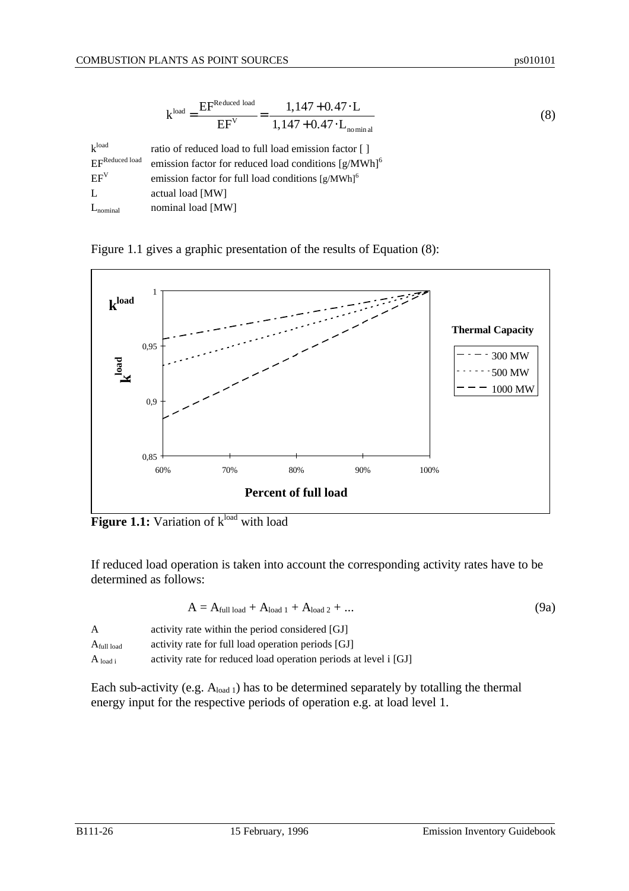$$
kload = \frac{EFReduced load}{EFV} = \frac{1,147 + 0.47 \cdot L}{1,147 + 0.47 \cdot L_{nominal}}
$$
(8)

| $k^{\text{load}}$ | ratio of reduced load to full load emission factor []            |
|-------------------|------------------------------------------------------------------|
| EFReduced load    | emission factor for reduced load conditions [g/MWh] <sup>6</sup> |
| $EF^V$            | emission factor for full load conditions [g/MWh] <sup>6</sup>    |
| Т.                | actual load [MW]                                                 |
| $L_{nominal}$     | nominal load [MW]                                                |

Figure 1.1 gives a graphic presentation of the results of Equation (8):



**Figure 1.1:** Variation of k<sup>load</sup> with load

If reduced load operation is taken into account the corresponding activity rates have to be determined as follows:

$$
A = A_{\text{full load}} + A_{\text{load 1}} + A_{\text{load 2}} + \dots \tag{9a}
$$

| A                      | activity rate within the period considered [GJ]                  |
|------------------------|------------------------------------------------------------------|
| $A_{\text{full load}}$ | activity rate for full load operation periods [GJ]               |
| $A_{load i}$           | activity rate for reduced load operation periods at level i [GJ] |

Each sub-activity (e.g.  $A_{load 1}$ ) has to be determined separately by totalling the thermal energy input for the respective periods of operation e.g. at load level 1.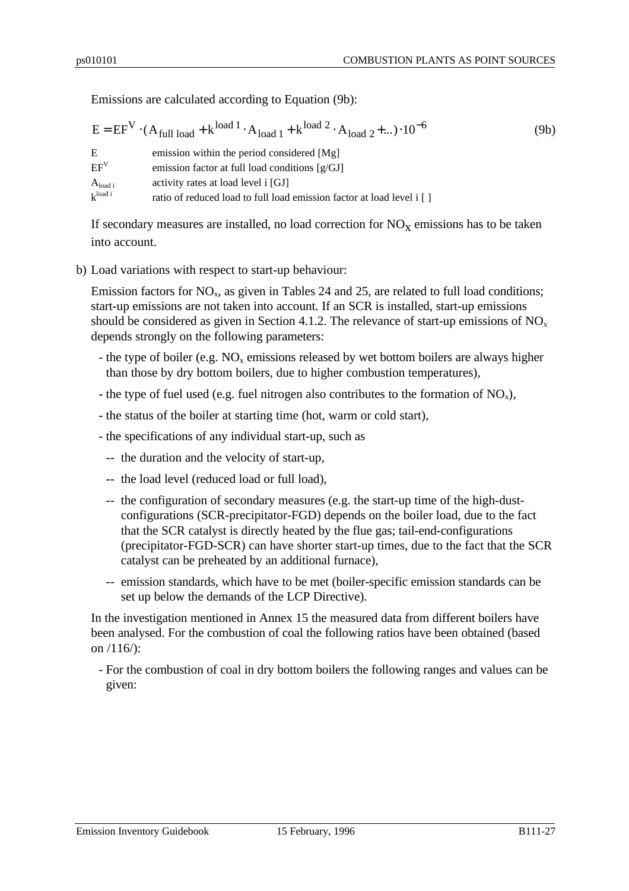Emissions are calculated according to Equation (9b):

|                     | $E = EF^{V} \cdot (A_{\text{full load}} + k^{\text{load 1}} \cdot A_{\text{load 1}} + k^{\text{load 2}} \cdot A_{\text{load 2}} + ) \cdot 10^{-6}$ | (9b) |
|---------------------|----------------------------------------------------------------------------------------------------------------------------------------------------|------|
| E.                  | emission within the period considered [Mg]                                                                                                         |      |
| $EF^V$              | emission factor at full load conditions $[g/GJ]$                                                                                                   |      |
| $A_{load i}$        | activity rates at load level i [GJ]                                                                                                                |      |
| $k^{\text{load i}}$ | ratio of reduced load to full load emission factor at load level i []                                                                              |      |

If secondary measures are installed, no load correction for  $NO_X$  emissions has to be taken into account.

b) Load variations with respect to start-up behaviour:

Emission factors for  $NO<sub>x</sub>$ , as given in Tables 24 and 25, are related to full load conditions; start-up emissions are not taken into account. If an SCR is installed, start-up emissions should be considered as given in Section 4.1.2. The relevance of start-up emissions of  $NO<sub>x</sub>$ depends strongly on the following parameters:

- the type of boiler (e.g.  $NO<sub>x</sub>$  emissions released by wet bottom boilers are always higher than those by dry bottom boilers, due to higher combustion temperatures),
- the type of fuel used (e.g. fuel nitrogen also contributes to the formation of  $NO<sub>x</sub>$ ),
- the status of the boiler at starting time (hot, warm or cold start),
- the specifications of any individual start-up, such as
	- -- the duration and the velocity of start-up,
	- -- the load level (reduced load or full load),
	- -- the configuration of secondary measures (e.g. the start-up time of the high-dustconfigurations (SCR-precipitator-FGD) depends on the boiler load, due to the fact that the SCR catalyst is directly heated by the flue gas; tail-end-configurations (precipitator-FGD-SCR) can have shorter start-up times, due to the fact that the SCR catalyst can be preheated by an additional furnace),
	- -- emission standards, which have to be met (boiler-specific emission standards can be set up below the demands of the LCP Directive).

In the investigation mentioned in Annex 15 the measured data from different boilers have been analysed. For the combustion of coal the following ratios have been obtained (based on /116/):

- For the combustion of coal in dry bottom boilers the following ranges and values can be given: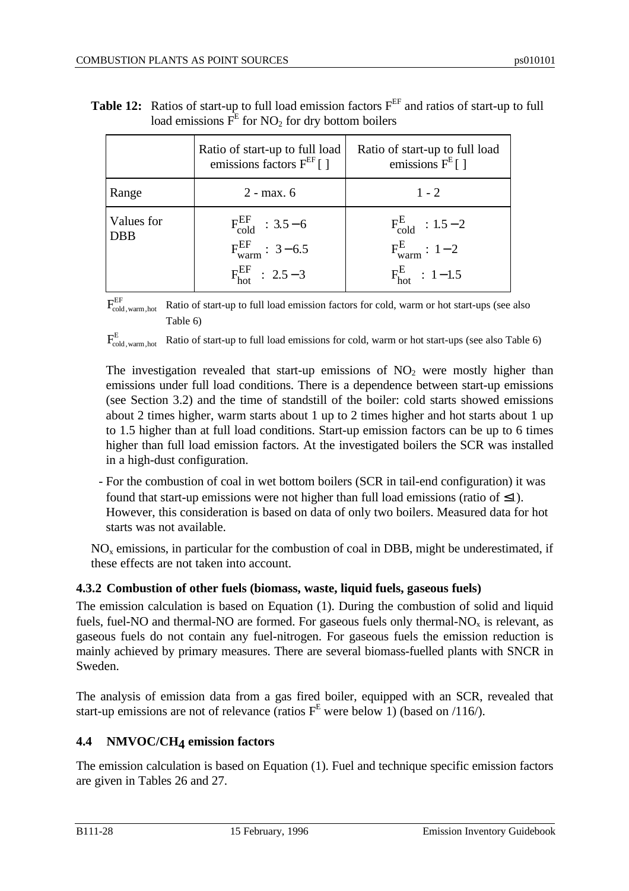|                   | Ratio of start-up to full load<br>emissions factors $F^{EF}$ [ ]                 | Ratio of start-up to full load<br>emissions $F^E$ []                            |
|-------------------|----------------------------------------------------------------------------------|---------------------------------------------------------------------------------|
| Range             | $2 - max. 6$                                                                     | $1 - 2$                                                                         |
| Values for<br>DBB | $F_{cold}^{EF}$ : 3.5 – 6<br>$F_{warm}^{EF}$ : 3-6.5<br>$F_{hot}^{EF}$ : 2.5 – 3 | $F_{\rm cold}^{\rm E}$ : 1.5 – 2<br>$F_{warm}^E$ : 1-2<br>$F_{hot}^{E}$ : 1-1.5 |

| <b>Table 12:</b> Ratios of start-up to full load emission factors $F^{EF}$ and ratios of start-up to full |
|-----------------------------------------------------------------------------------------------------------|
| load emissions $F^E$ for NO <sub>2</sub> for dry bottom boilers                                           |

 $\rm{F_{cold,\,warm\,,hot}^{EF}}$ Ratio of start-up to full load emission factors for cold, warm or hot start-ups (see also Table 6)

 $\rm{F_{cold,\,warm\,,hot}^{E}}$ Ratio of start-up to full load emissions for cold, warm or hot start-ups (see also Table 6)

The investigation revealed that start-up emissions of  $NO<sub>2</sub>$  were mostly higher than emissions under full load conditions. There is a dependence between start-up emissions (see Section 3.2) and the time of standstill of the boiler: cold starts showed emissions about 2 times higher, warm starts about 1 up to 2 times higher and hot starts about 1 up to 1.5 higher than at full load conditions. Start-up emission factors can be up to 6 times higher than full load emission factors. At the investigated boilers the SCR was installed in a high-dust configuration.

- For the combustion of coal in wet bottom boilers (SCR in tail-end configuration) it was found that start-up emissions were not higher than full load emissions (ratio of  $\leq$ 1). However, this consideration is based on data of only two boilers. Measured data for hot starts was not available.

 $NO<sub>x</sub>$  emissions, in particular for the combustion of coal in DBB, might be underestimated, if these effects are not taken into account.

# **4.3.2 Combustion of other fuels (biomass, waste, liquid fuels, gaseous fuels)**

The emission calculation is based on Equation (1). During the combustion of solid and liquid fuels, fuel-NO and thermal-NO are formed. For gaseous fuels only thermal-NO<sub>x</sub> is relevant, as gaseous fuels do not contain any fuel-nitrogen. For gaseous fuels the emission reduction is mainly achieved by primary measures. There are several biomass-fuelled plants with SNCR in Sweden.

The analysis of emission data from a gas fired boiler, equipped with an SCR, revealed that start-up emissions are not of relevance (ratios  $F<sup>E</sup>$  were below 1) (based on /116/).

# **4.4 NMVOC/CH4 emission factors**

The emission calculation is based on Equation (1). Fuel and technique specific emission factors are given in Tables 26 and 27.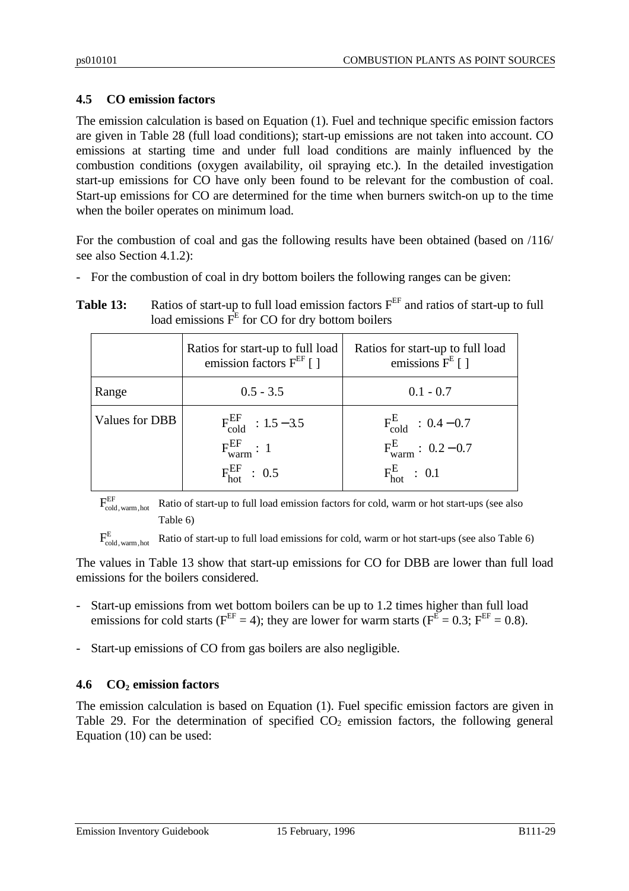# **4.5 CO emission factors**

The emission calculation is based on Equation (1). Fuel and technique specific emission factors are given in Table 28 (full load conditions); start-up emissions are not taken into account. CO emissions at starting time and under full load conditions are mainly influenced by the combustion conditions (oxygen availability, oil spraying etc.). In the detailed investigation start-up emissions for CO have only been found to be relevant for the combustion of coal. Start-up emissions for CO are determined for the time when burners switch-on up to the time when the boiler operates on minimum load.

For the combustion of coal and gas the following results have been obtained (based on /116/ see also Section 4.1.2):

- For the combustion of coal in dry bottom boilers the following ranges can be given:

| Table 13: | Ratios of start-up to full load emission factors $F^{EF}$ and ratios of start-up to full |
|-----------|------------------------------------------------------------------------------------------|
|           | load emissions $FE$ for CO for dry bottom boilers                                        |

|                | Ratios for start-up to full load<br>emission factors $F^{EF}$ [ ]                 | Ratios for start-up to full load<br>emissions $F^E$ [ ]                              |
|----------------|-----------------------------------------------------------------------------------|--------------------------------------------------------------------------------------|
| Range          | $0.5 - 3.5$                                                                       | $0.1 - 0.7$                                                                          |
| Values for DBB | $F_{\rm cold}^{\rm EF}$ : 1.5 – 3.5<br>$F_{warm}^{EF}: 1$<br>$F_{hot}^{EF}$ : 0.5 | $F_{\rm cold}^{\rm E}$ : 0.4 – 0.7<br>$F_{warm}^{E}: 0.2 - 0.7$<br>$F_{hot}^E$ : 0.1 |

 $F_{\rm cold,\,warm,\,hot}^{\rm EF}$ Ratio of start-up to full load emission factors for cold, warm or hot start-ups (see also Table 6)

 $F_{\rm cold,\,warm,\,hot}^{\rm E}$ Ratio of start-up to full load emissions for cold, warm or hot start-ups (see also Table 6)

The values in Table 13 show that start-up emissions for CO for DBB are lower than full load emissions for the boilers considered.

- Start-up emissions from wet bottom boilers can be up to 1.2 times higher than full load emissions for cold starts ( $F^{EF} = 4$ ); they are lower for warm starts ( $F^{E} = 0.3$ ;  $F^{EF} = 0.8$ ).
- Start-up emissions of CO from gas boilers are also negligible.

#### **4.6 CO2 emission factors**

The emission calculation is based on Equation (1). Fuel specific emission factors are given in Table 29. For the determination of specified  $CO<sub>2</sub>$  emission factors, the following general Equation (10) can be used: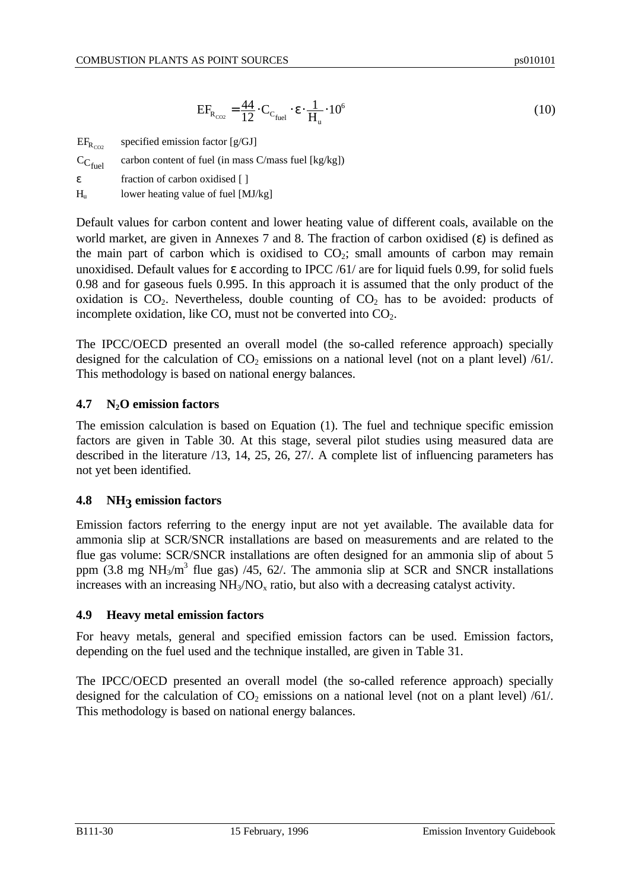$$
EF_{R_{CO2}} = \frac{44}{12} \cdot C_{C_{\text{fuel}}} \cdot \varepsilon \cdot \frac{1}{H_{u}} \cdot 10^{6}
$$
 (10)

| $EF_{R_{CO2}}$        | specified emission factor $[g/GJ]$                      |
|-----------------------|---------------------------------------------------------|
| $C_{C_{\text{fuel}}}$ | carbon content of fuel (in mass $C/m$ ass fuel [kg/kg]) |
| £.                    | fraction of carbon oxidised []                          |
| H.,                   | lower heating value of fuel [MJ/kg]                     |

Default values for carbon content and lower heating value of different coals, available on the world market, are given in Annexes 7 and 8. The fraction of carbon oxidised  $(\epsilon)$  is defined as the main part of carbon which is oxidised to  $CO<sub>2</sub>$ ; small amounts of carbon may remain unoxidised. Default values for ε according to IPCC /61/ are for liquid fuels 0.99, for solid fuels 0.98 and for gaseous fuels 0.995. In this approach it is assumed that the only product of the oxidation is  $CO<sub>2</sub>$ . Nevertheless, double counting of  $CO<sub>2</sub>$  has to be avoided: products of incomplete oxidation, like CO, must not be converted into  $CO<sub>2</sub>$ .

The IPCC/OECD presented an overall model (the so-called reference approach) specially designed for the calculation of  $CO<sub>2</sub>$  emissions on a national level (not on a plant level) /61/. This methodology is based on national energy balances.

#### **4.7 N2O emission factors**

The emission calculation is based on Equation (1). The fuel and technique specific emission factors are given in Table 30. At this stage, several pilot studies using measured data are described in the literature /13, 14, 25, 26, 27/. A complete list of influencing parameters has not yet been identified.

# **4.8 NH3 emission factors**

Emission factors referring to the energy input are not yet available. The available data for ammonia slip at SCR/SNCR installations are based on measurements and are related to the flue gas volume: SCR/SNCR installations are often designed for an ammonia slip of about 5 ppm (3.8 mg NH<sub>3</sub>/m<sup>3</sup> flue gas) /45, 62/. The ammonia slip at SCR and SNCR installations increases with an increasing  $NH<sub>3</sub>/NO<sub>x</sub>$  ratio, but also with a decreasing catalyst activity.

#### **4.9 Heavy metal emission factors**

For heavy metals, general and specified emission factors can be used. Emission factors, depending on the fuel used and the technique installed, are given in Table 31.

The IPCC/OECD presented an overall model (the so-called reference approach) specially designed for the calculation of  $CO<sub>2</sub>$  emissions on a national level (not on a plant level) /61/. This methodology is based on national energy balances.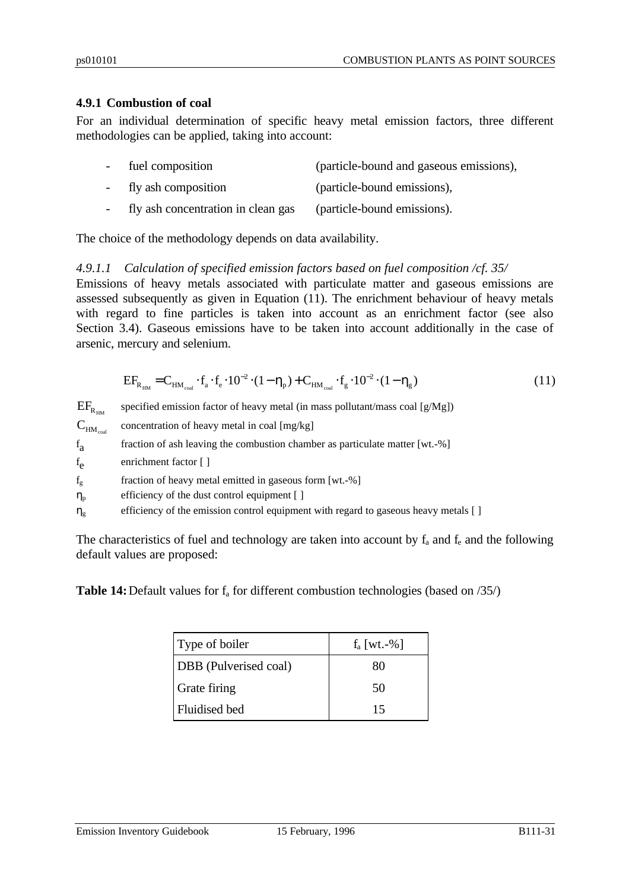#### **4.9.1 Combustion of coal**

For an individual determination of specific heavy metal emission factors, three different methodologies can be applied, taking into account:

| $\overline{\phantom{0}}$ | fuel composition                   | (particle-bound and gaseous emissions), |
|--------------------------|------------------------------------|-----------------------------------------|
|                          | fly ash composition                | (particle-bound emissions),             |
|                          | fly ash concentration in clean gas | (particle-bound emissions).             |

The choice of the methodology depends on data availability.

#### *4.9.1.1 Calculation of specified emission factors based on fuel composition /cf. 35/*

Emissions of heavy metals associated with particulate matter and gaseous emissions are assessed subsequently as given in Equation (11). The enrichment behaviour of heavy metals with regard to fine particles is taken into account as an enrichment factor (see also Section 3.4). Gaseous emissions have to be taken into account additionally in the case of arsenic, mercury and selenium.

$$
EF_{R_{HM}} = C_{HM_{coal}} \cdot f_a \cdot f_e \cdot 10^{-2} \cdot (1 - \eta_p) + C_{HM_{coal}} \cdot f_g \cdot 10^{-2} \cdot (1 - \eta_g)
$$
\n(11)

 $\rm{EF}_{R_{\rm HM}}$ specified emission factor of heavy metal (in mass pollutant/mass coal [g/Mg])  $C_{HM_{\text{cool}}}$ concentration of heavy metal in coal [mg/kg]  $f_a$ fraction of ash leaving the combustion chamber as particulate matter [wt.-%]  $f_{\rho}$ enrichment factor [ ]  $f_g$  fraction of heavy metal emitted in gaseous form [wt.-%]  $\eta_p$  efficiency of the dust control equipment [ ]  $\eta_{g}$  efficiency of the emission control equipment with regard to gaseous heavy metals [ ]

The characteristics of fuel and technology are taken into account by  $f_a$  and  $f_e$  and the following default values are proposed:

**Table 14:** Default values for  $f_a$  for different combustion technologies (based on /35/)

| Type of boiler        | $f_a$ [wt.-%] |
|-----------------------|---------------|
| DBB (Pulverised coal) | 80            |
| Grate firing          | 50            |
| Fluidised bed         | 15            |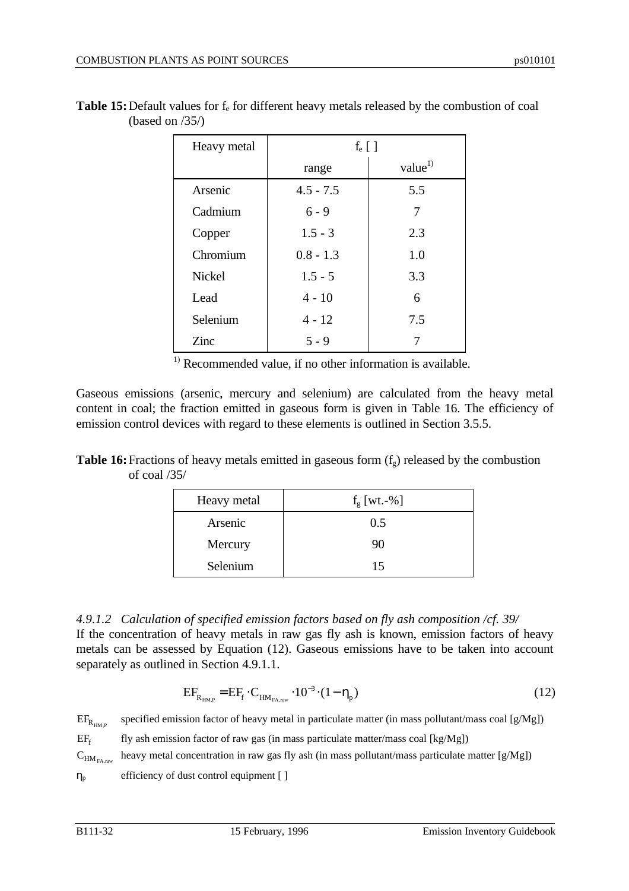| Heavy metal   | $f_e$ [ ]   |               |
|---------------|-------------|---------------|
|               | range       | value $^{1)}$ |
| Arsenic       | $4.5 - 7.5$ | 5.5           |
| Cadmium       | $6 - 9$     | 7             |
| Copper        | $1.5 - 3$   | 2.3           |
| Chromium      | $0.8 - 1.3$ | 1.0           |
| <b>Nickel</b> | $1.5 - 5$   | 3.3           |
| Lead          | $4 - 10$    | 6             |
| Selenium      | $4 - 12$    | 7.5           |
| Zinc          | $5 - 9$     |               |

**Table 15:** Default values for  $f_e$  for different heavy metals released by the combustion of coal (based on /35/)

 $\frac{1}{1}$  Recommended value, if no other information is available.

Gaseous emissions (arsenic, mercury and selenium) are calculated from the heavy metal content in coal; the fraction emitted in gaseous form is given in Table 16. The efficiency of emission control devices with regard to these elements is outlined in Section 3.5.5.

| <b>Table 16:</b> Fractions of heavy metals emitted in gaseous form $(f_g)$ released by the combustion |  |  |
|-------------------------------------------------------------------------------------------------------|--|--|
| of coal $/35/$                                                                                        |  |  |

| Heavy metal | $f_{\rm g}$ [wt.-%] |
|-------------|---------------------|
| Arsenic     | 0.5                 |
| Mercury     | 90                  |
| Selenium    | 15                  |

*4.9.1.2 Calculation of specified emission factors based on fly ash composition /cf. 39/* If the concentration of heavy metals in raw gas fly ash is known, emission factors of heavy metals can be assessed by Equation (12). Gaseous emissions have to be taken into account separately as outlined in Section 4.9.1.1.

$$
EF_{R_{HM,P}} = EF_f \cdot C_{HM_{FA,raw}} \cdot 10^{-3} \cdot (1 - \eta_p)
$$
 (12)

 $EF_{R_{H\text{M},P}}$ specified emission factor of heavy metal in particulate matter (in mass pollutant/mass coal  $[g/Mg]$ )

 $EF_{f}$ fly ash emission factor of raw gas (in mass particulate matter/mass coal [kg/Mg])

 $\mathrm{C_{HM_{FA,raw}}}$ heavy metal concentration in raw gas fly ash (in mass pollutant/mass particulate matter [g/Mg])

 $\eta_{\text{p}}$  efficiency of dust control equipment [ ]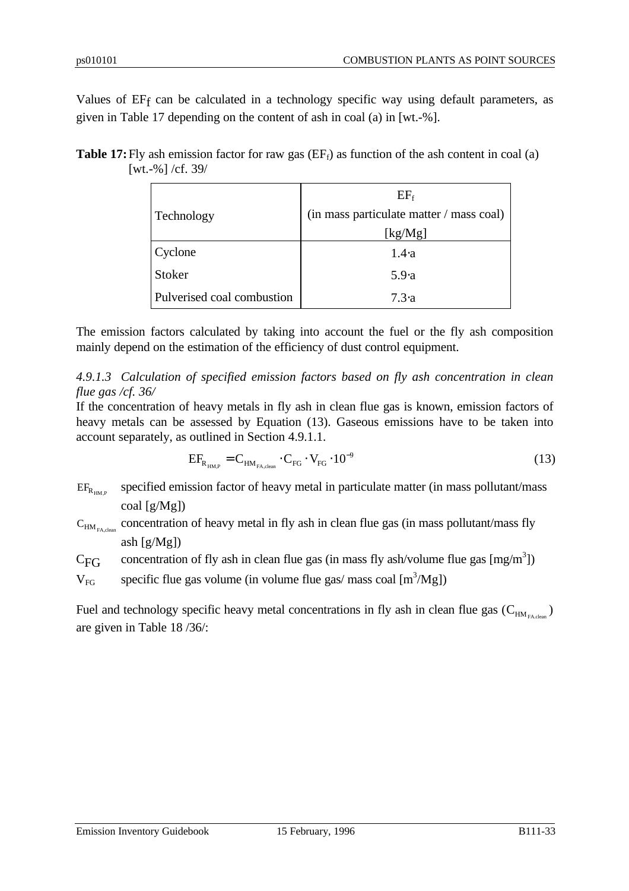Values of EF<sub>f</sub> can be calculated in a technology specific way using default parameters, as given in Table 17 depending on the content of ash in coal (a) in [wt.-%].

**Table 17:** Fly ash emission factor for raw gas  $(EF_f)$  as function of the ash content in coal (a) [wt.-%] /cf. 39/

|                            | $EF_f$                                   |
|----------------------------|------------------------------------------|
| Technology                 | (in mass particulate matter / mass coal) |
|                            | [kg/Mg]                                  |
| Cyclone                    | $1.4 \cdot a$                            |
| Stoker                     | 5.9a                                     |
| Pulverised coal combustion | 7.3 a                                    |

The emission factors calculated by taking into account the fuel or the fly ash composition mainly depend on the estimation of the efficiency of dust control equipment.

*4.9.1.3 Calculation of specified emission factors based on fly ash concentration in clean flue gas /cf. 36/*

If the concentration of heavy metals in fly ash in clean flue gas is known, emission factors of heavy metals can be assessed by Equation (13). Gaseous emissions have to be taken into account separately, as outlined in Section 4.9.1.1.

$$
EF_{R_{HMP}} = C_{H M_{FA, clean}} \cdot C_{FG} \cdot V_{FG} \cdot 10^{-9}
$$
 (13)

 $EF_{R_{\text{univ}}}$ specified emission factor of heavy metal in particulate matter (in mass pollutant/mass coal [g/Mg])

 $C_{HM_{FA,clean}}$  concentration of heavy metal in fly ash in clean flue gas (in mass pollutant/mass fly ash [g/Mg])

C<sub>FG</sub> concentration of fly ash in clean flue gas (in mass fly ash/volume flue gas  $[mg/m<sup>3</sup>]$ )

 $V_{FG}$  specific flue gas volume (in volume flue gas/ mass coal  $[m^3/Mg]$ )

Fuel and technology specific heavy metal concentrations in fly ash in clean flue gas  $(C_{HM_{FA,clean}})$ are given in Table 18 /36/: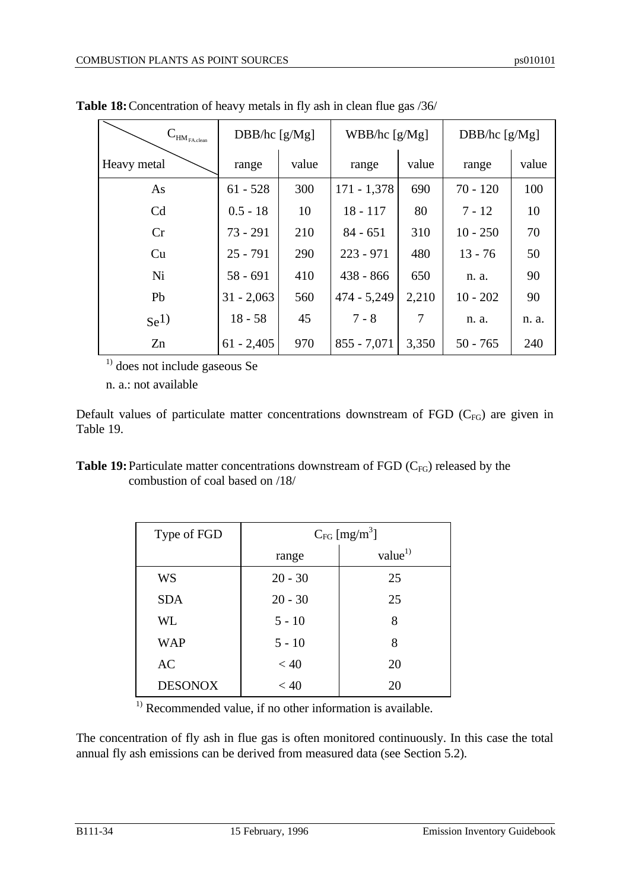| $\mathbf{C}_{\text{HM}_{\text{FA.clean}}}$ | DBB/hc $[g/Mg]$ |       | WBB/hc [g/Mg] |       | DBB/hc [g/Mg] |       |
|--------------------------------------------|-----------------|-------|---------------|-------|---------------|-------|
| Heavy metal                                | range           | value | range         | value | range         | value |
| As                                         | $61 - 528$      | 300   | $171 - 1,378$ | 690   | $70 - 120$    | 100   |
| C <sub>d</sub>                             | $0.5 - 18$      | 10    | $18 - 117$    | 80    | $7 - 12$      | 10    |
| Cr                                         | $73 - 291$      | 210   | $84 - 651$    | 310   | $10 - 250$    | 70    |
| Cu                                         | $25 - 791$      | 290   | $223 - 971$   | 480   | $13 - 76$     | 50    |
| Ni                                         | $58 - 691$      | 410   | $438 - 866$   | 650   | n. a.         | 90    |
| Pb                                         | $31 - 2,063$    | 560   | $474 - 5,249$ | 2,210 | $10 - 202$    | 90    |
| $\rm Se^{1}$                               | $18 - 58$       | 45    | $7 - 8$       | 7     | n. a.         | n. a. |
| Zn                                         | $61 - 2,405$    | 970   | $855 - 7,071$ | 3,350 | $50 - 765$    | 240   |

**Table 18:**Concentration of heavy metals in fly ash in clean flue gas /36/

 $<sup>1</sup>$  does not include gaseous Se</sup>

n. a.: not available

Default values of particulate matter concentrations downstream of FGD  $(C_{FG})$  are given in Table 19.

| <b>Table 19:</b> Particulate matter concentrations downstream of FGD $(C_{FG})$ released by the |  |
|-------------------------------------------------------------------------------------------------|--|
| combustion of coal based on /18/                                                                |  |

| Type of FGD    | $C_{FG}$ [mg/m <sup>3</sup> ] |               |  |  |
|----------------|-------------------------------|---------------|--|--|
|                | range                         | value $^{1)}$ |  |  |
| <b>WS</b>      | $20 - 30$                     | 25            |  |  |
| <b>SDA</b>     | $20 - 30$                     | 25            |  |  |
| WL             | $5 - 10$                      | 8             |  |  |
| <b>WAP</b>     | $5 - 10$                      | 8             |  |  |
| AC             | < 40                          | 20            |  |  |
| <b>DESONOX</b> | < 40                          | 20            |  |  |

 $<sup>1)</sup>$  Recommended value, if no other information is available.</sup>

The concentration of fly ash in flue gas is often monitored continuously. In this case the total annual fly ash emissions can be derived from measured data (see Section 5.2).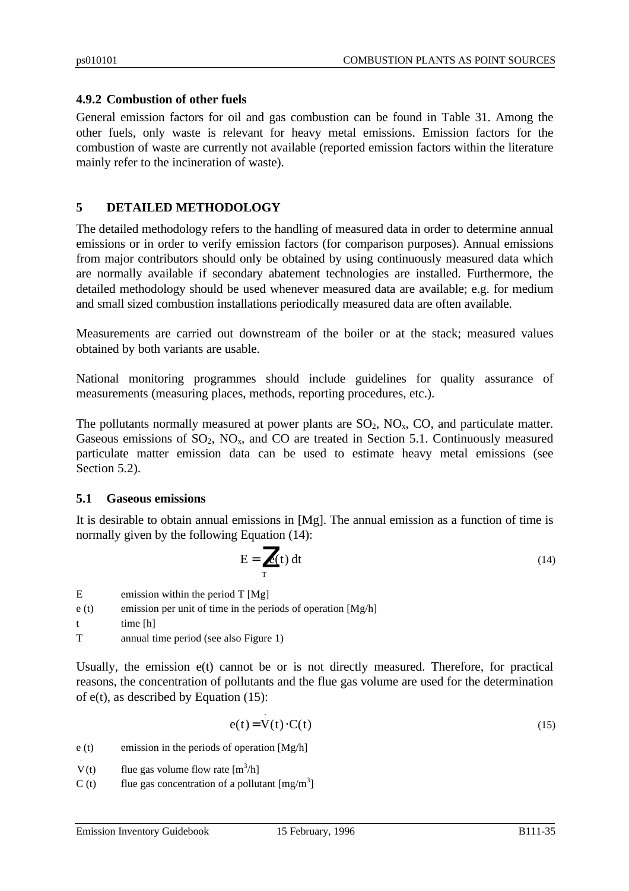### **4.9.2 Combustion of other fuels**

General emission factors for oil and gas combustion can be found in Table 31. Among the other fuels, only waste is relevant for heavy metal emissions. Emission factors for the combustion of waste are currently not available (reported emission factors within the literature mainly refer to the incineration of waste).

### **5 DETAILED METHODOLOGY**

The detailed methodology refers to the handling of measured data in order to determine annual emissions or in order to verify emission factors (for comparison purposes). Annual emissions from major contributors should only be obtained by using continuously measured data which are normally available if secondary abatement technologies are installed. Furthermore, the detailed methodology should be used whenever measured data are available; e.g. for medium and small sized combustion installations periodically measured data are often available.

Measurements are carried out downstream of the boiler or at the stack; measured values obtained by both variants are usable.

National monitoring programmes should include guidelines for quality assurance of measurements (measuring places, methods, reporting procedures, etc.).

The pollutants normally measured at power plants are  $SO_2$ ,  $NO_x$ ,  $CO$ , and particulate matter. Gaseous emissions of  $SO_2$ ,  $NO_x$ , and  $CO$  are treated in Section 5.1. Continuously measured particulate matter emission data can be used to estimate heavy metal emissions (see Section 5.2).

#### **5.1 Gaseous emissions**

It is desirable to obtain annual emissions in [Mg]. The annual emission as a function of time is normally given by the following Equation (14):

$$
E = \int_{T} e(t) dt
$$
 (14)

 $E$  emission within the period T [Mg] e (t) emission per unit of time in the periods of operation  $[Mg/h]$ t time [h] T annual time period (see also Figure 1)

Usually, the emission e(t) cannot be or is not directly measured. Therefore, for practical reasons, the concentration of pollutants and the flue gas volume are used for the determination of  $e(t)$ , as described by Equation (15):

$$
e(t) = V(t) \cdot C(t) \tag{15}
$$

e (t) emission in the periods of operation  $[Mg/h]$ 

- V ⋅ (t) flue gas volume flow rate  $[m^3/h]$
- C (t) flue gas concentration of a pollutant  $[mg/m<sup>3</sup>]$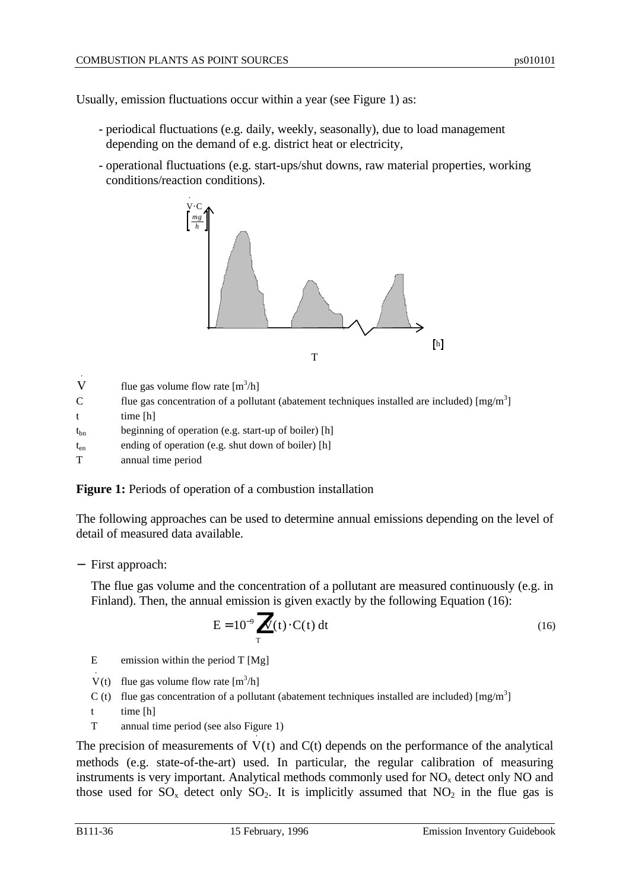Usually, emission fluctuations occur within a year (see Figure 1) as:

- periodical fluctuations (e.g. daily, weekly, seasonally), due to load management depending on the demand of e.g. district heat or electricity,
- operational fluctuations (e.g. start-ups/shut downs, raw material properties, working conditions/reaction conditions).



- $\dot{\hat{\nabla}}$ flue gas volume flow rate  $[m^3/h]$
- C flue gas concentration of a pollutant (abatement techniques installed are included)  $[\text{mg/m}^3]$
- t time [h]
- $t_{bn}$  beginning of operation (e.g. start-up of boiler) [h]
- ten ending of operation (e.g. shut down of boiler) [h]
- T annual time period

**Figure 1:** Periods of operation of a combustion installation

The following approaches can be used to determine annual emissions depending on the level of detail of measured data available.

− First approach:

The flue gas volume and the concentration of a pollutant are measured continuously (e.g. in Finland). Then, the annual emission is given exactly by the following Equation (16):

$$
E = 10^{-9} \int_{T} V(t) \cdot C(t) dt
$$
 (16)

E emission within the period T [Mg]

- V(t) flue gas volume flow rate  $[m^3/h]$ ⋅
- C (t) flue gas concentration of a pollutant (abatement techniques installed are included)  $[mg/m<sup>3</sup>]$
- t time [h]
- T annual time period (see also Figure 1)

The precision of measurements of  $V(t)$  and  $C(t)$  depends on the performance of the analytical ⋅ methods (e.g. state-of-the-art) used. In particular, the regular calibration of measuring instruments is very important. Analytical methods commonly used for  $NO<sub>x</sub>$  detect only NO and those used for  $SO_x$  detect only  $SO_2$ . It is implicitly assumed that  $NO_2$  in the flue gas is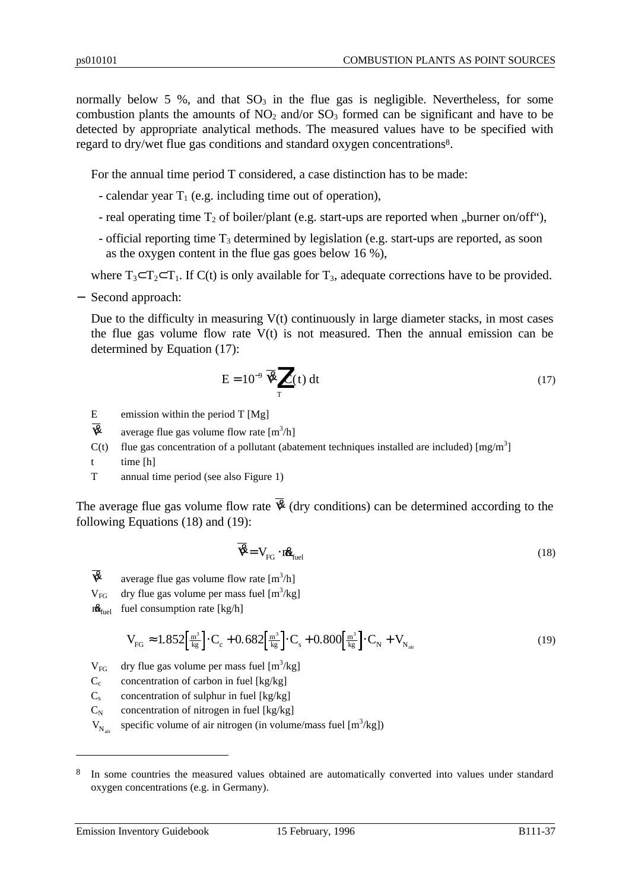normally below 5 %, and that  $SO_3$  in the flue gas is negligible. Nevertheless, for some combustion plants the amounts of  $NO_2$  and/or  $SO_3$  formed can be significant and have to be detected by appropriate analytical methods. The measured values have to be specified with regard to dry/wet flue gas conditions and standard oxygen concentrations<sup>8</sup>.

For the annual time period T considered, a case distinction has to be made:

- calendar year  $T_1$  (e.g. including time out of operation),
- real operating time  $T_2$  of boiler/plant (e.g. start-ups are reported when "burner on/off"),
- official reporting time  $T_3$  determined by legislation (e.g. start-ups are reported, as soon as the oxygen content in the flue gas goes below 16 %),

where  $T_3 \subset T_2 \subset T_1$ . If C(t) is only available for  $T_3$ , adequate corrections have to be provided.

− Second approach:

Due to the difficulty in measuring  $V(t)$  continuously in large diameter stacks, in most cases the flue gas volume flow rate  $V(t)$  is not measured. Then the annual emission can be determined by Equation (17):

$$
E = 10^{-9} \overline{\mathbf{\mathcal{B}}}_{T} \left[ C(t) dt \right]
$$
 (17)

- E emission within the period T [Mg]
- $\mathbf{\overline{R}}$  average flue gas volume flow rate  $[m^3/h]$
- $C(t)$  flue gas concentration of a pollutant (abatement techniques installed are included) [mg/m<sup>3</sup>]
- t time [h]
- T annual time period (see also Figure 1)

The average flue gas volume flow rate  $\overline{\mathcal{R}}$  (dry conditions) can be determined according to the following Equations (18) and (19):

$$
\mathbf{\overline{B}} = \mathbf{V}_{\text{FG}} \cdot \mathbf{r} \mathbf{\underline{B}}_{\text{fuel}} \tag{18}
$$

- $\mathbf{\overline{R}}$  average flue gas volume flow rate  $[m^3/h]$
- $V_{FG}$  dry flue gas volume per mass fuel [m<sup>3</sup>/kg]
- $m_{\text{final}}$  fuel consumption rate [kg/h]

$$
V_{FG} \approx 1.852 \left[ \frac{m^3}{kg} \right] \cdot C_c + 0.682 \left[ \frac{m^3}{kg} \right] \cdot C_s + 0.800 \left[ \frac{m^3}{kg} \right] \cdot C_N + V_{N_{air}} \tag{19}
$$

 $V_{FG}$  dry flue gas volume per mass fuel [m<sup>3</sup>/kg]

- $C_c$  concentration of carbon in fuel [kg/kg]
- $C_s$  concentration of sulphur in fuel [kg/kg]
- $C_N$  concentration of nitrogen in fuel [kg/kg]

 $V_{N_{air}}$ specific volume of air nitrogen (in volume/mass fuel  $[m^3/kg]$ )

 $\overline{a}$ 

<sup>&</sup>lt;sup>8</sup> In some countries the measured values obtained are automatically converted into values under standard oxygen concentrations (e.g. in Germany).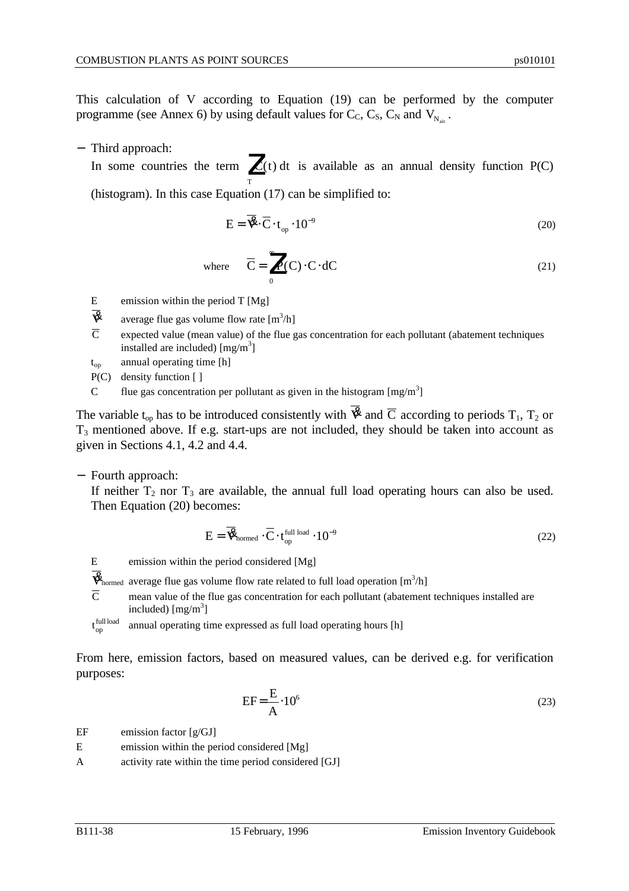This calculation of V according to Equation (19) can be performed by the computer programme (see Annex 6) by using default values for  $C_c$ ,  $C_s$ ,  $C_N$  and  $V_{N_{air}}$ .

− Third approach:

In some countries the term  $\int C(t) dt$  is available as an annual density function P(C) T Z<br>T (histogram). In this case Equation (17) can be simplified to:

$$
E = \overline{\mathbf{\mathcal{R}}}\cdot\overline{C}\cdot t_{op} \cdot 10^{-9}
$$
 (20)

where 
$$
\overline{C} = \int_{0}^{\infty} P(C) \cdot C \cdot dC
$$
 (21)

- E emission within the period T [Mg]
- $\overline{\mathbf{\mathcal{R}}}$  average flue gas volume flow rate  $[m^3/h]$
- $\overline{C}$  expected value (mean value) of the flue gas concentration for each pollutant (abatement techniques installed are included)  $[mg/m<sup>3</sup>]$
- t<sub>op</sub> annual operating time [h]
- P(C) density function [ ]
- C flue gas concentration per pollutant as given in the histogram  $[mg/m<sup>3</sup>]$

The variable t<sub>op</sub> has to be introduced consistently with  $\overline{\mathbf{\mathcal{R}}}$  and  $\overline{\mathbf{C}}$  according to periods T<sub>1</sub>, T<sub>2</sub> or  $T<sub>3</sub>$  mentioned above. If e.g. start-ups are not included, they should be taken into account as given in Sections 4.1, 4.2 and 4.4.

− Fourth approach:

If neither  $T_2$  nor  $T_3$  are available, the annual full load operating hours can also be used. Then Equation (20) becomes:

$$
E = \overline{\mathbf{\mathcal{R}}}_{\text{normed}} \cdot \overline{C} \cdot t_{\text{op}}^{\text{full load}} \cdot 10^{-9}
$$
 (22)

- E emission within the period considered [Mg]
- $\vec{\mathbf{R}}_{\text{normed}}$  average flue gas volume flow rate related to full load operation  $[m^3/h]$
- $\overline{C}$  mean value of the flue gas concentration for each pollutant (abatement techniques installed are included)  $[mg/m^3]$
- full load op annual operating time expressed as full load operating hours [h]

From here, emission factors, based on measured values, can be derived e.g. for verification purposes:

$$
EF = \frac{E}{A} \cdot 10^6 \tag{23}
$$

EF emission factor  $[g/GJ]$ 

- E emission within the period considered [Mg]
- A activity rate within the time period considered [GJ]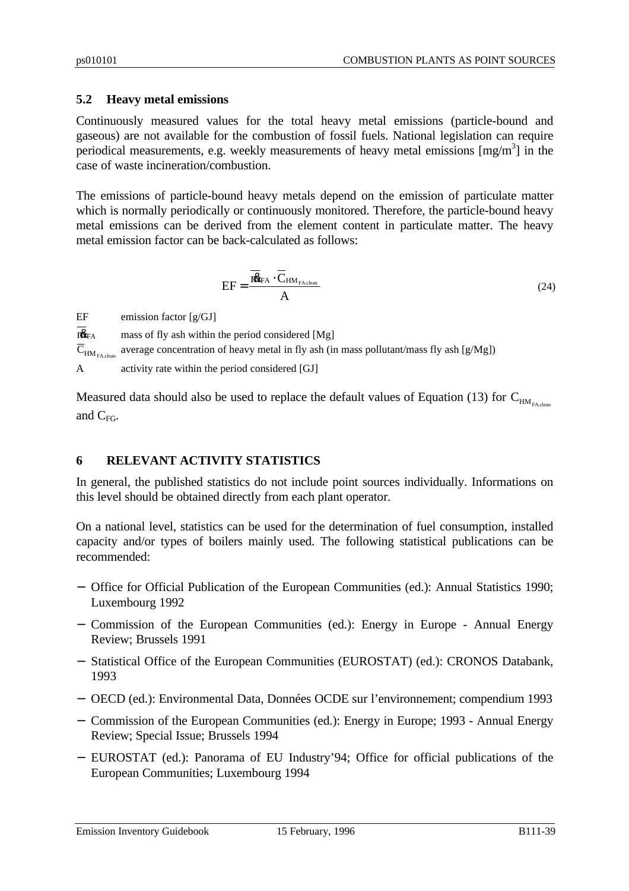# **5.2 Heavy metal emissions**

Continuously measured values for the total heavy metal emissions (particle-bound and gaseous) are not available for the combustion of fossil fuels. National legislation can require periodical measurements, e.g. weekly measurements of heavy metal emissions  $[mg/m<sup>3</sup>]$  in the case of waste incineration/combustion.

The emissions of particle-bound heavy metals depend on the emission of particulate matter which is normally periodically or continuously monitored. Therefore, the particle-bound heavy metal emissions can be derived from the element content in particulate matter. The heavy metal emission factor can be back-calculated as follows:

$$
EF = \frac{\overline{\textbf{18}}_{FA} \cdot \overline{C}_{HM_{FA,clean}}}{A}
$$
 (24)

EF emission factor [g/GJ]

 $\overline{\textbf{R}}_{FA}$  mass of fly ash within the period considered [Mg]  $\overline{\mathbf{C}}_{\text{HM}_{\text{FA.clean}}}$ average concentration of heavy metal in fly ash (in mass pollutant/mass fly ash [g/Mg]) A activity rate within the period considered [GJ]

Measured data should also be used to replace the default values of Equation (13) for  $C_{HM_{FA,chem}}$ and  $C_{FG}$ .

# **6 RELEVANT ACTIVITY STATISTICS**

In general, the published statistics do not include point sources individually. Informations on this level should be obtained directly from each plant operator.

On a national level, statistics can be used for the determination of fuel consumption, installed capacity and/or types of boilers mainly used. The following statistical publications can be recommended:

- − Office for Official Publication of the European Communities (ed.): Annual Statistics 1990; Luxembourg 1992
- − Commission of the European Communities (ed.): Energy in Europe Annual Energy Review; Brussels 1991
- − Statistical Office of the European Communities (EUROSTAT) (ed.): CRONOS Databank, 1993
- − OECD (ed.): Environmental Data, Données OCDE sur l'environnement; compendium 1993
- − Commission of the European Communities (ed.): Energy in Europe; 1993 Annual Energy Review; Special Issue; Brussels 1994
- − EUROSTAT (ed.): Panorama of EU Industry'94; Office for official publications of the European Communities; Luxembourg 1994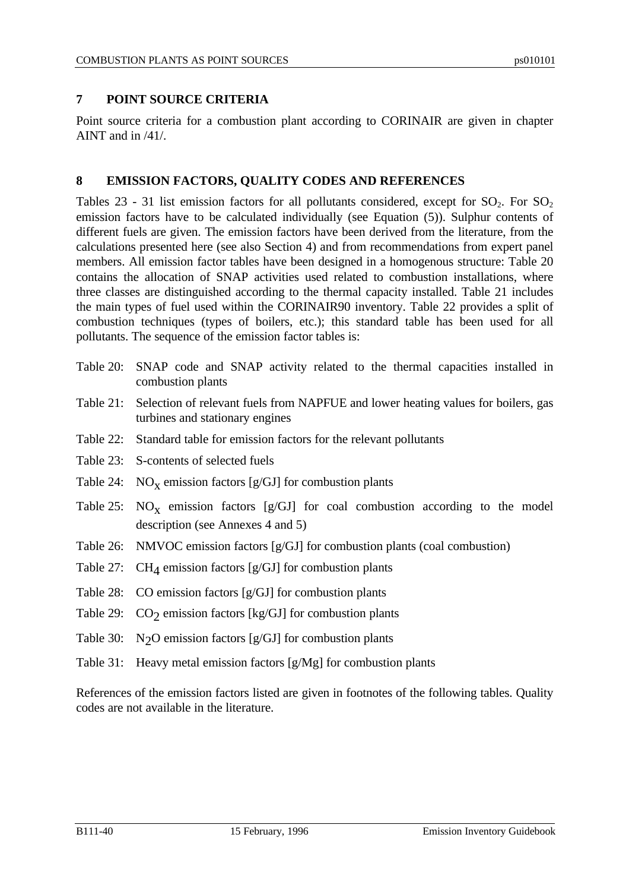# **7 POINT SOURCE CRITERIA**

Point source criteria for a combustion plant according to CORINAIR are given in chapter AINT and in /41/.

### **8 EMISSION FACTORS, QUALITY CODES AND REFERENCES**

Tables 23 - 31 list emission factors for all pollutants considered, except for  $SO_2$ . For  $SO_2$ emission factors have to be calculated individually (see Equation (5)). Sulphur contents of different fuels are given. The emission factors have been derived from the literature, from the calculations presented here (see also Section 4) and from recommendations from expert panel members. All emission factor tables have been designed in a homogenous structure: Table 20 contains the allocation of SNAP activities used related to combustion installations, where three classes are distinguished according to the thermal capacity installed. Table 21 includes the main types of fuel used within the CORINAIR90 inventory. Table 22 provides a split of combustion techniques (types of boilers, etc.); this standard table has been used for all pollutants. The sequence of the emission factor tables is:

- Table 20: SNAP code and SNAP activity related to the thermal capacities installed in combustion plants
- Table 21: Selection of relevant fuels from NAPFUE and lower heating values for boilers, gas turbines and stationary engines
- Table 22: Standard table for emission factors for the relevant pollutants
- Table 23: S-contents of selected fuels
- Table 24:  $NO<sub>X</sub>$  emission factors [g/GJ] for combustion plants
- Table 25:  $NO_X$  emission factors [g/GJ] for coal combustion according to the model description (see Annexes 4 and 5)
- Table 26: NMVOC emission factors [g/GJ] for combustion plants (coal combustion)
- Table 27:  $CH_4$  emission factors [g/GJ] for combustion plants
- Table 28: CO emission factors [g/GJ] for combustion plants
- Table 29:  $CO_2$  emission factors [kg/GJ] for combustion plants
- Table 30:  $N_2O$  emission factors [g/GJ] for combustion plants
- Table 31: Heavy metal emission factors [g/Mg] for combustion plants

References of the emission factors listed are given in footnotes of the following tables. Quality codes are not available in the literature.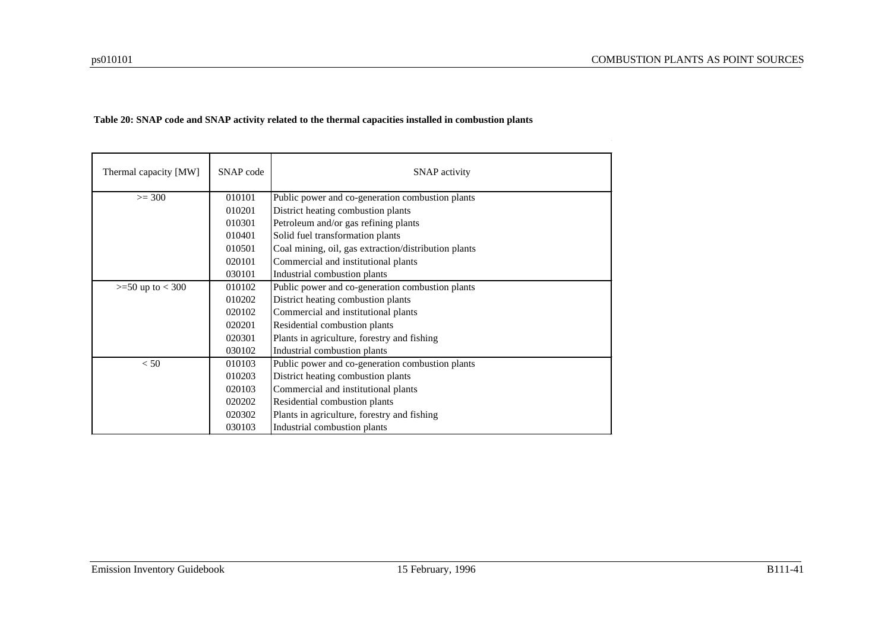#### **Table 20: SNAP code and SNAP activity related to the thermal capacities installed in combustion plants**

| Thermal capacity [MW] | SNAP code | <b>SNAP</b> activity                                 |
|-----------------------|-----------|------------------------------------------------------|
| $>= 300$              | 010101    | Public power and co-generation combustion plants     |
|                       | 010201    | District heating combustion plants                   |
|                       | 010301    | Petroleum and/or gas refining plants                 |
|                       | 010401    | Solid fuel transformation plants                     |
|                       | 010501    | Coal mining, oil, gas extraction/distribution plants |
|                       | 020101    | Commercial and institutional plants                  |
|                       | 030101    | Industrial combustion plants                         |
| $>=$ 50 up to $<$ 300 | 010102    | Public power and co-generation combustion plants     |
|                       | 010202    | District heating combustion plants                   |
|                       | 020102    | Commercial and institutional plants                  |
|                       | 020201    | Residential combustion plants                        |
|                       | 020301    | Plants in agriculture, forestry and fishing          |
|                       | 030102    | Industrial combustion plants                         |
| < 50                  | 010103    | Public power and co-generation combustion plants     |
|                       | 010203    | District heating combustion plants                   |
|                       | 020103    | Commercial and institutional plants                  |
|                       | 020202    | Residential combustion plants                        |
|                       | 020302    | Plants in agriculture, forestry and fishing          |
|                       | 030103    | Industrial combustion plants                         |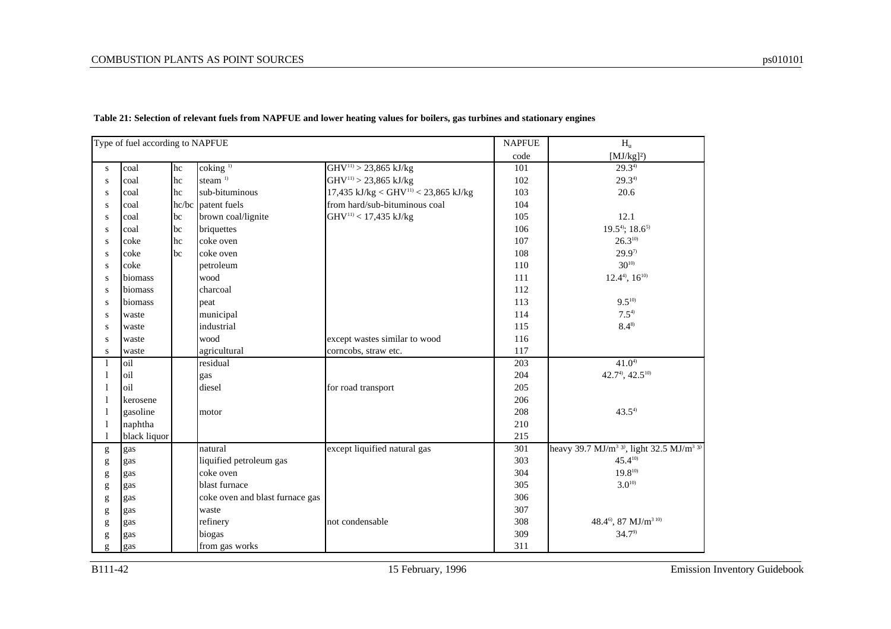|                                                                                                                                                                                                                                                                                                                                                                                                                                | Type of fuel according to NAPFUE |       |                                 |                                                  | <b>NAPFUE</b>    | $H_{\rm u}$                                                                               |
|--------------------------------------------------------------------------------------------------------------------------------------------------------------------------------------------------------------------------------------------------------------------------------------------------------------------------------------------------------------------------------------------------------------------------------|----------------------------------|-------|---------------------------------|--------------------------------------------------|------------------|-------------------------------------------------------------------------------------------|
|                                                                                                                                                                                                                                                                                                                                                                                                                                |                                  |       |                                 |                                                  | code             | $[MJ/kg]$ <sup>2</sup> )                                                                  |
| S                                                                                                                                                                                                                                                                                                                                                                                                                              | coal                             | hc    | $\cosh($ <sub>1)</sub>          | $GHV^{11}$ > 23,865 kJ/kg                        | 101              | $29.3^{4}$                                                                                |
| ${\bf S}$                                                                                                                                                                                                                                                                                                                                                                                                                      | coal                             | hc    | steam <sup>1)</sup>             | $GHV^{11}$ > 23,865 kJ/kg                        | 102              | 29.34                                                                                     |
| ${\bf S}$                                                                                                                                                                                                                                                                                                                                                                                                                      | coal                             | hc    | sub-bituminous                  | 17,435 kJ/kg < GHV <sup>11)</sup> < 23,865 kJ/kg | 103              | 20.6                                                                                      |
| ${\bf S}$                                                                                                                                                                                                                                                                                                                                                                                                                      | coal                             | hc/bc | patent fuels                    | from hard/sub-bituminous coal                    | 104              |                                                                                           |
| ${\bf S}$                                                                                                                                                                                                                                                                                                                                                                                                                      | coal                             | bc    | brown coal/lignite              | GHV <sup>11)</sup> < 17,435 kJ/kg                | 105              | 12.1                                                                                      |
| S                                                                                                                                                                                                                                                                                                                                                                                                                              | coal                             | bc    | briquettes                      |                                                  | 106              | $19.5^{4}$ ; $18.6^{5}$                                                                   |
| S                                                                                                                                                                                                                                                                                                                                                                                                                              | coke                             | hc    | coke oven                       |                                                  | 107              | $26.3^{10}$                                                                               |
| ${\bf S}$                                                                                                                                                                                                                                                                                                                                                                                                                      | coke                             | bc    | coke oven                       |                                                  | 108              | $29.9^{7}$                                                                                |
| S                                                                                                                                                                                                                                                                                                                                                                                                                              | coke                             |       | petroleum                       |                                                  | 110              | $30^{10}$                                                                                 |
| S                                                                                                                                                                                                                                                                                                                                                                                                                              | biomass                          |       | wood                            |                                                  | 111              | $12.44$ , $1610$                                                                          |
| S                                                                                                                                                                                                                                                                                                                                                                                                                              | biomass                          |       | charcoal                        |                                                  | 112              |                                                                                           |
| S                                                                                                                                                                                                                                                                                                                                                                                                                              | biomass                          |       | peat                            |                                                  | 113              | $9.5^{10}$                                                                                |
| S                                                                                                                                                                                                                                                                                                                                                                                                                              | waste                            |       | municipal                       |                                                  | 114              | $7.5^{4}$                                                                                 |
| S                                                                                                                                                                                                                                                                                                                                                                                                                              | waste                            |       | industrial                      |                                                  | 115              | $8.4^{8}$                                                                                 |
| S                                                                                                                                                                                                                                                                                                                                                                                                                              | waste                            |       | wood                            | except wastes similar to wood                    | 116              |                                                                                           |
| S                                                                                                                                                                                                                                                                                                                                                                                                                              | waste                            |       | agricultural                    | corncobs, straw etc.                             | 117              |                                                                                           |
| 1                                                                                                                                                                                                                                                                                                                                                                                                                              | oil                              |       | residual                        |                                                  | $\overline{203}$ | $41.0^{4}$                                                                                |
| 1                                                                                                                                                                                                                                                                                                                                                                                                                              | oil                              |       | gas                             |                                                  | 204              | 42.7 <sup>4</sup> , 42.5 <sup>10)</sup>                                                   |
|                                                                                                                                                                                                                                                                                                                                                                                                                                | oil                              |       | diesel                          | for road transport                               | 205              |                                                                                           |
|                                                                                                                                                                                                                                                                                                                                                                                                                                | kerosene                         |       |                                 |                                                  | 206              |                                                                                           |
|                                                                                                                                                                                                                                                                                                                                                                                                                                | gasoline                         |       | motor                           |                                                  | 208              | $43.5^{4}$                                                                                |
|                                                                                                                                                                                                                                                                                                                                                                                                                                | naphtha                          |       |                                 |                                                  | 210              |                                                                                           |
|                                                                                                                                                                                                                                                                                                                                                                                                                                | black liquor                     |       |                                 |                                                  | 215              |                                                                                           |
| g                                                                                                                                                                                                                                                                                                                                                                                                                              | gas                              |       | natural                         | except liquified natural gas                     | 301              | heavy 39.7 MJ/m <sup>3</sup> 3 <sup>9</sup> , light 32.5 MJ/m <sup>3</sup> 3 <sup>9</sup> |
| $\mathbf{g}% _{T}=\mathbf{g}_{T}=\mathbf{g}_{T}=\mathbf{g}_{T}=\mathbf{g}_{T}=\mathbf{g}_{T}=\mathbf{g}_{T}=\mathbf{g}_{T}=\mathbf{g}_{T}=\mathbf{g}_{T}=\mathbf{g}_{T}=\mathbf{g}_{T}=\mathbf{g}_{T}=\mathbf{g}_{T}=\mathbf{g}_{T}=\mathbf{g}_{T}=\mathbf{g}_{T}=\mathbf{g}_{T}=\mathbf{g}_{T}=\mathbf{g}_{T}=\mathbf{g}_{T}=\mathbf{g}_{T}=\mathbf{g}_{T}=\mathbf{g}_{T}=\mathbf{g}_{T}=\mathbf{g}_{T}=\mathbf{g}_{T}=\math$ | gas                              |       | liquified petroleum gas         |                                                  | 303              | $45.4^{10}$                                                                               |
| $\mathbf{g}% _{T}=\mathbf{g}_{T}=\mathbf{g}_{T}=\mathbf{g}_{T}=\mathbf{g}_{T}=\mathbf{g}_{T}=\mathbf{g}_{T}=\mathbf{g}_{T}=\mathbf{g}_{T}=\mathbf{g}_{T}=\mathbf{g}_{T}=\mathbf{g}_{T}=\mathbf{g}_{T}=\mathbf{g}_{T}=\mathbf{g}_{T}=\mathbf{g}_{T}=\mathbf{g}_{T}=\mathbf{g}_{T}=\mathbf{g}_{T}=\mathbf{g}_{T}=\mathbf{g}_{T}=\mathbf{g}_{T}=\mathbf{g}_{T}=\mathbf{g}_{T}=\mathbf{g}_{T}=\mathbf{g}_{T}=\mathbf{g}_{T}=\math$ | gas                              |       | coke oven                       |                                                  | 304              | $19.8^{10}$                                                                               |
| $\mathbf{g}% _{T}=\mathbf{g}_{T}=\mathbf{g}_{T}=\mathbf{g}_{T}=\mathbf{g}_{T}=\mathbf{g}_{T}=\mathbf{g}_{T}=\mathbf{g}_{T}=\mathbf{g}_{T}=\mathbf{g}_{T}=\mathbf{g}_{T}=\mathbf{g}_{T}=\mathbf{g}_{T}=\mathbf{g}_{T}=\mathbf{g}_{T}=\mathbf{g}_{T}=\mathbf{g}_{T}=\mathbf{g}_{T}=\mathbf{g}_{T}=\mathbf{g}_{T}=\mathbf{g}_{T}=\mathbf{g}_{T}=\mathbf{g}_{T}=\mathbf{g}_{T}=\mathbf{g}_{T}=\mathbf{g}_{T}=\mathbf{g}_{T}=\math$ | gas                              |       | blast furnace                   |                                                  | 305              | $3.0^{10}$                                                                                |
| $\mathbf{g}% _{T}=\mathbf{g}_{T}=\mathbf{g}_{T}=\mathbf{g}_{T}=\mathbf{g}_{T}=\mathbf{g}_{T}=\mathbf{g}_{T}=\mathbf{g}_{T}=\mathbf{g}_{T}=\mathbf{g}_{T}=\mathbf{g}_{T}=\mathbf{g}_{T}=\mathbf{g}_{T}=\mathbf{g}_{T}=\mathbf{g}_{T}=\mathbf{g}_{T}=\mathbf{g}_{T}=\mathbf{g}_{T}=\mathbf{g}_{T}=\mathbf{g}_{T}=\mathbf{g}_{T}=\mathbf{g}_{T}=\mathbf{g}_{T}=\mathbf{g}_{T}=\mathbf{g}_{T}=\mathbf{g}_{T}=\mathbf{g}_{T}=\math$ | gas                              |       | coke oven and blast furnace gas |                                                  | 306              |                                                                                           |
| $\mathbf{g}% _{T}=\mathbf{g}_{T}=\mathbf{g}_{T}=\mathbf{g}_{T}=\mathbf{g}_{T}=\mathbf{g}_{T}=\mathbf{g}_{T}=\mathbf{g}_{T}=\mathbf{g}_{T}=\mathbf{g}_{T}=\mathbf{g}_{T}=\mathbf{g}_{T}=\mathbf{g}_{T}=\mathbf{g}_{T}=\mathbf{g}_{T}=\mathbf{g}_{T}=\mathbf{g}_{T}=\mathbf{g}_{T}=\mathbf{g}_{T}=\mathbf{g}_{T}=\mathbf{g}_{T}=\mathbf{g}_{T}=\mathbf{g}_{T}=\mathbf{g}_{T}=\mathbf{g}_{T}=\mathbf{g}_{T}=\mathbf{g}_{T}=\math$ | gas                              |       | waste                           |                                                  | 307              |                                                                                           |
| g                                                                                                                                                                                                                                                                                                                                                                                                                              | gas                              |       | refinery                        | not condensable                                  | 308              | 48.4 <sup>6</sup> , 87 MJ/m <sup>310)</sup>                                               |
| $\mathbf{g}% _{T}=\mathbf{g}_{T}=\mathbf{g}_{T}=\mathbf{g}_{T}=\mathbf{g}_{T}=\mathbf{g}_{T}=\mathbf{g}_{T}=\mathbf{g}_{T}=\mathbf{g}_{T}=\mathbf{g}_{T}=\mathbf{g}_{T}=\mathbf{g}_{T}=\mathbf{g}_{T}=\mathbf{g}_{T}=\mathbf{g}_{T}=\mathbf{g}_{T}=\mathbf{g}_{T}=\mathbf{g}_{T}=\mathbf{g}_{T}=\mathbf{g}_{T}=\mathbf{g}_{T}=\mathbf{g}_{T}=\mathbf{g}_{T}=\mathbf{g}_{T}=\mathbf{g}_{T}=\mathbf{g}_{T}=\mathbf{g}_{T}=\math$ | gas                              |       | biogas                          |                                                  | 309              | 34.7 <sup>9</sup>                                                                         |
| g                                                                                                                                                                                                                                                                                                                                                                                                                              | gas                              |       | from gas works                  |                                                  | 311              |                                                                                           |

**Table 21: Selection of relevant fuels from NAPFUE and lower heating values for boilers, gas turbines and stationary engines**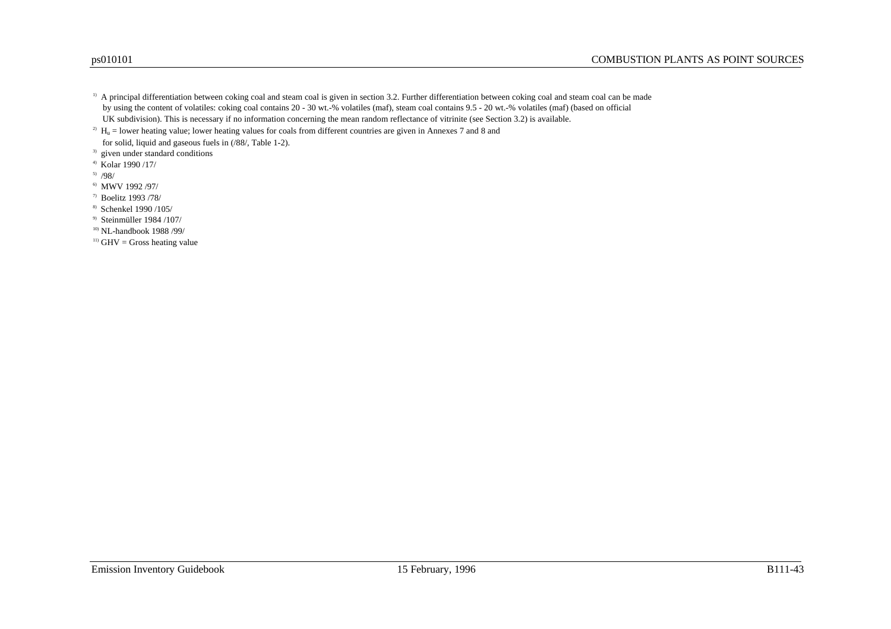<sup>1)</sup> A principal differentiation between coking coal and steam coal is given in section 3.2. Further differentiation between coking coal and steam coal can be made by using the content of volatiles: coking coal contains 20 - 30 wt.-% volatiles (maf), steam coal contains 9.5 - 20 wt.-% volatiles (maf) (based on official UK subdivision). This is necessary if no information concerning the mean random reflectance of vitrinite (see Section 3.2) is available.

<sup>2)</sup>  $H_n$  = lower heating value; lower heating values for coals from different countries are given in Annexes 7 and 8 and for solid, liquid and gaseous fuels in (/88/, Table 1-2).

<sup>3)</sup> given under standard conditions

 $4)$  Kolar 1990 /17/

5) /98/

6) MWV 1992 /97/

7) Boelitz 1993 /78/

8) Schenkel 1990 /105/

9) Steinmüller 1984 /107/

10) NL-handbook 1988 /99/

 $11)$  GHV = Gross heating value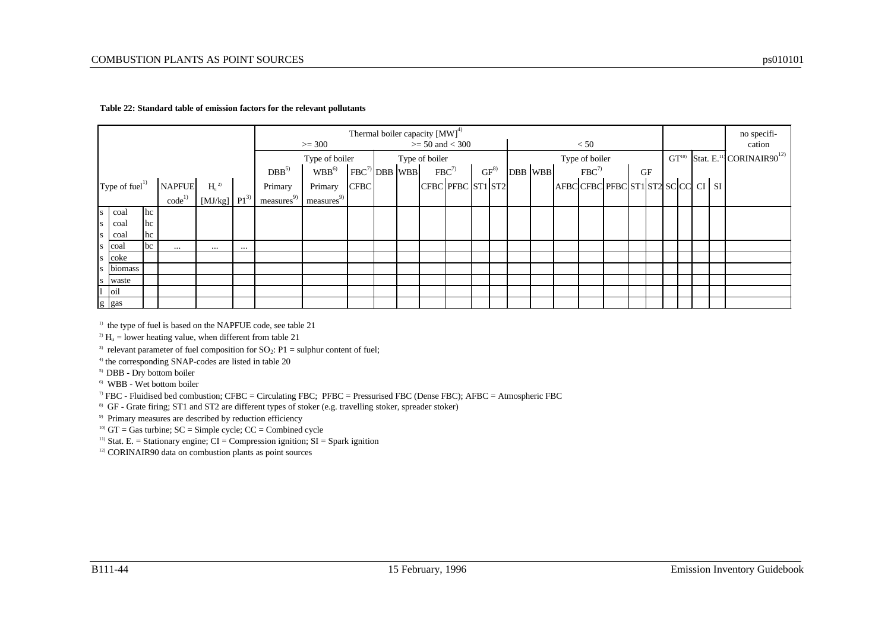#### **Table 22: Standard table of emission factors for the relevant pollutants**

|           |                            |         |                   |                             |                   |                            |                    |  | Thermal boiler capacity $[MW]^{4}$ |           |         |  |                |                             |           |  |  | no specifi-                                             |
|-----------|----------------------------|---------|-------------------|-----------------------------|-------------------|----------------------------|--------------------|--|------------------------------------|-----------|---------|--|----------------|-----------------------------|-----------|--|--|---------------------------------------------------------|
|           |                            |         |                   |                             |                   | $>= 300$                   |                    |  | $>= 50$ and $< 300$                |           |         |  | < 50           |                             |           |  |  | cation                                                  |
|           |                            |         |                   |                             |                   | Type of boiler             |                    |  | Type of boiler                     |           |         |  | Type of boiler |                             |           |  |  | $GT10$ Stat. E. <sup>11</sup> CORINAIR90 <sup>12)</sup> |
|           |                            |         |                   |                             | DBB <sup>51</sup> | $\mathbf{WBB}^\mathrm{6)}$ | $FBC^{7)}$ DBB WBB |  | $FBC^{7}$                          | $GF^{8)}$ | DBB WBB |  | $FBC^7$        |                             | <b>GF</b> |  |  |                                                         |
|           | Type of fuel <sup>1)</sup> |         | <b>NAPFUE</b>     | H <sub>u</sub> <sup>2</sup> | Primary           | Primary                    | <b>CFBC</b>        |  | CFBC PFBC ST1 ST2                  |           |         |  |                | AFBCCFBCPFBCST1ST2SCCCCCISI |           |  |  |                                                         |
|           |                            |         | code <sup>1</sup> | $[MJ/kg]$ $Pl^3$            | 9)<br>measures    | measures <sup>9</sup>      |                    |  |                                    |           |         |  |                |                             |           |  |  |                                                         |
|           | s coal                     | $\ln c$ |                   |                             |                   |                            |                    |  |                                    |           |         |  |                |                             |           |  |  |                                                         |
| S         | coal                       | $ $ hc  |                   |                             |                   |                            |                    |  |                                    |           |         |  |                |                             |           |  |  |                                                         |
| S         | coal                       | $ $ hc  |                   |                             |                   |                            |                    |  |                                    |           |         |  |                |                             |           |  |  |                                                         |
| <b>S</b>  | coal                       | bc      | $\cdots$          | $\cdots$                    |                   |                            |                    |  |                                    |           |         |  |                |                             |           |  |  |                                                         |
| S         | coke                       |         |                   |                             |                   |                            |                    |  |                                    |           |         |  |                |                             |           |  |  |                                                         |
| S         | biomass                    |         |                   |                             |                   |                            |                    |  |                                    |           |         |  |                |                             |           |  |  |                                                         |
| ${\bf S}$ | waste                      |         |                   |                             |                   |                            |                    |  |                                    |           |         |  |                |                             |           |  |  |                                                         |
|           | $\overline{1}$ oil         |         |                   |                             |                   |                            |                    |  |                                    |           |         |  |                |                             |           |  |  |                                                         |
|           | g gas                      |         |                   |                             |                   |                            |                    |  |                                    |           |         |  |                |                             |           |  |  |                                                         |

 $1)$  the type of fuel is based on the NAPFUE code, see table 21

<sup>2)</sup>  $H_u$  = lower heating value, when different from table 21

<sup>3)</sup> relevant parameter of fuel composition for  $SO_2$ : P1 = sulphur content of fuel;

<sup>4)</sup> the corresponding SNAP-codes are listed in table 20

<sup>5)</sup> DBB - Dry bottom boiler

6) WBB - Wet bottom boiler

 $7$  FBC - Fluidised bed combustion; CFBC = Circulating FBC; PFBC = Pressurised FBC (Dense FBC); AFBC = Atmospheric FBC

<sup>8)</sup> GF - Grate firing; ST1 and ST2 are different types of stoker (e.g. travelling stoker, spreader stoker)

9) Primary measures are described by reduction efficiency

<sup>10)</sup> GT = Gas turbine;  $SC =$  Simple cycle;  $CC =$  Combined cycle

<sup>11)</sup> Stat. E. = Stationary engine;  $CI =$  Compression ignition;  $SI =$  Spark ignition

<sup>12)</sup> CORINAIR90 data on combustion plants as point sources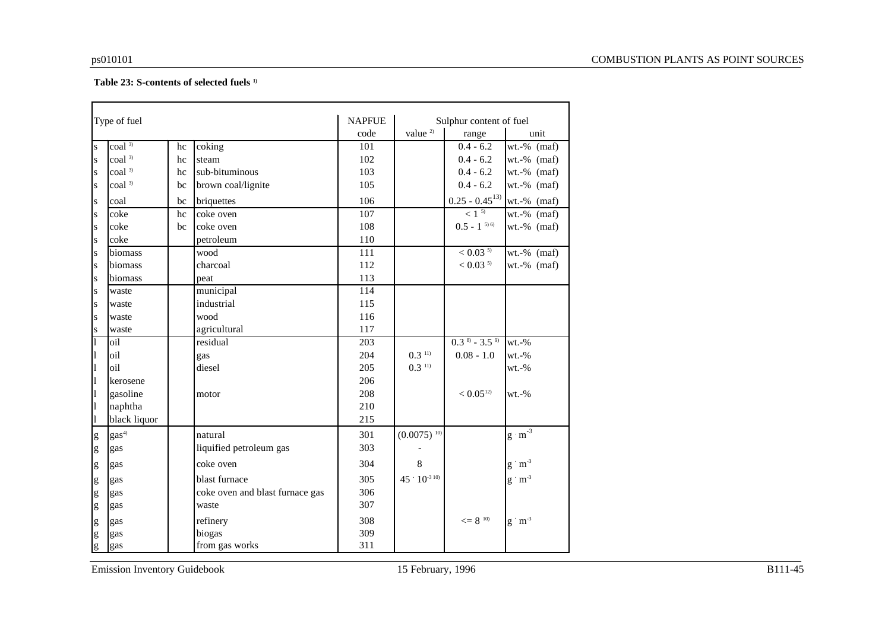#### **Table 23: S-contents of selected fuels 1)**

|                                                                                                                                                                                                                                                                                                                                                                                                                                | Type of fuel               |    |                                 | <b>NAPFUE</b>    |                       | Sulphur content of fuel  |                                 |
|--------------------------------------------------------------------------------------------------------------------------------------------------------------------------------------------------------------------------------------------------------------------------------------------------------------------------------------------------------------------------------------------------------------------------------|----------------------------|----|---------------------------------|------------------|-----------------------|--------------------------|---------------------------------|
|                                                                                                                                                                                                                                                                                                                                                                                                                                |                            |    |                                 | code             | value <sup>2)</sup>   | range                    | unit                            |
| $\bf S$                                                                                                                                                                                                                                                                                                                                                                                                                        | $\overline{\text{coal}^3}$ | hc | coking                          | 101              |                       | $0.4 - 6.2$              | $wt.-%$ (maf)                   |
| $\mathbf S$                                                                                                                                                                                                                                                                                                                                                                                                                    | coal <sup>3)</sup>         | hc | steam                           | 102              |                       | $0.4 - 6.2$              | $wt.-%$ (maf)                   |
| $\mathbf S$                                                                                                                                                                                                                                                                                                                                                                                                                    | coal <sup>3)</sup>         | hc | sub-bituminous                  | 103              |                       | $0.4 - 6.2$              | $wt.-%$ (maf)                   |
| $\mathbf S$                                                                                                                                                                                                                                                                                                                                                                                                                    | coal <sup>3)</sup>         | bc | brown coal/lignite              | 105              |                       | $0.4 - 6.2$              | $wt.-%$ (maf)                   |
| $\bf S$                                                                                                                                                                                                                                                                                                                                                                                                                        | coal                       | bc | briquettes                      | 106              |                       | $0.25 - 0.45^{13}$       | $wt.-%$ (maf)                   |
| $\mathbf{s}$                                                                                                                                                                                                                                                                                                                                                                                                                   | coke                       | hc | coke oven                       | 107              |                       | $< 1^{5}$                | $wt.-%$ (maf)                   |
| $\bf S$                                                                                                                                                                                                                                                                                                                                                                                                                        | coke                       | bc | coke oven                       | 108              |                       | $0.5 - 1^{50}$           | $wt.-%$ (maf)                   |
| $\mathbf S$                                                                                                                                                                                                                                                                                                                                                                                                                    | coke                       |    | petroleum                       | 110              |                       |                          |                                 |
| $\bf S$                                                                                                                                                                                                                                                                                                                                                                                                                        | biomass                    |    | wood                            | 111              |                       | $< 0.03$ <sup>5)</sup>   | $wt.-%$ (maf)                   |
| $\bf S$                                                                                                                                                                                                                                                                                                                                                                                                                        | biomass                    |    | charcoal                        | 112              |                       | $< 0.03$ <sup>5)</sup>   | $wt.-%$ (maf)                   |
| $\bf S$                                                                                                                                                                                                                                                                                                                                                                                                                        | biomass                    |    | peat                            | 113              |                       |                          |                                 |
| $\bf S$                                                                                                                                                                                                                                                                                                                                                                                                                        | waste                      |    | municipal                       | 114              |                       |                          |                                 |
| $\bf S$                                                                                                                                                                                                                                                                                                                                                                                                                        | waste                      |    | industrial                      | 115              |                       |                          |                                 |
| $\bf S$                                                                                                                                                                                                                                                                                                                                                                                                                        | waste                      |    | wood                            | 116              |                       |                          |                                 |
| S                                                                                                                                                                                                                                                                                                                                                                                                                              | waste                      |    | agricultural                    | 117              |                       |                          |                                 |
| $\mathbf{1}$                                                                                                                                                                                                                                                                                                                                                                                                                   | oil                        |    | residual                        | $\overline{203}$ |                       | $0.3^{8} - 3.5^{9}$      | $wt.-%$                         |
| 1                                                                                                                                                                                                                                                                                                                                                                                                                              | oil                        |    | gas                             | 204              | $0.3$ <sup>11)</sup>  | $0.08 - 1.0$             | $wt.-%$                         |
| 1                                                                                                                                                                                                                                                                                                                                                                                                                              | oil                        |    | diesel                          | 205              | $0.3$ <sup>11)</sup>  |                          | $wt.-%$                         |
| 1                                                                                                                                                                                                                                                                                                                                                                                                                              | kerosene                   |    |                                 | 206              |                       |                          |                                 |
| 1                                                                                                                                                                                                                                                                                                                                                                                                                              | gasoline                   |    | motor                           | 208              |                       | < 0.05 <sup>12</sup>     | $wt.-%$                         |
| 1                                                                                                                                                                                                                                                                                                                                                                                                                              | naphtha                    |    |                                 | 210              |                       |                          |                                 |
| 1                                                                                                                                                                                                                                                                                                                                                                                                                              | black liquor               |    |                                 | 215              |                       |                          |                                 |
| $\mathbf{g}% _{T}=\mathbf{g}_{T}=\mathbf{g}_{T}=\mathbf{g}_{T}=\mathbf{g}_{T}=\mathbf{g}_{T}=\mathbf{g}_{T}=\mathbf{g}_{T}=\mathbf{g}_{T}=\mathbf{g}_{T}=\mathbf{g}_{T}=\mathbf{g}_{T}=\mathbf{g}_{T}=\mathbf{g}_{T}=\mathbf{g}_{T}=\mathbf{g}_{T}=\mathbf{g}_{T}=\mathbf{g}_{T}=\mathbf{g}_{T}=\mathbf{g}_{T}=\mathbf{g}_{T}=\mathbf{g}_{T}=\mathbf{g}_{T}=\mathbf{g}_{T}=\mathbf{g}_{T}=\mathbf{g}_{T}=\mathbf{g}_{T}=\math$ | gas <sup>4</sup>           |    | natural                         | 301              | $(0.0075)^{10}$       |                          | $g\cdot m^{-3}$                 |
| g                                                                                                                                                                                                                                                                                                                                                                                                                              | gas                        |    | liquified petroleum gas         | 303              |                       |                          |                                 |
| g                                                                                                                                                                                                                                                                                                                                                                                                                              | gas                        |    | coke oven                       | 304              | 8                     |                          | $g \cdot m^{-3}$                |
| g                                                                                                                                                                                                                                                                                                                                                                                                                              | gas                        |    | blast furnace                   | 305              | $45 \div 10^{-3}$ 10) |                          | $g\, \dot{\,} \, m^{\text{-3}}$ |
| g                                                                                                                                                                                                                                                                                                                                                                                                                              | gas                        |    | coke oven and blast furnace gas | 306              |                       |                          |                                 |
| g                                                                                                                                                                                                                                                                                                                                                                                                                              | gas                        |    | waste                           | 307              |                       |                          |                                 |
| g                                                                                                                                                                                                                                                                                                                                                                                                                              | gas                        |    | refinery                        | 308              |                       | $\leq$ = 8 <sup>10</sup> | $g \cdot m^{-3}$                |
| g                                                                                                                                                                                                                                                                                                                                                                                                                              | gas                        |    | biogas                          | 309              |                       |                          |                                 |
| g                                                                                                                                                                                                                                                                                                                                                                                                                              | gas                        |    | from gas works                  | 311              |                       |                          |                                 |

Emission Inventory Guidebook 15 February, 1996 B111-45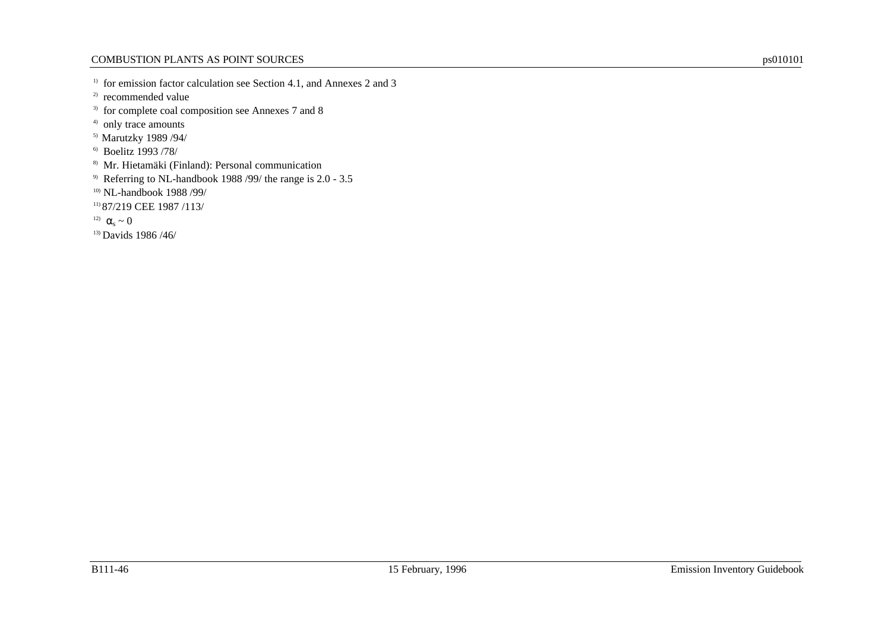<sup>1)</sup> for emission factor calculation see Section 4.1, and Annexes 2 and 3

<sup>2)</sup> recommended value

<sup>3)</sup> for complete coal composition see Annexes 7 and 8

- <sup>4)</sup> only trace amounts
- 5) Marutzky 1989 /94/
- 6) Boelitz 1993 /78/
- 8) Mr. Hietamäki (Finland): Personal communication
- 9) Referring to NL-handbook 1988 /99/ the range is 2.0 3.5
- 10) NL-handbook 1988 /99/

11) 87/219 CEE 1987 /113/

<sup>12)</sup>  $\alpha_{s} \sim 0$ 

13) Davids 1986 /46/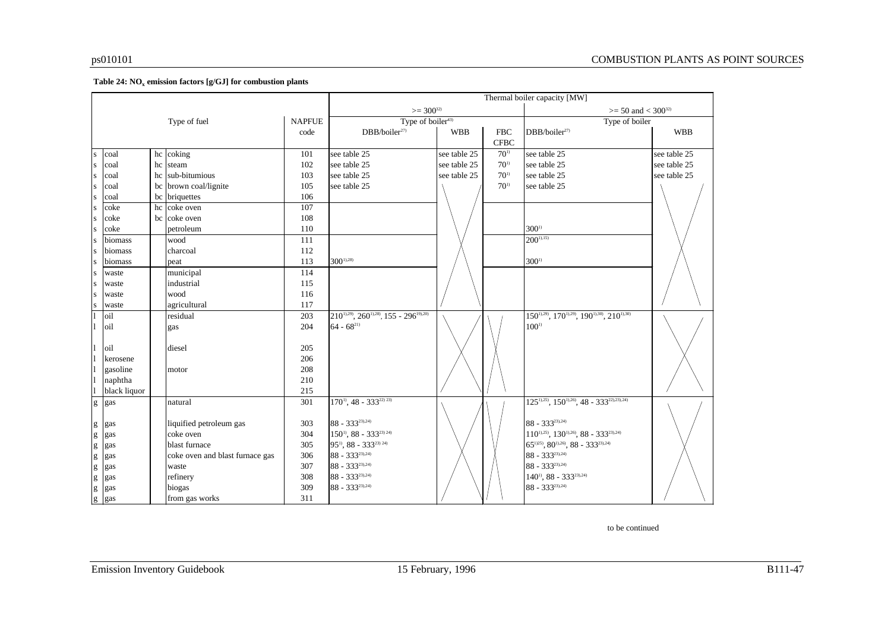#### **Table 24: NO<sup>x</sup> emission factors [g/GJ] for combustion plants**

|                                                                                                                                                                                                                                                                                                                                                                                                                                |              |    |                                 |                  |                                                      |              |             | Thermal boiler capacity [MW]                                |              |
|--------------------------------------------------------------------------------------------------------------------------------------------------------------------------------------------------------------------------------------------------------------------------------------------------------------------------------------------------------------------------------------------------------------------------------|--------------|----|---------------------------------|------------------|------------------------------------------------------|--------------|-------------|-------------------------------------------------------------|--------------|
|                                                                                                                                                                                                                                                                                                                                                                                                                                |              |    |                                 |                  | $>=$ 300 <sup>32)</sup>                              |              |             | $>= 50$ and $< 300^{32}$                                    |              |
|                                                                                                                                                                                                                                                                                                                                                                                                                                |              |    | Type of fuel                    | <b>NAPFUE</b>    | Type of boiler <sup>43)</sup>                        |              |             | Type of boiler                                              |              |
|                                                                                                                                                                                                                                                                                                                                                                                                                                |              |    |                                 | code             | DBB/boiler <sup>27</sup>                             | <b>WBB</b>   | <b>FBC</b>  | DBB/boiler <sup>27</sup>                                    | <b>WBB</b>   |
|                                                                                                                                                                                                                                                                                                                                                                                                                                |              |    |                                 |                  |                                                      |              | <b>CFBC</b> |                                                             |              |
| $\bf S$                                                                                                                                                                                                                                                                                                                                                                                                                        | coal         |    | hc coking                       | 101              | see table 25                                         | see table 25 | $70^{11}$   | see table 25                                                | see table 25 |
| S                                                                                                                                                                                                                                                                                                                                                                                                                              | coal         | hc | steam                           | 102              | see table 25                                         | see table 25 | $70^{11}$   | see table 25                                                | see table 25 |
| S                                                                                                                                                                                                                                                                                                                                                                                                                              | coal         | hc | sub-bitumious                   | 103              | see table 25                                         | see table 25 | $70^{11}$   | see table 25                                                | see table 25 |
| S                                                                                                                                                                                                                                                                                                                                                                                                                              | coal         |    | bc brown coal/lignite           | 105              | see table 25                                         |              | $70^{11}$   | see table 25                                                |              |
| ${\bf S}$                                                                                                                                                                                                                                                                                                                                                                                                                      | coal         |    | bc briquettes                   | 106              |                                                      |              |             |                                                             |              |
| ${\bf S}$                                                                                                                                                                                                                                                                                                                                                                                                                      | coke         |    | hc coke oven                    | 107              |                                                      |              |             |                                                             |              |
| ${\bf S}$                                                                                                                                                                                                                                                                                                                                                                                                                      | coke         |    | bc coke oven                    | 108              |                                                      |              |             |                                                             |              |
| ${\bf S}$                                                                                                                                                                                                                                                                                                                                                                                                                      | coke         |    | petroleum                       | 110              |                                                      |              |             | $300^{\rm D}$                                               |              |
| S                                                                                                                                                                                                                                                                                                                                                                                                                              | biomass      |    | wood                            | 111              |                                                      |              |             | $200^{1,15}$                                                |              |
| S                                                                                                                                                                                                                                                                                                                                                                                                                              | biomass      |    | charcoal                        | 112              |                                                      |              |             |                                                             |              |
| S                                                                                                                                                                                                                                                                                                                                                                                                                              | biomass      |    | peat                            | 113              | $300^{1,28}$                                         |              |             | $300^{\rm D}$                                               |              |
| S                                                                                                                                                                                                                                                                                                                                                                                                                              | waste        |    | municipal                       | 114              |                                                      |              |             |                                                             |              |
| S                                                                                                                                                                                                                                                                                                                                                                                                                              | waste        |    | industrial                      | 115              |                                                      |              |             |                                                             |              |
| S                                                                                                                                                                                                                                                                                                                                                                                                                              | waste        |    | wood                            | 116              |                                                      |              |             |                                                             |              |
| ${\bf S}$                                                                                                                                                                                                                                                                                                                                                                                                                      | waste        |    | agricultural                    | 117              |                                                      |              |             |                                                             |              |
|                                                                                                                                                                                                                                                                                                                                                                                                                                | oil          |    | residual                        | $\overline{203}$ | $210^{11,29}$ , $260^{11,28}$ , $155 - 296^{191,20}$ |              |             | $150^{1,29}, \overline{170^{1,29}}, 190^{1,30}, 210^{1,30}$ |              |
|                                                                                                                                                                                                                                                                                                                                                                                                                                | oil          |    | gas                             | 204              | $64 - 68^{21}$                                       |              |             | $100^{\rm D}$                                               |              |
|                                                                                                                                                                                                                                                                                                                                                                                                                                |              |    |                                 |                  |                                                      |              |             |                                                             |              |
|                                                                                                                                                                                                                                                                                                                                                                                                                                | oil          |    | diesel                          | 205              |                                                      |              |             |                                                             |              |
|                                                                                                                                                                                                                                                                                                                                                                                                                                | kerosene     |    |                                 | 206              |                                                      |              |             |                                                             |              |
|                                                                                                                                                                                                                                                                                                                                                                                                                                | gasoline     |    | motor                           | 208              |                                                      |              |             |                                                             |              |
|                                                                                                                                                                                                                                                                                                                                                                                                                                | naphtha      |    |                                 | 210              |                                                      |              |             |                                                             |              |
|                                                                                                                                                                                                                                                                                                                                                                                                                                | black liquor |    |                                 | 215              |                                                      |              |             |                                                             |              |
| $\overline{g}$                                                                                                                                                                                                                                                                                                                                                                                                                 | gas          |    | natural                         | 301              | $170^{11}$ , 48 - 333 <sup>22)</sup> <sup>23)</sup>  |              |             | $125^{11,25}$ , $150^{11,26}$ , $48 - 333^{221,231,241}$    |              |
|                                                                                                                                                                                                                                                                                                                                                                                                                                |              |    |                                 |                  |                                                      |              |             |                                                             |              |
| $\mathbf{g}% _{T}=\mathbf{g}_{T}=\mathbf{g}_{T}=\mathbf{g}_{T}=\mathbf{g}_{T}=\mathbf{g}_{T}=\mathbf{g}_{T}=\mathbf{g}_{T}=\mathbf{g}_{T}=\mathbf{g}_{T}=\mathbf{g}_{T}=\mathbf{g}_{T}=\mathbf{g}_{T}=\mathbf{g}_{T}=\mathbf{g}_{T}=\mathbf{g}_{T}=\mathbf{g}_{T}=\mathbf{g}_{T}=\mathbf{g}_{T}=\mathbf{g}_{T}=\mathbf{g}_{T}=\mathbf{g}_{T}=\mathbf{g}_{T}=\mathbf{g}_{T}=\mathbf{g}_{T}=\mathbf{g}_{T}=\mathbf{g}_{T}=\math$ | gas          |    | liquified petroleum gas         | 303              | $88 - 333^{23,24}$                                   |              |             | $88 - 333^{23,24}$                                          |              |
| $\mathbf{g}% _{T}=\mathbf{g}_{T}=\mathbf{g}_{T}=\mathbf{g}_{T}=\mathbf{g}_{T}=\mathbf{g}_{T}=\mathbf{g}_{T}=\mathbf{g}_{T}=\mathbf{g}_{T}=\mathbf{g}_{T}=\mathbf{g}_{T}=\mathbf{g}_{T}=\mathbf{g}_{T}=\mathbf{g}_{T}=\mathbf{g}_{T}=\mathbf{g}_{T}=\mathbf{g}_{T}=\mathbf{g}_{T}=\mathbf{g}_{T}=\mathbf{g}_{T}=\mathbf{g}_{T}=\mathbf{g}_{T}=\mathbf{g}_{T}=\mathbf{g}_{T}=\mathbf{g}_{T}=\mathbf{g}_{T}=\mathbf{g}_{T}=\math$ | gas          |    | coke oven                       | 304              | $150^{\text{i}}$ , 88 - 333 <sup>23) 24)</sup>       |              |             | $110^{11,25}$ , $130^{11,26}$ , $88 - 333^{231,24}$         |              |
| g                                                                                                                                                                                                                                                                                                                                                                                                                              | gas          |    | blast furnace                   | 305              | 95 <sup>1</sup> , 88 - 333 <sup>23) 24)</sup>        |              |             | $65^{1/25}$ , $80^{1/26}$ , $88 - 333^{23/24}$              |              |
| $\mathbf{g}% _{T}=\mathbf{g}_{T}=\mathbf{g}_{T}=\mathbf{g}_{T}=\mathbf{g}_{T}=\mathbf{g}_{T}=\mathbf{g}_{T}=\mathbf{g}_{T}=\mathbf{g}_{T}=\mathbf{g}_{T}=\mathbf{g}_{T}=\mathbf{g}_{T}=\mathbf{g}_{T}=\mathbf{g}_{T}=\mathbf{g}_{T}=\mathbf{g}_{T}=\mathbf{g}_{T}=\mathbf{g}_{T}=\mathbf{g}_{T}=\mathbf{g}_{T}=\mathbf{g}_{T}=\mathbf{g}_{T}=\mathbf{g}_{T}=\mathbf{g}_{T}=\mathbf{g}_{T}=\mathbf{g}_{T}=\mathbf{g}_{T}=\math$ | gas          |    | coke oven and blast furnace gas | 306              | $88 - 333^{23,24}$                                   |              |             | $88 - 333^{23,24}$                                          |              |
| $\mathbf{g}% _{T}=\mathbf{g}_{T}=\mathbf{g}_{T}=\mathbf{g}_{T}=\mathbf{g}_{T}=\mathbf{g}_{T}=\mathbf{g}_{T}=\mathbf{g}_{T}=\mathbf{g}_{T}=\mathbf{g}_{T}=\mathbf{g}_{T}=\mathbf{g}_{T}=\mathbf{g}_{T}=\mathbf{g}_{T}=\mathbf{g}_{T}=\mathbf{g}_{T}=\mathbf{g}_{T}=\mathbf{g}_{T}=\mathbf{g}_{T}=\mathbf{g}_{T}=\mathbf{g}_{T}=\mathbf{g}_{T}=\mathbf{g}_{T}=\mathbf{g}_{T}=\mathbf{g}_{T}=\mathbf{g}_{T}=\mathbf{g}_{T}=\math$ | gas          |    | waste                           | 307              | $88 - 333^{23,24}$                                   |              |             | $88 - 333^{23,24}$                                          |              |
| $\mathbf{g}% _{T}=\mathbf{g}_{T}=\mathbf{g}_{T}=\mathbf{g}_{T}=\mathbf{g}_{T}=\mathbf{g}_{T}=\mathbf{g}_{T}=\mathbf{g}_{T}=\mathbf{g}_{T}=\mathbf{g}_{T}=\mathbf{g}_{T}=\mathbf{g}_{T}=\mathbf{g}_{T}=\mathbf{g}_{T}=\mathbf{g}_{T}=\mathbf{g}_{T}=\mathbf{g}_{T}=\mathbf{g}_{T}=\mathbf{g}_{T}=\mathbf{g}_{T}=\mathbf{g}_{T}=\mathbf{g}_{T}=\mathbf{g}_{T}=\mathbf{g}_{T}=\mathbf{g}_{T}=\mathbf{g}_{T}=\mathbf{g}_{T}=\math$ | gas          |    | refinery                        | 308              | $88 - 333^{23,24}$                                   |              |             | $140^{\text{i}}$ , 88 - 333 <sup>23),24)</sup>              |              |
| $\mathbf{g}% _{T}=\mathbf{g}_{T}=\mathbf{g}_{T}=\mathbf{g}_{T}=\mathbf{g}_{T}=\mathbf{g}_{T}=\mathbf{g}_{T}=\mathbf{g}_{T}=\mathbf{g}_{T}=\mathbf{g}_{T}=\mathbf{g}_{T}=\mathbf{g}_{T}=\mathbf{g}_{T}=\mathbf{g}_{T}=\mathbf{g}_{T}=\mathbf{g}_{T}=\mathbf{g}_{T}=\mathbf{g}_{T}=\mathbf{g}_{T}=\mathbf{g}_{T}=\mathbf{g}_{T}=\mathbf{g}_{T}=\mathbf{g}_{T}=\mathbf{g}_{T}=\mathbf{g}_{T}=\mathbf{g}_{T}=\mathbf{g}_{T}=\math$ | gas          |    | biogas                          | 309              | $88 - 333^{23,24}$                                   |              |             | $88 - 333^{23,24}$                                          |              |
| g                                                                                                                                                                                                                                                                                                                                                                                                                              | gas          |    | from gas works                  | 311              |                                                      |              |             |                                                             |              |

to be continued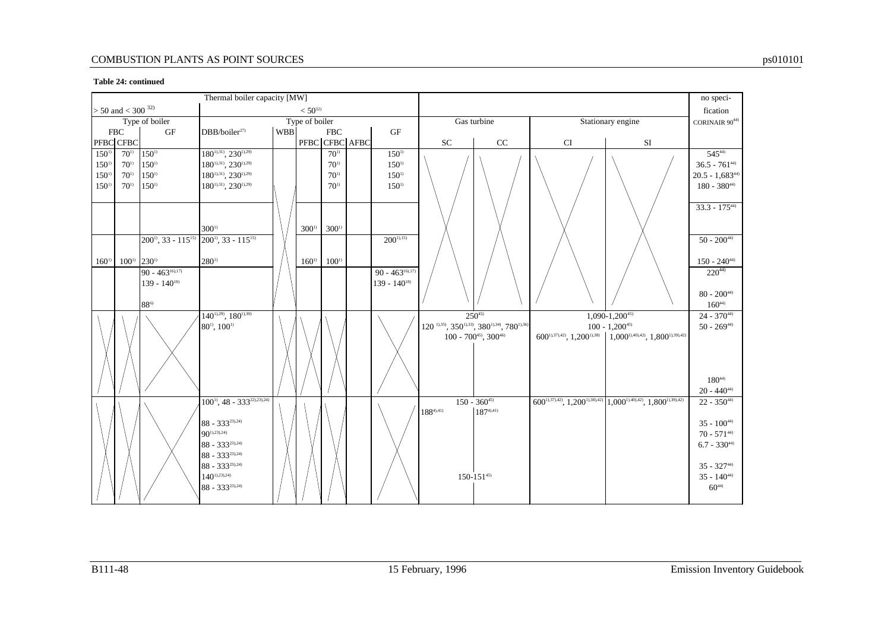#### **Table 24: continued**

|               |                             |                              | Thermal boiler capacity [MW]                   |            |                  |               |                |                    |                |                                                      |    |                                                                                       | no speci-                               |
|---------------|-----------------------------|------------------------------|------------------------------------------------|------------|------------------|---------------|----------------|--------------------|----------------|------------------------------------------------------|----|---------------------------------------------------------------------------------------|-----------------------------------------|
|               | $> 50$ and $< 300$ $^{32)}$ |                              |                                                |            | $< 50^{32}$      |               |                |                    |                |                                                      |    |                                                                                       | fication                                |
|               |                             | Type of boiler               |                                                |            | Type of boiler   |               |                |                    |                | Gas turbine                                          |    | Stationary engine                                                                     | CORINAIR $90^{44)}$                     |
|               | <b>FBC</b>                  | <b>GF</b>                    | DBB/boiler <sup>27)</sup>                      | <b>WBB</b> |                  | ${\rm FBC}$   |                | GF                 |                |                                                      |    |                                                                                       |                                         |
|               | PFBC CFBC                   |                              |                                                |            |                  |               | PFBC CFBC AFBC |                    | <b>SC</b>      | CC                                                   | CI | SI                                                                                    |                                         |
| $150^{1}$     | $70^{1}$                    | $150^{1}$                    | $180^{1,31}, 230^{1,29}$                       |            |                  | $70^{11}$     |                | $150^{1}$          |                |                                                      |    |                                                                                       | $545^{44}$                              |
| $150^{1}$     | $70^{1}$                    | $150^{1}$                    | $180^{11,31}$ , $230^{11,29}$                  |            |                  | $70^{11}$     |                | $150^{1}$          |                |                                                      |    |                                                                                       | $36.5 - 761^{44}$                       |
| $150^{\rm D}$ | $70^{1}$                    | $150^{11}$                   | $180^{11,31}, 230^{11,29}$                     |            |                  | $70^{11}$     |                | $150^{\rm D}$      |                |                                                      |    |                                                                                       | $20.5 - 1,683^{44}$                     |
| $150^{1}$     | $70^{11}$                   | $150^{1}$                    | $180^{1),31}$ , $230^{1),29}$                  |            |                  | $70^{11}$     |                | $150^{\circ}$      |                |                                                      |    |                                                                                       | $180$ - $380^{\scriptscriptstyle{44)}}$ |
|               |                             |                              |                                                |            |                  |               |                |                    |                |                                                      |    |                                                                                       |                                         |
|               |                             |                              |                                                |            |                  |               |                |                    |                |                                                      |    |                                                                                       | $33.3 - 175^{44}$                       |
|               |                             |                              |                                                |            |                  |               |                |                    |                |                                                      |    |                                                                                       |                                         |
|               |                             |                              | $300^{\rm D}$                                  |            | 300 <sup>1</sup> | $300^{\rm D}$ |                |                    |                |                                                      |    |                                                                                       |                                         |
|               |                             | $200^{11}$ , 33 - $115^{15}$ | $200^{11}$ , 33 - $115^{15}$                   |            |                  |               |                | $200^{1,15}$       |                |                                                      |    |                                                                                       | $50 - 200^{44}$                         |
| $160^{\rm D}$ | $100^{1}$                   | $230^{1}$                    | $280^{\rm D}$                                  |            | $160^{\rm D}$    | $100^{\rm D}$ |                |                    |                |                                                      |    |                                                                                       | $150 - 240^{44}$                        |
|               |                             | $90 - 463^{16,17}$           |                                                |            |                  |               |                | $90 - 463^{16,17}$ |                |                                                      |    |                                                                                       | $220^{44}$                              |
|               |                             | $139 - 140^{18}$             |                                                |            |                  |               |                | $139 - 140^{18}$   |                |                                                      |    |                                                                                       |                                         |
|               |                             |                              |                                                |            |                  |               |                |                    |                |                                                      |    |                                                                                       | $80 - 200^{44}$                         |
|               |                             | $88^{6}$                     |                                                |            |                  |               |                |                    |                |                                                      |    |                                                                                       | $160^{44}$                              |
|               |                             |                              | $140^{1,29}$ , $180^{1,30}$                    |            |                  |               |                |                    |                | $250^{45}$                                           |    | $1,090-1,200^{45}$                                                                    | $24 - 370^{44}$                         |
|               |                             |                              | $80^{\rm i}$ , $100^{\rm i}$                   |            |                  |               |                |                    |                | $120^{11,35}, 350^{11,33}, 380^{11,34}, 780^{11,36}$ |    | $100 - 1,200^{45}$                                                                    | $50 - 269^{44}$                         |
|               |                             |                              |                                                |            |                  |               |                |                    |                | $100 - 700^{45}$ , $300^{46}$                        |    | $600^{1,37,42}$ , $1,200^{1,38}$ 1,000 <sup>1</sup> ,40,42, 1,800 <sup>1</sup> ,39,42 |                                         |
|               |                             |                              |                                                |            |                  |               |                |                    |                |                                                      |    |                                                                                       |                                         |
|               |                             |                              |                                                |            |                  |               |                |                    |                |                                                      |    |                                                                                       |                                         |
|               |                             |                              |                                                |            |                  |               |                |                    |                |                                                      |    |                                                                                       |                                         |
|               |                             |                              |                                                |            |                  |               |                |                    |                |                                                      |    |                                                                                       | $180^{44}$                              |
|               |                             |                              |                                                |            |                  |               |                |                    |                |                                                      |    |                                                                                       | $20 - 440^{44}$                         |
|               |                             |                              | $100^{11}$ , 48 - 333 <sup>22), 23</sup> , 24) |            |                  |               |                |                    |                | $150 - 360^{45}$                                     |    | $600^{1,37,42}$ , $1,200^{1,38,42}$ , $1,000^{1,40,42}$ , $1,800^{1,39,42}$           | $22 - 350^{44}$                         |
|               |                             |                              |                                                |            |                  |               |                |                    | $188^{4(,41)}$ | $187^{4(,41)}$                                       |    |                                                                                       |                                         |
|               |                             |                              | $88 - 333^{23,24}$                             |            |                  |               |                |                    |                |                                                      |    |                                                                                       | $35 - 100^{44}$                         |
|               |                             |                              | $90^{1),23),24)}$                              |            |                  |               |                |                    |                |                                                      |    |                                                                                       | $70 - 571^{44}$                         |
|               |                             |                              | $88 - 333^{23,24}$                             |            |                  |               |                |                    |                |                                                      |    |                                                                                       | $6.7 - 330^{44}$                        |
|               |                             |                              | $88 - 333^{23,24}$                             |            |                  |               |                |                    |                |                                                      |    |                                                                                       |                                         |
|               |                             |                              | $88 - 333^{23,24}$                             |            |                  |               |                |                    |                |                                                      |    |                                                                                       | $35 - 32744$                            |
|               |                             |                              | $140^{1),23,24}$                               |            |                  |               |                |                    |                | $150 - 151^{45}$                                     |    |                                                                                       | $35 - 140^{44}$                         |
|               |                             |                              | $88 - 333^{23,24}$                             |            |                  |               |                |                    |                |                                                      |    |                                                                                       | $60^{44}$                               |
|               |                             |                              |                                                |            |                  |               |                |                    |                |                                                      |    |                                                                                       |                                         |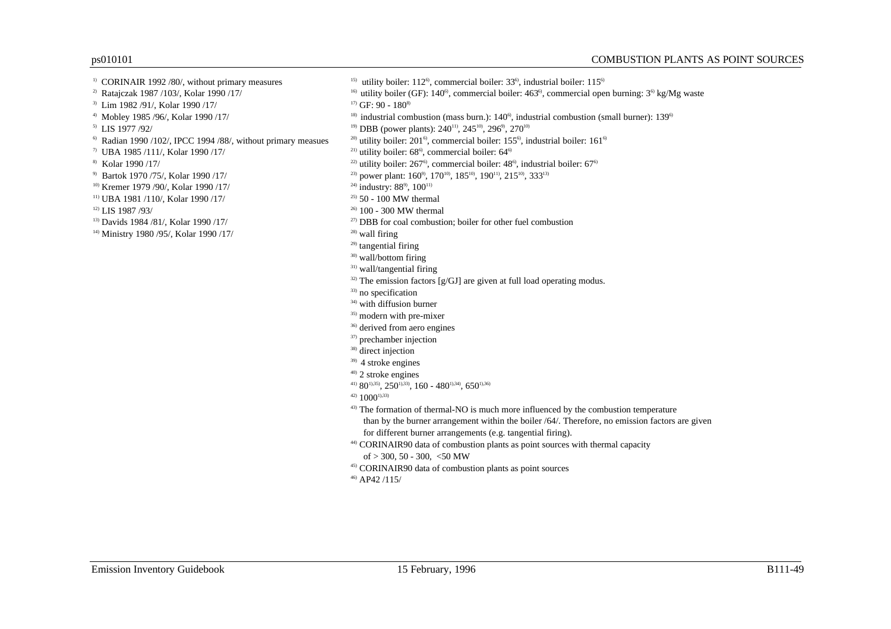- 
- 
- <sup>3)</sup> Lim 1982 /91/, Kolar 1990 /17/ <sup>17</sup>/  $GF: 90 180^{8}$
- 
- 
- 
- 
- 
- 
- <sup>10)</sup> Kremer 1979 /90/, Kolar 1990 /17/ <sup>24)</sup> industry: 88<sup>9</sup>, 100<sup>11)</sup>
- <sup>11)</sup> UBA 1981 /110/, Kolar 1990 /17/ <sup>25</sup> 50 100 MW thermal
- 
- 
- <sup>14)</sup> Ministry 1980 /95/, Kolar 1990 /17/ <sup>28</sup>) wall firing
- <sup>1)</sup> CORINAIR 1992 /80/, without primary measures  $^{15}$  utility boiler: 112<sup>6</sup>, commercial boiler: 33<sup>6</sup>, industrial boiler: 115<sup>6</sup>
- <sup>2)</sup> Ratajczak 1987 /103/, Kolar 1990 /17/ <sup>16</sup>) utility boiler (GF): 140<sup>6</sup>, commercial boiler: 463<sup>6</sup>, commercial open burning: 3<sup>6</sup> kg/Mg waste
	-
- <sup>4)</sup> Mobley 1985 /96/, Kolar 1990 /17/ 189<sup>6</sup> industrial combustion (mass burn.):  $140^\circ$ , industrial combustion (small burner): 139<sup>6</sup>
- <sup>5)</sup> LIS 1977 /92/ <sup>19</sup>) DBB (power plants): 240<sup>111</sup>, 245<sup>10</sup>, 296<sup>9</sup>, 270<sup>10</sup>
- <sup>6</sup> Radian 1990 /102/, IPCC 1994 /88/, without primary measues <sup>20</sup> utility boiler: 201<sup>6</sup>, commercial boiler: 155<sup>6</sup>, industrial boiler: 161<sup>6</sup>
- <sup>7)</sup> UBA 1985 /111/, Kolar 1990 /17/ 21) utility boiler: 68<sup>6</sup>, commercial boiler: 64<sup>6</sup>
- <sup>8)</sup> Kolar 1990 /17/ **22)** utility boiler: 267<sup>6</sup>, commercial boiler: 48<sup>6</sup>, industrial boiler: 67<sup>6</sup>
- 9) Bartok 1970 /75/, Kolar 1990 /17/ 239 m 23) power plant:  $160^9$ ,  $170^{10}$ ,  $185^{10}$ ,  $190^{11}$ ,  $215^{10}$ ,  $333^{13}$ 
	-
	-
- <sup>12)</sup> LIS 1987 /93/ 26 100 300 MW thermal
- <sup>13)</sup> Davids 1984/81/, Kolar 1990/17/ 27 **27** DBB for coal combustion; boiler for other fuel combustion
	-
	- $29)$  tangential firing
	- 30) wall/bottom firing
	- 31) wall/tangential firing
	- $32)$  The emission factors [g/GJ] are given at full load operating modus.
	- 33) no specification
	- 34) with diffusion burner
	- 35) modern with pre-mixer
	- 36) derived from aero engines
	- 37) prechamber injection
	- 38) direct injection
	- 39) 4 stroke engines
	- 40) 2 stroke engines
	- <sup>41)</sup> 80<sup>1),35</sup>, 250<sup>1),33</sup>, 160 480<sup>1),34</sup>, 650<sup>1),36</sup>
	- $42)$  1000<sup>1</sup>), 33
	- <sup>43)</sup> The formation of thermal-NO is much more influenced by the combustion temperature
	- than by the burner arrangement within the boiler /64/. Therefore, no emission factors are given for different burner arrangements (e.g. tangential firing).
	- 44) CORINAIR90 data of combustion plants as point sources with thermal capacity of  $> 300, 50 - 300, < 50$  MW
	-
	- 45) CORINAIR90 data of combustion plants as point sources
	- 46) AP42 /115/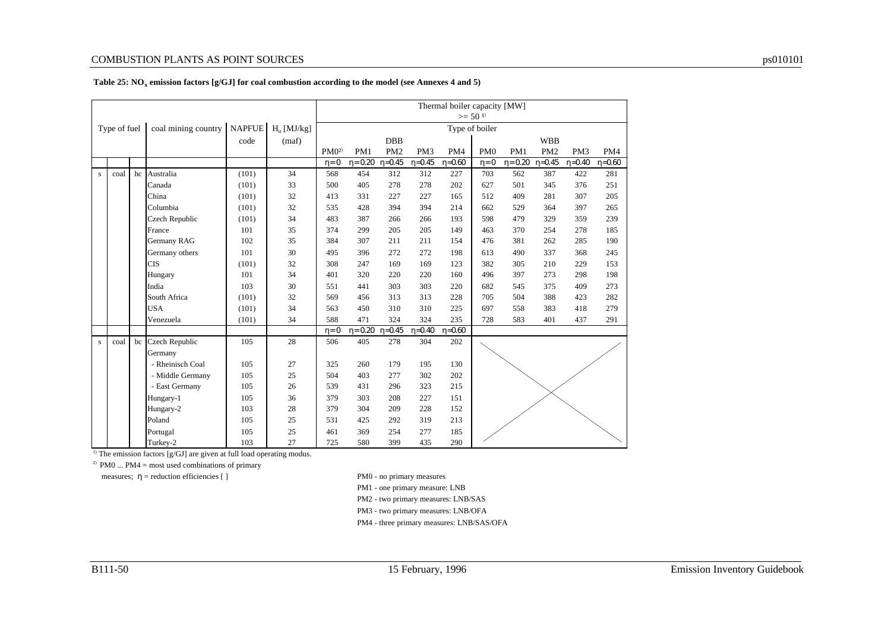|              |              |    |                                                       |       |       |                  |               |                 |                 | Thermal boiler capacity [MW] |                 |               |                 |                 |          |
|--------------|--------------|----|-------------------------------------------------------|-------|-------|------------------|---------------|-----------------|-----------------|------------------------------|-----------------|---------------|-----------------|-----------------|----------|
|              |              |    |                                                       |       |       |                  |               |                 |                 |                              | $>= 501$        |               |                 |                 |          |
|              | Type of fuel |    | coal mining country   NAPFUE   H <sub>u</sub> [MJ/kg] |       |       |                  |               |                 |                 |                              | Type of boiler  |               |                 |                 |          |
|              |              |    |                                                       | code  | (maf) |                  |               | <b>DBB</b>      |                 |                              |                 |               | <b>WBB</b>      |                 |          |
|              |              |    |                                                       |       |       | PM0 <sup>2</sup> | PM1           | PM <sub>2</sub> | PM <sub>3</sub> | PM4                          | PM <sub>0</sub> | PM1           | PM <sub>2</sub> | PM <sub>3</sub> | PM4      |
|              |              |    |                                                       |       |       | $\eta = 0$       | $\eta = 0.20$ | $\eta = 0.45$   | $\eta = 0.45$   | $\eta = 0.60$                | $\eta = 0$      | $\eta = 0.20$ | $\eta = 0.45$   | $n=0.40$        | $n=0.60$ |
| $\mathbf{s}$ | coal         | hc | Australia                                             | (101) | 34    | 568              | 454           | 312             | 312             | 227                          | 703             | 562           | 387             | 422             | 281      |
|              |              |    | Canada                                                | (101) | 33    | 500              | 405           | 278             | 278             | 202                          | 627             | 501           | 345             | 376             | 251      |
|              |              |    | China                                                 | (101) | 32    | 413              | 331           | 227             | 227             | 165                          | 512             | 409           | 281             | 307             | 205      |
|              |              |    | Columbia                                              | (101) | 32    | 535              | 428           | 394             | 394             | 214                          | 662             | 529           | 364             | 397             | 265      |
|              |              |    | Czech Republic                                        | (101) | 34    | 483              | 387           | 266             | 266             | 193                          | 598             | 479           | 329             | 359             | 239      |
|              |              |    | France                                                | 101   | 35    | 374              | 299           | 205             | 205             | 149                          | 463             | 370           | 254             | 278             | 185      |
|              |              |    | <b>Germany RAG</b>                                    | 102   | 35    | 384              | 307           | 211             | 211             | 154                          | 476             | 381           | 262             | 285             | 190      |
|              |              |    | Germany others                                        | 101   | 30    | 495              | 396           | 272             | 272             | 198                          | 613             | 490           | 337             | 368             | 245      |
|              |              |    | <b>CIS</b>                                            | (101) | 32    | 308              | 247           | 169             | 169             | 123                          | 382             | 305           | 210             | 229             | 153      |
|              |              |    | Hungary                                               | 101   | 34    | 401              | 320           | 220             | 220             | 160                          | 496             | 397           | 273             | 298             | 198      |
|              |              |    | India                                                 | 103   | 30    | 551              | 441           | 303             | 303             | 220                          | 682             | 545           | 375             | 409             | 273      |
|              |              |    | South Africa                                          | (101) | 32    | 569              | 456           | 313             | 313             | 228                          | 705             | 504           | 388             | 423             | 282      |
|              |              |    | <b>USA</b>                                            | (101) | 34    | 563              | 450           | 310             | 310             | 225                          | 697             | 558           | 383             | 418             | 279      |
|              |              |    | Venezuela                                             | (101) | 34    | 588              | 471           | 324             | 324             | 235                          | 728             | 583           | 401             | 437             | 291      |
|              |              |    |                                                       |       |       | $\eta = 0$       | $\eta = 0.20$ | $n=0.45$        | $n=0.40$        | $n=0.60$                     |                 |               |                 |                 |          |
| $\mathbf{s}$ | coal         | bc | Czech Republic                                        | 105   | 28    | 506              | 405           | 278             | 304             | 202                          |                 |               |                 |                 |          |
|              |              |    | Germany                                               |       |       |                  |               |                 |                 |                              |                 |               |                 |                 |          |
|              |              |    | - Rheinisch Coal                                      | 105   | 27    | 325              | 260           | 179             | 195             | 130                          |                 |               |                 |                 |          |
|              |              |    | - Middle Germany                                      | 105   | 25    | 504              | 403           | 277             | 302             | 202                          |                 |               |                 |                 |          |
|              |              |    | - East Germany                                        | 105   | 26    | 539              | 431           | 296             | 323             | 215                          |                 |               |                 |                 |          |
|              |              |    | Hungary-1                                             | 105   | 36    | 379              | 303           | 208             | 227             | 151                          |                 |               |                 |                 |          |
|              |              |    | Hungary-2                                             | 103   | 28    | 379              | 304           | 209             | 228             | 152                          |                 |               |                 |                 |          |
|              |              |    | Poland                                                | 105   | 25    | 531              | 425           | 292             | 319             | 213                          |                 |               |                 |                 |          |
|              |              |    | Portugal                                              | 105   | 25    | 461              | 369           | 254             | 277             | 185                          |                 |               |                 |                 |          |
|              |              |    | Turkey-2                                              | 103   | 27    | 725              | 580           | 399             | 435             | 290                          |                 |               |                 |                 |          |

#### **Table 25: NO<sup>x</sup> emission factors [g/GJ] for coal combustion according to the model (see Annexes 4 and 5)**

 $\overline{1}$ ) The emission factors [g/GJ] are given at full load operating modus.

<sup>2)</sup> PM0 ... PM4 = most used combinations of primary

measures;  $\eta$  = reduction efficiencies [ ] PM0 - no primary measures

PM1 - one primary measure: LNB

PM2 - two primary measures: LNB/SAS

PM3 - two primary measures: LNB/OFA

PM4 - three primary measures: LNB/SAS/OFA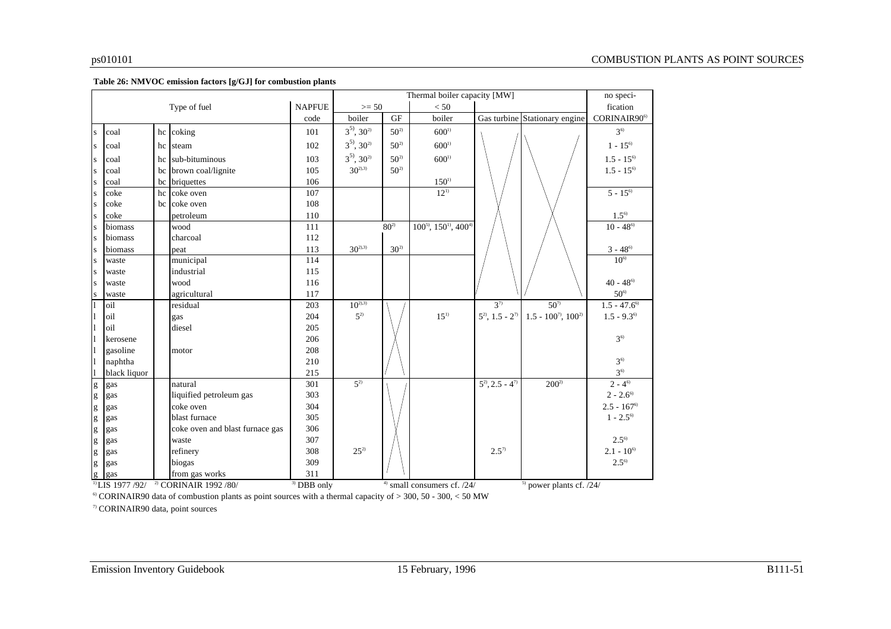|                                                                                                                                                                                                                                                                                                                                                                                                                                |              |    |                                                             |                         |                    |          | Thermal boiler capacity [MW]      |                         |                               | no speci-                  |
|--------------------------------------------------------------------------------------------------------------------------------------------------------------------------------------------------------------------------------------------------------------------------------------------------------------------------------------------------------------------------------------------------------------------------------|--------------|----|-------------------------------------------------------------|-------------------------|--------------------|----------|-----------------------------------|-------------------------|-------------------------------|----------------------------|
|                                                                                                                                                                                                                                                                                                                                                                                                                                |              |    | Type of fuel                                                | <b>NAPFUE</b>           | $>= 50$            |          | < 50                              |                         |                               | fication                   |
|                                                                                                                                                                                                                                                                                                                                                                                                                                |              |    |                                                             | code                    | boiler             | GF       | boiler                            |                         | Gas turbine Stationary engine | CORINAIR90 <sup>6)</sup>   |
| S                                                                                                                                                                                                                                                                                                                                                                                                                              | coal         | hc | coking                                                      | 101                     | $3^{5}$ , $30^{2}$ | $50^{2}$ | $600^{1}$                         |                         |                               | $3^{6}$                    |
| S                                                                                                                                                                                                                                                                                                                                                                                                                              | coal         | hc | steam                                                       | 102                     | $3^{5}$ , $30^{2}$ | $50^{2}$ | $600^{1}$                         |                         |                               | $1 - 15^{6}$               |
| <b>S</b>                                                                                                                                                                                                                                                                                                                                                                                                                       | coal         | hc | sub-bituminous                                              | 103                     | $3^{5}$ , $30^{2}$ | $50^{2}$ | $600^{1}$                         |                         |                               | $1.5 - 15^{6}$             |
| <b>S</b>                                                                                                                                                                                                                                                                                                                                                                                                                       | coal         | bc | brown coal/lignite                                          | 105                     | $30^{2,3}$         | $50^{2}$ |                                   |                         |                               | $1.5 - 15^{6}$             |
| <b>S</b>                                                                                                                                                                                                                                                                                                                                                                                                                       | coal         | bc | briquettes                                                  | 106                     |                    |          | $150^{1}$                         |                         |                               |                            |
| l s                                                                                                                                                                                                                                                                                                                                                                                                                            | coke         | hc | coke oven                                                   | 107                     |                    |          | $12^{11}$                         |                         |                               | $5 - 15^{6}$               |
| <b>S</b>                                                                                                                                                                                                                                                                                                                                                                                                                       | coke         |    | bc coke oven                                                | 108                     |                    |          |                                   |                         |                               |                            |
| <b>S</b>                                                                                                                                                                                                                                                                                                                                                                                                                       | coke         |    | petroleum                                                   | 110                     |                    |          |                                   |                         |                               | $1.5^{6}$                  |
| <b>S</b>                                                                                                                                                                                                                                                                                                                                                                                                                       | biomass      |    | wood                                                        | 111                     |                    | $80^{2}$ | $100^{5}$ , $150^{1}$ , $400^{4}$ |                         |                               | $10 - 48^{6}$              |
| <b>S</b>                                                                                                                                                                                                                                                                                                                                                                                                                       | biomass      |    | charcoal                                                    | 112                     |                    |          |                                   |                         |                               |                            |
| <b>S</b>                                                                                                                                                                                                                                                                                                                                                                                                                       | biomass      |    | peat                                                        | 113                     | $30^{2,3}$         | $30^{2}$ |                                   |                         |                               | $3 - 48^{\circ}$           |
| <sup>s</sup>                                                                                                                                                                                                                                                                                                                                                                                                                   | waste        |    | municipal                                                   | 114                     |                    |          |                                   |                         |                               | $10^{6}$                   |
| <sup>s</sup>                                                                                                                                                                                                                                                                                                                                                                                                                   | waste        |    | industrial                                                  | 115                     |                    |          |                                   |                         |                               |                            |
| <b>S</b>                                                                                                                                                                                                                                                                                                                                                                                                                       | waste        |    | wood                                                        | 116                     |                    |          |                                   |                         |                               | $40 - 48$ <sup>6)</sup>    |
| <b>S</b>                                                                                                                                                                                                                                                                                                                                                                                                                       | waste        |    | agricultural                                                | 117                     |                    |          |                                   |                         |                               | $50^{\circ}$               |
| $\mathbf{1}$                                                                                                                                                                                                                                                                                                                                                                                                                   | oil          |    | residual                                                    | 203                     | $10^{2,3}$         |          |                                   | $3^{7}$                 | $50^{7}$                      | $1.5 - 47.6$ <sup>6)</sup> |
| 1                                                                                                                                                                                                                                                                                                                                                                                                                              | oil          |    | gas                                                         | 204                     | $5^{2}$            |          | $15^{1}$                          | $5^2$ , 1.5 - $2^7$     | $1.5 - 100^{7}$ , $100^{2}$   | $1.5 - 9.3^{\circ}$        |
| 11                                                                                                                                                                                                                                                                                                                                                                                                                             | oil          |    | diesel                                                      | 205                     |                    |          |                                   |                         |                               |                            |
| $\vert$ 1                                                                                                                                                                                                                                                                                                                                                                                                                      | kerosene     |    |                                                             | 206                     |                    |          |                                   |                         |                               | $3^{6}$                    |
| $\vert$                                                                                                                                                                                                                                                                                                                                                                                                                        | gasoline     |    | motor                                                       | 208                     |                    |          |                                   |                         |                               |                            |
| $\vert$ 1                                                                                                                                                                                                                                                                                                                                                                                                                      | naphtha      |    |                                                             | 210                     |                    |          |                                   |                         |                               | $3^{6}$                    |
| l1                                                                                                                                                                                                                                                                                                                                                                                                                             | black liquor |    |                                                             | 215                     |                    |          |                                   |                         |                               | $3^{6}$                    |
| $\mathbf{g}% _{T}=\mathbf{g}_{T}=\mathbf{g}_{T}=\mathbf{g}_{T}=\mathbf{g}_{T}=\mathbf{g}_{T}=\mathbf{g}_{T}=\mathbf{g}_{T}=\mathbf{g}_{T}=\mathbf{g}_{T}=\mathbf{g}_{T}=\mathbf{g}_{T}=\mathbf{g}_{T}=\mathbf{g}_{T}=\mathbf{g}_{T}=\mathbf{g}_{T}=\mathbf{g}_{T}=\mathbf{g}_{T}=\mathbf{g}_{T}=\mathbf{g}_{T}=\mathbf{g}_{T}=\mathbf{g}_{T}=\mathbf{g}_{T}=\mathbf{g}_{T}=\mathbf{g}_{T}=\mathbf{g}_{T}=\mathbf{g}_{T}=\math$ | gas          |    | natural                                                     | 301                     | $5^{2}$            |          |                                   | $5^{2}$ , 2.5 - $4^{7}$ | $200^{2}$                     | $2 - 4^{6}$                |
| $\mathbf{g}% _{T}=\mathbf{g}_{T}=\mathbf{g}_{T}=\mathbf{g}_{T}=\mathbf{g}_{T}=\mathbf{g}_{T}=\mathbf{g}_{T}=\mathbf{g}_{T}=\mathbf{g}_{T}=\mathbf{g}_{T}=\mathbf{g}_{T}=\mathbf{g}_{T}=\mathbf{g}_{T}=\mathbf{g}_{T}=\mathbf{g}_{T}=\mathbf{g}_{T}=\mathbf{g}_{T}=\mathbf{g}_{T}=\mathbf{g}_{T}=\mathbf{g}_{T}=\mathbf{g}_{T}=\mathbf{g}_{T}=\mathbf{g}_{T}=\mathbf{g}_{T}=\mathbf{g}_{T}=\mathbf{g}_{T}=\mathbf{g}_{T}=\math$ | gas          |    | liquified petroleum gas                                     | 303                     |                    |          |                                   |                         |                               | $2 - 2.6$ <sup>6)</sup>    |
| $\mathbf{g}% _{T}=\mathbf{g}_{T}=\mathbf{g}_{T}=\mathbf{g}_{T}=\mathbf{g}_{T}=\mathbf{g}_{T}=\mathbf{g}_{T}=\mathbf{g}_{T}=\mathbf{g}_{T}=\mathbf{g}_{T}=\mathbf{g}_{T}=\mathbf{g}_{T}=\mathbf{g}_{T}=\mathbf{g}_{T}=\mathbf{g}_{T}=\mathbf{g}_{T}=\mathbf{g}_{T}=\mathbf{g}_{T}=\mathbf{g}_{T}=\mathbf{g}_{T}=\mathbf{g}_{T}=\mathbf{g}_{T}=\mathbf{g}_{T}=\mathbf{g}_{T}=\mathbf{g}_{T}=\mathbf{g}_{T}=\mathbf{g}_{T}=\math$ | gas          |    | coke oven                                                   | 304                     |                    |          |                                   |                         |                               | $2.5 - 167$ <sup>6)</sup>  |
| $\mathbf{g}$                                                                                                                                                                                                                                                                                                                                                                                                                   | gas          |    | blast furnace                                               | 305                     |                    |          |                                   |                         |                               | $1 - 2.5^{\circ}$          |
| g                                                                                                                                                                                                                                                                                                                                                                                                                              | gas          |    | coke oven and blast furnace gas                             | 306                     |                    |          |                                   |                         |                               |                            |
| g                                                                                                                                                                                                                                                                                                                                                                                                                              | gas          |    | waste                                                       | 307                     |                    |          |                                   |                         |                               | $2.5^{6}$                  |
| $\mathbf{g}$                                                                                                                                                                                                                                                                                                                                                                                                                   | gas          |    | refinery                                                    | 308                     | $25^{2}$           |          |                                   | $2.5^{7}$               |                               | $2.1 - 10^{6}$             |
| $\mathbf{g}$                                                                                                                                                                                                                                                                                                                                                                                                                   | gas          |    | biogas                                                      | 309                     |                    |          |                                   |                         |                               | $2.5^{\circ}$              |
| g                                                                                                                                                                                                                                                                                                                                                                                                                              | gas          |    | from gas works                                              | 311                     |                    |          |                                   |                         |                               |                            |
|                                                                                                                                                                                                                                                                                                                                                                                                                                |              |    | <sup>1)</sup> LIS 1977 /92/ <sup>2</sup> CORINAIR 1992 /80/ | $\overline{3}$ DBB only |                    |          | $4)$ small consumers cf. $/24/$   |                         | $5$ power plants cf. $/24/$   |                            |

<sup>6</sup> CORINAIR90 data of combustion plants as point sources with a thermal capacity of  $> 300$ , 50 - 300, < 50 MW

7) CORINAIR90 data, point sources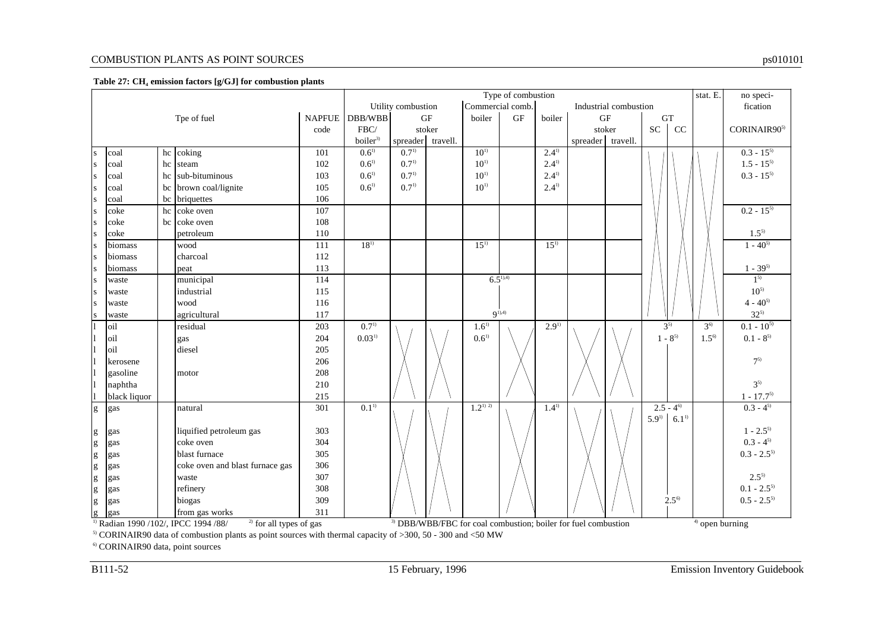#### **Table 27: CH<sup>4</sup> emission factors [g/GJ] for combustion plants**

| Type of combustion<br>Commercial comb.<br>Utility combustion<br>Industrial combustion                                                                                                                                                                                                                                                                                                                                          |              |  |                                                                                                                        |     |                     |                   |  |             |              |           |                                                                           | stat. E. | no speci-  |               |                   |                                     |
|--------------------------------------------------------------------------------------------------------------------------------------------------------------------------------------------------------------------------------------------------------------------------------------------------------------------------------------------------------------------------------------------------------------------------------|--------------|--|------------------------------------------------------------------------------------------------------------------------|-----|---------------------|-------------------|--|-------------|--------------|-----------|---------------------------------------------------------------------------|----------|------------|---------------|-------------------|-------------------------------------|
|                                                                                                                                                                                                                                                                                                                                                                                                                                |              |  |                                                                                                                        |     |                     |                   |  |             |              |           |                                                                           |          |            |               | fication          |                                     |
| $\rm{GF}$<br>NAPFUE DBB/WBB<br><b>GF</b><br>boiler<br>boiler<br>$\operatorname{GF}$<br>${\rm GT}$<br>Tpe of fuel<br>CC<br>${\rm SC}$<br>FBC/<br>stoker<br>stoker<br>code                                                                                                                                                                                                                                                       |              |  |                                                                                                                        |     |                     |                   |  |             |              |           |                                                                           |          |            |               |                   |                                     |
|                                                                                                                                                                                                                                                                                                                                                                                                                                |              |  |                                                                                                                        |     |                     |                   |  |             |              |           |                                                                           |          |            |               |                   | CORINAIR90 <sup>5)</sup>            |
|                                                                                                                                                                                                                                                                                                                                                                                                                                |              |  |                                                                                                                        |     | boiler <sup>3</sup> | spreader travell. |  |             |              |           | spreader   travell.                                                       |          |            |               |                   |                                     |
| <sub>S</sub>                                                                                                                                                                                                                                                                                                                                                                                                                   | coal         |  | hc coking                                                                                                              | 101 | $0.6^{1}$           | $0.7^{1}$         |  | $10^{1}$    |              | $2.4^{1}$ |                                                                           |          |            |               |                   | $0.3 - 15^{5}$                      |
| S                                                                                                                                                                                                                                                                                                                                                                                                                              | coal         |  | hc steam                                                                                                               | 102 | $0.6^{1}$           | $0.7^{1}$         |  | $10^{1}$    |              | $2.4^{1}$ |                                                                           |          |            |               |                   | $1.5 - 15^{5}$                      |
| S                                                                                                                                                                                                                                                                                                                                                                                                                              | coal         |  | hc sub-bituminous                                                                                                      | 103 | $0.6^{1}$           | $0.7^{1}$         |  | $10^{1}$    |              | $2.4^{1}$ |                                                                           |          |            |               |                   | $0.3 - 15^{5}$                      |
| S                                                                                                                                                                                                                                                                                                                                                                                                                              | coal         |  | bc brown coal/lignite                                                                                                  | 105 | $0.6^{1}$           | $0.7^{1}$         |  | $10^{11}$   |              | $2.4^{1}$ |                                                                           |          |            |               |                   |                                     |
| ${\bf S}$                                                                                                                                                                                                                                                                                                                                                                                                                      | coal         |  | bc briquettes                                                                                                          | 106 |                     |                   |  |             |              |           |                                                                           |          |            |               |                   |                                     |
| $\mathbf{s}$                                                                                                                                                                                                                                                                                                                                                                                                                   | coke         |  | hc coke oven                                                                                                           | 107 |                     |                   |  |             |              |           |                                                                           |          |            |               |                   | $0.2 - 15^{5}$                      |
| S                                                                                                                                                                                                                                                                                                                                                                                                                              | coke         |  | bc coke oven                                                                                                           | 108 |                     |                   |  |             |              |           |                                                                           |          |            |               |                   |                                     |
| S                                                                                                                                                                                                                                                                                                                                                                                                                              | coke         |  | petroleum                                                                                                              | 110 |                     |                   |  |             |              |           |                                                                           |          |            |               |                   | $1.5^{5}$                           |
| S                                                                                                                                                                                                                                                                                                                                                                                                                              | biomass      |  | wood                                                                                                                   | 111 | $18^{1}$            |                   |  | $15^{1}$    |              | $15^{1}$  |                                                                           |          |            |               |                   | $1 - 40^{5}$                        |
| S                                                                                                                                                                                                                                                                                                                                                                                                                              | biomass      |  | charcoal                                                                                                               | 112 |                     |                   |  |             |              |           |                                                                           |          |            |               |                   |                                     |
| S                                                                                                                                                                                                                                                                                                                                                                                                                              | biomass      |  | peat                                                                                                                   | 113 |                     |                   |  |             |              |           |                                                                           |          |            |               |                   | $1 - 39^{5}$                        |
| S                                                                                                                                                                                                                                                                                                                                                                                                                              | waste        |  | municipal                                                                                                              | 114 |                     |                   |  |             | $6.5^{1,4)}$ |           |                                                                           |          |            |               |                   | 1 <sup>5</sup>                      |
| <sub>S</sub>                                                                                                                                                                                                                                                                                                                                                                                                                   | waste        |  | industrial                                                                                                             | 115 |                     |                   |  |             |              |           |                                                                           |          |            |               |                   | $10^{5}$                            |
| <sub>S</sub>                                                                                                                                                                                                                                                                                                                                                                                                                   | waste        |  | wood                                                                                                                   | 116 |                     |                   |  |             |              |           |                                                                           |          |            |               |                   | $4 - 40^{5}$                        |
|                                                                                                                                                                                                                                                                                                                                                                                                                                | waste        |  | agricultural                                                                                                           | 117 |                     |                   |  |             | $9^{1,4)}$   |           |                                                                           |          |            |               |                   | $32^{5}$                            |
|                                                                                                                                                                                                                                                                                                                                                                                                                                | oil          |  | residual                                                                                                               | 203 | $0.7^{1}$           |                   |  | $1.6^{1}$   |              | $2.9^{1}$ |                                                                           |          |            | $3^{5}$       | $3^{6}$           | $0.1 - 10^{5}$                      |
|                                                                                                                                                                                                                                                                                                                                                                                                                                | oil          |  | gas                                                                                                                    | 204 | $0.03^{1}$          |                   |  | $0.6^{1}$   |              |           |                                                                           |          |            | $1 - 8^{5}$   | $1.5^{6}$         | $0.1$ - $8^\mathrm{s)}$             |
|                                                                                                                                                                                                                                                                                                                                                                                                                                | oil          |  | diesel                                                                                                                 | 205 |                     |                   |  |             |              |           |                                                                           |          |            |               |                   |                                     |
|                                                                                                                                                                                                                                                                                                                                                                                                                                | kerosene     |  |                                                                                                                        | 206 |                     |                   |  |             |              |           |                                                                           |          |            |               |                   | $7^{5}$                             |
| ll                                                                                                                                                                                                                                                                                                                                                                                                                             | gasoline     |  | motor                                                                                                                  | 208 |                     |                   |  |             |              |           |                                                                           |          |            |               |                   |                                     |
| $\mathbf{I}$                                                                                                                                                                                                                                                                                                                                                                                                                   | naphtha      |  |                                                                                                                        | 210 |                     |                   |  |             |              |           |                                                                           |          |            |               |                   | $3^{5}$                             |
|                                                                                                                                                                                                                                                                                                                                                                                                                                | black liquor |  |                                                                                                                        | 215 |                     |                   |  |             |              |           |                                                                           |          |            |               |                   | $1 - 17.7^{5}$                      |
| $\mathbf{g}% _{T}=\mathbf{g}_{T}=\mathbf{g}_{T}=\mathbf{g}_{T}=\mathbf{g}_{T}=\mathbf{g}_{T}=\mathbf{g}_{T}=\mathbf{g}_{T}=\mathbf{g}_{T}=\mathbf{g}_{T}=\mathbf{g}_{T}=\mathbf{g}_{T}=\mathbf{g}_{T}=\mathbf{g}_{T}=\mathbf{g}_{T}=\mathbf{g}_{T}=\mathbf{g}_{T}=\mathbf{g}_{T}=\mathbf{g}_{T}=\mathbf{g}_{T}=\mathbf{g}_{T}=\mathbf{g}_{T}=\mathbf{g}_{T}=\mathbf{g}_{T}=\mathbf{g}_{T}=\mathbf{g}_{T}=\mathbf{g}_{T}=\math$ | gas          |  | natural                                                                                                                | 301 | $0.1^{1}$           |                   |  | $1.2^{1/2}$ |              | $1.4^{1}$ |                                                                           |          |            | $2.5 - 4^{6}$ |                   | $0.3 - 4^{5}$                       |
|                                                                                                                                                                                                                                                                                                                                                                                                                                |              |  |                                                                                                                        |     |                     |                   |  |             |              |           |                                                                           |          | $5.9^{11}$ | $6.1^{1}$     |                   |                                     |
| $\mathbf{g}% _{T}=\mathbf{g}_{T}=\mathbf{g}_{T}=\mathbf{g}_{T}=\mathbf{g}_{T}=\mathbf{g}_{T}=\mathbf{g}_{T}=\mathbf{g}_{T}=\mathbf{g}_{T}=\mathbf{g}_{T}=\mathbf{g}_{T}=\mathbf{g}_{T}=\mathbf{g}_{T}=\mathbf{g}_{T}=\mathbf{g}_{T}=\mathbf{g}_{T}=\mathbf{g}_{T}=\mathbf{g}_{T}=\mathbf{g}_{T}=\mathbf{g}_{T}=\mathbf{g}_{T}=\mathbf{g}_{T}=\mathbf{g}_{T}=\mathbf{g}_{T}=\mathbf{g}_{T}=\mathbf{g}_{T}=\mathbf{g}_{T}=\math$ | gas          |  | liquified petroleum gas                                                                                                | 303 |                     |                   |  |             |              |           |                                                                           |          |            |               |                   | $1 - 2.5^{5}$                       |
| $\mathbf{g}% _{T}=\mathbf{g}_{T}=\mathbf{g}_{T}=\mathbf{g}_{T}=\mathbf{g}_{T}=\mathbf{g}_{T}=\mathbf{g}_{T}=\mathbf{g}_{T}=\mathbf{g}_{T}=\mathbf{g}_{T}=\mathbf{g}_{T}=\mathbf{g}_{T}=\mathbf{g}_{T}=\mathbf{g}_{T}=\mathbf{g}_{T}=\mathbf{g}_{T}=\mathbf{g}_{T}=\mathbf{g}_{T}=\mathbf{g}_{T}=\mathbf{g}_{T}=\mathbf{g}_{T}=\mathbf{g}_{T}=\mathbf{g}_{T}=\mathbf{g}_{T}=\mathbf{g}_{T}=\mathbf{g}_{T}=\mathbf{g}_{T}=\math$ | gas          |  | coke oven                                                                                                              | 304 |                     |                   |  |             |              |           |                                                                           |          |            |               |                   | $0.3$ - $4^{\scriptscriptstyle 5)}$ |
| $\mathbf{g}% _{0}\left( \mathbf{r},\mathbf{r}\right)$                                                                                                                                                                                                                                                                                                                                                                          | gas          |  | blast furnace                                                                                                          | 305 |                     |                   |  |             |              |           |                                                                           |          |            |               |                   | $0.3 - 2.5^{5}$                     |
| $\mathbf{g}% _{T}=\mathbf{g}_{T}=\mathbf{g}_{T}=\mathbf{g}_{T}=\mathbf{g}_{T}=\mathbf{g}_{T}=\mathbf{g}_{T}=\mathbf{g}_{T}=\mathbf{g}_{T}=\mathbf{g}_{T}=\mathbf{g}_{T}=\mathbf{g}_{T}=\mathbf{g}_{T}=\mathbf{g}_{T}=\mathbf{g}_{T}=\mathbf{g}_{T}=\mathbf{g}_{T}=\mathbf{g}_{T}=\mathbf{g}_{T}=\mathbf{g}_{T}=\mathbf{g}_{T}=\mathbf{g}_{T}=\mathbf{g}_{T}=\mathbf{g}_{T}=\mathbf{g}_{T}=\mathbf{g}_{T}=\mathbf{g}_{T}=\math$ | gas          |  | coke oven and blast furnace gas                                                                                        | 306 |                     |                   |  |             |              |           |                                                                           |          |            |               |                   |                                     |
| $\mathbf{g}$                                                                                                                                                                                                                                                                                                                                                                                                                   | gas          |  | waste                                                                                                                  | 307 |                     |                   |  |             |              |           |                                                                           |          |            |               |                   | $2.5^{5}$                           |
| $\mathbf{g}% _{T}=\mathbf{g}_{T}=\mathbf{g}_{T}=\mathbf{g}_{T}=\mathbf{g}_{T}=\mathbf{g}_{T}=\mathbf{g}_{T}=\mathbf{g}_{T}=\mathbf{g}_{T}=\mathbf{g}_{T}=\mathbf{g}_{T}=\mathbf{g}_{T}=\mathbf{g}_{T}=\mathbf{g}_{T}=\mathbf{g}_{T}=\mathbf{g}_{T}=\mathbf{g}_{T}=\mathbf{g}_{T}=\mathbf{g}_{T}=\mathbf{g}_{T}=\mathbf{g}_{T}=\mathbf{g}_{T}=\mathbf{g}_{T}=\mathbf{g}_{T}=\mathbf{g}_{T}=\mathbf{g}_{T}=\mathbf{g}_{T}=\math$ | gas          |  | refinery                                                                                                               | 308 |                     |                   |  |             |              |           |                                                                           |          |            |               |                   | $0.1 - 2.5^{5}$                     |
| g                                                                                                                                                                                                                                                                                                                                                                                                                              | gas          |  | biogas                                                                                                                 | 309 |                     |                   |  |             |              |           |                                                                           |          |            | $2.5^{\circ}$ |                   | $0.5 - 2.5^{5}$                     |
| $\mathbf{g}$                                                                                                                                                                                                                                                                                                                                                                                                                   | gas          |  | from gas works                                                                                                         | 311 |                     |                   |  |             |              |           |                                                                           |          |            |               |                   |                                     |
|                                                                                                                                                                                                                                                                                                                                                                                                                                |              |  | <sup>2)</sup> for all types of gas<br><sup>1)</sup> Radian 1990 /102/, IPCC 1994 /88/                                  |     |                     |                   |  |             |              |           | <sup>3)</sup> DBB/WBB/FBC for coal combustion; boiler for fuel combustion |          |            |               | $4)$ open burning |                                     |
|                                                                                                                                                                                                                                                                                                                                                                                                                                |              |  | <sup>5)</sup> CORINAIR90 data of combustion plants as point sources with thermal capacity of >300, 50 - 300 and <50 MW |     |                     |                   |  |             |              |           |                                                                           |          |            |               |                   |                                     |

6) CORINAIR90 data, point sources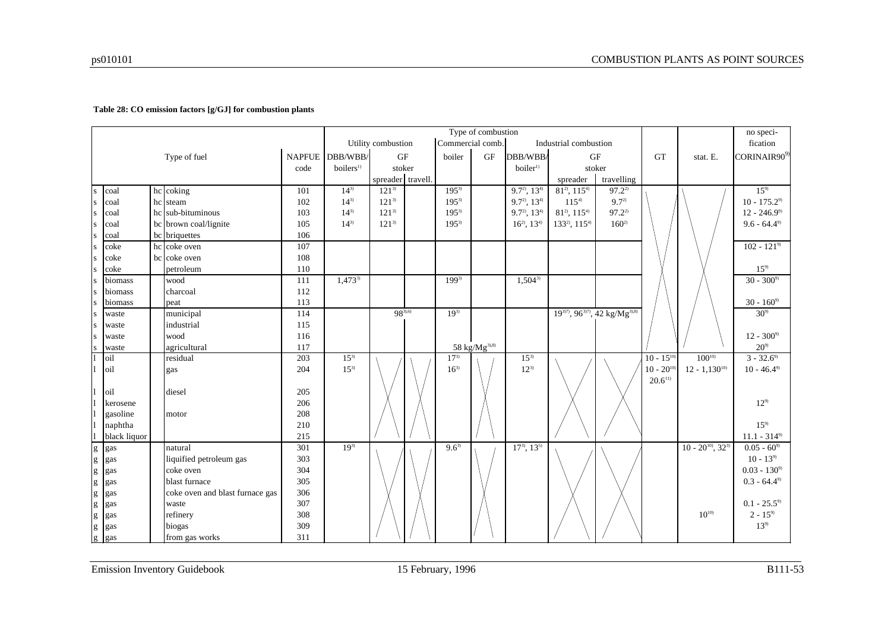#### **Table 28: CO emission factors [g/GJ] for combustion plants**

|                         | Type of combustion<br>Commercial comb.<br>Utility combustion<br>Industrial combustion |  |                                 |      |                       |                   |  |           |                           |                      |                                      | no speci-                                             |                |                           |                      |
|-------------------------|---------------------------------------------------------------------------------------|--|---------------------------------|------|-----------------------|-------------------|--|-----------|---------------------------|----------------------|--------------------------------------|-------------------------------------------------------|----------------|---------------------------|----------------------|
|                         |                                                                                       |  |                                 |      |                       |                   |  |           |                           |                      |                                      |                                                       |                |                           | fication             |
|                         |                                                                                       |  | Type of fuel                    |      | NAPFUE DBB/WBB/       | <b>GF</b>         |  | boiler    | <b>GF</b>                 | DBB/WBB/             |                                      | <b>GF</b>                                             | <b>GT</b>      | stat. E.                  | CORINAIR909)         |
|                         |                                                                                       |  |                                 | code | boilers <sup>1)</sup> | stoker            |  |           |                           | boiler <sup>1)</sup> |                                      | stoker                                                |                |                           |                      |
|                         |                                                                                       |  |                                 |      |                       | spreader travell. |  |           |                           |                      | spreader                             | travelling                                            |                |                           |                      |
| S                       | coal                                                                                  |  | hc coking                       | 101  | $14^{3}$              | $121^{3}$         |  | $195^{3}$ |                           | $9.7^{2}$ , $13^{4}$ | $81^{2}$ , $115^{4}$                 | $97.2^{2}$                                            |                |                           | $15^{9}$             |
| S                       | coal                                                                                  |  | hc steam                        | 102  | $14^{3}$              | $121^{3}$         |  | $195^{3}$ |                           | $9.7^{2}$ , $13^{4}$ | $115^{4}$                            | $9.7^{2}$                                             |                |                           | $10 - 175.2^{\circ}$ |
| <sub>S</sub>            | coal                                                                                  |  | hc sub-bituminous               | 103  | $14^{3}$              | $121^{3}$         |  | $195^{3}$ |                           | $9.7^2$ , $13^{4}$   | $81^{2}$ , $115^{4}$                 | $97.2^{2}$                                            |                |                           | $12 - 246.99$        |
| <sub>S</sub>            | coal                                                                                  |  | bc brown coal/lignite           | 105  | $14^{3}$              | $121^{3}$         |  | $195^{3}$ |                           | $16^{2}$ , $13^{4}$  | 133 <sup>2</sup> , 115 <sup>4)</sup> | $160^{2}$                                             |                |                           | $9.6 - 64.49$        |
| $\overline{\mathbf{s}}$ | coal                                                                                  |  | bc briquettes                   | 106  |                       |                   |  |           |                           |                      |                                      |                                                       |                |                           |                      |
| s                       | coke                                                                                  |  | hc coke oven                    | 107  |                       |                   |  |           |                           |                      |                                      |                                                       |                |                           | $102 - 121^{9}$      |
| S                       | coke                                                                                  |  | bc coke oven                    | 108  |                       |                   |  |           |                           |                      |                                      |                                                       |                |                           |                      |
| s                       | coke                                                                                  |  | petroleum                       | 110  |                       |                   |  |           |                           |                      |                                      |                                                       |                |                           | $15^{9}$             |
| S                       | biomass                                                                               |  | wood                            | 111  | $1,473^{3}$           |                   |  | $199^{3}$ |                           | $1,504^{3}$          |                                      |                                                       |                |                           | $30 - 3009$          |
| s                       | biomass                                                                               |  | charcoal                        | 112  |                       |                   |  |           |                           |                      |                                      |                                                       |                |                           |                      |
| s                       | biomass                                                                               |  | peat                            | 113  |                       |                   |  |           |                           |                      |                                      |                                                       |                |                           | $30 - 160^9$         |
| S                       | waste                                                                                 |  | municipal                       | 114  |                       | $98^{3,6}$        |  | $19^{3}$  |                           |                      |                                      | $19^{3/7}$ , $96^{3/7}$ , $42$ kg/Mg <sup>3),8)</sup> |                |                           | $30^{9}$             |
| <sub>S</sub>            | waste                                                                                 |  | industrial                      | 115  |                       |                   |  |           |                           |                      |                                      |                                                       |                |                           |                      |
| <sub>S</sub>            | waste                                                                                 |  | wood                            | 116  |                       |                   |  |           |                           |                      |                                      |                                                       |                |                           | $12 - 300^9$         |
| <sub>S</sub>            | waste                                                                                 |  | agricultural                    | 117  |                       |                   |  |           | 58 kg/Mg <sup>3),8)</sup> |                      |                                      |                                                       |                |                           | $20^{9}$             |
|                         | oil                                                                                   |  | residual                        | 203  | $15^{3}$              |                   |  | $17^{3}$  |                           | $15^{3}$             |                                      |                                                       | $10 - 15^{10}$ | $100^{10}$                | $3 - 32.6^{\circ}$   |
|                         | oil                                                                                   |  | gas                             | 204  | $15^{3}$              |                   |  | $16^{3}$  |                           | $12^{3}$             |                                      |                                                       | $10 - 20^{10}$ | $12 - 1,130^{10}$         | $10 - 46.49$         |
|                         |                                                                                       |  |                                 |      |                       |                   |  |           |                           |                      |                                      |                                                       | $20.6^{11}$    |                           |                      |
|                         | $\overline{\text{0}}$                                                                 |  | diesel                          | 205  |                       |                   |  |           |                           |                      |                                      |                                                       |                |                           |                      |
|                         | kerosene                                                                              |  |                                 | 206  |                       |                   |  |           |                           |                      |                                      |                                                       |                |                           | $12^{9}$             |
|                         | gasoline                                                                              |  | motor                           | 208  |                       |                   |  |           |                           |                      |                                      |                                                       |                |                           |                      |
|                         | naphtha                                                                               |  |                                 | 210  |                       |                   |  |           |                           |                      |                                      |                                                       |                |                           | $15^{9}$             |
|                         | black liquor                                                                          |  |                                 | 215  |                       |                   |  |           |                           |                      |                                      |                                                       |                |                           | $11.1 - 314^{\circ}$ |
|                         | $g$ gas                                                                               |  | natural                         | 301  | $19^{3}$              |                   |  | $9.6^{3}$ |                           | $17^{3}, 13^{5}$     |                                      |                                                       |                | $10 - 20^{10}$ , $32^{3}$ | $0.05 - 60^{\circ}$  |
|                         | $g$ gas                                                                               |  | liquified petroleum gas         | 303  |                       |                   |  |           |                           |                      |                                      |                                                       |                |                           | $10 - 13^{9}$        |
|                         | g gas                                                                                 |  | coke oven                       | 304  |                       |                   |  |           |                           |                      |                                      |                                                       |                |                           | $0.03 - 130^{9}$     |
|                         | g gas                                                                                 |  | blast furnace                   | 305  |                       |                   |  |           |                           |                      |                                      |                                                       |                |                           | $0.3 - 64.4^{\circ}$ |
|                         | g gas                                                                                 |  | coke oven and blast furnace gas | 306  |                       |                   |  |           |                           |                      |                                      |                                                       |                |                           |                      |
|                         | g gas                                                                                 |  | waste                           | 307  |                       |                   |  |           |                           |                      |                                      |                                                       |                |                           | $0.1 - 25.5^{\circ}$ |
|                         | $g$ gas                                                                               |  | refinery                        | 308  |                       |                   |  |           |                           |                      |                                      |                                                       |                | $10^{10}$                 | $2 - 15^{9}$         |
|                         | $g$ gas                                                                               |  | biogas                          | 309  |                       |                   |  |           |                           |                      |                                      |                                                       |                |                           | $13^{9}$             |
|                         | g gas                                                                                 |  | from gas works                  | 311  |                       |                   |  |           |                           |                      |                                      |                                                       |                |                           |                      |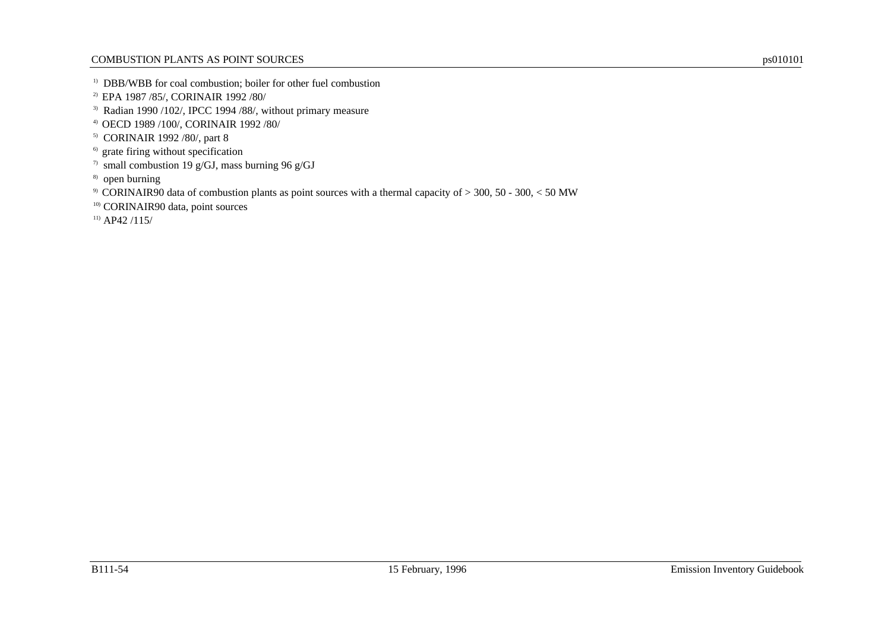- <sup>1)</sup> DBB/WBB for coal combustion; boiler for other fuel combustion
- 2) EPA 1987 /85/, CORINAIR 1992 /80/
- 3) Radian 1990 /102/, IPCC 1994 /88/, without primary measure
- 4) OECD 1989 /100/, CORINAIR 1992 /80/
- 5) CORINAIR 1992 /80/, part 8
- <sup>6)</sup> grate firing without specification
- <sup>7)</sup> small combustion 19 g/GJ, mass burning 96 g/GJ
- 8) open burning
- 9) CORINAIR90 data of combustion plants as point sources with a thermal capacity of > 300, 50 300, < 50 MW
- <sup>10)</sup> CORINAIR90 data, point sources
- $11)$  AP42 /115/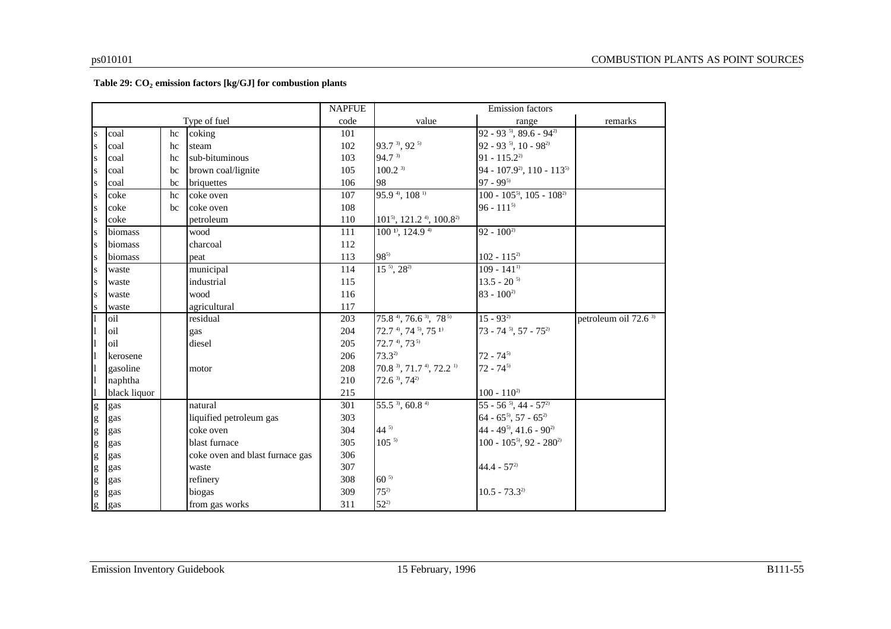#### **Table 29: CO<sup>2</sup> emission factors [kg/GJ] for combustion plants**

|                                   |              |    |                                 | <b>NAPFUE</b> |                                                             | <b>Emission</b> factors                           |                                  |
|-----------------------------------|--------------|----|---------------------------------|---------------|-------------------------------------------------------------|---------------------------------------------------|----------------------------------|
|                                   |              |    | Type of fuel                    | code          | value                                                       | range                                             | remarks                          |
| S                                 | coal         | hc | coking                          | 101           |                                                             | $92 - 93$ <sup>5</sup> , 89.6 - 94 <sup>2</sup>   |                                  |
| S                                 | coal         | hc | steam                           | 102           | 93.7 <sup>3</sup> , 92 <sup>5)</sup>                        | $92 - 93$ <sup>5</sup> , 10 - $98^2$              |                                  |
| S                                 | coal         | hc | sub-bituminous                  | 103           | 94.7 3)                                                     | $91 - 115.2^{2}$                                  |                                  |
| S                                 | coal         | bc | brown coal/lignite              | 105           | $100.2^{3}$                                                 | 94 - 107.9 <sup>2</sup> , 110 - 113 <sup>5)</sup> |                                  |
| ${\bf S}$                         | coal         | bc | briquettes                      | 106           | 98                                                          | $97 - 99^{5}$                                     |                                  |
| S                                 | coke         | hc | coke oven                       | 107           | $95.94$ , $1081$                                            | $100 - 105^{5}$ , $105 - 108^{2}$                 |                                  |
| S                                 | coke         | bc | coke oven                       | 108           |                                                             | $96 - 111^{5}$                                    |                                  |
| S                                 | coke         |    | petroleum                       | 110           | 101 <sup>5</sup> , 121.2 <sup>4</sup> , 100.8 <sup>2)</sup> |                                                   |                                  |
| S                                 | biomass      |    | wood                            | 111           | 100 <sup>1</sup> , 124.9 <sup>4</sup>                       | $92 - 100^{2}$                                    |                                  |
| S                                 | biomass      |    | charcoal                        | 112           |                                                             |                                                   |                                  |
| S                                 | biomass      |    | peat                            | 113           | $98^{5}$                                                    | $102 - 115^{2}$                                   |                                  |
| S                                 | waste        |    | municipal                       | 114           | $15^{5}$ , $28^{20}$                                        | $109 - 141^{11}$                                  |                                  |
| S                                 | waste        |    | industrial                      | 115           |                                                             | $13.5 - 20^{5}$                                   |                                  |
| S                                 | waste        |    | wood                            | 116           |                                                             | $83 - 100^{2}$                                    |                                  |
| ${\bf S}$                         | waste        |    | agricultural                    | 117           |                                                             |                                                   |                                  |
|                                   | oil          |    | residual                        | 203           | $75.8^{4}$ , $76.6^{3}$ , $78^{5}$                          | $15 - 93^{2}$                                     | petroleum oil 72.6 <sup>3)</sup> |
| 11                                | oil          |    | gas                             | 204           | $72.74$ , $745$ , $751$                                     | $73 - 74$ <sup>5</sup> , $57 - 75$ <sup>2)</sup>  |                                  |
| I1                                | oil          |    | diesel                          | 205           | $72.74$ , $735$                                             |                                                   |                                  |
| 11                                | kerosene     |    |                                 | 206           | $73.3^{2}$                                                  | $72 - 74^{5}$                                     |                                  |
| $\vert$                           | gasoline     |    | motor                           | 208           | 70.8 <sup>3</sup> , 71.7 <sup>4</sup> , 72.2 <sup>1</sup>   | $72 - 74^{5}$                                     |                                  |
| <sup>1</sup>                      | naphtha      |    |                                 | 210           | $72.6^{3}$ , $74^{2}$                                       |                                                   |                                  |
|                                   | black liquor |    |                                 | 215           |                                                             | $100 - 110^{2}$                                   |                                  |
| g                                 | gas          |    | natural                         | 301           | $55.5^{3}$ , 60.8 <sup>4)</sup>                             | $55 - 56^{5}$ , 44 - $57^{2}$                     |                                  |
| $\mathbf{g}% _{T}=\mathbf{g}_{T}$ | gas          |    | liquified petroleum gas         | 303           |                                                             | $64 - 65^{5}$ , 57 - $65^{2}$                     |                                  |
| g                                 | gas          |    | coke oven                       | 304           | $44^{5}$                                                    | 44 - 49 <sup>5</sup> , 41.6 - 90 <sup>2)</sup>    |                                  |
| g                                 | gas          |    | blast furnace                   | 305           | $105^{5}$                                                   | $100 - 105^{5}$ , 92 - 280 <sup>2)</sup>          |                                  |
| g                                 | gas          |    | coke oven and blast furnace gas | 306           |                                                             |                                                   |                                  |
| g                                 | gas          |    | waste                           | 307           |                                                             | $44.4 - 57^{2}$                                   |                                  |
| g                                 | gas          |    | refinery                        | 308           | $60^{5}$                                                    |                                                   |                                  |
| g                                 | gas          |    | biogas                          | 309           | $75^{2}$                                                    | $10.5 - 73.3^{2}$                                 |                                  |
| g                                 | gas          |    | from gas works                  | 311           | $52^{2}$                                                    |                                                   |                                  |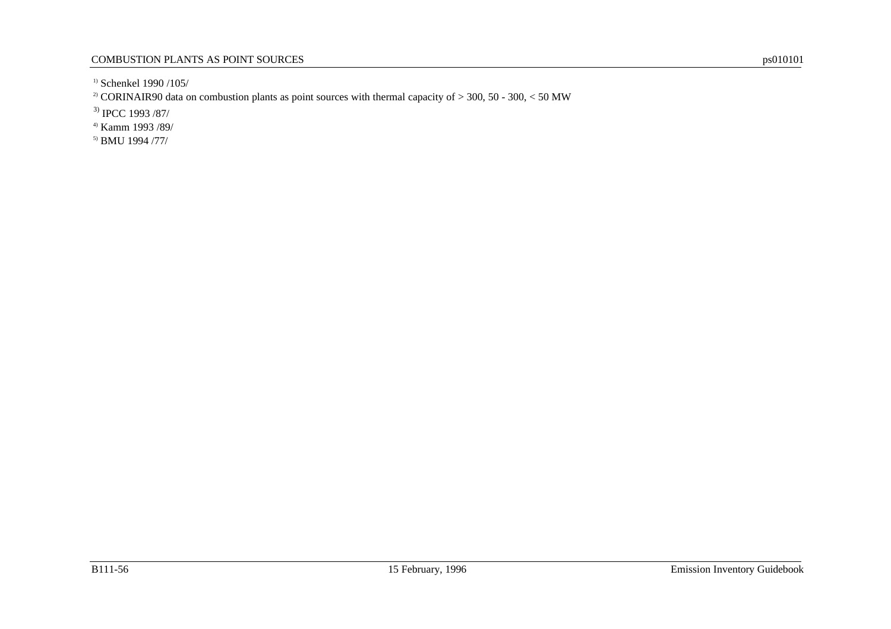<sup>1)</sup> Schenkel 1990 /105/

<sup>2)</sup> CORINAIR90 data on combustion plants as point sources with thermal capacity of  $>$  300, 50 - 300, < 50 MW

3) IPCC 1993 /87/

4) Kamm 1993 /89/

5) BMU 1994 /77/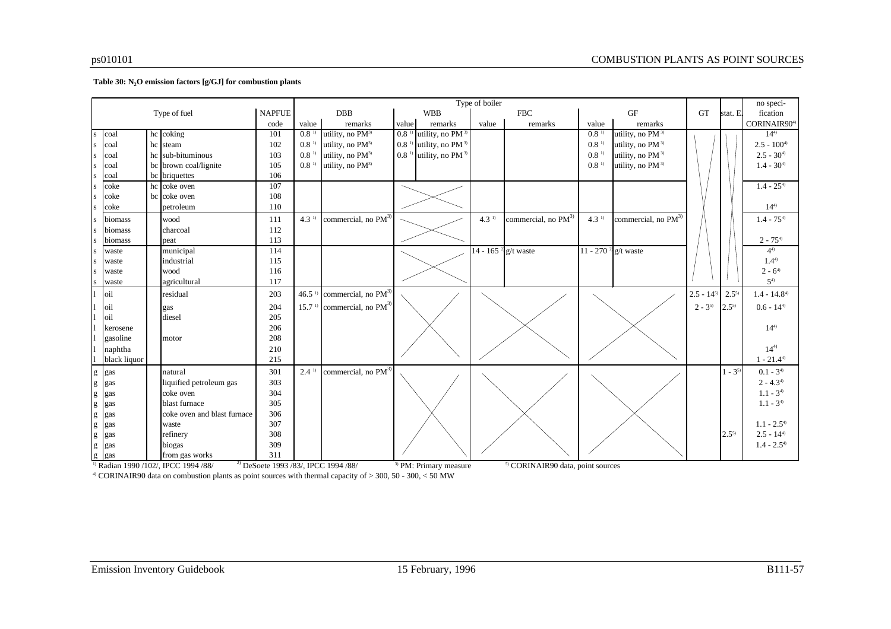#### **Table 30: N2O emission factors [g/GJ] for combustion plants**

|                                                                                                                                                                                                                                                                                                                                                                                                                                |              |    |                             |            | Type of boiler      |                                 |                    |                                   |                                   |                                              |                  |                                   |                | no speci-   |                 |
|--------------------------------------------------------------------------------------------------------------------------------------------------------------------------------------------------------------------------------------------------------------------------------------------------------------------------------------------------------------------------------------------------------------------------------|--------------|----|-----------------------------|------------|---------------------|---------------------------------|--------------------|-----------------------------------|-----------------------------------|----------------------------------------------|------------------|-----------------------------------|----------------|-------------|-----------------|
| Type of fuel                                                                                                                                                                                                                                                                                                                                                                                                                   |              |    | <b>NAPFUE</b>               | <b>DBB</b> |                     | <b>WBB</b>                      |                    | <b>FBC</b>                        |                                   | GF                                           |                  | <b>GT</b>                         | stat. E.       | fication    |                 |
| code                                                                                                                                                                                                                                                                                                                                                                                                                           |              |    | value                       | remarks    | value               | remarks                         | value              | remarks                           | value                             | remarks                                      |                  |                                   | CORINAIR904)   |             |                 |
| $\mathbf{s}$                                                                                                                                                                                                                                                                                                                                                                                                                   | coal         |    | hc coking                   | 101        | 0.8 <sup>1</sup>    | utility, no PM <sup>3)</sup>    | 0.8 <sup>1</sup>   | utility, no PM <sup>3)</sup>      |                                   |                                              | 0.8 <sup>1</sup> | utility, no PM <sup>3)</sup>      |                |             | $14^{4}$        |
| s                                                                                                                                                                                                                                                                                                                                                                                                                              | coal         |    | hc steam                    | 102        | 0.8 <sup>1</sup>    | utility, no PM <sup>3)</sup>    | 0.8 <sup>1</sup>   | utility, no PM <sup>3)</sup>      |                                   |                                              | 0.8 <sup>1</sup> | utility, no PM <sup>3)</sup>      |                |             | $2.5 - 100^{4}$ |
|                                                                                                                                                                                                                                                                                                                                                                                                                                | coal         | hc | sub-bituminous              | 103        | 0.8 <sup>1</sup>    | utility, no PM <sup>3)</sup>    | $0.8$ <sup>1</sup> | utility, no PM <sup>3)</sup>      |                                   |                                              | 0.8 <sup>1</sup> | utility, no PM <sup>3)</sup>      |                |             | $2.5 - 30^{4}$  |
|                                                                                                                                                                                                                                                                                                                                                                                                                                | coal         |    | bc brown coal/lignite       | 105        | 0.8 <sup>1</sup>    | utility, no PM <sup>3)</sup>    |                    |                                   |                                   |                                              | 0.8 <sup>1</sup> | utility, no PM <sup>3)</sup>      |                |             | $1.4 - 30^{4}$  |
|                                                                                                                                                                                                                                                                                                                                                                                                                                | coal         |    | bc briquettes               | 106        |                     |                                 |                    |                                   |                                   |                                              |                  |                                   |                |             |                 |
|                                                                                                                                                                                                                                                                                                                                                                                                                                | coke         |    | hc coke oven                | 107        |                     |                                 |                    |                                   |                                   |                                              |                  |                                   |                |             | $1.4 - 25^{4}$  |
| s                                                                                                                                                                                                                                                                                                                                                                                                                              | coke         |    | bc coke oven                | 108        |                     |                                 |                    |                                   |                                   |                                              |                  |                                   |                |             |                 |
|                                                                                                                                                                                                                                                                                                                                                                                                                                | coke         |    | petroleum                   | 110        |                     |                                 |                    |                                   |                                   |                                              |                  |                                   |                |             | $14^{4}$        |
| s                                                                                                                                                                                                                                                                                                                                                                                                                              | biomass      |    | wood                        | 111        | 4.3 <sup>1</sup>    | commercial, no PM <sup>3)</sup> |                    |                                   | 4.3 <sup>1</sup>                  | commercial, no PM <sup>3)</sup>              | 4.3 <sup>1</sup> | commercial, no PM <sup>3)</sup>   |                |             | $1.4 - 75^{4}$  |
| S                                                                                                                                                                                                                                                                                                                                                                                                                              | biomass      |    | charcoal                    | 112        |                     |                                 |                    |                                   |                                   |                                              |                  |                                   |                |             |                 |
|                                                                                                                                                                                                                                                                                                                                                                                                                                | biomass      |    | peat                        | 113        |                     |                                 |                    |                                   |                                   |                                              |                  |                                   |                |             | $2 - 75^{4}$    |
| S                                                                                                                                                                                                                                                                                                                                                                                                                              | waste        |    | municipal                   | 114        |                     |                                 |                    |                                   | $14 - 165$ <sup>2</sup> g/t waste |                                              |                  | $11 - 270$ <sup>2</sup> g/t waste |                |             | $4^{4}$         |
| S                                                                                                                                                                                                                                                                                                                                                                                                                              | waste        |    | industrial                  | 115        |                     |                                 |                    |                                   |                                   |                                              |                  |                                   |                |             | $1.4^{4}$       |
| s                                                                                                                                                                                                                                                                                                                                                                                                                              | waste        |    | wood                        | 116        |                     |                                 |                    |                                   |                                   |                                              |                  |                                   |                |             | $2 - 6^{4}$     |
| s                                                                                                                                                                                                                                                                                                                                                                                                                              | waste        |    | agricultural                | 117        |                     |                                 |                    |                                   |                                   |                                              |                  |                                   |                |             | $5^{4)}$        |
|                                                                                                                                                                                                                                                                                                                                                                                                                                | oil          |    | residual                    | 203        | $46.5^{\mathrm{T}}$ | commercial, no PM <sup>3)</sup> |                    |                                   |                                   |                                              |                  |                                   | $2.5 - 14^{5}$ | $2.5^{5}$   | $1.4 - 14.84$   |
|                                                                                                                                                                                                                                                                                                                                                                                                                                | oil          |    |                             | 204        | $15.7^{\mathrm{T}}$ | commercial, no PM <sup>3)</sup> |                    |                                   |                                   |                                              |                  |                                   | $2 - 3^{5}$    | $2.5^{5}$   | $0.6 - 144$     |
|                                                                                                                                                                                                                                                                                                                                                                                                                                | oil          |    | gas<br>diesel               | 205        |                     |                                 |                    |                                   |                                   |                                              |                  |                                   |                |             |                 |
|                                                                                                                                                                                                                                                                                                                                                                                                                                | kerosene     |    |                             | 206        |                     |                                 |                    |                                   |                                   |                                              |                  |                                   |                |             | $14^{4}$        |
|                                                                                                                                                                                                                                                                                                                                                                                                                                | gasoline     |    | motor                       | 208        |                     |                                 |                    |                                   |                                   |                                              |                  |                                   |                |             |                 |
|                                                                                                                                                                                                                                                                                                                                                                                                                                | naphtha      |    |                             | 210        |                     |                                 |                    |                                   |                                   |                                              |                  |                                   |                |             | $14^{4}$        |
|                                                                                                                                                                                                                                                                                                                                                                                                                                | black liquor |    |                             | 215        |                     |                                 |                    |                                   |                                   |                                              |                  |                                   |                |             | $1 - 21.44$     |
|                                                                                                                                                                                                                                                                                                                                                                                                                                |              |    |                             |            |                     |                                 |                    |                                   |                                   |                                              |                  |                                   |                |             |                 |
| $\mathbf{g}% _{T}=\mathbf{g}_{T}$                                                                                                                                                                                                                                                                                                                                                                                              | gas          |    | natural                     | 301        | 2.4 <sup>1</sup>    | commercial, no PM <sup>3)</sup> |                    |                                   |                                   |                                              |                  |                                   |                | $1 - 3^{5}$ | $0.1 - 3^{4}$   |
| $\mathbf{g}% _{T}=\mathbf{g}_{T}=\mathbf{g}_{T}=\mathbf{g}_{T}=\mathbf{g}_{T}=\mathbf{g}_{T}=\mathbf{g}_{T}=\mathbf{g}_{T}=\mathbf{g}_{T}=\mathbf{g}_{T}=\mathbf{g}_{T}=\mathbf{g}_{T}=\mathbf{g}_{T}=\mathbf{g}_{T}=\mathbf{g}_{T}=\mathbf{g}_{T}=\mathbf{g}_{T}=\mathbf{g}_{T}=\mathbf{g}_{T}=\mathbf{g}_{T}=\mathbf{g}_{T}=\mathbf{g}_{T}=\mathbf{g}_{T}=\mathbf{g}_{T}=\mathbf{g}_{T}=\mathbf{g}_{T}=\mathbf{g}_{T}=\math$ | gas          |    | liquified petroleum gas     | 303        |                     |                                 |                    |                                   |                                   |                                              |                  |                                   |                |             | $2 - 4.34$      |
| $\mathbf{g}% _{0}$                                                                                                                                                                                                                                                                                                                                                                                                             | gas          |    | coke oven                   | 304        |                     |                                 |                    |                                   |                                   |                                              |                  |                                   |                |             | $1.1 - 3^{4}$   |
| $\mathbf{g}% _{T}=\mathbf{g}_{T}=\mathbf{g}_{T}=\mathbf{g}_{T}=\mathbf{g}_{T}=\mathbf{g}_{T}=\mathbf{g}_{T}=\mathbf{g}_{T}=\mathbf{g}_{T}=\mathbf{g}_{T}=\mathbf{g}_{T}=\mathbf{g}_{T}=\mathbf{g}_{T}=\mathbf{g}_{T}=\mathbf{g}_{T}=\mathbf{g}_{T}=\mathbf{g}_{T}=\mathbf{g}_{T}=\mathbf{g}_{T}=\mathbf{g}_{T}=\mathbf{g}_{T}=\mathbf{g}_{T}=\mathbf{g}_{T}=\mathbf{g}_{T}=\mathbf{g}_{T}=\mathbf{g}_{T}=\mathbf{g}_{T}=\math$ | gas          |    | blast furnace               | 305        |                     |                                 |                    |                                   |                                   |                                              |                  |                                   |                |             | $1.1 - 34$      |
| $\mathbf{g}% _{0}$                                                                                                                                                                                                                                                                                                                                                                                                             | gas          |    | coke oven and blast furnace | 306        |                     |                                 |                    |                                   |                                   |                                              |                  |                                   |                |             |                 |
| $\mathbf{g}% _{0}$                                                                                                                                                                                                                                                                                                                                                                                                             | gas          |    | waste                       | 307        |                     |                                 |                    |                                   |                                   |                                              |                  |                                   |                |             | $1.1 - 2.54$    |
| $\mathbf{g}% _{T}=\mathbf{g}_{T}=\mathbf{g}_{T}=\mathbf{g}_{T}=\mathbf{g}_{T}=\mathbf{g}_{T}=\mathbf{g}_{T}=\mathbf{g}_{T}=\mathbf{g}_{T}=\mathbf{g}_{T}=\mathbf{g}_{T}=\mathbf{g}_{T}=\mathbf{g}_{T}=\mathbf{g}_{T}=\mathbf{g}_{T}=\mathbf{g}_{T}=\mathbf{g}_{T}=\mathbf{g}_{T}=\mathbf{g}_{T}=\mathbf{g}_{T}=\mathbf{g}_{T}=\mathbf{g}_{T}=\mathbf{g}_{T}=\mathbf{g}_{T}=\mathbf{g}_{T}=\mathbf{g}_{T}=\mathbf{g}_{T}=\math$ | gas          |    | refinery                    | 308        |                     |                                 |                    |                                   |                                   |                                              |                  |                                   |                | $2.5^{5}$   | $2.5 - 14^{4}$  |
| $\mathbf g$                                                                                                                                                                                                                                                                                                                                                                                                                    | gas          |    | biogas                      | 309        |                     |                                 |                    |                                   |                                   |                                              |                  |                                   |                |             | $1.4 - 2.54$    |
| g                                                                                                                                                                                                                                                                                                                                                                                                                              | gas          |    | from gas works              | 311        |                     |                                 |                    |                                   |                                   |                                              |                  |                                   |                |             |                 |
| <sup>2)</sup> DeSoete 1993 /83/, IPCC 1994 /88/<br><sup>1)</sup> Radian 1990 /102/, IPCC 1994 /88/                                                                                                                                                                                                                                                                                                                             |              |    |                             |            |                     |                                 |                    | <sup>3)</sup> PM: Primary measure |                                   | <sup>5)</sup> CORINAIR90 data, point sources |                  |                                   |                |             |                 |

4) CORINAIR90 data on combustion plants as point sources with thermal capacity of > 300, 50 - 300, < 50 MW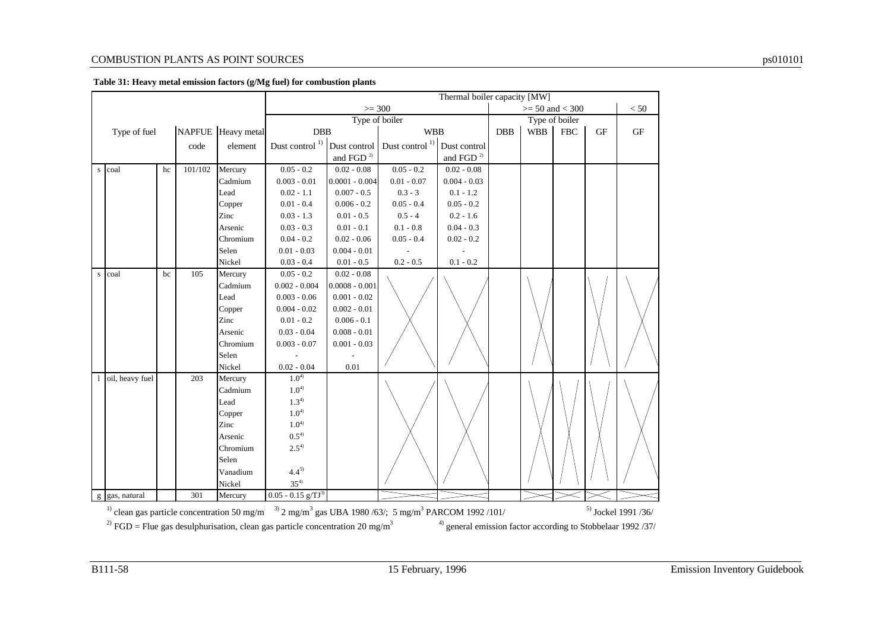#### COMBUSTION PLANTS AS POINT SOURCES ps010101

|  |  | Table 31: Heavy metal emission factors (g/Mg fuel) for combustion plants |
|--|--|--------------------------------------------------------------------------|

|           |                                                                                                                                                                 |    |         |                    |                                  |                          |                                                                    | Thermal boiler capacity [MW] |                     |                |             |    |           |
|-----------|-----------------------------------------------------------------------------------------------------------------------------------------------------------------|----|---------|--------------------|----------------------------------|--------------------------|--------------------------------------------------------------------|------------------------------|---------------------|----------------|-------------|----|-----------|
|           |                                                                                                                                                                 |    |         |                    | $>=$ 300                         |                          |                                                                    |                              | $>= 50$ and $< 300$ |                |             |    | < 50      |
|           |                                                                                                                                                                 |    |         |                    | Type of boiler                   |                          |                                                                    |                              |                     | Type of boiler |             |    |           |
|           | Type of fuel                                                                                                                                                    |    |         | NAPFUE Heavy metal |                                  | <b>DBB</b><br><b>WBB</b> |                                                                    |                              | <b>DBB</b>          | <b>WBB</b>     | ${\rm FBC}$ | GF | <b>GF</b> |
|           |                                                                                                                                                                 |    | code    | element            |                                  |                          | Dust control <sup>1)</sup> Dust control Dust control <sup>1)</sup> | Dust control                 |                     |                |             |    |           |
|           |                                                                                                                                                                 |    |         |                    |                                  | and FGD $^{\rm 2)}$      |                                                                    | and FGD $^{\rm 2)}$          |                     |                |             |    |           |
| ${\bf S}$ | coal                                                                                                                                                            | hc | 101/102 | Mercury            | $0.05 - 0.2$                     | $0.02 - 0.08$            | $0.05 - 0.2$                                                       | $0.02 - 0.08$                |                     |                |             |    |           |
|           |                                                                                                                                                                 |    |         | Cadmium            | $0.003 - 0.01$                   | $0.0001 - 0.004$         | $0.01 - 0.07$                                                      | $0.004 - 0.03$               |                     |                |             |    |           |
|           |                                                                                                                                                                 |    |         | Lead               | $0.02 - 1.1$                     | $0.007 - 0.5$            | $0.3 - 3$                                                          | $0.1 - 1.2$                  |                     |                |             |    |           |
|           |                                                                                                                                                                 |    |         | Copper             | $0.01 - 0.4$                     | $0.006 - 0.2$            | $0.05 - 0.4$                                                       | $0.05 - 0.2$                 |                     |                |             |    |           |
|           |                                                                                                                                                                 |    |         | Zinc               | $0.03 - 1.3$                     | $0.01 - 0.5$             | $0.5 - 4$                                                          | $0.2 - 1.6$                  |                     |                |             |    |           |
|           |                                                                                                                                                                 |    |         | Arsenic            | $0.03 - 0.3$                     | $0.01 - 0.1$             | $0.1 - 0.8$                                                        | $0.04 - 0.3$                 |                     |                |             |    |           |
|           |                                                                                                                                                                 |    |         | Chromium           | $0.04 - 0.2$                     | $0.02 - 0.06$            | $0.05 - 0.4$                                                       | $0.02 - 0.2$                 |                     |                |             |    |           |
|           |                                                                                                                                                                 |    |         | Selen              | $0.01 - 0.03$                    | $0.004 - 0.01$           |                                                                    |                              |                     |                |             |    |           |
|           |                                                                                                                                                                 |    |         | Nickel             | $0.03 - 0.4$                     | $0.01 - 0.5$             | $0.2 - 0.5$                                                        | $0.1 - 0.2$                  |                     |                |             |    |           |
| ${\bf S}$ | coal                                                                                                                                                            | bc | 105     | Mercury            | $0.05 - 0.2$                     | $\overline{0.02} - 0.08$ |                                                                    |                              |                     |                |             |    |           |
|           |                                                                                                                                                                 |    |         | Cadmium            | $0.002 - 0.004$                  | $0.0008 - 0.001$         |                                                                    |                              |                     |                |             |    |           |
|           |                                                                                                                                                                 |    |         | Lead               | $0.003 - 0.06$                   | $0.001 - 0.02$           |                                                                    |                              |                     |                |             |    |           |
|           |                                                                                                                                                                 |    |         | Copper             | $0.004 - 0.02$                   | $0.002 - 0.01$           |                                                                    |                              |                     |                |             |    |           |
|           |                                                                                                                                                                 |    |         | Zinc               | $0.01 - 0.2$                     | $0.006 - 0.1$            |                                                                    |                              |                     |                |             |    |           |
|           |                                                                                                                                                                 |    |         | Arsenic            | $0.03 - 0.04$                    | $0.008 - 0.01$           |                                                                    |                              |                     |                |             |    |           |
|           |                                                                                                                                                                 |    |         | Chromium           | $0.003 - 0.07$                   | $0.001 - 0.03$           |                                                                    |                              |                     |                |             |    |           |
|           |                                                                                                                                                                 |    |         | Selen              |                                  |                          |                                                                    |                              |                     |                |             |    |           |
|           |                                                                                                                                                                 |    |         | Nickel             | $0.02 - 0.04$                    | 0.01                     |                                                                    |                              |                     |                |             |    |           |
|           | 1 oil, heavy fuel                                                                                                                                               |    | 203     | Mercury            | $1.0^{4}$                        |                          |                                                                    |                              |                     |                |             |    |           |
|           |                                                                                                                                                                 |    |         | Cadmium            | $1.0^{4}$                        |                          |                                                                    |                              |                     |                |             |    |           |
|           |                                                                                                                                                                 |    |         | Lead               | $1.3^{4}$                        |                          |                                                                    |                              |                     |                |             |    |           |
|           |                                                                                                                                                                 |    |         | Copper             | $1.0^{4}$                        |                          |                                                                    |                              |                     |                |             |    |           |
|           |                                                                                                                                                                 |    |         | Zinc               | $1.0^{4}$                        |                          |                                                                    |                              |                     |                |             |    |           |
|           |                                                                                                                                                                 |    |         | Arsenic            | $0.5^{4}$                        |                          |                                                                    |                              |                     |                |             |    |           |
|           |                                                                                                                                                                 |    |         | Chromium           | $2.5^{4}$                        |                          |                                                                    |                              |                     |                |             |    |           |
|           |                                                                                                                                                                 |    |         | Selen              |                                  |                          |                                                                    |                              |                     |                |             |    |           |
|           |                                                                                                                                                                 |    |         | Vanadium           | $4.4^{5}$                        |                          |                                                                    |                              |                     |                |             |    |           |
|           |                                                                                                                                                                 |    |         | Nickel             | $35^{4}$                         |                          |                                                                    |                              |                     |                |             |    |           |
|           | g gas, natural                                                                                                                                                  |    | 301     | Mercury            | $0.05 - 0.15$ g/TJ <sup>3)</sup> |                          |                                                                    |                              |                     |                |             |    |           |
|           | $30$ 2 mg/m <sup>3</sup> gas UBA 1980/63/; 5 mg/m <sup>3</sup> PARCOM 1992/101/<br>$^{5)}$ Jockel 1991 /36/<br>$^{1)}$ clean gas particle concentration 50 mg/m |    |         |                    |                                  |                          |                                                                    |                              |                     |                |             |    |           |

<sup>2)</sup> FGD = Flue gas desulphurisation, clean gas particle concentration 20 mg/m<sup>3</sup>  $\frac{4}{9}$  general emission factor according to Stobbelaar 1992/37/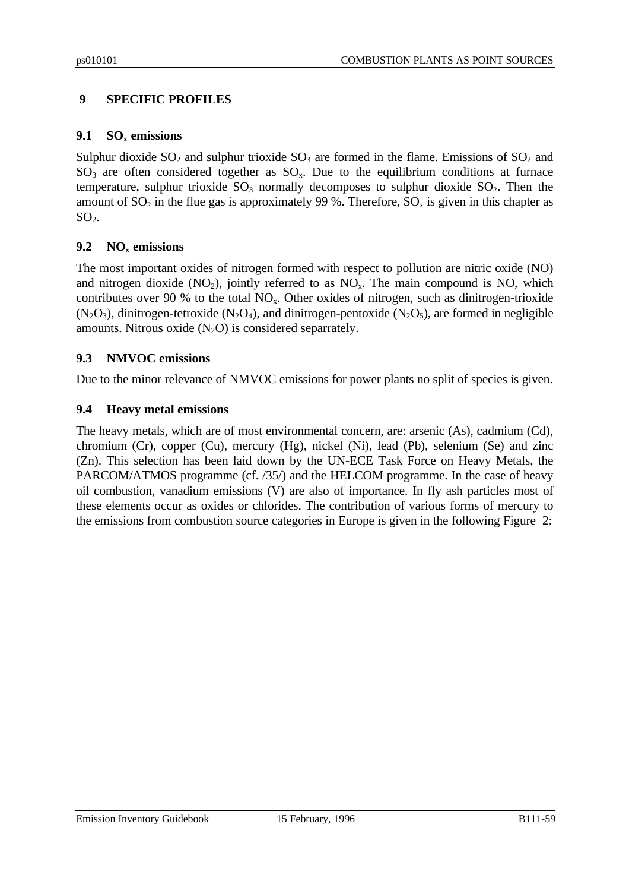# **9 SPECIFIC PROFILES**

# **9.1 SOx emissions**

Sulphur dioxide  $SO_2$  and sulphur trioxide  $SO_3$  are formed in the flame. Emissions of  $SO_2$  and  $SO_3$  are often considered together as  $SO_3$ . Due to the equilibrium conditions at furnace temperature, sulphur trioxide  $SO_3$  normally decomposes to sulphur dioxide  $SO_2$ . Then the amount of  $SO_2$  in the flue gas is approximately 99 %. Therefore,  $SO_x$  is given in this chapter as  $SO<sub>2</sub>$ .

# **9.2 NOx emissions**

The most important oxides of nitrogen formed with respect to pollution are nitric oxide (NO) and nitrogen dioxide  $(NO_2)$ , jointly referred to as  $NO<sub>x</sub>$ . The main compound is NO, which contributes over 90 % to the total  $NO<sub>x</sub>$ . Other oxides of nitrogen, such as dinitrogen-trioxide  $(N_2O_3)$ , dinitrogen-tetroxide  $(N_2O_4)$ , and dinitrogen-pentoxide  $(N_2O_5)$ , are formed in negligible amounts. Nitrous oxide  $(N_2O)$  is considered separrately.

# **9.3 NMVOC emissions**

Due to the minor relevance of NMVOC emissions for power plants no split of species is given.

# **9.4 Heavy metal emissions**

The heavy metals, which are of most environmental concern, are: arsenic (As), cadmium (Cd), chromium (Cr), copper (Cu), mercury (Hg), nickel (Ni), lead (Pb), selenium (Se) and zinc (Zn). This selection has been laid down by the UN-ECE Task Force on Heavy Metals, the PARCOM/ATMOS programme (cf. /35/) and the HELCOM programme. In the case of heavy oil combustion, vanadium emissions (V) are also of importance. In fly ash particles most of these elements occur as oxides or chlorides. The contribution of various forms of mercury to the emissions from combustion source categories in Europe is given in the following Figure 2: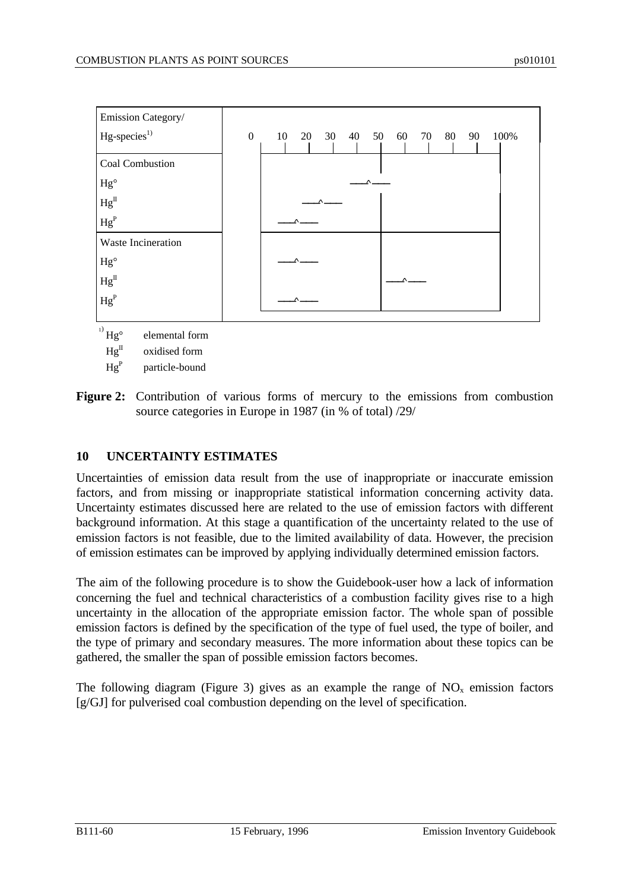

 $He^{II}$  oxidised form

 $He^P$ particle-bound

**Figure 2:** Contribution of various forms of mercury to the emissions from combustion source categories in Europe in 1987 (in % of total) /29/

# **10 UNCERTAINTY ESTIMATES**

Uncertainties of emission data result from the use of inappropriate or inaccurate emission factors, and from missing or inappropriate statistical information concerning activity data. Uncertainty estimates discussed here are related to the use of emission factors with different background information. At this stage a quantification of the uncertainty related to the use of emission factors is not feasible, due to the limited availability of data. However, the precision of emission estimates can be improved by applying individually determined emission factors.

The aim of the following procedure is to show the Guidebook-user how a lack of information concerning the fuel and technical characteristics of a combustion facility gives rise to a high uncertainty in the allocation of the appropriate emission factor. The whole span of possible emission factors is defined by the specification of the type of fuel used, the type of boiler, and the type of primary and secondary measures. The more information about these topics can be gathered, the smaller the span of possible emission factors becomes.

The following diagram (Figure 3) gives as an example the range of  $NO<sub>x</sub>$  emission factors [g/GJ] for pulverised coal combustion depending on the level of specification.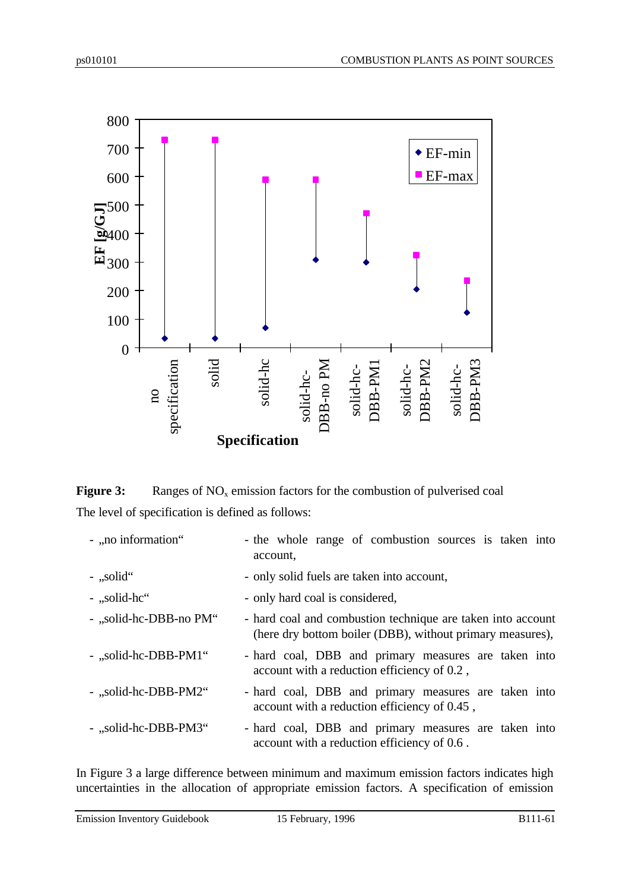

**Figure 3:** Ranges of NO<sub>x</sub> emission factors for the combustion of pulverised coal The level of specification is defined as follows:

| - "no information"     | - the whole range of combustion sources is taken into<br>account.                                                        |
|------------------------|--------------------------------------------------------------------------------------------------------------------------|
| $-$ , solid $\cdot$    | - only solid fuels are taken into account,                                                                               |
| - "solid-hc"           | - only hard coal is considered,                                                                                          |
| - "solid-hc-DBB-no PM" | - hard coal and combustion technique are taken into account<br>(here dry bottom boiler (DBB), without primary measures), |
| - "solid-hc-DBB-PM1"   | - hard coal, DBB and primary measures are taken into<br>account with a reduction efficiency of 0.2,                      |
| - "solid-hc-DBB-PM2"   | - hard coal, DBB and primary measures are taken into<br>account with a reduction efficiency of 0.45,                     |
| - "solid-hc-DBB-PM3"   | - hard coal, DBB and primary measures are taken into<br>account with a reduction efficiency of 0.6.                      |

In Figure 3 a large difference between minimum and maximum emission factors indicates high uncertainties in the allocation of appropriate emission factors. A specification of emission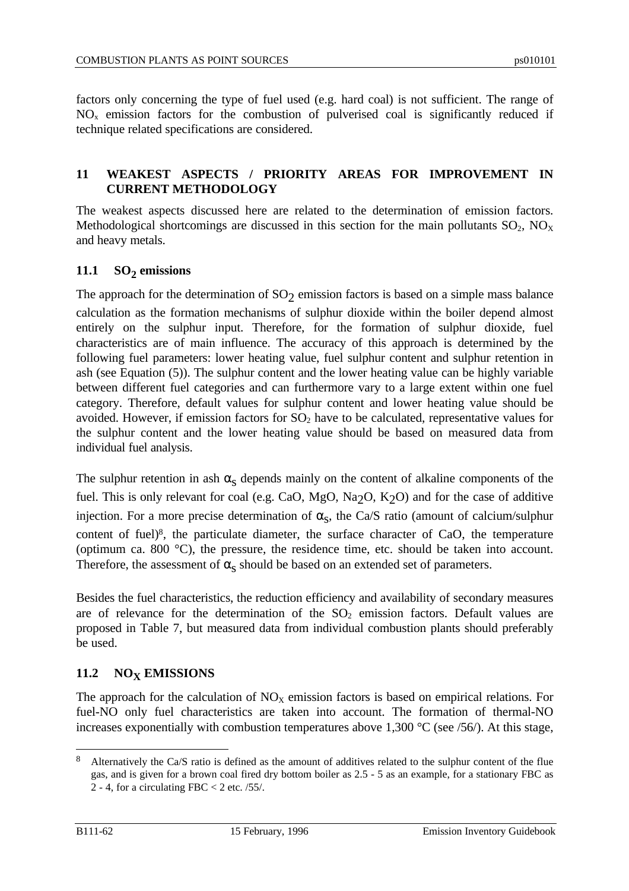factors only concerning the type of fuel used (e.g. hard coal) is not sufficient. The range of  $NO<sub>x</sub>$  emission factors for the combustion of pulverised coal is significantly reduced if technique related specifications are considered.

### **11 WEAKEST ASPECTS / PRIORITY AREAS FOR IMPROVEMENT IN CURRENT METHODOLOGY**

The weakest aspects discussed here are related to the determination of emission factors. Methodological shortcomings are discussed in this section for the main pollutants  $SO_2$ ,  $NO<sub>X</sub>$ and heavy metals.

# **11.1 SO<sup>2</sup> emissions**

The approach for the determination of  $SO_2$  emission factors is based on a simple mass balance calculation as the formation mechanisms of sulphur dioxide within the boiler depend almost entirely on the sulphur input. Therefore, for the formation of sulphur dioxide, fuel characteristics are of main influence. The accuracy of this approach is determined by the following fuel parameters: lower heating value, fuel sulphur content and sulphur retention in ash (see Equation (5)). The sulphur content and the lower heating value can be highly variable between different fuel categories and can furthermore vary to a large extent within one fuel category. Therefore, default values for sulphur content and lower heating value should be avoided. However, if emission factors for  $SO<sub>2</sub>$  have to be calculated, representative values for the sulphur content and the lower heating value should be based on measured data from individual fuel analysis.

The sulphur retention in ash  $\alpha_s$  depends mainly on the content of alkaline components of the fuel. This is only relevant for coal (e.g. CaO, MgO, Na<sub>2</sub>O, K<sub>2</sub>O) and for the case of additive injection. For a more precise determination of  $\alpha_s$ , the Ca/S ratio (amount of calcium/sulphur content of fuel)<sup>8</sup>, the particulate diameter, the surface character of CaO, the temperature (optimum ca. 800 °C), the pressure, the residence time, etc. should be taken into account. Therefore, the assessment of  $\alpha_{\rm S}$  should be based on an extended set of parameters.

Besides the fuel characteristics, the reduction efficiency and availability of secondary measures are of relevance for the determination of the  $SO<sub>2</sub>$  emission factors. Default values are proposed in Table 7, but measured data from individual combustion plants should preferably be used.

### 11.2 **NO<sub>X</sub> EMISSIONS**

The approach for the calculation of  $NO<sub>X</sub>$  emission factors is based on empirical relations. For fuel-NO only fuel characteristics are taken into account. The formation of thermal-NO increases exponentially with combustion temperatures above 1,300  $\degree$ C (see /56/). At this stage,

 $\overline{a}$ 

<sup>8</sup> Alternatively the Ca/S ratio is defined as the amount of additives related to the sulphur content of the flue gas, and is given for a brown coal fired dry bottom boiler as 2.5 - 5 as an example, for a stationary FBC as 2 - 4, for a circulating FBC < 2 etc. /55/.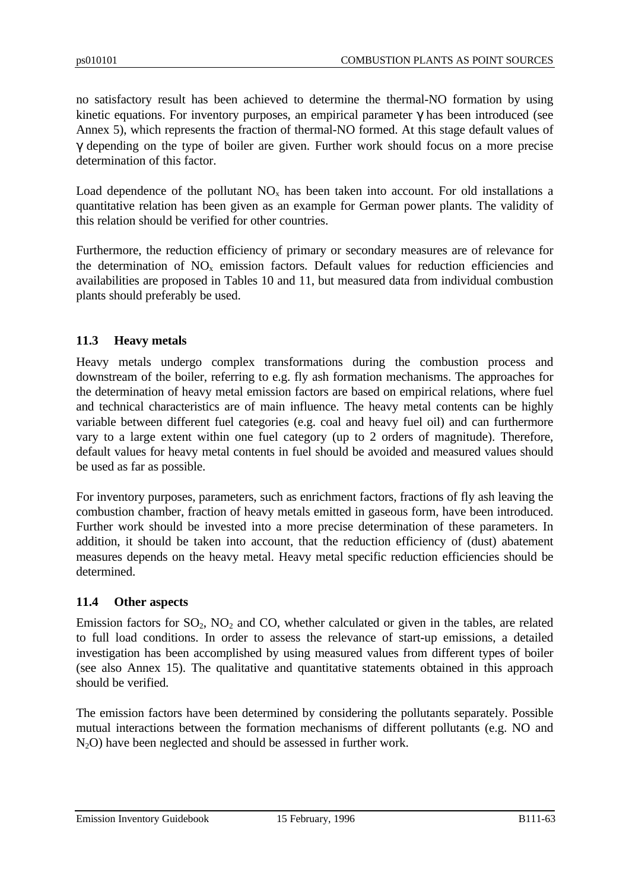no satisfactory result has been achieved to determine the thermal-NO formation by using kinetic equations. For inventory purposes, an empirical parameter  $\gamma$  has been introduced (see Annex 5), which represents the fraction of thermal-NO formed. At this stage default values of γ depending on the type of boiler are given. Further work should focus on a more precise determination of this factor.

Load dependence of the pollutant  $NO_x$  has been taken into account. For old installations a quantitative relation has been given as an example for German power plants. The validity of this relation should be verified for other countries.

Furthermore, the reduction efficiency of primary or secondary measures are of relevance for the determination of  $NO<sub>x</sub>$  emission factors. Default values for reduction efficiencies and availabilities are proposed in Tables 10 and 11, but measured data from individual combustion plants should preferably be used.

# **11.3 Heavy metals**

Heavy metals undergo complex transformations during the combustion process and downstream of the boiler, referring to e.g. fly ash formation mechanisms. The approaches for the determination of heavy metal emission factors are based on empirical relations, where fuel and technical characteristics are of main influence. The heavy metal contents can be highly variable between different fuel categories (e.g. coal and heavy fuel oil) and can furthermore vary to a large extent within one fuel category (up to 2 orders of magnitude). Therefore, default values for heavy metal contents in fuel should be avoided and measured values should be used as far as possible.

For inventory purposes, parameters, such as enrichment factors, fractions of fly ash leaving the combustion chamber, fraction of heavy metals emitted in gaseous form, have been introduced. Further work should be invested into a more precise determination of these parameters. In addition, it should be taken into account, that the reduction efficiency of (dust) abatement measures depends on the heavy metal. Heavy metal specific reduction efficiencies should be determined.

### **11.4 Other aspects**

Emission factors for  $SO_2$ ,  $NO_2$  and  $CO$ , whether calculated or given in the tables, are related to full load conditions. In order to assess the relevance of start-up emissions, a detailed investigation has been accomplished by using measured values from different types of boiler (see also Annex 15). The qualitative and quantitative statements obtained in this approach should be verified.

The emission factors have been determined by considering the pollutants separately. Possible mutual interactions between the formation mechanisms of different pollutants (e.g. NO and N2O) have been neglected and should be assessed in further work.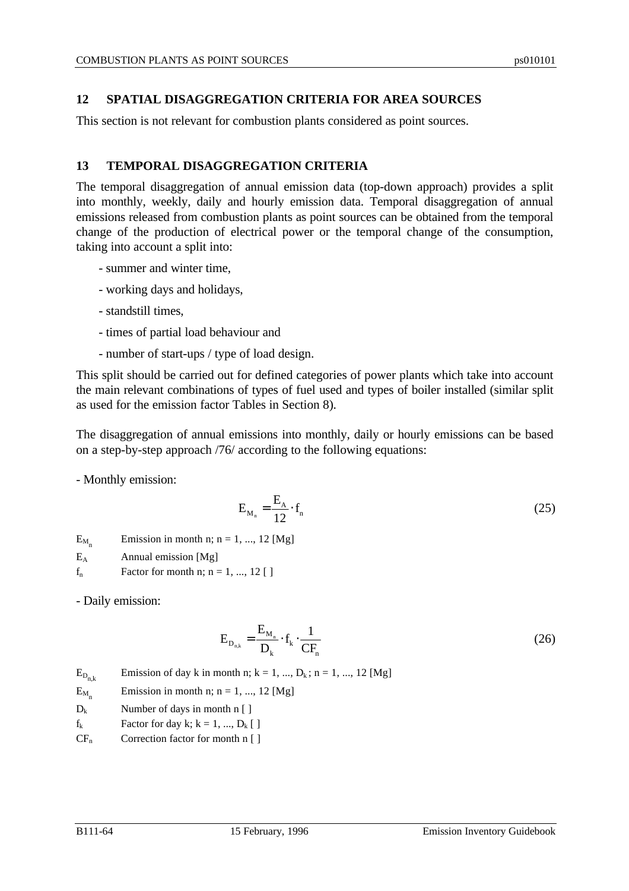### **12 SPATIAL DISAGGREGATION CRITERIA FOR AREA SOURCES**

This section is not relevant for combustion plants considered as point sources.

### **13 TEMPORAL DISAGGREGATION CRITERIA**

The temporal disaggregation of annual emission data (top-down approach) provides a split into monthly, weekly, daily and hourly emission data. Temporal disaggregation of annual emissions released from combustion plants as point sources can be obtained from the temporal change of the production of electrical power or the temporal change of the consumption, taking into account a split into:

- summer and winter time,
- working days and holidays,
- standstill times,
- times of partial load behaviour and
- number of start-ups / type of load design.

This split should be carried out for defined categories of power plants which take into account the main relevant combinations of types of fuel used and types of boiler installed (similar split as used for the emission factor Tables in Section 8).

The disaggregation of annual emissions into monthly, daily or hourly emissions can be based on a step-by-step approach /76/ according to the following equations:

- Monthly emission:

$$
E_{M_n} = \frac{E_A}{12} \cdot f_n \tag{25}
$$

 $E_M$ Emission in month n;  $n = 1, ..., 12$  [Mg]

- $E_A$  Annual emission [Mg]
- $f_n$  Factor for month n; n = 1, ..., 12 []

- Daily emission:

$$
E_{D_{n,k}} = \frac{E_{M_n}}{D_k} \cdot f_k \cdot \frac{1}{CF_n}
$$
 (26)

 $E_{D_{n,k}}$ Emission of day k in month n;  $k = 1, ..., D_k$ ;  $n = 1, ..., 12$  [Mg]

 $E_M$ Emission in month n;  $n = 1, ..., 12$  [Mg]

- $D_k$  Number of days in month n [ ]
- $f_k$  Factor for day k;  $k = 1, ..., D_k$  [ ]
- $CF_n$  Correction factor for month n [ ]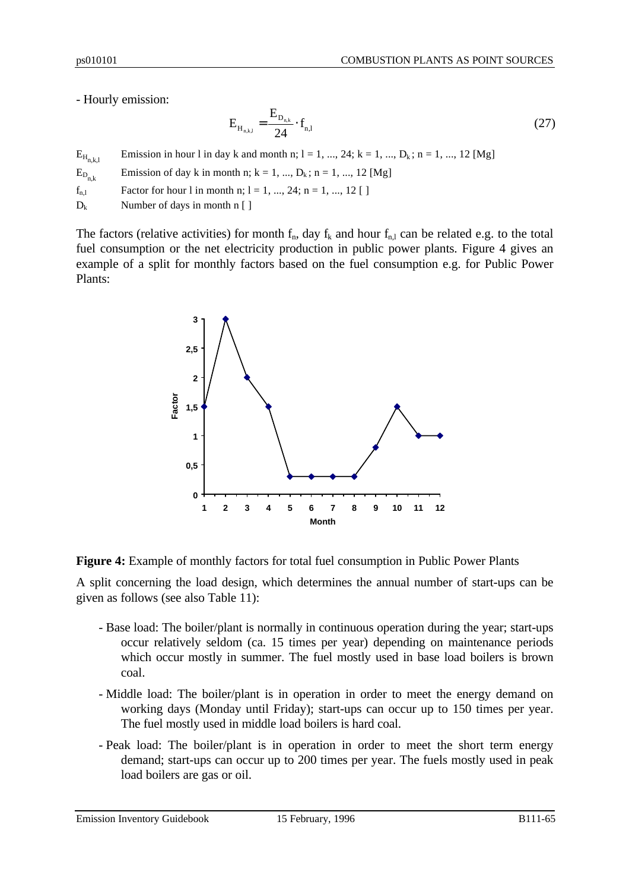### - Hourly emission:

$$
E_{H_{n,k,l}} = \frac{E_{D_{n,k}}}{24} \cdot f_{n,l} \tag{27}
$$

 $E_{H_{n,k,l}}$ Emission in hour 1 in day k and month n;  $l = 1, ..., 24$ ;  $k = 1, ..., D_k$ ;  $n = 1, ..., 12$  [Mg]

 $\mathbf{E}_{\text{D}_{\text{n},k}}$ Emission of day k in month n;  $k = 1, ..., D_k$ ;  $n = 1, ..., 12$  [Mg]

 $f_{n_1}$  Factor for hour l in month n; l = 1, ..., 24; n = 1, ..., 12 [ ]

 $D_k$  Number of days in month n [ ]

The factors (relative activities) for month  $f_n$ , day  $f_k$  and hour  $f_{n,l}$  can be related e.g. to the total fuel consumption or the net electricity production in public power plants. Figure 4 gives an example of a split for monthly factors based on the fuel consumption e.g. for Public Power Plants:



**Figure 4:** Example of monthly factors for total fuel consumption in Public Power Plants

A split concerning the load design, which determines the annual number of start-ups can be given as follows (see also Table 11):

- Base load: The boiler/plant is normally in continuous operation during the year; start-ups occur relatively seldom (ca. 15 times per year) depending on maintenance periods which occur mostly in summer. The fuel mostly used in base load boilers is brown coal.
- Middle load: The boiler/plant is in operation in order to meet the energy demand on working days (Monday until Friday); start-ups can occur up to 150 times per year. The fuel mostly used in middle load boilers is hard coal.
- Peak load: The boiler/plant is in operation in order to meet the short term energy demand; start-ups can occur up to 200 times per year. The fuels mostly used in peak load boilers are gas or oil.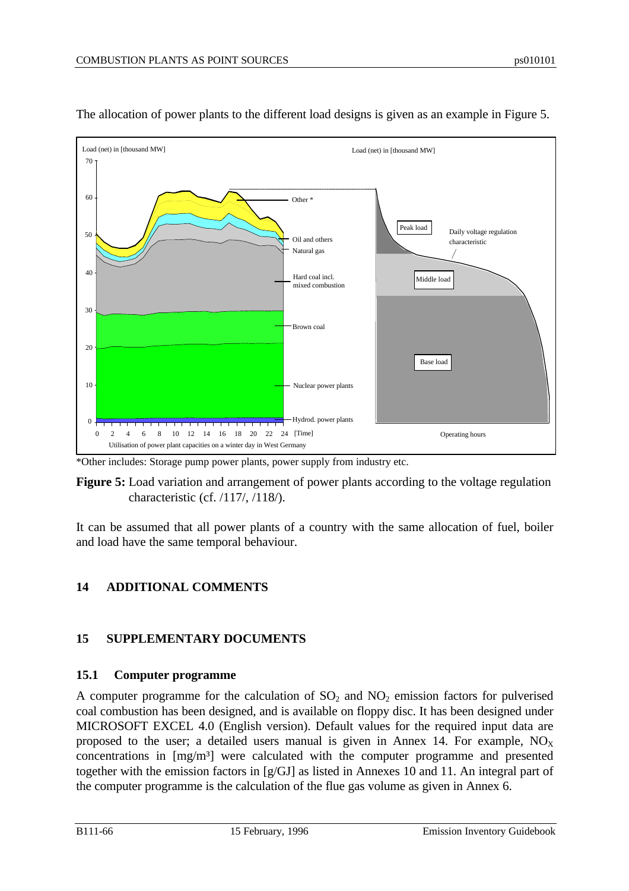

The allocation of power plants to the different load designs is given as an example in Figure 5.

\*Other includes: Storage pump power plants, power supply from industry etc.

**Figure 5:** Load variation and arrangement of power plants according to the voltage regulation characteristic (cf. /117/, /118/).

It can be assumed that all power plants of a country with the same allocation of fuel, boiler and load have the same temporal behaviour.

# **14 ADDITIONAL COMMENTS**

# **15 SUPPLEMENTARY DOCUMENTS**

# **15.1 Computer programme**

A computer programme for the calculation of  $SO_2$  and  $NO_2$  emission factors for pulverised coal combustion has been designed, and is available on floppy disc. It has been designed under MICROSOFT EXCEL 4.0 (English version). Default values for the required input data are proposed to the user; a detailed users manual is given in Annex 14. For example,  $NO<sub>x</sub>$ concentrations in [mg/m<sup>3</sup>] were calculated with the computer programme and presented together with the emission factors in [g/GJ] as listed in Annexes 10 and 11. An integral part of the computer programme is the calculation of the flue gas volume as given in Annex 6.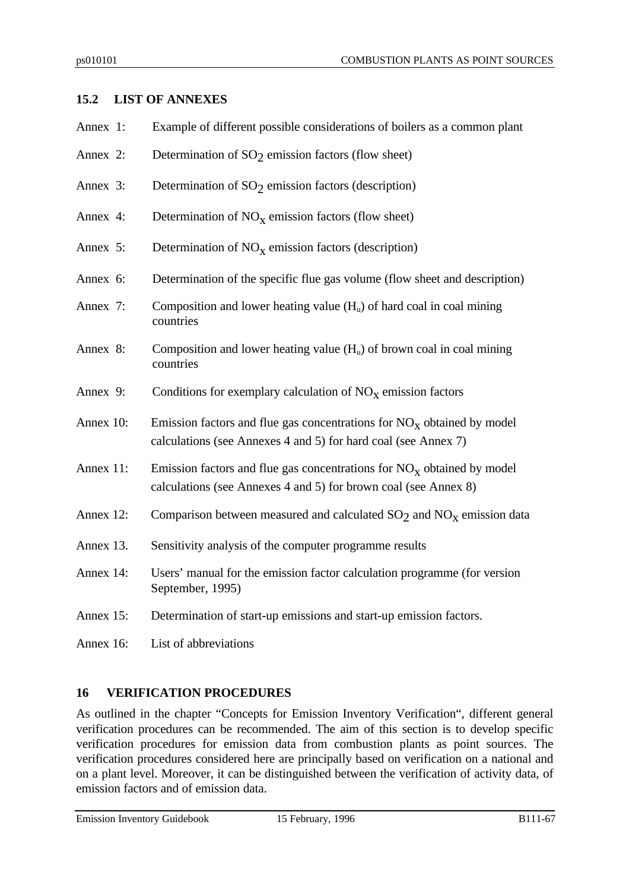# **15.2 LIST OF ANNEXES**

| Annex 1:   | Example of different possible considerations of boilers as a common plant                                                                    |
|------------|----------------------------------------------------------------------------------------------------------------------------------------------|
| Annex 2:   | Determination of $SO2$ emission factors (flow sheet)                                                                                         |
| Annex 3:   | Determination of $SO2$ emission factors (description)                                                                                        |
| Annex 4:   | Determination of $NOx$ emission factors (flow sheet)                                                                                         |
| Annex 5:   | Determination of $NOx$ emission factors (description)                                                                                        |
| Annex 6:   | Determination of the specific flue gas volume (flow sheet and description)                                                                   |
| Annex 7:   | Composition and lower heating value $(H_u)$ of hard coal in coal mining<br>countries                                                         |
| Annex 8:   | Composition and lower heating value $(H_u)$ of brown coal in coal mining<br>countries                                                        |
| Annex 9:   | Conditions for exemplary calculation of $NOx$ emission factors                                                                               |
| Annex 10:  | Emission factors and flue gas concentrations for $NO_x$ obtained by model<br>calculations (see Annexes 4 and 5) for hard coal (see Annex 7)  |
| Annex 11:  | Emission factors and flue gas concentrations for $NO_x$ obtained by model<br>calculations (see Annexes 4 and 5) for brown coal (see Annex 8) |
| Annex 12:  | Comparison between measured and calculated $SO_2$ and $NO_x$ emission data                                                                   |
| Annex 13.  | Sensitivity analysis of the computer programme results                                                                                       |
| Annex 14:  | Users' manual for the emission factor calculation programme (for version<br>September, 1995)                                                 |
| Annex 15:  | Determination of start-up emissions and start-up emission factors.                                                                           |
| Annex $16$ | L ist of abbreviations                                                                                                                       |

# **16 VERIFICATION PROCEDURES**

As outlined in the chapter "Concepts for Emission Inventory Verification", different general verification procedures can be recommended. The aim of this section is to develop specific verification procedures for emission data from combustion plants as point sources. The verification procedures considered here are principally based on verification on a national and on a plant level. Moreover, it can be distinguished between the verification of activity data, of emission factors and of emission data.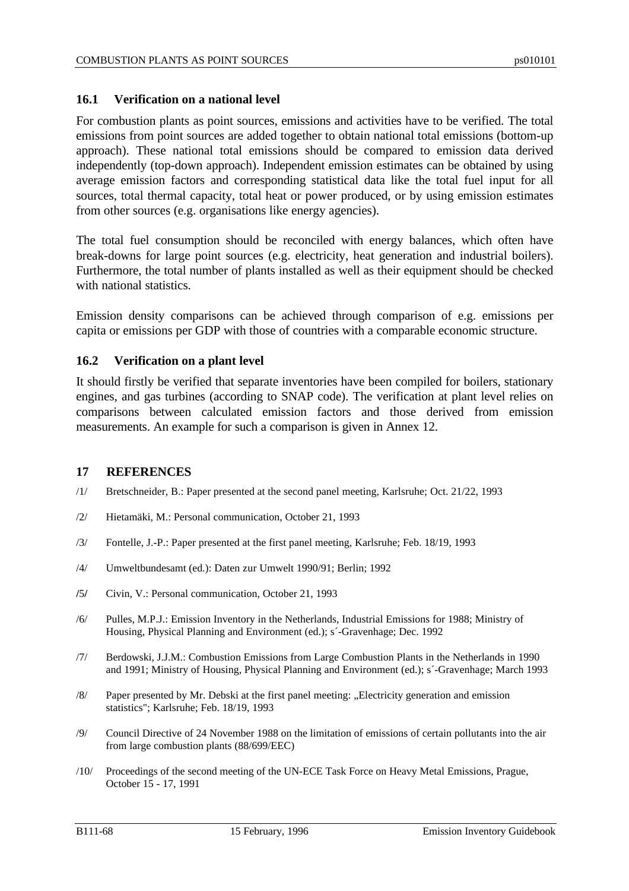### **16.1 Verification on a national level**

For combustion plants as point sources, emissions and activities have to be verified. The total emissions from point sources are added together to obtain national total emissions (bottom-up approach). These national total emissions should be compared to emission data derived independently (top-down approach). Independent emission estimates can be obtained by using average emission factors and corresponding statistical data like the total fuel input for all sources, total thermal capacity, total heat or power produced, or by using emission estimates from other sources (e.g. organisations like energy agencies).

The total fuel consumption should be reconciled with energy balances, which often have break-downs for large point sources (e.g. electricity, heat generation and industrial boilers). Furthermore, the total number of plants installed as well as their equipment should be checked with national statistics.

Emission density comparisons can be achieved through comparison of e.g. emissions per capita or emissions per GDP with those of countries with a comparable economic structure.

### **16.2 Verification on a plant level**

It should firstly be verified that separate inventories have been compiled for boilers, stationary engines, and gas turbines (according to SNAP code). The verification at plant level relies on comparisons between calculated emission factors and those derived from emission measurements. An example for such a comparison is given in Annex 12.

#### **17 REFERENCES**

- /1/ Bretschneider, B.: Paper presented at the second panel meeting, Karlsruhe; Oct. 21/22, 1993
- /2/ Hietamäki, M.: Personal communication, October 21, 1993
- /3/ Fontelle, J.-P.: Paper presented at the first panel meeting, Karlsruhe; Feb. 18/19, 1993
- /4/ Umweltbundesamt (ed.): Daten zur Umwelt 1990/91; Berlin; 1992
- **/**5**/** Civin, V.: Personal communication, October 21, 1993
- /6/ Pulles, M.P.J.: Emission Inventory in the Netherlands, Industrial Emissions for 1988; Ministry of Housing, Physical Planning and Environment (ed.); s´-Gravenhage; Dec. 1992
- /7/ Berdowski, J.J.M.: Combustion Emissions from Large Combustion Plants in the Netherlands in 1990 and 1991; Ministry of Housing, Physical Planning and Environment (ed.); s´-Gravenhage; March 1993
- /8/ Paper presented by Mr. Debski at the first panel meeting: "Electricity generation and emission statistics"; Karlsruhe; Feb. 18/19, 1993
- /9/ Council Directive of 24 November 1988 on the limitation of emissions of certain pollutants into the air from large combustion plants (88/699/EEC)
- /10/ Proceedings of the second meeting of the UN-ECE Task Force on Heavy Metal Emissions, Prague, October 15 - 17, 1991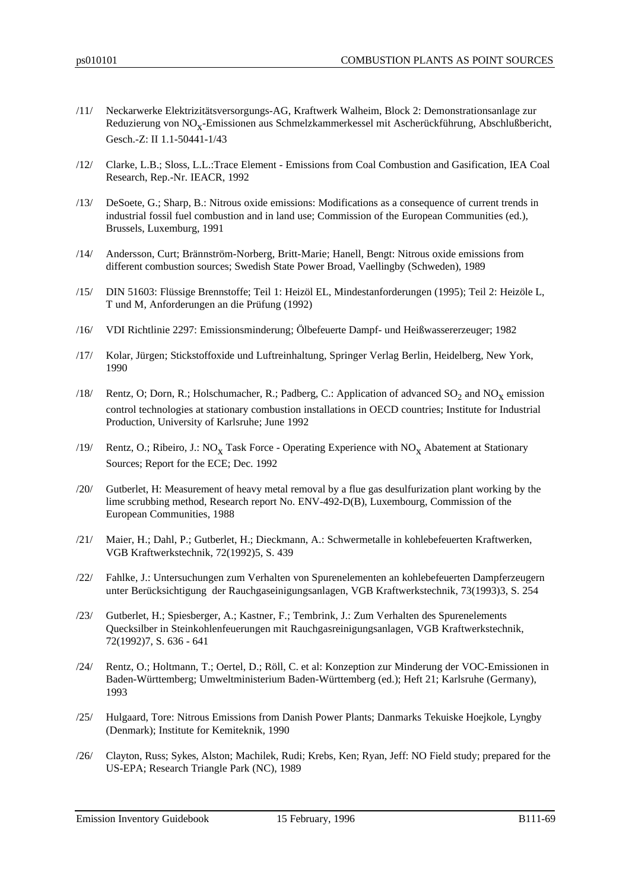- /11/ Neckarwerke Elektrizitätsversorgungs-AG, Kraftwerk Walheim, Block 2: Demonstrationsanlage zur Reduzierung von  $\mathrm{NO_{X}}$ -Emissionen aus Schmelzkammerkessel mit Ascherückführung, Abschlußbericht, Gesch.-Z: II 1.1-50441-1/43
- /12/ Clarke, L.B.; Sloss, L.L.:Trace Element Emissions from Coal Combustion and Gasification, IEA Coal Research, Rep.-Nr. IEACR, 1992
- /13/ DeSoete, G.; Sharp, B.: Nitrous oxide emissions: Modifications as a consequence of current trends in industrial fossil fuel combustion and in land use; Commission of the European Communities (ed.), Brussels, Luxemburg, 1991
- /14/ Andersson, Curt; Brännström-Norberg, Britt-Marie; Hanell, Bengt: Nitrous oxide emissions from different combustion sources; Swedish State Power Broad, Vaellingby (Schweden), 1989
- /15/ DIN 51603: Flüssige Brennstoffe; Teil 1: Heizöl EL, Mindestanforderungen (1995); Teil 2: Heizöle L, T und M, Anforderungen an die Prüfung (1992)
- /16/ VDI Richtlinie 2297: Emissionsminderung; Ölbefeuerte Dampf- und Heißwassererzeuger; 1982
- /17/ Kolar, Jürgen; Stickstoffoxide und Luftreinhaltung, Springer Verlag Berlin, Heidelberg, New York, 1990
- /18/ Rentz, O; Dorn, R.; Holschumacher, R.; Padberg, C.: Application of advanced  $SO_2$  and  $NO_{\text{X}}$  emission control technologies at stationary combustion installations in OECD countries; Institute for Industrial Production, University of Karlsruhe; June 1992
- /19/ Rentz, O.; Ribeiro, J.: NO<sub>x</sub> Task Force Operating Experience with NO<sub>x</sub> Abatement at Stationary Sources; Report for the ECE; Dec. 1992
- /20/ Gutberlet, H: Measurement of heavy metal removal by a flue gas desulfurization plant working by the lime scrubbing method, Research report No. ENV-492-D(B), Luxembourg, Commission of the European Communities, 1988
- /21/ Maier, H.; Dahl, P.; Gutberlet, H.; Dieckmann, A.: Schwermetalle in kohlebefeuerten Kraftwerken, VGB Kraftwerkstechnik, 72(1992)5, S. 439
- /22/ Fahlke, J.: Untersuchungen zum Verhalten von Spurenelementen an kohlebefeuerten Dampferzeugern unter Berücksichtigung der Rauchgaseinigungsanlagen, VGB Kraftwerkstechnik, 73(1993)3, S. 254
- /23/ Gutberlet, H.; Spiesberger, A.; Kastner, F.; Tembrink, J.: Zum Verhalten des Spurenelements Quecksilber in Steinkohlenfeuerungen mit Rauchgasreinigungsanlagen, VGB Kraftwerkstechnik, 72(1992)7, S. 636 - 641
- /24/ Rentz, O.; Holtmann, T.; Oertel, D.; Röll, C. et al: Konzeption zur Minderung der VOC-Emissionen in Baden-Württemberg; Umweltministerium Baden-Württemberg (ed.); Heft 21; Karlsruhe (Germany), 1993
- /25/ Hulgaard, Tore: Nitrous Emissions from Danish Power Plants; Danmarks Tekuiske Hoejkole, Lyngby (Denmark); Institute for Kemiteknik, 1990
- /26/ Clayton, Russ; Sykes, Alston; Machilek, Rudi; Krebs, Ken; Ryan, Jeff: NO Field study; prepared for the US-EPA; Research Triangle Park (NC), 1989

Emission Inventory Guidebook 15 February, 1996 B111-69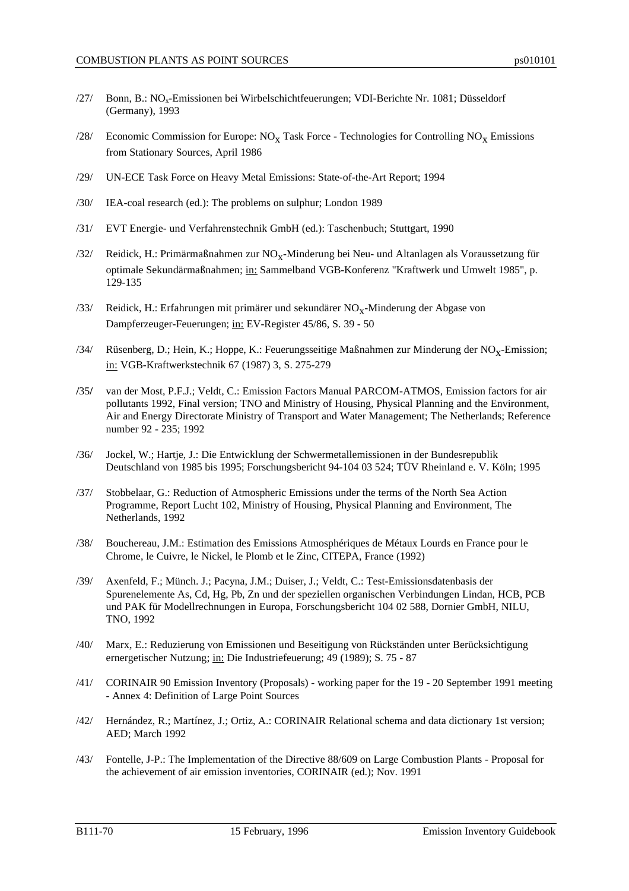- /27/ Bonn, B.: NO<sub>x</sub>-Emissionen bei Wirbelschichtfeuerungen; VDI-Berichte Nr. 1081; Düsseldorf (Germany), 1993
- /28/ Economic Commission for Europe:  $NO_{X}$  Task Force Technologies for Controlling  $NO_{X}$  Emissions from Stationary Sources, April 1986
- /29/ UN-ECE Task Force on Heavy Metal Emissions: State-of-the-Art Report; 1994
- /30/ IEA-coal research (ed.): The problems on sulphur; London 1989
- /31/ EVT Energie- und Verfahrenstechnik GmbH (ed.): Taschenbuch; Stuttgart, 1990
- /32/ Reidick, H.: Primärmaßnahmen zur  $\rm NO_X$ -Minderung bei Neu- und Altanlagen als Voraussetzung für optimale Sekundärmaßnahmen; in: Sammelband VGB-Konferenz "Kraftwerk und Umwelt 1985", p. 129-135
- /33/ Reidick, H.: Erfahrungen mit primärer und sekundärer  $\rm NO_X\text{-}Minderung$  der Abgase von Dampferzeuger-Feuerungen; in: EV-Register 45/86, S. 39 - 50
- /34/ Rüsenberg, D.; Hein, K.; Hoppe, K.: Feuerungsseitige Maßnahmen zur Minderung der  $\rm NO_{X}$ -Emission; in: VGB-Kraftwerkstechnik 67 (1987) 3, S. 275-279
- **/**35**/** van der Most, P.F.J.; Veldt, C.: Emission Factors Manual PARCOM-ATMOS, Emission factors for air pollutants 1992, Final version; TNO and Ministry of Housing, Physical Planning and the Environment, Air and Energy Directorate Ministry of Transport and Water Management; The Netherlands; Reference number 92 - 235; 1992
- /36/ Jockel, W.; Hartje, J.: Die Entwicklung der Schwermetallemissionen in der Bundesrepublik Deutschland von 1985 bis 1995; Forschungsbericht 94-104 03 524; TÜV Rheinland e. V. Köln; 1995
- /37/ Stobbelaar, G.: Reduction of Atmospheric Emissions under the terms of the North Sea Action Programme, Report Lucht 102, Ministry of Housing, Physical Planning and Environment, The Netherlands, 1992
- /38/ Bouchereau, J.M.: Estimation des Emissions Atmosphériques de Métaux Lourds en France pour le Chrome, le Cuivre, le Nickel, le Plomb et le Zinc, CITEPA, France (1992)
- /39/ Axenfeld, F.; Münch. J.; Pacyna, J.M.; Duiser, J.; Veldt, C.: Test-Emissionsdatenbasis der Spurenelemente As, Cd, Hg, Pb, Zn und der speziellen organischen Verbindungen Lindan, HCB, PCB und PAK für Modellrechnungen in Europa, Forschungsbericht 104 02 588, Dornier GmbH, NILU, TNO, 1992
- /40/ Marx, E.: Reduzierung von Emissionen und Beseitigung von Rückständen unter Berücksichtigung ernergetischer Nutzung; in: Die Industriefeuerung; 49 (1989); S. 75 - 87
- /41/ CORINAIR 90 Emission Inventory (Proposals) working paper for the 19 20 September 1991 meeting - Annex 4: Definition of Large Point Sources
- /42/ Hernández, R.; Martínez, J.; Ortiz, A.: CORINAIR Relational schema and data dictionary 1st version; AED; March 1992
- /43/ Fontelle, J-P.: The Implementation of the Directive 88/609 on Large Combustion Plants Proposal for the achievement of air emission inventories, CORINAIR (ed.); Nov. 1991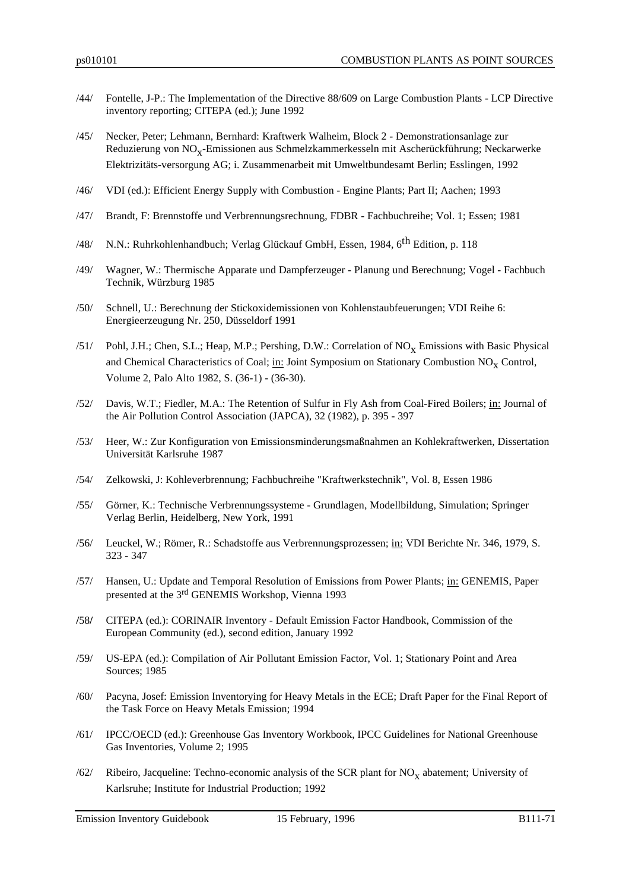- /44/ Fontelle, J-P.: The Implementation of the Directive 88/609 on Large Combustion Plants LCP Directive inventory reporting; CITEPA (ed.); June 1992
- /45/ Necker, Peter; Lehmann, Bernhard: Kraftwerk Walheim, Block 2 Demonstrationsanlage zur Reduzierung von  $\mathrm{NO_{X}}$ -Emissionen aus Schmelzkammerkesseln mit Ascherückführung; Neckarwerke Elektrizitäts-versorgung AG; i. Zusammenarbeit mit Umweltbundesamt Berlin; Esslingen, 1992
- /46/ VDI (ed.): Efficient Energy Supply with Combustion Engine Plants; Part II; Aachen; 1993
- /47/ Brandt, F: Brennstoffe und Verbrennungsrechnung, FDBR Fachbuchreihe; Vol. 1; Essen; 1981
- /48/ N.N.: Ruhrkohlenhandbuch; Verlag Glückauf GmbH, Essen, 1984, 6th Edition, p. 118
- /49/ Wagner, W.: Thermische Apparate und Dampferzeuger Planung und Berechnung; Vogel Fachbuch Technik, Würzburg 1985
- /50/ Schnell, U.: Berechnung der Stickoxidemissionen von Kohlenstaubfeuerungen; VDI Reihe 6: Energieerzeugung Nr. 250, Düsseldorf 1991
- /51/ Pohl, J.H.; Chen, S.L.; Heap, M.P.; Pershing, D.W.: Correlation of  $NO<sub>X</sub>$  Emissions with Basic Physical and Chemical Characteristics of Coal; in: Joint Symposium on Stationary Combustion NO<sub>X</sub> Control, Volume 2, Palo Alto 1982, S. (36-1) - (36-30).
- /52/ Davis, W.T.; Fiedler, M.A.: The Retention of Sulfur in Fly Ash from Coal-Fired Boilers; in: Journal of the Air Pollution Control Association (JAPCA), 32 (1982), p. 395 - 397
- /53/ Heer, W.: Zur Konfiguration von Emissionsminderungsmaßnahmen an Kohlekraftwerken, Dissertation Universität Karlsruhe 1987
- /54/ Zelkowski, J: Kohleverbrennung; Fachbuchreihe "Kraftwerkstechnik", Vol. 8, Essen 1986
- /55/ Görner, K.: Technische Verbrennungssysteme Grundlagen, Modellbildung, Simulation; Springer Verlag Berlin, Heidelberg, New York, 1991
- /56/ Leuckel, W.; Römer, R.: Schadstoffe aus Verbrennungsprozessen; in: VDI Berichte Nr. 346, 1979, S. 323 - 347
- /57/ Hansen, U.: Update and Temporal Resolution of Emissions from Power Plants; in: GENEMIS, Paper presented at the 3rd GENEMIS Workshop, Vienna 1993
- **/**58**/** CITEPA (ed.): CORINAIR Inventory Default Emission Factor Handbook, Commission of the European Community (ed.), second edition, January 1992
- /59/ US-EPA (ed.): Compilation of Air Pollutant Emission Factor, Vol. 1; Stationary Point and Area Sources; 1985
- /60/ Pacyna, Josef: Emission Inventorying for Heavy Metals in the ECE; Draft Paper for the Final Report of the Task Force on Heavy Metals Emission; 1994
- /61/ IPCC/OECD (ed.): Greenhouse Gas Inventory Workbook, IPCC Guidelines for National Greenhouse Gas Inventories, Volume 2; 1995
- /62/ Ribeiro, Jacqueline: Techno-economic analysis of the SCR plant for  $NO<sub>x</sub>$  abatement; University of Karlsruhe; Institute for Industrial Production; 1992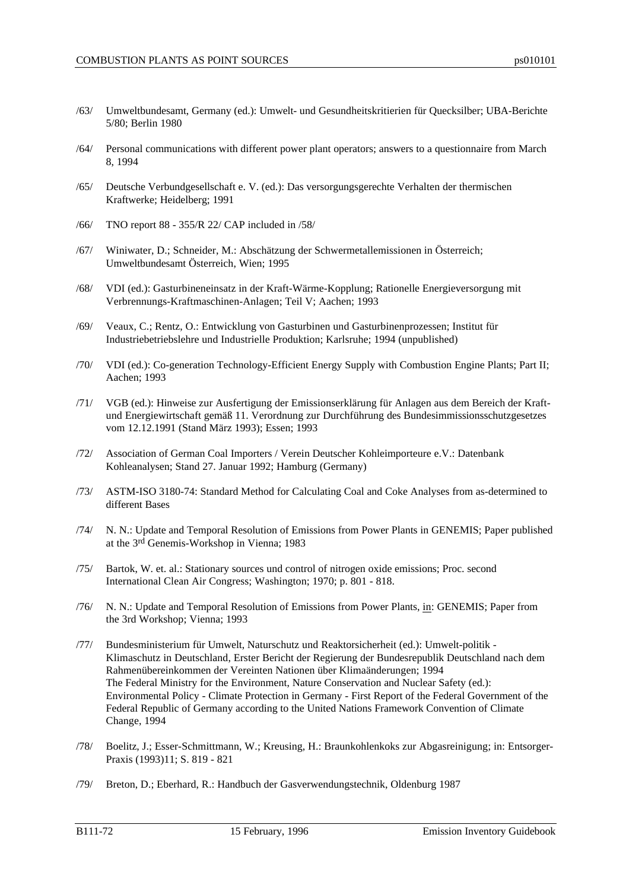- /63/ Umweltbundesamt, Germany (ed.): Umwelt- und Gesundheitskritierien für Quecksilber; UBA-Berichte 5/80; Berlin 1980
- /64/ Personal communications with different power plant operators; answers to a questionnaire from March 8, 1994
- /65/ Deutsche Verbundgesellschaft e. V. (ed.): Das versorgungsgerechte Verhalten der thermischen Kraftwerke; Heidelberg; 1991
- /66/ TNO report 88 355/R 22/ CAP included in /58/
- /67/ Winiwater, D.; Schneider, M.: Abschätzung der Schwermetallemissionen in Österreich; Umweltbundesamt Österreich, Wien; 1995
- /68/ VDI (ed.): Gasturbineneinsatz in der Kraft-Wärme-Kopplung; Rationelle Energieversorgung mit Verbrennungs-Kraftmaschinen-Anlagen; Teil V; Aachen; 1993
- /69/ Veaux, C.; Rentz, O.: Entwicklung von Gasturbinen und Gasturbinenprozessen; Institut für Industriebetriebslehre und Industrielle Produktion; Karlsruhe; 1994 (unpublished)
- /70/ VDI (ed.): Co-generation Technology-Efficient Energy Supply with Combustion Engine Plants; Part II; Aachen; 1993
- /71/ VGB (ed.): Hinweise zur Ausfertigung der Emissionserklärung für Anlagen aus dem Bereich der Kraftund Energiewirtschaft gemäß 11. Verordnung zur Durchführung des Bundesimmissionsschutzgesetzes vom 12.12.1991 (Stand März 1993); Essen; 1993
- /72/ Association of German Coal Importers / Verein Deutscher Kohleimporteure e.V.: Datenbank Kohleanalysen; Stand 27. Januar 1992; Hamburg (Germany)
- /73/ ASTM-ISO 3180-74: Standard Method for Calculating Coal and Coke Analyses from as-determined to different Bases
- /74/ N. N.: Update and Temporal Resolution of Emissions from Power Plants in GENEMIS; Paper published at the 3rd Genemis-Workshop in Vienna; 1983
- /75/ Bartok, W. et. al.: Stationary sources und control of nitrogen oxide emissions; Proc. second International Clean Air Congress; Washington; 1970; p. 801 - 818.
- /76/ N. N.: Update and Temporal Resolution of Emissions from Power Plants, in: GENEMIS; Paper from the 3rd Workshop; Vienna; 1993
- /77/ Bundesministerium für Umwelt, Naturschutz und Reaktorsicherheit (ed.): Umwelt-politik Klimaschutz in Deutschland, Erster Bericht der Regierung der Bundesrepublik Deutschland nach dem Rahmenübereinkommen der Vereinten Nationen über Klimaänderungen; 1994 The Federal Ministry for the Environment, Nature Conservation and Nuclear Safety (ed.): Environmental Policy - Climate Protection in Germany - First Report of the Federal Government of the Federal Republic of Germany according to the United Nations Framework Convention of Climate Change, 1994
- /78/ Boelitz, J.; Esser-Schmittmann, W.; Kreusing, H.: Braunkohlenkoks zur Abgasreinigung; in: Entsorger-Praxis (1993)11; S. 819 - 821
- /79/ Breton, D.; Eberhard, R.: Handbuch der Gasverwendungstechnik, Oldenburg 1987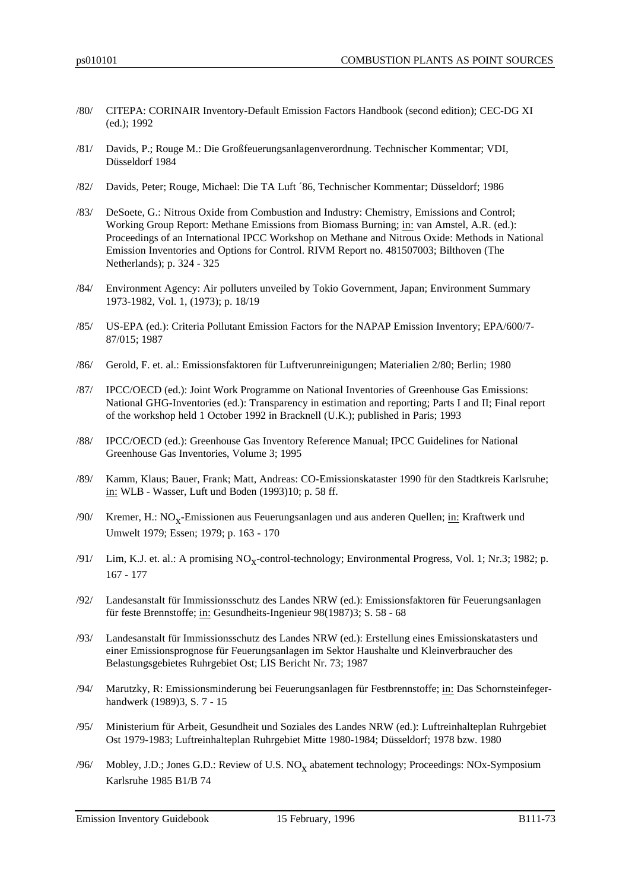- /80/ CITEPA: CORINAIR Inventory-Default Emission Factors Handbook (second edition); CEC-DG XI (ed.); 1992
- /81/ Davids, P.; Rouge M.: Die Großfeuerungsanlagenverordnung. Technischer Kommentar; VDI, Düsseldorf 1984
- /82/ Davids, Peter; Rouge, Michael: Die TA Luft ´86, Technischer Kommentar; Düsseldorf; 1986
- /83/ DeSoete, G.: Nitrous Oxide from Combustion and Industry: Chemistry, Emissions and Control; Working Group Report: Methane Emissions from Biomass Burning; in: van Amstel, A.R. (ed.): Proceedings of an International IPCC Workshop on Methane and Nitrous Oxide: Methods in National Emission Inventories and Options for Control. RIVM Report no. 481507003; Bilthoven (The Netherlands); p. 324 - 325
- /84/ Environment Agency: Air polluters unveiled by Tokio Government, Japan; Environment Summary 1973-1982, Vol. 1, (1973); p. 18/19
- /85/ US-EPA (ed.): Criteria Pollutant Emission Factors for the NAPAP Emission Inventory; EPA/600/7- 87/015; 1987
- /86/ Gerold, F. et. al.: Emissionsfaktoren für Luftverunreinigungen; Materialien 2/80; Berlin; 1980
- /87/ IPCC/OECD (ed.): Joint Work Programme on National Inventories of Greenhouse Gas Emissions: National GHG-Inventories (ed.): Transparency in estimation and reporting; Parts I and II; Final report of the workshop held 1 October 1992 in Bracknell (U.K.); published in Paris; 1993
- /88/ IPCC/OECD (ed.): Greenhouse Gas Inventory Reference Manual; IPCC Guidelines for National Greenhouse Gas Inventories, Volume 3; 1995
- /89/ Kamm, Klaus; Bauer, Frank; Matt, Andreas: CO-Emissionskataster 1990 für den Stadtkreis Karlsruhe; in: WLB - Wasser, Luft und Boden (1993)10; p. 58 ff.
- /90/ Kremer, H.: NO<sub>x</sub>-Emissionen aus Feuerungsanlagen und aus anderen Quellen; <u>in:</u> Kraftwerk und Umwelt 1979; Essen; 1979; p. 163 - 170
- /91/ Lim, K.J. et. al.: A promising  $NO_X$ -control-technology; Environmental Progress, Vol. 1; Nr.3; 1982; p. 167 - 177
- /92/ Landesanstalt für Immissionsschutz des Landes NRW (ed.): Emissionsfaktoren für Feuerungsanlagen für feste Brennstoffe; in: Gesundheits-Ingenieur 98(1987)3; S. 58 - 68
- /93/ Landesanstalt für Immissionsschutz des Landes NRW (ed.): Erstellung eines Emissionskatasters und einer Emissionsprognose für Feuerungsanlagen im Sektor Haushalte und Kleinverbraucher des Belastungsgebietes Ruhrgebiet Ost; LIS Bericht Nr. 73; 1987
- /94/ Marutzky, R: Emissionsminderung bei Feuerungsanlagen für Festbrennstoffe; in: Das Schornsteinfegerhandwerk (1989)3, S. 7 - 15
- /95/ Ministerium für Arbeit, Gesundheit und Soziales des Landes NRW (ed.): Luftreinhalteplan Ruhrgebiet Ost 1979-1983; Luftreinhalteplan Ruhrgebiet Mitte 1980-1984; Düsseldorf; 1978 bzw. 1980
- /96/ Mobley, J.D.; Jones G.D.: Review of U.S.  $NO<sub>x</sub>$  abatement technology; Proceedings: NOx-Symposium Karlsruhe 1985 B1/B 74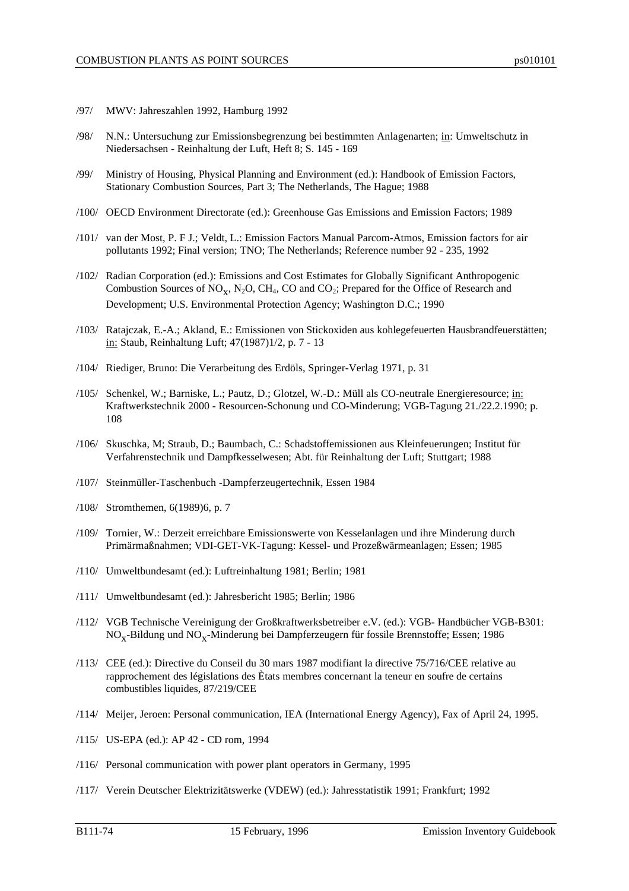- /97/ MWV: Jahreszahlen 1992, Hamburg 1992
- /98/ N.N.: Untersuchung zur Emissionsbegrenzung bei bestimmten Anlagenarten; in: Umweltschutz in Niedersachsen - Reinhaltung der Luft, Heft 8; S. 145 - 169
- /99/ Ministry of Housing, Physical Planning and Environment (ed.): Handbook of Emission Factors, Stationary Combustion Sources, Part 3; The Netherlands, The Hague; 1988
- /100/ OECD Environment Directorate (ed.): Greenhouse Gas Emissions and Emission Factors; 1989
- /101/ van der Most, P. F J.; Veldt, L.: Emission Factors Manual Parcom-Atmos, Emission factors for air pollutants 1992; Final version; TNO; The Netherlands; Reference number 92 - 235, 1992
- /102/ Radian Corporation (ed.): Emissions and Cost Estimates for Globally Significant Anthropogenic Combustion Sources of NO<sub>X</sub>, N<sub>2</sub>O, CH<sub>4</sub>, CO and CO<sub>2</sub>; Prepared for the Office of Research and Development; U.S. Environmental Protection Agency; Washington D.C.; 1990
- /103/ Ratajczak, E.-A.; Akland, E.: Emissionen von Stickoxiden aus kohlegefeuerten Hausbrandfeuerstätten; in: Staub, Reinhaltung Luft; 47(1987)1/2, p. 7 - 13
- /104/ Riediger, Bruno: Die Verarbeitung des Erdöls, Springer-Verlag 1971, p. 31
- /105/ Schenkel, W.; Barniske, L.; Pautz, D.; Glotzel, W.-D.: Müll als CO-neutrale Energieresource; in: Kraftwerkstechnik 2000 - Resourcen-Schonung und CO-Minderung; VGB-Tagung 21./22.2.1990; p. 108
- /106/ Skuschka, M; Straub, D.; Baumbach, C.: Schadstoffemissionen aus Kleinfeuerungen; Institut für Verfahrenstechnik und Dampfkesselwesen; Abt. für Reinhaltung der Luft; Stuttgart; 1988
- /107/ Steinmüller-Taschenbuch -Dampferzeugertechnik, Essen 1984
- /108/ Stromthemen, 6(1989)6, p. 7
- /109/ Tornier, W.: Derzeit erreichbare Emissionswerte von Kesselanlagen und ihre Minderung durch Primärmaßnahmen; VDI-GET-VK-Tagung: Kessel- und Prozeßwärmeanlagen; Essen; 1985
- /110/ Umweltbundesamt (ed.): Luftreinhaltung 1981; Berlin; 1981
- /111/ Umweltbundesamt (ed.): Jahresbericht 1985; Berlin; 1986
- /112/ VGB Technische Vereinigung der Großkraftwerksbetreiber e.V. (ed.): VGB- Handbücher VGB-B301: NOx -Bildung und NOx -Minderung bei Dampferzeugern für fossile Brennstoffe; Essen; 1986
- /113/ CEE (ed.): Directive du Conseil du 30 mars 1987 modifiant la directive 75/716/CEE relative au rapprochement des législations des Ètats membres concernant la teneur en soufre de certains combustibles liquides, 87/219/CEE
- /114/ Meijer, Jeroen: Personal communication, IEA (International Energy Agency), Fax of April 24, 1995.
- /115/ US-EPA (ed.): AP 42 CD rom, 1994
- /116/ Personal communication with power plant operators in Germany, 1995
- /117/ Verein Deutscher Elektrizitätswerke (VDEW) (ed.): Jahresstatistik 1991; Frankfurt; 1992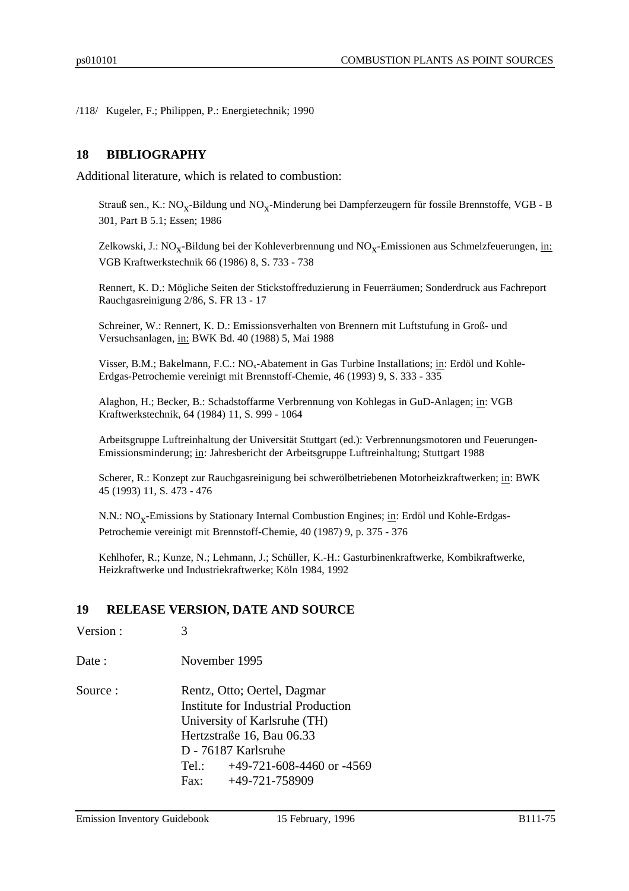/118/ Kugeler, F.; Philippen, P.: Energietechnik; 1990

#### **18 BIBLIOGRAPHY**

Additional literature, which is related to combustion:

Strauß sen., K.: NO<sub>X</sub>-Bildung und NO<sub>X</sub>-Minderung bei Dampferzeugern für fossile Brennstoffe, VGB - B 301, Part B 5.1; Essen; 1986

Zelkowski, J.: NO<sub>x</sub>-Bildung bei der Kohleverbrennung und NO<sub>x</sub>-Emissionen aus Schmelzfeuerungen, <u>in:</u> VGB Kraftwerkstechnik 66 (1986) 8, S. 733 - 738

Rennert, K. D.: Mögliche Seiten der Stickstoffreduzierung in Feuerräumen; Sonderdruck aus Fachreport Rauchgasreinigung 2/86, S. FR 13 - 17

Schreiner, W.: Rennert, K. D.: Emissionsverhalten von Brennern mit Luftstufung in Groß- und Versuchsanlagen, in: BWK Bd. 40 (1988) 5, Mai 1988

Visser, B.M.; Bakelmann, F.C.:  $NO<sub>x</sub>$ -Abatement in Gas Turbine Installations; in: Erdöl und Kohle-Erdgas-Petrochemie vereinigt mit Brennstoff-Chemie, 46 (1993) 9, S. 333 - 335

Alaghon, H.; Becker, B.: Schadstoffarme Verbrennung von Kohlegas in GuD-Anlagen; in: VGB Kraftwerkstechnik, 64 (1984) 11, S. 999 - 1064

Arbeitsgruppe Luftreinhaltung der Universität Stuttgart (ed.): Verbrennungsmotoren und Feuerungen-Emissionsminderung; in: Jahresbericht der Arbeitsgruppe Luftreinhaltung; Stuttgart 1988

Scherer, R.: Konzept zur Rauchgasreinigung bei schwerölbetriebenen Motorheizkraftwerken; in: BWK 45 (1993) 11, S. 473 - 476

N.N.: NO<sub>X</sub>-Emissions by Stationary Internal Combustion Engines; in: Erdöl und Kohle-Erdgas-Petrochemie vereinigt mit Brennstoff-Chemie, 40 (1987) 9, p. 375 - 376

Kehlhofer, R.; Kunze, N.; Lehmann, J.; Schüller, K.-H.: Gasturbinenkraftwerke, Kombikraftwerke, Heizkraftwerke und Industriekraftwerke; Köln 1984, 1992

#### **19 RELEASE VERSION, DATE AND SOURCE**

Version : 3

Date : November 1995

Source : Rentz, Otto; Oertel, Dagmar Institute for Industrial Production University of Karlsruhe (TH) Hertzstraße 16, Bau 06.33 D - 76187 Karlsruhe Tel.: +49-721-608-4460 or -4569 Fax: +49-721-758909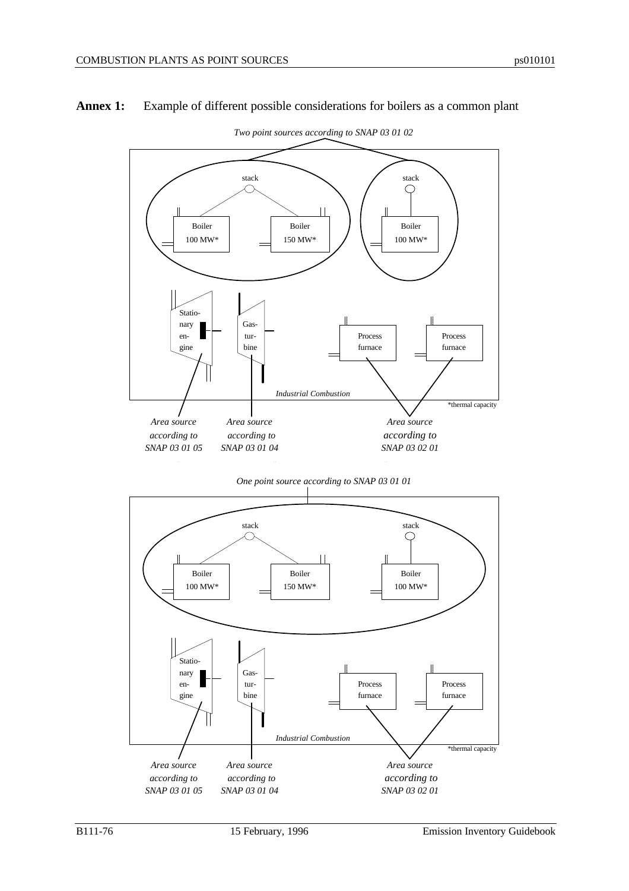

#### **Annex 1:** Example of different possible considerations for boilers as a common plant

 *Two point sources according to SNAP 03 01 02*



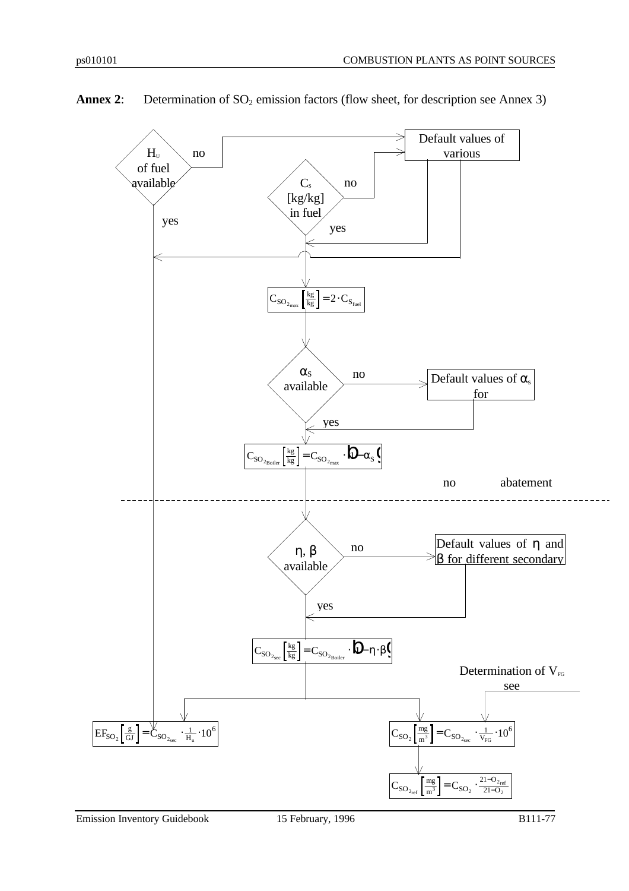

Annex 2: Determination of SO<sub>2</sub> emission factors (flow sheet, for description see Annex 3)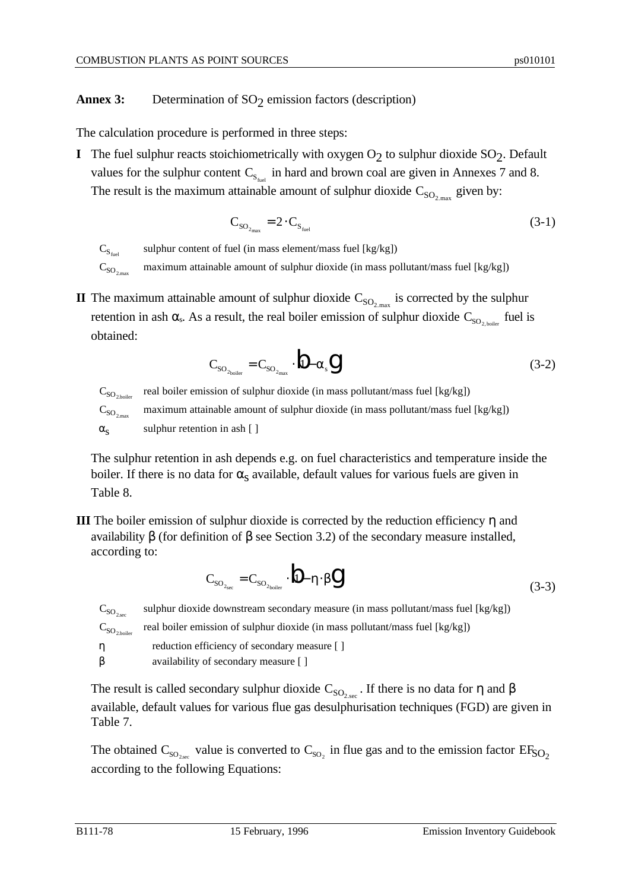## **Annex 3:** Determination of SO<sub>2</sub> emission factors (description)

The calculation procedure is performed in three steps:

**I** The fuel sulphur reacts stoichiometrically with oxygen O<sub>2</sub> to sulphur dioxide SO<sub>2</sub>. Default values for the sulphur content  $C_{S_{\text{fuel}}}$  in hard and brown coal are given in Annexes 7 and 8. The result is the maximum attainable amount of sulphur dioxide  $C_{SO_{2,\text{max}}}$  given by:

$$
C_{SO_{2_{\text{max}}}} = 2 \cdot C_{S_{\text{fuel}}} \tag{3-1}
$$

 $C_{S_{\text{fuel}}}$ sulphur content of fuel (in mass element/mass fuel [kg/kg])

 $C_{SO_{2}}$ <sub>max</sub> maximum attainable amount of sulphur dioxide (in mass pollutant/mass fuel [kg/kg])

**II** The maximum attainable amount of sulphur dioxide  $C_{SO_{2,\text{max}}}$  is corrected by the sulphur retention in ash  $\alpha_s$ . As a result, the real boiler emission of sulphur dioxide  $C_{\rm SO_{2,boiler}}$  fuel is obtained:

$$
C_{\rm SO_{2\text{boiler}}} = C_{\rm SO_{2\text{max}}}\cdot \stackrel{\text{i}}{\mathcal{V}} - \alpha_{\rm s} \stackrel{\text{d}}{\mathcal{V}} \tag{3-2}
$$

 $C_{SO_{2\text{ higher}}}$ real boiler emission of sulphur dioxide (in mass pollutant/mass fuel [kg/kg])  $C_{SO_{2\max}}$ maximum attainable amount of sulphur dioxide (in mass pollutant/mass fuel [kg/kg])

 $\alpha_{\rm s}$ sulphur retention in ash [ ]

The sulphur retention in ash depends e.g. on fuel characteristics and temperature inside the boiler. If there is no data for  $\alpha_s$  available, default values for various fuels are given in Table 8.

**III** The boiler emission of sulphur dioxide is corrected by the reduction efficiency  $\eta$  and availability β (for definition of β see Section 3.2) of the secondary measure installed, according to:

$$
C_{\rm SO_{2_{sec}}} = C_{\rm SO_{2_{bolic}}} \cdot \ln \left[ -\eta \cdot \beta \right]
$$
\n(3-3)

 $C_{SO_{2,\text{sec}}}$ sulphur dioxide downstream secondary measure (in mass pollutant/mass fuel [kg/kg])  $C_{SO_{2,\text{boller}}}$ real boiler emission of sulphur dioxide (in mass pollutant/mass fuel [kg/kg]) η reduction efficiency of secondary measure [ ] β availability of secondary measure [ ]

The result is called secondary sulphur dioxide  $C_{SO_{2,\text{sec}}}$ . If there is no data for  $\eta$  and  $\beta$ available, default values for various flue gas desulphurisation techniques (FGD) are given in Table 7.

The obtained  $C_{\rm SO_{2,sec}}$  value is converted to  $C_{\rm SO_2}$  in flue gas and to the emission factor  $\rm EF_{\rm SO_2}$ according to the following Equations: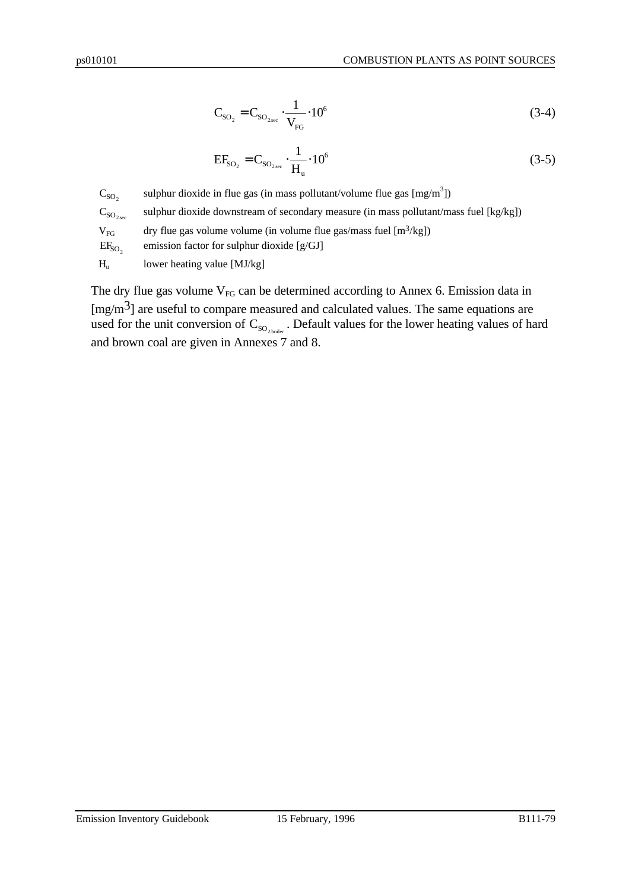$$
\mathbf{C}_{\mathrm{SO}_2} = \mathbf{C}_{\mathrm{SO}_{2,\mathrm{sec}}} \cdot \frac{1}{\mathbf{V}_{\mathrm{FG}}} \cdot 10^6 \tag{3-4}
$$

$$
EF_{SO_2} = C_{SO_{2\text{sec}}} \cdot \frac{1}{H_u} \cdot 10^6 \tag{3-5}
$$

 $C_{SO<sub>2</sub>}$ sulphur dioxide in flue gas (in mass pollutant/volume flue gas  $[\text{mg/m}^3]$ )  $C_{SO_{2,\text{sec}}}$ sulphur dioxide downstream of secondary measure (in mass pollutant/mass fuel [kg/kg])  $V_{FG}$  dry flue gas volume volume (in volume flue gas/mass fuel  $[m^3/kg]$ )  $EF<sub>SO<sub>2</sub></sub>$ emission factor for sulphur dioxide [g/GJ]  $H<sub>u</sub>$  lower heating value [MJ/kg]

The dry flue gas volume  $V_{FG}$  can be determined according to Annex 6. Emission data in  $[mg/m<sup>3</sup>]$  are useful to compare measured and calculated values. The same equations are used for the unit conversion of  $\mathrm{C}_\mathrm{SO_{2,boiler}}$  . Default values for the lower heating values of hard and brown coal are given in Annexes 7 and 8.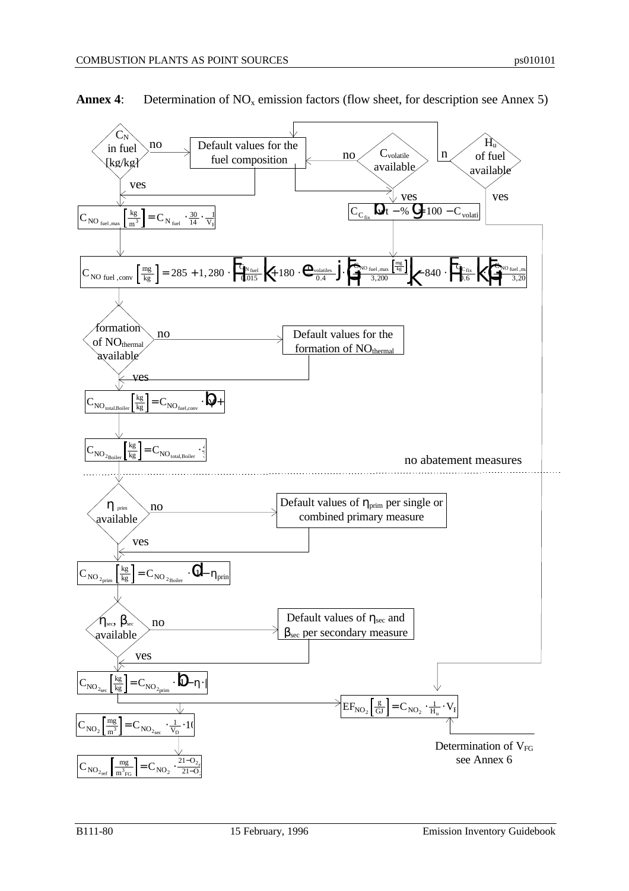

**Annex 4:** Determination of  $NO_x$  emission factors (flow sheet, for description see Annex 5)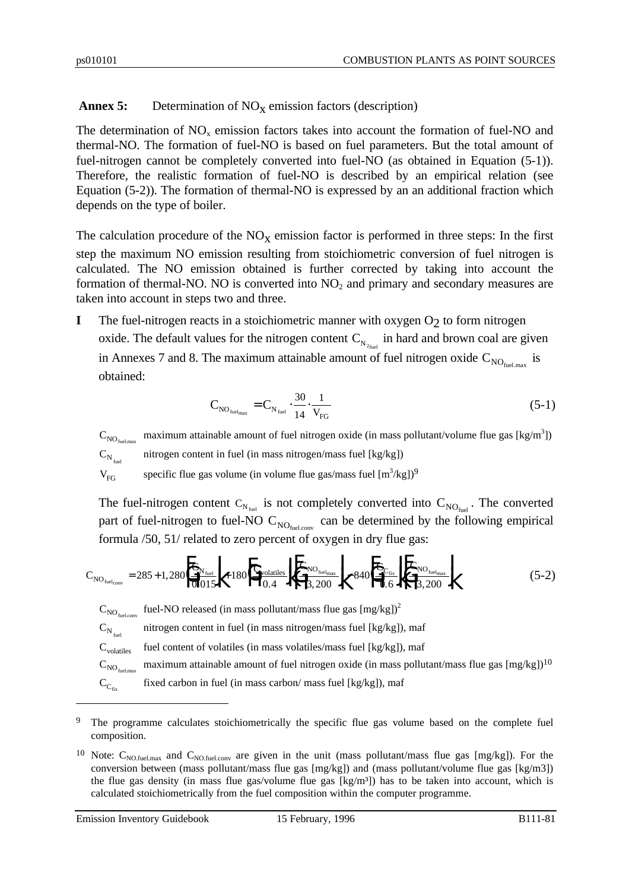# **Annex 5:** Determination of NO<sub>X</sub> emission factors (description)

The determination of  $NO<sub>x</sub>$  emission factors takes into account the formation of fuel-NO and thermal-NO. The formation of fuel-NO is based on fuel parameters. But the total amount of fuel-nitrogen cannot be completely converted into fuel-NO (as obtained in Equation (5-1)). Therefore, the realistic formation of fuel-NO is described by an empirical relation (see Equation (5-2)). The formation of thermal-NO is expressed by an an additional fraction which depends on the type of boiler.

The calculation procedure of the  $NO<sub>x</sub>$  emission factor is performed in three steps: In the first step the maximum NO emission resulting from stoichiometric conversion of fuel nitrogen is calculated. The NO emission obtained is further corrected by taking into account the formation of thermal-NO. NO is converted into  $NO<sub>2</sub>$  and primary and secondary measures are taken into account in steps two and three.

**I** The fuel-nitrogen reacts in a stoichiometric manner with oxygen O<sub>2</sub> to form nitrogen oxide. The default values for the nitrogen content  $C_{N_{2_{\text{fuel}}}}$  in hard and brown coal are given in Annexes 7 and 8. The maximum attainable amount of fuel nitrogen oxide  $C_{NO_{\text{fuel,max}}}$  is obtained:

$$
C_{\text{NO}_{\text{fuel}_{\text{max}}}} = C_{\text{N}_{\text{fuel}}} \cdot \frac{30}{14} \cdot \frac{1}{V_{\text{FG}}}
$$
\n
$$
\tag{5-1}
$$

 $C_{NO_{\text{fuel,max}}}$ maximum attainable amount of fuel nitrogen oxide (in mass pollutant/volume flue gas [kg/m<sup>3</sup>])  $C_{N_{\text{final}}}$ nitrogen content in fuel (in mass nitrogen/mass fuel [kg/kg])

 $V_{FG}$  specific flue gas volume (in volume flue gas/mass fuel  $[m^3/kg])^9$ 

The fuel-nitrogen content  $C_{N_{\text{fuel}}}$  is not completely converted into  $C_{NO_{\text{fuel}}}$ . The converted part of fuel-nitrogen to fuel-NO  $C_{NO_{\text{fuel.com}}}$  can be determined by the following empirical formula /50, 51/ related to zero percent of oxygen in dry flue gas:

$$
C_{NO_{fuel_{conv}}} = 285 + 1,280 \left| \frac{C_{N_{fuel}}}{0.015} \right| + 180 \left| \frac{C_{volatiles}}{0.4} \right| + \left| \frac{C_{NO_{fuelmax}}}{3,200} \right| - 840 \left| \frac{C_{C_{fix}}}{0.6} \right| \left| \frac{C_{NO_{fuelmax}}}{3,200} \right|
$$
 (5-2)

 $C_{NO_{\text{fuel,conv}}}$  fuel-NO released (in mass pollutant/mass flue gas  $[mg/kg])^2$ 

 $\mathbf{C_{N_{\tiny \textup{fuel}}}}$ nitrogen content in fuel (in mass nitrogen/mass fuel [kg/kg]), maf

 $C_{\text{volatiles}}$  fuel content of volatiles (in mass volatiles/mass fuel [kg/kg]), maf

 $C_{NO_{\text{fuel,max}}}$ maximum attainable amount of fuel nitrogen oxide (in mass pollutant/mass flue gas  $[mg/kg])^{10}$ 

 $C_{C_{fix}}$ fixed carbon in fuel (in mass carbon/ mass fuel [kg/kg]), maf

 $\overline{a}$ 

<sup>&</sup>lt;sup>9</sup> The programme calculates stoichiometrically the specific flue gas volume based on the complete fuel composition.

<sup>&</sup>lt;sup>10</sup> Note:  $C_{NO.fuel.max}$  and  $C_{NO.fuel.com}$  are given in the unit (mass pollutant/mass flue gas [mg/kg]). For the conversion between (mass pollutant/mass flue gas [mg/kg]) and (mass pollutant/volume flue gas [kg/m3]) the flue gas density (in mass flue gas/volume flue gas  $[kg/m<sup>3</sup>]$ ) has to be taken into account, which is calculated stoichiometrically from the fuel composition within the computer programme.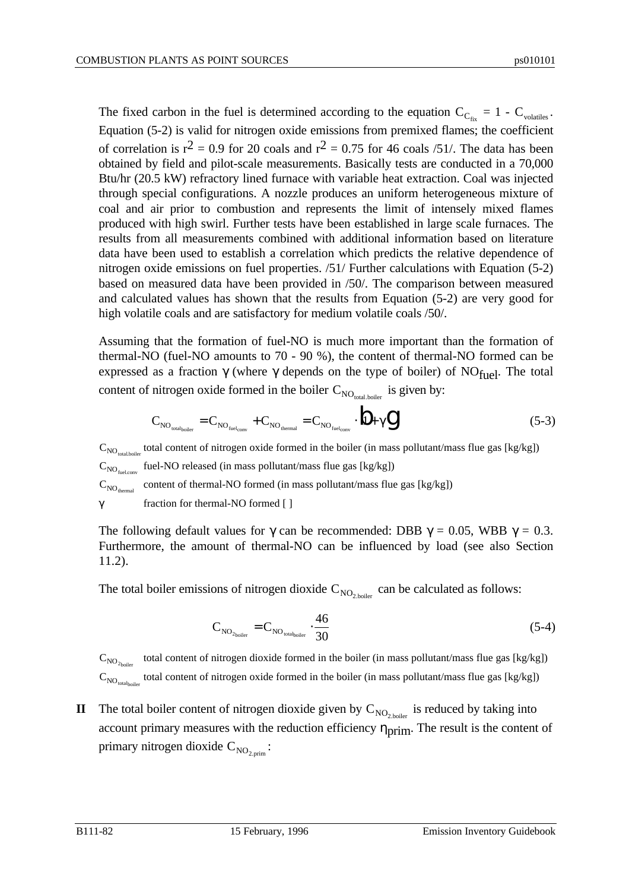The fixed carbon in the fuel is determined according to the equation  $C_{C_{fix}} = 1 - C_{\text{volatiles}}$ . Equation (5-2) is valid for nitrogen oxide emissions from premixed flames; the coefficient of correlation is  $r^2 = 0.9$  for 20 coals and  $r^2 = 0.75$  for 46 coals /51/. The data has been obtained by field and pilot-scale measurements. Basically tests are conducted in a 70,000 Btu/hr (20.5 kW) refractory lined furnace with variable heat extraction. Coal was injected through special configurations. A nozzle produces an uniform heterogeneous mixture of coal and air prior to combustion and represents the limit of intensely mixed flames produced with high swirl. Further tests have been established in large scale furnaces. The results from all measurements combined with additional information based on literature data have been used to establish a correlation which predicts the relative dependence of nitrogen oxide emissions on fuel properties. /51/ Further calculations with Equation (5-2) based on measured data have been provided in /50/. The comparison between measured and calculated values has shown that the results from Equation (5-2) are very good for high volatile coals and are satisfactory for medium volatile coals /50/.

Assuming that the formation of fuel-NO is much more important than the formation of thermal-NO (fuel-NO amounts to 70 - 90 %), the content of thermal-NO formed can be expressed as a fraction  $\gamma$  (where  $\gamma$  depends on the type of boiler) of NO<sub>fuel</sub>. The total content of nitrogen oxide formed in the boiler  $C_{NO_{total,boiler}}$  is given by:

$$
C_{\text{NO}_{\text{total}_{\text{boiler}}}} = C_{\text{NO}_{\text{fuel}_{\text{conv}}}} + C_{\text{NO}_{\text{thermal}}} = C_{\text{NO}_{\text{fuel}_{\text{conv}}}} \cdot \left| J_{1} + \gamma \right| \tag{5-3}
$$

 $C_{NO_{\text{total,boiler}}}$  total content of nitrogen oxide formed in the boiler (in mass pollutant/mass flue gas [kg/kg])  $C_{NO_{\text{fuel.com}}}$  fuel-NO released (in mass pollutant/mass flue gas [kg/kg])  $C_{NO_{thermal}}$  content of thermal-NO formed (in mass pollutant/mass flue gas [kg/kg]) γ fraction for thermal-NO formed [ ]

The following default values for  $\gamma$  can be recommended: DBB  $\gamma = 0.05$ , WBB  $\gamma = 0.3$ . Furthermore, the amount of thermal-NO can be influenced by load (see also Section 11.2).

The total boiler emissions of nitrogen dioxide  $C_{NO_{2,boiler}}$  can be calculated as follows:

$$
C_{NO_{2\text{boiler}}} = C_{NO_{\text{totalboiler}}} \cdot \frac{46}{30} \tag{5-4}
$$

 $\mathrm{C_{NO_{2_{\mathrm{hoider}}}}}$ total content of nitrogen dioxide formed in the boiler (in mass pollutant/mass flue gas [kg/kg])  $C_{NO_{\text{total}(\text{bolic})}}$  total content of nitrogen oxide formed in the boiler (in mass pollutant/mass flue gas [kg/kg])

**II** The total boiler content of nitrogen dioxide given by  $C_{NO_{2,boiler}}$  is reduced by taking into account primary measures with the reduction efficiency  $\eta_{\text{prim}}$ . The result is the content of primary nitrogen dioxide  $C_{NO_{2,prim}}$ :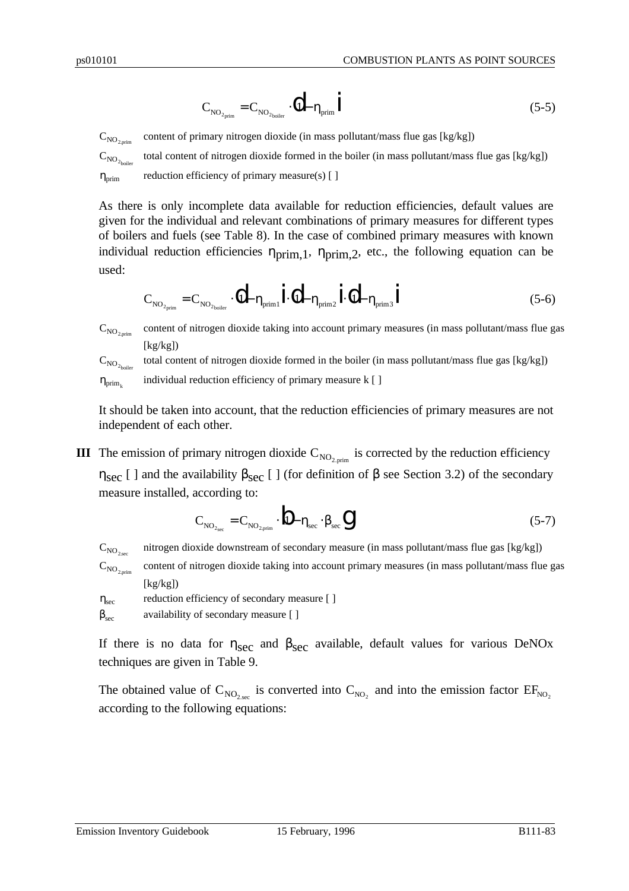$$
C_{\text{NO}_{2\text{prim}}} = C_{\text{NO}_{2\text{boiler}}} \cdot \left| \cdot \right| - \eta_{\text{prim}} \mid \tag{5-5}
$$

 $C_{NO<sub>2.001m</sub>}$ content of primary nitrogen dioxide (in mass pollutant/mass flue gas [kg/kg])

 $C_{NO_{2\text{holler}}}$ total content of nitrogen dioxide formed in the boiler (in mass pollutant/mass flue gas [kg/kg])  $\eta_{\text{prim}}$  reduction efficiency of primary measure(s) [ ]

As there is only incomplete data available for reduction efficiencies, default values are given for the individual and relevant combinations of primary measures for different types of boilers and fuels (see Table 8). In the case of combined primary measures with known individual reduction efficiencies  $\eta_{\text{prim,1}}$ ,  $\eta_{\text{prim,2}}$ , etc., the following equation can be used:

$$
C_{\text{NO}_{2_{\text{prim}}}} = C_{\text{NO}_{2_{\text{boiler}}}} \cdot (\dot{1}_1 - \eta_{\text{prim1}}) \cdot (\dot{1}_1 - \eta_{\text{prim2}}) \cdot (\dot{1}_1 - \eta_{\text{prim3}}) \tag{5-6}
$$

 $C_{NO_{2.00}}$ content of nitrogen dioxide taking into account primary measures (in mass pollutant/mass flue gas  $[kg/kg]$ 

 $C_{NO_{2}}$ total content of nitrogen dioxide formed in the boiler (in mass pollutant/mass flue gas [kg/kg])  $\eta_{\text{prim}}$ individual reduction efficiency of primary measure k [ ]

It should be taken into account, that the reduction efficiencies of primary measures are not independent of each other.

**III** The emission of primary nitrogen dioxide  $C_{NO_{2,prim}}$  is corrected by the reduction efficiency  $η<sub>sec</sub> [ ]$  and the availability  $β<sub>sec</sub> [ ]$  (for definition of β see Section 3.2) of the secondary measure installed, according to:

$$
C_{NO_{2\text{sec}}} = C_{NO_{2\text{prim}}}\cdot \left\|1 - \eta_{\text{sec}} \cdot \beta_{\text{sec}}\right\| \tag{5-7}
$$

 $C_{NO<sub>2,sec</sub>}$ nitrogen dioxide downstream of secondary measure (in mass pollutant/mass flue gas [kg/kg])

 $C_{NO_{2,prim}}$ content of nitrogen dioxide taking into account primary measures (in mass pollutant/mass flue gas  $[kg/kg]$ 

- $\eta_{\text{sec}}$  reduction efficiency of secondary measure [ ]
- $\beta_{\text{sec}}$  availability of secondary measure [ ]

If there is no data for  $\eta_{\text{sec}}$  and  $\beta_{\text{sec}}$  available, default values for various DeNOx techniques are given in Table 9.

The obtained value of  $C_{NO_{2,sec}}$  is converted into  $C_{NO_2}$  and into the emission factor  $EF_{NO_2}$ according to the following equations: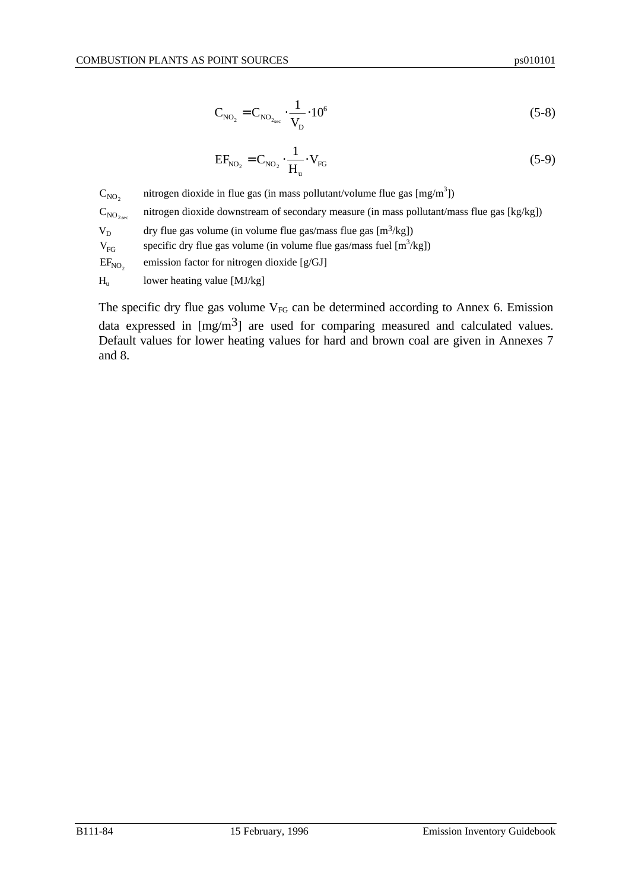$$
C_{NO_2} = C_{NO_{2\text{sec}}} \cdot \frac{1}{V_D} \cdot 10^6 \tag{5-8}
$$

$$
EF_{NO_2} = C_{NO_2} \cdot \frac{1}{H_u} \cdot V_{FG}
$$
 (5-9)

 $C_{NO<sub>2</sub>}$ nitrogen dioxide in flue gas (in mass pollutant/volume flue gas  $[mg/m<sup>3</sup>]$ )  $C_{NO<sub>2</sub>ssc}$ nitrogen dioxide downstream of secondary measure (in mass pollutant/mass flue gas [kg/kg])  $V_D$  dry flue gas volume (in volume flue gas/mass flue gas [m<sup>3</sup>/kg])  $V_{FG}$  specific dry flue gas volume (in volume flue gas/mass fuel [m<sup>3</sup>/kg])  $EF<sub>NO<sub>2</sub></sub>$ emission factor for nitrogen dioxide [g/GJ]  $H_u$  lower heating value [MJ/kg]

The specific dry flue gas volume  $V_{FG}$  can be determined according to Annex 6. Emission data expressed in  $[mg/m<sup>3</sup>]$  are used for comparing measured and calculated values. Default values for lower heating values for hard and brown coal are given in Annexes 7 and 8.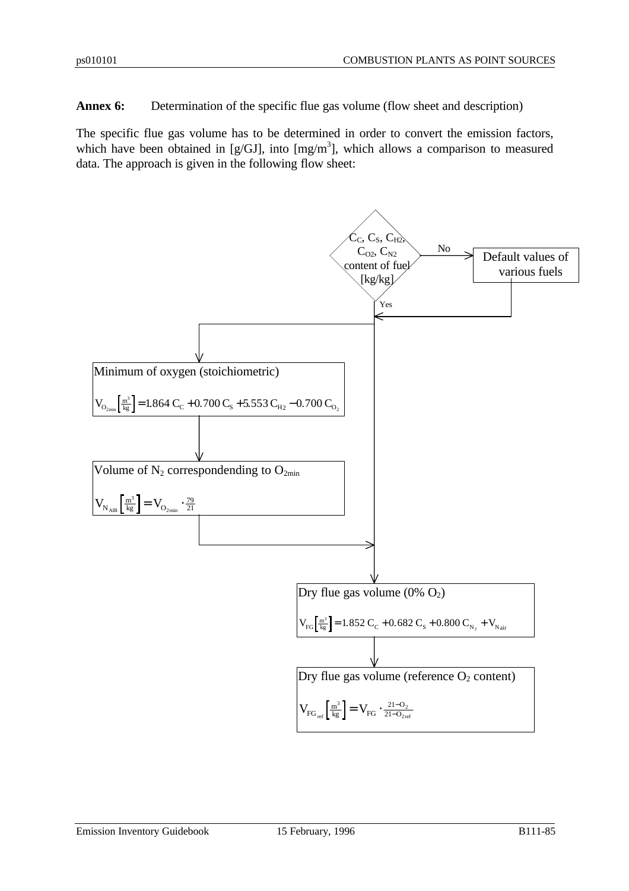**Annex 6:** Determination of the specific flue gas volume (flow sheet and description)

The specific flue gas volume has to be determined in order to convert the emission factors, which have been obtained in [g/GJ], into  $[mg/m<sup>3</sup>]$ , which allows a comparison to measured data. The approach is given in the following flow sheet:

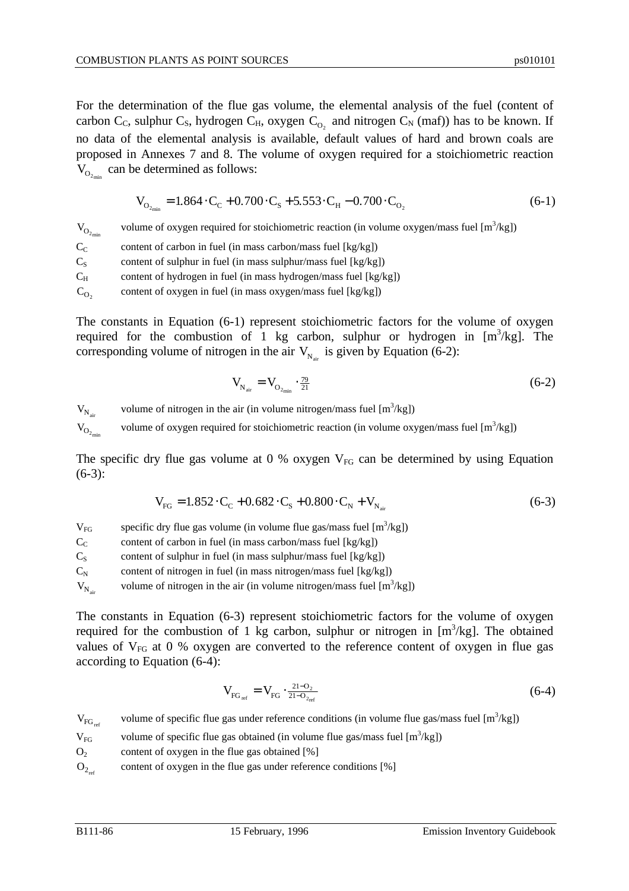For the determination of the flue gas volume, the elemental analysis of the fuel (content of carbon C<sub>C</sub>, sulphur C<sub>S</sub>, hydrogen C<sub>H</sub>, oxygen C<sub>O<sub>2</sub></sub> and nitrogen C<sub>N</sub> (maf)) has to be known. If no data of the elemental analysis is available, default values of hard and brown coals are proposed in Annexes 7 and 8. The volume of oxygen required for a stoichiometric reaction  $V_{O_{2_{\text{min}}}}$  can be determined as follows:

$$
V_{O_{2_{min}}} = 1.864 \cdot C_C + 0.700 \cdot C_S + 5.553 \cdot C_H - 0.700 \cdot C_{O_2}
$$
 (6-1)

 $\mathbf{V}_{\mathbf{O}_{2_{\text{min}}}}$ volume of oxygen required for stoichiometric reaction (in volume oxygen/mass fuel  $[m^3/kg]$ )  $C_{\rm C}$  content of carbon in fuel (in mass carbon/mass fuel [kg/kg])  $C_S$  content of sulphur in fuel (in mass sulphur/mass fuel [kg/kg])  $C_H$  content of hydrogen in fuel (in mass hydrogen/mass fuel [kg/kg])  $C_{O_2}$ content of oxygen in fuel (in mass oxygen/mass fuel [kg/kg])

The constants in Equation (6-1) represent stoichiometric factors for the volume of oxygen required for the combustion of 1 kg carbon, sulphur or hydrogen in  $[m^3/kg]$ . The corresponding volume of nitrogen in the air  $V_{N_{air}}$  is given by Equation (6-2):

$$
V_{N_{air}} = V_{O_{2_{min}}} \cdot \frac{79}{21} \tag{6-2}
$$

 $V_{N_{air}}$ volume of nitrogen in the air (in volume nitrogen/mass fuel  $[m^3/kg]$ )

 $\mbox{V}_{\mbox{O}_{2_\mathrm{min}}}$ volume of oxygen required for stoichiometric reaction (in volume oxygen/mass fuel  $[m^3/kg]$ )

The specific dry flue gas volume at 0 % oxygen  $V_{FG}$  can be determined by using Equation  $(6-3)$ :

$$
V_{FG} = 1.852 \cdot C_C + 0.682 \cdot C_S + 0.800 \cdot C_N + V_{N_{air}} \tag{6-3}
$$

 $V_{FG}$  specific dry flue gas volume (in volume flue gas/mass fuel  $[m^3/kg]$ )

 $C<sub>C</sub>$  content of carbon in fuel (in mass carbon/mass fuel [kg/kg])

 $C<sub>S</sub>$  content of sulphur in fuel (in mass sulphur/mass fuel [kg/kg])

 $C_N$  content of nitrogen in fuel (in mass nitrogen/mass fuel [kg/kg])

 $V_{N_{air}}$ volume of nitrogen in the air (in volume nitrogen/mass fuel  $[m^3/kg]$ )

The constants in Equation (6-3) represent stoichiometric factors for the volume of oxygen required for the combustion of 1 kg carbon, sulphur or nitrogen in  $[m^3/kg]$ . The obtained values of  $V_{FG}$  at 0 % oxygen are converted to the reference content of oxygen in flue gas according to Equation (6-4):

$$
V_{FG_{ref}} = V_{FG} \cdot \frac{21 - 0.2}{21 - 0.2}
$$
 (6-4)

$$
V_{FG_{ref}} \qquad \text{volume of specific flu}e gas under reference conditions (in volume flu}e gas/mass fuel [m3/kg])
$$

 $V_{FG}$  volume of specific flue gas obtained (in volume flue gas/mass fuel  $[m^3/kg]$ )

 $O<sub>2</sub>$  content of oxygen in the flue gas obtained [%]

 $O_{2n}$ content of oxygen in the flue gas under reference conditions [%]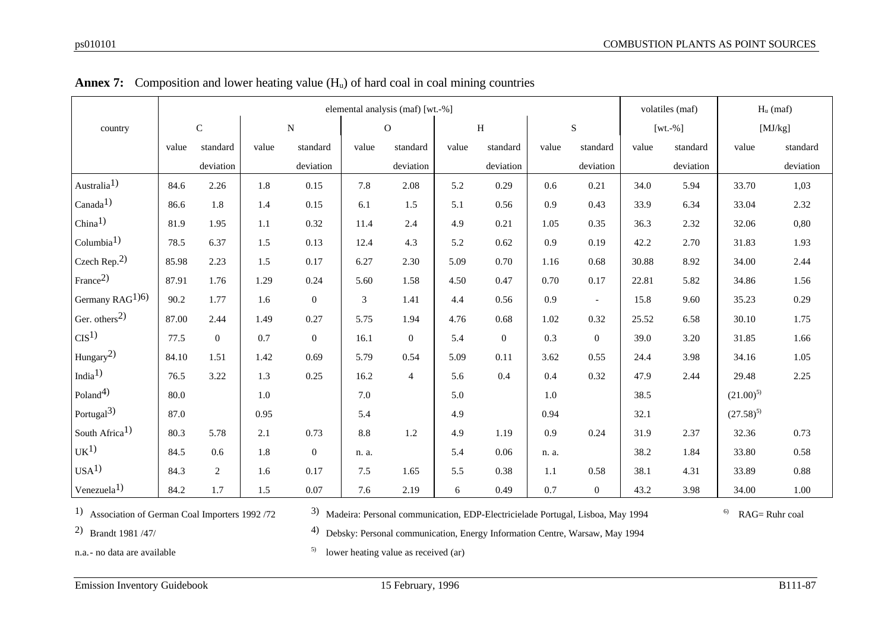|                             |       | elemental analysis (maf) [wt.-%] |         |                  |       |                |       |                  |         |                | volatiles (maf) |              | $H_u$ (maf)   |               |
|-----------------------------|-------|----------------------------------|---------|------------------|-------|----------------|-------|------------------|---------|----------------|-----------------|--------------|---------------|---------------|
| country                     |       | ${\bf C}$                        |         | $\overline{N}$   |       | $\mathbf{O}$   |       | $\, {\rm H}$     |         | $\mathbf S$    |                 | [ $wt.-\%$ ] |               | $[\rm MJ/kg]$ |
|                             | value | standard                         | value   | standard         | value | standard       | value | standard         | value   | standard       | value           | standard     | value         | standard      |
|                             |       | deviation                        |         | deviation        |       | deviation      |       | deviation        |         | deviation      |                 | deviation    |               | deviation     |
| Australia <sup>1)</sup>     | 84.6  | 2.26                             | 1.8     | 0.15             | 7.8   | 2.08           | 5.2   | 0.29             | 0.6     | 0.21           | 34.0            | 5.94         | 33.70         | 1,03          |
| Canada <sup>1</sup> )       | 86.6  | 1.8                              | 1.4     | 0.15             | 6.1   | 1.5            | 5.1   | 0.56             | 0.9     | 0.43           | 33.9            | 6.34         | 33.04         | 2.32          |
| China <sup>1</sup>          | 81.9  | 1.95                             | $1.1\,$ | 0.32             | 11.4  | 2.4            | 4.9   | 0.21             | 1.05    | 0.35           | 36.3            | 2.32         | 32.06         | 0,80          |
| Columbia <sup>1</sup>       | 78.5  | 6.37                             | 1.5     | 0.13             | 12.4  | 4.3            | 5.2   | 0.62             | 0.9     | 0.19           | 42.2            | 2.70         | 31.83         | 1.93          |
| Czech Rep. $2)$             | 85.98 | 2.23                             | 1.5     | 0.17             | 6.27  | 2.30           | 5.09  | 0.70             | 1.16    | 0.68           | 30.88           | 8.92         | 34.00         | 2.44          |
| France <sup>2)</sup>        | 87.91 | 1.76                             | 1.29    | 0.24             | 5.60  | 1.58           | 4.50  | 0.47             | 0.70    | 0.17           | 22.81           | 5.82         | 34.86         | 1.56          |
| Germany RAG <sup>1)6)</sup> | 90.2  | 1.77                             | 1.6     | $\boldsymbol{0}$ | 3     | 1.41           | 4.4   | 0.56             | 0.9     | $\blacksquare$ | 15.8            | 9.60         | 35.23         | 0.29          |
| Ger. others $^{2)}$         | 87.00 | 2.44                             | 1.49    | 0.27             | 5.75  | 1.94           | 4.76  | 0.68             | 1.02    | 0.32           | 25.52           | 6.58         | 30.10         | 1.75          |
| CIS <sup>1</sup>            | 77.5  | $\mathbf{0}$                     | 0.7     | $\mathbf{0}$     | 16.1  | $\overline{0}$ | 5.4   | $\boldsymbol{0}$ | 0.3     | $\theta$       | 39.0            | 3.20         | 31.85         | 1.66          |
| Hungary <sup>2)</sup>       | 84.10 | 1.51                             | 1.42    | 0.69             | 5.79  | 0.54           | 5.09  | 0.11             | 3.62    | 0.55           | 24.4            | 3.98         | 34.16         | 1.05          |
| India <sup>1</sup> $)$      | 76.5  | 3.22                             | 1.3     | 0.25             | 16.2  | $\overline{4}$ | 5.6   | 0.4              | 0.4     | 0.32           | 47.9            | 2.44         | 29.48         | 2.25          |
| Poland <sup>4</sup>         | 80.0  |                                  | $1.0\,$ |                  | 7.0   |                | 5.0   |                  | $1.0\,$ |                | 38.5            |              | $(21.00)^{5}$ |               |
| Portugal <sup>3)</sup>      | 87.0  |                                  | 0.95    |                  | 5.4   |                | 4.9   |                  | 0.94    |                | 32.1            |              | $(27.58)^{5}$ |               |
| South Africa <sup>1)</sup>  | 80.3  | 5.78                             | 2.1     | 0.73             | 8.8   | 1.2            | 4.9   | 1.19             | 0.9     | 0.24           | 31.9            | 2.37         | 32.36         | 0.73          |
| UK <sup>1</sup>             | 84.5  | 0.6                              | 1.8     | $\boldsymbol{0}$ | n. a. |                | 5.4   | 0.06             | n. a.   |                | 38.2            | 1.84         | 33.80         | 0.58          |
| USA <sup>1</sup>            | 84.3  | $\overline{2}$                   | 1.6     | 0.17             | 7.5   | 1.65           | 5.5   | 0.38             | 1.1     | 0.58           | 38.1            | 4.31         | 33.89         | 0.88          |
| Venezuela <sup>1</sup>      | 84.2  | 1.7                              | 1.5     | 0.07             | 7.6   | 2.19           | 6     | 0.49             | 0.7     | $\mathbf{0}$   | 43.2            | 3.98         | 34.00         | $1.00\,$      |

|  | <b>Annex 7:</b> Composition and lower heating value $(H_u)$ of hard coal in coal mining countries |  |  |  |  |
|--|---------------------------------------------------------------------------------------------------|--|--|--|--|
|--|---------------------------------------------------------------------------------------------------|--|--|--|--|

1) Association of German Coal Importers 1992 /72

3) Madeira: Personal communication, EDP-Electricielade Portugal, Lisboa, May 1994

 $6$  RAG= Ruhr coal

2) Brandt 1981 /47/

4) Debsky: Personal communication, Energy Information Centre, Warsaw, May 1994

n.a.- no data are available

 $5$  lower heating value as received (ar)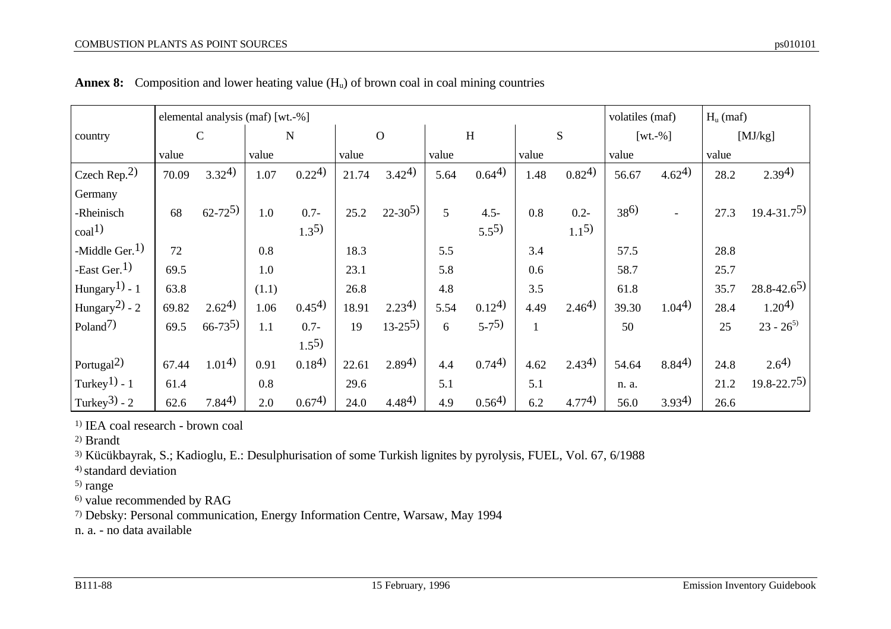|                            | elemental analysis (maf) [wt.-%] |                   |       |              |       |               |       |                   |       | volatiles (maf) |          | $H_u$ (maf)       |       |                   |
|----------------------------|----------------------------------|-------------------|-------|--------------|-------|---------------|-------|-------------------|-------|-----------------|----------|-------------------|-------|-------------------|
| country                    |                                  | $\mathsf{C}$      |       | $\mathbf N$  |       | $\Omega$      |       | H                 |       | S               |          | $[wt.-\%]$        |       | [MJ/kg]           |
|                            | value                            |                   | value |              | value |               | value |                   | value |                 | value    |                   | value |                   |
| Czech Rep. $2)$            | 70.09                            | $3.32^{4}$        | 1.07  | $0.22^{(4)}$ | 21.74 | $3.42^{4}$    | 5.64  | $0.64^{(4)}$      | 1.48  | $0.82^{(4)}$    | 56.67    | $4.62^{(4)}$      | 28.2  | $2.39^{4}$        |
| Germany                    |                                  |                   |       |              |       |               |       |                   |       |                 |          |                   |       |                   |
| -Rheinisch                 | 68                               | $62 - 72^{5}$     | 1.0   | $0.7 -$      | 25.2  | $22 - 30^{5}$ | 5     | $4.5 -$           | 0.8   | $0.2 -$         | $38^{6}$ |                   | 27.3  | $19.4 - 31.7^{5}$ |
| $\text{coal}^{1)}$         |                                  |                   |       | $1.3^{5}$    |       |               |       | $5.5^{5}$         |       | $1.1^{5}$       |          |                   |       |                   |
| -Middle Ger. $1)$          | 72                               |                   | 0.8   |              | 18.3  |               | 5.5   |                   | 3.4   |                 | 57.5     |                   | 28.8  |                   |
| -East Ger. <sup>1)</sup>   | 69.5                             |                   | 1.0   |              | 23.1  |               | 5.8   |                   | 0.6   |                 | 58.7     |                   | 25.7  |                   |
| Hungary <sup>1</sup> ) - 1 | 63.8                             |                   | (1.1) |              | 26.8  |               | 4.8   |                   | 3.5   |                 | 61.8     |                   | 35.7  | $28.8 - 42.6^{5}$ |
| Hungary <sup>2</sup> ) - 2 | 69.82                            | 2.62 <sup>4</sup> | 1.06  | $0.45^{(4)}$ | 18.91 | $2.23^{4}$    | 5.54  | 0.12 <sup>4</sup> | 4.49  | $2.46^{4}$      | 39.30    | 1.04 <sup>4</sup> | 28.4  | $1.20^{4}$        |

19 13-25<sup>5</sup>) 6 5-7<sup>5</sup>) 1 50 35 23 - 26<sup>5</sup>

**Annex 8:** Composition and lower heating value  $(H_u)$  of brown coal in coal mining countries

1.55)

1) IEA coal research - brown coal

Poland<sup>7)</sup>  $\begin{array}{|l|} 69.5 & 66-73^{5} \end{array}$  1.1 0.7-

2) Brandt

 $\cosh(1)$ 

3) Kücükbayrak, S.; Kadioglu, E.: Desulphurisation of some Turkish lignites by pyrolysis, FUEL, Vol. 67, 6/1988

4) standard deviation

5) range

6) value recommended by RAG

7) Debsky: Personal communication, Energy Information Centre, Warsaw, May 1994

n. a. - no data available

Portugal2) 67.44 1.014) 0.91 0.184) 22.61 2.894) 4.4 0.744) 4.62 2.434) 54.64 8.844) 24.8 2.64) Turkey<sup>1</sup>) - 1 61.4 0.8 29.6 5.1 5.1 n. a. 21.2 19.8-22.75)

Turkey3) - 2 62.6 7.844) 2.0 0.674) 24.0 4.484) 4.9 0.564) 6.2 4.774) 56.0 3.934) 26.6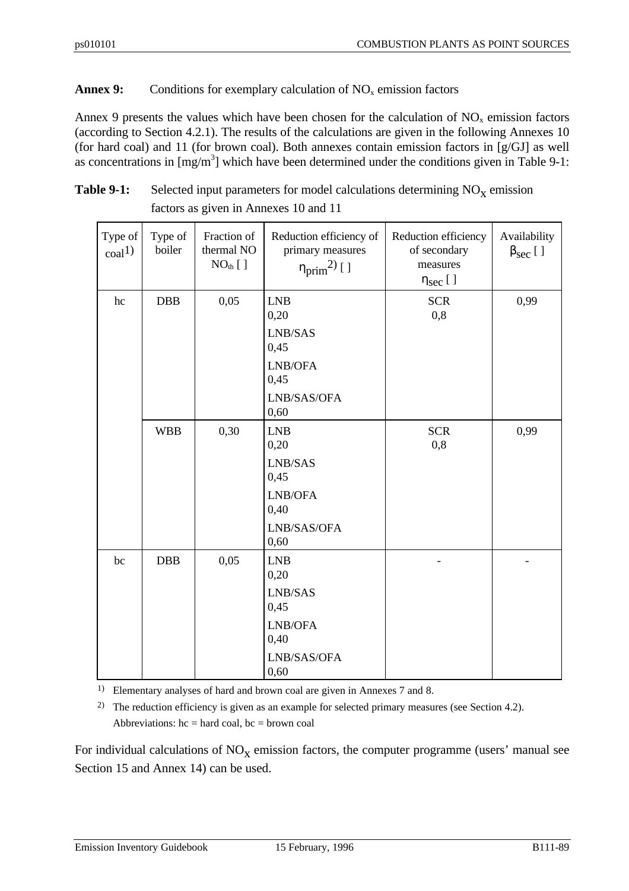## **Annex 9:** Conditions for exemplary calculation of  $NO<sub>x</sub>$  emission factors

Annex 9 presents the values which have been chosen for the calculation of  $NO<sub>x</sub>$  emission factors (according to Section 4.2.1). The results of the calculations are given in the following Annexes 10 (for hard coal) and 11 (for brown coal). Both annexes contain emission factors in [g/GJ] as well as concentrations in  $[mg/m<sup>3</sup>]$  which have been determined under the conditions given in Table 9-1:

| <b>Table 9-1:</b> | Selected input parameters for model calculations determining $NO_x$ emission |
|-------------------|------------------------------------------------------------------------------|
|                   | factors as given in Annexes 10 and 11                                        |

| Type of<br>$\text{coal}^{1}$ | Type of<br>boiler | Fraction of<br>thermal NO<br>$NOth$ [ ] | Reduction efficiency of<br>primary measures<br>$\eta_{prim}^{2)}$ [ ] | Reduction efficiency<br>of secondary<br>measures<br>$\eta_{sec}$ [ ] | Availability<br>$\beta_{\text{sec}}$ [ ] |
|------------------------------|-------------------|-----------------------------------------|-----------------------------------------------------------------------|----------------------------------------------------------------------|------------------------------------------|
| hc                           | <b>DBB</b>        | 0,05                                    | <b>LNB</b><br>0,20<br>LNB/SAS<br>0,45<br>LNB/OFA<br>0,45              | <b>SCR</b><br>0,8                                                    | 0,99                                     |
|                              |                   |                                         | LNB/SAS/OFA<br>0,60                                                   |                                                                      |                                          |
|                              | <b>WBB</b>        | 0,30                                    | <b>LNB</b><br>0,20<br>LNB/SAS<br>0,45                                 | <b>SCR</b><br>0,8                                                    | 0,99                                     |
|                              |                   |                                         | LNB/OFA<br>0,40                                                       |                                                                      |                                          |
|                              |                   |                                         | LNB/SAS/OFA<br>0,60                                                   |                                                                      |                                          |
| bc                           | <b>DBB</b>        | 0,05                                    | <b>LNB</b><br>0,20                                                    |                                                                      |                                          |
|                              |                   |                                         | LNB/SAS<br>0,45                                                       |                                                                      |                                          |
|                              |                   |                                         | LNB/OFA<br>0,40                                                       |                                                                      |                                          |
|                              |                   |                                         | LNB/SAS/OFA<br>0,60                                                   |                                                                      |                                          |

1) Elementary analyses of hard and brown coal are given in Annexes 7 and 8.

<sup>2)</sup> The reduction efficiency is given as an example for selected primary measures (see Section 4.2). Abbreviations:  $hc = hard coal$ ,  $bc = brown coal$ 

For individual calculations of  $NO<sub>X</sub>$  emission factors, the computer programme (users' manual see Section 15 and Annex 14) can be used.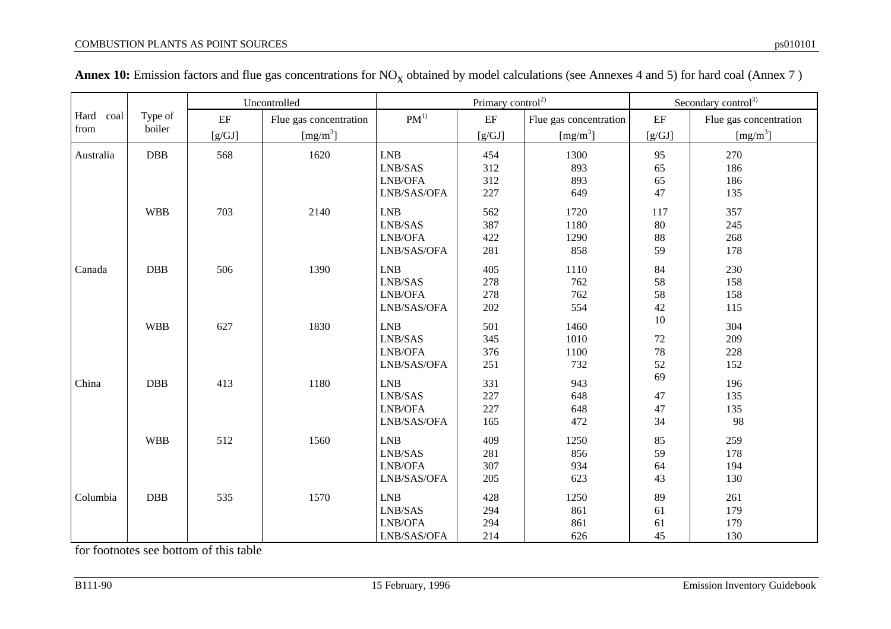|           |            |          | Uncontrolled           |             | Primary control <sup>2)</sup> |                        | Secondary control <sup>3)</sup> |                        |  |
|-----------|------------|----------|------------------------|-------------|-------------------------------|------------------------|---------------------------------|------------------------|--|
| Hard coal | Type of    | $\rm EF$ | Flue gas concentration | $PM^{1)}$   | $\rm EF$                      | Flue gas concentration | $\rm EF$                        | Flue gas concentration |  |
| from      | boiler     | [g/GJ]   | [mg/m <sup>3</sup> ]   |             | [g/GJ]                        | [mg/m <sup>3</sup> ]   | [g/GJ]                          | [mg/m <sup>3</sup> ]   |  |
| Australia | DBB        | 568      | 1620                   | <b>LNB</b>  | 454                           | 1300                   | 95                              | 270                    |  |
|           |            |          |                        | LNB/SAS     | 312                           | 893                    | 65                              | 186                    |  |
|           |            |          |                        | LNB/OFA     | 312                           | 893                    | 65                              | 186                    |  |
|           |            |          |                        | LNB/SAS/OFA | 227                           | 649                    | 47                              | 135                    |  |
|           | <b>WBB</b> | 703      | 2140                   | <b>LNB</b>  | 562                           | 1720                   | 117                             | 357                    |  |
|           |            |          |                        | LNB/SAS     | 387                           | 1180                   | 80                              | 245                    |  |
|           |            |          |                        | LNB/OFA     | 422                           | 1290                   | 88                              | 268                    |  |
|           |            |          |                        | LNB/SAS/OFA | 281                           | 858                    | 59                              | 178                    |  |
| Canada    | DBB        | 506      | 1390                   | <b>LNB</b>  | 405                           | 1110                   | 84                              | 230                    |  |
|           |            |          |                        | LNB/SAS     | 278                           | 762                    | 58                              | 158                    |  |
|           |            |          |                        | LNB/OFA     | 278                           | 762                    | 58                              | 158                    |  |
|           |            |          |                        | LNB/SAS/OFA | 202                           | 554                    | 42                              | 115                    |  |
|           | <b>WBB</b> | 627      | 1830                   | <b>LNB</b>  | 501                           | 1460                   | 10                              | 304                    |  |
|           |            |          |                        | LNB/SAS     | 345                           | 1010                   | $72\,$                          | 209                    |  |
|           |            |          |                        | LNB/OFA     | 376                           | 1100                   | $78\,$                          | 228                    |  |
|           |            |          |                        | LNB/SAS/OFA | 251                           | 732                    | 52                              | 152                    |  |
| China     | DBB        | 413      | 1180                   | <b>LNB</b>  | 331                           | 943                    | 69                              | 196                    |  |
|           |            |          |                        | LNB/SAS     | 227                           | 648                    | 47                              | 135                    |  |
|           |            |          |                        | LNB/OFA     | 227                           | 648                    | 47                              | 135                    |  |
|           |            |          |                        | LNB/SAS/OFA | 165                           | 472                    | 34                              | 98                     |  |
|           | <b>WBB</b> | 512      | 1560                   | <b>LNB</b>  | 409                           | 1250                   | 85                              | 259                    |  |
|           |            |          |                        | LNB/SAS     | 281                           | 856                    | 59                              | 178                    |  |
|           |            |          |                        | LNB/OFA     | 307                           | 934                    | 64                              | 194                    |  |
|           |            |          |                        | LNB/SAS/OFA | 205                           | 623                    | 43                              | 130                    |  |
| Columbia  | DBB        | 535      | 1570                   | LNB         | 428                           | 1250                   | 89                              | 261                    |  |
|           |            |          |                        | LNB/SAS     | 294                           | 861                    | 61                              | 179                    |  |
|           |            |          |                        | LNB/OFA     | 294                           | 861                    | 61                              | 179                    |  |
|           |            |          |                        | LNB/SAS/OFA | 214                           | 626                    | 45                              | 130                    |  |

| <b>Annex 10:</b> Emission factors and flue gas concentrations for $NO_x$ obtained by model calculations (see Annexes 4 and 5) for hard coal (Annex 7) |  |  |  |
|-------------------------------------------------------------------------------------------------------------------------------------------------------|--|--|--|
|-------------------------------------------------------------------------------------------------------------------------------------------------------|--|--|--|

for footnotes see bottom of this table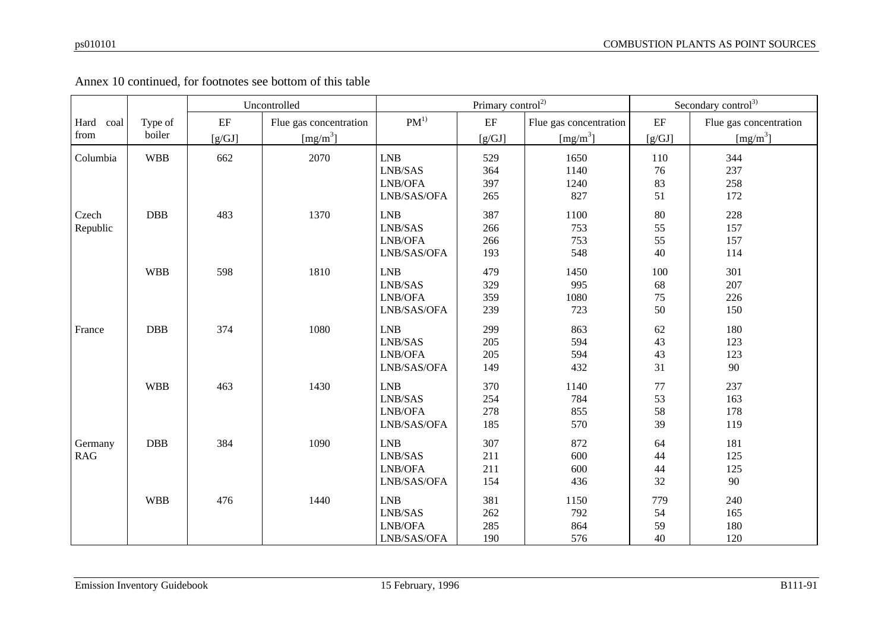|              |            |          | Uncontrolled           |                                                                     | Primary control <sup>2)</sup> | Secondary control <sup>3)</sup> |          |                        |
|--------------|------------|----------|------------------------|---------------------------------------------------------------------|-------------------------------|---------------------------------|----------|------------------------|
| Hard<br>coal | Type of    | $\rm EF$ | Flue gas concentration | $PM^{1)}$                                                           | $\rm EF$                      | Flue gas concentration          | $\rm EF$ | Flue gas concentration |
| from         | boiler     | [g/GJ]   | [mg/m <sup>3</sup> ]   |                                                                     | [g/GJ]                        | [mg/m <sup>3</sup> ]            | [g/GJ]   | [mg/m <sup>3</sup> ]   |
| Columbia     | <b>WBB</b> | 662      | 2070                   | <b>LNB</b>                                                          | 529                           | 1650                            | 110      | 344                    |
|              |            |          |                        | LNB/SAS                                                             | 364                           | 1140                            | 76       | 237                    |
|              |            |          |                        | LNB/OFA                                                             | 397                           | 1240                            | 83       | 258                    |
|              |            |          |                        | LNB/SAS/OFA                                                         | 265                           | 827                             | 51       | 172                    |
| Czech        | DBB        | 483      | 1370                   | LNB                                                                 | 387                           | 1100                            | $80\,$   | 228                    |
| Republic     |            |          |                        | $\ensuremath{\mathrm{LNB}}\xspace/\ensuremath{\mathrm{SAS}}\xspace$ | 266                           | 753                             | 55       | 157                    |
|              |            |          |                        | LNB/OFA                                                             | 266                           | 753                             | 55       | 157                    |
|              |            |          |                        | LNB/SAS/OFA                                                         | 193                           | 548                             | 40       | 114                    |
|              | <b>WBB</b> | 598      | 1810                   | LNB                                                                 | 479                           | 1450                            | 100      | 301                    |
|              |            |          |                        | LNB/SAS                                                             | 329                           | 995                             | 68       | 207                    |
|              |            |          |                        | LNB/OFA                                                             | 359                           | 1080                            | 75       | 226                    |
|              |            |          |                        | LNB/SAS/OFA                                                         | 239                           | 723                             | 50       | 150                    |
| France       | DBB        | 374      | 1080                   | <b>LNB</b>                                                          | 299                           | 863                             | 62       | 180                    |
|              |            |          |                        | $\ensuremath{\mathrm{LNB}}\xspace/\ensuremath{\mathrm{SAS}}\xspace$ | 205                           | 594                             | 43       | 123                    |
|              |            |          |                        | LNB/OFA                                                             | 205                           | 594                             | 43       | 123                    |
|              |            |          |                        | LNB/SAS/OFA                                                         | 149                           | 432                             | 31       | 90                     |
|              | <b>WBB</b> | 463      | 1430                   | <b>LNB</b>                                                          | 370                           | 1140                            | 77       | 237                    |
|              |            |          |                        | LNB/SAS                                                             | 254                           | 784                             | 53       | 163                    |
|              |            |          |                        | LNB/OFA                                                             | 278                           | 855                             | 58       | 178                    |
|              |            |          |                        | LNB/SAS/OFA                                                         | 185                           | 570                             | 39       | 119                    |
| Germany      | DBB        | 384      | 1090                   | LNB                                                                 | 307                           | 872                             | 64       | 181                    |
| <b>RAG</b>   |            |          |                        | LNB/SAS                                                             | 211                           | 600                             | 44       | 125                    |
|              |            |          |                        | LNB/OFA                                                             | 211                           | 600                             | 44       | 125                    |
|              |            |          |                        | LNB/SAS/OFA                                                         | 154                           | 436                             | 32       | 90                     |
|              | <b>WBB</b> | 476      | 1440                   | ${\rm LNB}$                                                         | 381                           | 1150                            | 779      | 240                    |
|              |            |          |                        | $\ensuremath{\mathrm{LNB}}\xspace/\ensuremath{\mathrm{SAS}}\xspace$ | 262                           | 792                             | 54       | 165                    |
|              |            |          |                        | LNB/OFA                                                             | 285                           | 864                             | 59       | 180                    |
|              |            |          |                        | LNB/SAS/OFA                                                         | 190                           | 576                             | 40       | 120                    |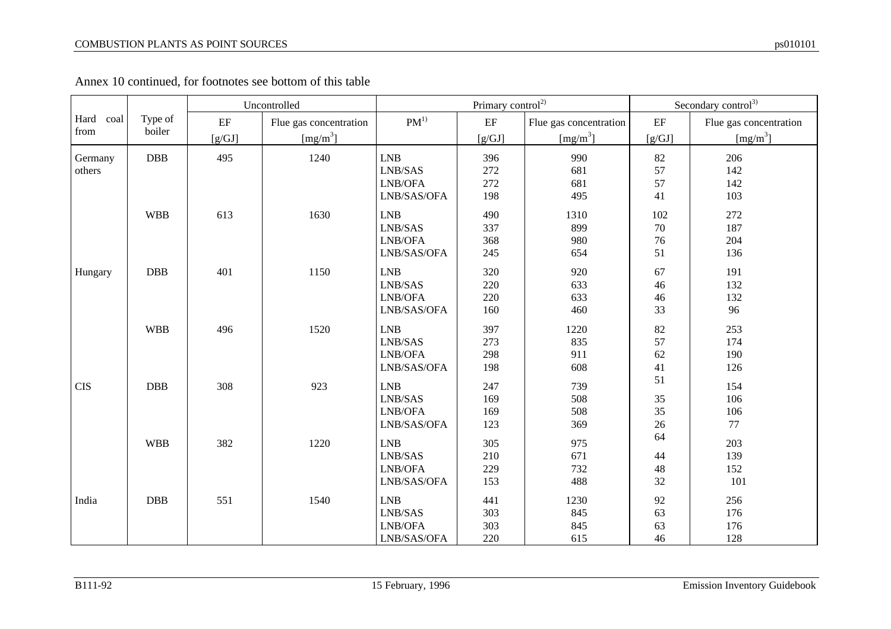$\top$ 

|              |            |                     | Uncontrolled           |                                                                     | Primary control <sup>2)</sup> | Secondary control <sup>3)</sup> |          |                        |
|--------------|------------|---------------------|------------------------|---------------------------------------------------------------------|-------------------------------|---------------------------------|----------|------------------------|
| Hard<br>coal | Type of    | $\operatorname{EF}$ | Flue gas concentration | $PM^{1)}$                                                           | $\rm EF$                      | Flue gas concentration          | $\rm EF$ | Flue gas concentration |
| from         | boiler     | [g/GJ]              | [mg/m <sup>3</sup> ]   |                                                                     | [g/GJ]                        | [mg/m <sup>3</sup> ]            | $[g/GJ]$ | [mg/m <sup>3</sup> ]   |
| Germany      | DBB        | 495                 | 1240                   | ${\rm LNB}$                                                         | 396                           | 990                             | 82       | 206                    |
| others       |            |                     |                        | $\ensuremath{\mathrm{LNB}}\xspace/\ensuremath{\mathrm{SAS}}\xspace$ | 272                           | 681                             | 57       | 142                    |
|              |            |                     |                        | LNB/OFA                                                             | 272                           | 681                             | 57       | 142                    |
|              |            |                     |                        | LNB/SAS/OFA                                                         | 198                           | 495                             | 41       | 103                    |
|              | <b>WBB</b> | 613                 | 1630                   | <b>LNB</b>                                                          | 490                           | 1310                            | 102      | 272                    |
|              |            |                     |                        | LNB/SAS                                                             | 337                           | 899                             | 70       | 187                    |
|              |            |                     |                        | LNB/OFA                                                             | 368                           | 980                             | 76       | 204                    |
|              |            |                     |                        | LNB/SAS/OFA                                                         | 245                           | 654                             | 51       | 136                    |
| Hungary      | <b>DBB</b> | 401                 | 1150                   | LNB                                                                 | 320                           | 920                             | 67       | 191                    |
|              |            |                     |                        | LNB/SAS                                                             | 220                           | 633                             | 46       | 132                    |
|              |            |                     |                        | LNB/OFA                                                             | 220                           | 633                             | 46       | 132                    |
|              |            |                     |                        | LNB/SAS/OFA                                                         | 160                           | 460                             | 33       | 96                     |
|              | <b>WBB</b> | 496                 | 1520                   | LNB                                                                 | 397                           | 1220                            | 82       | 253                    |
|              |            |                     |                        | LNB/SAS                                                             | 273                           | 835                             | 57       | 174                    |
|              |            |                     |                        | LNB/OFA                                                             | 298                           | 911                             | 62       | 190                    |
|              |            |                     |                        | LNB/SAS/OFA                                                         | 198                           | 608                             | 41       | 126                    |
| <b>CIS</b>   | DBB        | 308                 | 923                    | LNB                                                                 | 247                           | 739                             | 51       | 154                    |
|              |            |                     |                        | LNB/SAS                                                             | 169                           | 508                             | 35       | 106                    |
|              |            |                     |                        | LNB/OFA                                                             | 169                           | 508                             | 35       | 106                    |
|              |            |                     |                        | LNB/SAS/OFA                                                         | 123                           | 369                             | 26       | 77                     |
|              | <b>WBB</b> | 382                 | 1220                   | LNB                                                                 | 305                           | 975                             | 64       | 203                    |
|              |            |                     |                        | LNB/SAS                                                             | 210                           | 671                             | 44       | 139                    |
|              |            |                     |                        | LNB/OFA                                                             | 229                           | 732                             | 48       | 152                    |
|              |            |                     |                        | LNB/SAS/OFA                                                         | 153                           | 488                             | 32       | 101                    |
| India        | <b>DBB</b> | 551                 | 1540                   | <b>LNB</b>                                                          | 441                           | 1230                            | 92       | 256                    |
|              |            |                     |                        | LNB/SAS                                                             | 303                           | 845                             | 63       | 176                    |
|              |            |                     |                        | LNB/OFA                                                             | 303                           | 845                             | 63       | 176                    |
|              |            |                     |                        | LNB/SAS/OFA                                                         | 220                           | 615                             | 46       | 128                    |

Annex 10 continued, for footnotes see bottom of this table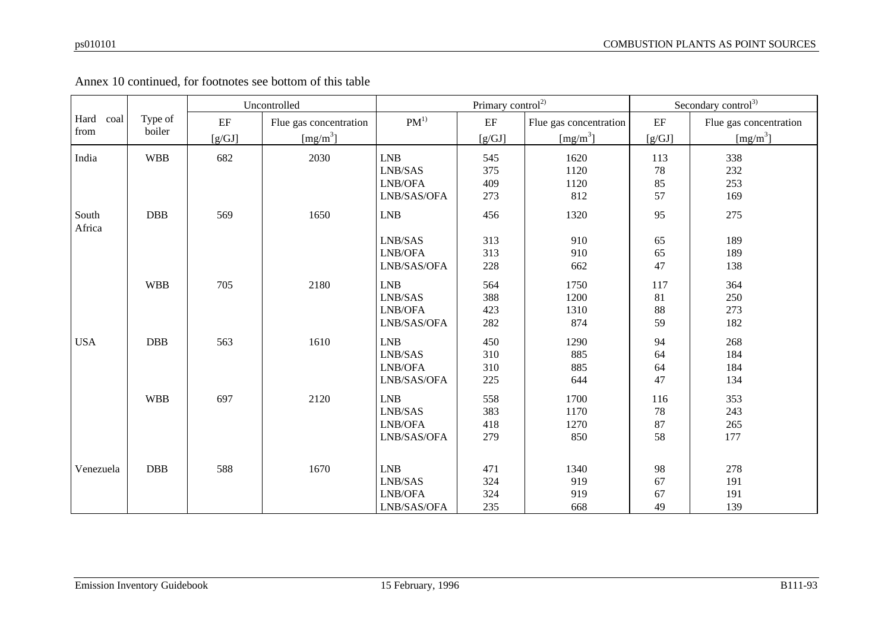|            |            |          | Uncontrolled           |             | Primary control <sup>2)</sup> |                        | Secondary control <sup>3)</sup> |                        |  |
|------------|------------|----------|------------------------|-------------|-------------------------------|------------------------|---------------------------------|------------------------|--|
| Hard coal  | Type of    | $\rm EF$ | Flue gas concentration | $PM^{1)}$   | $\operatorname{EF}$           | Flue gas concentration | $\rm EF$                        | Flue gas concentration |  |
| from       | boiler     | [g/GJ]   | [mg/m <sup>3</sup> ]   |             | $[g/GJ]$                      | [mg/m <sup>3</sup> ]   | $[g/GJ]$                        | [mg/m <sup>3</sup> ]   |  |
| India      | <b>WBB</b> | 682      | 2030                   | <b>LNB</b>  | 545                           | 1620                   | 113                             | 338                    |  |
|            |            |          |                        | LNB/SAS     | 375                           | 1120                   | 78                              | 232                    |  |
|            |            |          |                        | LNB/OFA     | 409                           | 1120                   | 85                              | 253                    |  |
|            |            |          |                        | LNB/SAS/OFA | 273                           | 812                    | 57                              | 169                    |  |
| South      | <b>DBB</b> | 569      | 1650                   | <b>LNB</b>  | 456                           | 1320                   | 95                              | 275                    |  |
| Africa     |            |          |                        | LNB/SAS     | 313                           | 910                    | 65                              | 189                    |  |
|            |            |          |                        | LNB/OFA     | 313                           | 910                    | 65                              | 189                    |  |
|            |            |          |                        | LNB/SAS/OFA | 228                           | 662                    | 47                              | 138                    |  |
|            | <b>WBB</b> | 705      | 2180                   | <b>LNB</b>  | 564                           | 1750                   | 117                             | 364                    |  |
|            |            |          |                        | LNB/SAS     | 388                           | 1200                   | 81                              | 250                    |  |
|            |            |          |                        | LNB/OFA     | 423                           | 1310                   | 88                              | 273                    |  |
|            |            |          |                        | LNB/SAS/OFA | 282                           | 874                    | 59                              | 182                    |  |
| <b>USA</b> | <b>DBB</b> | 563      | 1610                   | LNB         | 450                           | 1290                   | 94                              | 268                    |  |
|            |            |          |                        | LNB/SAS     | 310                           | 885                    | 64                              | 184                    |  |
|            |            |          |                        | LNB/OFA     | 310                           | 885                    | 64                              | 184                    |  |
|            |            |          |                        | LNB/SAS/OFA | $225\,$                       | 644                    | 47                              | 134                    |  |
|            | <b>WBB</b> | 697      | 2120                   | <b>LNB</b>  | 558                           | 1700                   | 116                             | 353                    |  |
|            |            |          |                        | LNB/SAS     | 383                           | 1170                   | 78                              | 243                    |  |
|            |            |          |                        | LNB/OFA     | 418                           | 1270                   | 87                              | 265                    |  |
|            |            |          |                        | LNB/SAS/OFA | 279                           | 850                    | 58                              | 177                    |  |
|            |            |          |                        |             |                               |                        |                                 |                        |  |
| Venezuela  | <b>DBB</b> | 588      | 1670                   | <b>LNB</b>  | 471                           | 1340                   | 98                              | 278                    |  |
|            |            |          |                        | LNB/SAS     | 324                           | 919                    | 67                              | 191                    |  |
|            |            |          |                        | LNB/OFA     | 324                           | 919                    | 67                              | 191                    |  |
|            |            |          |                        | LNB/SAS/OFA | 235                           | 668                    | 49                              | 139                    |  |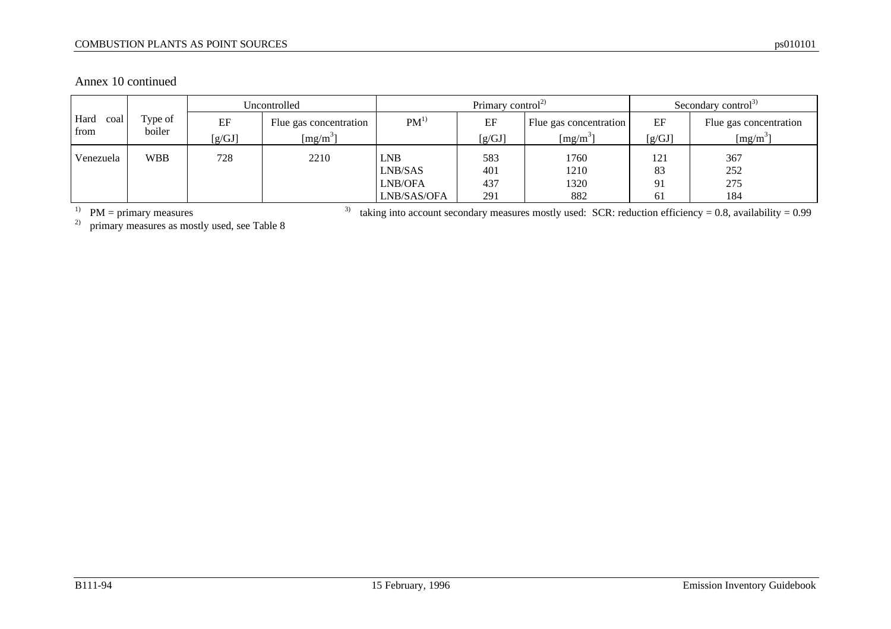#### COMBUSTION PLANTS AS POINT SOURCES ps010101

Annex 10 continued

|              |            | Uncontrolled |                        | Primary control <sup>2)</sup> |            |                        | Secondary control <sup>3)</sup> |                        |
|--------------|------------|--------------|------------------------|-------------------------------|------------|------------------------|---------------------------------|------------------------|
| Hard<br>coal | Type of    | EF           | Flue gas concentration | $PM^{1)}$                     | EF         | Flue gas concentration | EF                              | Flue gas concentration |
| from         | boiler     | [g/GJ]       | $[mg/m^3]$             |                               | [g/GJ]     | $[mg/m^3]$             | [g/GJ]                          | [mg/m <sup>3</sup> ]   |
| Venezuela    | <b>WBB</b> | 728          | 2210                   | <b>LNB</b>                    | 583        | 1760                   | 121                             | 367                    |
|              |            |              |                        | LNB/SAS<br>LNB/OFA            | 401<br>437 | 1210<br>1320           | 83<br>91                        | 252<br>275             |
|              |            |              |                        | LNB/SAS/OFA                   | 291        | 882                    | 61                              | 184                    |

<sup>1)</sup> PM = primary measures 3 mostly used see Table 8<sup>3)</sup> taking into account secondary measures mostly used: SCR: reduction efficiency = 0.8, availability = 0.99 nrimary measures as mostly used see Table 8 PM = primary measures<br>primary measures as mostly used, see Table 8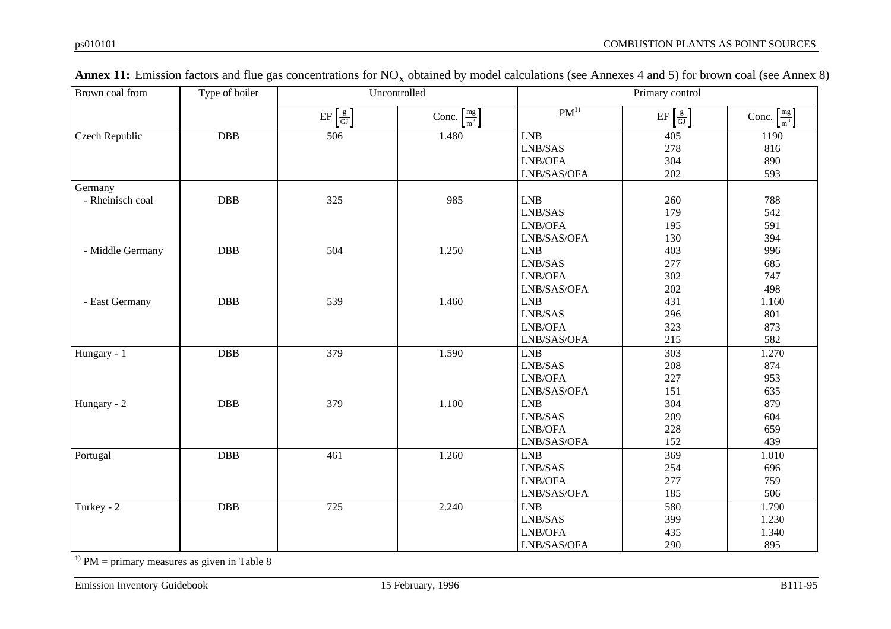| Brown coal from  | Type of boiler | Uncontrolled                                                                    |                                     | Primary control                                                     |                               |                                     |
|------------------|----------------|---------------------------------------------------------------------------------|-------------------------------------|---------------------------------------------------------------------|-------------------------------|-------------------------------------|
|                  |                | $\mathbf{E} \mathbf{F} \left[ \frac{\mathbf{g}}{\mathbf{G} \mathbf{J}} \right]$ | Conc. $\left[\frac{mg}{m^3}\right]$ | $PM^{1)}$                                                           | $EF\left[\frac{g}{GI}\right]$ | Conc. $\left[\frac{mg}{m^3}\right]$ |
| Czech Republic   | <b>DBB</b>     | 506                                                                             | 1.480                               | <b>LNB</b>                                                          | 405                           | 1190                                |
|                  |                |                                                                                 |                                     | $\ensuremath{\mathrm{LNB}}\xspace/\ensuremath{\mathrm{SAS}}\xspace$ | 278                           | 816                                 |
|                  |                |                                                                                 |                                     | LNB/OFA                                                             | 304                           | 890                                 |
|                  |                |                                                                                 |                                     | LNB/SAS/OFA                                                         | 202                           | 593                                 |
| Germany          |                |                                                                                 |                                     |                                                                     |                               |                                     |
| - Rheinisch coal | DBB            | 325                                                                             | 985                                 | LNB                                                                 | 260                           | 788                                 |
|                  |                |                                                                                 |                                     | LNB/SAS                                                             | 179                           | 542                                 |
|                  |                |                                                                                 |                                     | LNB/OFA                                                             | 195                           | 591                                 |
|                  |                |                                                                                 |                                     | LNB/SAS/OFA                                                         | 130                           | 394                                 |
| - Middle Germany | DBB            | 504                                                                             | 1.250                               | <b>LNB</b>                                                          | 403                           | 996                                 |
|                  |                |                                                                                 |                                     | LNB/SAS                                                             | 277                           | 685                                 |
|                  |                |                                                                                 |                                     | LNB/OFA                                                             | 302                           | 747                                 |
|                  |                |                                                                                 |                                     | LNB/SAS/OFA                                                         | 202                           | 498                                 |
| - East Germany   | <b>DBB</b>     | 539                                                                             | 1.460                               | <b>LNB</b>                                                          | 431                           | 1.160                               |
|                  |                |                                                                                 |                                     | LNB/SAS                                                             | 296                           | 801                                 |
|                  |                |                                                                                 |                                     | LNB/OFA                                                             | 323                           | 873                                 |
|                  |                |                                                                                 |                                     | LNB/SAS/OFA                                                         | 215                           | 582                                 |
| Hungary - 1      | <b>DBB</b>     | 379                                                                             | 1.590                               | <b>LNB</b>                                                          | 303                           | 1.270                               |
|                  |                |                                                                                 |                                     | LNB/SAS                                                             | 208                           | 874                                 |
|                  |                |                                                                                 |                                     | LNB/OFA                                                             | 227                           | 953                                 |
|                  |                |                                                                                 |                                     | LNB/SAS/OFA                                                         | 151                           | 635                                 |
| Hungary - 2      | <b>DBB</b>     | 379                                                                             | 1.100                               | <b>LNB</b>                                                          | 304                           | 879                                 |
|                  |                |                                                                                 |                                     | LNB/SAS                                                             | 209                           | 604                                 |
|                  |                |                                                                                 |                                     | LNB/OFA                                                             | 228                           | 659                                 |
|                  |                |                                                                                 |                                     | LNB/SAS/OFA                                                         | 152                           | 439                                 |
| Portugal         | <b>DBB</b>     | 461                                                                             | 1.260                               | <b>LNB</b>                                                          | 369                           | 1.010                               |
|                  |                |                                                                                 |                                     | LNB/SAS                                                             | 254                           | 696                                 |
|                  |                |                                                                                 |                                     | $\ensuremath{\mathrm{LNB}}\xspace/\ensuremath{\mathrm{OFA}}\xspace$ | 277                           | 759                                 |
|                  |                |                                                                                 |                                     | LNB/SAS/OFA                                                         | 185                           | 506                                 |
| Turkey - 2       | DBB            | 725                                                                             | 2.240                               | <b>LNB</b>                                                          | 580                           | 1.790                               |
|                  |                |                                                                                 |                                     | LNB/SAS                                                             | 399                           | 1.230                               |
|                  |                |                                                                                 |                                     | LNB/OFA                                                             | 435                           | 1.340                               |
|                  |                |                                                                                 |                                     | LNB/SAS/OFA                                                         | 290                           | 895                                 |

| <b>Annex 11:</b> Emission factors and flue gas concentrations for $NO_x$ obtained by model calculations (see Annexes 4 and 5) for brown coal (see Annex 8) |  |  |  |
|------------------------------------------------------------------------------------------------------------------------------------------------------------|--|--|--|
|------------------------------------------------------------------------------------------------------------------------------------------------------------|--|--|--|

<sup>1)</sup> PM = primary measures as given in Table 8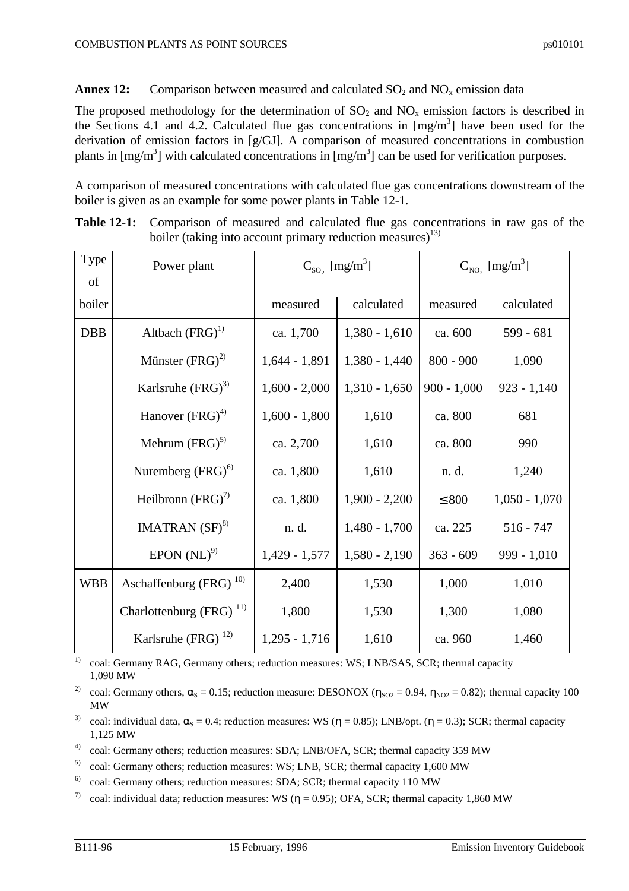**Annex 12:** Comparison between measured and calculated  $SO_2$  and  $NO_x$  emission data

The proposed methodology for the determination of  $SO_2$  and  $NO<sub>x</sub>$  emission factors is described in the Sections 4.1 and 4.2. Calculated flue gas concentrations in  $[mg/m<sup>3</sup>]$  have been used for the derivation of emission factors in [g/GJ]. A comparison of measured concentrations in combustion plants in  $[mg/m<sup>3</sup>]$  with calculated concentrations in  $[mg/m<sup>3</sup>]$  can be used for verification purposes.

A comparison of measured concentrations with calculated flue gas concentrations downstream of the boiler is given as an example for some power plants in Table 12-1.

| Type       | Power plant                        | $C_{\text{SO}_2}$ [mg/m <sup>3</sup> ] |                 | $C_{NO_2}$ [mg/m <sup>3</sup> ] |                 |
|------------|------------------------------------|----------------------------------------|-----------------|---------------------------------|-----------------|
| of         |                                    |                                        |                 |                                 |                 |
| boiler     |                                    | measured                               | calculated      | measured                        | calculated      |
| <b>DBB</b> | Altbach $(FRG)^{1}$                | ca. 1,700                              | $1,380 - 1,610$ | ca. 600                         | $599 - 681$     |
|            | Münster $(FRG)^{2}$                | $1,644 - 1,891$                        | $1,380 - 1,440$ | $800 - 900$                     | 1,090           |
|            | Karlsruhe $(FRG)^3$                | $1,600 - 2,000$                        | $1,310 - 1,650$ | $900 - 1,000$                   | $923 - 1,140$   |
|            | Hanover (FRG) <sup>4)</sup>        | $1,600 - 1,800$                        | 1,610           | ca. 800                         | 681             |
|            | Mehrum $(FRG)^{5}$                 | ca. 2,700                              | 1,610           | ca. 800                         | 990             |
|            | Nuremberg (FRG) <sup>6)</sup>      | ca. 1,800                              | 1,610           | n. d.                           | 1,240           |
|            | Heilbronn $(FRG)^{7}$              | ca. 1,800                              | $1,900 - 2,200$ | $\leq 800$                      | $1,050 - 1,070$ |
|            | IMATRAN $(SF)^{8}$                 | n. d.                                  | $1,480 - 1,700$ | ca. 225                         | $516 - 747$     |
|            | EPON (NL) <sup>9</sup>             | $1,429 - 1,577$                        | $1,580 - 2,190$ | $363 - 609$                     | $999 - 1,010$   |
| <b>WBB</b> | Aschaffenburg (FRG) <sup>10)</sup> | 2,400                                  | 1,530           | 1,000                           | 1,010           |
|            | Charlottenburg (FRG) $^{11}$       | 1,800                                  | 1,530           | 1,300                           | 1,080           |
|            | Karlsruhe (FRG) $^{12}$            | $1,295 - 1,716$                        | 1,610           | ca. 960                         | 1,460           |

**Table 12-1:** Comparison of measured and calculated flue gas concentrations in raw gas of the boiler (taking into account primary reduction measures)<sup>13)</sup>

<sup>1)</sup> coal: Germany RAG, Germany others; reduction measures: WS; LNB/SAS, SCR; thermal capacity 1,090 MW

<sup>2)</sup> coal: Germany others,  $\alpha_s = 0.15$ ; reduction measure: DESONOX ( $\eta_{SO2} = 0.94$ ,  $\eta_{NO2} = 0.82$ ); thermal capacity 100 MW

<sup>3)</sup> coal: individual data,  $\alpha_s = 0.4$ ; reduction measures: WS ( $\eta = 0.85$ ); LNB/opt. ( $\eta = 0.3$ ); SCR; thermal capacity 1,125 MW

<sup>4)</sup> coal: Germany others; reduction measures: SDA; LNB/OFA, SCR; thermal capacity 359 MW

5) coal: Germany others; reduction measures: WS; LNB, SCR; thermal capacity 1,600 MW

 $^{6)}$  coal: Germany others; reduction measures: SDA; SCR; thermal capacity 110 MW

<sup>7)</sup> coal: individual data; reduction measures: WS ( $n = 0.95$ ); OFA, SCR; thermal capacity 1,860 MW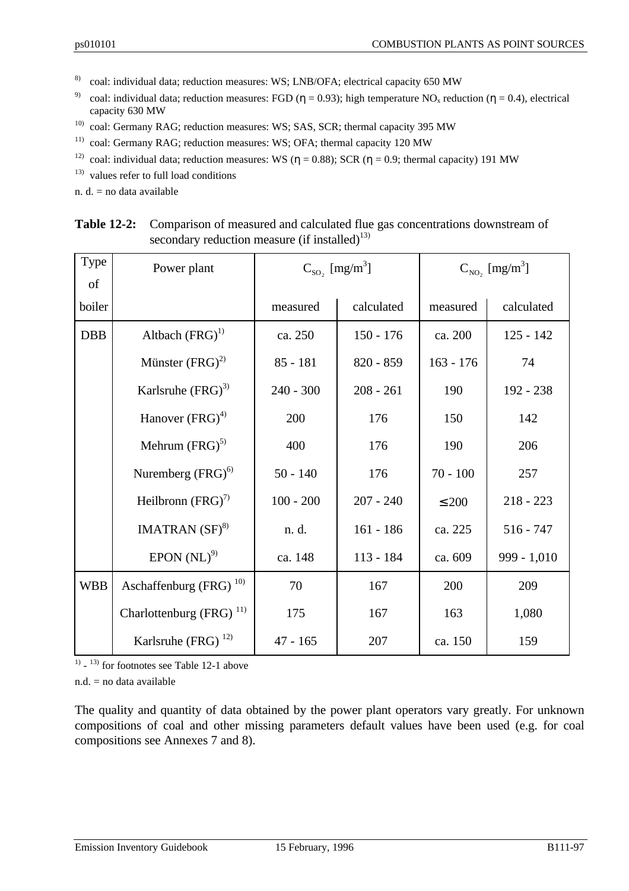- 8) coal: individual data; reduction measures: WS; LNB/OFA; electrical capacity 650 MW
- <sup>9)</sup> coal: individual data; reduction measures: FGD ( $\eta = 0.93$ ); high temperature NO<sub>x</sub> reduction ( $\eta = 0.4$ ), electrical capacity 630 MW
- <sup>10)</sup> coal: Germany RAG; reduction measures: WS; SAS, SCR; thermal capacity 395 MW
- <sup>11)</sup> coal: Germany RAG; reduction measures: WS; OFA; thermal capacity 120 MW
- <sup>12)</sup> coal: individual data; reduction measures: WS ( $\eta = 0.88$ ); SCR ( $\eta = 0.9$ ; thermal capacity) 191 MW
- 13) values refer to full load conditions

n.  $d = no$  data available

| Type       | Power plant                        | $C_{\text{SO}_2}$ [mg/m <sup>3</sup> ] |             | $C_{NO_2}$ [mg/m <sup>3</sup> ] |             |
|------------|------------------------------------|----------------------------------------|-------------|---------------------------------|-------------|
| of         |                                    |                                        |             |                                 |             |
| boiler     |                                    | measured                               | calculated  | measured                        | calculated  |
| <b>DBB</b> | Altbach $(FRG)^{1}$                | ca. 250                                | $150 - 176$ | ca. 200                         | $125 - 142$ |
|            | Münster $(FRG)^2$                  | $85 - 181$                             | $820 - 859$ | $163 - 176$                     | 74          |
|            | Karlsruhe $(FRG)^3$                | $240 - 300$                            | $208 - 261$ | 190                             | $192 - 238$ |
|            | Hanover (FRG) <sup>4)</sup>        | 200                                    | 176         | 150                             | 142         |
|            | Mehrum $(FRG)^{5}$                 | 400                                    | 176         | 190                             | 206         |
|            | Nuremberg $(FRG)^{6}$              | $50 - 140$                             | 176         | $70 - 100$                      | 257         |
|            | Heilbronn $(FRG)^7$                | $100 - 200$                            | $207 - 240$ | $\leq 200$                      | $218 - 223$ |
|            | IMATRAN $(SF)^{8}$                 | n. d.                                  | $161 - 186$ | ca. 225                         | $516 - 747$ |
|            | EPON (NL) <sup>9</sup>             | ca. 148                                | $113 - 184$ | ca. 609                         | 999 - 1,010 |
| <b>WBB</b> | Aschaffenburg (FRG) <sup>10)</sup> | 70                                     | 167         | 200                             | 209         |
|            | Charlottenburg $(FRG)^{11}$        | 175                                    | 167         | 163                             | 1,080       |
|            | Karlsruhe (FRG) $^{12}$            | $47 - 165$                             | 207         | ca. 150                         | 159         |

**Table 12-2:** Comparison of measured and calculated flue gas concentrations downstream of secondary reduction measure (if installed) $^{13)}$ 

 $1)$  -  $13)$  for footnotes see Table 12-1 above

 $n.d.$  = no data available

The quality and quantity of data obtained by the power plant operators vary greatly. For unknown compositions of coal and other missing parameters default values have been used (e.g. for coal compositions see Annexes 7 and 8).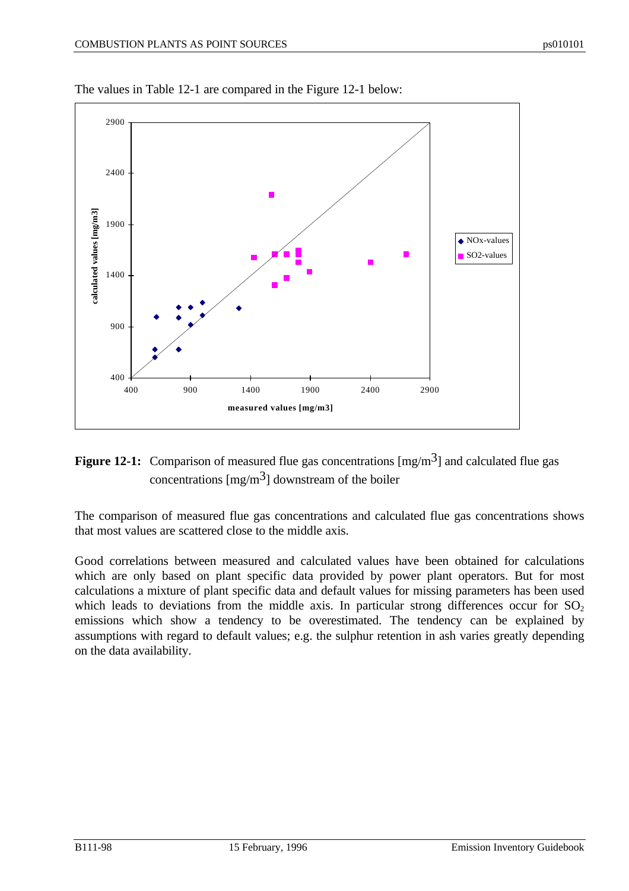

The values in Table 12-1 are compared in the Figure 12-1 below:



The comparison of measured flue gas concentrations and calculated flue gas concentrations shows that most values are scattered close to the middle axis.

Good correlations between measured and calculated values have been obtained for calculations which are only based on plant specific data provided by power plant operators. But for most calculations a mixture of plant specific data and default values for missing parameters has been used which leads to deviations from the middle axis. In particular strong differences occur for  $SO_2$ emissions which show a tendency to be overestimated. The tendency can be explained by assumptions with regard to default values; e.g. the sulphur retention in ash varies greatly depending on the data availability.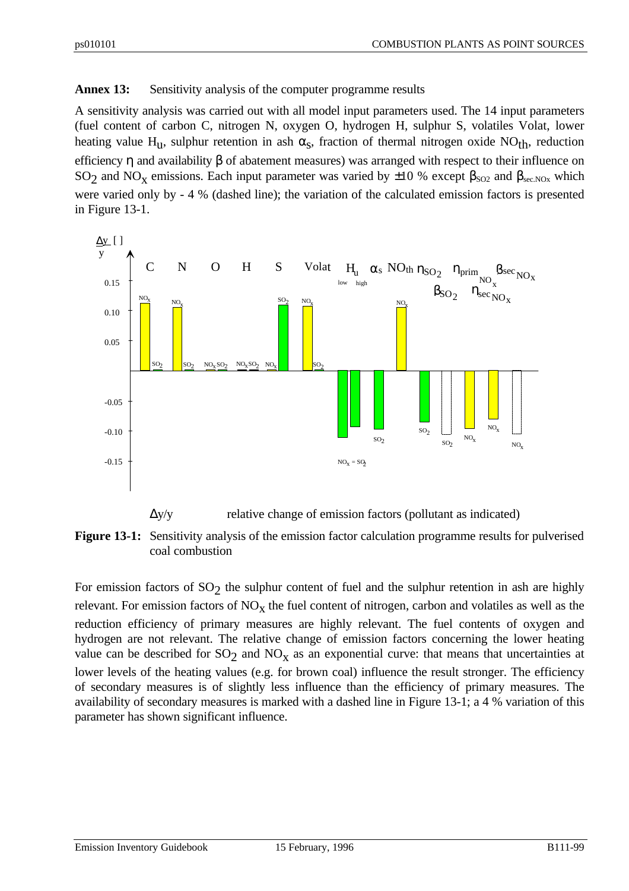## **Annex 13:** Sensitivity analysis of the computer programme results

A sensitivity analysis was carried out with all model input parameters used. The 14 input parameters (fuel content of carbon C, nitrogen N, oxygen O, hydrogen H, sulphur S, volatiles Volat, lower heating value H<sub>u</sub>, sulphur retention in ash  $\alpha_s$ , fraction of thermal nitrogen oxide NO<sub>th</sub>, reduction efficiency η and availability  $β$  of abatement measures) was arranged with respect to their influence on SO<sub>2</sub> and NO<sub>X</sub> emissions. Each input parameter was varied by  $\pm 10$  % except  $\beta_{SO2}$  and  $\beta_{sec,NOx}$  which were varied only by - 4 % (dashed line); the variation of the calculated emission factors is presented in Figure 13-1.



**Figure 13-1:** Sensitivity analysis of the emission factor calculation programme results for pulverised coal combustion

For emission factors of SO<sub>2</sub> the sulphur content of fuel and the sulphur retention in ash are highly relevant. For emission factors of  $NO<sub>x</sub>$  the fuel content of nitrogen, carbon and volatiles as well as the reduction efficiency of primary measures are highly relevant. The fuel contents of oxygen and hydrogen are not relevant. The relative change of emission factors concerning the lower heating value can be described for  $SO_2$  and  $NO_x$  as an exponential curve: that means that uncertainties at lower levels of the heating values (e.g. for brown coal) influence the result stronger. The efficiency of secondary measures is of slightly less influence than the efficiency of primary measures. The availability of secondary measures is marked with a dashed line in Figure 13-1; a 4 % variation of this parameter has shown significant influence.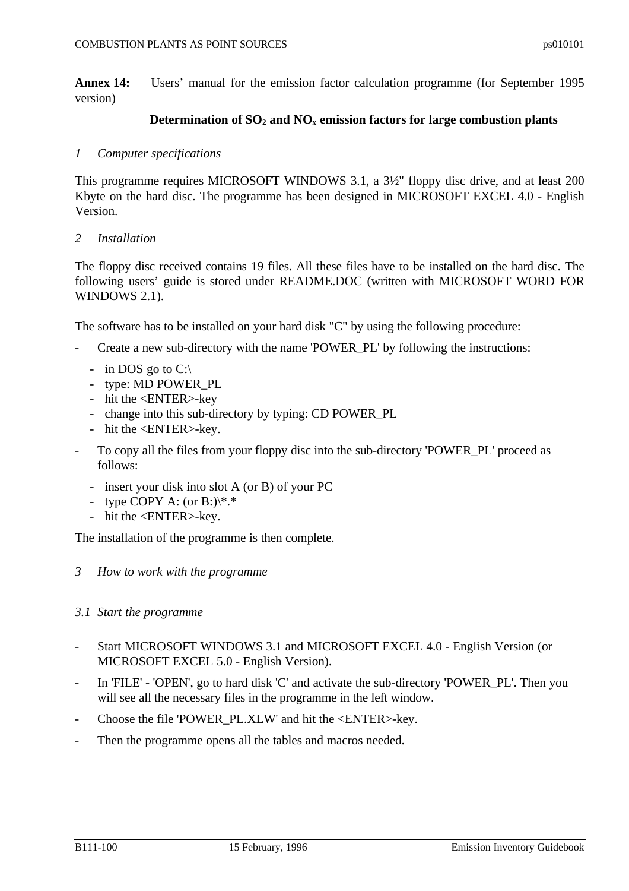**Annex 14:** Users' manual for the emission factor calculation programme (for September 1995 version)

#### **Determination of SO2 and NOx emission factors for large combustion plants**

#### *1 Computer specifications*

This programme requires MICROSOFT WINDOWS 3.1, a 3½" floppy disc drive, and at least 200 Kbyte on the hard disc. The programme has been designed in MICROSOFT EXCEL 4.0 - English Version.

#### *2 Installation*

The floppy disc received contains 19 files. All these files have to be installed on the hard disc. The following users' guide is stored under README.DOC (written with MICROSOFT WORD FOR WINDOWS 2.1).

The software has to be installed on your hard disk "C" by using the following procedure:

- Create a new sub-directory with the name 'POWER PL' by following the instructions:
	- in DOS go to  $C$ :\
	- type: MD POWER\_PL
	- hit the <ENTER>-key
	- change into this sub-directory by typing: CD POWER\_PL
	- hit the <ENTER>-key.
- To copy all the files from your floppy disc into the sub-directory 'POWER\_PL' proceed as follows:
	- insert your disk into slot A (or B) of your PC
	- type COPY A: (or B:) $\$ ^\*.
	- hit the <ENTER>-key.

The installation of the programme is then complete.

*3 How to work with the programme*

#### *3.1 Start the programme*

- Start MICROSOFT WINDOWS 3.1 and MICROSOFT EXCEL 4.0 English Version (or MICROSOFT EXCEL 5.0 - English Version).
- In 'FILE' 'OPEN', go to hard disk 'C' and activate the sub-directory 'POWER\_PL'. Then you will see all the necessary files in the programme in the left window.
- Choose the file 'POWER\_PL.XLW' and hit the <ENTER>-key.
- Then the programme opens all the tables and macros needed.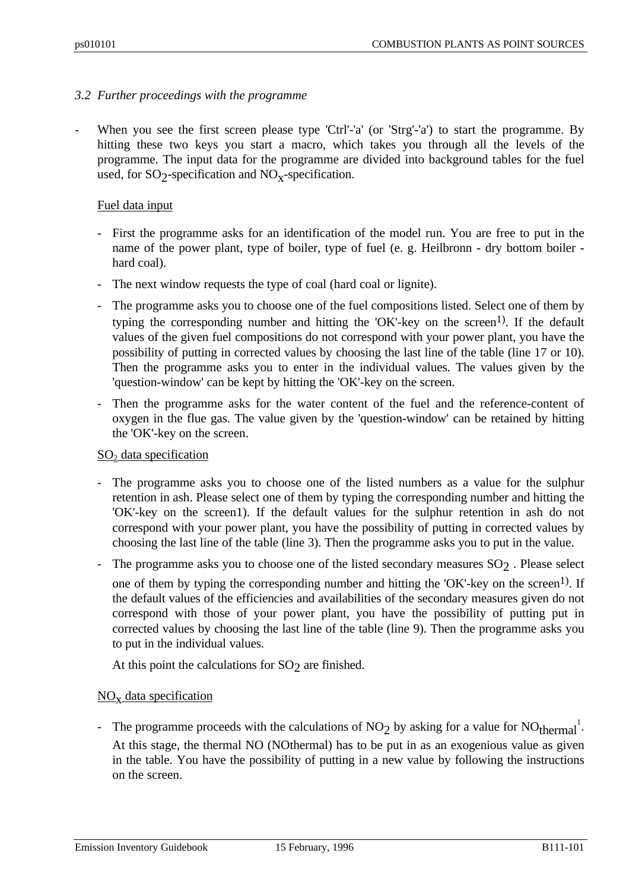#### *3.2 Further proceedings with the programme*

When you see the first screen please type 'Ctrl'-'a' (or 'Strg'-'a') to start the programme. By hitting these two keys you start a macro, which takes you through all the levels of the programme. The input data for the programme are divided into background tables for the fuel used, for  $SO_2$ -specification and  $NO_{X}$ -specification.

#### Fuel data input

- First the programme asks for an identification of the model run. You are free to put in the name of the power plant, type of boiler, type of fuel (e. g. Heilbronn - dry bottom boiler hard coal).
- The next window requests the type of coal (hard coal or lignite).
- The programme asks you to choose one of the fuel compositions listed. Select one of them by typing the corresponding number and hitting the 'OK'-key on the screen<sup>1)</sup>. If the default values of the given fuel compositions do not correspond with your power plant, you have the possibility of putting in corrected values by choosing the last line of the table (line 17 or 10). Then the programme asks you to enter in the individual values. The values given by the 'question-window' can be kept by hitting the 'OK'-key on the screen.
- Then the programme asks for the water content of the fuel and the reference-content of oxygen in the flue gas. The value given by the 'question-window' can be retained by hitting the 'OK'-key on the screen.

#### $SO<sub>2</sub>$  data specification

- The programme asks you to choose one of the listed numbers as a value for the sulphur retention in ash. Please select one of them by typing the corresponding number and hitting the 'OK'-key on the screen1). If the default values for the sulphur retention in ash do not correspond with your power plant, you have the possibility of putting in corrected values by choosing the last line of the table (line 3). Then the programme asks you to put in the value.
- The programme asks you to choose one of the listed secondary measures  $SO_2$  . Please select one of them by typing the corresponding number and hitting the 'OK'-key on the screen<sup>1)</sup>. If the default values of the efficiencies and availabilities of the secondary measures given do not correspond with those of your power plant, you have the possibility of putting put in corrected values by choosing the last line of the table (line 9). Then the programme asks you to put in the individual values.

At this point the calculations for  $SO_2$  are finished.

# NO<sub>x</sub> data specification

- The programme proceeds with the calculations of  $NO<sub>2</sub>$  by asking for a value for  $NO<sub>thermal</sub><sup>1</sup>$ . At this stage, the thermal NO (NOthermal) has to be put in as an exogenious value as given in the table. You have the possibility of putting in a new value by following the instructions on the screen.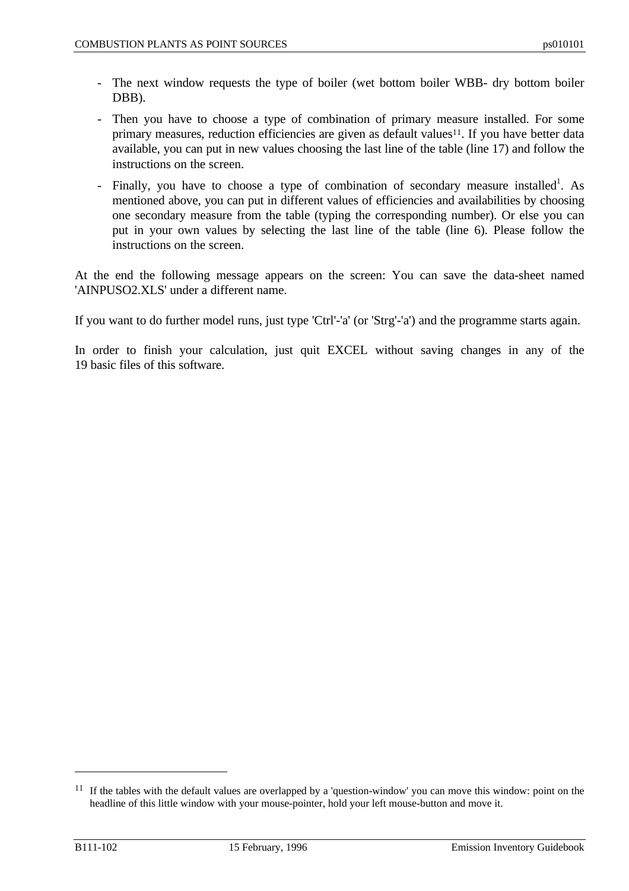- The next window requests the type of boiler (wet bottom boiler WBB- dry bottom boiler DBB).
- Then you have to choose a type of combination of primary measure installed. For some primary measures, reduction efficiencies are given as default values<sup>11</sup>. If you have better data available, you can put in new values choosing the last line of the table (line 17) and follow the instructions on the screen.
- Finally, you have to choose a type of combination of secondary measure installed<sup>1</sup>. As mentioned above, you can put in different values of efficiencies and availabilities by choosing one secondary measure from the table (typing the corresponding number). Or else you can put in your own values by selecting the last line of the table (line 6). Please follow the instructions on the screen.

At the end the following message appears on the screen: You can save the data-sheet named 'AINPUSO2.XLS' under a different name.

If you want to do further model runs, just type 'Ctrl'-'a' (or 'Strg'-'a') and the programme starts again.

In order to finish your calculation, just quit EXCEL without saving changes in any of the 19 basic files of this software.

 $\overline{a}$ 

<sup>&</sup>lt;sup>11</sup> If the tables with the default values are overlapped by a 'question-window' you can move this window: point on the headline of this little window with your mouse-pointer, hold your left mouse-button and move it.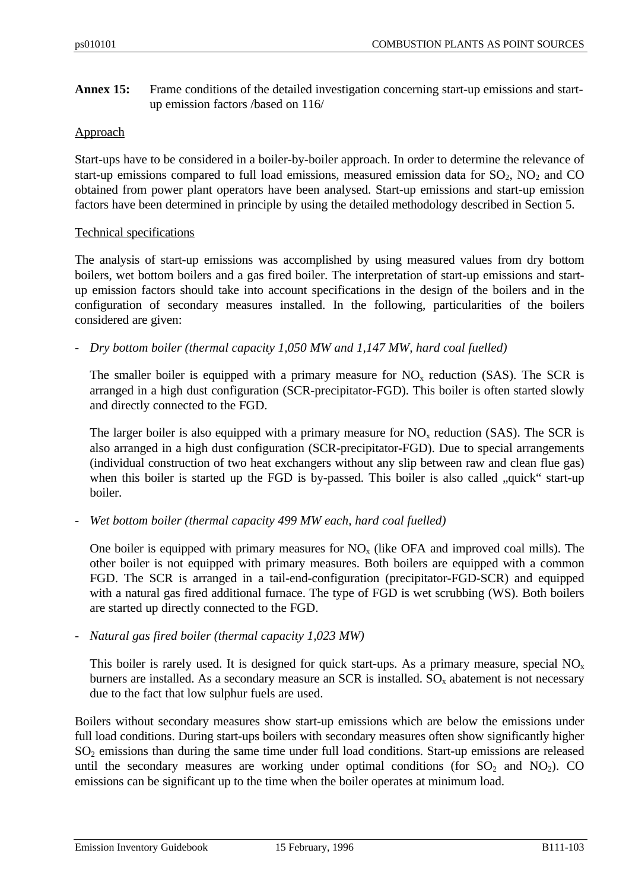**Annex 15:** Frame conditions of the detailed investigation concerning start-up emissions and startup emission factors /based on 116/

#### Approach

Start-ups have to be considered in a boiler-by-boiler approach. In order to determine the relevance of start-up emissions compared to full load emissions, measured emission data for  $SO_2$ ,  $NO_2$  and  $CO$ obtained from power plant operators have been analysed. Start-up emissions and start-up emission factors have been determined in principle by using the detailed methodology described in Section 5.

#### Technical specifications

The analysis of start-up emissions was accomplished by using measured values from dry bottom boilers, wet bottom boilers and a gas fired boiler. The interpretation of start-up emissions and startup emission factors should take into account specifications in the design of the boilers and in the configuration of secondary measures installed. In the following, particularities of the boilers considered are given:

*- Dry bottom boiler (thermal capacity 1,050 MW and 1,147 MW, hard coal fuelled)*

The smaller boiler is equipped with a primary measure for  $NO<sub>x</sub>$  reduction (SAS). The SCR is arranged in a high dust configuration (SCR-precipitator-FGD). This boiler is often started slowly and directly connected to the FGD.

The larger boiler is also equipped with a primary measure for  $NO<sub>x</sub>$  reduction (SAS). The SCR is also arranged in a high dust configuration (SCR-precipitator-FGD). Due to special arrangements (individual construction of two heat exchangers without any slip between raw and clean flue gas) when this boiler is started up the FGD is by-passed. This boiler is also called "quick" start-up boiler.

*- Wet bottom boiler (thermal capacity 499 MW each, hard coal fuelled)*

One boiler is equipped with primary measures for  $NO<sub>x</sub>$  (like OFA and improved coal mills). The other boiler is not equipped with primary measures. Both boilers are equipped with a common FGD. The SCR is arranged in a tail-end-configuration (precipitator-FGD-SCR) and equipped with a natural gas fired additional furnace. The type of FGD is wet scrubbing (WS). Both boilers are started up directly connected to the FGD.

*- Natural gas fired boiler (thermal capacity 1,023 MW)*

This boiler is rarely used. It is designed for quick start-ups. As a primary measure, special  $NO<sub>x</sub>$ burners are installed. As a secondary measure an SCR is installed.  $SO_x$  abatement is not necessary due to the fact that low sulphur fuels are used.

Boilers without secondary measures show start-up emissions which are below the emissions under full load conditions. During start-ups boilers with secondary measures often show significantly higher SO2 emissions than during the same time under full load conditions. Start-up emissions are released until the secondary measures are working under optimal conditions (for  $SO_2$  and  $NO_2$ ). CO emissions can be significant up to the time when the boiler operates at minimum load.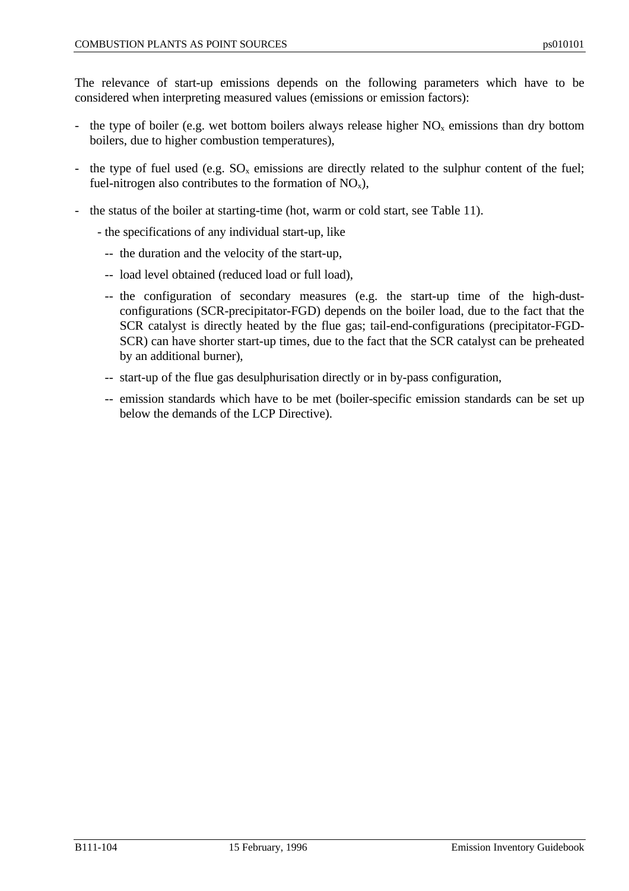The relevance of start-up emissions depends on the following parameters which have to be considered when interpreting measured values (emissions or emission factors):

- the type of boiler (e.g. wet bottom boilers always release higher  $NO<sub>x</sub>$  emissions than dry bottom boilers, due to higher combustion temperatures),
- the type of fuel used (e.g.  $SO_x$  emissions are directly related to the sulphur content of the fuel; fuel-nitrogen also contributes to the formation of  $NO_x$ ),
- the status of the boiler at starting-time (hot, warm or cold start, see Table 11).
	- the specifications of any individual start-up, like
		- -- the duration and the velocity of the start-up,
		- -- load level obtained (reduced load or full load),
		- -- the configuration of secondary measures (e.g. the start-up time of the high-dustconfigurations (SCR-precipitator-FGD) depends on the boiler load, due to the fact that the SCR catalyst is directly heated by the flue gas; tail-end-configurations (precipitator-FGD-SCR) can have shorter start-up times, due to the fact that the SCR catalyst can be preheated by an additional burner),
		- -- start-up of the flue gas desulphurisation directly or in by-pass configuration,
		- -- emission standards which have to be met (boiler-specific emission standards can be set up below the demands of the LCP Directive).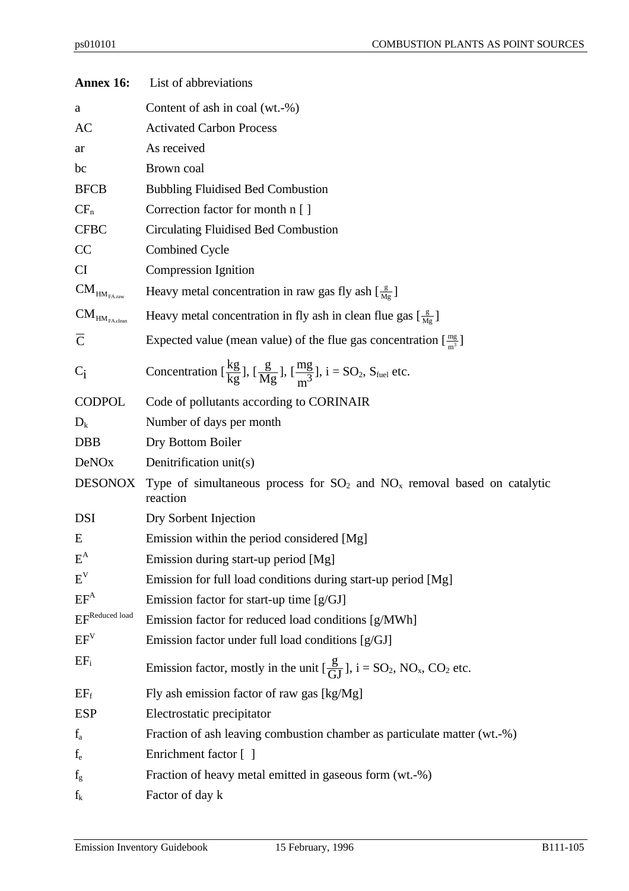| Annex 16:                                                | List of abbreviations                                                                                                                   |  |  |  |
|----------------------------------------------------------|-----------------------------------------------------------------------------------------------------------------------------------------|--|--|--|
| a                                                        | Content of ash in coal (wt.-%)                                                                                                          |  |  |  |
| AC                                                       | <b>Activated Carbon Process</b>                                                                                                         |  |  |  |
| ar                                                       | As received                                                                                                                             |  |  |  |
| bc                                                       | Brown coal                                                                                                                              |  |  |  |
| <b>BFCB</b>                                              | <b>Bubbling Fluidised Bed Combustion</b>                                                                                                |  |  |  |
| $CF_n$                                                   | Correction factor for month n []                                                                                                        |  |  |  |
| <b>CFBC</b>                                              | Circulating Fluidised Bed Combustion                                                                                                    |  |  |  |
| CC                                                       | <b>Combined Cycle</b>                                                                                                                   |  |  |  |
| <b>CI</b>                                                | Compression Ignition                                                                                                                    |  |  |  |
| $\mathbf{CM}_{\mathsf{HM}_{\mathsf{FA},\mathsf{raw}}}$   | Heavy metal concentration in raw gas fly ash $\left[\frac{g}{Mg}\right]$                                                                |  |  |  |
| $\mathbf{CM}_{\mathsf{HM}_{\mathsf{FA}.\mathsf{clean}}}$ | Heavy metal concentration in fly ash in clean flue gas $\left[\frac{g}{Mg}\right]$                                                      |  |  |  |
| $\overline{C}$                                           | Expected value (mean value) of the flue gas concentration $[\frac{mg}{m^3}]$                                                            |  |  |  |
| $C_i$                                                    | Concentration $\left[\frac{kg}{kg}\right]$ , $\left[\frac{g}{Mg}\right]$ , $\left[\frac{mg}{m^3}\right]$ , $i = SO_2$ , $S_{fuel}$ etc. |  |  |  |
| <b>CODPOL</b>                                            | Code of pollutants according to CORINAIR                                                                                                |  |  |  |
| $D_k$                                                    | Number of days per month                                                                                                                |  |  |  |
| <b>DBB</b>                                               | Dry Bottom Boiler                                                                                                                       |  |  |  |
| <b>DeNOx</b>                                             | Denitrification unit(s)                                                                                                                 |  |  |  |
| <b>DESONOX</b>                                           | Type of simultaneous process for $SO_2$ and $NO_x$ removal based on catalytic<br>reaction                                               |  |  |  |
| DSI                                                      | Dry Sorbent Injection                                                                                                                   |  |  |  |
| E                                                        | Emission within the period considered [Mg]                                                                                              |  |  |  |
| $E^A$                                                    | Emission during start-up period [Mg]                                                                                                    |  |  |  |
| $E^V$                                                    | Emission for full load conditions during start-up period [Mg]                                                                           |  |  |  |
| $EF^A$                                                   | Emission factor for start-up time [g/GJ]                                                                                                |  |  |  |
| $\mathrm{EF}^\mathrm{Reduced\ load}$                     | Emission factor for reduced load conditions [g/MWh]                                                                                     |  |  |  |
| EF <sup>V</sup>                                          | Emission factor under full load conditions [g/GJ]                                                                                       |  |  |  |
| $EF_i$                                                   | Emission factor, mostly in the unit $\left[\frac{g}{GI}\right]$ , $i = SO_2$ , NO <sub>x</sub> , CO <sub>2</sub> etc.                   |  |  |  |
| $EF_f$                                                   | Fly ash emission factor of raw gas [kg/Mg]                                                                                              |  |  |  |
| <b>ESP</b>                                               | Electrostatic precipitator                                                                                                              |  |  |  |
| $f_a$                                                    | Fraction of ash leaving combustion chamber as particulate matter (wt.-%)                                                                |  |  |  |
| $f_{e}$                                                  | Enrichment factor [ ]                                                                                                                   |  |  |  |
| $f_{g}$                                                  | Fraction of heavy metal emitted in gaseous form (wt.-%)                                                                                 |  |  |  |
| $f_k$                                                    | Factor of day k                                                                                                                         |  |  |  |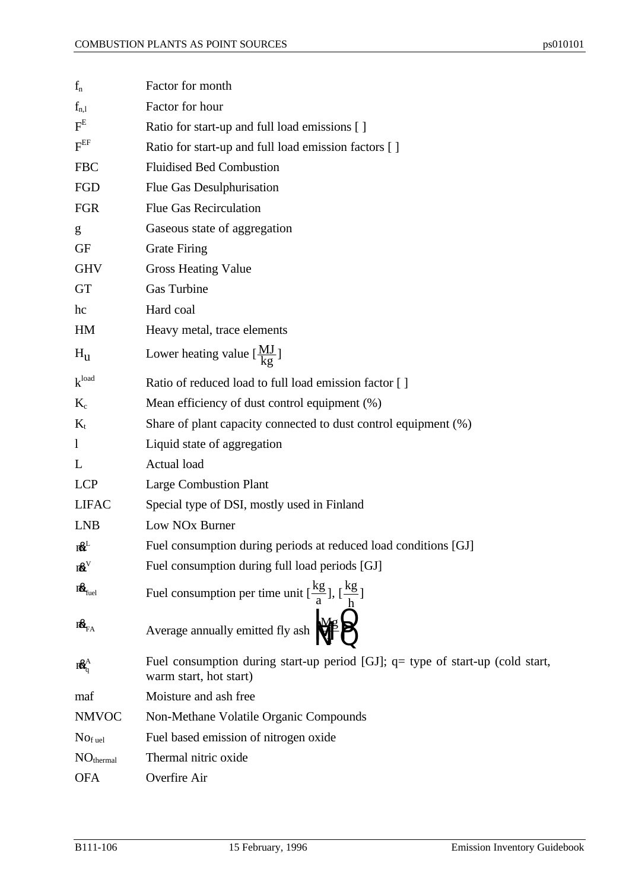| $f_n$                      | Factor for month                                                                                         |
|----------------------------|----------------------------------------------------------------------------------------------------------|
| $f_{n,l}$                  | Factor for hour                                                                                          |
| $F^E$                      | Ratio for start-up and full load emissions [ ]                                                           |
| $\text{F}^{\text{EF}}$     | Ratio for start-up and full load emission factors [ ]                                                    |
| <b>FBC</b>                 | <b>Fluidised Bed Combustion</b>                                                                          |
| FGD                        | Flue Gas Desulphurisation                                                                                |
| <b>FGR</b>                 | <b>Flue Gas Recirculation</b>                                                                            |
| g                          | Gaseous state of aggregation                                                                             |
| <b>GF</b>                  | <b>Grate Firing</b>                                                                                      |
| <b>GHV</b>                 | <b>Gross Heating Value</b>                                                                               |
| <b>GT</b>                  | Gas Turbine                                                                                              |
| hc                         | Hard coal                                                                                                |
| HM                         | Heavy metal, trace elements                                                                              |
| $H_{\rm u}$                | Lower heating value $\left[\frac{MJ}{kg}\right]$                                                         |
| $k^{\text{load}}$          | Ratio of reduced load to full load emission factor [ ]                                                   |
| $K_c$                      | Mean efficiency of dust control equipment (%)                                                            |
| $K_t$                      | Share of plant capacity connected to dust control equipment (%)                                          |
| $\mathbf{1}$               | Liquid state of aggregation                                                                              |
| L                          | Actual load                                                                                              |
| <b>LCP</b>                 | <b>Large Combustion Plant</b>                                                                            |
| <b>LIFAC</b>               | Special type of DSI, mostly used in Finland                                                              |
| <b>LNB</b>                 | Low NO <sub>x</sub> Burner                                                                               |
| 18 <sup>L</sup>            | Fuel consumption during periods at reduced load conditions [GJ]                                          |
| $\textbf{n}^{\text{av}}$   | Fuel consumption during full load periods [GJ]                                                           |
| $\textbf{R}_{\text{fuel}}$ | Fuel consumption per time unit $\left[\frac{kg}{a}\right], \left[\frac{kg}{b}\right]$                    |
| $\mathbf{R}_{\rm FA}$      | Average annually emitted fly ash $\sqrt{\frac{Mg}{a}}$                                                   |
| $R_0^A$                    | Fuel consumption during start-up period [GJ]; q= type of start-up (cold start,<br>warm start, hot start) |
| maf                        | Moisture and ash free                                                                                    |
| <b>NMVOC</b>               | Non-Methane Volatile Organic Compounds                                                                   |
| $Nof$ <sub>uel</sub>       | Fuel based emission of nitrogen oxide                                                                    |
| NO <sub>thermal</sub>      | Thermal nitric oxide                                                                                     |
| <b>OFA</b>                 | Overfire Air                                                                                             |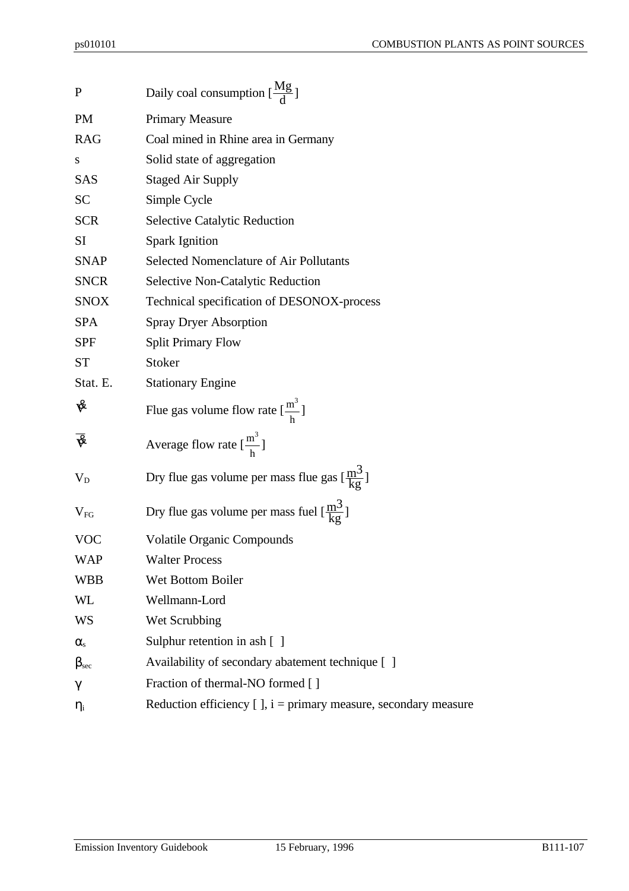| $\mathbf P$                                  | Daily coal consumption $\left[\frac{Mg}{d}\right]$                   |
|----------------------------------------------|----------------------------------------------------------------------|
| <b>PM</b>                                    | <b>Primary Measure</b>                                               |
| <b>RAG</b>                                   | Coal mined in Rhine area in Germany                                  |
| S                                            | Solid state of aggregation                                           |
| <b>SAS</b>                                   | <b>Staged Air Supply</b>                                             |
| <b>SC</b>                                    | Simple Cycle                                                         |
| <b>SCR</b>                                   | <b>Selective Catalytic Reduction</b>                                 |
| SI                                           | <b>Spark Ignition</b>                                                |
| <b>SNAP</b>                                  | Selected Nomenclature of Air Pollutants                              |
| <b>SNCR</b>                                  | <b>Selective Non-Catalytic Reduction</b>                             |
| <b>SNOX</b>                                  | Technical specification of DESONOX-process                           |
| <b>SPA</b>                                   | <b>Spray Dryer Absorption</b>                                        |
| <b>SPF</b>                                   | <b>Split Primary Flow</b>                                            |
| <b>ST</b>                                    | Stoker                                                               |
| Stat. E.                                     | <b>Stationary Engine</b>                                             |
| V                                            | Flue gas volume flow rate $\left[\frac{m^3}{h}\right]$               |
| $\overline{\mathbf{\hat{\mathbf{\hat{w}}}}}$ | Average flow rate $\left[\frac{m^3}{h}\right]$                       |
| $V_D$                                        | Dry flue gas volume per mass flue gas $\left[\frac{m^3}{k^2}\right]$ |
| $V_{FG}$                                     | Dry flue gas volume per mass fuel $[\frac{m^3}{k\sigma}]$            |
| <b>VOC</b>                                   |                                                                      |
|                                              | <b>Volatile Organic Compounds</b>                                    |
| WAP                                          | <b>Walter Process</b>                                                |
| <b>WBB</b>                                   | Wet Bottom Boiler                                                    |
| WL                                           | Wellmann-Lord                                                        |
| WS                                           | Wet Scrubbing                                                        |
| $\alpha_{\rm s}$                             | Sulphur retention in ash [ ]                                         |
| $\beta_{\rm sec}$                            | Availability of secondary abatement technique []                     |
| $\gamma$                                     | Fraction of thermal-NO formed []                                     |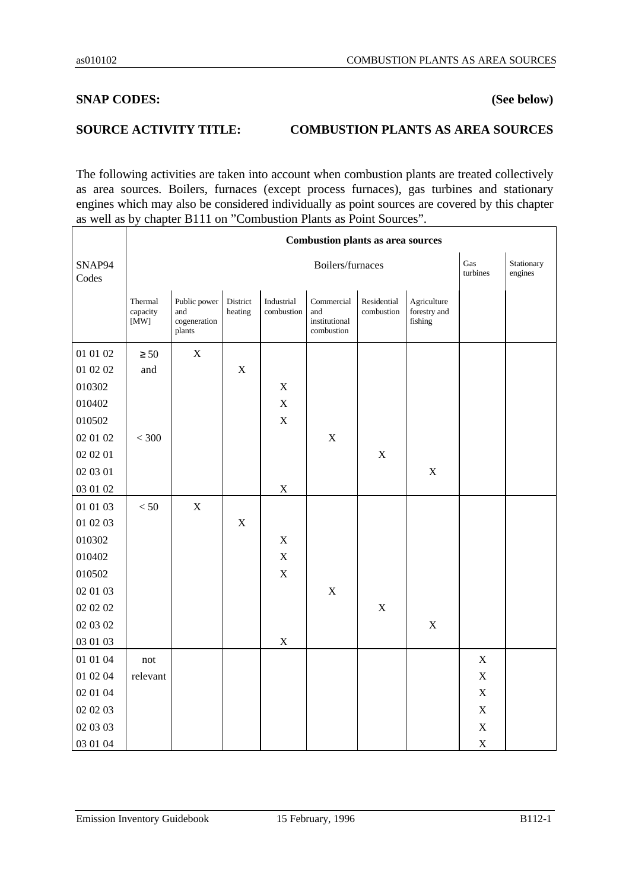### **SNAP CODES: (See below)**

### **SOURCE ACTIVITY TITLE: COMBUSTION PLANTS AS AREA SOURCES**

The following activities are taken into account when combustion plants are treated collectively as area sources. Boilers, furnaces (except process furnaces), gas turbines and stationary engines which may also be considered individually as point sources are covered by this chapter as well as by chapter B111 on "Combustion Plants as Point Sources".

|                 |                                      |                                               | <b>Combustion plants as area sources</b> |                          |                                                  |                           |                                        |                 |                       |
|-----------------|--------------------------------------|-----------------------------------------------|------------------------------------------|--------------------------|--------------------------------------------------|---------------------------|----------------------------------------|-----------------|-----------------------|
| SNAP94<br>Codes |                                      |                                               |                                          |                          | Boilers/furnaces                                 |                           |                                        | Gas<br>turbines | Stationary<br>engines |
|                 | Thermal<br>capacity<br>$[\text{MW}]$ | Public power<br>and<br>cogeneration<br>plants | District<br>heating                      | Industrial<br>combustion | Commercial<br>and<br>institutional<br>combustion | Residential<br>combustion | Agriculture<br>forestry and<br>fishing |                 |                       |
| 01 01 02        | $\geq 50$                            | $\mathbf X$                                   |                                          |                          |                                                  |                           |                                        |                 |                       |
| 01 02 02        | and                                  |                                               | $\mathbf X$                              |                          |                                                  |                           |                                        |                 |                       |
| 010302          |                                      |                                               |                                          | X                        |                                                  |                           |                                        |                 |                       |
| 010402          |                                      |                                               |                                          | $\mathbf X$              |                                                  |                           |                                        |                 |                       |
| 010502          |                                      |                                               |                                          | $\mathbf X$              |                                                  |                           |                                        |                 |                       |
| 02 01 02        | $< 300\,$                            |                                               |                                          |                          | X                                                |                           |                                        |                 |                       |
| 02 02 01        |                                      |                                               |                                          |                          |                                                  | $\mathbf X$               |                                        |                 |                       |
| 02 03 01        |                                      |                                               |                                          |                          |                                                  |                           | $\mathbf X$                            |                 |                       |
| 03 01 02        |                                      |                                               |                                          | $\mathbf X$              |                                                  |                           |                                        |                 |                       |
| 01 01 03        | $< 50$                               | $\overline{X}$                                |                                          |                          |                                                  |                           |                                        |                 |                       |
| 01 02 03        |                                      |                                               | $\mathbf X$                              |                          |                                                  |                           |                                        |                 |                       |
| 010302          |                                      |                                               |                                          | X                        |                                                  |                           |                                        |                 |                       |
| 010402          |                                      |                                               |                                          | $\mathbf X$              |                                                  |                           |                                        |                 |                       |
| 010502          |                                      |                                               |                                          | $\mathbf X$              |                                                  |                           |                                        |                 |                       |
| 02 01 03        |                                      |                                               |                                          |                          | X                                                |                           |                                        |                 |                       |
| 02 02 02        |                                      |                                               |                                          |                          |                                                  | $\mathbf X$               |                                        |                 |                       |
| 02 03 02        |                                      |                                               |                                          |                          |                                                  |                           | $\mathbf X$                            |                 |                       |
| 03 01 03        |                                      |                                               |                                          | $\mathbf X$              |                                                  |                           |                                        |                 |                       |
| 01 01 04        | not                                  |                                               |                                          |                          |                                                  |                           |                                        | $\mathbf X$     |                       |
| 01 02 04        | relevant                             |                                               |                                          |                          |                                                  |                           |                                        | $\mathbf X$     |                       |
| 02 01 04        |                                      |                                               |                                          |                          |                                                  |                           |                                        | $\mathbf X$     |                       |
| 02 02 03        |                                      |                                               |                                          |                          |                                                  |                           |                                        | $\mathbf X$     |                       |
| 02 03 03        |                                      |                                               |                                          |                          |                                                  |                           |                                        | $\mathbf X$     |                       |
| 03 01 04        |                                      |                                               |                                          |                          |                                                  |                           |                                        | $\mathbf X$     |                       |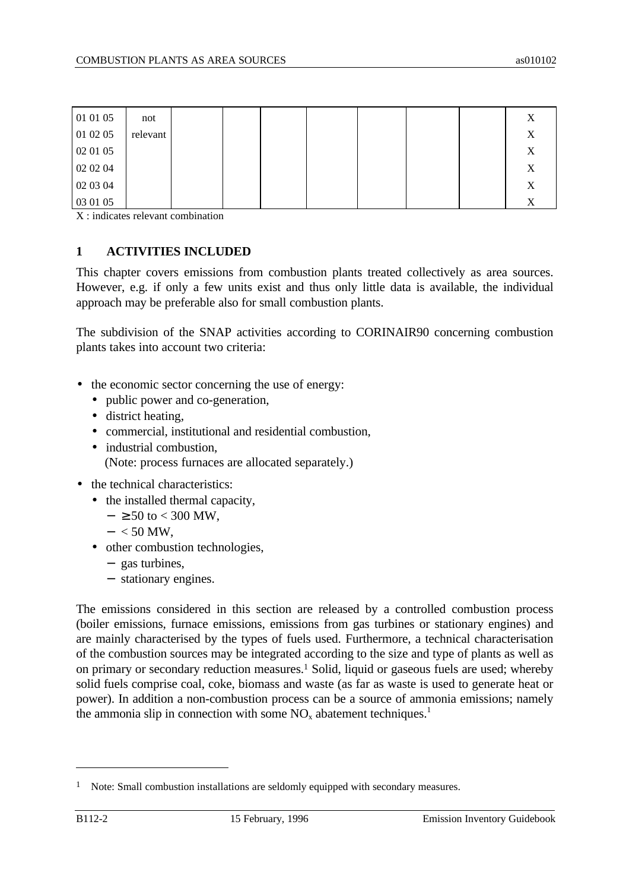| 01 01 05 | not      |  |  |  | Χ |
|----------|----------|--|--|--|---|
| 01 02 05 | relevant |  |  |  | Χ |
| 02 01 05 |          |  |  |  | X |
| 02 02 04 |          |  |  |  | X |
| 02 03 04 |          |  |  |  | X |
| 03 01 05 |          |  |  |  | Χ |

X : indicates relevant combination

# **1 ACTIVITIES INCLUDED**

This chapter covers emissions from combustion plants treated collectively as area sources. However, e.g. if only a few units exist and thus only little data is available, the individual approach may be preferable also for small combustion plants.

The subdivision of the SNAP activities according to CORINAIR90 concerning combustion plants takes into account two criteria:

- the economic sector concerning the use of energy:
	- public power and co-generation,
	- district heating,
	- commercial, institutional and residential combustion,
	- industrial combustion, (Note: process furnaces are allocated separately.)
- the technical characteristics:
	- the installed thermal capacity,
		- $-$  ≥ 50 to < 300 MW.
		- $< 50$  MW.
	- other combustion technologies,
		- − gas turbines,
		- − stationary engines.

The emissions considered in this section are released by a controlled combustion process (boiler emissions, furnace emissions, emissions from gas turbines or stationary engines) and are mainly characterised by the types of fuels used. Furthermore, a technical characterisation of the combustion sources may be integrated according to the size and type of plants as well as on primary or secondary reduction measures.<sup>1</sup> Solid, liquid or gaseous fuels are used; whereby solid fuels comprise coal, coke, biomass and waste (as far as waste is used to generate heat or power). In addition a non-combustion process can be a source of ammonia emissions; namely the ammonia slip in connection with some  $NO<sub>x</sub>$  abatement techniques.<sup>1</sup>

 $\overline{a}$ 

<sup>&</sup>lt;sup>1</sup> Note: Small combustion installations are seldomly equipped with secondary measures.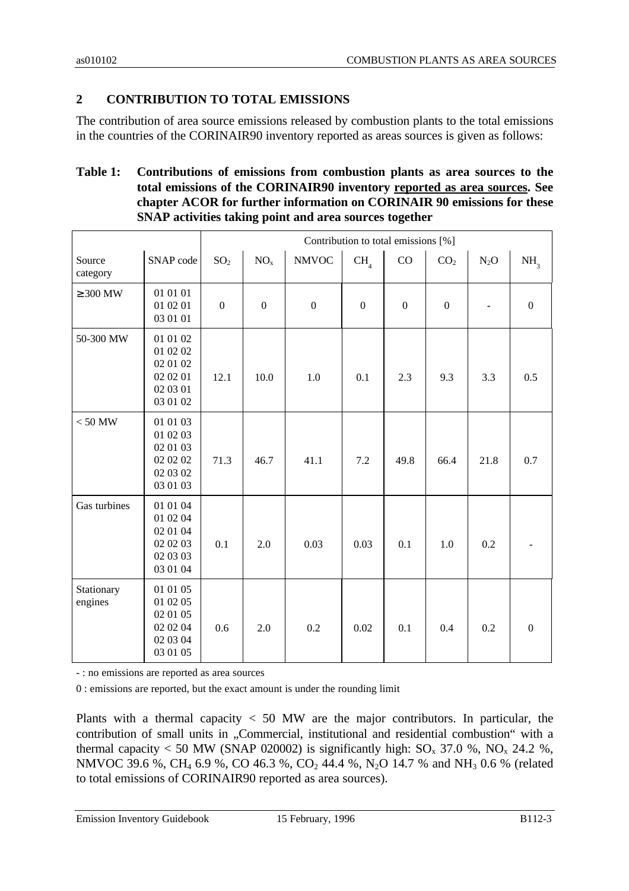# **2 CONTRIBUTION TO TOTAL EMISSIONS**

The contribution of area source emissions released by combustion plants to the total emissions in the countries of the CORINAIR90 inventory reported as areas sources is given as follows:

# **Table 1: Contributions of emissions from combustion plants as area sources to the total emissions of the CORINAIR90 inventory reported as area sources. See chapter ACOR for further information on CORINAIR 90 emissions for these SNAP activities taking point and area sources together**

|                       |                                                                      | Contribution to total emissions [%] |                  |                  |                  |                  |                  |        |                  |  |  |  |  |
|-----------------------|----------------------------------------------------------------------|-------------------------------------|------------------|------------------|------------------|------------------|------------------|--------|------------------|--|--|--|--|
| Source<br>category    | SNAP code                                                            | SO <sub>2</sub>                     | NO <sub>x</sub>  | <b>NMVOC</b>     | CH <sub>4</sub>  | CO               | CO <sub>2</sub>  | $N_2O$ | NH <sub>3</sub>  |  |  |  |  |
| $\geq 300$ MW         | 01 01 01<br>01 02 01<br>03 01 01                                     | $\boldsymbol{0}$                    | $\boldsymbol{0}$ | $\boldsymbol{0}$ | $\boldsymbol{0}$ | $\boldsymbol{0}$ | $\boldsymbol{0}$ |        | $\boldsymbol{0}$ |  |  |  |  |
| 50-300 MW             | 01 01 02<br>01 02 02<br>02 01 02<br>02 02 01<br>02 03 01<br>03 01 02 | 12.1                                | 10.0             | 1.0              | 0.1              | 2.3              | 9.3              | 3.3    | 0.5              |  |  |  |  |
| $< 50$ MW             | 01 01 03<br>01 02 03<br>02 01 03<br>02 02 02<br>02 03 02<br>03 01 03 | 71.3                                | 46.7             | 41.1             | 7.2              | 49.8             | 66.4             | 21.8   | 0.7              |  |  |  |  |
| Gas turbines          | 01 01 04<br>01 02 04<br>02 01 04<br>02 02 03<br>02 03 03<br>03 01 04 | 0.1                                 | 2.0              | 0.03             | 0.03             | 0.1              | 1.0              | 0.2    |                  |  |  |  |  |
| Stationary<br>engines | 01 01 05<br>01 02 05<br>02 01 05<br>02 02 04<br>02 03 04<br>03 01 05 | 0.6                                 | 2.0              | 0.2              | 0.02             | 0.1              | 0.4              | 0.2    | $\boldsymbol{0}$ |  |  |  |  |

- : no emissions are reported as area sources

0 : emissions are reported, but the exact amount is under the rounding limit

Plants with a thermal capacity  $<$  50 MW are the major contributors. In particular, the contribution of small units in "Commercial, institutional and residential combustion" with a thermal capacity < 50 MW (SNAP 020002) is significantly high:  $SO_x$  37.0 %,  $NO_x$  24.2 %, NMVOC 39.6 %, CH<sub>4</sub> 6.9 %, CO 46.3 %, CO<sub>2</sub> 44.4 %, N<sub>2</sub>O 14.7 % and NH<sub>3</sub> 0.6 % (related to total emissions of CORINAIR90 reported as area sources).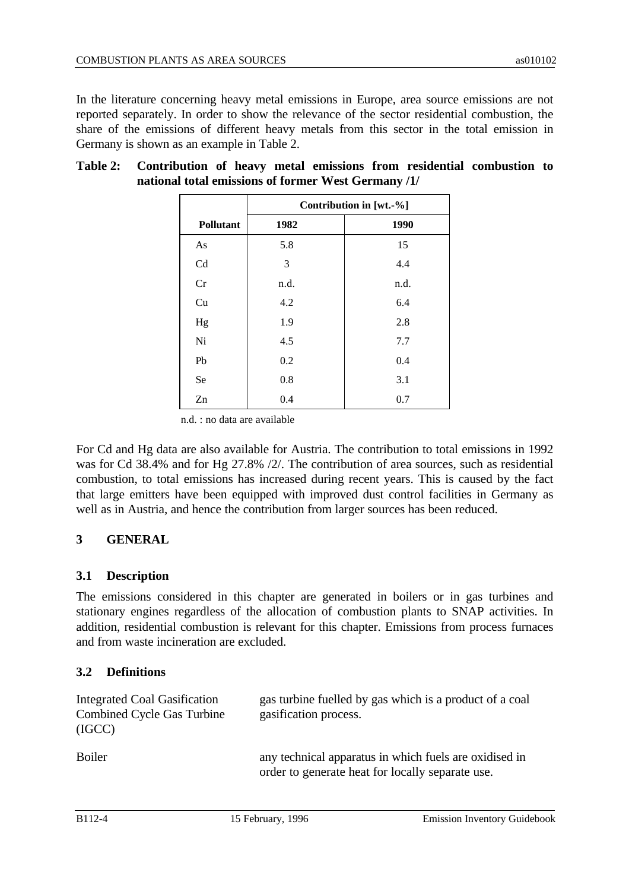In the literature concerning heavy metal emissions in Europe, area source emissions are not reported separately. In order to show the relevance of the sector residential combustion, the share of the emissions of different heavy metals from this sector in the total emission in Germany is shown as an example in Table 2.

|                  |      | Contribution in [wt.-%] |
|------------------|------|-------------------------|
| <b>Pollutant</b> | 1982 | 1990                    |
| As               | 5.8  | 15                      |
| Cd               | 3    | 4.4                     |
| Cr               | n.d. | n.d.                    |
| Cu               | 4.2  | 6.4                     |
| Hg               | 1.9  | 2.8                     |
| Ni               | 4.5  | 7.7                     |
| Pb               | 0.2  | 0.4                     |
| Se               | 0.8  | 3.1                     |
| Zn               | 0.4  | 0.7                     |

## **Table 2: Contribution of heavy metal emissions from residential combustion to national total emissions of former West Germany /1/**

n.d. : no data are available

For Cd and Hg data are also available for Austria. The contribution to total emissions in 1992 was for Cd 38.4% and for Hg 27.8% /2/. The contribution of area sources, such as residential combustion, to total emissions has increased during recent years. This is caused by the fact that large emitters have been equipped with improved dust control facilities in Germany as well as in Austria, and hence the contribution from larger sources has been reduced.

# **3 GENERAL**

## **3.1 Description**

The emissions considered in this chapter are generated in boilers or in gas turbines and stationary engines regardless of the allocation of combustion plants to SNAP activities. In addition, residential combustion is relevant for this chapter. Emissions from process furnaces and from waste incineration are excluded.

# **3.2 Definitions**

| Integrated Coal Gasification<br><b>Combined Cycle Gas Turbine</b><br>(IGCC) | gas turbine fuelled by gas which is a product of a coal<br>gasification process.                           |
|-----------------------------------------------------------------------------|------------------------------------------------------------------------------------------------------------|
| <b>Boiler</b>                                                               | any technical apparatus in which fuels are oxidised in<br>order to generate heat for locally separate use. |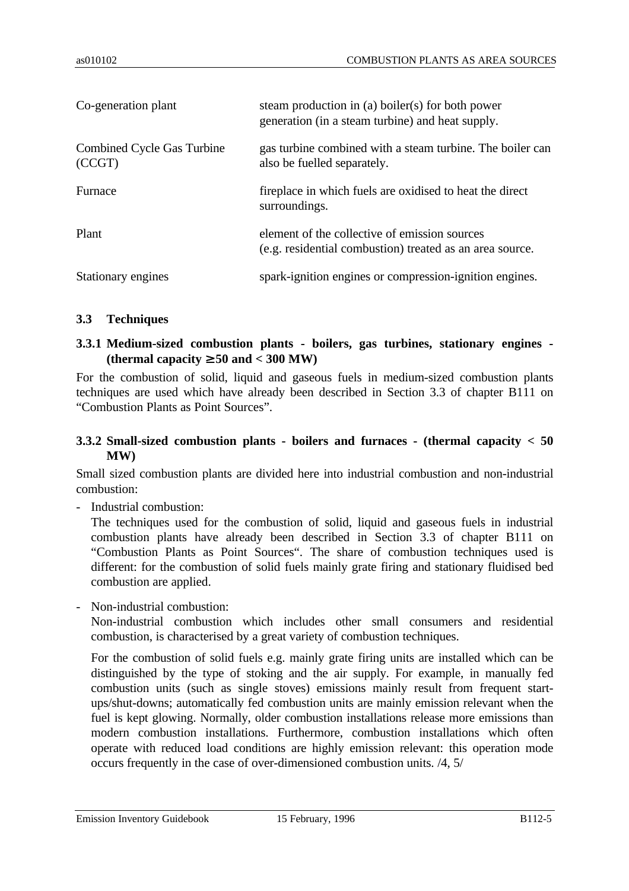| Co-generation plant                  | steam production in (a) boiler(s) for both power<br>generation (in a steam turbine) and heat supply.      |
|--------------------------------------|-----------------------------------------------------------------------------------------------------------|
| Combined Cycle Gas Turbine<br>(CCGT) | gas turbine combined with a steam turbine. The boiler can<br>also be fuelled separately.                  |
| Furnace                              | fireplace in which fuels are oxidised to heat the direct<br>surroundings.                                 |
| Plant                                | element of the collective of emission sources<br>(e.g. residential combustion) treated as an area source. |
| Stationary engines                   | spark-ignition engines or compression-ignition engines.                                                   |

## **3.3 Techniques**

# **3.3.1 Medium-sized combustion plants - boilers, gas turbines, stationary engines - (thermal capacity** ≥ **50 and < 300 MW)**

For the combustion of solid, liquid and gaseous fuels in medium-sized combustion plants techniques are used which have already been described in Section 3.3 of chapter B111 on "Combustion Plants as Point Sources".

## **3.3.2 Small-sized combustion plants - boilers and furnaces - (thermal capacity < 50 MW)**

Small sized combustion plants are divided here into industrial combustion and non-industrial combustion:

- Industrial combustion:

The techniques used for the combustion of solid, liquid and gaseous fuels in industrial combustion plants have already been described in Section 3.3 of chapter B111 on "Combustion Plants as Point Sources". The share of combustion techniques used is different: for the combustion of solid fuels mainly grate firing and stationary fluidised bed combustion are applied.

- Non-industrial combustion:

Non-industrial combustion which includes other small consumers and residential combustion, is characterised by a great variety of combustion techniques.

For the combustion of solid fuels e.g. mainly grate firing units are installed which can be distinguished by the type of stoking and the air supply. For example, in manually fed combustion units (such as single stoves) emissions mainly result from frequent startups/shut-downs; automatically fed combustion units are mainly emission relevant when the fuel is kept glowing. Normally, older combustion installations release more emissions than modern combustion installations. Furthermore, combustion installations which often operate with reduced load conditions are highly emission relevant: this operation mode occurs frequently in the case of over-dimensioned combustion units. /4, 5/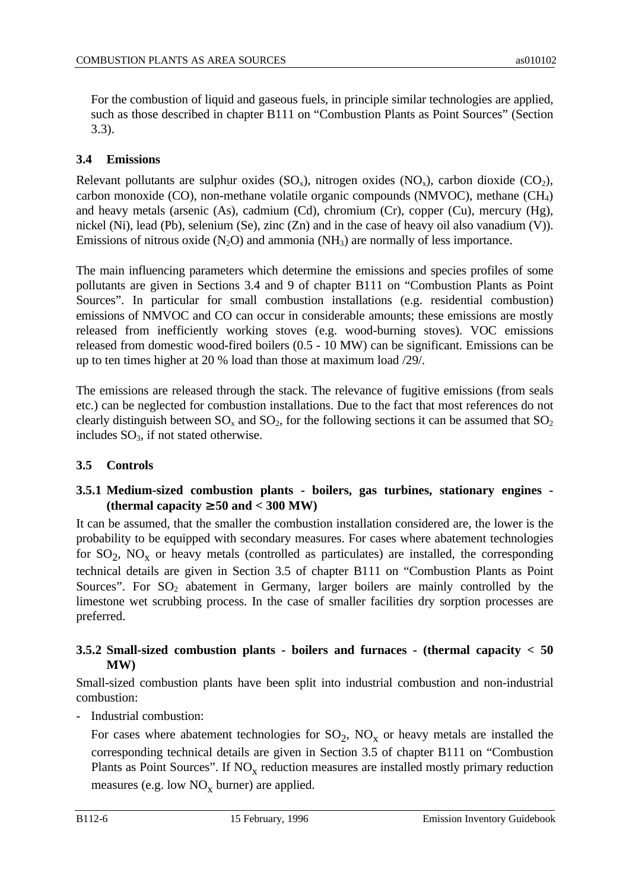For the combustion of liquid and gaseous fuels, in principle similar technologies are applied, such as those described in chapter B111 on "Combustion Plants as Point Sources" (Section 3.3).

# **3.4 Emissions**

Relevant pollutants are sulphur oxides  $(SO_x)$ , nitrogen oxides  $(NO_x)$ , carbon dioxide  $(CO_2)$ , carbon monoxide (CO), non-methane volatile organic compounds (NMVOC), methane  $(CH_4)$ and heavy metals (arsenic (As), cadmium (Cd), chromium (Cr), copper (Cu), mercury (Hg), nickel (Ni), lead (Pb), selenium (Se), zinc (Zn) and in the case of heavy oil also vanadium (V)). Emissions of nitrous oxide  $(N_2O)$  and ammonia  $(NH_3)$  are normally of less importance.

The main influencing parameters which determine the emissions and species profiles of some pollutants are given in Sections 3.4 and 9 of chapter B111 on "Combustion Plants as Point Sources". In particular for small combustion installations (e.g. residential combustion) emissions of NMVOC and CO can occur in considerable amounts; these emissions are mostly released from inefficiently working stoves (e.g. wood-burning stoves). VOC emissions released from domestic wood-fired boilers (0.5 - 10 MW) can be significant. Emissions can be up to ten times higher at 20 % load than those at maximum load /29/.

The emissions are released through the stack. The relevance of fugitive emissions (from seals etc.) can be neglected for combustion installations. Due to the fact that most references do not clearly distinguish between  $SO_x$  and  $SO_2$ , for the following sections it can be assumed that  $SO_2$ includes  $SO_3$ , if not stated otherwise.

# **3.5 Controls**

# **3.5.1 Medium-sized combustion plants - boilers, gas turbines, stationary engines - (thermal capacity** ≥ **50 and < 300 MW)**

It can be assumed, that the smaller the combustion installation considered are, the lower is the probability to be equipped with secondary measures. For cases where abatement technologies for  $SO_2$ ,  $NO_x$  or heavy metals (controlled as particulates) are installed, the corresponding technical details are given in Section 3.5 of chapter B111 on "Combustion Plants as Point Sources". For  $SO_2$  abatement in Germany, larger boilers are mainly controlled by the limestone wet scrubbing process. In the case of smaller facilities dry sorption processes are preferred.

# **3.5.2 Small-sized combustion plants - boilers and furnaces - (thermal capacity < 50 MW)**

Small-sized combustion plants have been split into industrial combustion and non-industrial combustion:

- Industrial combustion:

For cases where abatement technologies for  $SO_2$ ,  $NO_x$  or heavy metals are installed the corresponding technical details are given in Section 3.5 of chapter B111 on "Combustion Plants as Point Sources". If  $NO<sub>x</sub>$  reduction measures are installed mostly primary reduction measures (e.g. low  $NO<sub>x</sub>$  burner) are applied.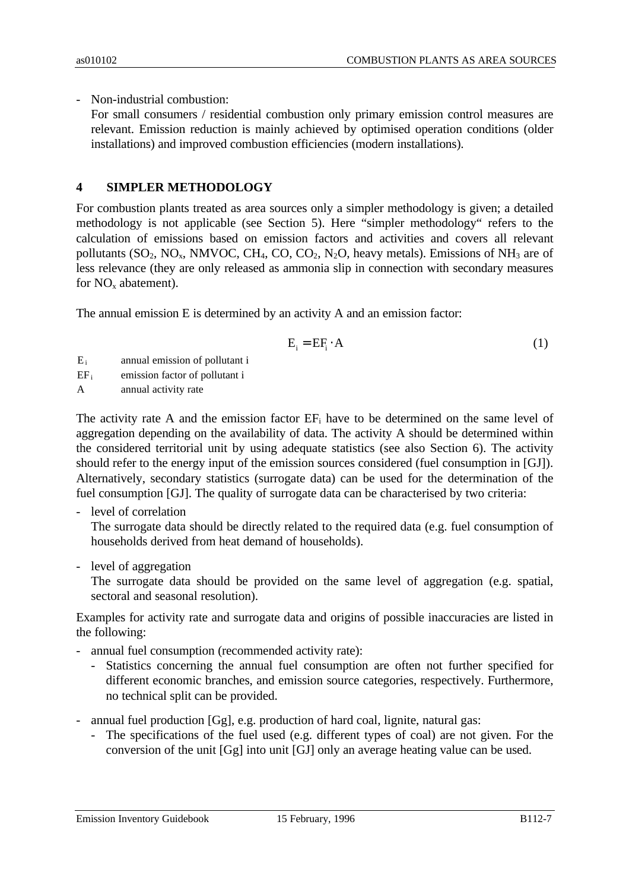- Non-industrial combustion:

For small consumers / residential combustion only primary emission control measures are relevant. Emission reduction is mainly achieved by optimised operation conditions (older installations) and improved combustion efficiencies (modern installations).

# **4 SIMPLER METHODOLOGY**

For combustion plants treated as area sources only a simpler methodology is given; a detailed methodology is not applicable (see Section 5). Here "simpler methodology" refers to the calculation of emissions based on emission factors and activities and covers all relevant pollutants  $(SO_2, NO_x, NMVOC, CH_4, CO, CO_2, N_2O$ , heavy metals). Emissions of NH<sub>3</sub> are of less relevance (they are only released as ammonia slip in connection with secondary measures for  $NO<sub>x</sub>$  abatement).

The annual emission E is determined by an activity A and an emission factor:

$$
E_i = EF_i \cdot A \tag{1}
$$

- E<sup>i</sup> annual emission of pollutant i
- $EF_i$  emission factor of pollutant i

A annual activity rate

The activity rate A and the emission factor  $EF_i$  have to be determined on the same level of aggregation depending on the availability of data. The activity A should be determined within the considered territorial unit by using adequate statistics (see also Section 6). The activity should refer to the energy input of the emission sources considered (fuel consumption in [GJ]). Alternatively, secondary statistics (surrogate data) can be used for the determination of the fuel consumption [GJ]. The quality of surrogate data can be characterised by two criteria:

- level of correlation

The surrogate data should be directly related to the required data (e.g. fuel consumption of households derived from heat demand of households).

- level of aggregation

The surrogate data should be provided on the same level of aggregation (e.g. spatial, sectoral and seasonal resolution).

Examples for activity rate and surrogate data and origins of possible inaccuracies are listed in the following:

- annual fuel consumption (recommended activity rate):
	- Statistics concerning the annual fuel consumption are often not further specified for different economic branches, and emission source categories, respectively. Furthermore, no technical split can be provided.
- annual fuel production [Gg], e.g. production of hard coal, lignite, natural gas:
	- The specifications of the fuel used (e.g. different types of coal) are not given. For the conversion of the unit [Gg] into unit [GJ] only an average heating value can be used.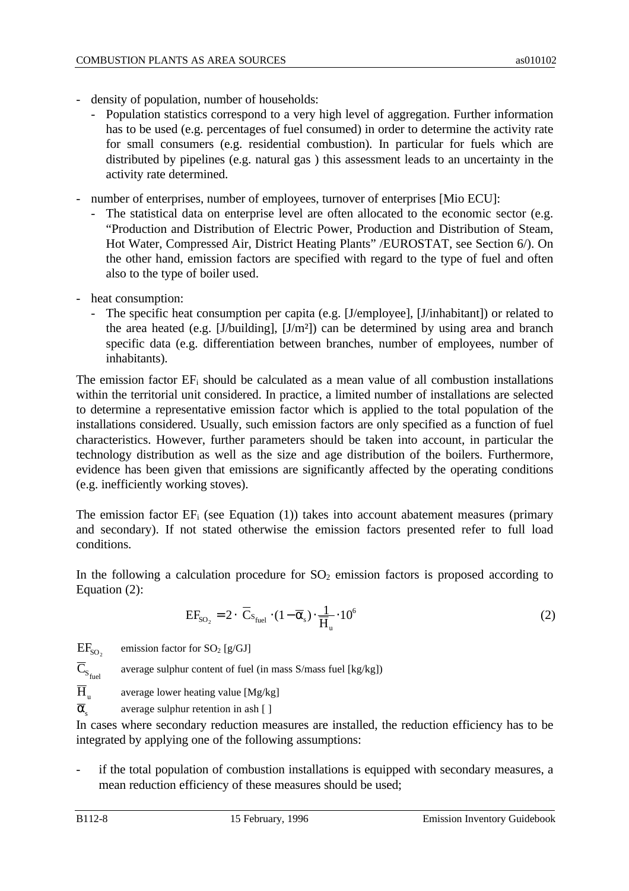- density of population, number of households:
	- Population statistics correspond to a very high level of aggregation. Further information has to be used (e.g. percentages of fuel consumed) in order to determine the activity rate for small consumers (e.g. residential combustion). In particular for fuels which are distributed by pipelines (e.g. natural gas ) this assessment leads to an uncertainty in the activity rate determined.
- number of enterprises, number of employees, turnover of enterprises [Mio ECU]:
	- The statistical data on enterprise level are often allocated to the economic sector (e.g. "Production and Distribution of Electric Power, Production and Distribution of Steam, Hot Water, Compressed Air, District Heating Plants" /EUROSTAT, see Section 6/). On the other hand, emission factors are specified with regard to the type of fuel and often also to the type of boiler used.
- heat consumption:
	- The specific heat consumption per capita (e.g. [J/employee], [J/inhabitant]) or related to the area heated (e.g. [J/building], [J/m²]) can be determined by using area and branch specific data (e.g. differentiation between branches, number of employees, number of inhabitants).

The emission factor  $EF_i$  should be calculated as a mean value of all combustion installations within the territorial unit considered. In practice, a limited number of installations are selected to determine a representative emission factor which is applied to the total population of the installations considered. Usually, such emission factors are only specified as a function of fuel characteristics. However, further parameters should be taken into account, in particular the technology distribution as well as the size and age distribution of the boilers. Furthermore, evidence has been given that emissions are significantly affected by the operating conditions (e.g. inefficiently working stoves).

The emission factor  $EF_i$  (see Equation (1)) takes into account abatement measures (primary and secondary). If not stated otherwise the emission factors presented refer to full load conditions.

In the following a calculation procedure for  $SO_2$  emission factors is proposed according to Equation (2):

$$
EF_{SO_2} = 2 \cdot \overline{C}_{S_{\text{fuel}}} \cdot (1 - \overline{\alpha}_s) \cdot \frac{1}{\overline{H}_u} \cdot 10^6
$$
 (2)

 $EF_{so}$ emission factor for  $SO_2$  [g/GJ]

 $C_{\rm s_{\rm fuel}}$ average sulphur content of fuel (in mass S/mass fuel [kg/kg])

 $\overline{H}$ average lower heating value [Mg/kg]

 $\overline{\alpha}$ average sulphur retention in ash [ ]

In cases where secondary reduction measures are installed, the reduction efficiency has to be integrated by applying one of the following assumptions:

if the total population of combustion installations is equipped with secondary measures, a mean reduction efficiency of these measures should be used;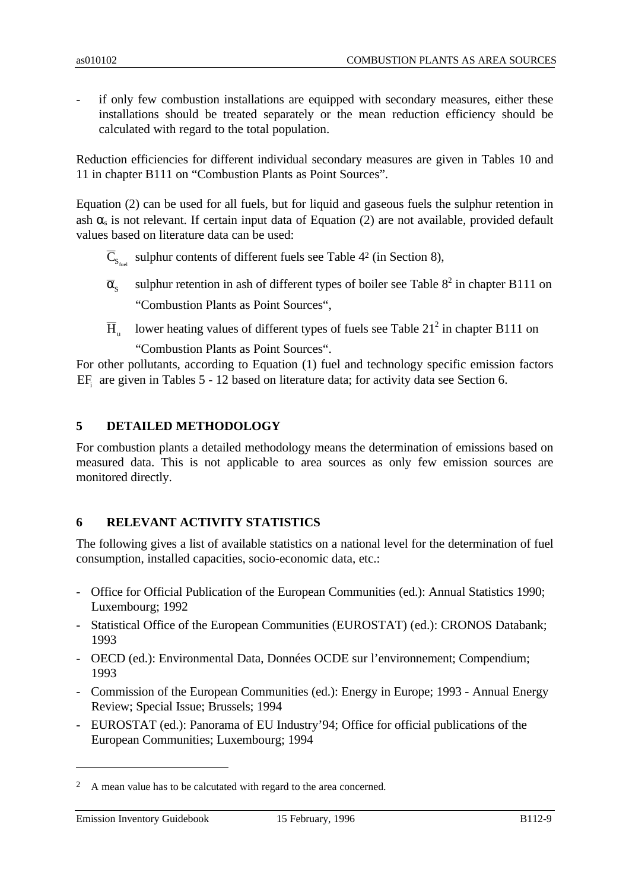if only few combustion installations are equipped with secondary measures, either these installations should be treated separately or the mean reduction efficiency should be calculated with regard to the total population.

Reduction efficiencies for different individual secondary measures are given in Tables 10 and 11 in chapter B111 on "Combustion Plants as Point Sources".

Equation (2) can be used for all fuels, but for liquid and gaseous fuels the sulphur retention in ash  $\alpha_s$  is not relevant. If certain input data of Equation (2) are not available, provided default values based on literature data can be used:

- $C_{S_{\text{fuel}}}$  sulphur contents of different fuels see Table 4<sup>2</sup> (in Section 8),
- $\overline{\alpha}_{\rm c}$ sulphur retention in ash of different types of boiler see Table  $8^2$  in chapter B111 on "Combustion Plants as Point Sources",
- $\overline{H}_n$ lower heating values of different types of fuels see Table  $21<sup>2</sup>$  in chapter B111 on "Combustion Plants as Point Sources".

For other pollutants, according to Equation (1) fuel and technology specific emission factors EF<sub>i</sub> are given in Tables 5 - 12 based on literature data; for activity data see Section 6.

# **5 DETAILED METHODOLOGY**

For combustion plants a detailed methodology means the determination of emissions based on measured data. This is not applicable to area sources as only few emission sources are monitored directly.

## **6 RELEVANT ACTIVITY STATISTICS**

The following gives a list of available statistics on a national level for the determination of fuel consumption, installed capacities, socio-economic data, etc.:

- Office for Official Publication of the European Communities (ed.): Annual Statistics 1990; Luxembourg; 1992
- Statistical Office of the European Communities (EUROSTAT) (ed.): CRONOS Databank; 1993
- OECD (ed.): Environmental Data, Données OCDE sur l'environnement; Compendium; 1993
- Commission of the European Communities (ed.): Energy in Europe; 1993 Annual Energy Review; Special Issue; Brussels; 1994
- EUROSTAT (ed.): Panorama of EU Industry'94; Office for official publications of the European Communities; Luxembourg; 1994

 $\overline{a}$ 

<sup>&</sup>lt;sup>2</sup> A mean value has to be calcutated with regard to the area concerned.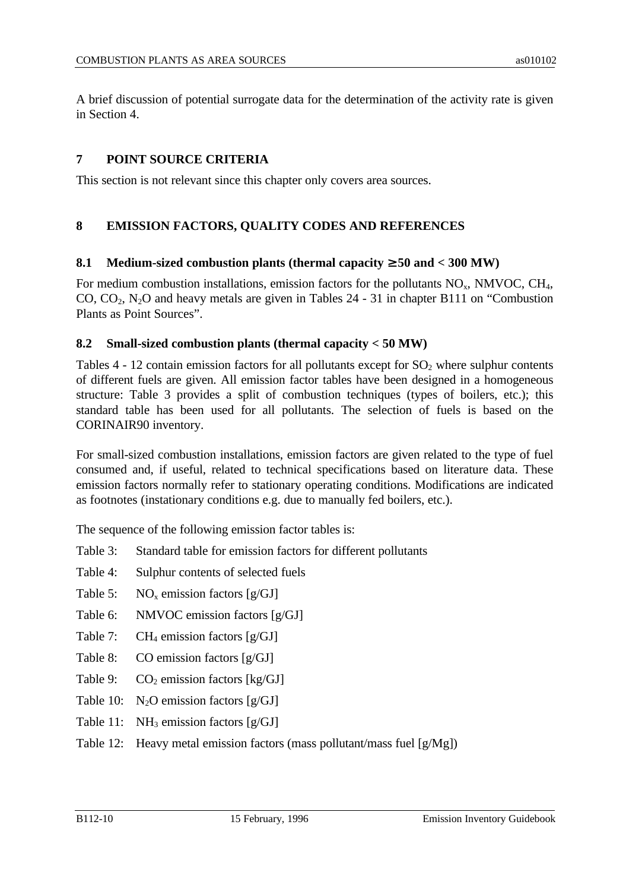A brief discussion of potential surrogate data for the determination of the activity rate is given in Section 4.

# **7 POINT SOURCE CRITERIA**

This section is not relevant since this chapter only covers area sources.

# **8 EMISSION FACTORS, QUALITY CODES AND REFERENCES**

# **8.1 Medium-sized combustion plants (thermal capacity**  $\geq$  **50 and < 300 MW)**

For medium combustion installations, emission factors for the pollutants  $NO<sub>x</sub>$ , NMVOC, CH<sub>4</sub>, CO,  $CO_2$ , N<sub>2</sub>O and heavy metals are given in Tables 24 - 31 in chapter B111 on "Combustion" Plants as Point Sources".

## **8.2 Small-sized combustion plants (thermal capacity < 50 MW)**

Tables  $4 - 12$  contain emission factors for all pollutants except for  $SO_2$  where sulphur contents of different fuels are given. All emission factor tables have been designed in a homogeneous structure: Table 3 provides a split of combustion techniques (types of boilers, etc.); this standard table has been used for all pollutants. The selection of fuels is based on the CORINAIR90 inventory.

For small-sized combustion installations, emission factors are given related to the type of fuel consumed and, if useful, related to technical specifications based on literature data. These emission factors normally refer to stationary operating conditions. Modifications are indicated as footnotes (instationary conditions e.g. due to manually fed boilers, etc.).

The sequence of the following emission factor tables is:

- Table 3: Standard table for emission factors for different pollutants
- Table 4: Sulphur contents of selected fuels
- Table 5:  $NO<sub>x</sub>$  emission factors [g/GJ]
- Table 6: NMVOC emission factors [g/GJ]
- Table 7:  $CH_4$  emission factors [g/GJ]
- Table 8: CO emission factors [g/GJ]
- Table 9:  $CO_2$  emission factors [kg/GJ]
- Table 10:  $N_2$ O emission factors [g/GJ]
- Table 11:  $NH_3$  emission factors [g/GJ]
- Table 12: Heavy metal emission factors (mass pollutant/mass fuel  $[g/Mg]$ )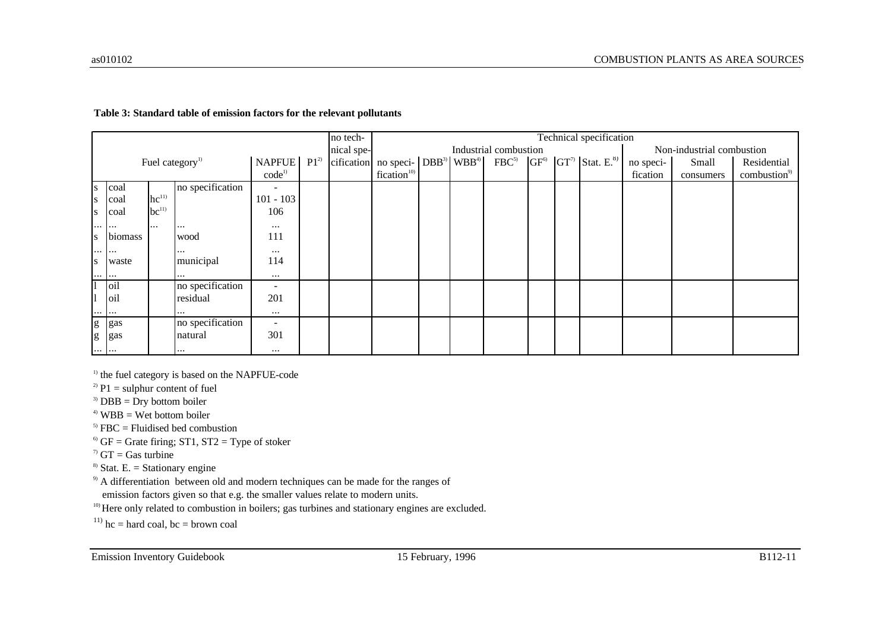#### **Table 3: Standard table of emission factors for the relevant pollutants**

|                                                                                                                                                                                                                                                                                                                                                                                                                                |          |           |                             |                          |          | no tech-   | Technical specification                                                                                     |  |  |                       |  |  |  |           |                           |                          |
|--------------------------------------------------------------------------------------------------------------------------------------------------------------------------------------------------------------------------------------------------------------------------------------------------------------------------------------------------------------------------------------------------------------------------------|----------|-----------|-----------------------------|--------------------------|----------|------------|-------------------------------------------------------------------------------------------------------------|--|--|-----------------------|--|--|--|-----------|---------------------------|--------------------------|
|                                                                                                                                                                                                                                                                                                                                                                                                                                |          |           |                             |                          |          | nical spe- |                                                                                                             |  |  | Industrial combustion |  |  |  |           | Non-industrial combustion |                          |
|                                                                                                                                                                                                                                                                                                                                                                                                                                |          |           | Fuel category <sup>1)</sup> | <b>NAPFUE</b>            | $P1^{2}$ |            | cification no speci- $ DBB^3 $ WBB <sup>4)</sup> FBC <sup>5)</sup> $ GF^6 $ $ GT^7 $ Stat. E. <sup>8)</sup> |  |  |                       |  |  |  | no speci- | Small                     | Residential              |
|                                                                                                                                                                                                                                                                                                                                                                                                                                |          |           |                             | $code^{1)}$              |          |            | fication <sup>10)</sup>                                                                                     |  |  |                       |  |  |  | fication  | consumers                 | combustion <sup>9)</sup> |
| S.                                                                                                                                                                                                                                                                                                                                                                                                                             | coal     |           | no specification            |                          |          |            |                                                                                                             |  |  |                       |  |  |  |           |                           |                          |
| S                                                                                                                                                                                                                                                                                                                                                                                                                              | coal     | $hc^{11}$ |                             | $101 - 103$              |          |            |                                                                                                             |  |  |                       |  |  |  |           |                           |                          |
| S                                                                                                                                                                                                                                                                                                                                                                                                                              | coal     | $bc^{11}$ |                             | 106                      |          |            |                                                                                                             |  |  |                       |  |  |  |           |                           |                          |
| $\cdots$                                                                                                                                                                                                                                                                                                                                                                                                                       | $\cdots$ | $\cdots$  | $\cdots$                    | $\cdots$                 |          |            |                                                                                                             |  |  |                       |  |  |  |           |                           |                          |
| l S                                                                                                                                                                                                                                                                                                                                                                                                                            | biomass  |           | wood                        | 111                      |          |            |                                                                                                             |  |  |                       |  |  |  |           |                           |                          |
| $\cdots$                                                                                                                                                                                                                                                                                                                                                                                                                       |          |           | $\cdots$                    | $\cdots$                 |          |            |                                                                                                             |  |  |                       |  |  |  |           |                           |                          |
| <b>S</b>                                                                                                                                                                                                                                                                                                                                                                                                                       | waste    |           | municipal                   | 114                      |          |            |                                                                                                             |  |  |                       |  |  |  |           |                           |                          |
| $\cdots \cdots$                                                                                                                                                                                                                                                                                                                                                                                                                |          |           | $\cdots$                    | $\cdots$                 |          |            |                                                                                                             |  |  |                       |  |  |  |           |                           |                          |
|                                                                                                                                                                                                                                                                                                                                                                                                                                | oil      |           | no specification            | $\blacksquare$           |          |            |                                                                                                             |  |  |                       |  |  |  |           |                           |                          |
|                                                                                                                                                                                                                                                                                                                                                                                                                                | oil      |           | residual                    | 201                      |          |            |                                                                                                             |  |  |                       |  |  |  |           |                           |                          |
| $\cdots \cdots$                                                                                                                                                                                                                                                                                                                                                                                                                |          |           |                             | $\cdots$                 |          |            |                                                                                                             |  |  |                       |  |  |  |           |                           |                          |
|                                                                                                                                                                                                                                                                                                                                                                                                                                | g gas    |           | no specification            | $\overline{\phantom{a}}$ |          |            |                                                                                                             |  |  |                       |  |  |  |           |                           |                          |
| $\mathbf{g}% _{T}=\mathbf{g}_{T}=\mathbf{g}_{T}=\mathbf{g}_{T}=\mathbf{g}_{T}=\mathbf{g}_{T}=\mathbf{g}_{T}=\mathbf{g}_{T}=\mathbf{g}_{T}=\mathbf{g}_{T}=\mathbf{g}_{T}=\mathbf{g}_{T}=\mathbf{g}_{T}=\mathbf{g}_{T}=\mathbf{g}_{T}=\mathbf{g}_{T}=\mathbf{g}_{T}=\mathbf{g}_{T}=\mathbf{g}_{T}=\mathbf{g}_{T}=\mathbf{g}_{T}=\mathbf{g}_{T}=\mathbf{g}_{T}=\mathbf{g}_{T}=\mathbf{g}_{T}=\mathbf{g}_{T}=\mathbf{g}_{T}=\math$ | gas      |           | natural                     | 301                      |          |            |                                                                                                             |  |  |                       |  |  |  |           |                           |                          |
| $\cdots \quad \cdots$                                                                                                                                                                                                                                                                                                                                                                                                          |          |           | $\cdots$                    | $\cdots$                 |          |            |                                                                                                             |  |  |                       |  |  |  |           |                           |                          |

<sup>1)</sup> the fuel category is based on the NAPFUE-code

<sup>2)</sup> P1 = sulphur content of fuel

<sup>3)</sup> DBB = Dry bottom boiler

 $4)$  WBB = Wet bottom boiler

 $<sup>5)</sup> FBC = Fluidised bed combustion$ </sup>

 $6$ <sup>6</sup> GF = Grate firing; ST1, ST2 = Type of stoker

 $\sigma$  GT = Gas turbine

<sup>8)</sup> Stat. E. = Stationary engine

<sup>9)</sup> A differentiation between old and modern techniques can be made for the ranges of

emission factors given so that e.g. the smaller values relate to modern units.

<sup>10)</sup> Here only related to combustion in boilers; gas turbines and stationary engines are excluded.

<sup>11)</sup> hc = hard coal, bc = brown coal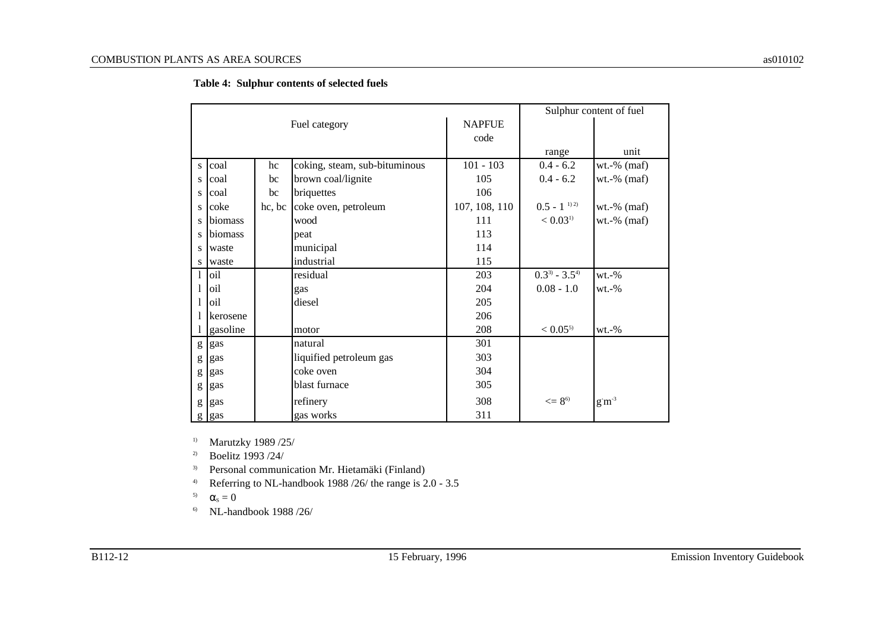|              |          |        |                               |               | Sulphur content of fuel      |                        |  |  |
|--------------|----------|--------|-------------------------------|---------------|------------------------------|------------------------|--|--|
|              |          |        | Fuel category                 | <b>NAPFUE</b> |                              |                        |  |  |
|              |          |        |                               | code          |                              |                        |  |  |
|              |          |        |                               |               | range                        | unit                   |  |  |
| <sub>S</sub> | coal     | hc     | coking, steam, sub-bituminous | $101 - 103$   | $0.4 - 6.2$                  | $wt.-%$ (maf)          |  |  |
| S            | coal     | bc     | brown coal/lignite            | 105           | $0.4 - 6.2$                  | $wt.-%$ (maf)          |  |  |
| S            | coal     | bc     | briquettes                    | 106           |                              |                        |  |  |
| S.           | coke     | hc, bc | coke oven, petroleum          | 107, 108, 110 | $0.5 - 1$ <sup>1)2)</sup>    | $wt.-%$ (maf)          |  |  |
| S.           | biomass  |        | wood                          | 111           | < 0.03 <sup>1</sup>          | $wt.-%$ (maf)          |  |  |
| S            | biomass  |        | peat                          | 113           |                              |                        |  |  |
| S            | waste    |        | municipal                     | 114           |                              |                        |  |  |
| S            | waste    |        | industrial                    | 115           |                              |                        |  |  |
|              | oil      |        | residual                      | 203           | $0.3^{3}$ - 3.5 <sup>4</sup> | $wt.-\%$               |  |  |
|              | oil      |        | gas                           | 204           | $0.08 - 1.0$                 | $wt.-\%$               |  |  |
|              | oil      |        | diesel                        | 205           |                              |                        |  |  |
|              | kerosene |        |                               | 206           |                              |                        |  |  |
|              | gasoline |        | motor                         | 208           | $< 0.05$ <sup>5)</sup>       | $wt.-%$                |  |  |
| g            | gas      |        | natural                       | 301           |                              |                        |  |  |
| g            | gas      |        | liquified petroleum gas       | 303           |                              |                        |  |  |
| g            | gas      |        | coke oven                     | 304           |                              |                        |  |  |
| g            | gas      |        | blast furnace                 | 305           |                              |                        |  |  |
| g            | gas      |        | refinery                      | 308           | $\leq$ = 8 <sup>6)</sup>     | $\rm g\,m^{\text{-}3}$ |  |  |
| g            | gas      |        | gas works                     | 311           |                              |                        |  |  |

**Table 4: Sulphur contents of selected fuels**

1) Marutzky 1989 /25/

2) Boelitz 1993 /24/

3) Personal communication Mr. Hietamäki (Finland)

4) Referring to NL-handbook 1988 /26/ the range is 2.0 - 3.5

5)  $\alpha_s = 0$ 

6) NL-handbook 1988 /26/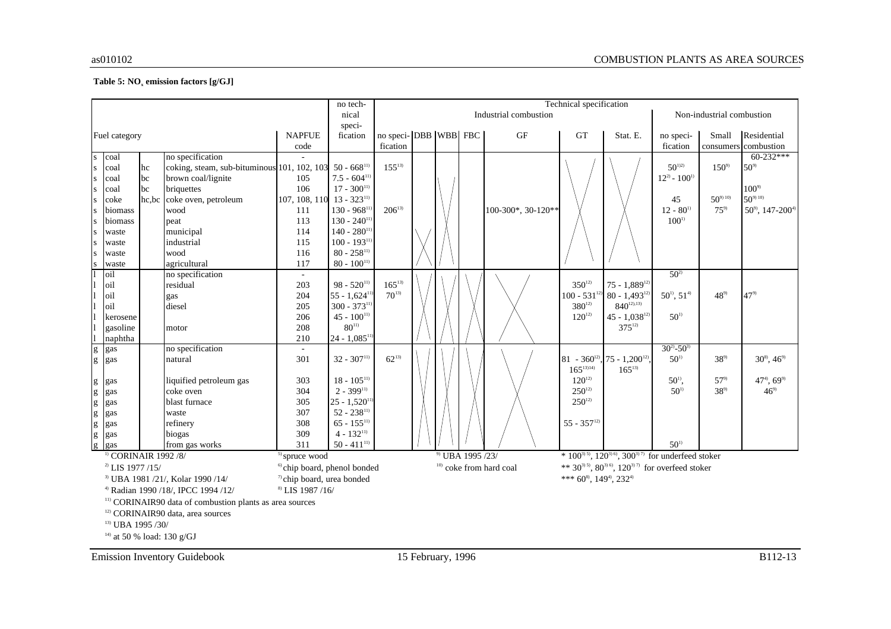#### **Table 5: NO<sup>x</sup> emission factors [g/GJ]**

|                                                                     |                                                                               |    |                                                                     |                                         | no tech-                       | Technical specification |  |  |                             |                           |                           |                                                                                      |                       |                           |                                      |
|---------------------------------------------------------------------|-------------------------------------------------------------------------------|----|---------------------------------------------------------------------|-----------------------------------------|--------------------------------|-------------------------|--|--|-----------------------------|---------------------------|---------------------------|--------------------------------------------------------------------------------------|-----------------------|---------------------------|--------------------------------------|
|                                                                     |                                                                               |    |                                                                     |                                         | nical                          |                         |  |  |                             | Industrial combustion     |                           |                                                                                      |                       | Non-industrial combustion |                                      |
|                                                                     |                                                                               |    |                                                                     |                                         | speci-                         |                         |  |  |                             |                           |                           |                                                                                      |                       |                           |                                      |
|                                                                     | Fuel category                                                                 |    |                                                                     | <b>NAPFUE</b>                           | fication                       | no speci-DBB WBB FBC    |  |  |                             | GF                        | GT                        | Stat. E.                                                                             | no speci-             | Small                     | Residential                          |
|                                                                     |                                                                               |    |                                                                     | code                                    |                                | fication                |  |  |                             |                           |                           |                                                                                      | fication              |                           | consumers combustion                 |
| ${\bf S}$                                                           | coal                                                                          |    | no specification                                                    |                                         |                                |                         |  |  |                             |                           |                           |                                                                                      |                       |                           | $60-232***$                          |
| ${\bf S}$                                                           | coal                                                                          | hc | coking, steam, sub-bituminous 101, 102, 103 50 - 668 <sup>11)</sup> |                                         |                                | $155^{13}$              |  |  |                             |                           |                           |                                                                                      | $50^{1/2}$            | $150^{9}$                 | $50^{9}$                             |
| ${\bf S}$                                                           | coal                                                                          | bc | brown coal/lignite                                                  | 105                                     | $7.5 - 604$ <sup>11)</sup>     |                         |  |  |                             |                           |                           |                                                                                      | $12^{2} - 100^{1}$    |                           |                                      |
| ${\bf S}$                                                           | coal                                                                          | bc | briquettes                                                          | 106                                     | $17 - 300^{11}$                |                         |  |  |                             |                           |                           |                                                                                      |                       |                           | $100^{9}$                            |
| ${\bf S}$                                                           | coke                                                                          |    | hc,bc coke oven, petroleum                                          | 107, 108, 110                           | $13 - 323^{11}$                |                         |  |  |                             |                           |                           |                                                                                      | 45                    | $50^{9010}$               | $50^{9010}$                          |
| ${\bf S}$                                                           | biomass                                                                       |    | wood                                                                | 111                                     | $130 - 968^{11}$               | $206^{13}$              |  |  |                             | 100-300*, 30-120**        |                           |                                                                                      | $12 - 80^{11}$        | $75^{9}$                  | $50^{\circ}$ , 147-200 <sup>4)</sup> |
| ${\bf S}$                                                           | biomass                                                                       |    | peat                                                                | 113                                     | $130 - 240^{11}$               |                         |  |  |                             |                           |                           |                                                                                      | $100^{1}$             |                           |                                      |
| ${\bf S}$                                                           | waste                                                                         |    | municipal                                                           | 114                                     | $140 - 280^{11}$               |                         |  |  |                             |                           |                           |                                                                                      |                       |                           |                                      |
| ${\bf S}$                                                           | waste                                                                         |    | industrial                                                          | 115                                     | $100 - 193^{11}$               |                         |  |  |                             |                           |                           |                                                                                      |                       |                           |                                      |
| S                                                                   | waste                                                                         |    | wood                                                                | 116                                     | $80 - 258^{11}$                |                         |  |  |                             |                           |                           |                                                                                      |                       |                           |                                      |
| S                                                                   | waste                                                                         |    | agricultural                                                        | 117                                     | $80 - 100^{11}$                |                         |  |  |                             |                           |                           |                                                                                      |                       |                           |                                      |
|                                                                     | oil                                                                           |    | no specification                                                    | $\sim$                                  |                                |                         |  |  |                             |                           |                           |                                                                                      | $50^{2}$              |                           |                                      |
|                                                                     | oil                                                                           |    | residual                                                            | 203                                     | $98 - 520^{11}$                | $165^{13}$              |  |  |                             |                           | $350^{12}$                | $75 - 1,889^{12}$                                                                    |                       |                           |                                      |
|                                                                     | oil                                                                           |    | gas                                                                 | 204                                     | $55 - 1,624$ <sup>11</sup>     | $70^{13}$               |  |  |                             |                           | $100 - 531^{12}$          | $80 - 1,493^{12}$                                                                    | $50^{11}$ , $51^{41}$ | $48^{\circ}$              | $47^{9}$                             |
|                                                                     | oil                                                                           |    | diesel                                                              | 205                                     | $300 - 373^{11}$               |                         |  |  |                             |                           | $380^{12}$                | $840^{12,13}$                                                                        |                       |                           |                                      |
|                                                                     | kerosene                                                                      |    |                                                                     | 206                                     | $45 - 100^{11}$                |                         |  |  |                             |                           | $120^{12}$                | $45 - 1.038^{12}$                                                                    | $50^{1}$              |                           |                                      |
|                                                                     | gasoline                                                                      |    | motor                                                               | 208                                     | $80^{11}$                      |                         |  |  |                             |                           |                           | $375^{12}$                                                                           |                       |                           |                                      |
|                                                                     | naphtha                                                                       |    |                                                                     | 210                                     | $24 - 1,085$ <sup>11</sup>     |                         |  |  |                             |                           |                           |                                                                                      |                       |                           |                                      |
| g<br>g                                                              | gas                                                                           |    | no specification                                                    |                                         |                                |                         |  |  |                             |                           |                           |                                                                                      | $30^{2} - 50^{3}$     |                           |                                      |
|                                                                     | gas                                                                           |    | natural                                                             | 301                                     | $32 - 307^{11}$                | $62^{13}$               |  |  |                             |                           |                           | 81 - 360 <sup>12</sup> , 75 - 1,200 <sup>12)</sup>                                   | $50^{1}$              | $38^{9}$                  | $30^{8}$ , $46^{9}$                  |
|                                                                     |                                                                               |    |                                                                     |                                         |                                |                         |  |  |                             |                           | $165^{13}$ <sup>14)</sup> | $165^{13}$                                                                           |                       |                           |                                      |
|                                                                     | gas                                                                           |    | liquified petroleum gas                                             | 303                                     | $18 - 105^{11}$                |                         |  |  |                             |                           | $120^{12}$                |                                                                                      | $50^{\rm o}$ ,        | $57^{9}$                  | $474$ , $699$                        |
|                                                                     | gas                                                                           |    | coke oven                                                           | 304                                     | $2 - 399^{11}$                 |                         |  |  |                             |                           | $250^{12}$                |                                                                                      | $50^{1}$              | $38^{9}$                  | $46^{9}$                             |
| do do do do do do                                                   | gas                                                                           |    | blast furnace                                                       | 305                                     | $25 - 1,520$ <sup>11</sup>     |                         |  |  |                             |                           | $250^{12}$                |                                                                                      |                       |                           |                                      |
|                                                                     | gas                                                                           |    | waste                                                               | 307                                     | $52 - 238^{11}$                |                         |  |  |                             |                           |                           |                                                                                      |                       |                           |                                      |
|                                                                     | gas                                                                           |    | refinery                                                            | 308                                     | $65 - 155^{11}$                |                         |  |  |                             |                           | $55 - 357^{12}$           |                                                                                      |                       |                           |                                      |
|                                                                     | gas                                                                           |    | biogas                                                              | 309                                     | $4 - 132^{11}$                 |                         |  |  |                             |                           |                           |                                                                                      |                       |                           |                                      |
|                                                                     | gas                                                                           |    | from gas works                                                      | 311                                     | $50 - 411^{11}$                |                         |  |  |                             |                           |                           |                                                                                      | $50^{1}$              |                           |                                      |
|                                                                     | <sup>1)</sup> CORINAIR 1992 /8/                                               |    |                                                                     | $5$ spruce wood                         |                                |                         |  |  | <sup>9)</sup> UBA 1995 /23/ |                           |                           | * $100^{3(5)}$ , $120^{3(6)}$ , $300^{3(7)}$ for underfeed stoker                    |                       |                           |                                      |
|                                                                     | $^{2)}$ LIS 1977 /15/                                                         |    |                                                                     | <sup>6)</sup> chip board, phenol bonded |                                |                         |  |  |                             | $10)$ coke from hard coal |                           | ** 30 <sup>315)</sup> , 80 <sup>316)</sup> , 120 <sup>317)</sup> for overfeed stoker |                       |                           |                                      |
|                                                                     | <sup>3)</sup> UBA 1981 /21/, Kolar 1990 /14/                                  |    |                                                                     | <sup>7</sup> chip board, urea bonded    | *** $60^8$ , $149^4$ , $232^4$ |                         |  |  |                             |                           |                           |                                                                                      |                       |                           |                                      |
|                                                                     | <sup>8)</sup> LIS 1987 /16/<br><sup>4)</sup> Radian 1990 /18/, IPCC 1994 /12/ |    |                                                                     |                                         |                                |                         |  |  |                             |                           |                           |                                                                                      |                       |                           |                                      |
| <sup>11)</sup> CORINAIR90 data of combustion plants as area sources |                                                                               |    |                                                                     |                                         |                                |                         |  |  |                             |                           |                           |                                                                                      |                       |                           |                                      |
|                                                                     |                                                                               |    | <sup>12)</sup> CORINAIR90 data, area sources                        |                                         |                                |                         |  |  |                             |                           |                           |                                                                                      |                       |                           |                                      |
| <sup>13)</sup> UBA 1995 /30/                                        |                                                                               |    |                                                                     |                                         |                                |                         |  |  |                             |                           |                           |                                                                                      |                       |                           |                                      |
|                                                                     |                                                                               |    |                                                                     |                                         |                                |                         |  |  |                             |                           |                           |                                                                                      |                       |                           |                                      |

<sup>14)</sup> at 50 % load: 130 g/GJ

Emission Inventory Guidebook 15 February, 1996 B112-13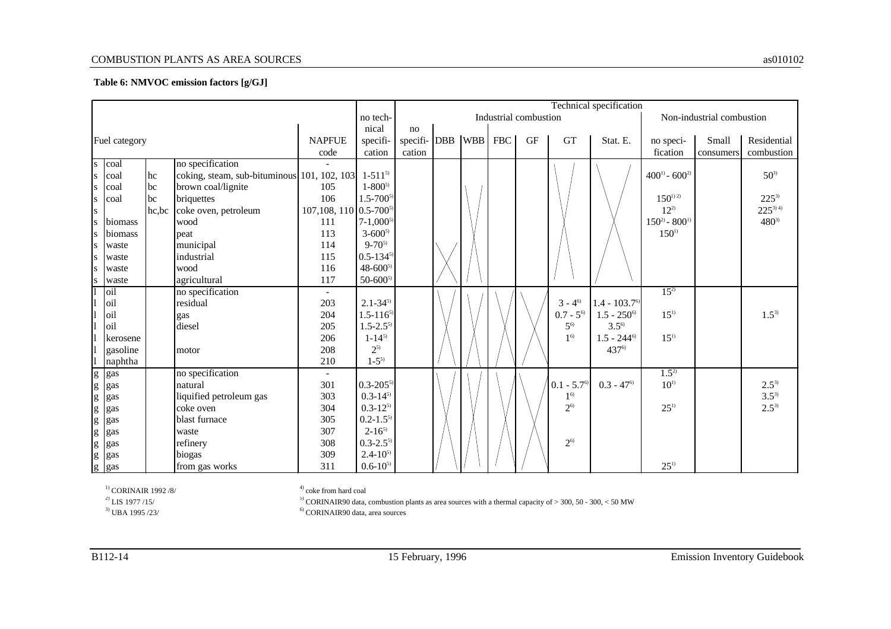#### COMBUSTION PLANTS AS AREA SOURCES as010102

#### **Table 6: NMVOC emission factors [g/GJ]**

|                                                                                                                                                                                                                                                                                                                                                                                                                                |                                  |            |                                             |                                    |                 |                  | Technical specification |  |     |                       |                     |                            |                       |                           |                         |
|--------------------------------------------------------------------------------------------------------------------------------------------------------------------------------------------------------------------------------------------------------------------------------------------------------------------------------------------------------------------------------------------------------------------------------|----------------------------------|------------|---------------------------------------------|------------------------------------|-----------------|------------------|-------------------------|--|-----|-----------------------|---------------------|----------------------------|-----------------------|---------------------------|-------------------------|
|                                                                                                                                                                                                                                                                                                                                                                                                                                |                                  |            |                                             |                                    | no tech-        |                  |                         |  |     | Industrial combustion |                     |                            |                       | Non-industrial combustion |                         |
|                                                                                                                                                                                                                                                                                                                                                                                                                                |                                  |            |                                             |                                    | nical           | no               |                         |  |     |                       |                     |                            |                       |                           |                         |
|                                                                                                                                                                                                                                                                                                                                                                                                                                | Fuel category                    |            |                                             | <b>NAPFUE</b>                      | specifi-        | specifi- DBB WBB |                         |  | FBC | <b>GF</b>             | <b>GT</b>           | Stat. E.                   | no speci-             | Small                     | Residential             |
|                                                                                                                                                                                                                                                                                                                                                                                                                                |                                  |            |                                             | code                               | cation          | cation           |                         |  |     |                       |                     |                            | fication              | consumers                 | combustion              |
| s                                                                                                                                                                                                                                                                                                                                                                                                                              | coal                             |            | no specification                            |                                    |                 |                  |                         |  |     |                       |                     |                            |                       |                           |                         |
| S                                                                                                                                                                                                                                                                                                                                                                                                                              | coal                             | hc         | coking, steam, sub-bituminous 101, 102, 103 |                                    | $1 - 511^{5}$   |                  |                         |  |     |                       |                     |                            | $400^{11} - 600^{21}$ |                           | $50^{3}$                |
| S                                                                                                                                                                                                                                                                                                                                                                                                                              | coal                             | bc         | brown coal/lignite                          | 105                                | $1 - 800^{5}$   |                  |                         |  |     |                       |                     |                            |                       |                           |                         |
| S                                                                                                                                                                                                                                                                                                                                                                                                                              | coal                             | <b>lbc</b> | briquettes                                  | 106                                | $1.5 - 700^{5}$ |                  |                         |  |     |                       |                     |                            | $150^{12}$            |                           | $225^{3}$               |
| S                                                                                                                                                                                                                                                                                                                                                                                                                              |                                  | hc,bc      | coke oven, petroleum                        | 107,108, 110 0.5-700 <sup>5)</sup> |                 |                  |                         |  |     |                       |                     |                            | $12^{2}$              |                           | $225^{3}$ <sup>4)</sup> |
| ${\bf S}$                                                                                                                                                                                                                                                                                                                                                                                                                      | biomass                          |            | wood                                        | 111                                | $7-1,000^{5}$   |                  |                         |  |     |                       |                     |                            | $150^{20} - 800^{10}$ |                           | $480^{3}$               |
| S                                                                                                                                                                                                                                                                                                                                                                                                                              | biomass                          |            | peat                                        | 113                                | $3 - 600^{5}$   |                  |                         |  |     |                       |                     |                            | $150^{1}$             |                           |                         |
| s                                                                                                                                                                                                                                                                                                                                                                                                                              | waste                            |            | municipal                                   | 114                                | $9 - 70^{5}$    |                  |                         |  |     |                       |                     |                            |                       |                           |                         |
| S                                                                                                                                                                                                                                                                                                                                                                                                                              | waste                            |            | industrial                                  | 115                                | $0.5 - 134^{5}$ |                  |                         |  |     |                       |                     |                            |                       |                           |                         |
| S                                                                                                                                                                                                                                                                                                                                                                                                                              | waste                            |            | wood                                        | 116                                | $48 - 600^{5}$  |                  |                         |  |     |                       |                     |                            |                       |                           |                         |
| ${\bf S}$                                                                                                                                                                                                                                                                                                                                                                                                                      | waste                            |            | agricultural                                | 117                                | $50 - 600^{5}$  |                  |                         |  |     |                       |                     |                            |                       |                           |                         |
|                                                                                                                                                                                                                                                                                                                                                                                                                                | oil                              |            | no specification                            |                                    |                 |                  |                         |  |     |                       |                     |                            | $15^{2}$              |                           |                         |
|                                                                                                                                                                                                                                                                                                                                                                                                                                | oil                              |            | residual                                    | 203                                | $2.1 - 34^{5}$  |                  |                         |  |     |                       | $3 - 4^{6}$         | $1.4 - 103.7$ <sup>6</sup> |                       |                           |                         |
|                                                                                                                                                                                                                                                                                                                                                                                                                                | oil                              |            | gas                                         | 204                                | $1.5 - 116^{5}$ |                  |                         |  |     |                       | $0.7 - 5^{6}$       | $1.5 - 250^{\circ}$        | $15^{11}$             |                           | $1.5^{3}$               |
|                                                                                                                                                                                                                                                                                                                                                                                                                                | oil                              |            | diesel                                      | 205                                | $1.5 - 2.5^{5}$ |                  |                         |  |     |                       | $5^{6}$             | $3.5^{6}$                  |                       |                           |                         |
|                                                                                                                                                                                                                                                                                                                                                                                                                                | kerosene                         |            |                                             | 206                                | $1 - 14^{5}$    |                  |                         |  |     |                       | 1 <sup>6</sup>      | $1.5 - 244^{\circ}$        | $15^{1}$              |                           |                         |
|                                                                                                                                                                                                                                                                                                                                                                                                                                | gasoline                         |            | motor                                       | 208                                | $2^{5}$         |                  |                         |  |     |                       |                     | 437 <sup>6)</sup>          |                       |                           |                         |
|                                                                                                                                                                                                                                                                                                                                                                                                                                | naphtha                          |            |                                             | 210                                | $1 - 5^{5}$     |                  |                         |  |     |                       |                     |                            |                       |                           |                         |
| $\mathbf{g}% _{T}=\mathbf{g}_{T}=\mathbf{g}_{T}=\mathbf{g}_{T}=\mathbf{g}_{T}=\mathbf{g}_{T}=\mathbf{g}_{T}=\mathbf{g}_{T}=\mathbf{g}_{T}=\mathbf{g}_{T}=\mathbf{g}_{T}=\mathbf{g}_{T}=\mathbf{g}_{T}=\mathbf{g}_{T}=\mathbf{g}_{T}=\mathbf{g}_{T}=\mathbf{g}_{T}=\mathbf{g}_{T}=\mathbf{g}_{T}=\mathbf{g}_{T}=\mathbf{g}_{T}=\mathbf{g}_{T}=\mathbf{g}_{T}=\mathbf{g}_{T}=\mathbf{g}_{T}=\mathbf{g}_{T}=\mathbf{g}_{T}=\math$ | gas                              |            | no specification                            |                                    |                 |                  |                         |  |     |                       |                     |                            | $1.5^{2}$             |                           |                         |
| $\frac{g}{g}$                                                                                                                                                                                                                                                                                                                                                                                                                  | gas                              |            | natural                                     | 301                                | $0.3 - 205^{5}$ |                  |                         |  |     |                       | $0.1 - 5.7^{\circ}$ | $0.3 - 47$ <sup>6</sup>    | $10^{11}$             |                           | $2.5^{3}$               |
|                                                                                                                                                                                                                                                                                                                                                                                                                                | gas                              |            | liquified petroleum gas                     | 303                                | $0.3 - 14^{5}$  |                  |                         |  |     |                       | 1 <sup>6</sup>      |                            |                       |                           | $3.5^{3}$               |
| $\mathbf{g}% _{T}=\mathbf{g}_{T}=\mathbf{g}_{T}=\mathbf{g}_{T}=\mathbf{g}_{T}=\mathbf{g}_{T}=\mathbf{g}_{T}=\mathbf{g}_{T}=\mathbf{g}_{T}=\mathbf{g}_{T}=\mathbf{g}_{T}=\mathbf{g}_{T}=\mathbf{g}_{T}=\mathbf{g}_{T}=\mathbf{g}_{T}=\mathbf{g}_{T}=\mathbf{g}_{T}=\mathbf{g}_{T}=\mathbf{g}_{T}=\mathbf{g}_{T}=\mathbf{g}_{T}=\mathbf{g}_{T}=\mathbf{g}_{T}=\mathbf{g}_{T}=\mathbf{g}_{T}=\mathbf{g}_{T}=\mathbf{g}_{T}=\math$ | gas                              |            | coke oven                                   | 304                                | $0.3 - 12^{5}$  |                  |                         |  |     |                       | $2^{6}$             |                            | $25^{11}$             |                           | $2.5^{3}$               |
| $\mathbf{g}% _{T}=\mathbf{g}_{T}$                                                                                                                                                                                                                                                                                                                                                                                              | gas                              |            | blast furnace                               | 305                                | $0.2 - 1.5^{5}$ |                  |                         |  |     |                       |                     |                            |                       |                           |                         |
|                                                                                                                                                                                                                                                                                                                                                                                                                                |                                  |            | waste                                       | 307                                | $2 - 16^{5}$    |                  |                         |  |     |                       |                     |                            |                       |                           |                         |
|                                                                                                                                                                                                                                                                                                                                                                                                                                | g gas<br>g gas<br>g gas<br>g gas |            | refinery                                    | 308                                | $0.3 - 2.55$    |                  |                         |  |     |                       | $2^{6}$             |                            |                       |                           |                         |
|                                                                                                                                                                                                                                                                                                                                                                                                                                |                                  |            | biogas                                      | 309                                | $2.4 - 10^{5}$  |                  |                         |  |     |                       |                     |                            |                       |                           |                         |
|                                                                                                                                                                                                                                                                                                                                                                                                                                |                                  |            | from gas works                              | 311                                | $0.6 - 10^{5}$  |                  |                         |  |     |                       |                     |                            | $25^{11}$             |                           |                         |

<sup>1)</sup> CORINAIR 1992 /8/  $^{(4)}$  coke from hard coal <sup>2)</sup> LIS 1977 /15/  $^{(5)}$  CORINAIR90 data,  $^{(6)}$  CORINAIR90 data,  $^{(6)}$  CORINAIR90 data, <sup>5)</sup> CORINAIR90 data, combustion plants as area sources with a thermal capacity of  $>$  300, 50 - 300, < 50 MW

 $^{6)}$  CORINAIR90 data, area sources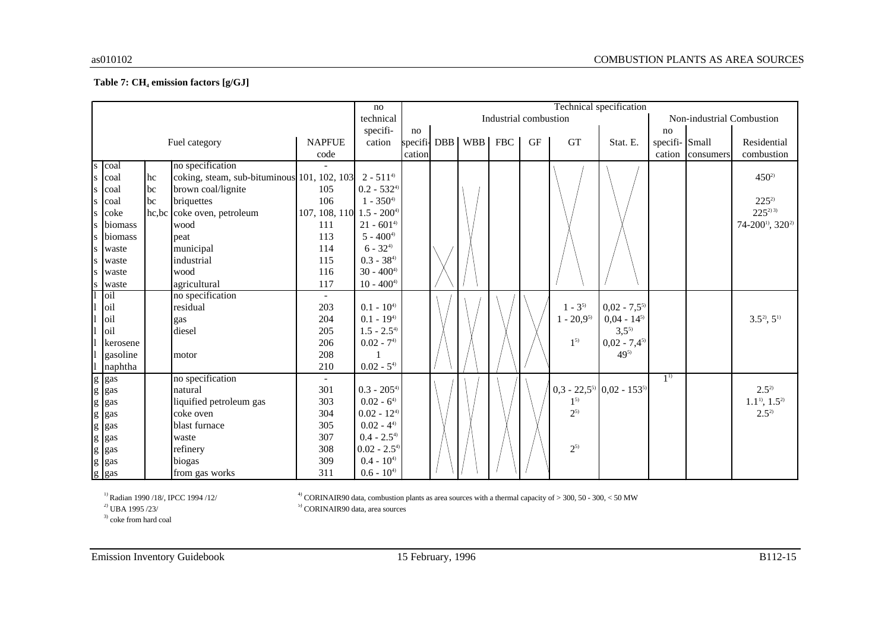#### **Table 7: CH<sup>4</sup> emission factors [g/GJ]**

|                                                                                                                                                                                                                                                                                                                                                                                                                                |                    |    |                                                           |                                      | no              | Technical specification |  |                   |                       |           |                |                                   |                |           |                                         |
|--------------------------------------------------------------------------------------------------------------------------------------------------------------------------------------------------------------------------------------------------------------------------------------------------------------------------------------------------------------------------------------------------------------------------------|--------------------|----|-----------------------------------------------------------|--------------------------------------|-----------------|-------------------------|--|-------------------|-----------------------|-----------|----------------|-----------------------------------|----------------|-----------|-----------------------------------------|
|                                                                                                                                                                                                                                                                                                                                                                                                                                |                    |    |                                                           |                                      | technical       |                         |  |                   | Industrial combustion |           |                |                                   |                |           | Non-industrial Combustion               |
|                                                                                                                                                                                                                                                                                                                                                                                                                                |                    |    |                                                           |                                      | specifi-        | no                      |  |                   |                       |           |                |                                   | no             |           |                                         |
|                                                                                                                                                                                                                                                                                                                                                                                                                                |                    |    | Fuel category                                             | <b>NAPFUE</b>                        | cation          |                         |  | specifi-DBB   WBB | <b>FBC</b>            | <b>GF</b> | <b>GT</b>      | Stat. E.                          | specifi- Small |           | Residential                             |
|                                                                                                                                                                                                                                                                                                                                                                                                                                |                    |    |                                                           | code                                 |                 | cation                  |  |                   |                       |           |                |                                   | cation         | consumers | combustion                              |
| S                                                                                                                                                                                                                                                                                                                                                                                                                              | coal               |    | no specification                                          |                                      |                 |                         |  |                   |                       |           |                |                                   |                |           |                                         |
|                                                                                                                                                                                                                                                                                                                                                                                                                                | coal               | hc | coking, steam, sub-bituminous 101, 102, 103 $2 - 511^{4}$ |                                      |                 |                         |  |                   |                       |           |                |                                   |                |           | $450^{2}$                               |
|                                                                                                                                                                                                                                                                                                                                                                                                                                | coal               | bc | brown coal/lignite                                        | 105                                  | $0.2 - 532^{4}$ |                         |  |                   |                       |           |                |                                   |                |           |                                         |
|                                                                                                                                                                                                                                                                                                                                                                                                                                | coal               | bc | briquettes                                                | 106                                  | $1 - 350^{4}$   |                         |  |                   |                       |           |                |                                   |                |           | $225^{2}$                               |
|                                                                                                                                                                                                                                                                                                                                                                                                                                | <b>c</b> oke       |    | hc,bc coke oven, petroleum                                | 107, 108, 110 $1.5 - 200^{\text{4}}$ |                 |                         |  |                   |                       |           |                |                                   |                |           | $225^{2}$                               |
|                                                                                                                                                                                                                                                                                                                                                                                                                                | biomass            |    | wood                                                      | 111                                  | $21 - 601^{4}$  |                         |  |                   |                       |           |                |                                   |                |           | 74-200 <sup>1</sup> , 320 <sup>2)</sup> |
|                                                                                                                                                                                                                                                                                                                                                                                                                                | biomass            |    | peat                                                      | 113                                  | $5 - 400^{4}$   |                         |  |                   |                       |           |                |                                   |                |           |                                         |
| S                                                                                                                                                                                                                                                                                                                                                                                                                              | waste              |    | municipal                                                 | 114                                  | $6 - 32^{4}$    |                         |  |                   |                       |           |                |                                   |                |           |                                         |
|                                                                                                                                                                                                                                                                                                                                                                                                                                | waste              |    | industrial                                                | 115                                  | $0.3 - 38^{4}$  |                         |  |                   |                       |           |                |                                   |                |           |                                         |
|                                                                                                                                                                                                                                                                                                                                                                                                                                | waste              |    | wood                                                      | 116                                  | $30 - 4004$     |                         |  |                   |                       |           |                |                                   |                |           |                                         |
|                                                                                                                                                                                                                                                                                                                                                                                                                                | waste              |    | agricultural                                              | 117                                  | $10 - 400^{4}$  |                         |  |                   |                       |           |                |                                   |                |           |                                         |
|                                                                                                                                                                                                                                                                                                                                                                                                                                | oil                |    | no specification                                          |                                      |                 |                         |  |                   |                       |           |                |                                   |                |           |                                         |
|                                                                                                                                                                                                                                                                                                                                                                                                                                | oil                |    | residual                                                  | 203                                  | $0.1 - 10^{4}$  |                         |  |                   |                       |           | $1 - 3^{5}$    | $0,02 - 7,5^{5}$                  |                |           |                                         |
|                                                                                                                                                                                                                                                                                                                                                                                                                                | oil                |    | gas                                                       | 204                                  | $0.1 - 194$     |                         |  |                   |                       |           | $1 - 20,9^{5}$ | $0,04 - 14^{5}$                   |                |           | $3.5^2, 5^1$                            |
|                                                                                                                                                                                                                                                                                                                                                                                                                                | oil                |    | diesel                                                    | 205                                  | $1.5 - 2.54$    |                         |  |                   |                       |           |                | $3,5^{5}$                         |                |           |                                         |
|                                                                                                                                                                                                                                                                                                                                                                                                                                | kerosene           |    |                                                           | 206                                  | $0.02 - 74$     |                         |  |                   |                       |           | $1^{5}$        | $0,02 - 7,4^{5}$                  |                |           |                                         |
|                                                                                                                                                                                                                                                                                                                                                                                                                                | gasoline           |    | motor                                                     | 208                                  |                 |                         |  |                   |                       |           |                | 495)                              |                |           |                                         |
|                                                                                                                                                                                                                                                                                                                                                                                                                                | naphtha            |    |                                                           | 210                                  | $0.02 - 54$     |                         |  |                   |                       |           |                |                                   |                |           |                                         |
|                                                                                                                                                                                                                                                                                                                                                                                                                                | g gas              |    | no specification                                          |                                      |                 |                         |  |                   |                       |           |                |                                   | $1^{1}$        |           |                                         |
|                                                                                                                                                                                                                                                                                                                                                                                                                                | g gas              |    | natural                                                   | 301                                  | $0.3 - 2054$    |                         |  |                   |                       |           |                | $0,3 - 22,5^{5}$ $0,02 - 153^{5}$ |                |           | $2.5^{2}$                               |
| $\mathbf{g}% _{T}=\mathbf{g}_{T}=\mathbf{g}_{T}=\mathbf{g}_{T}=\mathbf{g}_{T}=\mathbf{g}_{T}=\mathbf{g}_{T}=\mathbf{g}_{T}=\mathbf{g}_{T}=\mathbf{g}_{T}=\mathbf{g}_{T}=\mathbf{g}_{T}=\mathbf{g}_{T}=\mathbf{g}_{T}=\mathbf{g}_{T}=\mathbf{g}_{T}=\mathbf{g}_{T}=\mathbf{g}_{T}=\mathbf{g}_{T}=\mathbf{g}_{T}=\mathbf{g}_{T}=\mathbf{g}_{T}=\mathbf{g}_{T}=\mathbf{g}_{T}=\mathbf{g}_{T}=\mathbf{g}_{T}=\mathbf{g}_{T}=\math$ | gas                |    | liquified petroleum gas                                   | 303                                  | $0.02 - 64$     |                         |  |                   |                       |           | $1^{5}$        |                                   |                |           | $1.1^{11}, 1.5^{21}$                    |
| g                                                                                                                                                                                                                                                                                                                                                                                                                              | gas                |    | coke oven                                                 | 304                                  | $0.02 - 124$    |                         |  |                   |                       |           | $2^{5}$        |                                   |                |           | $2.5^{2}$                               |
|                                                                                                                                                                                                                                                                                                                                                                                                                                | g gas              |    | blast furnace                                             | 305                                  | $0.02 - 44$     |                         |  |                   |                       |           |                |                                   |                |           |                                         |
|                                                                                                                                                                                                                                                                                                                                                                                                                                | $g$ gas            |    | waste                                                     | 307                                  | $0.4 - 2.54$    |                         |  |                   |                       |           |                |                                   |                |           |                                         |
| $\boldsymbol{g}$                                                                                                                                                                                                                                                                                                                                                                                                               | gas                |    | refinery                                                  | 308                                  | $0.02 - 2.54$   |                         |  |                   |                       |           | $2^{5}$        |                                   |                |           |                                         |
|                                                                                                                                                                                                                                                                                                                                                                                                                                |                    |    | biogas                                                    | 309                                  | $0.4 - 10^{4}$  |                         |  |                   |                       |           |                |                                   |                |           |                                         |
|                                                                                                                                                                                                                                                                                                                                                                                                                                | $g$ gas<br>$g$ gas |    | from gas works                                            | 311                                  | $0.6 - 10^{4}$  |                         |  |                   |                       |           |                |                                   |                |           |                                         |

 $\sp{^{1)}}$  Radian 1990 /18/, IPCC 1994 /12/  $\sp{^{2)}}$  UBA 1995 /23/

<sup>4)</sup> CORINAIR90 data, combustion plants as area sources with a thermal capacity of  $>$  300, 50 - 300, < 50 MW <sup>5)</sup> CORINAIR90 data, area sources

<sup>3)</sup> coke from hard coal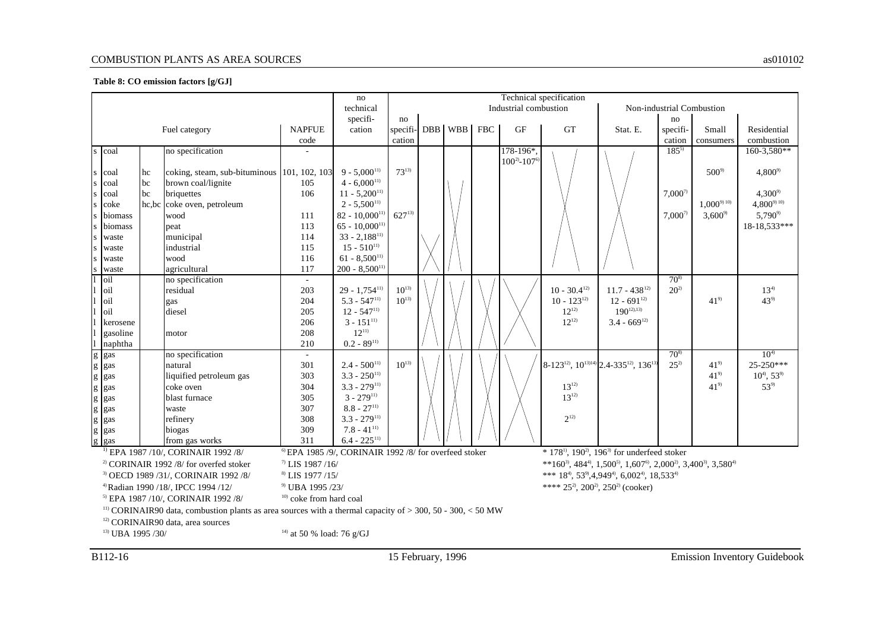#### COMBUSTION PLANTS AS AREA SOURCES as010102

#### **Table 8: CO emission factors [g/GJ]**

|                                                                                |                                                                                                                         |    |                                                |               | no                                                                |            |         |                                                                                                                                                |                                                                                                   | Technical specification   |                                                                                      |             |                 |                            |
|--------------------------------------------------------------------------------|-------------------------------------------------------------------------------------------------------------------------|----|------------------------------------------------|---------------|-------------------------------------------------------------------|------------|---------|------------------------------------------------------------------------------------------------------------------------------------------------|---------------------------------------------------------------------------------------------------|---------------------------|--------------------------------------------------------------------------------------|-------------|-----------------|----------------------------|
|                                                                                |                                                                                                                         |    |                                                |               | technical                                                         |            |         |                                                                                                                                                | Industrial combustion                                                                             | Non-industrial Combustion |                                                                                      |             |                 |                            |
|                                                                                |                                                                                                                         |    |                                                |               | specifi-                                                          | no         |         |                                                                                                                                                |                                                                                                   |                           |                                                                                      | no          |                 |                            |
|                                                                                |                                                                                                                         |    | Fuel category                                  | <b>NAPFUE</b> | cation                                                            | specifi-   | DBB WBB | <b>FBC</b>                                                                                                                                     | <b>GF</b>                                                                                         | GT                        | Stat. E.                                                                             | specifi-    | Small           | Residential                |
|                                                                                |                                                                                                                         |    |                                                | code          |                                                                   | cation     |         |                                                                                                                                                |                                                                                                   |                           |                                                                                      | cation      | consumers       | combustion                 |
|                                                                                | s coal                                                                                                                  |    | no specification                               |               |                                                                   |            |         |                                                                                                                                                | $178-196*$                                                                                        |                           |                                                                                      | $185^{5}$   |                 | 160-3,580**                |
|                                                                                |                                                                                                                         |    |                                                |               |                                                                   |            |         |                                                                                                                                                | $100^{2} - 107$ <sup>6)</sup>                                                                     |                           |                                                                                      |             |                 |                            |
|                                                                                | s coal                                                                                                                  | hc | coking, steam, sub-bituminous 101, 102, 103    |               | $9 - 5.000^{11}$                                                  | $73^{13}$  |         |                                                                                                                                                |                                                                                                   |                           |                                                                                      |             | $500^{9}$       | $4,800^{9}$                |
| S.                                                                             | coal                                                                                                                    | bc | brown coal/lignite                             | 105           | $4 - 6,000^{11}$                                                  |            |         |                                                                                                                                                |                                                                                                   |                           |                                                                                      |             |                 |                            |
|                                                                                | s coal                                                                                                                  | bc | briquettes                                     | 106           | $11 - 5,200^{11}$                                                 |            |         |                                                                                                                                                |                                                                                                   |                           |                                                                                      | $7,000^{7}$ |                 | $4,300^{\circ}$            |
|                                                                                | s coke                                                                                                                  |    | hc, bc coke oven, petroleum                    |               | $2 - 5,500^{11}$                                                  |            |         |                                                                                                                                                |                                                                                                   |                           |                                                                                      |             | $1,000^{9010}$  | $4,800^{9010}$             |
|                                                                                | biomass                                                                                                                 |    | wood                                           | 111           | $82 - 10,000$ <sup>11</sup>                                       | $627^{13}$ |         |                                                                                                                                                |                                                                                                   |                           |                                                                                      | $7,000^{7}$ | $3,600^{\circ}$ | $5,790^{\circ}$            |
|                                                                                | biomass                                                                                                                 |    | peat                                           | 113           | $65 - 10,000^{11}$                                                |            |         |                                                                                                                                                |                                                                                                   |                           |                                                                                      |             |                 | 18-18,533***               |
| S                                                                              | waste                                                                                                                   |    | municipal                                      | 114           | $33 - 2,188$ <sup>11)</sup>                                       |            |         |                                                                                                                                                |                                                                                                   |                           |                                                                                      |             |                 |                            |
| <sub>S</sub>                                                                   | waste                                                                                                                   |    | industrial                                     | 115           | $15 - 510^{11}$                                                   |            |         |                                                                                                                                                |                                                                                                   |                           |                                                                                      |             |                 |                            |
| <sub>S</sub>                                                                   | waste                                                                                                                   |    | wood                                           | 116           | $61 - 8,500^{11}$                                                 |            |         |                                                                                                                                                |                                                                                                   |                           |                                                                                      |             |                 |                            |
|                                                                                | waste                                                                                                                   |    | agricultural                                   | 117           | $200 - 8,500^{11}$                                                |            |         |                                                                                                                                                |                                                                                                   |                           |                                                                                      |             |                 |                            |
|                                                                                | oil                                                                                                                     |    | no specification                               |               |                                                                   |            |         |                                                                                                                                                |                                                                                                   |                           |                                                                                      | $70^{8}$    |                 |                            |
|                                                                                | loil                                                                                                                    |    | residual                                       | 203           | $29 - 1.754$ <sup>11)</sup>                                       | $10^{13}$  |         |                                                                                                                                                |                                                                                                   | $10 - 30.4^{12}$          | $11.7 - 438^{12}$                                                                    | $20^{2}$    |                 | $13^{4)}$                  |
|                                                                                | oil                                                                                                                     |    | gas                                            | 204           | $5.3 - 547^{11}$                                                  | $10^{13}$  |         |                                                                                                                                                |                                                                                                   | $10 - 123^{12}$           | $12 - 691^{12}$                                                                      |             | $41^{9}$        | $43^{9}$                   |
|                                                                                | oil                                                                                                                     |    | diesel                                         | 205           | $12 - 547^{11}$                                                   |            |         |                                                                                                                                                |                                                                                                   | $12^{12}$                 | $190^{12,13}$                                                                        |             |                 |                            |
|                                                                                | kerosene                                                                                                                |    |                                                | 206           | $3 - 151^{11}$                                                    |            |         |                                                                                                                                                |                                                                                                   | $12^{12}$                 | $3.4 - 669^{12}$                                                                     |             |                 |                            |
|                                                                                | gasoline                                                                                                                |    | motor                                          | 208           | $12^{11}$                                                         |            |         |                                                                                                                                                |                                                                                                   |                           |                                                                                      |             |                 |                            |
|                                                                                | naphtha                                                                                                                 |    |                                                | 210           | $0.2 - 89^{11}$                                                   |            |         |                                                                                                                                                |                                                                                                   |                           |                                                                                      |             |                 |                            |
|                                                                                | g gas                                                                                                                   |    | no specification                               | $\sim$        |                                                                   |            |         |                                                                                                                                                |                                                                                                   |                           |                                                                                      | $70^{8}$    |                 | $10^{4}$                   |
|                                                                                | g gas                                                                                                                   |    | natural                                        | 301           | $2.4 - 500^{11}$                                                  | $10^{13}$  |         |                                                                                                                                                |                                                                                                   |                           | 8-123 <sup>12</sup> , 10 <sup>13)14)</sup> 2.4-335 <sup>12</sup> , 136 <sup>13</sup> | $25^{2}$    | $41^{9}$        | $25-250***$                |
|                                                                                | g gas                                                                                                                   |    | liquified petroleum gas                        | 303           | $3.3 - 250^{11}$                                                  |            |         |                                                                                                                                                |                                                                                                   |                           |                                                                                      |             | $41^{9}$        | $10^{4}$ , 53 <sup>9</sup> |
|                                                                                | g gas                                                                                                                   |    | coke oven                                      | 304           | $3.3 - 279^{11}$                                                  |            |         |                                                                                                                                                |                                                                                                   | $13^{12}$                 |                                                                                      |             | $41^{9}$        | $53^{9}$                   |
|                                                                                | g gas                                                                                                                   |    | blast furnace                                  | 305           | $3 - 279^{11}$                                                    |            |         |                                                                                                                                                |                                                                                                   | $13^{12}$                 |                                                                                      |             |                 |                            |
| $\mathbf{g}$                                                                   | gas                                                                                                                     |    | waste                                          | 307           | $8.8 - 27^{11}$                                                   |            |         |                                                                                                                                                |                                                                                                   |                           |                                                                                      |             |                 |                            |
|                                                                                | g gas                                                                                                                   |    | refinery                                       | 308           | $3.3 - 279^{11}$                                                  |            |         |                                                                                                                                                |                                                                                                   | $2^{12}$                  |                                                                                      |             |                 |                            |
|                                                                                | g gas                                                                                                                   |    | biogas                                         | 309           | $7.8 - 41^{11}$                                                   |            |         |                                                                                                                                                |                                                                                                   |                           |                                                                                      |             |                 |                            |
|                                                                                | g gas                                                                                                                   |    | from gas works                                 | 311           | $6.4 - 225^{11}$                                                  |            |         |                                                                                                                                                |                                                                                                   |                           |                                                                                      |             |                 |                            |
|                                                                                |                                                                                                                         |    | <sup>1)</sup> EPA 1987 /10/, CORINAIR 1992 /8/ |               | <sup>6)</sup> EPA 1985 /9/, CORINAIR 1992 /8/ for overfeed stoker |            |         |                                                                                                                                                |                                                                                                   |                           | $*$ 178 <sup>1</sup> , 190 <sup>2</sup> , 196 <sup>3</sup> for underfeed stoker      |             |                 |                            |
| $2)$ CORINAIR 1992 /8/ for overfed stoker<br>$^{7}$ LIS 1987/16/               |                                                                                                                         |    |                                                |               |                                                                   |            |         | **160 <sup>3</sup> , 484 <sup>4</sup> , 1,500 <sup>5</sup> , 1,607 <sup>6</sup> , 2,000 <sup>2</sup> , 3,400 <sup>3</sup> , 3,580 <sup>4</sup> |                                                                                                   |                           |                                                                                      |             |                 |                            |
| <sup>8)</sup> LIS 1977 /15/<br><sup>3)</sup> OECD 1989 /31/, CORINAIR 1992 /8/ |                                                                                                                         |    |                                                |               |                                                                   |            |         |                                                                                                                                                | *** $18^{4}$ , 53 <sup>9</sup> , 4, 949 <sup>4</sup> , 6, 002 <sup>4</sup> , 18, 533 <sup>4</sup> |                           |                                                                                      |             |                 |                            |
|                                                                                | <sup>9)</sup> UBA 1995 /23/<br><sup>4)</sup> Radian 1990 /18/, IPCC 1994 /12/                                           |    |                                                |               |                                                                   |            |         | **** $25^2$ , $200^2$ , $250^2$ (cooker)                                                                                                       |                                                                                                   |                           |                                                                                      |             |                 |                            |
| $10)$ coke from hard coal<br><sup>5)</sup> EPA 1987 /10/, CORINAIR 1992 /8/    |                                                                                                                         |    |                                                |               |                                                                   |            |         |                                                                                                                                                |                                                                                                   |                           |                                                                                      |             |                 |                            |
|                                                                                | <sup>11)</sup> CORINAIR90 data, combustion plants as area sources with a thermal capacity of $>$ 300, 50 - 300, < 50 MW |    |                                                |               |                                                                   |            |         |                                                                                                                                                |                                                                                                   |                           |                                                                                      |             |                 |                            |
|                                                                                | <sup>12)</sup> CORINAIR90 data, area sources                                                                            |    |                                                |               |                                                                   |            |         |                                                                                                                                                |                                                                                                   |                           |                                                                                      |             |                 |                            |
|                                                                                |                                                                                                                         |    |                                                |               |                                                                   |            |         |                                                                                                                                                |                                                                                                   |                           |                                                                                      |             |                 |                            |
| $^{14)}$ at 50 % load: 76 g/GJ<br><sup>13)</sup> UBA 1995 /30/                 |                                                                                                                         |    |                                                |               |                                                                   |            |         |                                                                                                                                                |                                                                                                   |                           |                                                                                      |             |                 |                            |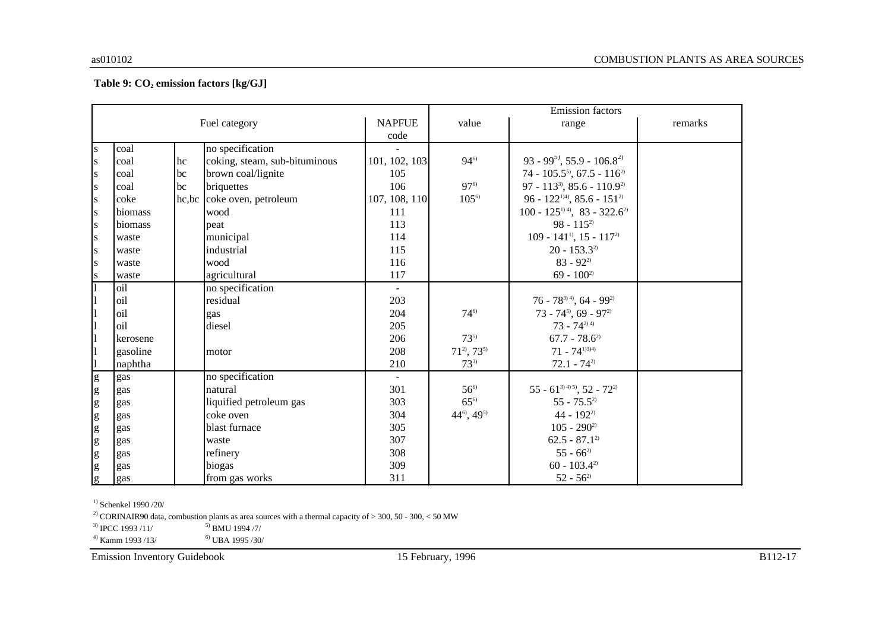#### **Table 9: CO<sup>2</sup> emission factors [kg/GJ]**

|                |          |    |                               |                |                             | <b>Emission</b> factors                             |         |
|----------------|----------|----|-------------------------------|----------------|-----------------------------|-----------------------------------------------------|---------|
|                |          |    | Fuel category                 | <b>NAPFUE</b>  | value                       | range                                               | remarks |
|                |          |    |                               | code           |                             |                                                     |         |
| ${\bf S}$      | coal     |    | no specification              |                |                             |                                                     |         |
| ${\bf S}$      | coal     | hc | coking, steam, sub-bituminous | 101, 102, 103  | $94^{6}$                    | 93 - 99 <sup>5</sup> , 55.9 - 106.8 <sup>2</sup>    |         |
| ${\bf S}$      | coal     | bc | brown coal/lignite            | 105            |                             | 74 - 105.5 <sup>5</sup> , 67.5 - 116 <sup>2</sup>   |         |
| ${\bf S}$      | coal     | bc | briquettes                    | 106            | $97^{6}$                    | 97 - 113 <sup>3</sup> , 85.6 - 110.9 <sup>2)</sup>  |         |
| ${\bf S}$      | coke     |    | hc, bc coke oven, petroleum   | 107, 108, 110  | $105^{\circ}$               | 96 - 122 <sup>1)4)</sup> , 85.6 - 151 <sup>2)</sup> |         |
| ${\bf S}$      | biomass  |    | wood                          | 111            |                             | $100 - 125^{114}$ , 83 - 322.6 <sup>2</sup>         |         |
| ${\bf S}$      | biomass  |    | peat                          | 113            |                             | $98 - 115^{2}$                                      |         |
| ${\bf S}$      | waste    |    | municipal                     | 114            |                             | $109 - 141^{11}$ , 15 - $117^{21}$                  |         |
| ${\bf S}$      | waste    |    | industrial                    | 115            |                             | $20 - 153.3^{2}$                                    |         |
| ${\bf S}$      | waste    |    | wood                          | 116            |                             | $83 - 92^{2}$                                       |         |
| ${\bf S}$      | waste    |    | agricultural                  | 117            |                             | $69 - 100^{2}$                                      |         |
|                | oil      |    | no specification              | $\blacksquare$ |                             |                                                     |         |
| $\mathbf{1}$   | oil      |    | residual                      | 203            |                             | $76 - 78^{3,4}$ , 64 - 99 <sup>2)</sup>             |         |
|                | oil      |    | gas                           | 204            | $74^{6}$                    | $73 - 74^{5}$ , 69 - 97 <sup>2</sup>                |         |
|                | oil      |    | diesel                        | 205            |                             | $73 - 74^{2(4)}$                                    |         |
| $\mathbf{1}$   | kerosene |    |                               | 206            | $73^{5}$                    | $67.7 - 78.6^{2}$                                   |         |
| $\mathbf{1}$   | gasoline |    | motor                         | 208            | $71^{2}$ , $73^{5}$         | $71 - 74^{1334}$                                    |         |
|                | naphtha  |    |                               | 210            | $73^{3}$                    | $72.1 - 74^{2}$                                     |         |
| g              | gas      |    | no specification              | $\blacksquare$ |                             |                                                     |         |
| $\mathbf{g}$   | gas      |    | natural                       | 301            | $56^{6}$                    | $55 - 61^{3(4)5}$ , 52 - 72 <sup>2</sup>            |         |
| g              | gas      |    | liquified petroleum gas       | 303            | $65^{\circ}$                | $55 - 75.5^{2}$                                     |         |
| g              | gas      |    | coke oven                     | 304            | $44^{\circ}$ , $49^{\circ}$ | 44 - $192^{2}$                                      |         |
| g              | gas      |    | blast furnace                 | 305            |                             | $105 - 290^{2}$                                     |         |
| g              | gas      |    | waste                         | 307            |                             | $62.5 - 87.1^{2}$                                   |         |
| g              | gas      |    | refinery                      | 308            |                             | $55 - 66^{2}$                                       |         |
| $\mathbf{g}$   | gas      |    | biogas                        | 309            |                             | $60 - 103.42$                                       |         |
| $\overline{g}$ | gas      |    | from gas works                | 311            |                             | $52 - 56^{2}$                                       |         |

<sup>1)</sup> Schenkel 1990 /20/

<sup>2)</sup> CORINAIR90 data, combustion plants as area sources with a thermal capacity of  $>$  300, 50 - 300, < 50 MW

 $^{3)}$  IPCC 1993 /11/  $^{5)}$  BMU 1994 /7/

 $^{4)}$  Kamm 1993 /13/  $^{6)}$  UBA 1995 /30/

Emission Inventory Guidebook 15 February, 1996 B112-17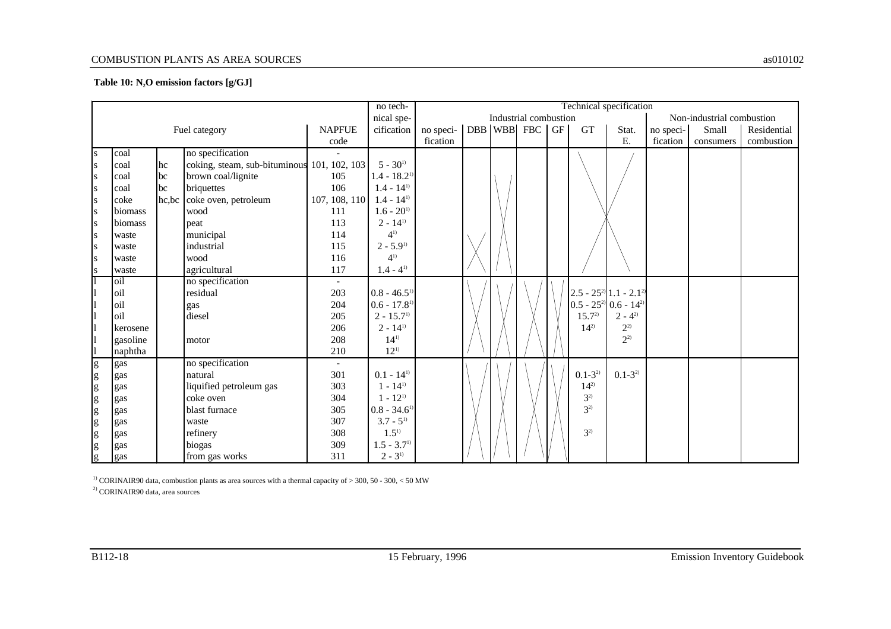#### COMBUSTION PLANTS AS AREA SOURCES as010102

#### **Table 10: N2O emission factors [g/GJ]**

|                      |          |       |                                             |               |                            |                                  | Technical specification<br>no tech-                |  |  |  |                                       |                                      |           |           |             |
|----------------------|----------|-------|---------------------------------------------|---------------|----------------------------|----------------------------------|----------------------------------------------------|--|--|--|---------------------------------------|--------------------------------------|-----------|-----------|-------------|
|                      |          |       |                                             |               | nical spe-                 |                                  | Industrial combustion<br>Non-industrial combustion |  |  |  |                                       |                                      |           |           |             |
|                      |          |       | Fuel category                               | <b>NAPFUE</b> | cification                 | no speci-   DBB   WBB   FBC   GF |                                                    |  |  |  | <b>GT</b>                             | Stat.                                | no speci- | Small     | Residential |
|                      |          |       |                                             | code          |                            | fication                         |                                                    |  |  |  |                                       | E.                                   | fication  | consumers | combustion  |
| S                    | coal     |       | no specification                            |               |                            |                                  |                                                    |  |  |  |                                       |                                      |           |           |             |
| <b>S</b>             | coal     | hc    | coking, steam, sub-bituminous 101, 102, 103 |               | $5 - 30^{11}$              |                                  |                                                    |  |  |  |                                       |                                      |           |           |             |
| <sub>S</sub>         | coal     | bc    | brown coal/lignite                          | 105           | $1.4 - 18.2$ <sup>1)</sup> |                                  |                                                    |  |  |  |                                       |                                      |           |           |             |
| S                    | coal     | bc    | briquettes                                  | 106           | $1.4 - 14^{11}$            |                                  |                                                    |  |  |  |                                       |                                      |           |           |             |
| S                    | coke     | hc,bc | coke oven, petroleum                        | 107, 108, 110 | $1.4 - 14^{11}$            |                                  |                                                    |  |  |  |                                       |                                      |           |           |             |
| <b>S</b>             | biomass  |       | wood                                        | 111           | $1.6 - 201$                |                                  |                                                    |  |  |  |                                       |                                      |           |           |             |
| S                    | biomass  |       | peat                                        | 113           | $2 - 14^{11}$              |                                  |                                                    |  |  |  |                                       |                                      |           |           |             |
| <b>S</b>             | waste    |       | municipal                                   | 114           | $4^{1}$                    |                                  |                                                    |  |  |  |                                       |                                      |           |           |             |
| s                    | waste    |       | industrial                                  | 115           | $2 - 5.9^{1}$              |                                  |                                                    |  |  |  |                                       |                                      |           |           |             |
| <sub>S</sub>         | waste    |       | wood                                        | 116           | $4^{1}$                    |                                  |                                                    |  |  |  |                                       |                                      |           |           |             |
| S                    | waste    |       | agricultural                                | 117           | $1.4 - 4^{11}$             |                                  |                                                    |  |  |  |                                       |                                      |           |           |             |
| 1                    | oil      |       | no specification                            | $ \,$         |                            |                                  |                                                    |  |  |  |                                       |                                      |           |           |             |
| 1                    | oil      |       | residual                                    | 203           | $0.8 - 46.5$ <sup>1)</sup> |                                  |                                                    |  |  |  | $2.5 - 25^{2}$ 1.1 - 2.1 <sup>2</sup> |                                      |           |           |             |
| $\mathbf{1}$         | oil      |       | gas                                         | 204           | $0.6 - 17.8$ <sup>1)</sup> |                                  |                                                    |  |  |  |                                       | $0.5 - 25^{2}$ 0.6 - 14 <sup>2</sup> |           |           |             |
| $\vert$              | oil      |       | diesel                                      | 205           | $2 - 15.7$ <sup>1)</sup>   |                                  |                                                    |  |  |  | $15.7^2$                              | $2 - 4^{2}$                          |           |           |             |
| $\vert$              | kerosene |       |                                             | 206           | $2 - 14^{11}$              |                                  |                                                    |  |  |  | $14^{2}$                              | $2^{2}$                              |           |           |             |
| $\vert$ 1            | gasoline |       | motor                                       | 208           | $14^{1}$                   |                                  |                                                    |  |  |  |                                       | $2^{2}$                              |           |           |             |
| $\vert$              | naphtha  |       |                                             | 210           | $12^{11}$                  |                                  |                                                    |  |  |  |                                       |                                      |           |           |             |
| g                    | gas      |       | no specification                            | $ \,$         |                            |                                  |                                                    |  |  |  |                                       |                                      |           |           |             |
|                      | gas      |       | natural                                     | 301           | $0.1 - 14^{11}$            |                                  |                                                    |  |  |  | $0.1 - 3^{2}$                         | $0.1 - 3^{2}$                        |           |           |             |
|                      | gas      |       | liquified petroleum gas                     | 303           | $1 - 14^{1}$               |                                  |                                                    |  |  |  | $14^{2}$                              |                                      |           |           |             |
|                      | gas      |       | coke oven                                   | 304           | $1 - 12^{11}$              |                                  |                                                    |  |  |  | $3^{2)}$                              |                                      |           |           |             |
|                      | gas      |       | blast furnace                               | 305           | $0.8 - 34.6$ <sup>1)</sup> |                                  |                                                    |  |  |  | $3^{2}$                               |                                      |           |           |             |
| bo on on on on on on | gas      |       | waste                                       | 307           | $3.7 - 5^{1}$              |                                  |                                                    |  |  |  |                                       |                                      |           |           |             |
|                      | gas      |       | refinery                                    | 308           | $1.5^{1}$                  |                                  |                                                    |  |  |  | $3^{2}$                               |                                      |           |           |             |
|                      | gas      |       | biogas                                      | 309           | $1.5 - 3.7$ <sup>1)</sup>  |                                  |                                                    |  |  |  |                                       |                                      |           |           |             |
|                      | gas      |       | from gas works                              | 311           | $2 - 3^{1}$                |                                  |                                                    |  |  |  |                                       |                                      |           |           |             |

<sup>1)</sup> CORINAIR90 data, combustion plants as area sources with a thermal capacity of  $> 300$ , 50 - 300, < 50 MW

<sup>2)</sup> CORINAIR90 data, area sources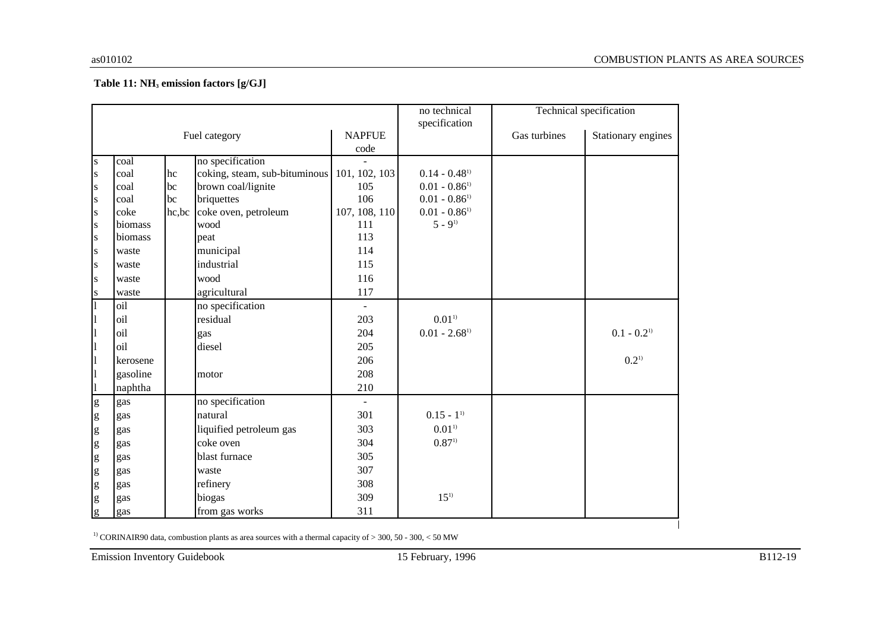#### **Table 11: NH<sup>3</sup> emission factors [g/GJ]**

|                                                                                                                                                                                                                                                                                                                                                                                                                                |          |    |                                             |                | no technical                |              | Technical specification   |
|--------------------------------------------------------------------------------------------------------------------------------------------------------------------------------------------------------------------------------------------------------------------------------------------------------------------------------------------------------------------------------------------------------------------------------|----------|----|---------------------------------------------|----------------|-----------------------------|--------------|---------------------------|
|                                                                                                                                                                                                                                                                                                                                                                                                                                |          |    |                                             |                | specification               |              |                           |
|                                                                                                                                                                                                                                                                                                                                                                                                                                |          |    | Fuel category                               | <b>NAPFUE</b>  |                             | Gas turbines | Stationary engines        |
|                                                                                                                                                                                                                                                                                                                                                                                                                                |          |    |                                             | code           |                             |              |                           |
| ${\bf S}$                                                                                                                                                                                                                                                                                                                                                                                                                      | coal     |    | no specification                            |                |                             |              |                           |
| ${\bf S}$                                                                                                                                                                                                                                                                                                                                                                                                                      | coal     | hc | coking, steam, sub-bituminous 101, 102, 103 |                | $0.14 - 0.48$ <sup>1)</sup> |              |                           |
| S                                                                                                                                                                                                                                                                                                                                                                                                                              | coal     | bc | brown coal/lignite                          | 105            | $0.01 - 0.86$ <sup>1)</sup> |              |                           |
| S                                                                                                                                                                                                                                                                                                                                                                                                                              | coal     | bc | briquettes                                  | 106            | $0.01 - 0.86$ <sup>1)</sup> |              |                           |
| ${\bf S}$                                                                                                                                                                                                                                                                                                                                                                                                                      | coke     |    | hc,bc coke oven, petroleum                  | 107, 108, 110  | $0.01 - 0.86$ <sup>1)</sup> |              |                           |
| ${\bf S}$                                                                                                                                                                                                                                                                                                                                                                                                                      | biomass  |    | wood                                        | 111            | $5 - 9^{1}$                 |              |                           |
| ${\bf S}$                                                                                                                                                                                                                                                                                                                                                                                                                      | biomass  |    | peat                                        | 113            |                             |              |                           |
| ${\bf S}$                                                                                                                                                                                                                                                                                                                                                                                                                      | waste    |    | municipal                                   | 114            |                             |              |                           |
| S                                                                                                                                                                                                                                                                                                                                                                                                                              | waste    |    | industrial                                  | 115            |                             |              |                           |
| S                                                                                                                                                                                                                                                                                                                                                                                                                              | waste    |    | wood                                        | 116            |                             |              |                           |
| ${\bf S}$                                                                                                                                                                                                                                                                                                                                                                                                                      | waste    |    | agricultural                                | 117            |                             |              |                           |
| $\overline{1}$                                                                                                                                                                                                                                                                                                                                                                                                                 | oil      |    | no specification                            | $\equiv$       |                             |              |                           |
| $\mathbf{1}$                                                                                                                                                                                                                                                                                                                                                                                                                   | oil      |    | residual                                    | 203            | $0.01^{1}$                  |              |                           |
| $\mathbf{1}$                                                                                                                                                                                                                                                                                                                                                                                                                   | oil      |    | gas                                         | 204            | $0.01 - 2.68$ <sup>1)</sup> |              | $0.1 - 0.2$ <sup>1)</sup> |
| $\mathbf{1}$                                                                                                                                                                                                                                                                                                                                                                                                                   | oil      |    | diesel                                      | 205            |                             |              |                           |
| $\mathbf{1}$                                                                                                                                                                                                                                                                                                                                                                                                                   | kerosene |    |                                             | 206            |                             |              | $0.2^{1}$                 |
| $\mathbf{1}$                                                                                                                                                                                                                                                                                                                                                                                                                   | gasoline |    | motor                                       | 208            |                             |              |                           |
| $\mathbf{1}$                                                                                                                                                                                                                                                                                                                                                                                                                   | naphtha  |    |                                             | 210            |                             |              |                           |
| $\mathbf{g}$                                                                                                                                                                                                                                                                                                                                                                                                                   | gas      |    | no specification                            | $\blacksquare$ |                             |              |                           |
| $\mathbf{g}% _{T}=\mathbf{g}_{T}$                                                                                                                                                                                                                                                                                                                                                                                              | gas      |    | natural                                     | 301            | $0.15 - 1^{1}$              |              |                           |
| $\mathbf{g}% _{T}=\mathbf{g}_{T}=\mathbf{g}_{T}=\mathbf{g}_{T}=\mathbf{g}_{T}=\mathbf{g}_{T}=\mathbf{g}_{T}=\mathbf{g}_{T}=\mathbf{g}_{T}=\mathbf{g}_{T}=\mathbf{g}_{T}=\mathbf{g}_{T}=\mathbf{g}_{T}=\mathbf{g}_{T}=\mathbf{g}_{T}=\mathbf{g}_{T}=\mathbf{g}_{T}=\mathbf{g}_{T}=\mathbf{g}_{T}=\mathbf{g}_{T}=\mathbf{g}_{T}=\mathbf{g}_{T}=\mathbf{g}_{T}=\mathbf{g}_{T}=\mathbf{g}_{T}=\mathbf{g}_{T}=\mathbf{g}_{T}=\math$ | gas      |    | liquified petroleum gas                     | 303            | $0.01^{1}$                  |              |                           |
| $\mathbf{g}% _{T}=\mathbf{g}_{T}=\mathbf{g}_{T}=\mathbf{g}_{T}=\mathbf{g}_{T}=\mathbf{g}_{T}=\mathbf{g}_{T}=\mathbf{g}_{T}=\mathbf{g}_{T}=\mathbf{g}_{T}=\mathbf{g}_{T}=\mathbf{g}_{T}=\mathbf{g}_{T}=\mathbf{g}_{T}=\mathbf{g}_{T}=\mathbf{g}_{T}=\mathbf{g}_{T}=\mathbf{g}_{T}=\mathbf{g}_{T}=\mathbf{g}_{T}=\mathbf{g}_{T}=\mathbf{g}_{T}=\mathbf{g}_{T}=\mathbf{g}_{T}=\mathbf{g}_{T}=\mathbf{g}_{T}=\mathbf{g}_{T}=\math$ | gas      |    | coke oven                                   | 304            | $0.87^{1}$                  |              |                           |
| $\mathbf{g}% _{T}=\mathbf{g}_{T}=\mathbf{g}_{T}=\mathbf{g}_{T}=\mathbf{g}_{T}=\mathbf{g}_{T}=\mathbf{g}_{T}=\mathbf{g}_{T}=\mathbf{g}_{T}=\mathbf{g}_{T}=\mathbf{g}_{T}=\mathbf{g}_{T}=\mathbf{g}_{T}=\mathbf{g}_{T}=\mathbf{g}_{T}=\mathbf{g}_{T}=\mathbf{g}_{T}=\mathbf{g}_{T}=\mathbf{g}_{T}=\mathbf{g}_{T}=\mathbf{g}_{T}=\mathbf{g}_{T}=\mathbf{g}_{T}=\mathbf{g}_{T}=\mathbf{g}_{T}=\mathbf{g}_{T}=\mathbf{g}_{T}=\math$ | gas      |    | blast furnace                               | 305            |                             |              |                           |
| $\mathbf{g}% _{T}=\mathbf{g}_{T}$                                                                                                                                                                                                                                                                                                                                                                                              | gas      |    | waste                                       | 307            |                             |              |                           |
| $\mathbf{g}% _{T}=\mathbf{g}_{T}=\mathbf{g}_{T}=\mathbf{g}_{T}=\mathbf{g}_{T}=\mathbf{g}_{T}=\mathbf{g}_{T}=\mathbf{g}_{T}=\mathbf{g}_{T}=\mathbf{g}_{T}=\mathbf{g}_{T}=\mathbf{g}_{T}=\mathbf{g}_{T}=\mathbf{g}_{T}=\mathbf{g}_{T}=\mathbf{g}_{T}=\mathbf{g}_{T}=\mathbf{g}_{T}=\mathbf{g}_{T}=\mathbf{g}_{T}=\mathbf{g}_{T}=\mathbf{g}_{T}=\mathbf{g}_{T}=\mathbf{g}_{T}=\mathbf{g}_{T}=\mathbf{g}_{T}=\mathbf{g}_{T}=\math$ | gas      |    | refinery                                    | 308            |                             |              |                           |
| $\mathbf{g}$                                                                                                                                                                                                                                                                                                                                                                                                                   | gas      |    | biogas                                      | 309            | $15^{1}$                    |              |                           |
| g                                                                                                                                                                                                                                                                                                                                                                                                                              | gas      |    | from gas works                              | 311            |                             |              |                           |

<sup>1)</sup> CORINAIR90 data, combustion plants as area sources with a thermal capacity of  $>$  300, 50 - 300, < 50 MW

Emission Inventory Guidebook 15 February, 1996 B112-19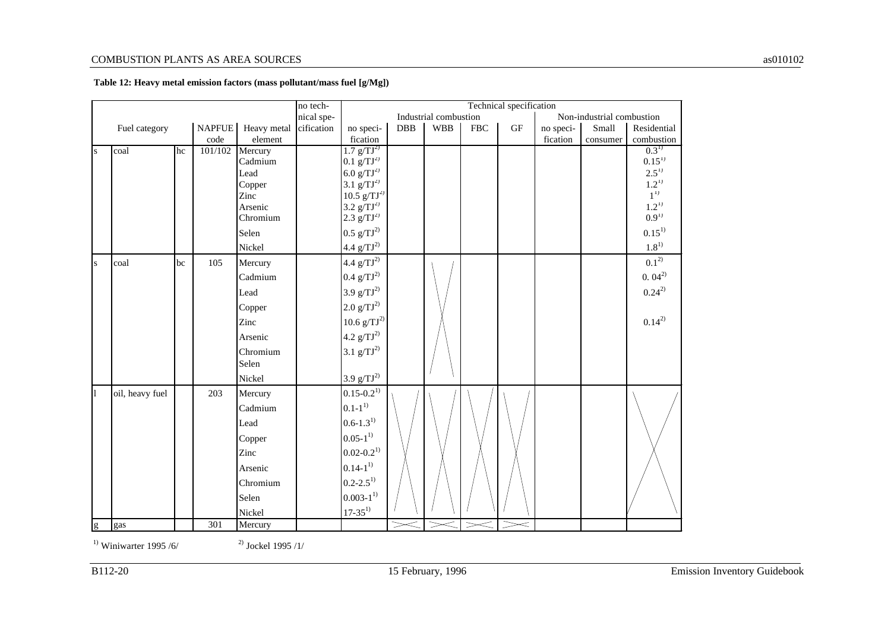|             |                 |    |               |                    | no tech-   |                                                     |            |                       |            | Technical specification |           |                           |                         |
|-------------|-----------------|----|---------------|--------------------|------------|-----------------------------------------------------|------------|-----------------------|------------|-------------------------|-----------|---------------------------|-------------------------|
|             |                 |    |               |                    | nical spe- |                                                     |            | Industrial combustion |            |                         |           | Non-industrial combustion |                         |
|             | Fuel category   |    | <b>NAPFUE</b> | Heavy metal        | cification | no speci-                                           | <b>DBB</b> | <b>WBB</b>            | <b>FBC</b> | <b>GF</b>               | no speci- | Small                     | Residential             |
|             |                 |    | code          | element            |            | fication                                            |            |                       |            |                         | fication  | consumer                  | combustion              |
| S           | coal            | hc | 101/102       | Mercury<br>Cadmium |            | $1.7$ g/TJ <sup>2)</sup><br>$0.1 \text{ g/TJ}^{2)}$ |            |                       |            |                         |           |                           | $0.3^{1}$<br>$0.15^{1}$ |
|             |                 |    |               | Lead               |            | 6.0 $g/TJ^{2}$                                      |            |                       |            |                         |           |                           | $2.5^{1}$               |
|             |                 |    |               | Copper             |            | $3.1 \text{ g/TJ}^{2)}$                             |            |                       |            |                         |           |                           | $1.2^{1}$               |
|             |                 |    |               | Zinc               |            | $10.5 \text{ g/TJ}^{2)}$                            |            |                       |            |                         |           |                           | $1^{1}$                 |
|             |                 |    |               | Arsenic            |            | 3.2 $g/TJ^{2)}$                                     |            |                       |            |                         |           |                           | $1.2^{11}$              |
|             |                 |    |               | Chromium           |            | $2.3 \text{ g/TJ}^{2)}$                             |            |                       |            |                         |           |                           | $0.9^{1}$               |
|             |                 |    |               | Selen              |            | $0.5 \text{ g/TJ}^{2)}$                             |            |                       |            |                         |           |                           | $0.15^{1}$              |
|             |                 |    |               | Nickel             |            | $4.4 \frac{\text{g}}{\text{T}}$ J <sup>2)</sup>     |            |                       |            |                         |           |                           | $1.8^{\rm 1)}$          |
| $\mathbf S$ | coal            | bc | 105           | Mercury            |            | $4.4 \text{ g/TJ}^{2)}$                             |            |                       |            |                         |           |                           | $0.1^{2)}$              |
|             |                 |    |               | Cadmium            |            | $0.4 \text{ g/TJ}^{2)}$                             |            |                       |            |                         |           |                           | $0.04^{2}$              |
|             |                 |    |               | Lead               |            | $3.9 g/TJ^{2)}$                                     |            |                       |            |                         |           |                           | $0.24^{2}$              |
|             |                 |    |               | Copper             |            | $2.0 \text{ g/TJ}^{2)}$                             |            |                       |            |                         |           |                           |                         |
|             |                 |    |               | Zinc               |            | $10.6 \text{ g/TJ}^{2)}$                            |            |                       |            |                         |           |                           | $0.14^{2}$              |
|             |                 |    |               | Arsenic            |            | 4.2 $g/TJ^{2)}$                                     |            |                       |            |                         |           |                           |                         |
|             |                 |    |               | Chromium           |            | $3.1 \text{ g/TJ}^{2)}$                             |            |                       |            |                         |           |                           |                         |
|             |                 |    |               | Selen              |            |                                                     |            |                       |            |                         |           |                           |                         |
|             |                 |    |               | Nickel             |            | 3.9 $g/TJ^{2)}$                                     |            |                       |            |                         |           |                           |                         |
| 1           | oil, heavy fuel |    | 203           | Mercury            |            | $0.15 - 0.2^{1}$                                    |            |                       |            |                         |           |                           |                         |
|             |                 |    |               | Cadmium            |            | $0.1 - 1^{1}$                                       |            |                       |            |                         |           |                           |                         |
|             |                 |    |               | Lead               |            | $0.6 - 1.3^{1}$                                     |            |                       |            |                         |           |                           |                         |
|             |                 |    |               | Copper             |            | $0.05 - 1^{1}$                                      |            |                       |            |                         |           |                           |                         |
|             |                 |    |               | Zinc               |            | $0.02 - 0.2^{1}$                                    |            |                       |            |                         |           |                           |                         |
|             |                 |    |               | Arsenic            |            | $0.14 - 1^{1}$                                      |            |                       |            |                         |           |                           |                         |
|             |                 |    |               | Chromium           |            | $0.2 - 2.5^{1}$                                     |            |                       |            |                         |           |                           |                         |
|             |                 |    |               | Selen              |            | $0.003 - 1^{1}$                                     |            |                       |            |                         |           |                           |                         |
|             |                 |    |               | Nickel             |            | $17 - 35^{1}$                                       |            |                       |            |                         |           |                           |                         |
| g           | gas             |    | 301           | Mercury            |            |                                                     |            |                       |            | $\lt$                   |           |                           |                         |

#### **Table 12: Heavy metal emission factors (mass pollutant/mass fuel [g/Mg])**

<sup>1)</sup> Winiwarter 1995 /6/ <sup>2)</sup> Jockel 1995 /1/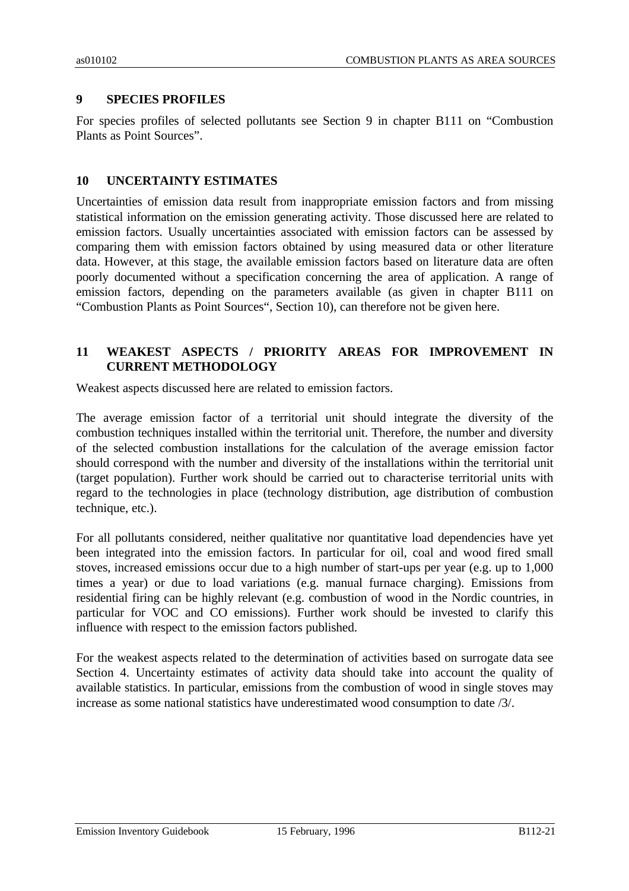### **9 SPECIES PROFILES**

For species profiles of selected pollutants see Section 9 in chapter B111 on "Combustion Plants as Point Sources".

#### **10 UNCERTAINTY ESTIMATES**

Uncertainties of emission data result from inappropriate emission factors and from missing statistical information on the emission generating activity. Those discussed here are related to emission factors. Usually uncertainties associated with emission factors can be assessed by comparing them with emission factors obtained by using measured data or other literature data. However, at this stage, the available emission factors based on literature data are often poorly documented without a specification concerning the area of application. A range of emission factors, depending on the parameters available (as given in chapter B111 on "Combustion Plants as Point Sources", Section 10), can therefore not be given here.

### **11 WEAKEST ASPECTS / PRIORITY AREAS FOR IMPROVEMENT IN CURRENT METHODOLOGY**

Weakest aspects discussed here are related to emission factors.

The average emission factor of a territorial unit should integrate the diversity of the combustion techniques installed within the territorial unit. Therefore, the number and diversity of the selected combustion installations for the calculation of the average emission factor should correspond with the number and diversity of the installations within the territorial unit (target population). Further work should be carried out to characterise territorial units with regard to the technologies in place (technology distribution, age distribution of combustion technique, etc.).

For all pollutants considered, neither qualitative nor quantitative load dependencies have yet been integrated into the emission factors. In particular for oil, coal and wood fired small stoves, increased emissions occur due to a high number of start-ups per year (e.g. up to 1,000 times a year) or due to load variations (e.g. manual furnace charging). Emissions from residential firing can be highly relevant (e.g. combustion of wood in the Nordic countries, in particular for VOC and CO emissions). Further work should be invested to clarify this influence with respect to the emission factors published.

For the weakest aspects related to the determination of activities based on surrogate data see Section 4. Uncertainty estimates of activity data should take into account the quality of available statistics. In particular, emissions from the combustion of wood in single stoves may increase as some national statistics have underestimated wood consumption to date /3/.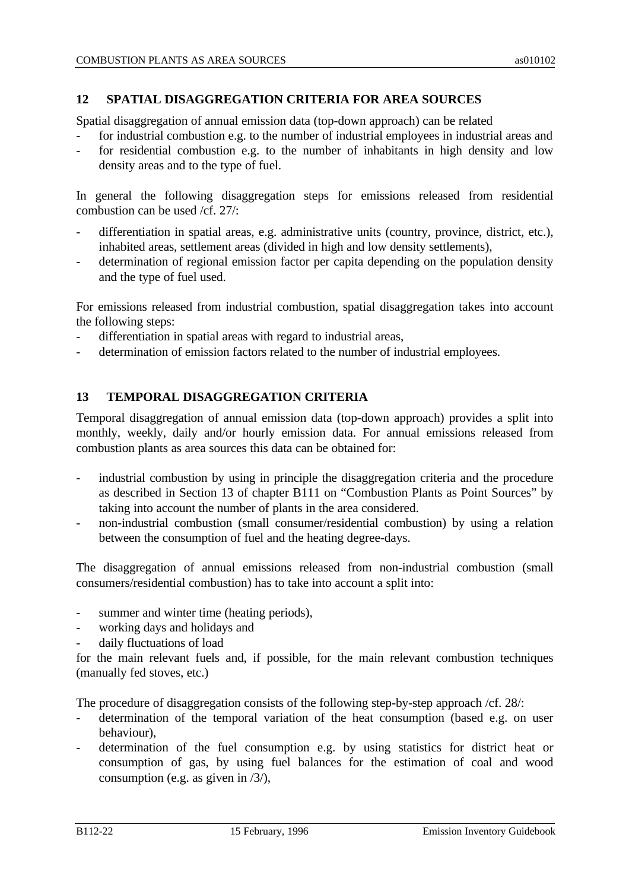# **12 SPATIAL DISAGGREGATION CRITERIA FOR AREA SOURCES**

Spatial disaggregation of annual emission data (top-down approach) can be related

- for industrial combustion e.g. to the number of industrial employees in industrial areas and
- for residential combustion e.g. to the number of inhabitants in high density and low density areas and to the type of fuel.

In general the following disaggregation steps for emissions released from residential combustion can be used /cf. 27/:

- differentiation in spatial areas, e.g. administrative units (country, province, district, etc.), inhabited areas, settlement areas (divided in high and low density settlements),
- determination of regional emission factor per capita depending on the population density and the type of fuel used.

For emissions released from industrial combustion, spatial disaggregation takes into account the following steps:

- differentiation in spatial areas with regard to industrial areas,
- determination of emission factors related to the number of industrial employees.

## **13 TEMPORAL DISAGGREGATION CRITERIA**

Temporal disaggregation of annual emission data (top-down approach) provides a split into monthly, weekly, daily and/or hourly emission data. For annual emissions released from combustion plants as area sources this data can be obtained for:

- industrial combustion by using in principle the disaggregation criteria and the procedure as described in Section 13 of chapter B111 on "Combustion Plants as Point Sources" by taking into account the number of plants in the area considered.
- non-industrial combustion (small consumer/residential combustion) by using a relation between the consumption of fuel and the heating degree-days.

The disaggregation of annual emissions released from non-industrial combustion (small consumers/residential combustion) has to take into account a split into:

- summer and winter time (heating periods),
- working days and holidays and
- daily fluctuations of load

for the main relevant fuels and, if possible, for the main relevant combustion techniques (manually fed stoves, etc.)

The procedure of disaggregation consists of the following step-by-step approach /cf. 28/:

- determination of the temporal variation of the heat consumption (based e.g. on user behaviour),
- determination of the fuel consumption e.g. by using statistics for district heat or consumption of gas, by using fuel balances for the estimation of coal and wood consumption (e.g. as given in /3/),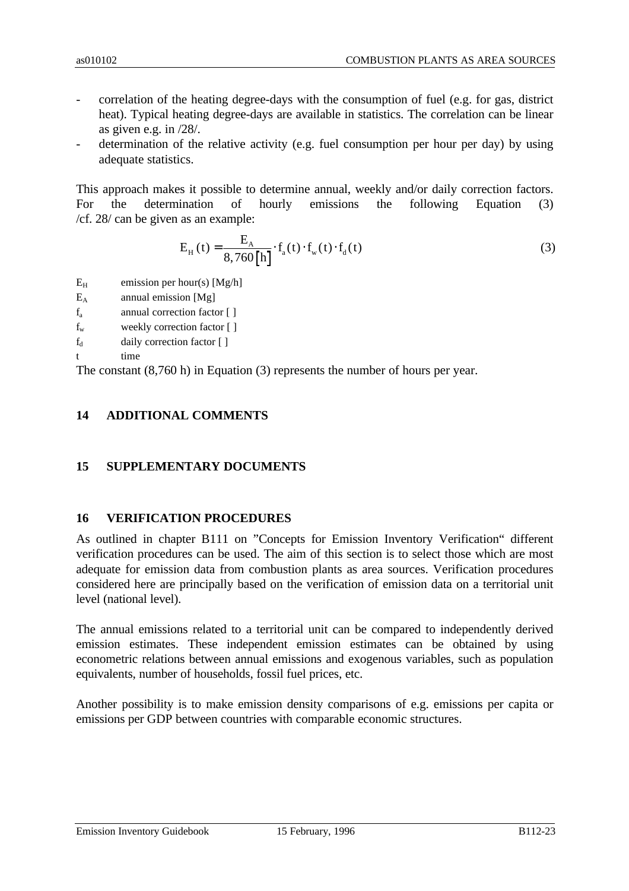- correlation of the heating degree-days with the consumption of fuel (e.g. for gas, district heat). Typical heating degree-days are available in statistics. The correlation can be linear as given e.g. in /28/.
- determination of the relative activity (e.g. fuel consumption per hour per day) by using adequate statistics.

This approach makes it possible to determine annual, weekly and/or daily correction factors. For the determination of hourly emissions the following Equation (3) /cf. 28/ can be given as an example:

$$
E_{H}(t) = \frac{E_{A}}{8,760[h]} \cdot f_{a}(t) \cdot f_{w}(t) \cdot f_{d}(t)
$$
\n(3)

- $E_H$  emission per hour(s) [Mg/h]
- $E_A$  annual emission [Mg]
- $f<sub>a</sub>$  annual correction factor  $[1]$
- f<sup>w</sup> weekly correction factor [ ]
- $f_d$  daily correction factor  $\lceil \cdot \rceil$
- t time

The constant (8,760 h) in Equation (3) represents the number of hours per year.

# **14 ADDITIONAL COMMENTS**

## **15 SUPPLEMENTARY DOCUMENTS**

#### **16 VERIFICATION PROCEDURES**

As outlined in chapter B111 on "Concepts for Emission Inventory Verification" different verification procedures can be used. The aim of this section is to select those which are most adequate for emission data from combustion plants as area sources. Verification procedures considered here are principally based on the verification of emission data on a territorial unit level (national level).

The annual emissions related to a territorial unit can be compared to independently derived emission estimates. These independent emission estimates can be obtained by using econometric relations between annual emissions and exogenous variables, such as population equivalents, number of households, fossil fuel prices, etc.

Another possibility is to make emission density comparisons of e.g. emissions per capita or emissions per GDP between countries with comparable economic structures.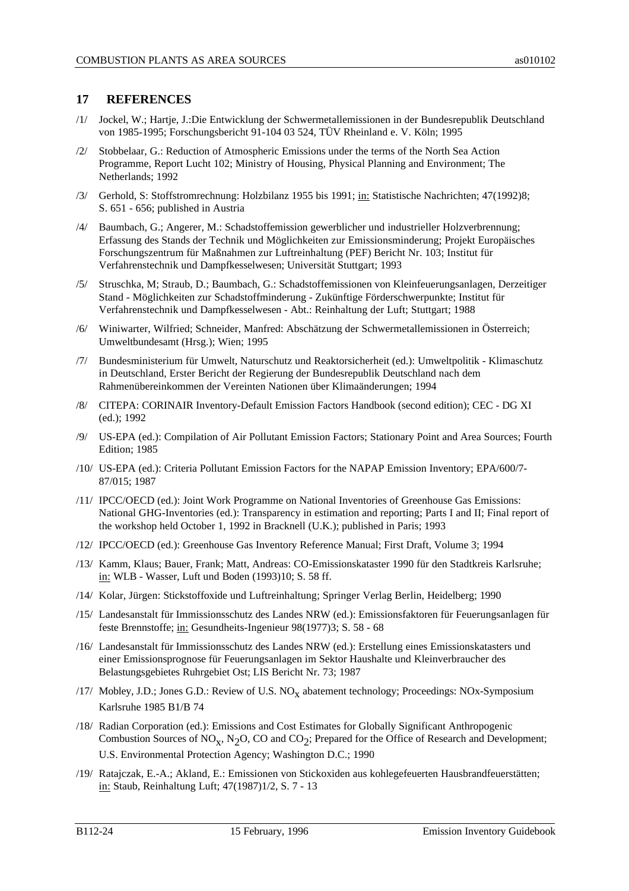#### **17 REFERENCES**

- /1/ Jockel, W.; Hartje, J.:Die Entwicklung der Schwermetallemissionen in der Bundesrepublik Deutschland von 1985-1995; Forschungsbericht 91-104 03 524, TÜV Rheinland e. V. Köln; 1995
- /2/ Stobbelaar, G.: Reduction of Atmospheric Emissions under the terms of the North Sea Action Programme, Report Lucht 102; Ministry of Housing, Physical Planning and Environment; The Netherlands; 1992
- /3/ Gerhold, S: Stoffstromrechnung: Holzbilanz 1955 bis 1991; in: Statistische Nachrichten; 47(1992)8; S. 651 - 656; published in Austria
- /4/ Baumbach, G.; Angerer, M.: Schadstoffemission gewerblicher und industrieller Holzverbrennung; Erfassung des Stands der Technik und Möglichkeiten zur Emissionsminderung; Projekt Europäisches Forschungszentrum für Maßnahmen zur Luftreinhaltung (PEF) Bericht Nr. 103; Institut für Verfahrenstechnik und Dampfkesselwesen; Universität Stuttgart; 1993
- /5/ Struschka, M; Straub, D.; Baumbach, G.: Schadstoffemissionen von Kleinfeuerungsanlagen, Derzeitiger Stand - Möglichkeiten zur Schadstoffminderung - Zukünftige Förderschwerpunkte; Institut für Verfahrenstechnik und Dampfkesselwesen - Abt.: Reinhaltung der Luft; Stuttgart; 1988
- /6/ Winiwarter, Wilfried; Schneider, Manfred: Abschätzung der Schwermetallemissionen in Österreich; Umweltbundesamt (Hrsg.); Wien; 1995
- /7/ Bundesministerium für Umwelt, Naturschutz und Reaktorsicherheit (ed.): Umweltpolitik Klimaschutz in Deutschland, Erster Bericht der Regierung der Bundesrepublik Deutschland nach dem Rahmenübereinkommen der Vereinten Nationen über Klimaänderungen; 1994
- /8/ CITEPA: CORINAIR Inventory-Default Emission Factors Handbook (second edition); CEC DG XI (ed.); 1992
- /9/ US-EPA (ed.): Compilation of Air Pollutant Emission Factors; Stationary Point and Area Sources; Fourth Edition; 1985
- /10/ US-EPA (ed.): Criteria Pollutant Emission Factors for the NAPAP Emission Inventory; EPA/600/7- 87/015; 1987
- /11/ IPCC/OECD (ed.): Joint Work Programme on National Inventories of Greenhouse Gas Emissions: National GHG-Inventories (ed.): Transparency in estimation and reporting; Parts I and II; Final report of the workshop held October 1, 1992 in Bracknell (U.K.); published in Paris; 1993
- /12/ IPCC/OECD (ed.): Greenhouse Gas Inventory Reference Manual; First Draft, Volume 3; 1994
- /13/ Kamm, Klaus; Bauer, Frank; Matt, Andreas: CO-Emissionskataster 1990 für den Stadtkreis Karlsruhe; in: WLB - Wasser, Luft und Boden (1993)10; S. 58 ff.
- /14/ Kolar, Jürgen: Stickstoffoxide und Luftreinhaltung; Springer Verlag Berlin, Heidelberg; 1990
- /15/ Landesanstalt für Immissionsschutz des Landes NRW (ed.): Emissionsfaktoren für Feuerungsanlagen für feste Brennstoffe; in: Gesundheits-Ingenieur 98(1977)3; S. 58 - 68
- /16/ Landesanstalt für Immissionsschutz des Landes NRW (ed.): Erstellung eines Emissionskatasters und einer Emissionsprognose für Feuerungsanlagen im Sektor Haushalte und Kleinverbraucher des Belastungsgebietes Ruhrgebiet Ost; LIS Bericht Nr. 73; 1987
- /17/ Mobley, J.D.; Jones G.D.: Review of U.S.  $NO_{X}$  abatement technology; Proceedings: NOx-Symposium Karlsruhe 1985 B1/B 74
- /18/ Radian Corporation (ed.): Emissions and Cost Estimates for Globally Significant Anthropogenic Combustion Sources of NO<sub>X</sub>, N<sub>2</sub>O, CO and CO<sub>2</sub>; Prepared for the Office of Research and Development; U.S. Environmental Protection Agency; Washington D.C.; 1990
- /19/ Ratajczak, E.-A.; Akland, E.: Emissionen von Stickoxiden aus kohlegefeuerten Hausbrandfeuerstätten; in: Staub, Reinhaltung Luft; 47(1987)1/2, S. 7 - 13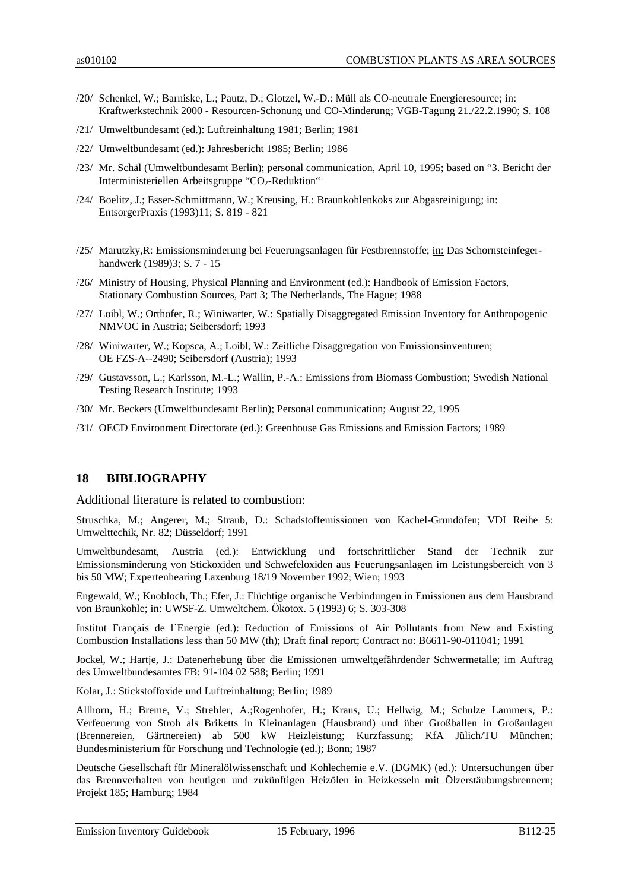- /20/ Schenkel, W.; Barniske, L.; Pautz, D.; Glotzel, W.-D.: Müll als CO-neutrale Energieresource; in: Kraftwerkstechnik 2000 - Resourcen-Schonung und CO-Minderung; VGB-Tagung 21./22.2.1990; S. 108
- /21/ Umweltbundesamt (ed.): Luftreinhaltung 1981; Berlin; 1981
- /22/ Umweltbundesamt (ed.): Jahresbericht 1985; Berlin; 1986
- /23/ Mr. Schäl (Umweltbundesamt Berlin); personal communication, April 10, 1995; based on "3. Bericht der Interministeriellen Arbeitsgruppe " $CO<sub>2</sub>$ -Reduktion"
- /24/ Boelitz, J.; Esser-Schmittmann, W.; Kreusing, H.: Braunkohlenkoks zur Abgasreinigung; in: EntsorgerPraxis (1993)11; S. 819 - 821
- /25/ Marutzky,R: Emissionsminderung bei Feuerungsanlagen für Festbrennstoffe; in: Das Schornsteinfegerhandwerk (1989)3; S. 7 - 15
- /26/ Ministry of Housing, Physical Planning and Environment (ed.): Handbook of Emission Factors, Stationary Combustion Sources, Part 3; The Netherlands, The Hague; 1988
- /27/ Loibl, W.; Orthofer, R.; Winiwarter, W.: Spatially Disaggregated Emission Inventory for Anthropogenic NMVOC in Austria; Seibersdorf; 1993
- /28/ Winiwarter, W.; Kopsca, A.; Loibl, W.: Zeitliche Disaggregation von Emissionsinventuren; OE FZS-A--2490; Seibersdorf (Austria); 1993
- /29/ Gustavsson, L.; Karlsson, M.-L.; Wallin, P.-A.: Emissions from Biomass Combustion; Swedish National Testing Research Institute; 1993
- /30/ Mr. Beckers (Umweltbundesamt Berlin); Personal communication; August 22, 1995
- /31/ OECD Environment Directorate (ed.): Greenhouse Gas Emissions and Emission Factors; 1989

#### **18 BIBLIOGRAPHY**

Additional literature is related to combustion:

Struschka, M.; Angerer, M.; Straub, D.: Schadstoffemissionen von Kachel-Grundöfen; VDI Reihe 5: Umwelttechik, Nr. 82; Düsseldorf; 1991

Umweltbundesamt, Austria (ed.): Entwicklung und fortschrittlicher Stand der Technik zur Emissionsminderung von Stickoxiden und Schwefeloxiden aus Feuerungsanlagen im Leistungsbereich von 3 bis 50 MW; Expertenhearing Laxenburg 18/19 November 1992; Wien; 1993

Engewald, W.; Knobloch, Th.; Efer, J.: Flüchtige organische Verbindungen in Emissionen aus dem Hausbrand von Braunkohle; in: UWSF-Z. Umweltchem. Ökotox. 5 (1993) 6; S. 303-308

Institut Français de l´Energie (ed.): Reduction of Emissions of Air Pollutants from New and Existing Combustion Installations less than 50 MW (th); Draft final report; Contract no: B6611-90-011041; 1991

Jockel, W.; Hartje, J.: Datenerhebung über die Emissionen umweltgefährdender Schwermetalle; im Auftrag des Umweltbundesamtes FB: 91-104 02 588; Berlin; 1991

Kolar, J.: Stickstoffoxide und Luftreinhaltung; Berlin; 1989

Allhorn, H.; Breme, V.; Strehler, A.;Rogenhofer, H.; Kraus, U.; Hellwig, M.; Schulze Lammers, P.: Verfeuerung von Stroh als Briketts in Kleinanlagen (Hausbrand) und über Großballen in Großanlagen (Brennereien, Gärtnereien) ab 500 kW Heizleistung; Kurzfassung; KfA Jülich/TU München; Bundesministerium für Forschung und Technologie (ed.); Bonn; 1987

Deutsche Gesellschaft für Mineralölwissenschaft und Kohlechemie e.V. (DGMK) (ed.): Untersuchungen über das Brennverhalten von heutigen und zukünftigen Heizölen in Heizkesseln mit Ölzerstäubungsbrennern; Projekt 185; Hamburg; 1984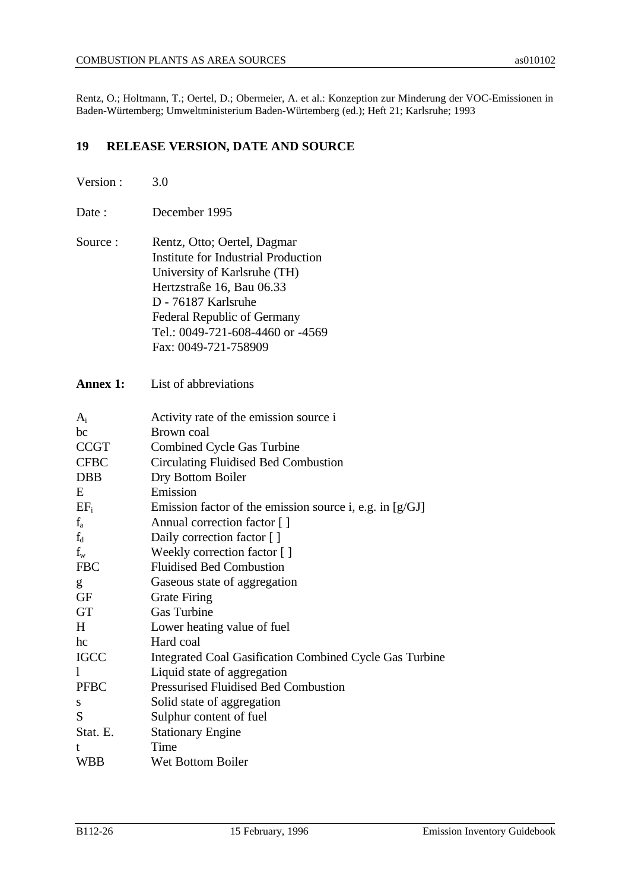Rentz, O.; Holtmann, T.; Oertel, D.; Obermeier, A. et al.: Konzeption zur Minderung der VOC-Emissionen in Baden-Würtemberg; Umweltministerium Baden-Würtemberg (ed.); Heft 21; Karlsruhe; 1993

# **19 RELEASE VERSION, DATE AND SOURCE**

| Version:    | 3.0                                                                                                                                                                                                                                                      |
|-------------|----------------------------------------------------------------------------------------------------------------------------------------------------------------------------------------------------------------------------------------------------------|
| Date :      | December 1995                                                                                                                                                                                                                                            |
| Source:     | Rentz, Otto; Oertel, Dagmar<br><b>Institute for Industrial Production</b><br>University of Karlsruhe (TH)<br>Hertzstraße 16, Bau 06.33<br>D - 76187 Karlsruhe<br>Federal Republic of Germany<br>Tel.: 0049-721-608-4460 or -4569<br>Fax: 0049-721-758909 |
| Annex 1:    | List of abbreviations                                                                                                                                                                                                                                    |
| $A_i$       | Activity rate of the emission source i                                                                                                                                                                                                                   |
| bc          | Brown coal                                                                                                                                                                                                                                               |
| <b>CCGT</b> | <b>Combined Cycle Gas Turbine</b>                                                                                                                                                                                                                        |
| <b>CFBC</b> | <b>Circulating Fluidised Bed Combustion</b>                                                                                                                                                                                                              |
| <b>DBB</b>  | Dry Bottom Boiler                                                                                                                                                                                                                                        |
| E           | Emission                                                                                                                                                                                                                                                 |
| $EF_i$      | Emission factor of the emission source i, e.g. in $[g/GJ]$                                                                                                                                                                                               |
| $f_a$       | Annual correction factor []                                                                                                                                                                                                                              |
| $f_d$       | Daily correction factor []                                                                                                                                                                                                                               |
| $f_{w}$     | Weekly correction factor []                                                                                                                                                                                                                              |
| <b>FBC</b>  | <b>Fluidised Bed Combustion</b>                                                                                                                                                                                                                          |
| g           | Gaseous state of aggregation                                                                                                                                                                                                                             |
| GF          | <b>Grate Firing</b>                                                                                                                                                                                                                                      |
| GT          | <b>Gas Turbine</b>                                                                                                                                                                                                                                       |
| H           | Lower heating value of fuel                                                                                                                                                                                                                              |
| hc          | Hard coal                                                                                                                                                                                                                                                |
| <b>IGCC</b> | Integrated Coal Gasification Combined Cycle Gas Turbine                                                                                                                                                                                                  |
| 1           | Liquid state of aggregation                                                                                                                                                                                                                              |
| <b>PFBC</b> | <b>Pressurised Fluidised Bed Combustion</b>                                                                                                                                                                                                              |
| S           | Solid state of aggregation                                                                                                                                                                                                                               |
| S           | Sulphur content of fuel                                                                                                                                                                                                                                  |
| Stat. E.    | <b>Stationary Engine</b>                                                                                                                                                                                                                                 |
| t           | Time                                                                                                                                                                                                                                                     |
| <b>WBB</b>  | Wet Bottom Boiler                                                                                                                                                                                                                                        |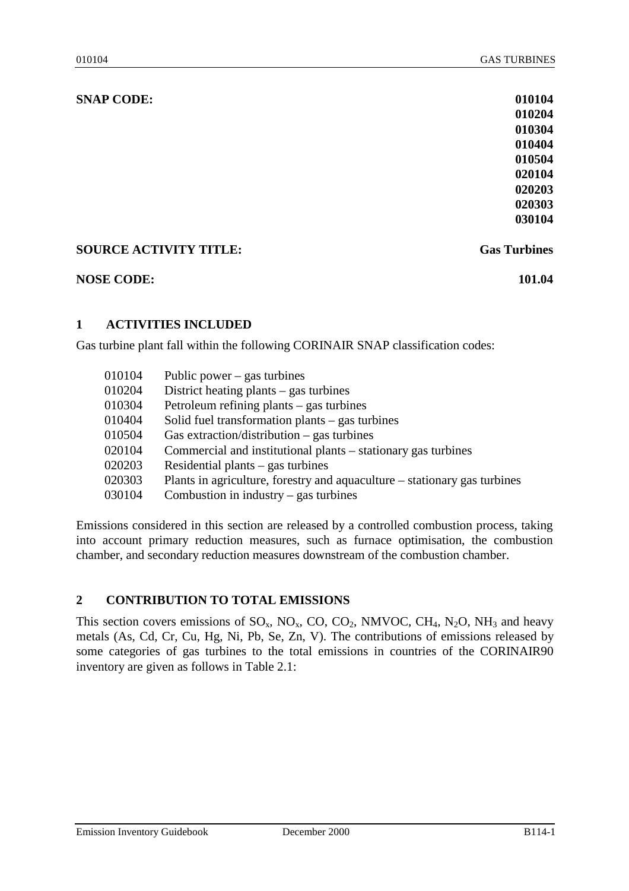| <b>SNAP CODE:</b>             | 010104              |
|-------------------------------|---------------------|
|                               | 010204              |
|                               | 010304              |
|                               | 010404              |
|                               | 010504              |
|                               | 020104              |
|                               | 020203              |
|                               | 020303              |
|                               | 030104              |
| <b>SOURCE ACTIVITY TITLE:</b> | <b>Gas Turbines</b> |
| <b>NOSE CODE:</b>             | 101.04              |

## **1 ACTIVITIES INCLUDED**

Gas turbine plant fall within the following CORINAIR SNAP classification codes:

| 010104 | Public power $-$ gas turbines                                             |
|--------|---------------------------------------------------------------------------|
| 010204 | District heating plants $-$ gas turbines                                  |
| 010304 | Petroleum refining plants $-$ gas turbines                                |
| 010404 | Solid fuel transformation plants $-$ gas turbines                         |
| 010504 | Gas extraction/distribution $-$ gas turbines                              |
| 020104 | Commercial and institutional plants – stationary gas turbines             |
| 020203 | Residential plants $-$ gas turbines                                       |
| 020303 | Plants in agriculture, forestry and aquaculture – stationary gas turbines |
| 030104 | Combustion in industry $-$ gas turbines                                   |
|        |                                                                           |

Emissions considered in this section are released by a controlled combustion process, taking into account primary reduction measures, such as furnace optimisation, the combustion chamber, and secondary reduction measures downstream of the combustion chamber.

## **2 CONTRIBUTION TO TOTAL EMISSIONS**

This section covers emissions of  $SO_x$ ,  $NO_x$ ,  $CO$ ,  $CO_2$ ,  $NMVOC$ ,  $CH_4$ ,  $N_2O$ ,  $NH_3$  and heavy metals (As, Cd, Cr, Cu, Hg, Ni, Pb, Se, Zn, V). The contributions of emissions released by some categories of gas turbines to the total emissions in countries of the CORINAIR90 inventory are given as follows in Table 2.1: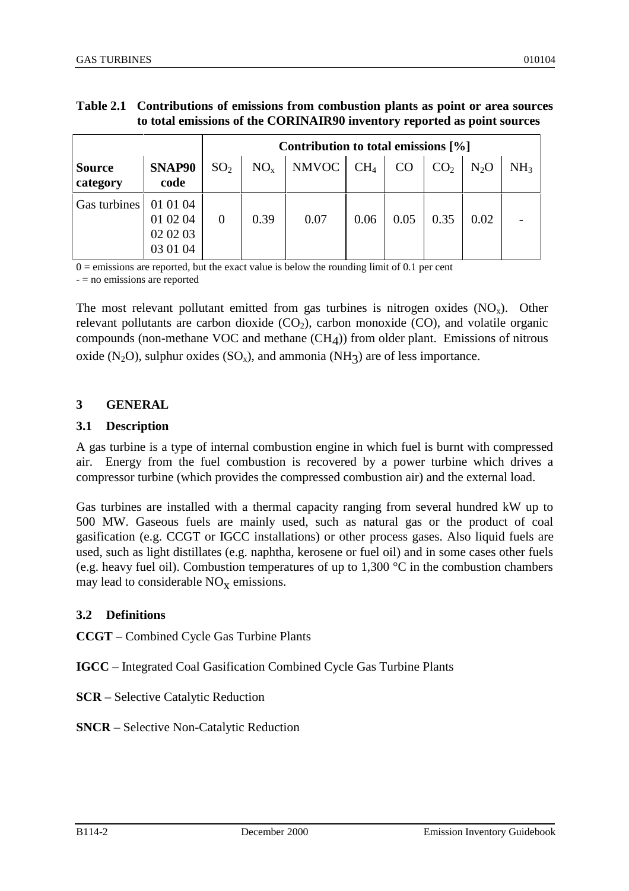# **Table 2.1 Contributions of emissions from combustion plants as point or area sources to total emissions of the CORINAIR90 inventory reported as point sources**

|                           |                                              | Contribution to total emissions $[\%]$ |                 |       |                 |      |                 |                  |                 |  |  |
|---------------------------|----------------------------------------------|----------------------------------------|-----------------|-------|-----------------|------|-----------------|------------------|-----------------|--|--|
| <b>Source</b><br>category | SNAP90<br>code                               | SO <sub>2</sub>                        | NO <sub>x</sub> | NMVOC | CH <sub>4</sub> | CO   | CO <sub>2</sub> | N <sub>2</sub> O | NH <sub>3</sub> |  |  |
| Gas turbines              | 01 01 04<br>01 02 04<br>02 02 03<br>03 01 04 | $\overline{0}$                         | 0.39            | 0.07  | 0.06            | 0.05 | 0.35            | 0.02             |                 |  |  |

 $0 =$  emissions are reported, but the exact value is below the rounding limit of 0.1 per cent

- = no emissions are reported

The most relevant pollutant emitted from gas turbines is nitrogen oxides  $(NO<sub>x</sub>)$ . Other relevant pollutants are carbon dioxide  $(CO<sub>2</sub>)$ , carbon monoxide  $(CO)$ , and volatile organic compounds (non-methane VOC and methane  $(CH<sub>A</sub>)$ ) from older plant. Emissions of nitrous oxide (N<sub>2</sub>O), sulphur oxides (SO<sub>x</sub>), and ammonia (NH<sub>3</sub>) are of less importance.

#### **3 GENERAL**

#### **3.1 Description**

A gas turbine is a type of internal combustion engine in which fuel is burnt with compressed air. Energy from the fuel combustion is recovered by a power turbine which drives a compressor turbine (which provides the compressed combustion air) and the external load.

Gas turbines are installed with a thermal capacity ranging from several hundred kW up to 500 MW. Gaseous fuels are mainly used, such as natural gas or the product of coal gasification (e.g. CCGT or IGCC installations) or other process gases. Also liquid fuels are used, such as light distillates (e.g. naphtha, kerosene or fuel oil) and in some cases other fuels (e.g. heavy fuel oil). Combustion temperatures of up to 1,300 °C in the combustion chambers may lead to considerable  $NO<sub>x</sub>$  emissions.

#### **3.2 Definitions**

**CCGT** – Combined Cycle Gas Turbine Plants

**IGCC** – Integrated Coal Gasification Combined Cycle Gas Turbine Plants

- **SCR** Selective Catalytic Reduction
- **SNCR** Selective Non-Catalytic Reduction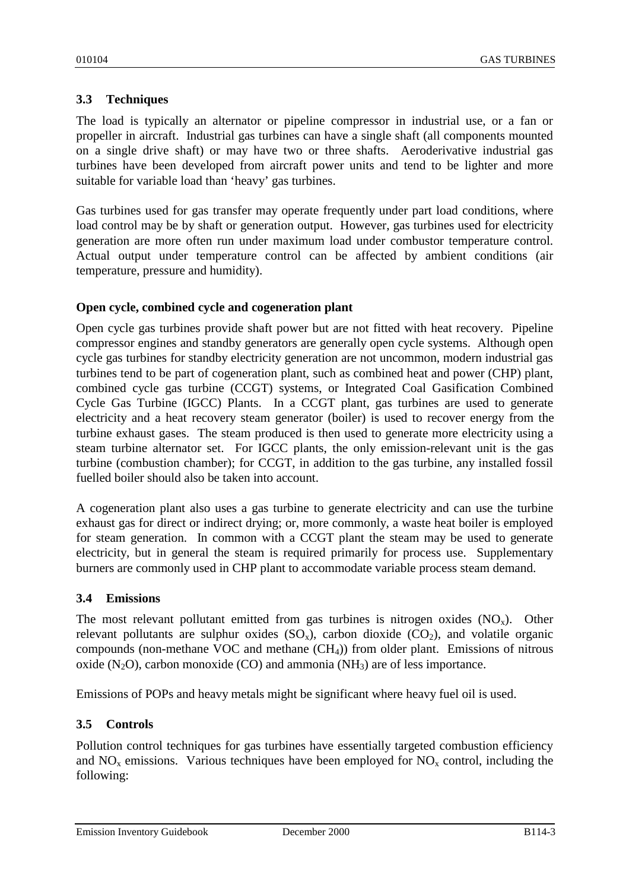# **3.3 Techniques**

The load is typically an alternator or pipeline compressor in industrial use, or a fan or propeller in aircraft. Industrial gas turbines can have a single shaft (all components mounted on a single drive shaft) or may have two or three shafts. Aeroderivative industrial gas turbines have been developed from aircraft power units and tend to be lighter and more suitable for variable load than 'heavy' gas turbines.

Gas turbines used for gas transfer may operate frequently under part load conditions, where load control may be by shaft or generation output. However, gas turbines used for electricity generation are more often run under maximum load under combustor temperature control. Actual output under temperature control can be affected by ambient conditions (air temperature, pressure and humidity).

## **Open cycle, combined cycle and cogeneration plant**

Open cycle gas turbines provide shaft power but are not fitted with heat recovery. Pipeline compressor engines and standby generators are generally open cycle systems. Although open cycle gas turbines for standby electricity generation are not uncommon, modern industrial gas turbines tend to be part of cogeneration plant, such as combined heat and power (CHP) plant, combined cycle gas turbine (CCGT) systems, or Integrated Coal Gasification Combined Cycle Gas Turbine (IGCC) Plants. In a CCGT plant, gas turbines are used to generate electricity and a heat recovery steam generator (boiler) is used to recover energy from the turbine exhaust gases. The steam produced is then used to generate more electricity using a steam turbine alternator set. For IGCC plants, the only emission-relevant unit is the gas turbine (combustion chamber); for CCGT, in addition to the gas turbine, any installed fossil fuelled boiler should also be taken into account.

A cogeneration plant also uses a gas turbine to generate electricity and can use the turbine exhaust gas for direct or indirect drying; or, more commonly, a waste heat boiler is employed for steam generation. In common with a CCGT plant the steam may be used to generate electricity, but in general the steam is required primarily for process use. Supplementary burners are commonly used in CHP plant to accommodate variable process steam demand.

#### **3.4 Emissions**

The most relevant pollutant emitted from gas turbines is nitrogen oxides  $(NO_x)$ . Other relevant pollutants are sulphur oxides  $(SO_x)$ , carbon dioxide  $(CO_2)$ , and volatile organic compounds (non-methane VOC and methane  $(CH<sub>4</sub>)$ ) from older plant. Emissions of nitrous oxide  $(N_2O)$ , carbon monoxide  $(CO)$  and ammonia  $(NH_3)$  are of less importance.

Emissions of POPs and heavy metals might be significant where heavy fuel oil is used.

## **3.5 Controls**

Pollution control techniques for gas turbines have essentially targeted combustion efficiency and  $NO<sub>x</sub>$  emissions. Various techniques have been employed for  $NO<sub>x</sub>$  control, including the following:

Emission Inventory Guidebook December 2000 B114-3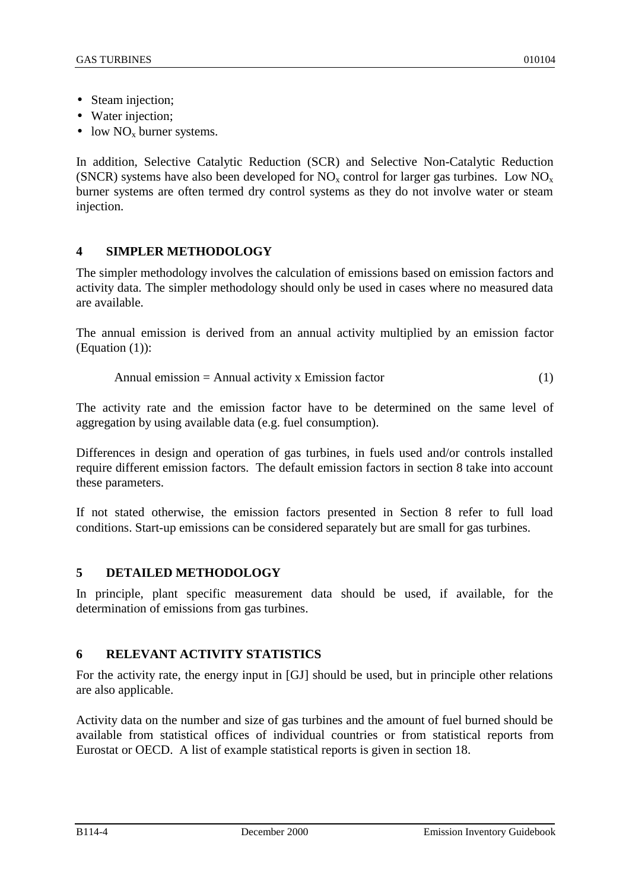- Steam injection;
- Water injection:
- low  $NO<sub>x</sub>$  burner systems.

In addition, Selective Catalytic Reduction (SCR) and Selective Non-Catalytic Reduction (SNCR) systems have also been developed for  $NO_x$  control for larger gas turbines. Low  $NO_x$ burner systems are often termed dry control systems as they do not involve water or steam injection.

# **4 SIMPLER METHODOLOGY**

The simpler methodology involves the calculation of emissions based on emission factors and activity data. The simpler methodology should only be used in cases where no measured data are available.

The annual emission is derived from an annual activity multiplied by an emission factor (Equation (1)):

$$
Annual emission = Annual activity x Emission factor
$$
\n
$$
(1)
$$

The activity rate and the emission factor have to be determined on the same level of aggregation by using available data (e.g. fuel consumption).

Differences in design and operation of gas turbines, in fuels used and/or controls installed require different emission factors. The default emission factors in section 8 take into account these parameters.

If not stated otherwise, the emission factors presented in Section 8 refer to full load conditions. Start-up emissions can be considered separately but are small for gas turbines.

# **5 DETAILED METHODOLOGY**

In principle, plant specific measurement data should be used, if available, for the determination of emissions from gas turbines.

# **6 RELEVANT ACTIVITY STATISTICS**

For the activity rate, the energy input in [GJ] should be used, but in principle other relations are also applicable.

Activity data on the number and size of gas turbines and the amount of fuel burned should be available from statistical offices of individual countries or from statistical reports from Eurostat or OECD. A list of example statistical reports is given in section 18.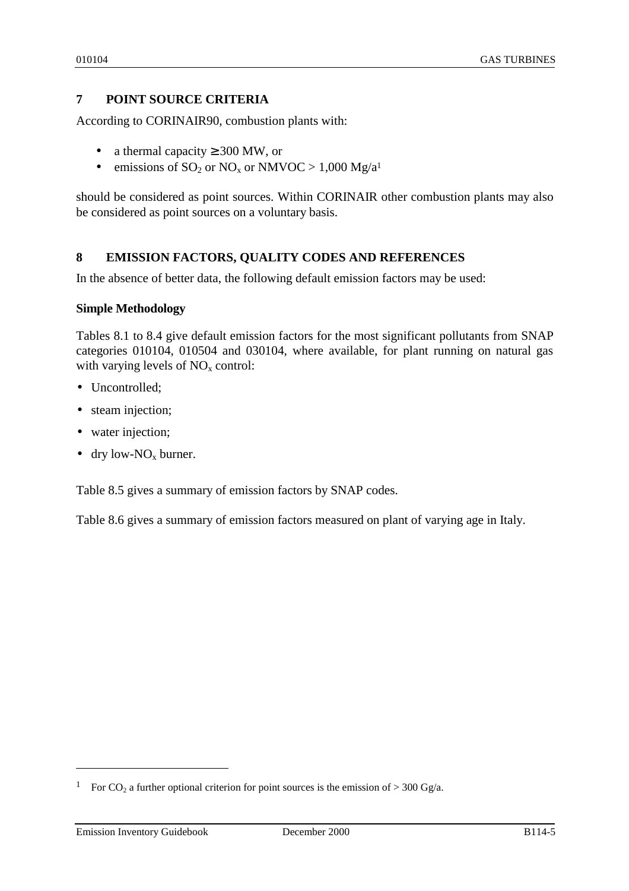# **7 POINT SOURCE CRITERIA**

According to CORINAIR90, combustion plants with:

- a thermal capacity  $\geq 300$  MW, or
- emissions of  $SO_2$  or  $NO_x$  or  $NMVOC > 1,000$   $Mg/a<sup>1</sup>$

should be considered as point sources. Within CORINAIR other combustion plants may also be considered as point sources on a voluntary basis.

## **8 EMISSION FACTORS, QUALITY CODES AND REFERENCES**

In the absence of better data, the following default emission factors may be used:

#### **Simple Methodology**

Tables 8.1 to 8.4 give default emission factors for the most significant pollutants from SNAP categories 010104, 010504 and 030104, where available, for plant running on natural gas with varying levels of  $NO<sub>x</sub>$  control:

- Uncontrolled;
- steam injection;
- water injection;
- dry low-NO<sub>x</sub> burner.

Table 8.5 gives a summary of emission factors by SNAP codes.

Table 8.6 gives a summary of emission factors measured on plant of varying age in Italy.

 $\overline{a}$ 

<sup>&</sup>lt;sup>1</sup> For CO<sub>2</sub> a further optional criterion for point sources is the emission of > 300 Gg/a.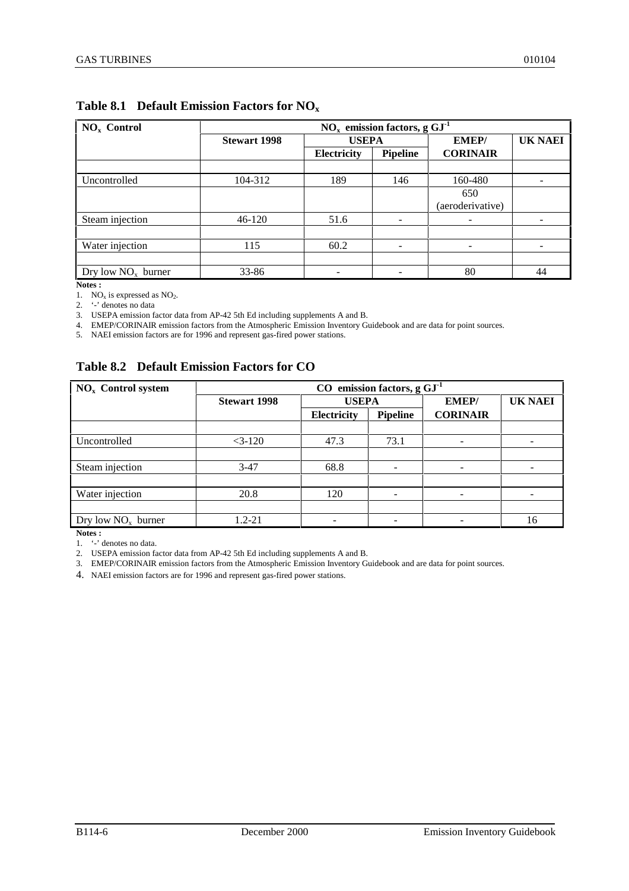| $NOx$ Control        | $NOx$ emission factors, g $GI-1$ |              |                 |                  |                |  |  |  |  |
|----------------------|----------------------------------|--------------|-----------------|------------------|----------------|--|--|--|--|
|                      | <b>Stewart 1998</b>              | <b>USEPA</b> |                 | <b>EMEP/</b>     | <b>UK NAEI</b> |  |  |  |  |
|                      |                                  | Electricity  | <b>Pipeline</b> | <b>CORINAIR</b>  |                |  |  |  |  |
|                      |                                  |              |                 |                  |                |  |  |  |  |
| Uncontrolled         | 104-312                          | 189          | 146             | 160-480          |                |  |  |  |  |
|                      |                                  |              |                 | 650              |                |  |  |  |  |
|                      |                                  |              |                 | (aeroderivative) |                |  |  |  |  |
| Steam injection      | 46-120                           | 51.6         | -               | ۰                |                |  |  |  |  |
|                      |                                  |              |                 |                  |                |  |  |  |  |
| Water injection      | 115                              | 60.2         | -               | ۰                |                |  |  |  |  |
|                      |                                  |              |                 |                  |                |  |  |  |  |
| Dry low $NOx$ burner | 33-86                            |              |                 | 80               | 44             |  |  |  |  |

# **Table 8.1 Default Emission Factors for NOx**

**Notes :**

1.  $NO<sub>x</sub>$  is expressed as  $NO<sub>2</sub>$ .

2. '-' denotes no data

3. USEPA emission factor data from AP-42 5th Ed including supplements A and B.

4. EMEP/CORINAIR emission factors from the Atmospheric Emission Inventory Guidebook and are data for point sources.

5. NAEI emission factors are for 1996 and represent gas-fired power stations.

## **Table 8.2 Default Emission Factors for CO**

| $NOx$ Control system | emission factors, $g GJ-1$<br>$\bf CO$ |              |                 |                 |                |  |  |  |  |
|----------------------|----------------------------------------|--------------|-----------------|-----------------|----------------|--|--|--|--|
|                      | <b>Stewart 1998</b>                    | <b>USEPA</b> |                 | <b>EMEP/</b>    | <b>UK NAEI</b> |  |  |  |  |
|                      |                                        | Electricity  | <b>Pipeline</b> | <b>CORINAIR</b> |                |  |  |  |  |
|                      |                                        |              |                 |                 |                |  |  |  |  |
| Uncontrolled         | $<3-120$                               | 47.3         | 73.1            | -               |                |  |  |  |  |
|                      |                                        |              |                 |                 |                |  |  |  |  |
| Steam injection      | $3-47$                                 | 68.8         | ۰               | ۰               |                |  |  |  |  |
|                      |                                        |              |                 |                 |                |  |  |  |  |
| Water injection      | 20.8                                   | 120          |                 |                 |                |  |  |  |  |
|                      |                                        |              |                 |                 |                |  |  |  |  |
| Dry low $NOx$ burner | $1.2 - 21$                             |              |                 |                 | 16             |  |  |  |  |

**Notes :**

1. '-' denotes no data.

2. USEPA emission factor data from AP-42 5th Ed including supplements A and B.

3. EMEP/CORINAIR emission factors from the Atmospheric Emission Inventory Guidebook and are data for point sources.

4. NAEI emission factors are for 1996 and represent gas-fired power stations.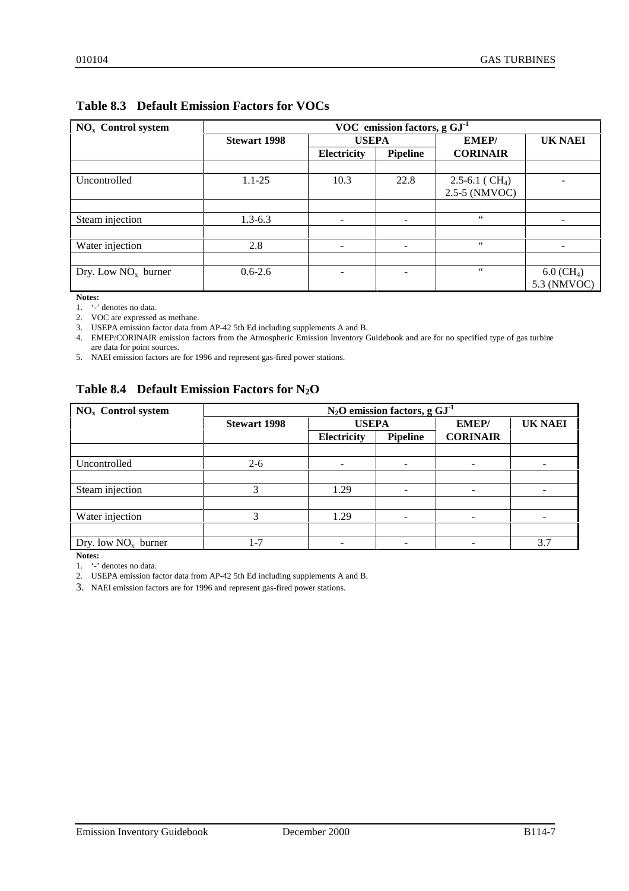| $NOx$ Control system  |                     |                          | VOC emission factors, $g GJ-1$ |                                |                          |
|-----------------------|---------------------|--------------------------|--------------------------------|--------------------------------|--------------------------|
|                       | <b>Stewart 1998</b> | <b>USEPA</b>             |                                | <b>EMEP/</b>                   | <b>UK NAEI</b>           |
|                       |                     | Electricity              | <b>Pipeline</b>                | <b>CORINAIR</b>                |                          |
|                       |                     |                          |                                |                                |                          |
| Uncontrolled          | $1.1 - 25$          | 10.3                     | 22.8                           | $2.5 - 6.1$ (CH <sub>4</sub> ) |                          |
|                       |                     |                          |                                | 2.5-5 (NMVOC)                  |                          |
|                       |                     |                          |                                |                                |                          |
| Steam injection       | $1.3 - 6.3$         | $\overline{\phantom{0}}$ |                                | $66\,$                         |                          |
|                       |                     |                          |                                |                                |                          |
| Water injection       | 2.8                 | -                        |                                | $\epsilon\epsilon$             |                          |
|                       |                     |                          |                                |                                |                          |
| Dry. Low $NOx$ burner | $0.6 - 2.6$         |                          |                                | $\zeta\,\zeta$                 | $6.0$ (CH <sub>4</sub> ) |
|                       |                     |                          |                                |                                | 5.3 (NMVOC)              |

# **Table 8.3 Default Emission Factors for VOCs**

**Notes:**

1. '-' denotes no data.

2. VOC are expressed as methane.

3. USEPA emission factor data from AP-42 5th Ed including supplements A and B.

4. EMEP/CORINAIR emission factors from the Atmospheric Emission Inventory Guidebook and are for no specified type of gas turbine are data for point sources.

5. NAEI emission factors are for 1996 and represent gas-fired power stations.

# **Table 8.4 Default Emission Factors for N2O**

| $NOx$ Control system  | $N_2O$ emission factors, g $GI-1$ |                                       |                          |                 |                |  |  |
|-----------------------|-----------------------------------|---------------------------------------|--------------------------|-----------------|----------------|--|--|
|                       | <b>Stewart 1998</b>               | <b>USEPA</b>                          |                          | <b>EMEP/</b>    | <b>UK NAEI</b> |  |  |
|                       |                                   | <b>Electricity</b><br><b>Pipeline</b> |                          | <b>CORINAIR</b> |                |  |  |
|                       |                                   |                                       |                          |                 |                |  |  |
| Uncontrolled          | $2 - 6$                           |                                       |                          |                 |                |  |  |
|                       |                                   |                                       |                          |                 |                |  |  |
| Steam injection       | 3                                 | 1.29                                  | $\overline{\phantom{0}}$ |                 |                |  |  |
|                       |                                   |                                       |                          |                 |                |  |  |
| Water injection       |                                   | 1.29                                  |                          |                 |                |  |  |
|                       |                                   |                                       |                          |                 |                |  |  |
| Dry. low $NOx$ burner | $1 - 7$                           |                                       | $\overline{\phantom{0}}$ |                 | 3.7            |  |  |

**Notes:**

1. '-' denotes no data.

2. USEPA emission factor data from AP-42 5th Ed including supplements A and B.

3. NAEI emission factors are for 1996 and represent gas-fired power stations.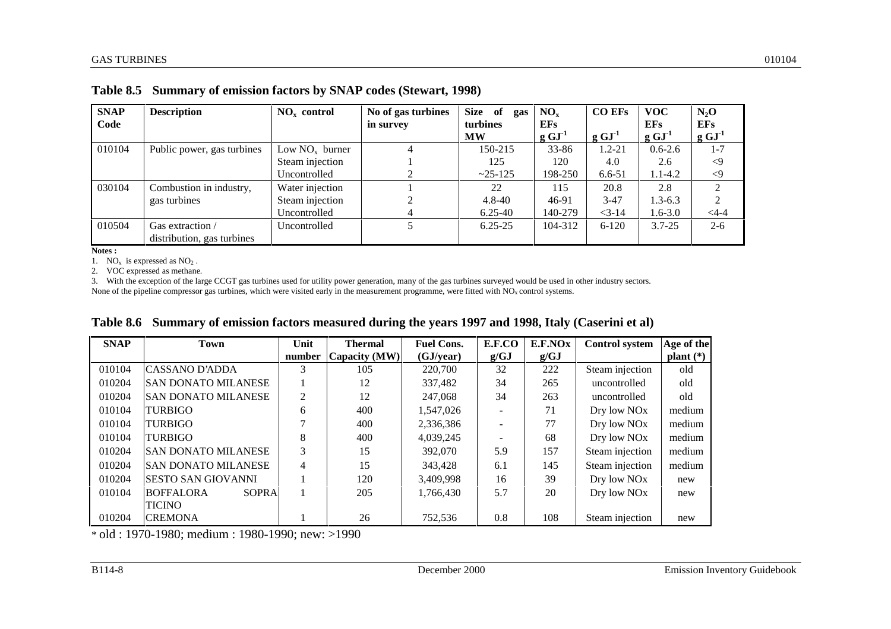| <b>SNAP</b> | <b>Description</b>         | $NOx$ control    | No of gas turbines | <b>Size</b><br>of<br>gas | NO <sub>x</sub> | <b>CO EFs</b> | <b>VOC</b>          | $N_2O$         |
|-------------|----------------------------|------------------|--------------------|--------------------------|-----------------|---------------|---------------------|----------------|
| Code        |                            |                  | in survey          | turbines                 | <b>EFs</b>      |               | <b>EFs</b>          | <b>EFs</b>     |
|             |                            |                  |                    | <b>MW</b>                | $g \, GJ^{-1}$  | $g GJ-1$      | $g \text{ GJ}^{-1}$ | $g GJ-1$       |
| 010104      | Public power, gas turbines | Low $NOx$ burner | 4                  | 150-215                  | $33 - 86$       | $1.2 - 21$    | $0.6 - 2.6$         | $1 - 7$        |
|             |                            | Steam injection  |                    | 125                      | 120             | 4.0           | 2.6                 | $\langle 9$    |
|             |                            | Uncontrolled     |                    | $~25 - 125$              | 198-250         | 6.6-51        | $1.1 - 4.2$         | $\langle 9$    |
| 030104      | Combustion in industry,    | Water injection  |                    | 22                       | 115             | 20.8          | 2.8                 | $\mathcal{L}$  |
|             | gas turbines               | Steam injection  |                    | $4.8 - 40$               | 46-91           | $3-47$        | $1.3 - 6.3$         | $\mathfrak{D}$ |
|             |                            | Uncontrolled     | 4                  | $6.25 - 40$              | 140-279         | $<$ 3-14      | 1.6-3.0             | $4 - -4$       |
| 010504      | Gas extraction /           | Uncontrolled     |                    | $6.25 - 25$              | 104-312         | $6 - 120$     | $3.7 - 25$          | $2 - 6$        |
|             | distribution, gas turbines |                  |                    |                          |                 |               |                     |                |

|  | Table 8.5 Summary of emission factors by SNAP codes (Stewart, 1998) |  |  |  |  |  |
|--|---------------------------------------------------------------------|--|--|--|--|--|
|--|---------------------------------------------------------------------|--|--|--|--|--|

**Notes :**

1.  $NO<sub>x</sub>$  is expressed as  $NO<sub>2</sub>$ .

2. VOC expressed as methane.

3. With the exception of the large CCGT gas turbines used for utility power generation, many of the gas turbines surveyed would be used in other industry sectors. None of the pipeline compressor gas turbines, which were visited early in the measurement programme, were fitted with  $NO<sub>x</sub>$  control systems.

| <b>SNAP</b> | Town                             | Unit           | <b>Thermal</b> | <b>Fuel Cons.</b> | E.F.CO                   | E.F.NOx | <b>Control system</b>   | Age of the  |
|-------------|----------------------------------|----------------|----------------|-------------------|--------------------------|---------|-------------------------|-------------|
|             |                                  | number         | Capacity (MW)  | (GJ/year)         | g/GJ                     | g/GJ    |                         | plant $(*)$ |
| 010104      | <b>CASSANO D'ADDA</b>            | 3              | 105            | 220,700           | 32                       | 222     | Steam injection         | old         |
| 010204      | <b>SAN DONATO MILANESE</b>       |                | 12             | 337,482           | 34                       | 265     | uncontrolled            | old         |
| 010204      | <b>SAN DONATO MILANESE</b>       | $\overline{2}$ | 12             | 247,068           | 34                       | 263     | uncontrolled            | old         |
| 010104      | TURBIGO                          | 6              | 400            | 1,547,026         |                          | 71      | Dry low NO <sub>x</sub> | medium      |
| 010104      | <b>TURBIGO</b>                   |                | 400            | 2,336,386         | $\overline{\phantom{a}}$ | 77      | Dry low NO <sub>x</sub> | medium      |
| 010104      | <b>TURBIGO</b>                   | 8              | 400            | 4,039,245         |                          | 68      | Dry low NO <sub>x</sub> | medium      |
| 010204      | <b>SAN DONATO MILANESE</b>       | 3              | 15             | 392,070           | 5.9                      | 157     | Steam injection         | medium      |
| 010204      | <b>SAN DONATO MILANESE</b>       | 4              | 15             | 343,428           | 6.1                      | 145     | Steam injection         | medium      |
| 010204      | <b>SESTO SAN GIOVANNI</b>        |                | 120            | 3,409,998         | 16                       | 39      | Dry low NO <sub>x</sub> | new         |
| 010104      | <b>SOPRA</b><br><b>BOFFALORA</b> |                | 205            | 1.766.430         | 5.7                      | 20      | Dry low NO <sub>x</sub> | new         |
|             | <b>TICINO</b>                    |                |                |                   |                          |         |                         |             |
| 010204      | <b>CREMONA</b>                   |                | 26             | 752,536           | 0.8                      | 108     | Steam injection         | new         |

#### **Table 8.6 Summary of emission factors measured during the years 1997 and 1998, Italy (Caserini et al)**

\* old : 1970-1980; medium : 1980-1990; new: >1990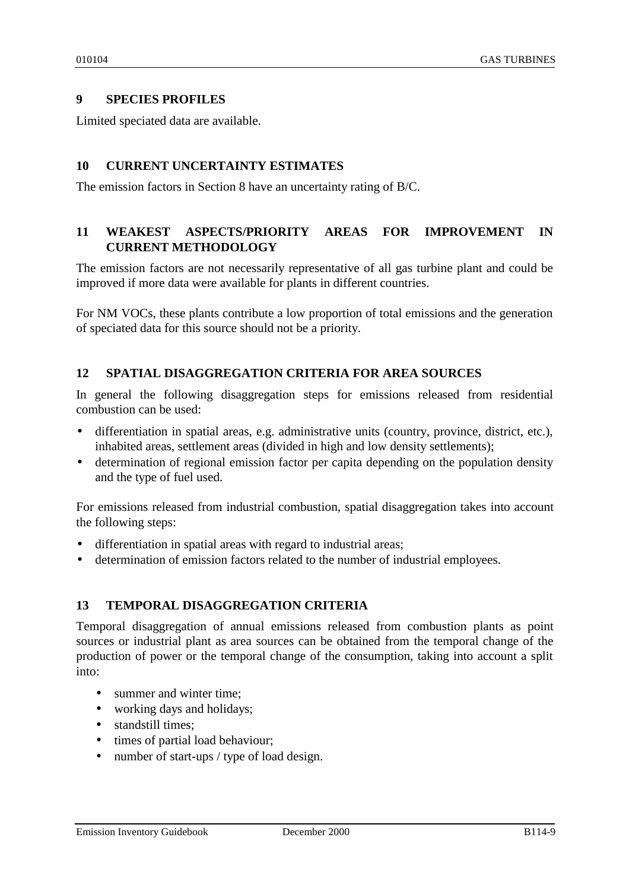## **9 SPECIES PROFILES**

Limited speciated data are available.

## **10 CURRENT UNCERTAINTY ESTIMATES**

The emission factors in Section 8 have an uncertainty rating of B/C.

## **11 WEAKEST ASPECTS/PRIORITY AREAS FOR IMPROVEMENT IN CURRENT METHODOLOGY**

The emission factors are not necessarily representative of all gas turbine plant and could be improved if more data were available for plants in different countries.

For NM VOCs, these plants contribute a low proportion of total emissions and the generation of speciated data for this source should not be a priority.

## **12 SPATIAL DISAGGREGATION CRITERIA FOR AREA SOURCES**

In general the following disaggregation steps for emissions released from residential combustion can be used:

- differentiation in spatial areas, e.g. administrative units (country, province, district, etc.), inhabited areas, settlement areas (divided in high and low density settlements);
- determination of regional emission factor per capita depending on the population density and the type of fuel used.

For emissions released from industrial combustion, spatial disaggregation takes into account the following steps:

- differentiation in spatial areas with regard to industrial areas;
- determination of emission factors related to the number of industrial employees.

## **13 TEMPORAL DISAGGREGATION CRITERIA**

Temporal disaggregation of annual emissions released from combustion plants as point sources or industrial plant as area sources can be obtained from the temporal change of the production of power or the temporal change of the consumption, taking into account a split into:

- summer and winter time:
- working days and holidays;
- standstill times:
- times of partial load behaviour;
- number of start-ups / type of load design.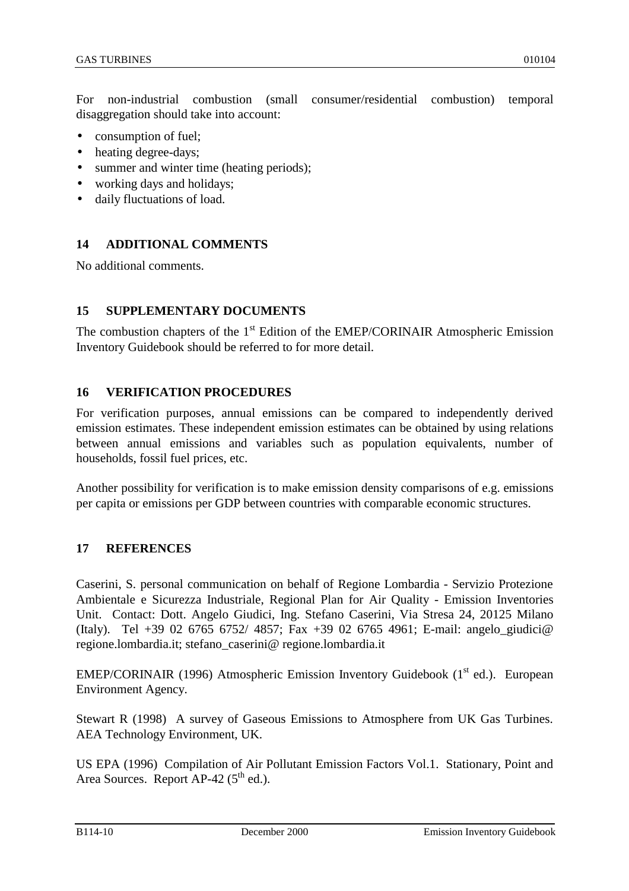For non-industrial combustion (small consumer/residential combustion) temporal disaggregation should take into account:

- consumption of fuel;
- heating degree-days;
- summer and winter time (heating periods);
- working days and holidays;
- daily fluctuations of load.

## **14 ADDITIONAL COMMENTS**

No additional comments.

## **15 SUPPLEMENTARY DOCUMENTS**

The combustion chapters of the  $1<sup>st</sup>$  Edition of the EMEP/CORINAIR Atmospheric Emission Inventory Guidebook should be referred to for more detail.

## **16 VERIFICATION PROCEDURES**

For verification purposes, annual emissions can be compared to independently derived emission estimates. These independent emission estimates can be obtained by using relations between annual emissions and variables such as population equivalents, number of households, fossil fuel prices, etc.

Another possibility for verification is to make emission density comparisons of e.g. emissions per capita or emissions per GDP between countries with comparable economic structures.

## **17 REFERENCES**

Caserini, S. personal communication on behalf of Regione Lombardia - Servizio Protezione Ambientale e Sicurezza Industriale, Regional Plan for Air Quality - Emission Inventories Unit. Contact: Dott. Angelo Giudici, Ing. Stefano Caserini, Via Stresa 24, 20125 Milano (Italy). Tel +39 02 6765 6752/ 4857; Fax +39 02 6765 4961; E-mail: angelo\_giudici@ regione.lombardia.it; stefano\_caserini@ regione.lombardia.it

EMEP/CORINAIR (1996) Atmospheric Emission Inventory Guidebook ( $1<sup>st</sup>$  ed.). European Environment Agency.

Stewart R (1998) A survey of Gaseous Emissions to Atmosphere from UK Gas Turbines. AEA Technology Environment, UK.

US EPA (1996) Compilation of Air Pollutant Emission Factors Vol.1. Stationary, Point and Area Sources. Report  $AP-42$  ( $5<sup>th</sup>$  ed.).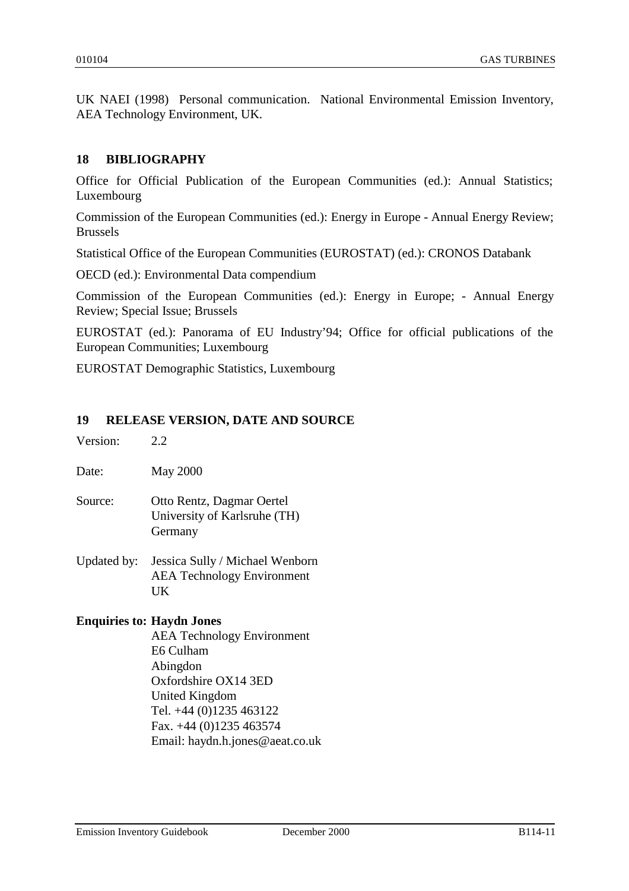UK NAEI (1998) Personal communication. National Environmental Emission Inventory, AEA Technology Environment, UK.

## **18 BIBLIOGRAPHY**

Office for Official Publication of the European Communities (ed.): Annual Statistics; Luxembourg

Commission of the European Communities (ed.): Energy in Europe - Annual Energy Review; Brussels

Statistical Office of the European Communities (EUROSTAT) (ed.): CRONOS Databank

OECD (ed.): Environmental Data compendium

Commission of the European Communities (ed.): Energy in Europe; - Annual Energy Review; Special Issue; Brussels

EUROSTAT (ed.): Panorama of EU Industry'94; Office for official publications of the European Communities; Luxembourg

EUROSTAT Demographic Statistics, Luxembourg

### **19 RELEASE VERSION, DATE AND SOURCE**

| Version: | 2.2                                                                                                                                                                                            |
|----------|------------------------------------------------------------------------------------------------------------------------------------------------------------------------------------------------|
| Date:    | <b>May 2000</b>                                                                                                                                                                                |
| Source:  | Otto Rentz, Dagmar Oertel<br>University of Karlsruhe (TH)<br>Germany                                                                                                                           |
|          | Updated by: Jessica Sully / Michael Wenborn<br><b>AEA Technology Environment</b><br>UK                                                                                                         |
|          | <b>Enquiries to: Haydn Jones</b><br><b>AEA Technology Environment</b><br>E6 Culham<br>Abingdon<br>Oxfordshire OX14 3ED<br>United Kingdom<br>Tel. +44 (0)1235 463122<br>Fax. +44 (0)1235 463574 |

Email: haydn.h.jones@aeat.co.uk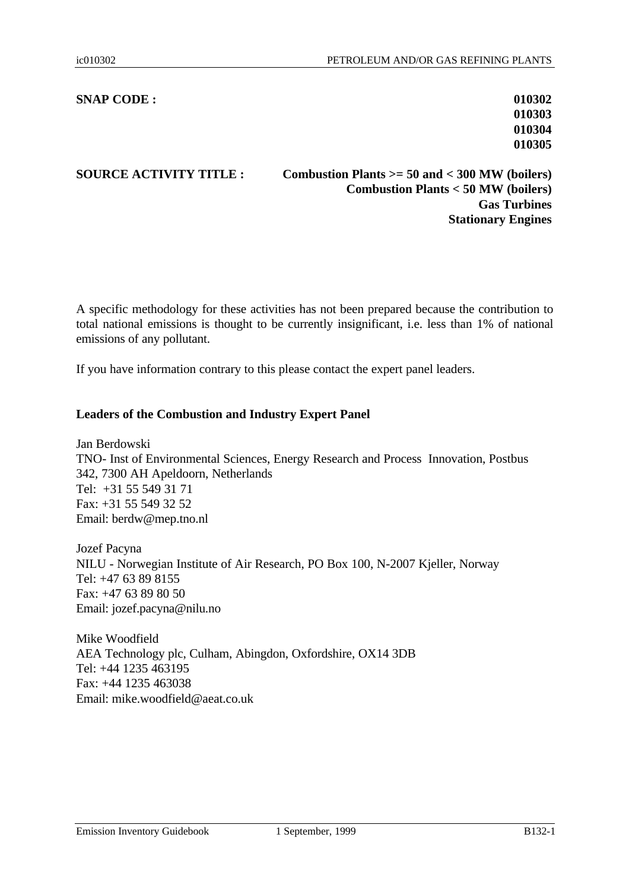### **SNAP CODE : 010302**

**010303 010304 010305**

**SOURCE ACTIVITY TITLE : Combustion Plants >= 50 and < 300 MW (boilers) Combustion Plants < 50 MW (boilers) Gas Turbines Stationary Engines**

A specific methodology for these activities has not been prepared because the contribution to total national emissions is thought to be currently insignificant, i.e. less than 1% of national emissions of any pollutant.

If you have information contrary to this please contact the expert panel leaders.

### **Leaders of the Combustion and Industry Expert Panel**

Jan Berdowski TNO- Inst of Environmental Sciences, Energy Research and Process Innovation, Postbus 342, 7300 AH Apeldoorn, Netherlands Tel: +31 55 549 31 71 Fax: +31 55 549 32 52 Email: berdw@mep.tno.nl

Jozef Pacyna NILU - Norwegian Institute of Air Research, PO Box 100, N-2007 Kjeller, Norway Tel: +47 63 89 8155 Fax: +47 63 89 80 50 Email: jozef.pacyna@nilu.no

Mike Woodfield AEA Technology plc, Culham, Abingdon, Oxfordshire, OX14 3DB Tel: +44 1235 463195 Fax: +44 1235 463038 Email: mike.woodfield@aeat.co.uk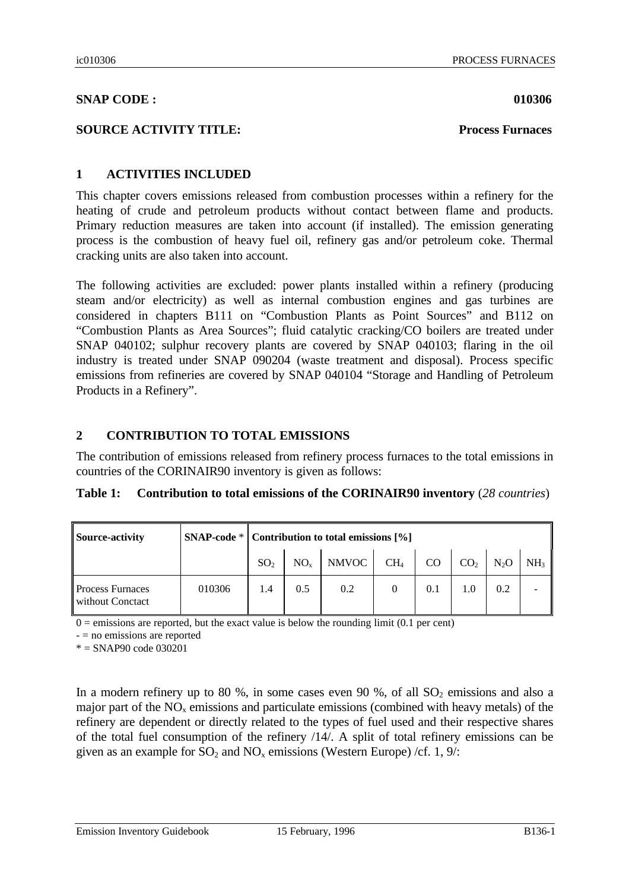### **SNAP CODE : 010306**

### **SOURCE ACTIVITY TITLE: Process Furnaces**

## **1 ACTIVITIES INCLUDED**

This chapter covers emissions released from combustion processes within a refinery for the heating of crude and petroleum products without contact between flame and products. Primary reduction measures are taken into account (if installed). The emission generating process is the combustion of heavy fuel oil, refinery gas and/or petroleum coke. Thermal cracking units are also taken into account.

The following activities are excluded: power plants installed within a refinery (producing steam and/or electricity) as well as internal combustion engines and gas turbines are considered in chapters B111 on "Combustion Plants as Point Sources" and B112 on "Combustion Plants as Area Sources"; fluid catalytic cracking/CO boilers are treated under SNAP 040102; sulphur recovery plants are covered by SNAP 040103; flaring in the oil industry is treated under SNAP 090204 (waste treatment and disposal). Process specific emissions from refineries are covered by SNAP 040104 "Storage and Handling of Petroleum Products in a Refinery".

## **2 CONTRIBUTION TO TOTAL EMISSIONS**

The contribution of emissions released from refinery process furnaces to the total emissions in countries of the CORINAIR90 inventory is given as follows:

|  | Table 1: Contribution to total emissions of the CORINAIR90 inventory (28 countries) |  |  |  |  |  |
|--|-------------------------------------------------------------------------------------|--|--|--|--|--|
|--|-------------------------------------------------------------------------------------|--|--|--|--|--|

| Source-activity                             |        | $SNAP\text{-code}* $ Contribution to total emissions [%] |          |       |                 |     |                 |                  |                 |
|---------------------------------------------|--------|----------------------------------------------------------|----------|-------|-----------------|-----|-----------------|------------------|-----------------|
|                                             |        | SO <sub>2</sub>                                          | $NO_{v}$ | NMVOC | CH <sub>4</sub> | CO  | CO <sub>2</sub> | N <sub>2</sub> O | NH <sub>3</sub> |
| <b>Process Furnaces</b><br>without Conctact | 010306 | 1.4                                                      | 0.5      | 0.2   |                 | 0.1 | 1.0             | 0.2              |                 |

 $0 =$  emissions are reported, but the exact value is below the rounding limit (0.1 per cent)

 $-$  = no emissions are reported

 $* = SNAP90$  code 030201

In a modern refinery up to 80 %, in some cases even 90 %, of all  $SO_2$  emissions and also a major part of the  $NO<sub>x</sub>$  emissions and particulate emissions (combined with heavy metals) of the refinery are dependent or directly related to the types of fuel used and their respective shares of the total fuel consumption of the refinery /14/. A split of total refinery emissions can be given as an example for  $SO_2$  and  $NO_x$  emissions (Western Europe) /cf. 1, 9/: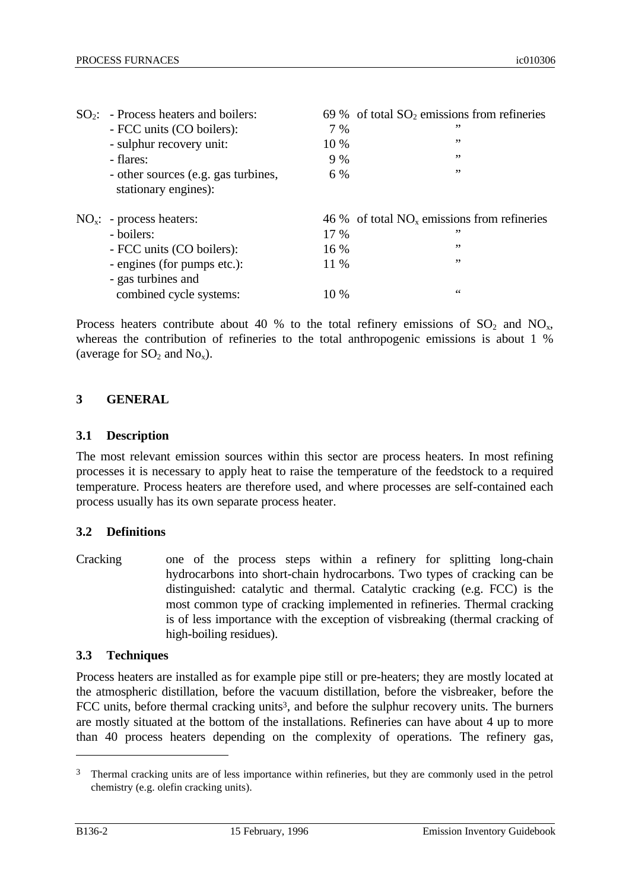| $SO_2$ : - Process heaters and boilers:<br>- FCC units (CO boilers):<br>- sulphur recovery unit:<br>- flares:<br>- other sources (e.g. gas turbines,<br>stationary engines): | 7 %<br>10 %<br>9 %<br>6 %    | 69 % of total $SO_2$ emissions from refineries<br>, ,<br>,,<br>, ,<br>,, |
|------------------------------------------------------------------------------------------------------------------------------------------------------------------------------|------------------------------|--------------------------------------------------------------------------|
| $NOx: - process headers:$<br>- boilers:<br>- FCC units (CO boilers):<br>- engines (for pumps etc.):<br>- gas turbines and<br>combined cycle systems:                         | 17 %<br>16 %<br>11 %<br>10 % | 46 % of total $NOx$ emissions from refineries<br>,,<br>,,<br>, ,<br>66   |

Process heaters contribute about 40 % to the total refinery emissions of  $SO_2$  and  $NO_x$ , whereas the contribution of refineries to the total anthropogenic emissions is about 1 % (average for  $SO_2$  and  $No_x$ ).

### **3 GENERAL**

### **3.1 Description**

The most relevant emission sources within this sector are process heaters. In most refining processes it is necessary to apply heat to raise the temperature of the feedstock to a required temperature. Process heaters are therefore used, and where processes are self-contained each process usually has its own separate process heater.

### **3.2 Definitions**

Cracking one of the process steps within a refinery for splitting long-chain hydrocarbons into short-chain hydrocarbons. Two types of cracking can be distinguished: catalytic and thermal. Catalytic cracking (e.g. FCC) is the most common type of cracking implemented in refineries. Thermal cracking is of less importance with the exception of visbreaking (thermal cracking of high-boiling residues).

### **3.3 Techniques**

Process heaters are installed as for example pipe still or pre-heaters; they are mostly located at the atmospheric distillation, before the vacuum distillation, before the visbreaker, before the FCC units, before thermal cracking units<sup>3</sup>, and before the sulphur recovery units. The burners are mostly situated at the bottom of the installations. Refineries can have about 4 up to more than 40 process heaters depending on the complexity of operations. The refinery gas,

<sup>3</sup> Thermal cracking units are of less importance within refineries, but they are commonly used in the petrol chemistry (e.g. olefin cracking units).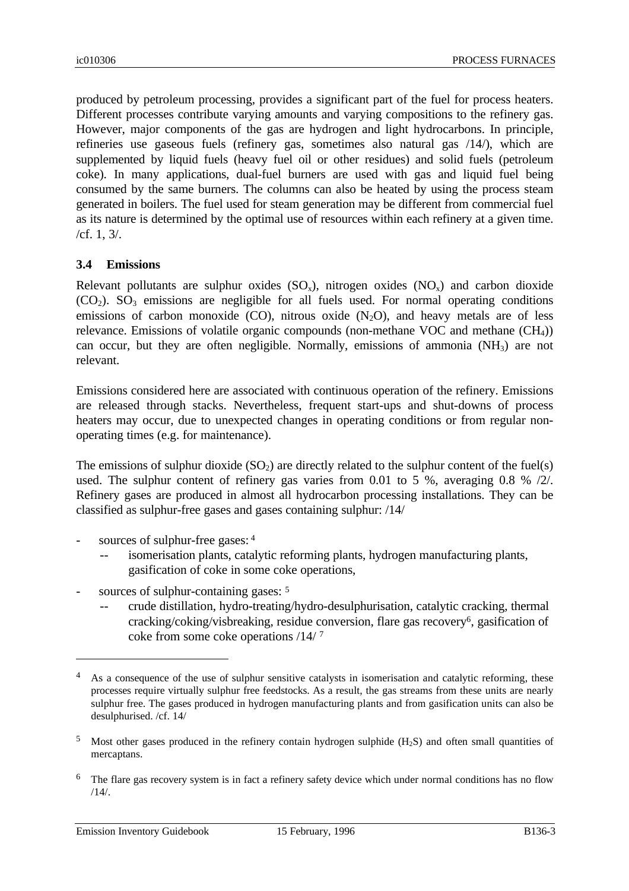produced by petroleum processing, provides a significant part of the fuel for process heaters. Different processes contribute varying amounts and varying compositions to the refinery gas. However, major components of the gas are hydrogen and light hydrocarbons. In principle, refineries use gaseous fuels (refinery gas, sometimes also natural gas /14/), which are supplemented by liquid fuels (heavy fuel oil or other residues) and solid fuels (petroleum coke). In many applications, dual-fuel burners are used with gas and liquid fuel being consumed by the same burners. The columns can also be heated by using the process steam generated in boilers. The fuel used for steam generation may be different from commercial fuel as its nature is determined by the optimal use of resources within each refinery at a given time. /cf. 1, 3/.

### **3.4 Emissions**

Relevant pollutants are sulphur oxides  $(SO_x)$ , nitrogen oxides  $(NO_x)$  and carbon dioxide  $(CO<sub>2</sub>)$ .  $SO<sub>3</sub>$  emissions are negligible for all fuels used. For normal operating conditions emissions of carbon monoxide  $(CO)$ , nitrous oxide  $(N_2O)$ , and heavy metals are of less relevance. Emissions of volatile organic compounds (non-methane VOC and methane  $(CH<sub>4</sub>)$ ) can occur, but they are often negligible. Normally, emissions of ammonia (NH3) are not relevant.

Emissions considered here are associated with continuous operation of the refinery. Emissions are released through stacks. Nevertheless, frequent start-ups and shut-downs of process heaters may occur, due to unexpected changes in operating conditions or from regular nonoperating times (e.g. for maintenance).

The emissions of sulphur dioxide  $(SO_2)$  are directly related to the sulphur content of the fuel(s) used. The sulphur content of refinery gas varies from 0.01 to 5 %, averaging 0.8 % /2/. Refinery gases are produced in almost all hydrocarbon processing installations. They can be classified as sulphur-free gases and gases containing sulphur: /14/

- sources of sulphur-free gases: 4
	- isomerisation plants, catalytic reforming plants, hydrogen manufacturing plants, gasification of coke in some coke operations,
- sources of sulphur-containing gases: <sup>5</sup>
	- crude distillation, hydro-treating/hydro-desulphurisation, catalytic cracking, thermal cracking/coking/visbreaking, residue conversion, flare gas recovery<sup>6</sup>, gasification of coke from some coke operations /14/ <sup>7</sup>

<sup>&</sup>lt;sup>4</sup> As a consequence of the use of sulphur sensitive catalysts in isomerisation and catalytic reforming, these processes require virtually sulphur free feedstocks. As a result, the gas streams from these units are nearly sulphur free. The gases produced in hydrogen manufacturing plants and from gasification units can also be desulphurised. /cf. 14/

 $5$  Most other gases produced in the refinery contain hydrogen sulphide (H<sub>2</sub>S) and often small quantities of mercaptans.

<sup>&</sup>lt;sup>6</sup> The flare gas recovery system is in fact a refinery safety device which under normal conditions has no flow  $/14/$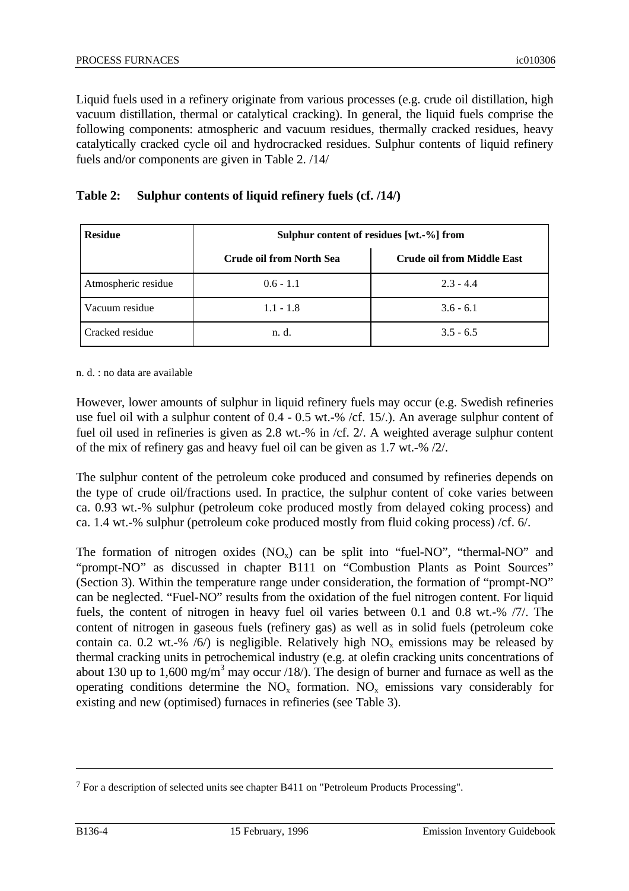Liquid fuels used in a refinery originate from various processes (e.g. crude oil distillation, high vacuum distillation, thermal or catalytical cracking). In general, the liquid fuels comprise the following components: atmospheric and vacuum residues, thermally cracked residues, heavy catalytically cracked cycle oil and hydrocracked residues. Sulphur contents of liquid refinery fuels and/or components are given in Table 2. /14/

| <b>Residue</b>      | Sulphur content of residues [wt.-%] from |                                   |  |  |  |  |
|---------------------|------------------------------------------|-----------------------------------|--|--|--|--|
|                     | <b>Crude oil from North Sea</b>          | <b>Crude oil from Middle East</b> |  |  |  |  |
| Atmospheric residue | $0.6 - 1.1$                              | $2.3 - 4.4$                       |  |  |  |  |
| Vacuum residue      | $1.1 - 1.8$                              | $3.6 - 6.1$                       |  |  |  |  |
| Cracked residue     | n. d.                                    | $3.5 - 6.5$                       |  |  |  |  |

## **Table 2: Sulphur contents of liquid refinery fuels (cf. /14/)**

n. d. : no data are available

However, lower amounts of sulphur in liquid refinery fuels may occur (e.g. Swedish refineries use fuel oil with a sulphur content of 0.4 - 0.5 wt.-% /cf. 15/.). An average sulphur content of fuel oil used in refineries is given as 2.8 wt.-% in /cf. 2/. A weighted average sulphur content of the mix of refinery gas and heavy fuel oil can be given as 1.7 wt.-% /2/.

The sulphur content of the petroleum coke produced and consumed by refineries depends on the type of crude oil/fractions used. In practice, the sulphur content of coke varies between ca. 0.93 wt.-% sulphur (petroleum coke produced mostly from delayed coking process) and ca. 1.4 wt.-% sulphur (petroleum coke produced mostly from fluid coking process) /cf. 6/.

The formation of nitrogen oxides  $(NO_x)$  can be split into "fuel-NO", "thermal-NO" and "prompt-NO" as discussed in chapter B111 on "Combustion Plants as Point Sources" (Section 3). Within the temperature range under consideration, the formation of "prompt-NO" can be neglected. "Fuel-NO" results from the oxidation of the fuel nitrogen content. For liquid fuels, the content of nitrogen in heavy fuel oil varies between 0.1 and 0.8 wt.-% /7/. The content of nitrogen in gaseous fuels (refinery gas) as well as in solid fuels (petroleum coke contain ca. 0.2 wt.-% /6/) is negligible. Relatively high  $NO<sub>x</sub>$  emissions may be released by thermal cracking units in petrochemical industry (e.g. at olefin cracking units concentrations of about 130 up to 1,600 mg/m<sup>3</sup> may occur /18/). The design of burner and furnace as well as the operating conditions determine the  $NO<sub>x</sub>$  formation.  $NO<sub>x</sub>$  emissions vary considerably for existing and new (optimised) furnaces in refineries (see Table 3).

<sup>7</sup> For a description of selected units see chapter B411 on "Petroleum Products Processing".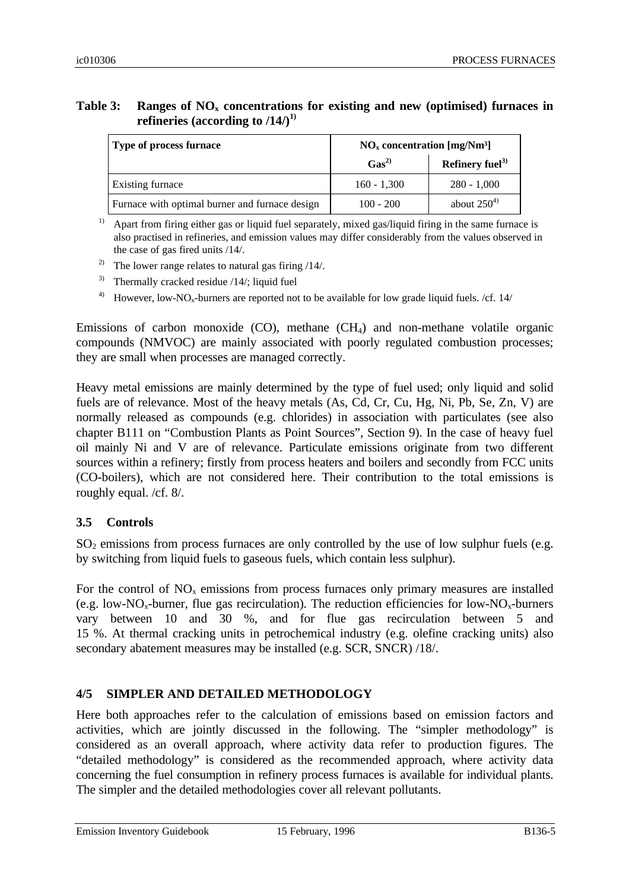## **Table 3: Ranges of NOx concentrations for existing and new (optimised) furnaces in refineries (according to /14/)1)**

| Type of process furnace                        | $NOx concentration [mg/Nm3]$ |                             |  |
|------------------------------------------------|------------------------------|-----------------------------|--|
|                                                | Gas <sup>2</sup>             | Refinery fuel <sup>3)</sup> |  |
| Existing furnace                               | $160 - 1,300$                | $280 - 1,000$               |  |
| Furnace with optimal burner and furnace design | $100 - 200$                  | about $250^{4}$             |  |

<sup>1)</sup> Apart from firing either gas or liquid fuel separately, mixed gas/liquid firing in the same furnace is also practised in refineries, and emission values may differ considerably from the values observed in the case of gas fired units /14/.

- <sup>2)</sup> The lower range relates to natural gas firing  $/14/$ .
- <sup>3)</sup> Thermally cracked residue  $/14/$ ; liquid fuel
- <sup>4)</sup> However, low-NO<sub>x</sub>-burners are reported not to be available for low grade liquid fuels. /cf. 14/

Emissions of carbon monoxide  $(CO)$ , methane  $(CH<sub>4</sub>)$  and non-methane volatile organic compounds (NMVOC) are mainly associated with poorly regulated combustion processes; they are small when processes are managed correctly.

Heavy metal emissions are mainly determined by the type of fuel used; only liquid and solid fuels are of relevance. Most of the heavy metals (As, Cd, Cr, Cu, Hg, Ni, Pb, Se, Zn, V) are normally released as compounds (e.g. chlorides) in association with particulates (see also chapter B111 on "Combustion Plants as Point Sources", Section 9). In the case of heavy fuel oil mainly Ni and V are of relevance. Particulate emissions originate from two different sources within a refinery; firstly from process heaters and boilers and secondly from FCC units (CO-boilers), which are not considered here. Their contribution to the total emissions is roughly equal. /cf. 8/.

## **3.5 Controls**

 $SO<sub>2</sub>$  emissions from process furnaces are only controlled by the use of low sulphur fuels (e.g. by switching from liquid fuels to gaseous fuels, which contain less sulphur).

For the control of  $NO<sub>x</sub>$  emissions from process furnaces only primary measures are installed (e.g. low-NO<sub>x</sub>-burner, flue gas recirculation). The reduction efficiencies for low-NO<sub>x</sub>-burners vary between 10 and 30 %, and for flue gas recirculation between 5 and 15 %. At thermal cracking units in petrochemical industry (e.g. olefine cracking units) also secondary abatement measures may be installed (e.g. SCR, SNCR) /18/.

## **4/5 SIMPLER AND DETAILED METHODOLOGY**

Here both approaches refer to the calculation of emissions based on emission factors and activities, which are jointly discussed in the following. The "simpler methodology" is considered as an overall approach, where activity data refer to production figures. The "detailed methodology" is considered as the recommended approach, where activity data concerning the fuel consumption in refinery process furnaces is available for individual plants. The simpler and the detailed methodologies cover all relevant pollutants.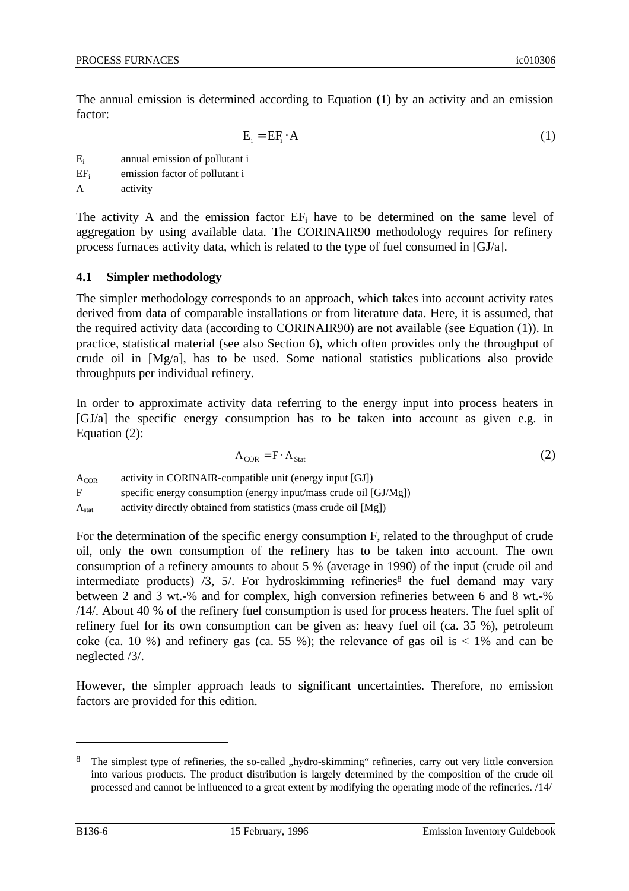The annual emission is determined according to Equation (1) by an activity and an emission factor:

$$
E_i = EF_i \cdot A \tag{1}
$$

E<sup>i</sup> annual emission of pollutant i

EF<sup>i</sup> emission factor of pollutant i

A activity

The activity A and the emission factor  $EF_i$  have to be determined on the same level of aggregation by using available data. The CORINAIR90 methodology requires for refinery process furnaces activity data, which is related to the type of fuel consumed in [GJ/a].

### **4.1 Simpler methodology**

The simpler methodology corresponds to an approach, which takes into account activity rates derived from data of comparable installations or from literature data. Here, it is assumed, that the required activity data (according to CORINAIR90) are not available (see Equation (1)). In practice, statistical material (see also Section 6), which often provides only the throughput of crude oil in [Mg/a], has to be used. Some national statistics publications also provide throughputs per individual refinery.

In order to approximate activity data referring to the energy input into process heaters in [GJ/a] the specific energy consumption has to be taken into account as given e.g. in Equation (2):

$$
A_{COR} = F \cdot A_{Stat} \tag{2}
$$

 $A_{COR}$  activity in CORINAIR-compatible unit (energy input [GJ]) F specific energy consumption (energy input/mass crude oil [GJ/Mg])  $A<sub>stat</sub>$  activity directly obtained from statistics (mass crude oil [Mg])

For the determination of the specific energy consumption F, related to the throughput of crude oil, only the own consumption of the refinery has to be taken into account. The own consumption of a refinery amounts to about 5 % (average in 1990) of the input (crude oil and intermediate products) /3, 5/. For hydroskimming refineries<sup>8</sup> the fuel demand may vary between 2 and 3 wt.-% and for complex, high conversion refineries between 6 and 8 wt.-% /14/. About 40 % of the refinery fuel consumption is used for process heaters. The fuel split of refinery fuel for its own consumption can be given as: heavy fuel oil (ca. 35 %), petroleum coke (ca. 10 %) and refinery gas (ca. 55 %); the relevance of gas oil is  $< 1\%$  and can be neglected /3/.

However, the simpler approach leads to significant uncertainties. Therefore, no emission factors are provided for this edition.

<sup>&</sup>lt;sup>8</sup> The simplest type of refineries, the so-called "hydro-skimming" refineries, carry out very little conversion into various products. The product distribution is largely determined by the composition of the crude oil processed and cannot be influenced to a great extent by modifying the operating mode of the refineries. /14/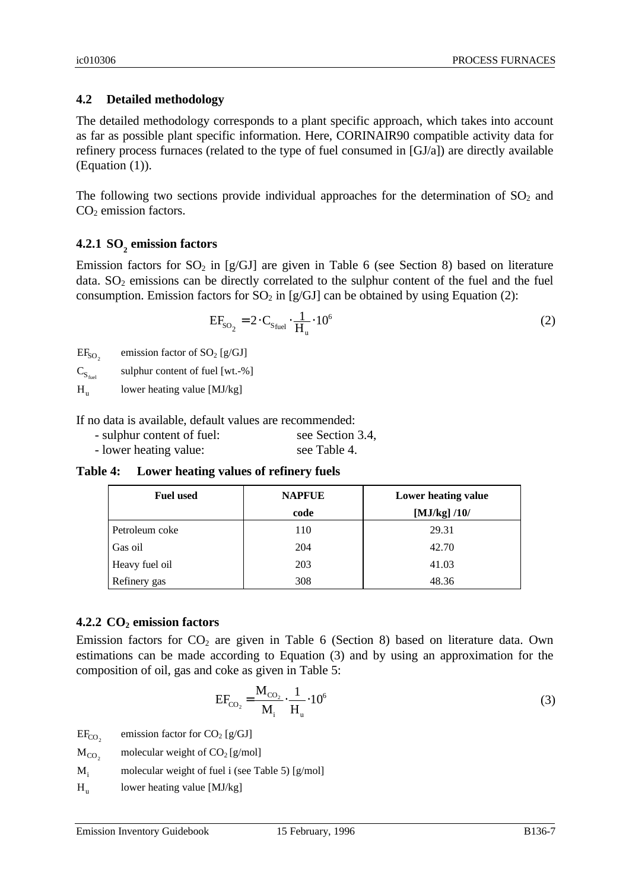## **4.2 Detailed methodology**

The detailed methodology corresponds to a plant specific approach, which takes into account as far as possible plant specific information. Here, CORINAIR90 compatible activity data for refinery process furnaces (related to the type of fuel consumed in [GJ/a]) are directly available (Equation (1)).

The following two sections provide individual approaches for the determination of  $SO_2$  and  $CO<sub>2</sub>$  emission factors.

# **4.2.1 SO<sup>2</sup> emission factors**

Emission factors for  $SO_2$  in [g/GJ] are given in Table 6 (see Section 8) based on literature data.  $SO_2$  emissions can be directly correlated to the sulphur content of the fuel and the fuel consumption. Emission factors for  $SO_2$  in [g/GJ] can be obtained by using Equation (2):

$$
EF_{SO_2} = 2 \cdot C_{S_{fuel}} \cdot \frac{1}{H_u} \cdot 10^6 \tag{2}
$$

 $EF<sub>SO<sub>2</sub></sub>$ emission factor of  $SO_2$  [g/GJ]

 $C_{S_{\text{final}}}$ sulphur content of fuel [wt.-%]

 $H<sub>n</sub>$ lower heating value [MJ/kg]

If no data is available, default values are recommended:

| - sulphur content of fuel: | see Section 3.4, |
|----------------------------|------------------|
| - lower heating value:     | see Table 4.     |

**Table 4: Lower heating values of refinery fuels**

| <b>Fuel used</b> | <b>NAPFUE</b> | Lower heating value |
|------------------|---------------|---------------------|
|                  | code          | [ $MJ/kg$ ] /10/    |
| Petroleum coke   | 110           | 29.31               |
| Gas oil          | 204           | 42.70               |
| Heavy fuel oil   | 203           | 41.03               |
| Refinery gas     | 308           | 48.36               |

## **4.2.2 CO2 emission factors**

Emission factors for  $CO<sub>2</sub>$  are given in Table 6 (Section 8) based on literature data. Own estimations can be made according to Equation (3) and by using an approximation for the composition of oil, gas and coke as given in Table 5:

$$
EF_{CO_2} = \frac{M_{CO_2}}{M_i} \cdot \frac{1}{H_u} \cdot 10^6
$$
 (3)

- $EF_{CO<sub>2</sub>}$ emission factor for  $CO<sub>2</sub>$  [g/GJ]
- $M_{CO<sub>2</sub>}$ molecular weight of  $CO<sub>2</sub>$  [g/mol]
- $M_i$  molecular weight of fuel i (see Table 5) [g/mol]
- $H<sub>n</sub>$ lower heating value [MJ/kg]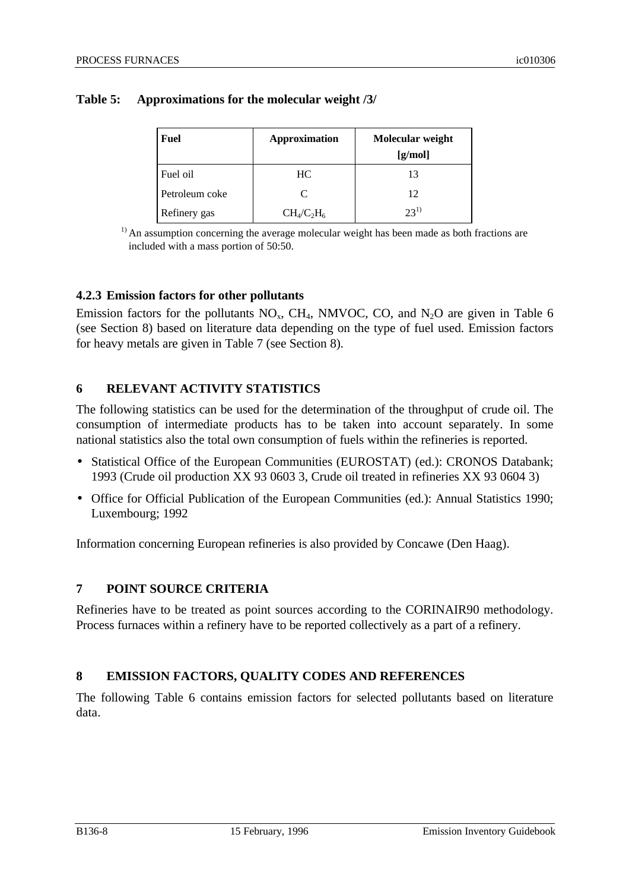| Fuel           | <b>Approximation</b>        | Molecular weight<br>[g/mol] |
|----------------|-----------------------------|-----------------------------|
| Fuel oil       | HC.                         | 13                          |
| Petroleum coke | $\mathcal{C}_{\mathcal{C}}$ | 12                          |
| Refinery gas   | $CH_4/C_2H_6$               | $23^{1}$                    |

### **Table 5: Approximations for the molecular weight /3/**

 $<sup>1</sup>$  An assumption concerning the average molecular weight has been made as both fractions are</sup> included with a mass portion of 50:50.

### **4.2.3 Emission factors for other pollutants**

Emission factors for the pollutants  $NO<sub>x</sub>$ , CH<sub>4</sub>, NMVOC, CO, and N<sub>2</sub>O are given in Table 6 (see Section 8) based on literature data depending on the type of fuel used. Emission factors for heavy metals are given in Table 7 (see Section 8).

## **6 RELEVANT ACTIVITY STATISTICS**

The following statistics can be used for the determination of the throughput of crude oil. The consumption of intermediate products has to be taken into account separately. In some national statistics also the total own consumption of fuels within the refineries is reported.

- Statistical Office of the European Communities (EUROSTAT) (ed.): CRONOS Databank; 1993 (Crude oil production XX 93 0603 3, Crude oil treated in refineries XX 93 0604 3)
- Office for Official Publication of the European Communities (ed.): Annual Statistics 1990; Luxembourg; 1992

Information concerning European refineries is also provided by Concawe (Den Haag).

## **7 POINT SOURCE CRITERIA**

Refineries have to be treated as point sources according to the CORINAIR90 methodology. Process furnaces within a refinery have to be reported collectively as a part of a refinery.

## **8 EMISSION FACTORS, QUALITY CODES AND REFERENCES**

The following Table 6 contains emission factors for selected pollutants based on literature data.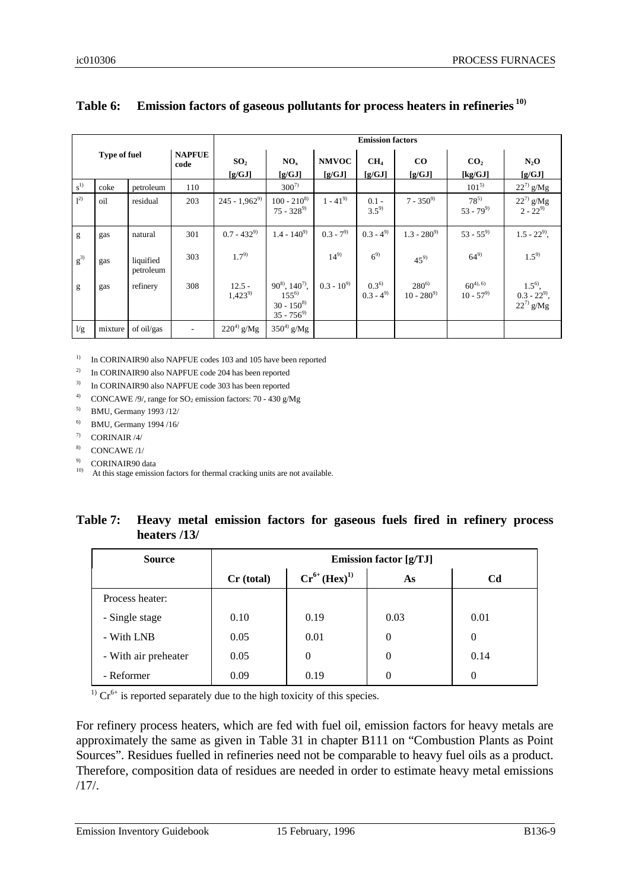|                     |         |                        |                           | <b>Emission factors</b>   |                                                                         |                           |                            |                             |                             |                                                |
|---------------------|---------|------------------------|---------------------------|---------------------------|-------------------------------------------------------------------------|---------------------------|----------------------------|-----------------------------|-----------------------------|------------------------------------------------|
| <b>Type of fuel</b> |         | <b>NAPFUE</b><br>code  | SO <sub>2</sub><br>[g/GJ] | NO <sub>x</sub><br>[g/GJ] | <b>NMVOC</b><br>[g/GJ]                                                  | CH <sub>4</sub><br>[g/GJ] | $\bf{CO}$<br>$[g/GJ]$      | CO <sub>2</sub><br>[kg/GJ]  | $N_2O$<br>[g/GJ]            |                                                |
| $s^{1}$             | coke    | petroleum              | 110                       |                           | $300^{7}$                                                               |                           |                            |                             | $101^{5}$                   | $22^{7}$ g/Mg                                  |
| $1^{2}$             | oil     | residual               | 203                       | $245 - 1,962^9$           | $100 - 210^{8}$<br>$75 - 328^{9}$                                       | $1 - 41^{9}$              | $0.1 -$<br>$3.5^{9}$       | $7 - 350^{9}$               | $78^{5}$<br>$53 - 79^{9}$   | $22^7$ g/Mg<br>$2 - 22^{9}$                    |
| g                   | gas     | natural                | 301                       | $0.7 - 432^{9}$           | $1.4 - 140^{9}$                                                         | $0.3 - 7^{9}$             | $0.3 - 4^{9}$              | $1.3 - 280^{9}$             | $53 - 55^{9}$               | $1.5 - 22^{9}$ ,                               |
| $g^{3)}$            | gas     | liquified<br>petroleum | 303                       | $1.7^{9}$                 |                                                                         | $14^{9}$                  | $6^{9}$                    | $45^{9}$                    | $64^{9}$                    | $1.5^{9}$                                      |
| g                   | gas     | refinery               | 308                       | $12.5 -$<br>$1,423^{9}$   | $90^{8}$ , $140^{7}$ ,<br>$155^{6}$<br>$30 - 150^{8}$<br>$35 - 756^{9}$ | $0.3 - 10^{9}$            | $0.3^{6}$<br>$0.3 - 4^{9}$ | $280^{6}$<br>$10 - 280^{9}$ | $60^{4,6}$<br>$10 - 57^{9}$ | $1.5^{6}$ ,<br>$0.3 - 22^{9}$<br>$22^{7}$ g/Mg |
| 1/g                 | mixture | of oil/gas             |                           | $220^{4)}$ g/Mg           | $350^4$ g/Mg                                                            |                           |                            |                             |                             |                                                |

## **Table 6: Emission factors of gaseous pollutants for process heaters in refineries 10)**

<sup>1)</sup> In CORINAIR90 also NAPFUE codes 103 and 105 have been reported

2) In CORINAIR90 also NAPFUE code 204 has been reported

3) In CORINAIR90 also NAPFUE code 303 has been reported

<sup>4)</sup> CONCAWE /9/, range for  $SO_2$  emission factors: 70 - 430 g/Mg

5) BMU, Germany 1993 /12/

6) BMU, Germany 1994 /16/

 $7)$  CORINAIR /4/

 $8$ ) CONCAWE /1/

9) CORINAIR90 data

<sup>10)</sup> At this stage emission factors for thermal cracking units are not available.

### **Table 7: Heavy metal emission factors for gaseous fuels fired in refinery process heaters /13/**

| <b>Source</b>        | <b>Emission factor [g/TJ]</b> |                     |      |                |  |  |  |
|----------------------|-------------------------------|---------------------|------|----------------|--|--|--|
|                      | Cr (total)                    | $Cr^{6+}(Hex)^{1)}$ | As   | C <sub>d</sub> |  |  |  |
| Process heater:      |                               |                     |      |                |  |  |  |
| - Single stage       | 0.10                          | 0.19                | 0.03 | 0.01           |  |  |  |
| - With LNB           | 0.05                          | 0.01                | 0    | $\Omega$       |  |  |  |
| - With air preheater | 0.05                          | $\overline{0}$      | 0    | 0.14           |  |  |  |
| - Reformer           | 0.09                          | 0.19                | 0    | $\Omega$       |  |  |  |

<sup>1)</sup>  $Cr^{6+}$  is reported separately due to the high toxicity of this species.

For refinery process heaters, which are fed with fuel oil, emission factors for heavy metals are approximately the same as given in Table 31 in chapter B111 on "Combustion Plants as Point Sources". Residues fuelled in refineries need not be comparable to heavy fuel oils as a product. Therefore, composition data of residues are needed in order to estimate heavy metal emissions /17/.

Emission Inventory Guidebook 15 February, 1996 B136-9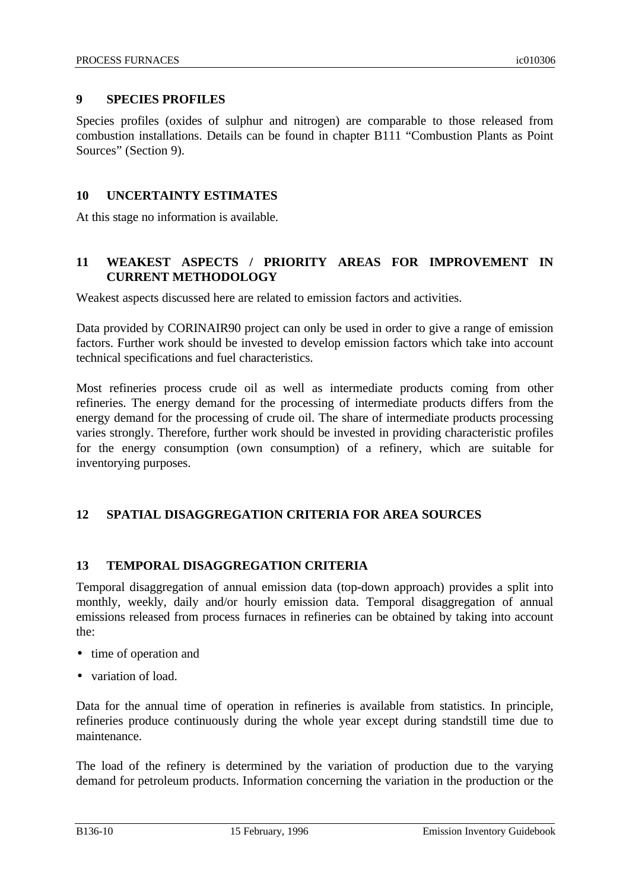### **9 SPECIES PROFILES**

Species profiles (oxides of sulphur and nitrogen) are comparable to those released from combustion installations. Details can be found in chapter B111 "Combustion Plants as Point Sources" (Section 9).

### **10 UNCERTAINTY ESTIMATES**

At this stage no information is available.

## **11 WEAKEST ASPECTS / PRIORITY AREAS FOR IMPROVEMENT IN CURRENT METHODOLOGY**

Weakest aspects discussed here are related to emission factors and activities.

Data provided by CORINAIR90 project can only be used in order to give a range of emission factors. Further work should be invested to develop emission factors which take into account technical specifications and fuel characteristics.

Most refineries process crude oil as well as intermediate products coming from other refineries. The energy demand for the processing of intermediate products differs from the energy demand for the processing of crude oil. The share of intermediate products processing varies strongly. Therefore, further work should be invested in providing characteristic profiles for the energy consumption (own consumption) of a refinery, which are suitable for inventorying purposes.

## **12 SPATIAL DISAGGREGATION CRITERIA FOR AREA SOURCES**

## **13 TEMPORAL DISAGGREGATION CRITERIA**

Temporal disaggregation of annual emission data (top-down approach) provides a split into monthly, weekly, daily and/or hourly emission data. Temporal disaggregation of annual emissions released from process furnaces in refineries can be obtained by taking into account the:

- time of operation and
- variation of load.

Data for the annual time of operation in refineries is available from statistics. In principle, refineries produce continuously during the whole year except during standstill time due to maintenance.

The load of the refinery is determined by the variation of production due to the varying demand for petroleum products. Information concerning the variation in the production or the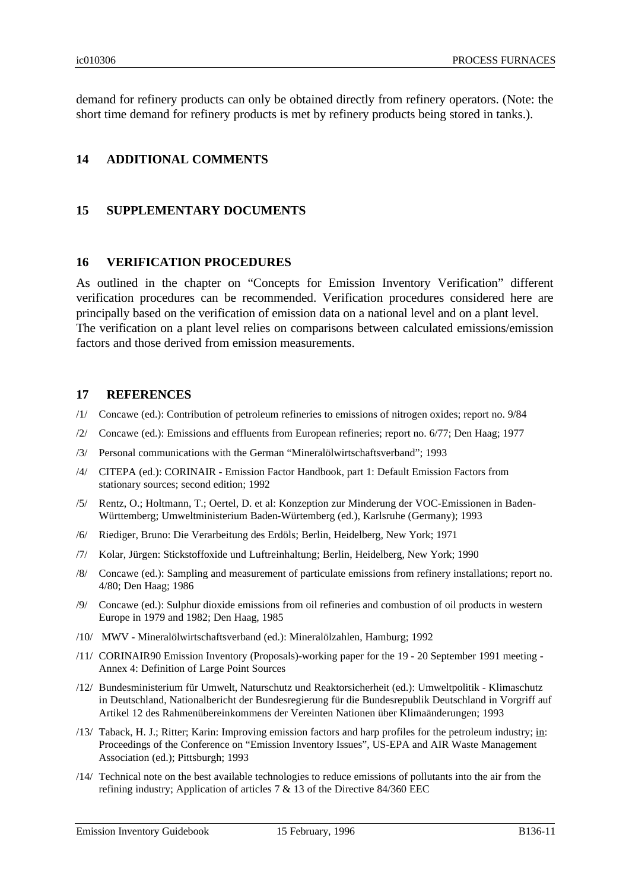demand for refinery products can only be obtained directly from refinery operators. (Note: the short time demand for refinery products is met by refinery products being stored in tanks.).

### **14 ADDITIONAL COMMENTS**

### **15 SUPPLEMENTARY DOCUMENTS**

### **16 VERIFICATION PROCEDURES**

As outlined in the chapter on "Concepts for Emission Inventory Verification" different verification procedures can be recommended. Verification procedures considered here are principally based on the verification of emission data on a national level and on a plant level. The verification on a plant level relies on comparisons between calculated emissions/emission factors and those derived from emission measurements.

### **17 REFERENCES**

- /1/ Concawe (ed.): Contribution of petroleum refineries to emissions of nitrogen oxides; report no. 9/84
- /2/ Concawe (ed.): Emissions and effluents from European refineries; report no. 6/77; Den Haag; 1977
- /3/ Personal communications with the German "Mineralölwirtschaftsverband"; 1993
- /4/ CITEPA (ed.): CORINAIR Emission Factor Handbook, part 1: Default Emission Factors from stationary sources; second edition; 1992
- /5/ Rentz, O.; Holtmann, T.; Oertel, D. et al: Konzeption zur Minderung der VOC-Emissionen in Baden-Württemberg; Umweltministerium Baden-Würtemberg (ed.), Karlsruhe (Germany); 1993
- /6/ Riediger, Bruno: Die Verarbeitung des Erdöls; Berlin, Heidelberg, New York; 1971
- /7/ Kolar, Jürgen: Stickstoffoxide und Luftreinhaltung; Berlin, Heidelberg, New York; 1990
- /8/ Concawe (ed.): Sampling and measurement of particulate emissions from refinery installations; report no. 4/80; Den Haag; 1986
- /9/ Concawe (ed.): Sulphur dioxide emissions from oil refineries and combustion of oil products in western Europe in 1979 and 1982; Den Haag, 1985
- /10/ MWV Mineralölwirtschaftsverband (ed.): Mineralölzahlen, Hamburg; 1992
- /11/ CORINAIR90 Emission Inventory (Proposals)-working paper for the 19 20 September 1991 meeting Annex 4: Definition of Large Point Sources
- /12/ Bundesministerium für Umwelt, Naturschutz und Reaktorsicherheit (ed.): Umweltpolitik Klimaschutz in Deutschland, Nationalbericht der Bundesregierung für die Bundesrepublik Deutschland in Vorgriff auf Artikel 12 des Rahmenübereinkommens der Vereinten Nationen über Klimaänderungen; 1993
- /13/ Taback, H. J.; Ritter; Karin: Improving emission factors and harp profiles for the petroleum industry; in: Proceedings of the Conference on "Emission Inventory Issues", US-EPA and AIR Waste Management Association (ed.); Pittsburgh; 1993
- /14/ Technical note on the best available technologies to reduce emissions of pollutants into the air from the refining industry; Application of articles 7  $\&$  13 of the Directive 84/360 EEC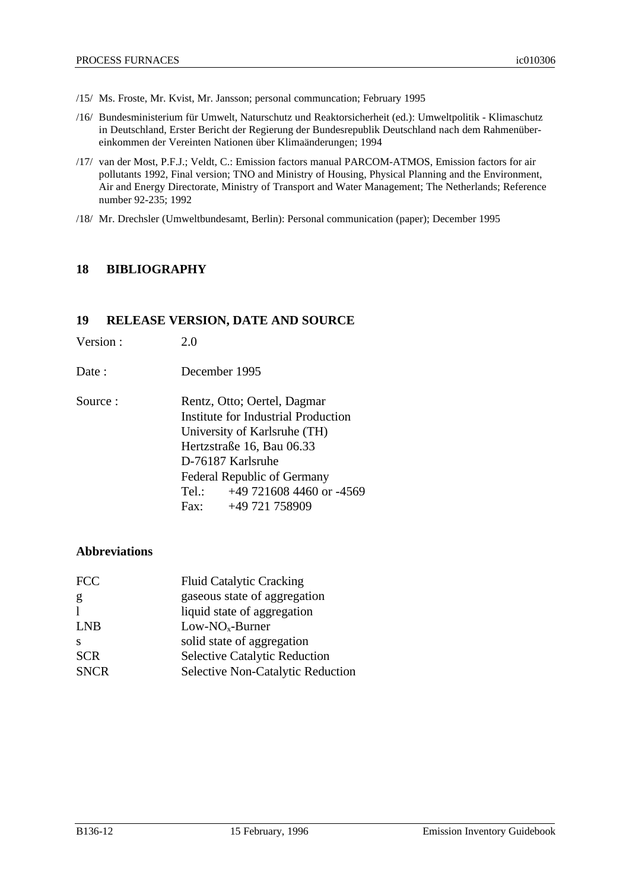- /15/ Ms. Froste, Mr. Kvist, Mr. Jansson; personal communcation; February 1995
- /16/ Bundesministerium für Umwelt, Naturschutz und Reaktorsicherheit (ed.): Umweltpolitik Klimaschutz in Deutschland, Erster Bericht der Regierung der Bundesrepublik Deutschland nach dem Rahmenübereinkommen der Vereinten Nationen über Klimaänderungen; 1994
- /17/ van der Most, P.F.J.; Veldt, C.: Emission factors manual PARCOM-ATMOS, Emission factors for air pollutants 1992, Final version; TNO and Ministry of Housing, Physical Planning and the Environment, Air and Energy Directorate, Ministry of Transport and Water Management; The Netherlands; Reference number 92-235; 1992
- /18/ Mr. Drechsler (Umweltbundesamt, Berlin): Personal communication (paper); December 1995

### **18 BIBLIOGRAPHY**

### **19 RELEASE VERSION, DATE AND SOURCE**

| Version: | 2.0 |
|----------|-----|
|----------|-----|

- Date : December 1995
- Source : Rentz, Otto: Oertel, Dagmar Institute for Industrial Production University of Karlsruhe (TH) Hertzstraße 16, Bau 06.33 D-76187 Karlsruhe Federal Republic of Germany Tel.: +49 721608 4460 or -4569 Fax: +49 721 758909

## **Abbreviations**

| <b>FCC</b>   | <b>Fluid Catalytic Cracking</b>      |
|--------------|--------------------------------------|
| g            | gaseous state of aggregation         |
| 1            | liquid state of aggregation          |
| <b>LNB</b>   | $Low-NOx$ -Burner                    |
| <sup>S</sup> | solid state of aggregation           |
| <b>SCR</b>   | <b>Selective Catalytic Reduction</b> |
| <b>SNCR</b>  | Selective Non-Catalytic Reduction    |
|              |                                      |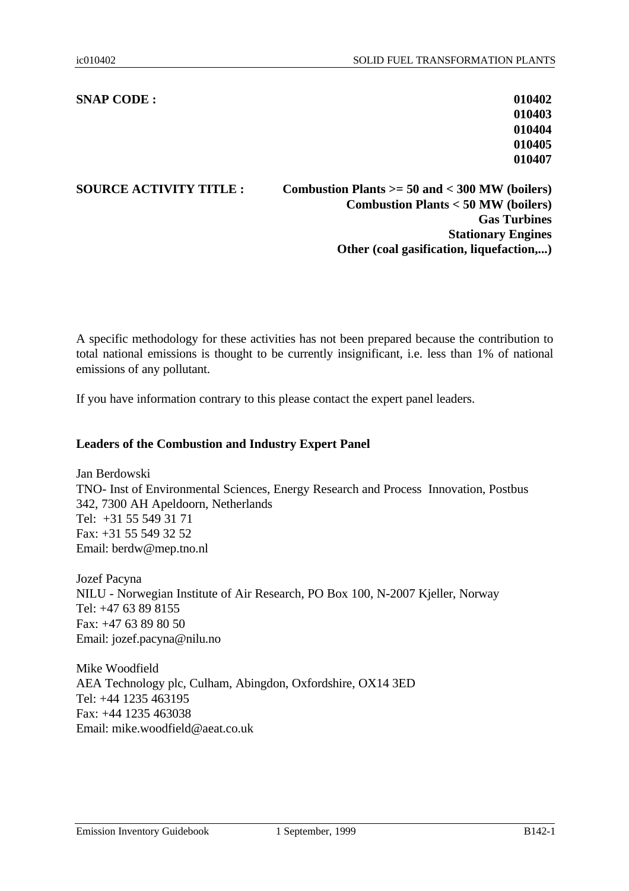### **SNAP CODE : 010402**

**SOURCE ACTIVITY TITLE : Combustion Plants >= 50 and < 300 MW (boilers) Combustion Plants < 50 MW (boilers) Gas Turbines Stationary Engines Other (coal gasification, liquefaction,...)**

A specific methodology for these activities has not been prepared because the contribution to total national emissions is thought to be currently insignificant, i.e. less than 1% of national emissions of any pollutant.

If you have information contrary to this please contact the expert panel leaders.

### **Leaders of the Combustion and Industry Expert Panel**

Jan Berdowski TNO- Inst of Environmental Sciences, Energy Research and Process Innovation, Postbus 342, 7300 AH Apeldoorn, Netherlands Tel: +31 55 549 31 71 Fax: +31 55 549 32 52 Email: berdw@mep.tno.nl

Jozef Pacyna NILU - Norwegian Institute of Air Research, PO Box 100, N-2007 Kjeller, Norway Tel: +47 63 89 8155 Fax: +47 63 89 80 50 Email: jozef.pacyna@nilu.no

Mike Woodfield AEA Technology plc, Culham, Abingdon, Oxfordshire, OX14 3ED Tel: +44 1235 463195 Fax: +44 1235 463038 Email: mike.woodfield@aeat.co.uk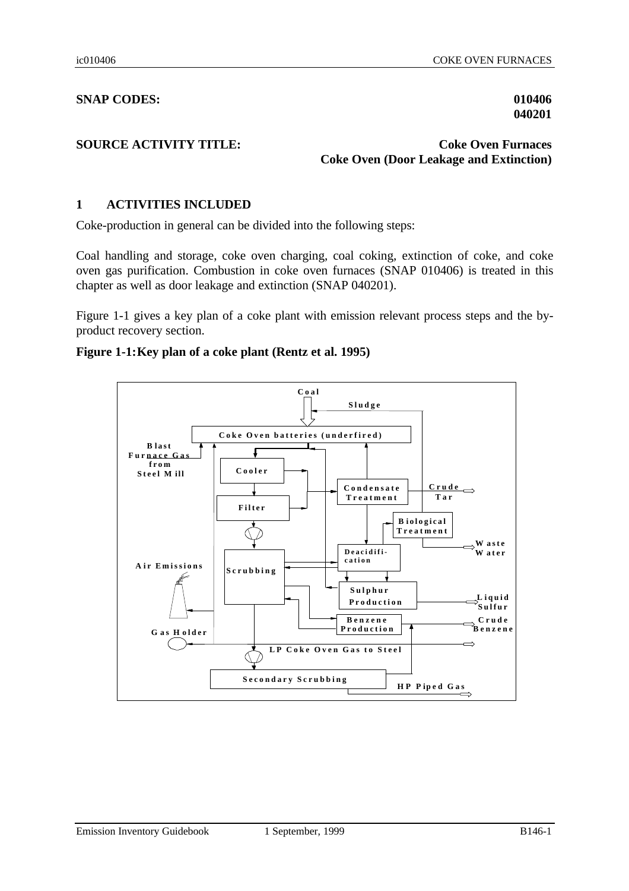### **SNAP CODES: 010406**

**040201**

### **SOURCE ACTIVITY TITLE:** Coke Oven Furnaces **Coke Oven (Door Leakage and Extinction)**

### **1 ACTIVITIES INCLUDED**

Coke-production in general can be divided into the following steps:

Coal handling and storage, coke oven charging, coal coking, extinction of coke, and coke oven gas purification. Combustion in coke oven furnaces (SNAP 010406) is treated in this chapter as well as door leakage and extinction (SNAP 040201).

Figure 1-1 gives a key plan of a coke plant with emission relevant process steps and the byproduct recovery section.

### **Figure 1-1:Key plan of a coke plant (Rentz et al. 1995)**

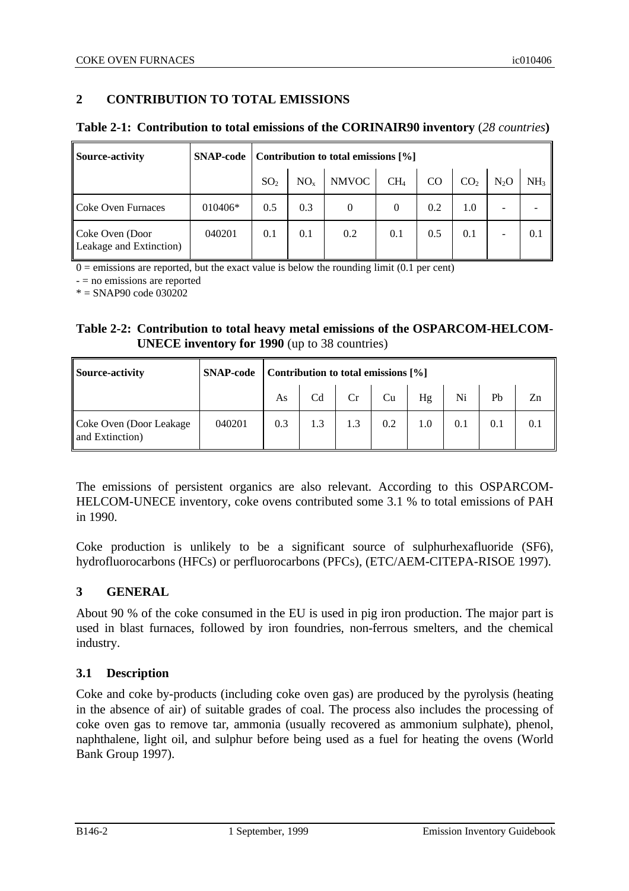## **2 CONTRIBUTION TO TOTAL EMISSIONS**

## **Table 2-1: Contribution to total emissions of the CORINAIR90 inventory** (*28 countries***)**

| <b>Source-activity</b>                     | <b>SNAP-code</b> | Contribution to total emissions [%] |          |              |                 |     |                 |        |                 |
|--------------------------------------------|------------------|-------------------------------------|----------|--------------|-----------------|-----|-----------------|--------|-----------------|
|                                            |                  | SO <sub>2</sub>                     | $NO_{x}$ | <b>NMVOC</b> | CH <sub>4</sub> | CO  | CO <sub>2</sub> | $N_2O$ | NH <sub>3</sub> |
| l Coke Oven Furnaces                       | 010406*          | 0.5                                 | 0.3      | $\Omega$     | 0               | 0.2 | 1.0             |        |                 |
| Coke Oven (Door<br>Leakage and Extinction) | 040201           | 0.1                                 | 0.1      | 0.2          | 0.1             | 0.5 | 0.1             |        | 0.1             |

 $0 =$  emissions are reported, but the exact value is below the rounding limit (0.1 per cent)

- = no emissions are reported

 $* =$  SNAP90 code 030202

## **Table 2-2: Contribution to total heavy metal emissions of the OSPARCOM-HELCOM-UNECE inventory for 1990** (up to 38 countries)

| <b>Source-activity</b>                      | <b>SNAP-code</b> |     | Contribution to total emissions [%] |     |     |     |     |     |    |
|---------------------------------------------|------------------|-----|-------------------------------------|-----|-----|-----|-----|-----|----|
|                                             |                  | As  | Cd                                  | Cr  | Cu  | Hg  | Ni  | Pb  | Zn |
| Coke Oven (Door Leakage)<br>and Extinction) | 040201           | 0.3 | 1.3                                 | 1.3 | 0.2 | 1.0 | 0.1 | 0.1 |    |

The emissions of persistent organics are also relevant. According to this OSPARCOM-HELCOM-UNECE inventory, coke ovens contributed some 3.1 % to total emissions of PAH in 1990.

Coke production is unlikely to be a significant source of sulphurhexafluoride (SF6), hydrofluorocarbons (HFCs) or perfluorocarbons (PFCs), (ETC/AEM-CITEPA-RISOE 1997).

## **3 GENERAL**

About 90 % of the coke consumed in the EU is used in pig iron production. The major part is used in blast furnaces, followed by iron foundries, non-ferrous smelters, and the chemical industry.

## **3.1 Description**

Coke and coke by-products (including coke oven gas) are produced by the pyrolysis (heating in the absence of air) of suitable grades of coal. The process also includes the processing of coke oven gas to remove tar, ammonia (usually recovered as ammonium sulphate), phenol, naphthalene, light oil, and sulphur before being used as a fuel for heating the ovens (World Bank Group 1997).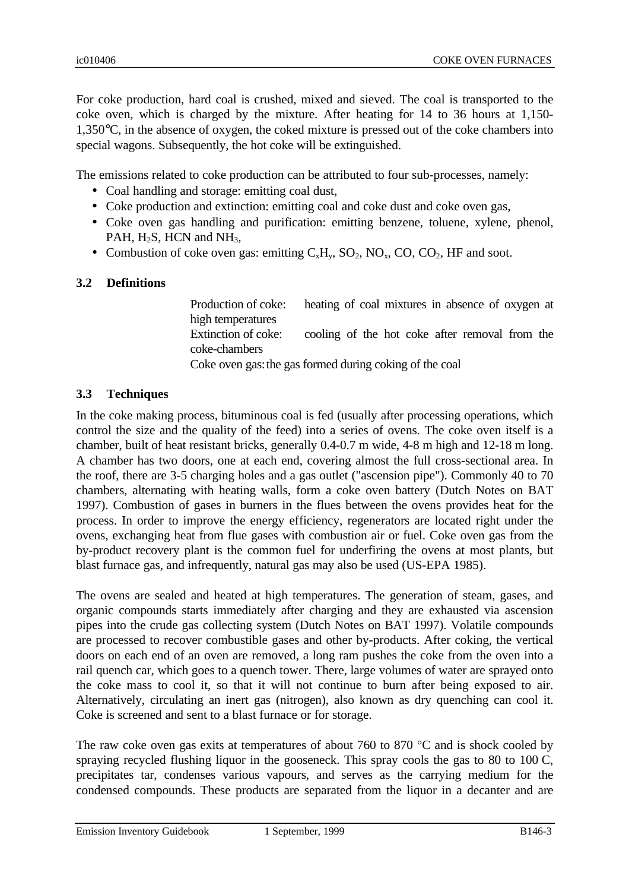For coke production, hard coal is crushed, mixed and sieved. The coal is transported to the coke oven, which is charged by the mixture. After heating for 14 to 36 hours at 1,150- 1,350°C, in the absence of oxygen, the coked mixture is pressed out of the coke chambers into special wagons. Subsequently, the hot coke will be extinguished.

The emissions related to coke production can be attributed to four sub-processes, namely:

- Coal handling and storage: emitting coal dust,
- Coke production and extinction: emitting coal and coke dust and coke oven gas,
- Coke oven gas handling and purification: emitting benzene, toluene, xylene, phenol, PAH,  $H_2S$ , HCN and NH<sub>3</sub>,
- Combustion of coke oven gas: emitting  $C_xH_y$ ,  $SO_2$ ,  $NO_x$ ,  $CO$ ,  $CO_2$ , HF and soot.

## **3.2 Definitions**

Production of coke: heating of coal mixtures in absence of oxygen at high temperatures Extinction of coke: cooling of the hot coke after removal from the coke-chambers Coke oven gas:the gas formed during coking of the coal

## **3.3 Techniques**

In the coke making process, bituminous coal is fed (usually after processing operations, which control the size and the quality of the feed) into a series of ovens. The coke oven itself is a chamber, built of heat resistant bricks, generally 0.4-0.7 m wide, 4-8 m high and 12-18 m long. A chamber has two doors, one at each end, covering almost the full cross-sectional area. In the roof, there are 3-5 charging holes and a gas outlet ("ascension pipe"). Commonly 40 to 70 chambers, alternating with heating walls, form a coke oven battery (Dutch Notes on BAT 1997). Combustion of gases in burners in the flues between the ovens provides heat for the process. In order to improve the energy efficiency, regenerators are located right under the ovens, exchanging heat from flue gases with combustion air or fuel. Coke oven gas from the by-product recovery plant is the common fuel for underfiring the ovens at most plants, but blast furnace gas, and infrequently, natural gas may also be used (US-EPA 1985).

The ovens are sealed and heated at high temperatures. The generation of steam, gases, and organic compounds starts immediately after charging and they are exhausted via ascension pipes into the crude gas collecting system (Dutch Notes on BAT 1997). Volatile compounds are processed to recover combustible gases and other by-products. After coking, the vertical doors on each end of an oven are removed, a long ram pushes the coke from the oven into a rail quench car, which goes to a quench tower. There, large volumes of water are sprayed onto the coke mass to cool it, so that it will not continue to burn after being exposed to air. Alternatively, circulating an inert gas (nitrogen), also known as dry quenching can cool it. Coke is screened and sent to a blast furnace or for storage.

The raw coke oven gas exits at temperatures of about 760 to 870  $^{\circ}$ C and is shock cooled by spraying recycled flushing liquor in the gooseneck. This spray cools the gas to 80 to 100 C, precipitates tar, condenses various vapours, and serves as the carrying medium for the condensed compounds. These products are separated from the liquor in a decanter and are

Emission Inventory Guidebook 1 September, 1999 B146-3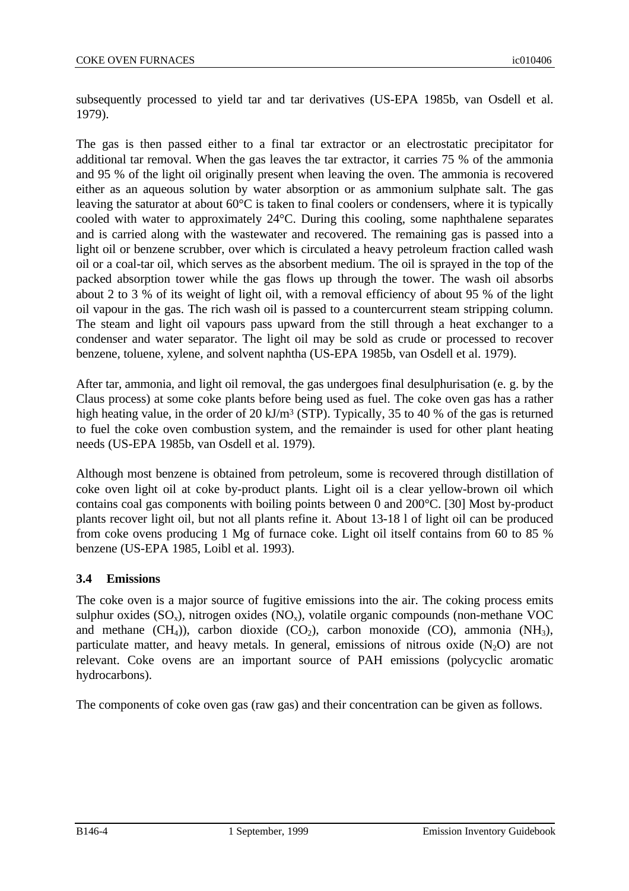subsequently processed to yield tar and tar derivatives (US-EPA 1985b, van Osdell et al. 1979).

The gas is then passed either to a final tar extractor or an electrostatic precipitator for additional tar removal. When the gas leaves the tar extractor, it carries 75 % of the ammonia and 95 % of the light oil originally present when leaving the oven. The ammonia is recovered either as an aqueous solution by water absorption or as ammonium sulphate salt. The gas leaving the saturator at about 60°C is taken to final coolers or condensers, where it is typically cooled with water to approximately 24°C. During this cooling, some naphthalene separates and is carried along with the wastewater and recovered. The remaining gas is passed into a light oil or benzene scrubber, over which is circulated a heavy petroleum fraction called wash oil or a coal-tar oil, which serves as the absorbent medium. The oil is sprayed in the top of the packed absorption tower while the gas flows up through the tower. The wash oil absorbs about 2 to 3 % of its weight of light oil, with a removal efficiency of about 95 % of the light oil vapour in the gas. The rich wash oil is passed to a countercurrent steam stripping column. The steam and light oil vapours pass upward from the still through a heat exchanger to a condenser and water separator. The light oil may be sold as crude or processed to recover benzene, toluene, xylene, and solvent naphtha (US-EPA 1985b, van Osdell et al. 1979).

After tar, ammonia, and light oil removal, the gas undergoes final desulphurisation (e. g. by the Claus process) at some coke plants before being used as fuel. The coke oven gas has a rather high heating value, in the order of 20 kJ/m<sup>3</sup> (STP). Typically, 35 to 40 % of the gas is returned to fuel the coke oven combustion system, and the remainder is used for other plant heating needs (US-EPA 1985b, van Osdell et al. 1979).

Although most benzene is obtained from petroleum, some is recovered through distillation of coke oven light oil at coke by-product plants. Light oil is a clear yellow-brown oil which contains coal gas components with boiling points between 0 and 200°C. [30] Most by-product plants recover light oil, but not all plants refine it. About 13-18 l of light oil can be produced from coke ovens producing 1 Mg of furnace coke. Light oil itself contains from 60 to 85 % benzene (US-EPA 1985, Loibl et al. 1993).

## **3.4 Emissions**

The coke oven is a major source of fugitive emissions into the air. The coking process emits sulphur oxides  $(SO_x)$ , nitrogen oxides  $(NO_x)$ , volatile organic compounds (non-methane VOC and methane  $(CH_4)$ ), carbon dioxide  $(CO_2)$ , carbon monoxide  $(CO)$ , ammonia  $(NH_3)$ , particulate matter, and heavy metals. In general, emissions of nitrous oxide  $(N_2O)$  are not relevant. Coke ovens are an important source of PAH emissions (polycyclic aromatic hydrocarbons).

The components of coke oven gas (raw gas) and their concentration can be given as follows.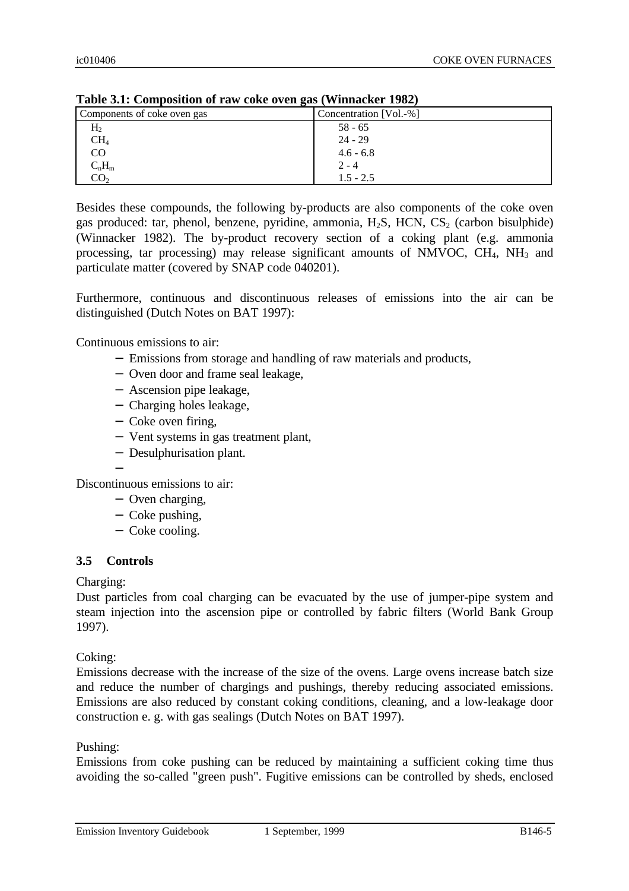|                             | $\sqrt{2}$             |
|-----------------------------|------------------------|
| Components of coke oven gas | Concentration [Vol.-%] |
| H <sub>2</sub>              | $58 - 65$              |
| CH <sub>4</sub>             | $24 - 29$              |
| CO                          | $4.6 - 6.8$            |
| $C_nH_m$                    | $2 - 4$                |
| CO <sub>2</sub>             | $1.5 - 2.5$            |

**Table 3.1: Composition of raw coke oven gas (Winnacker 1982)**

Besides these compounds, the following by-products are also components of the coke oven gas produced: tar, phenol, benzene, pyridine, ammonia,  $H_2S$ , HCN,  $CS_2$  (carbon bisulphide) (Winnacker 1982). The by-product recovery section of a coking plant (e.g. ammonia processing, tar processing) may release significant amounts of NMVOC,  $CH_4$ ,  $NH_3$  and particulate matter (covered by SNAP code 040201).

Furthermore, continuous and discontinuous releases of emissions into the air can be distinguished (Dutch Notes on BAT 1997):

Continuous emissions to air:

- − Emissions from storage and handling of raw materials and products,
- − Oven door and frame seal leakage,
- − Ascension pipe leakage,
- − Charging holes leakage,
- − Coke oven firing,
- − Vent systems in gas treatment plant,
- − Desulphurisation plant.
- −

Discontinuous emissions to air:

- − Oven charging,
- − Coke pushing,
- − Coke cooling.

### **3.5 Controls**

Charging:

Dust particles from coal charging can be evacuated by the use of jumper-pipe system and steam injection into the ascension pipe or controlled by fabric filters (World Bank Group 1997).

Coking:

Emissions decrease with the increase of the size of the ovens. Large ovens increase batch size and reduce the number of chargings and pushings, thereby reducing associated emissions. Emissions are also reduced by constant coking conditions, cleaning, and a low-leakage door construction e. g. with gas sealings (Dutch Notes on BAT 1997).

### Pushing:

Emissions from coke pushing can be reduced by maintaining a sufficient coking time thus avoiding the so-called "green push". Fugitive emissions can be controlled by sheds, enclosed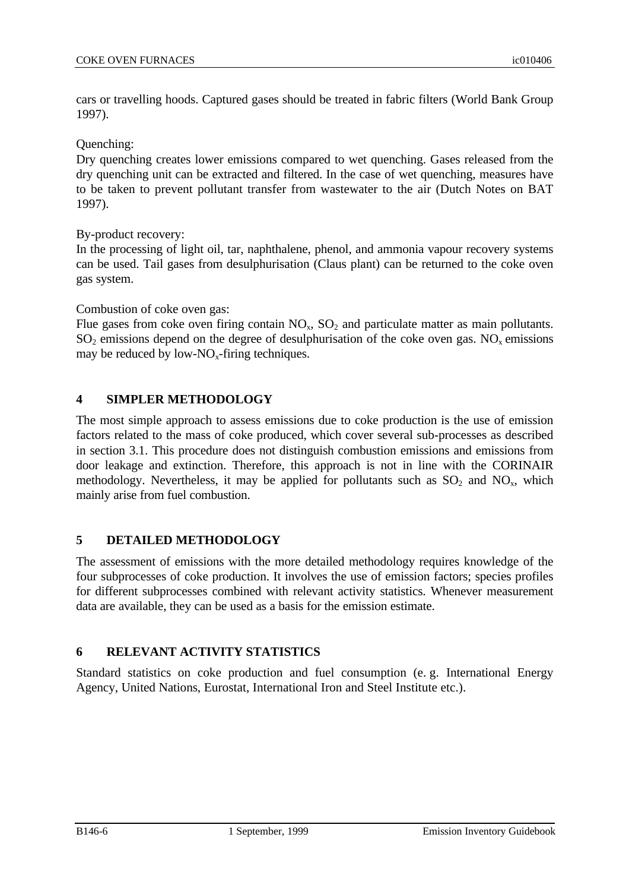cars or travelling hoods. Captured gases should be treated in fabric filters (World Bank Group 1997).

Quenching:

Dry quenching creates lower emissions compared to wet quenching. Gases released from the dry quenching unit can be extracted and filtered. In the case of wet quenching, measures have to be taken to prevent pollutant transfer from wastewater to the air (Dutch Notes on BAT 1997).

By-product recovery:

In the processing of light oil, tar, naphthalene, phenol, and ammonia vapour recovery systems can be used. Tail gases from desulphurisation (Claus plant) can be returned to the coke oven gas system.

Combustion of coke oven gas:

Flue gases from coke oven firing contain  $NO<sub>x</sub>$ ,  $SO<sub>2</sub>$  and particulate matter as main pollutants.  $SO_2$  emissions depend on the degree of desulphurisation of the coke oven gas. NO<sub>x</sub> emissions may be reduced by low-NO<sub>x</sub>-firing techniques.

## **4 SIMPLER METHODOLOGY**

The most simple approach to assess emissions due to coke production is the use of emission factors related to the mass of coke produced, which cover several sub-processes as described in section 3.1. This procedure does not distinguish combustion emissions and emissions from door leakage and extinction. Therefore, this approach is not in line with the CORINAIR methodology. Nevertheless, it may be applied for pollutants such as  $SO_2$  and  $NO_x$ , which mainly arise from fuel combustion.

## **5 DETAILED METHODOLOGY**

The assessment of emissions with the more detailed methodology requires knowledge of the four subprocesses of coke production. It involves the use of emission factors; species profiles for different subprocesses combined with relevant activity statistics. Whenever measurement data are available, they can be used as a basis for the emission estimate.

## **6 RELEVANT ACTIVITY STATISTICS**

Standard statistics on coke production and fuel consumption (e. g. International Energy Agency, United Nations, Eurostat, International Iron and Steel Institute etc.).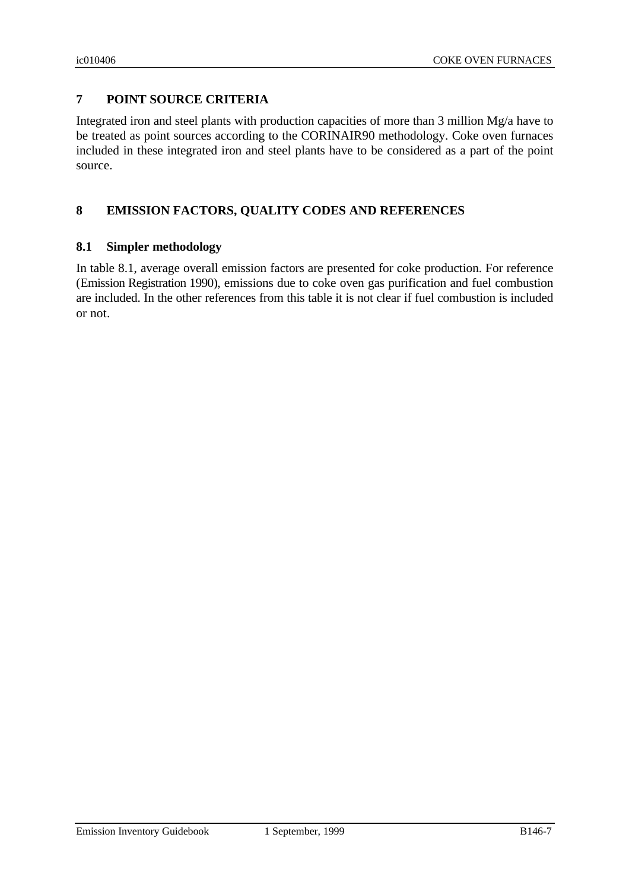## **7 POINT SOURCE CRITERIA**

Integrated iron and steel plants with production capacities of more than 3 million Mg/a have to be treated as point sources according to the CORINAIR90 methodology. Coke oven furnaces included in these integrated iron and steel plants have to be considered as a part of the point source.

## **8 EMISSION FACTORS, QUALITY CODES AND REFERENCES**

### **8.1 Simpler methodology**

In table 8.1, average overall emission factors are presented for coke production. For reference (Emission Registration 1990), emissions due to coke oven gas purification and fuel combustion are included. In the other references from this table it is not clear if fuel combustion is included or not.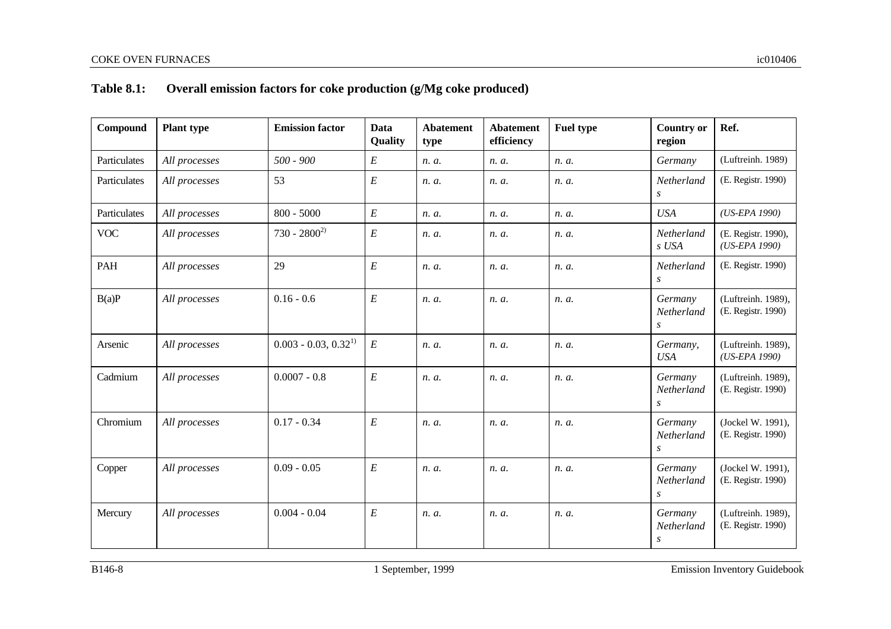# **Table 8.1: Overall emission factors for coke production (g/Mg coke produced)**

| Compound     | <b>Plant type</b> | <b>Emission factor</b>   | Data<br>Quality  | <b>Abatement</b><br>type | <b>Abatement</b><br>efficiency | <b>Fuel type</b> | <b>Country or</b><br>region | Ref.                                     |
|--------------|-------------------|--------------------------|------------------|--------------------------|--------------------------------|------------------|-----------------------------|------------------------------------------|
| Particulates | All processes     | $500 - 900$              | $\cal E$         | n. a.                    | n. a.                          | n. a.            | Germany                     | (Luftreinh. 1989)                        |
| Particulates | All processes     | 53                       | $\cal E$         | n. a.                    | n. a.                          | n. a.            | Netherland<br>S             | (E. Registr. 1990)                       |
| Particulates | All processes     | $800 - 5000$             | $\cal E$         | n. a.                    | n. a.                          | n. a.            | <b>USA</b>                  | $(US-EPA 1990)$                          |
| <b>VOC</b>   | All processes     | $730 - 2800^{2}$         | $\cal E$         | n. a.                    | n. a.                          | n. a.            | Netherland<br>s USA         | (E. Registr. 1990),<br>(US-EPA 1990)     |
| PAH          | All processes     | 29                       | $\cal E$         | n. a.                    | n. a.                          | n. a.            | Netherland<br>S             | (E. Registr. 1990)                       |
| B(a)P        | All processes     | $0.16 - 0.6$             | $\boldsymbol{E}$ | n. a.                    | n. a.                          | n. a.            | Germany<br>Netherland<br>S  | (Luftreinh. 1989),<br>(E. Registr. 1990) |
| Arsenic      | All processes     | $0.003 - 0.03, 0.32^{1}$ | $\cal E$         | n. a.                    | n. a.                          | n. a.            | Germany,<br><b>USA</b>      | (Luftreinh. 1989),<br>(US-EPA 1990)      |
| Cadmium      | All processes     | $0.0007 - 0.8$           | $\cal E$         | n. a.                    | n. a.                          | n. a.            | Germany<br>Netherland<br>S  | (Luftreinh. 1989),<br>(E. Registr. 1990) |
| Chromium     | All processes     | $0.17 - 0.34$            | $\cal E$         | n. a.                    | n. a.                          | n. a.            | Germany<br>Netherland<br>S  | (Jockel W. 1991),<br>(E. Registr. 1990)  |
| Copper       | All processes     | $0.09 - 0.05$            | $\cal E$         | n. a.                    | n. a.                          | n. a.            | Germany<br>Netherland<br>S  | (Jockel W. 1991),<br>(E. Registr. 1990)  |
| Mercury      | All processes     | $0.004 - 0.04$           | $\boldsymbol{E}$ | n. a.                    | n. a.                          | n. a.            | Germany<br>Netherland<br>S  | (Luftreinh. 1989),<br>(E. Registr. 1990) |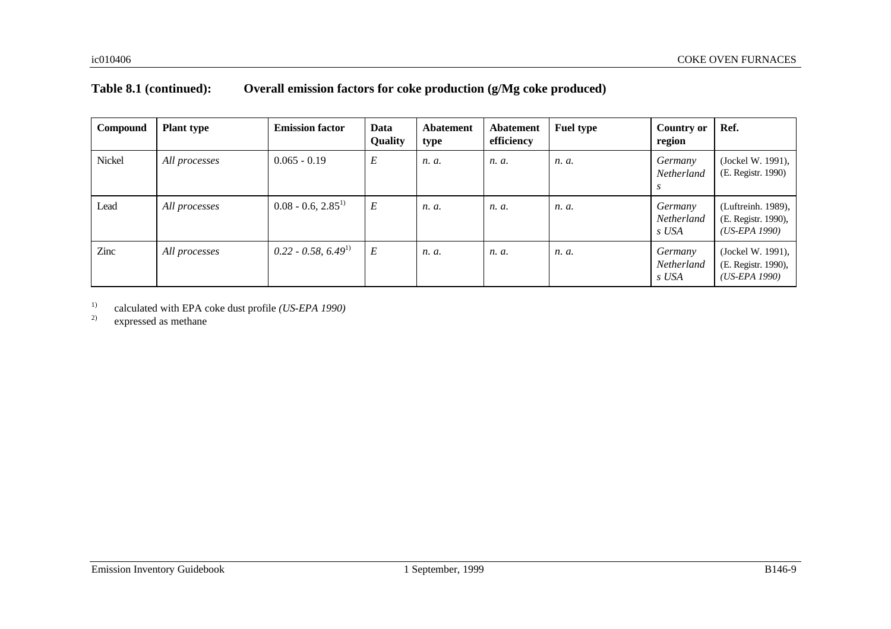## **Table 8.1 (continued): Overall emission factors for coke production (g/Mg coke produced)**

| Compound | <b>Plant type</b> | <b>Emission factor</b> | Data<br><b>Quality</b> | <b>Abatement</b><br>type | Abatement<br>efficiency | <b>Fuel type</b> | <b>Country or</b><br>region    | Ref.                                                         |
|----------|-------------------|------------------------|------------------------|--------------------------|-------------------------|------------------|--------------------------------|--------------------------------------------------------------|
| Nickel   | All processes     | $0.065 - 0.19$         | E                      | n. a.                    | n. a.                   | n. a.            | Germany<br>Netherland          | (Jockel W. 1991),<br>(E. Registr. 1990)                      |
| Lead     | All processes     | $0.08 - 0.6, 2.85^{1}$ | $E\,$                  | n. a.                    | n. a.                   | n. a.            | Germany<br>Netherland<br>s USA | (Luftreinh. 1989),<br>(E. Registr. 1990),<br>$(US-EPA 1990)$ |
| Zinc     | All processes     | $0.22 - 0.58, 6.491$   | $E\,$                  | n. a.                    | n. a.                   | n. a.            | Germany<br>Netherland<br>s USA | (Jockel W. 1991),<br>(E. Registr. 1990),<br>$(US-EPA 1990)$  |

<sup>1)</sup> calculated with EPA coke dust profile *(US-EPA 1990)*<br><sup>2)</sup> expressed as methane

expressed as methane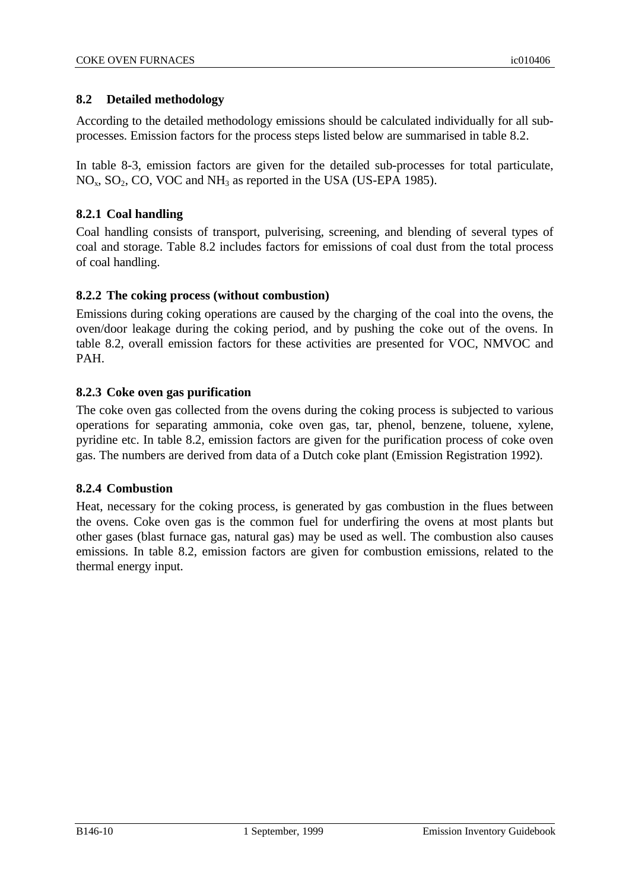## **8.2 Detailed methodology**

According to the detailed methodology emissions should be calculated individually for all subprocesses. Emission factors for the process steps listed below are summarised in table 8.2.

In table 8-3, emission factors are given for the detailed sub-processes for total particulate,  $NO<sub>x</sub>$ ,  $SO<sub>2</sub>$ ,  $CO$ ,  $VOC$  and  $NH<sub>3</sub>$  as reported in the USA (US-EPA 1985).

## **8.2.1 Coal handling**

Coal handling consists of transport, pulverising, screening, and blending of several types of coal and storage. Table 8.2 includes factors for emissions of coal dust from the total process of coal handling.

### **8.2.2 The coking process (without combustion)**

Emissions during coking operations are caused by the charging of the coal into the ovens, the oven/door leakage during the coking period, and by pushing the coke out of the ovens. In table 8.2, overall emission factors for these activities are presented for VOC, NMVOC and PAH.

### **8.2.3 Coke oven gas purification**

The coke oven gas collected from the ovens during the coking process is subjected to various operations for separating ammonia, coke oven gas, tar, phenol, benzene, toluene, xylene, pyridine etc. In table 8.2, emission factors are given for the purification process of coke oven gas. The numbers are derived from data of a Dutch coke plant (Emission Registration 1992).

## **8.2.4 Combustion**

Heat, necessary for the coking process, is generated by gas combustion in the flues between the ovens. Coke oven gas is the common fuel for underfiring the ovens at most plants but other gases (blast furnace gas, natural gas) may be used as well. The combustion also causes emissions. In table 8.2, emission factors are given for combustion emissions, related to the thermal energy input.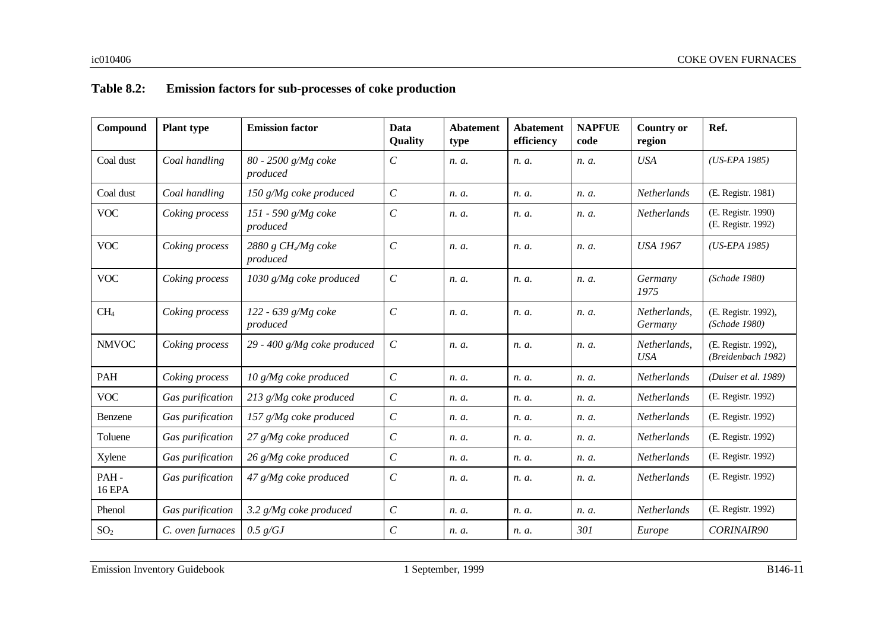# **Table 8.2: Emission factors for sub-processes of coke production**

| Compound              | <b>Plant type</b> | <b>Emission factor</b>          | Data<br>Quality             | <b>Abatement</b><br>type | <b>Abatement</b><br>efficiency | <b>NAPFUE</b><br>code | <b>Country or</b><br>region | Ref.                                      |
|-----------------------|-------------------|---------------------------------|-----------------------------|--------------------------|--------------------------------|-----------------------|-----------------------------|-------------------------------------------|
| Coal dust             | Coal handling     | 80 - 2500 g/Mg coke<br>produced | $\mathcal{C}_{\mathcal{C}}$ | n. a.                    | n. a.                          | n. a.                 | <b>USA</b>                  | $(US-EPA 1985)$                           |
| Coal dust             | Coal handling     | 150 g/Mg coke produced          | $\mathcal{C}_{\mathcal{C}}$ | n. a.                    | n. a.                          | n. a.                 | <b>Netherlands</b>          | (E. Registr. 1981)                        |
| <b>VOC</b>            | Coking process    | 151 - 590 g/Mg coke<br>produced | $\mathcal{C}_{0}^{(n)}$     | n. a.                    | n. a.                          | n. a.                 | Netherlands                 | (E. Registr. 1990)<br>(E. Registr. 1992)  |
| <b>VOC</b>            | Coking process    | 2880 g CH/Mg coke<br>produced   | $\mathcal{C}_{\mathcal{C}}$ | n. a.                    | n. a.                          | n. a.                 | <b>USA 1967</b>             | $(US-EPA 1985)$                           |
| <b>VOC</b>            | Coking process    | 1030 g/Mg coke produced         | $\mathcal{C}_{0}$           | n. a.                    | n. a.                          | n. a.                 | Germany<br>1975             | (Schade 1980)                             |
| CH <sub>4</sub>       | Coking process    | 122 - 639 g/Mg coke<br>produced | $\mathcal{C}_{0}$           | n. a.                    | n. a.                          | n. a.                 | Netherlands.<br>Germany     | (E. Registr. 1992),<br>(Schade 1980)      |
| <b>NMVOC</b>          | Coking process    | 29 - 400 g/Mg coke produced     | $\mathcal{C}_{\mathcal{C}}$ | n. a.                    | n. a.                          | n. a.                 | Netherlands.<br><b>USA</b>  | (E. Registr. 1992),<br>(Breidenbach 1982) |
| PAH                   | Coking process    | 10 g/Mg coke produced           | $\cal C$                    | n. a.                    | n. a.                          | n. a.                 | <b>Netherlands</b>          | (Duiser et al. 1989)                      |
| <b>VOC</b>            | Gas purification  | 213 g/Mg coke produced          | $\,$                        | n. a.                    | n. a.                          | n. a.                 | Netherlands                 | (E. Registr. 1992)                        |
| Benzene               | Gas purification  | 157 g/Mg coke produced          | $\mathcal{C}_{\mathcal{C}}$ | n. a.                    | n. a.                          | n. a.                 | <b>Netherlands</b>          | (E. Registr. 1992)                        |
| Toluene               | Gas purification  | $27 g/Mg$ coke produced         | $\,C$                       | n. a.                    | n. a.                          | n. a.                 | <b>Netherlands</b>          | (E. Registr. 1992)                        |
| Xylene                | Gas purification  | $26$ g/Mg coke produced         | $\mathcal{C}_{\mathcal{C}}$ | n. a.                    | n. a.                          | n. a.                 | <b>Netherlands</b>          | (E. Registr. 1992)                        |
| PAH-<br><b>16 EPA</b> | Gas purification  | 47 g/Mg coke produced           | $\cal C$                    | n. a.                    | n. a.                          | n. a.                 | <b>Netherlands</b>          | (E. Registr. 1992)                        |
| Phenol                | Gas purification  | 3.2 $g/Mg$ coke produced        | $\mathcal{C}_{\mathcal{C}}$ | n. a.                    | n. a.                          | n. a.                 | <b>Netherlands</b>          | (E. Registr. 1992)                        |
| SO <sub>2</sub>       | C. oven furnaces  | 0.5 g/GJ                        | $\mathcal{C}_{\mathcal{C}}$ | n. a.                    | n. a.                          | 301                   | Europe                      | CORINAIR90                                |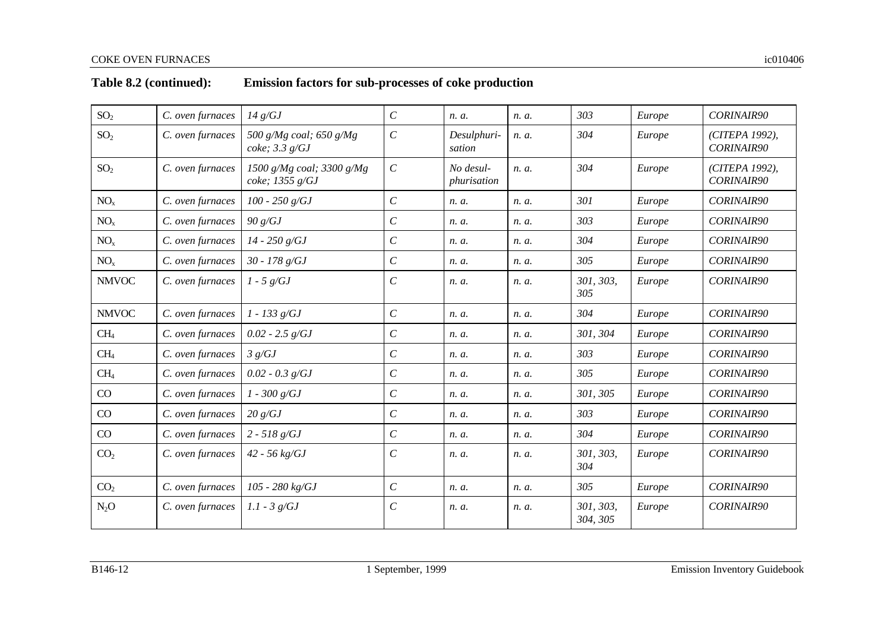| SO <sub>2</sub> | C. oven furnaces | 14 g/GJ                                        | $\mathcal{C}_{0}^{0}$ | n. a.                    | n. a. | 303                   | Europe | <b>CORINAIR90</b>            |
|-----------------|------------------|------------------------------------------------|-----------------------|--------------------------|-------|-----------------------|--------|------------------------------|
| SO <sub>2</sub> | C. oven furnaces | 500 g/Mg coal; 650 g/Mg<br>$coke$ ; 3.3 $g/GJ$ | $\boldsymbol{C}$      | Desulphuri-<br>sation    | n. a. | 304                   | Europe | (CITEPA 1992),<br>CORINAIR90 |
| SO <sub>2</sub> | C. oven furnaces | 1500 g/Mg coal; 3300 g/Mg<br>coke; $1355 g/GJ$ | $\cal C$              | No desul-<br>phurisation | n. a. | 304                   | Europe | (CITEPA 1992),<br>CORINAIR90 |
| NO <sub>x</sub> | C. oven furnaces | $100 - 250$ g/GJ                               | $\cal C$              | n. a.                    | n. a. | 301                   | Europe | CORINAIR90                   |
| NO <sub>x</sub> | C. oven furnaces | 90 g/GJ                                        | $\cal C$              | n. a.                    | n. a. | 303                   | Europe | CORINAIR90                   |
| NO <sub>x</sub> | C. oven furnaces | $14 - 250$ g/GJ                                | $\cal C$              | n. a.                    | n. a. | 304                   | Europe | <b>CORINAIR90</b>            |
| NO <sub>x</sub> | C. oven furnaces | $30 - 178$ g/GJ                                | $\cal C$              | n. a.                    | n. a. | 305                   | Europe | CORINAIR90                   |
| <b>NMVOC</b>    | C. oven furnaces | $1 - 5 g/GJ$                                   | $\mathcal C$          | n. a.                    | n. a. | 301, 303,<br>305      | Europe | CORINAIR90                   |
| <b>NMVOC</b>    | C. oven furnaces | $1 - 133$ g/GJ                                 | $\cal C$              | n. a.                    | n. a. | 304                   | Europe | <b>CORINAIR90</b>            |
| CH <sub>4</sub> | C. oven furnaces | $0.02 - 2.5$ g/GJ                              | $\,$                  | n. a.                    | n. a. | 301, 304              | Europe | <b>CORINAIR90</b>            |
| CH <sub>4</sub> | C. oven furnaces | 3 g/GJ                                         | $\cal C$              | n. a.                    | n. a. | 303                   | Europe | <b>CORINAIR90</b>            |
| CH <sub>4</sub> | C. oven furnaces | $0.02 - 0.3$ g/GJ                              | $\cal C$              | n. a.                    | n. a. | 305                   | Europe | CORINAIR90                   |
| CO              | C. oven furnaces | $1 - 300 g/GJ$                                 | $\boldsymbol{C}$      | n. a.                    | n. a. | 301, 305              | Europe | CORINAIR90                   |
| CO              | C. oven furnaces | 20 g/GJ                                        | $\cal C$              | n. a.                    | n. a. | 303                   | Europe | CORINAIR90                   |
| CO              | C. oven furnaces | $2 - 518 g/GJ$                                 | $\cal C$              | n. a.                    | n. a. | 304                   | Europe | <b>CORINAIR90</b>            |
| CO <sub>2</sub> | C. oven furnaces | $42 - 56 \text{ kg/GJ}$                        | $\cal C$              | n. a.                    | n. a. | 301, 303,<br>304      | Europe | CORINAIR90                   |
| CO <sub>2</sub> | C. oven furnaces | 105 - 280 kg/GJ                                | $\mathcal{C}_{0}^{0}$ | n. a.                    | n. a. | 305                   | Europe | CORINAIR90                   |
| $N_2O$          | C. oven furnaces | $1.1 - 3$ g/GJ                                 | $\cal C$              | n. a.                    | n. a. | 301, 303,<br>304, 305 | Europe | CORINAIR90                   |

# **Table 8.2 (continued): Emission factors for sub-processes of coke production**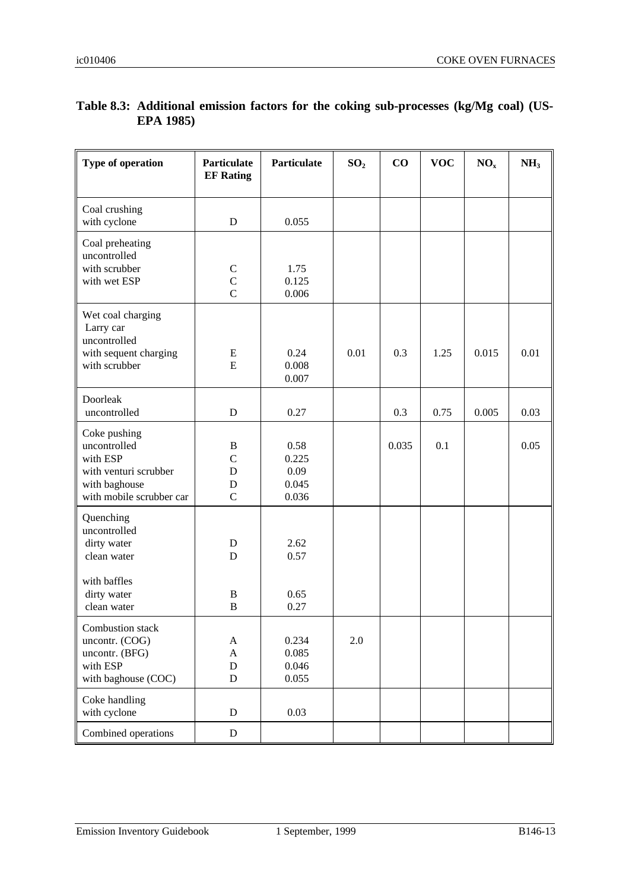| <b>Type of operation</b>                                                                                       | Particulate<br><b>EF Rating</b>                      | Particulate                             | SO <sub>2</sub> | $\bf CO$ | <b>VOC</b> | NO <sub>x</sub> | NH <sub>3</sub> |
|----------------------------------------------------------------------------------------------------------------|------------------------------------------------------|-----------------------------------------|-----------------|----------|------------|-----------------|-----------------|
| Coal crushing<br>with cyclone                                                                                  | D                                                    | 0.055                                   |                 |          |            |                 |                 |
| Coal preheating<br>uncontrolled<br>with scrubber<br>with wet ESP                                               | $\mathcal{C}$<br>$\overline{C}$<br>$\overline{C}$    | 1.75<br>0.125<br>0.006                  |                 |          |            |                 |                 |
| Wet coal charging<br>Larry car<br>uncontrolled<br>with sequent charging<br>with scrubber                       | E<br>E                                               | 0.24<br>0.008<br>0.007                  | 0.01            | 0.3      | 1.25       | 0.015           | 0.01            |
| Doorleak<br>uncontrolled                                                                                       | D                                                    | 0.27                                    |                 | 0.3      | 0.75       | 0.005           | 0.03            |
| Coke pushing<br>uncontrolled<br>with ESP<br>with venturi scrubber<br>with baghouse<br>with mobile scrubber car | $\bf{B}$<br>$\mathcal{C}$<br>D<br>D<br>$\mathcal{C}$ | 0.58<br>0.225<br>0.09<br>0.045<br>0.036 |                 | 0.035    | 0.1        |                 | 0.05            |
| Quenching<br>uncontrolled<br>dirty water<br>clean water<br>with baffles                                        | D<br>D                                               | 2.62<br>0.57                            |                 |          |            |                 |                 |
| dirty water<br>clean water                                                                                     | $\boldsymbol{B}$<br>$\boldsymbol{B}$                 | 0.65<br>0.27                            |                 |          |            |                 |                 |
| Combustion stack<br>uncontr. (COG)<br>uncontr. (BFG)<br>with ESP<br>with baghouse (COC)                        | A<br>$\mathbf{A}$<br>$\mathbf D$<br>$\mathbf D$      | 0.234<br>0.085<br>0.046<br>0.055        | 2.0             |          |            |                 |                 |
| Coke handling<br>with cyclone                                                                                  | D                                                    | 0.03                                    |                 |          |            |                 |                 |
| Combined operations                                                                                            | $\mathbf D$                                          |                                         |                 |          |            |                 |                 |

## **Table 8.3: Additional emission factors for the coking sub-processes (kg/Mg coal) (US-EPA 1985)**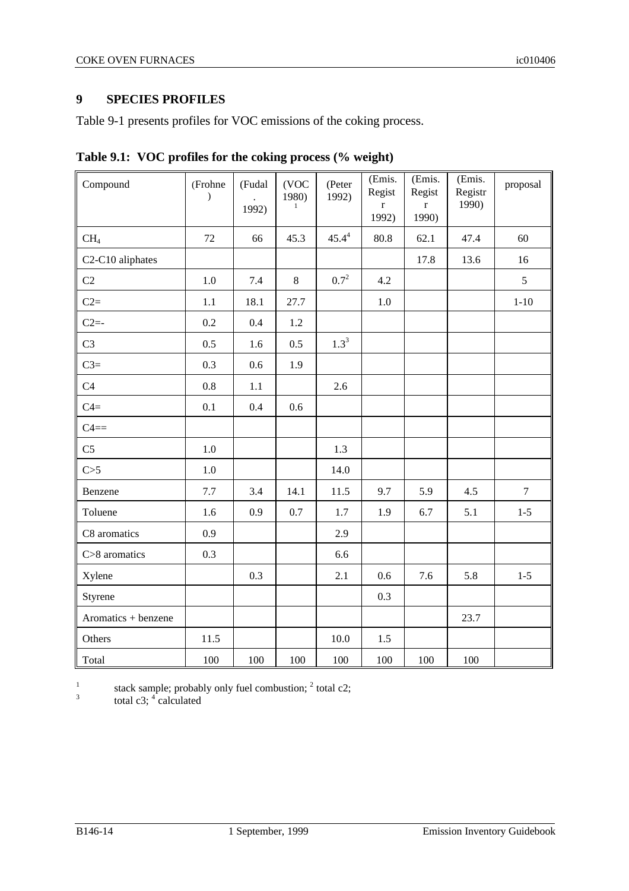## **9 SPECIES PROFILES**

Table 9-1 presents profiles for VOC emissions of the coking process.

| Compound            | (Frohne<br>$\mathcal{E}$ | (Fudal<br>1992) | (VOC<br>1980)<br>1 | (Peter<br>1992) | (Emis.<br>Regist<br>$\mathbf r$<br>1992) | (Emis.<br>Regist<br>$\mathbf r$<br>1990) | (Emis.<br>Registr<br>1990) | proposal |
|---------------------|--------------------------|-----------------|--------------------|-----------------|------------------------------------------|------------------------------------------|----------------------------|----------|
| CH <sub>4</sub>     | 72                       | 66              | 45.3               | $45.4^4$        | 80.8                                     | 62.1                                     | 47.4                       | 60       |
| C2-C10 aliphates    |                          |                 |                    |                 |                                          | 17.8                                     | 13.6                       | 16       |
| C2                  | $1.0\,$                  | 7.4             | $8\,$              | $0.7^{2}$       | 4.2                                      |                                          |                            | 5        |
| $C2=$               | 1.1                      | 18.1            | 27.7               |                 | $1.0\,$                                  |                                          |                            | $1 - 10$ |
| $C2=$               | 0.2                      | 0.4             | 1.2                |                 |                                          |                                          |                            |          |
| C <sub>3</sub>      | 0.5                      | 1.6             | 0.5                | $1.3^{3}$       |                                          |                                          |                            |          |
| $C3=$               | 0.3                      | 0.6             | 1.9                |                 |                                          |                                          |                            |          |
| C4                  | 0.8                      | 1.1             |                    | 2.6             |                                          |                                          |                            |          |
| $C4=$               | 0.1                      | 0.4             | 0.6                |                 |                                          |                                          |                            |          |
| $C4 ==$             |                          |                 |                    |                 |                                          |                                          |                            |          |
| C <sub>5</sub>      | $1.0\,$                  |                 |                    | 1.3             |                                          |                                          |                            |          |
| C>5                 | 1.0                      |                 |                    | 14.0            |                                          |                                          |                            |          |
| Benzene             | 7.7                      | 3.4             | 14.1               | 11.5            | 9.7                                      | 5.9                                      | 4.5                        | $\tau$   |
| Toluene             | 1.6                      | 0.9             | 0.7                | 1.7             | 1.9                                      | 6.7                                      | 5.1                        | $1 - 5$  |
| C8 aromatics        | 0.9                      |                 |                    | 2.9             |                                          |                                          |                            |          |
| C>8 aromatics       | 0.3                      |                 |                    | 6.6             |                                          |                                          |                            |          |
| Xylene              |                          | 0.3             |                    | 2.1             | 0.6                                      | 7.6                                      | 5.8                        | $1 - 5$  |
| Styrene             |                          |                 |                    |                 | 0.3                                      |                                          |                            |          |
| Aromatics + benzene |                          |                 |                    |                 |                                          |                                          | 23.7                       |          |
| Others              | 11.5                     |                 |                    | 10.0            | 1.5                                      |                                          |                            |          |
| Total               | 100                      | 100             | 100                | 100             | 100                                      | 100                                      | 100                        |          |

**Table 9.1: VOC profiles for the coking process (% weight)**

1 stack sample; probably only fuel combustion;  $<sup>2</sup>$  total c2;</sup> 3

total c3;  $^4$  calculated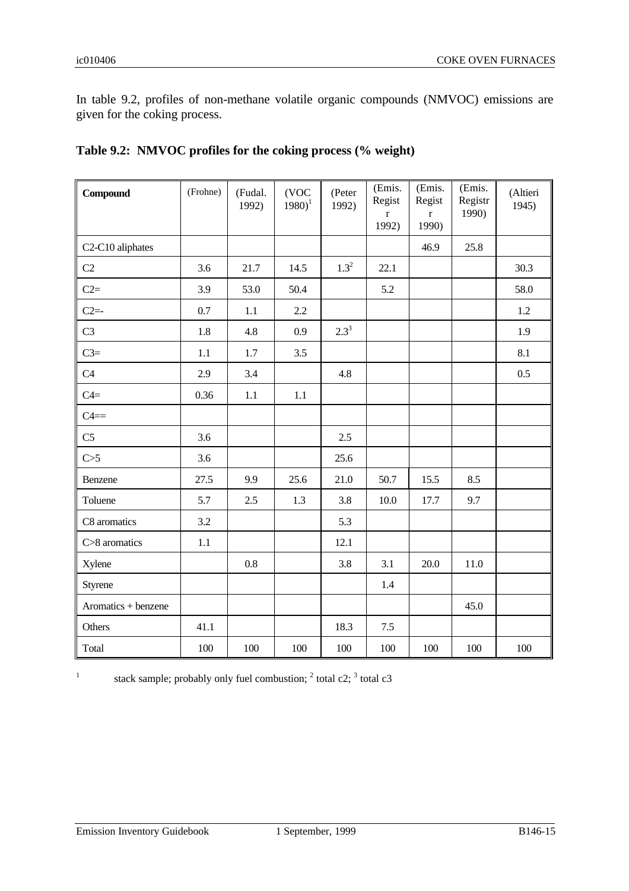In table 9.2, profiles of non-methane volatile organic compounds (NMVOC) emissions are given for the coking process.

| <b>Compound</b>     | (Frohne) | (Fudal.<br>1992) | (VOC<br>$1980$ <sup>1</sup> | (Peter<br>1992) | (Emis.<br>Regist<br>$\bf r$<br>1992) | (Emis.<br>Regist<br>r<br>1990) | (Emis.<br>Registr<br>1990) | (Altieri<br>1945) |
|---------------------|----------|------------------|-----------------------------|-----------------|--------------------------------------|--------------------------------|----------------------------|-------------------|
| C2-C10 aliphates    |          |                  |                             |                 |                                      | 46.9                           | 25.8                       |                   |
| C2                  | 3.6      | 21.7             | 14.5                        | $1.3^{2}$       | 22.1                                 |                                |                            | 30.3              |
| $C2=$               | 3.9      | 53.0             | 50.4                        |                 | 5.2                                  |                                |                            | 58.0              |
| $C2 = -$            | 0.7      | 1.1              | 2.2                         |                 |                                      |                                |                            | 1.2               |
| C <sub>3</sub>      | 1.8      | 4.8              | 0.9                         | $2.3^{3}$       |                                      |                                |                            | 1.9               |
| $C3=$               | 1.1      | 1.7              | 3.5                         |                 |                                      |                                |                            | 8.1               |
| C4                  | 2.9      | 3.4              |                             | 4.8             |                                      |                                |                            | 0.5               |
| $C4=$               | 0.36     | $1.1\,$          | 1.1                         |                 |                                      |                                |                            |                   |
| $C4 ==$             |          |                  |                             |                 |                                      |                                |                            |                   |
| C <sub>5</sub>      | 3.6      |                  |                             | 2.5             |                                      |                                |                            |                   |
| C>5                 | 3.6      |                  |                             | 25.6            |                                      |                                |                            |                   |
| Benzene             | 27.5     | 9.9              | 25.6                        | 21.0            | 50.7                                 | 15.5                           | 8.5                        |                   |
| Toluene             | 5.7      | 2.5              | 1.3                         | 3.8             | 10.0                                 | 17.7                           | 9.7                        |                   |
| C8 aromatics        | 3.2      |                  |                             | 5.3             |                                      |                                |                            |                   |
| C>8 aromatics       | 1.1      |                  |                             | 12.1            |                                      |                                |                            |                   |
| Xylene              |          | 0.8              |                             | 3.8             | 3.1                                  | 20.0                           | 11.0                       |                   |
| Styrene             |          |                  |                             |                 | 1.4                                  |                                |                            |                   |
| Aromatics + benzene |          |                  |                             |                 |                                      |                                | 45.0                       |                   |
| Others              | 41.1     |                  |                             | 18.3            | 7.5                                  |                                |                            |                   |
| Total               | 100      | 100              | 100                         | 100             | 100                                  | 100                            | 100                        | 100               |

| Table 9.2: NMVOC profiles for the coking process (% weight) |
|-------------------------------------------------------------|
|-------------------------------------------------------------|

1

stack sample; probably only fuel combustion;  $<sup>2</sup>$  total c2;  $<sup>3</sup>$  total c3</sup></sup>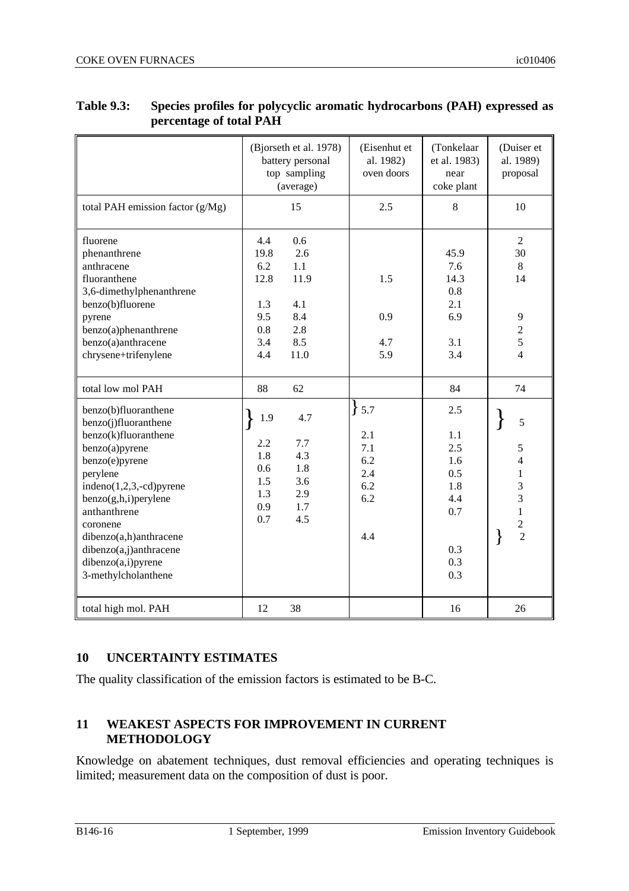|                                                                                                                                                                                                                                                                                                           | (Bjorseth et al. 1978)<br>battery personal<br>top sampling<br>(average) |                                                                     | (Eisenhut et<br>al. 1982)<br>oven doors                   | (Tonkelaar<br>et al. 1983)<br>near<br>coke plant                          | (Duiser et<br>al. 1989)<br>proposal                                                                           |
|-----------------------------------------------------------------------------------------------------------------------------------------------------------------------------------------------------------------------------------------------------------------------------------------------------------|-------------------------------------------------------------------------|---------------------------------------------------------------------|-----------------------------------------------------------|---------------------------------------------------------------------------|---------------------------------------------------------------------------------------------------------------|
| total PAH emission factor (g/Mg)                                                                                                                                                                                                                                                                          |                                                                         | 15                                                                  | 2.5                                                       | 8                                                                         | 10                                                                                                            |
| fluorene<br>phenanthrene<br>anthracene<br>fluoranthene<br>3,6-dimethylphenanthrene<br>benzo(b)fluorene<br>pyrene<br>benzo(a)phenanthrene<br>benzo(a)anthracene<br>chrysene+trifenylene<br>total low mol PAH                                                                                               | 4.4<br>19.8<br>6.2<br>12.8<br>1.3<br>9.5<br>0.8<br>3.4<br>4.4<br>88     | 0.6<br>2.6<br>1.1<br>11.9<br>4.1<br>8.4<br>2.8<br>8.5<br>11.0<br>62 | 1.5<br>0.9<br>4.7<br>5.9                                  | 45.9<br>7.6<br>14.3<br>0.8<br>2.1<br>6.9<br>3.1<br>3.4<br>84              | $\overline{2}$<br>30<br>8<br>14<br>$\overline{9}$<br>$\overline{c}$<br>$\overline{5}$<br>$\overline{4}$<br>74 |
| benzo(b)fluoranthene<br>benzo(j)fluoranthene<br>benzo(k)fluoranthene<br>benzo(a)pyrene<br>benzo(e)pyrene<br>perylene<br>$indeno(1,2,3,-cd)pyrene$<br>$benzo(g,h,i)$ perylene<br>anthanthrene<br>coronene<br>dibenzo(a,h)anthracene<br>dibenzo(a,j)anthracene<br>dibenzo(a,i)pyrene<br>3-methylcholanthene | 1.9<br>2.2<br>1.8<br>0.6<br>1.5<br>1.3<br>0.9<br>0.7                    | 4.7<br>7.7<br>4.3<br>1.8<br>3.6<br>2.9<br>1.7<br>4.5                | ł<br>5.7<br>2.1<br>7.1<br>6.2<br>2.4<br>6.2<br>6.2<br>4.4 | 2.5<br>1.1<br>2.5<br>1.6<br>0.5<br>1.8<br>4.4<br>0.7<br>0.3<br>0.3<br>0.3 | 5<br>5<br>4<br>1<br>3<br>$\overline{3}$<br>$\mathbf{1}$<br>$\frac{2}{2}$                                      |
| total high mol. PAH                                                                                                                                                                                                                                                                                       | 12                                                                      | 38                                                                  |                                                           | 16                                                                        | 26                                                                                                            |

### **Table 9.3: Species profiles for polycyclic aromatic hydrocarbons (PAH) expressed as percentage of total PAH**

## **10 UNCERTAINTY ESTIMATES**

The quality classification of the emission factors is estimated to be B-C.

## **11 WEAKEST ASPECTS FOR IMPROVEMENT IN CURRENT METHODOLOGY**

Knowledge on abatement techniques, dust removal efficiencies and operating techniques is limited; measurement data on the composition of dust is poor.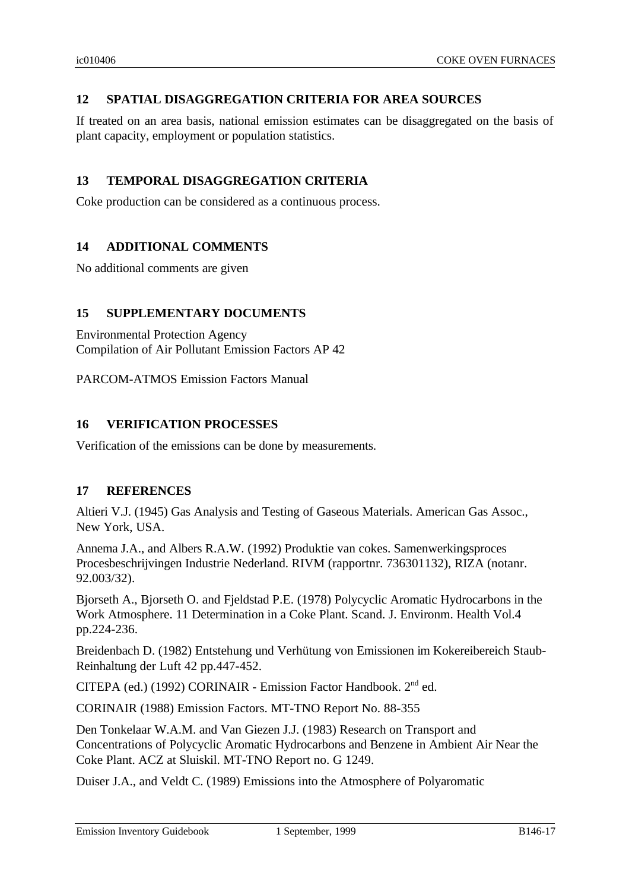## **12 SPATIAL DISAGGREGATION CRITERIA FOR AREA SOURCES**

If treated on an area basis, national emission estimates can be disaggregated on the basis of plant capacity, employment or population statistics.

## **13 TEMPORAL DISAGGREGATION CRITERIA**

Coke production can be considered as a continuous process.

## **14 ADDITIONAL COMMENTS**

No additional comments are given

## **15 SUPPLEMENTARY DOCUMENTS**

Environmental Protection Agency Compilation of Air Pollutant Emission Factors AP 42

PARCOM-ATMOS Emission Factors Manual

### **16 VERIFICATION PROCESSES**

Verification of the emissions can be done by measurements.

## **17 REFERENCES**

Altieri V.J. (1945) Gas Analysis and Testing of Gaseous Materials. American Gas Assoc., New York, USA.

Annema J.A., and Albers R.A.W. (1992) Produktie van cokes. Samenwerkingsproces Procesbeschrijvingen Industrie Nederland. RIVM (rapportnr. 736301132), RIZA (notanr. 92.003/32).

Bjorseth A., Bjorseth O. and Fjeldstad P.E. (1978) Polycyclic Aromatic Hydrocarbons in the Work Atmosphere. 11 Determination in a Coke Plant. Scand. J. Environm. Health Vol.4 pp.224-236.

Breidenbach D. (1982) Entstehung und Verhütung von Emissionen im Kokereibereich Staub-Reinhaltung der Luft 42 pp.447-452.

CITEPA (ed.) (1992) CORINAIR - Emission Factor Handbook. 2nd ed.

CORINAIR (1988) Emission Factors. MT-TNO Report No. 88-355

Den Tonkelaar W.A.M. and Van Giezen J.J. (1983) Research on Transport and Concentrations of Polycyclic Aromatic Hydrocarbons and Benzene in Ambient Air Near the Coke Plant. ACZ at Sluiskil. MT-TNO Report no. G 1249.

Duiser J.A., and Veldt C. (1989) Emissions into the Atmosphere of Polyaromatic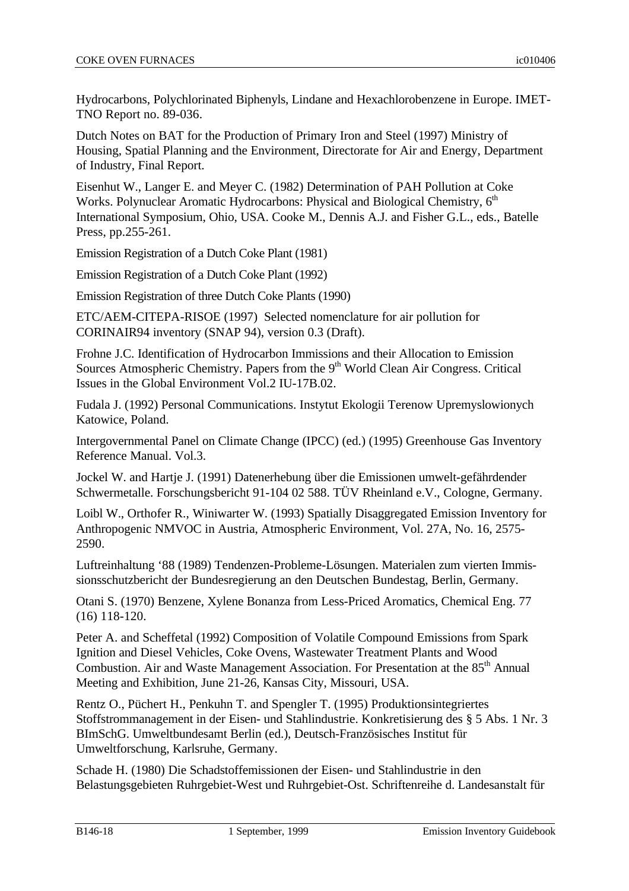Hydrocarbons, Polychlorinated Biphenyls, Lindane and Hexachlorobenzene in Europe. IMET-TNO Report no. 89-036.

Dutch Notes on BAT for the Production of Primary Iron and Steel (1997) Ministry of Housing, Spatial Planning and the Environment, Directorate for Air and Energy, Department of Industry, Final Report.

Eisenhut W., Langer E. and Meyer C. (1982) Determination of PAH Pollution at Coke Works. Polynuclear Aromatic Hydrocarbons: Physical and Biological Chemistry, 6<sup>th</sup> International Symposium, Ohio, USA. Cooke M., Dennis A.J. and Fisher G.L., eds., Batelle Press, pp.255-261.

Emission Registration of a Dutch Coke Plant (1981)

Emission Registration of a Dutch Coke Plant (1992)

Emission Registration of three Dutch Coke Plants (1990)

ETC/AEM-CITEPA-RISOE (1997) Selected nomenclature for air pollution for CORINAIR94 inventory (SNAP 94), version 0.3 (Draft).

Frohne J.C. Identification of Hydrocarbon Immissions and their Allocation to Emission Sources Atmospheric Chemistry. Papers from the  $9<sup>th</sup>$  World Clean Air Congress. Critical Issues in the Global Environment Vol.2 IU-17B.02.

Fudala J. (1992) Personal Communications. Instytut Ekologii Terenow Upremyslowionych Katowice, Poland.

Intergovernmental Panel on Climate Change (IPCC) (ed.) (1995) Greenhouse Gas Inventory Reference Manual. Vol.3.

Jockel W. and Hartje J. (1991) Datenerhebung über die Emissionen umwelt-gefährdender Schwermetalle. Forschungsbericht 91-104 02 588. TÜV Rheinland e.V., Cologne, Germany.

Loibl W., Orthofer R., Winiwarter W. (1993) Spatially Disaggregated Emission Inventory for Anthropogenic NMVOC in Austria, Atmospheric Environment, Vol. 27A, No. 16, 2575- 2590.

Luftreinhaltung '88 (1989) Tendenzen-Probleme-Lösungen. Materialen zum vierten Immissionsschutzbericht der Bundesregierung an den Deutschen Bundestag, Berlin, Germany.

Otani S. (1970) Benzene, Xylene Bonanza from Less-Priced Aromatics, Chemical Eng. 77 (16) 118-120.

Peter A. and Scheffetal (1992) Composition of Volatile Compound Emissions from Spark Ignition and Diesel Vehicles, Coke Ovens, Wastewater Treatment Plants and Wood Combustion. Air and Waste Management Association. For Presentation at the 85<sup>th</sup> Annual Meeting and Exhibition, June 21-26, Kansas City, Missouri, USA.

Rentz O., Püchert H., Penkuhn T. and Spengler T. (1995) Produktionsintegriertes Stoffstrommanagement in der Eisen- und Stahlindustrie. Konkretisierung des § 5 Abs. 1 Nr. 3 BImSchG. Umweltbundesamt Berlin (ed.), Deutsch-Französisches Institut für Umweltforschung, Karlsruhe, Germany.

Schade H. (1980) Die Schadstoffemissionen der Eisen- und Stahlindustrie in den Belastungsgebieten Ruhrgebiet-West und Ruhrgebiet-Ost. Schriftenreihe d. Landesanstalt für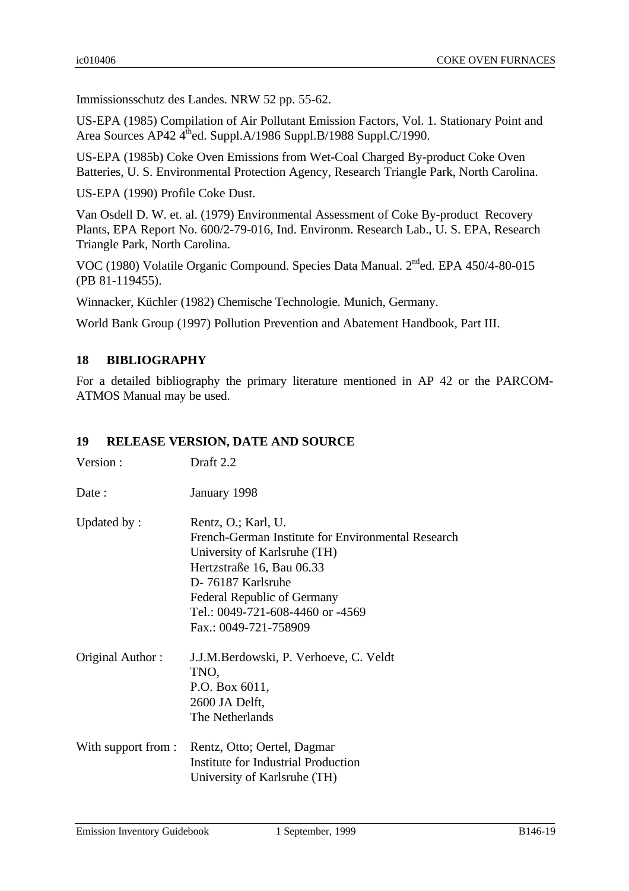Immissionsschutz des Landes. NRW 52 pp. 55-62.

US-EPA (1985) Compilation of Air Pollutant Emission Factors, Vol. 1. Stationary Point and Area Sources AP42  $4^{\text{th}}$ ed. Suppl.A/1986 Suppl.B/1988 Suppl.C/1990.

US-EPA (1985b) Coke Oven Emissions from Wet-Coal Charged By-product Coke Oven Batteries, U. S. Environmental Protection Agency, Research Triangle Park, North Carolina.

US-EPA (1990) Profile Coke Dust.

Van Osdell D. W. et. al. (1979) Environmental Assessment of Coke By-product Recovery Plants, EPA Report No. 600/2-79-016, Ind. Environm. Research Lab., U. S. EPA, Research Triangle Park, North Carolina.

VOC (1980) Volatile Organic Compound. Species Data Manual. 2nded. EPA 450/4-80-015 (PB 81-119455).

Winnacker, Küchler (1982) Chemische Technologie. Munich, Germany.

World Bank Group (1997) Pollution Prevention and Abatement Handbook, Part III.

# **18 BIBLIOGRAPHY**

For a detailed bibliography the primary literature mentioned in AP 42 or the PARCOM-ATMOS Manual may be used.

#### **19 RELEASE VERSION, DATE AND SOURCE**

| Version:            | Draft 2.2                                                                                                                                                                                                                                                      |
|---------------------|----------------------------------------------------------------------------------------------------------------------------------------------------------------------------------------------------------------------------------------------------------------|
| Date :              | January 1998                                                                                                                                                                                                                                                   |
| Updated by:         | Rentz, O.; Karl, U.<br>French-German Institute for Environmental Research<br>University of Karlsruhe (TH)<br>Hertzstraße 16, Bau 06.33<br>D-76187 Karlsruhe<br><b>Federal Republic of Germany</b><br>Tel.: 0049-721-608-4460 or -4569<br>Fax.: 0049-721-758909 |
| Original Author:    | J.J.M.Berdowski, P. Verhoeve, C. Veldt<br>TNO,<br>P.O. Box 6011,<br>2600 JA Delft,<br>The Netherlands                                                                                                                                                          |
| With support from : | Rentz, Otto; Oertel, Dagmar<br><b>Institute for Industrial Production</b><br>University of Karlsruhe (TH)                                                                                                                                                      |